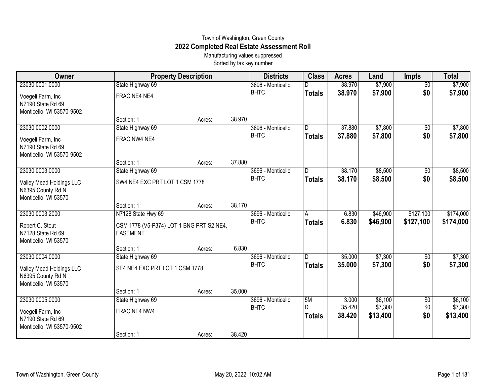## Town of Washington, Green County **2022 Completed Real Estate Assessment Roll**

Manufacturing values suppressed Sorted by tax key number

| Owner                                                                 | <b>Property Description</b>                                 |        |        | <b>Districts</b>  | <b>Class</b>       | <b>Acres</b>     | Land                | <b>Impts</b>    | <b>Total</b>        |
|-----------------------------------------------------------------------|-------------------------------------------------------------|--------|--------|-------------------|--------------------|------------------|---------------------|-----------------|---------------------|
| 23030 0001.0000                                                       | State Highway 69                                            |        |        | 3696 - Monticello |                    | 38.970           | \$7,900             | $\overline{50}$ | \$7,900             |
| Voegeli Farm, Inc<br>N7190 State Rd 69                                | FRAC NE4 NE4                                                |        |        | <b>BHTC</b>       | <b>Totals</b>      | 38.970           | \$7,900             | \$0             | \$7,900             |
| Monticello, WI 53570-9502                                             |                                                             |        |        |                   |                    |                  |                     |                 |                     |
| 23030 0002.0000                                                       | Section: 1                                                  | Acres: | 38.970 | 3696 - Monticello | D                  | 37,880           | \$7,800             | $\overline{50}$ | \$7,800             |
|                                                                       | State Highway 69                                            |        |        | <b>BHTC</b>       | <b>Totals</b>      | 37.880           | \$7,800             | \$0             | \$7,800             |
| Voegeli Farm, Inc<br>N7190 State Rd 69<br>Monticello, WI 53570-9502   | FRAC NW4 NE4                                                |        |        |                   |                    |                  |                     |                 |                     |
|                                                                       | Section: 1                                                  | Acres: | 37.880 |                   |                    |                  |                     |                 |                     |
| 23030 0003.0000                                                       | State Highway 69                                            |        |        | 3696 - Monticello | D                  | 38.170           | \$8,500             | \$0             | \$8,500             |
| Valley Mead Holdings LLC<br>N6395 County Rd N<br>Monticello, WI 53570 | SW4 NE4 EXC PRT LOT 1 CSM 1778                              |        |        | <b>BHTC</b>       | <b>Totals</b>      | 38.170           | \$8,500             | \$0             | \$8,500             |
|                                                                       | Section: 1                                                  | Acres: | 38.170 |                   |                    |                  |                     |                 |                     |
| 23030 0003.2000                                                       | N7128 State Hwy 69                                          |        |        | 3696 - Monticello | A                  | 6.830            | \$46,900            | \$127,100       | \$174,000           |
| Robert C. Stout<br>N7128 State Rd 69<br>Monticello, WI 53570          | CSM 1778 (V5-P374) LOT 1 BNG PRT S2 NE4,<br><b>EASEMENT</b> |        |        | <b>BHTC</b>       | <b>Totals</b>      | 6.830            | \$46,900            | \$127,100       | \$174,000           |
|                                                                       | Section: 1                                                  | Acres: | 6.830  |                   |                    |                  |                     |                 |                     |
| 23030 0004.0000                                                       | State Highway 69                                            |        |        | 3696 - Monticello | ID                 | 35.000           | \$7,300             | \$0             | \$7,300             |
| Valley Mead Holdings LLC<br>N6395 County Rd N<br>Monticello, WI 53570 | SE4 NE4 EXC PRT LOT 1 CSM 1778                              |        |        | <b>BHTC</b>       | <b>Totals</b>      | 35.000           | \$7,300             | \$0             | \$7,300             |
|                                                                       | Section: 1                                                  | Acres: | 35.000 |                   |                    |                  |                     |                 |                     |
| 23030 0005.0000                                                       | State Highway 69                                            |        |        | 3696 - Monticello | 5M                 | 3.000            | \$6,100             | \$0             | \$6,100             |
| Voegeli Farm, Inc<br>N7190 State Rd 69<br>Monticello, WI 53570-9502   | FRAC NE4 NW4                                                |        |        | <b>BHTC</b>       | D<br><b>Totals</b> | 35.420<br>38.420 | \$7,300<br>\$13,400 | \$0<br>\$0      | \$7,300<br>\$13,400 |
|                                                                       | Section: 1                                                  | Acres: | 38.420 |                   |                    |                  |                     |                 |                     |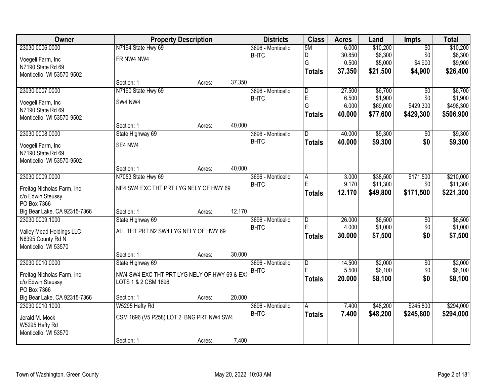| <b>Owner</b>                 |                                              | <b>Property Description</b> |        | <b>Districts</b>  | <b>Class</b>            | <b>Acres</b> | Land     | <b>Impts</b>    | <b>Total</b> |
|------------------------------|----------------------------------------------|-----------------------------|--------|-------------------|-------------------------|--------------|----------|-----------------|--------------|
| 23030 0006.0000              | N7194 State Hwy 69                           |                             |        | 3696 - Monticello | 5M                      | 6.000        | \$10,200 | $\overline{50}$ | \$10,200     |
| Voegeli Farm, Inc            | FR NW4 NW4                                   |                             |        | <b>BHTC</b>       | D                       | 30.850       | \$6,300  | \$0             | \$6,300      |
| N7190 State Rd 69            |                                              |                             |        |                   | G                       | 0.500        | \$5,000  | \$4,900         | \$9,900      |
| Monticello, WI 53570-9502    |                                              |                             |        |                   | <b>Totals</b>           | 37.350       | \$21,500 | \$4,900         | \$26,400     |
|                              | Section: 1                                   | Acres:                      | 37.350 |                   |                         |              |          |                 |              |
| 23030 0007.0000              | N7190 State Hwy 69                           |                             |        | 3696 - Monticello | $\overline{\mathsf{D}}$ | 27.500       | \$6,700  | $\overline{50}$ | \$6,700      |
| Voegeli Farm, Inc            | SW4 NW4                                      |                             |        | <b>BHTC</b>       | E                       | 6.500        | \$1,900  | \$0             | \$1,900      |
| N7190 State Rd 69            |                                              |                             |        |                   | G                       | 6.000        | \$69,000 | \$429,300       | \$498,300    |
| Monticello, WI 53570-9502    |                                              |                             |        |                   | <b>Totals</b>           | 40.000       | \$77,600 | \$429,300       | \$506,900    |
|                              | Section: 1                                   | Acres:                      | 40.000 |                   |                         |              |          |                 |              |
| 23030 0008.0000              | State Highway 69                             |                             |        | 3696 - Monticello | D                       | 40.000       | \$9,300  | \$0             | \$9,300      |
| Voegeli Farm, Inc            | SE4 NW4                                      |                             |        | <b>BHTC</b>       | <b>Totals</b>           | 40.000       | \$9,300  | \$0             | \$9,300      |
| N7190 State Rd 69            |                                              |                             |        |                   |                         |              |          |                 |              |
| Monticello, WI 53570-9502    |                                              |                             |        |                   |                         |              |          |                 |              |
|                              | Section: 1                                   | Acres:                      | 40.000 |                   |                         |              |          |                 |              |
| 23030 0009.0000              | N7053 State Hwy 69                           |                             |        | 3696 - Monticello | Α                       | 3.000        | \$38,500 | \$171,500       | \$210,000    |
| Freitag Nicholas Farm, Inc.  | NE4 SW4 EXC THT PRT LYG NELY OF HWY 69       |                             |        | <b>BHTC</b>       | E                       | 9.170        | \$11,300 | \$0             | \$11,300     |
| c/o Edwin Steussy            |                                              |                             |        |                   | <b>Totals</b>           | 12.170       | \$49,800 | \$171,500       | \$221,300    |
| PO Box 7366                  |                                              |                             |        |                   |                         |              |          |                 |              |
| Big Bear Lake, CA 92315-7366 | Section: 1                                   | Acres:                      | 12.170 |                   |                         |              |          |                 |              |
| 23030 0009.1000              | State Highway 69                             |                             |        | 3696 - Monticello | $\overline{\mathsf{D}}$ | 26.000       | \$6,500  | $\overline{50}$ | \$6,500      |
| Valley Mead Holdings LLC     | ALL THT PRT N2 SW4 LYG NELY OF HWY 69        |                             |        | <b>BHTC</b>       | Ė                       | 4.000        | \$1,000  | \$0             | \$1,000      |
| N6395 County Rd N            |                                              |                             |        |                   | <b>Totals</b>           | 30.000       | \$7,500  | \$0             | \$7,500      |
| Monticello, WI 53570         |                                              |                             |        |                   |                         |              |          |                 |              |
|                              | Section: 1                                   | Acres:                      | 30.000 |                   |                         |              |          |                 |              |
| 23030 0010.0000              | State Highway 69                             |                             |        | 3696 - Monticello | $\overline{\mathsf{D}}$ | 14.500       | \$2,000  | $\overline{50}$ | \$2,000      |
| Freitag Nicholas Farm, Inc.  | NW4 SW4 EXC THT PRT LYG NELY OF HWY 69 & EXO |                             |        | <b>BHTC</b>       | E                       | 5.500        | \$6,100  | \$0             | \$6,100      |
| c/o Edwin Steussy            | LOTS 1 & 2 CSM 1696                          |                             |        |                   | <b>Totals</b>           | 20,000       | \$8,100  | \$0             | \$8,100      |
| PO Box 7366                  |                                              |                             |        |                   |                         |              |          |                 |              |
| Big Bear Lake, CA 92315-7366 | Section: 1                                   | Acres:                      | 20.000 |                   |                         |              |          |                 |              |
| 23030 0010.1000              | W5295 Hefty Rd                               |                             |        | 3696 - Monticello | A                       | 7.400        | \$48,200 | \$245,800       | \$294,000    |
| Jerald M. Mock               | CSM 1696 (V5 P258) LOT 2 BNG PRT NW4 SW4     |                             |        | <b>BHTC</b>       | <b>Totals</b>           | 7.400        | \$48,200 | \$245,800       | \$294,000    |
| W5295 Hefty Rd               |                                              |                             |        |                   |                         |              |          |                 |              |
| Monticello, WI 53570         |                                              |                             |        |                   |                         |              |          |                 |              |
|                              | Section: 1                                   | Acres:                      | 7.400  |                   |                         |              |          |                 |              |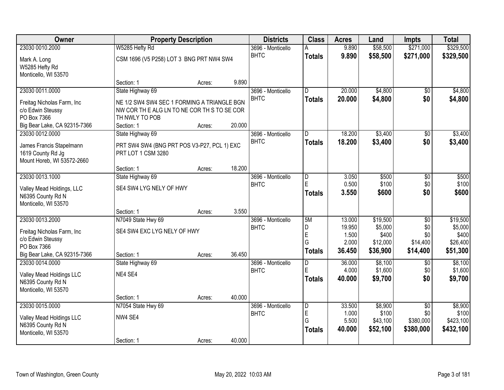| Owner                                           |                                             | <b>Property Description</b> |        | <b>Districts</b>  | <b>Class</b>   | <b>Acres</b> | Land     | <b>Impts</b>    | <b>Total</b> |
|-------------------------------------------------|---------------------------------------------|-----------------------------|--------|-------------------|----------------|--------------|----------|-----------------|--------------|
| 23030 0010.2000                                 | W5285 Hefty Rd                              |                             |        | 3696 - Monticello |                | 9.890        | \$58,500 | \$271,000       | \$329,500    |
| Mark A. Long                                    | CSM 1696 (V5 P258) LOT 3 BNG PRT NW4 SW4    |                             |        | <b>BHTC</b>       | <b>Totals</b>  | 9.890        | \$58,500 | \$271,000       | \$329,500    |
| W5285 Hefty Rd                                  |                                             |                             |        |                   |                |              |          |                 |              |
| Monticello, WI 53570                            |                                             |                             |        |                   |                |              |          |                 |              |
|                                                 | Section: 1                                  | Acres:                      | 9.890  |                   |                |              |          |                 |              |
| 23030 0011.0000                                 | State Highway 69                            |                             |        | 3696 - Monticello | D.             | 20.000       | \$4,800  | \$0             | \$4,800      |
| Freitag Nicholas Farm, Inc                      | NE 1/2 SW4 SW4 SEC 1 FORMING A TRIANGLE BGN |                             |        | <b>BHTC</b>       | <b>Totals</b>  | 20.000       | \$4,800  | \$0             | \$4,800      |
| c/o Edwin Steussy                               | NW COR THE ALGEN TO NE COR THIS TO SE COR   |                             |        |                   |                |              |          |                 |              |
| PO Box 7366                                     | TH NWLY TO POB                              |                             |        |                   |                |              |          |                 |              |
| Big Bear Lake, CA 92315-7366                    | Section: 1                                  | Acres:                      | 20.000 |                   |                |              |          |                 |              |
| 23030 0012.0000                                 | State Highway 69                            |                             |        | 3696 - Monticello | D              | 18.200       | \$3,400  | \$0             | \$3,400      |
| James Francis Stapelmann                        | PRT SW4 SW4 (BNG PRT POS V3-P27, PCL 1) EXC |                             |        | <b>BHTC</b>       | <b>Totals</b>  | 18.200       | \$3,400  | \$0             | \$3,400      |
| 1619 County Rd Jg                               | PRT LOT 1 CSM 3280                          |                             |        |                   |                |              |          |                 |              |
| Mount Horeb, WI 53572-2660                      |                                             |                             |        |                   |                |              |          |                 |              |
|                                                 | Section: 1                                  | Acres:                      | 18.200 |                   |                |              |          |                 |              |
| 23030 0013.1000                                 | State Highway 69                            |                             |        | 3696 - Monticello | D              | 3.050        | \$500    | \$0             | \$500        |
| Valley Mead Holdings, LLC                       | SE4 SW4 LYG NELY OF HWY                     |                             |        | <b>BHTC</b>       | E              | 0.500        | \$100    | \$0             | \$100        |
| N6395 County Rd N                               |                                             |                             |        |                   | <b>Totals</b>  | 3.550        | \$600    | \$0             | \$600        |
| Monticello, WI 53570                            |                                             |                             |        |                   |                |              |          |                 |              |
|                                                 | Section: 1                                  | Acres:                      | 3.550  |                   |                |              |          |                 |              |
| 23030 0013.2000                                 | N7049 State Hwy 69                          |                             |        | 3696 - Monticello | 5M             | 13.000       | \$19,500 | $\overline{50}$ | \$19,500     |
|                                                 | SE4 SW4 EXC LYG NELY OF HWY                 |                             |        | <b>BHTC</b>       | D              | 19.950       | \$5,000  | \$0             | \$5,000      |
| Freitag Nicholas Farm, Inc<br>c/o Edwin Steussy |                                             |                             |        |                   | E              | 1.500        | \$400    | \$0             | \$400        |
| PO Box 7366                                     |                                             |                             |        |                   | G              | 2.000        | \$12,000 | \$14,400        | \$26,400     |
| Big Bear Lake, CA 92315-7366                    | Section: 1                                  | Acres:                      | 36.450 |                   | <b>Totals</b>  | 36.450       | \$36,900 | \$14,400        | \$51,300     |
| 23030 0014.0000                                 | State Highway 69                            |                             |        | 3696 - Monticello | $\overline{D}$ | 36.000       | \$8,100  | $\sqrt{6}$      | \$8,100      |
|                                                 | NE4 SE4                                     |                             |        | <b>BHTC</b>       | E              | 4.000        | \$1,600  | \$0             | \$1,600      |
| Valley Mead Holdings LLC<br>N6395 County Rd N   |                                             |                             |        |                   | <b>Totals</b>  | 40.000       | \$9,700  | \$0             | \$9,700      |
| Monticello, WI 53570                            |                                             |                             |        |                   |                |              |          |                 |              |
|                                                 | Section: 1                                  | Acres:                      | 40.000 |                   |                |              |          |                 |              |
| 23030 0015.0000                                 | N7054 State Hwy 69                          |                             |        | 3696 - Monticello | D              | 33.500       | \$8,900  | $\overline{50}$ | \$8,900      |
|                                                 | NW4 SE4                                     |                             |        | <b>BHTC</b>       | E              | 1.000        | \$100    | \$0             | \$100        |
| Valley Mead Holdings LLC<br>N6395 County Rd N   |                                             |                             |        |                   | G              | 5.500        | \$43,100 | \$380,000       | \$423,100    |
| Monticello, WI 53570                            |                                             |                             |        |                   | <b>Totals</b>  | 40.000       | \$52,100 | \$380,000       | \$432,100    |
|                                                 | Section: 1                                  | Acres:                      | 40.000 |                   |                |              |          |                 |              |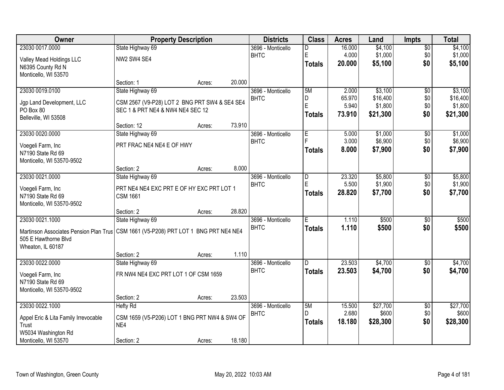| Owner                                                                                 | <b>Property Description</b>                   |        |        | <b>Districts</b>                 | <b>Class</b>   | <b>Acres</b>    | Land              | <b>Impts</b>           | <b>Total</b>      |
|---------------------------------------------------------------------------------------|-----------------------------------------------|--------|--------|----------------------------------|----------------|-----------------|-------------------|------------------------|-------------------|
| 23030 0017.0000                                                                       | State Highway 69                              |        |        | 3696 - Monticello                | D              | 16.000          | \$4,100           | $\sqrt{$0}$            | \$4,100           |
| Valley Mead Holdings LLC                                                              | NW2 SW4 SE4                                   |        |        | <b>BHTC</b>                      | $\mathsf E$    | 4.000           | \$1,000           | \$0                    | \$1,000           |
| N6395 County Rd N                                                                     |                                               |        |        |                                  | Totals         | 20.000          | \$5,100           | \$0                    | \$5,100           |
| Monticello, WI 53570                                                                  |                                               |        |        |                                  |                |                 |                   |                        |                   |
|                                                                                       | Section: 1                                    | Acres: | 20.000 |                                  |                |                 |                   |                        |                   |
| 23030 0019.0100                                                                       | State Highway 69                              |        |        | 3696 - Monticello                | 5M             | 2.000           | \$3,100           | \$0                    | \$3,100           |
| Jgp Land Development, LLC                                                             | CSM 2567 (V9-P28) LOT 2 BNG PRT SW4 & SE4 SE4 |        |        | <b>BHTC</b>                      | D<br>E         | 65.970          | \$16,400          | \$0                    | \$16,400          |
| PO Box 80                                                                             | SEC 1 & PRT NE4 & NW4 NE4 SEC 12              |        |        |                                  |                | 5.940           | \$1,800           | \$0<br>\$0             | \$1,800           |
| Belleville, WI 53508                                                                  |                                               |        |        |                                  | <b>Totals</b>  | 73.910          | \$21,300          |                        | \$21,300          |
|                                                                                       | Section: 12                                   | Acres: | 73.910 |                                  |                |                 |                   |                        |                   |
| 23030 0020.0000                                                                       | State Highway 69                              |        |        | 3696 - Monticello                | $\overline{E}$ | 5.000           | \$1,000           | \$0                    | \$1,000           |
| Voegeli Farm, Inc                                                                     | PRT FRAC NE4 NE4 E OF HWY                     |        |        | <b>BHTC</b>                      |                | 3.000           | \$6,900           | \$0                    | \$6,900           |
| N7190 State Rd 69                                                                     |                                               |        |        |                                  | Totals         | 8.000           | \$7,900           | \$0                    | \$7,900           |
| Monticello, WI 53570-9502                                                             |                                               |        |        |                                  |                |                 |                   |                        |                   |
|                                                                                       | Section: 2                                    | Acres: | 8.000  |                                  |                |                 |                   |                        |                   |
| 23030 0021.0000                                                                       | State Highway 69                              |        |        | 3696 - Monticello                | D              | 23.320          | \$5,800           | $\sqrt[6]{3}$          | \$5,800           |
| Voegeli Farm, Inc                                                                     | PRT NE4 NE4 EXC PRT E OF HY EXC PRT LOT 1     |        |        | <b>BHTC</b>                      | E              | 5.500           | \$1,900           | \$0                    | \$1,900           |
| N7190 State Rd 69                                                                     | <b>CSM 1661</b>                               |        |        |                                  | <b>Totals</b>  | 28.820          | \$7,700           | \$0                    | \$7,700           |
| Monticello, WI 53570-9502                                                             |                                               |        |        |                                  |                |                 |                   |                        |                   |
|                                                                                       | Section: 2                                    | Acres: | 28.820 |                                  |                |                 |                   |                        |                   |
| 23030 0021.1000                                                                       | State Highway 69                              |        |        | 3696 - Monticello                | Έ              | 1.110           | \$500             | $\overline{50}$        | \$500             |
| Martinson Associates Pension Plan Trus   CSM 1661 (V5-P208) PRT LOT 1 BNG PRT NE4 NE4 |                                               |        |        | <b>BHTC</b>                      | <b>Totals</b>  | 1.110           | \$500             | \$0                    | \$500             |
| 505 E Hawthorne Blvd                                                                  |                                               |        |        |                                  |                |                 |                   |                        |                   |
| Wheaton, IL 60187                                                                     |                                               |        |        |                                  |                |                 |                   |                        |                   |
|                                                                                       | Section: 2                                    | Acres: | 1.110  |                                  |                |                 |                   |                        |                   |
| 23030 0022.0000                                                                       | State Highway 69                              |        |        | 3696 - Monticello<br><b>BHTC</b> | D.             | 23.503          | \$4,700           | $\overline{50}$        | \$4,700           |
| Voegeli Farm, Inc                                                                     | FR NW4 NE4 EXC PRT LOT 1 OF CSM 1659          |        |        |                                  | <b>Totals</b>  | 23.503          | \$4,700           | \$0                    | \$4,700           |
| N7190 State Rd 69                                                                     |                                               |        |        |                                  |                |                 |                   |                        |                   |
| Monticello, WI 53570-9502                                                             |                                               |        |        |                                  |                |                 |                   |                        |                   |
|                                                                                       | Section: 2                                    | Acres: | 23.503 |                                  |                |                 |                   |                        |                   |
| 23030 0022.1000                                                                       | <b>Hefty Rd</b>                               |        |        | 3696 - Monticello<br><b>BHTC</b> | 5M<br>D.       | 15.500<br>2.680 | \$27,700<br>\$600 | $\overline{50}$<br>\$0 | \$27,700<br>\$600 |
| Appel Eric & Lita Family Irrevocable                                                  | CSM 1659 (V5-P206) LOT 1 BNG PRT NW4 & SW4 OF |        |        |                                  | <b>Totals</b>  | 18.180          | \$28,300          | \$0                    | \$28,300          |
| Trust                                                                                 | NE4                                           |        |        |                                  |                |                 |                   |                        |                   |
| W5034 Washington Rd                                                                   |                                               |        |        |                                  |                |                 |                   |                        |                   |
| Monticello, WI 53570                                                                  | Section: 2                                    | Acres: | 18.180 |                                  |                |                 |                   |                        |                   |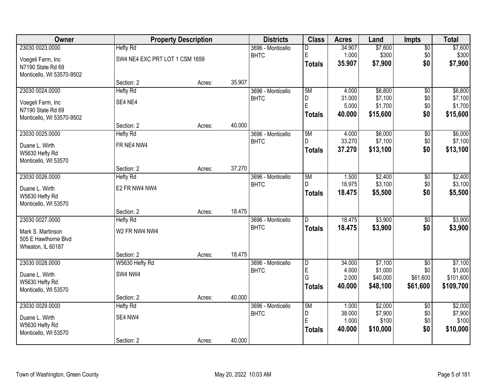| Owner                     |                                | <b>Property Description</b> |        | <b>Districts</b>  | <b>Class</b>   | <b>Acres</b>    | Land                | <b>Impts</b>    | <b>Total</b>         |
|---------------------------|--------------------------------|-----------------------------|--------|-------------------|----------------|-----------------|---------------------|-----------------|----------------------|
| 23030 0023.0000           | <b>Hefty Rd</b>                |                             |        | 3696 - Monticello | D              | 34.907          | \$7,600             | \$0             | \$7,600              |
| Voegeli Farm, Inc         | SW4 NE4 EXC PRT LOT 1 CSM 1659 |                             |        | <b>BHTC</b>       | E              | 1.000           | \$300               | \$0             | \$300                |
| N7190 State Rd 69         |                                |                             |        |                   | Totals         | 35.907          | \$7,900             | \$0             | \$7,900              |
| Monticello, WI 53570-9502 |                                |                             |        |                   |                |                 |                     |                 |                      |
|                           | Section: 2                     | Acres:                      | 35.907 |                   |                |                 |                     |                 |                      |
| 23030 0024.0000           | <b>Hefty Rd</b>                |                             |        | 3696 - Monticello | 5M             | 4.000           | \$6,800             | $\overline{50}$ | \$6,800              |
| Voegeli Farm, Inc         | SE4 NE4                        |                             |        | <b>BHTC</b>       | D              | 31.000          | \$7,100             | \$0             | \$7,100              |
| N7190 State Rd 69         |                                |                             |        |                   | E              | 5.000           | \$1,700             | \$0             | \$1,700              |
| Monticello, WI 53570-9502 |                                |                             |        |                   | <b>Totals</b>  | 40.000          | \$15,600            | \$0             | \$15,600             |
|                           | Section: 2                     | Acres:                      | 40.000 |                   |                |                 |                     |                 |                      |
| 23030 0025.0000           | <b>Hefty Rd</b>                |                             |        | 3696 - Monticello | 5M             | 4.000           | \$6,000             | \$0             | \$6,000              |
| Duane L. Wirth            | FR NE4 NW4                     |                             |        | <b>BHTC</b>       | D              | 33.270          | \$7,100             | \$0             | \$7,100              |
| W5630 Hefty Rd            |                                |                             |        |                   | Totals         | 37.270          | \$13,100            | \$0             | \$13,100             |
| Monticello, WI 53570      |                                |                             |        |                   |                |                 |                     |                 |                      |
|                           | Section: 2                     | Acres:                      | 37.270 |                   |                |                 |                     |                 |                      |
| 23030 0026.0000           | <b>Hefty Rd</b>                |                             |        | 3696 - Monticello | 5M             | 1.500           | \$2,400             | $\sqrt[6]{3}$   | \$2,400              |
| Duane L. Wirth            | E2 FR NW4 NW4                  |                             |        | <b>BHTC</b>       | D.             | 16.975          | \$3,100             | \$0             | \$3,100              |
| W5630 Hefty Rd            |                                |                             |        |                   | <b>Totals</b>  | 18.475          | \$5,500             | \$0             | \$5,500              |
| Monticello, WI 53570      |                                |                             |        |                   |                |                 |                     |                 |                      |
|                           | Section: 2                     | Acres:                      | 18.475 |                   |                |                 |                     |                 |                      |
| 23030 0027.0000           | <b>Hefty Rd</b>                |                             |        | 3696 - Monticello | $\overline{D}$ | 18.475          | \$3,900             | $\overline{50}$ | \$3,900              |
| Mark S. Martinson         | W2 FR NW4 NW4                  |                             |        | <b>BHTC</b>       | <b>Totals</b>  | 18.475          | \$3,900             | \$0             | \$3,900              |
| 505 E Hawthorne Blvd      |                                |                             |        |                   |                |                 |                     |                 |                      |
| Wheaton, IL 60187         |                                |                             |        |                   |                |                 |                     |                 |                      |
|                           | Section: 2                     | Acres:                      | 18.475 |                   |                |                 |                     |                 |                      |
| 23030 0028.0000           | W5630 Hefty Rd                 |                             |        | 3696 - Monticello | D              | 34.000          | \$7,100             | $\overline{50}$ | \$7,100              |
| Duane L. Wirth            | SW4 NW4                        |                             |        | <b>BHTC</b>       | E<br>G         | 4.000<br>2.000  | \$1,000<br>\$40,000 | \$0<br>\$61,600 | \$1,000<br>\$101,600 |
| W5630 Hefty Rd            |                                |                             |        |                   | Totals         | 40.000          | \$48,100            | \$61,600        | \$109,700            |
| Monticello, WI 53570      |                                |                             |        |                   |                |                 |                     |                 |                      |
|                           | Section: 2                     | Acres:                      | 40.000 |                   |                |                 |                     |                 |                      |
| 23030 0029.0000           | <b>Hefty Rd</b>                |                             |        | 3696 - Monticello | 5M             | 1.000           | \$2,000             | $\overline{50}$ | \$2,000              |
| Duane L. Wirth            | SE4 NW4                        |                             |        | <b>BHTC</b>       | D<br>ΙE        | 38.000<br>1.000 | \$7,900<br>\$100    | \$0<br>\$0      | \$7,900<br>\$100     |
| W5630 Hefty Rd            |                                |                             |        |                   | Totals         | 40.000          | \$10,000            | \$0             | \$10,000             |
| Monticello, WI 53570      |                                |                             |        |                   |                |                 |                     |                 |                      |
|                           | Section: 2                     | Acres:                      | 40.000 |                   |                |                 |                     |                 |                      |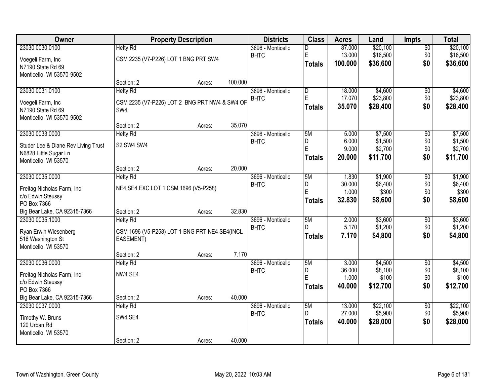| Owner                               |                                               | <b>Property Description</b> |         | <b>Districts</b>  | <b>Class</b>            | <b>Acres</b> | Land     | <b>Impts</b>    | <b>Total</b> |
|-------------------------------------|-----------------------------------------------|-----------------------------|---------|-------------------|-------------------------|--------------|----------|-----------------|--------------|
| 23030 0030.0100                     | <b>Hefty Rd</b>                               |                             |         | 3696 - Monticello | D                       | 87.000       | \$20,100 | $\overline{50}$ | \$20,100     |
| Voegeli Farm, Inc                   | CSM 2235 (V7-P226) LOT 1 BNG PRT SW4          |                             |         | <b>BHTC</b>       | E                       | 13.000       | \$16,500 | \$0             | \$16,500     |
| N7190 State Rd 69                   |                                               |                             |         |                   | <b>Totals</b>           | 100.000      | \$36,600 | \$0             | \$36,600     |
| Monticello, WI 53570-9502           |                                               |                             |         |                   |                         |              |          |                 |              |
|                                     | Section: 2                                    | Acres:                      | 100.000 |                   |                         |              |          |                 |              |
| 23030 0031.0100                     | <b>Hefty Rd</b>                               |                             |         | 3696 - Monticello | $\overline{\mathsf{D}}$ | 18.000       | \$4,600  | \$0             | \$4,600      |
| Voegeli Farm, Inc                   | CSM 2235 (V7-P226) LOT 2 BNG PRT NW4 & SW4 OF |                             |         | <b>BHTC</b>       | E                       | 17.070       | \$23,800 | \$0             | \$23,800     |
| N7190 State Rd 69                   | SW4                                           |                             |         |                   | <b>Totals</b>           | 35.070       | \$28,400 | \$0             | \$28,400     |
| Monticello, WI 53570-9502           |                                               |                             |         |                   |                         |              |          |                 |              |
|                                     | Section: 2                                    | Acres:                      | 35.070  |                   |                         |              |          |                 |              |
| 23030 0033.0000                     | <b>Hefty Rd</b>                               |                             |         | 3696 - Monticello | 5M                      | 5.000        | \$7,500  | \$0             | \$7,500      |
| Studer Lee & Diane Rev Living Trust | S2 SW4 SW4                                    |                             |         | <b>BHTC</b>       | D                       | 6.000        | \$1,500  | \$0             | \$1,500      |
| N6828 Little Sugar Ln               |                                               |                             |         |                   | E                       | 9.000        | \$2,700  | \$0             | \$2,700      |
| Monticello, WI 53570                |                                               |                             |         |                   | <b>Totals</b>           | 20.000       | \$11,700 | \$0             | \$11,700     |
|                                     | Section: 2                                    | Acres:                      | 20.000  |                   |                         |              |          |                 |              |
| 23030 0035.0000                     | <b>Hefty Rd</b>                               |                             |         | 3696 - Monticello | 5M                      | 1.830        | \$1,900  | \$0             | \$1,900      |
| Freitag Nicholas Farm, Inc.         | NE4 SE4 EXC LOT 1 CSM 1696 (V5-P258)          |                             |         | <b>BHTC</b>       | D                       | 30.000       | \$6,400  | \$0             | \$6,400      |
| c/o Edwin Steussy                   |                                               |                             |         |                   | E                       | 1.000        | \$300    | \$0             | \$300        |
| PO Box 7366                         |                                               |                             |         |                   | <b>Totals</b>           | 32.830       | \$8,600  | \$0             | \$8,600      |
| Big Bear Lake, CA 92315-7366        | Section: 2                                    | Acres:                      | 32.830  |                   |                         |              |          |                 |              |
| 23030 0035.1000                     | <b>Hefty Rd</b>                               |                             |         | 3696 - Monticello | 5M                      | 2.000        | \$3,600  | \$0             | \$3,600      |
| Ryan Erwin Wiesenberg               | CSM 1696 (V5-P258) LOT 1 BNG PRT NE4 SE4(INCL |                             |         | <b>BHTC</b>       | D                       | 5.170        | \$1,200  | \$0             | \$1,200      |
| 516 Washington St                   | EASEMENT)                                     |                             |         |                   | <b>Totals</b>           | 7.170        | \$4,800  | \$0             | \$4,800      |
| Monticello, WI 53570                |                                               |                             |         |                   |                         |              |          |                 |              |
|                                     | Section: 2                                    | Acres:                      | 7.170   |                   |                         |              |          |                 |              |
| 23030 0036.0000                     | <b>Hefty Rd</b>                               |                             |         | 3696 - Monticello | 5M                      | 3.000        | \$4,500  | $\overline{50}$ | \$4,500      |
| Freitag Nicholas Farm, Inc.         | NW4 SE4                                       |                             |         | <b>BHTC</b>       | D                       | 36.000       | \$8,100  | \$0             | \$8,100      |
| c/o Edwin Steussy                   |                                               |                             |         |                   | E                       | 1.000        | \$100    | \$0             | \$100        |
| PO Box 7366                         |                                               |                             |         |                   | <b>Totals</b>           | 40.000       | \$12,700 | \$0             | \$12,700     |
| Big Bear Lake, CA 92315-7366        | Section: 2                                    | Acres:                      | 40.000  |                   |                         |              |          |                 |              |
| 23030 0037.0000                     | <b>Hefty Rd</b>                               |                             |         | 3696 - Monticello | 5M                      | 13.000       | \$22,100 | $\overline{30}$ | \$22,100     |
| Timothy W. Bruns                    | SW4 SE4                                       |                             |         | <b>BHTC</b>       | D                       | 27.000       | \$5,900  | \$0             | \$5,900      |
| 120 Urban Rd                        |                                               |                             |         |                   | <b>Totals</b>           | 40.000       | \$28,000 | \$0             | \$28,000     |
| Monticello, WI 53570                |                                               |                             |         |                   |                         |              |          |                 |              |
|                                     | Section: 2                                    | Acres:                      | 40.000  |                   |                         |              |          |                 |              |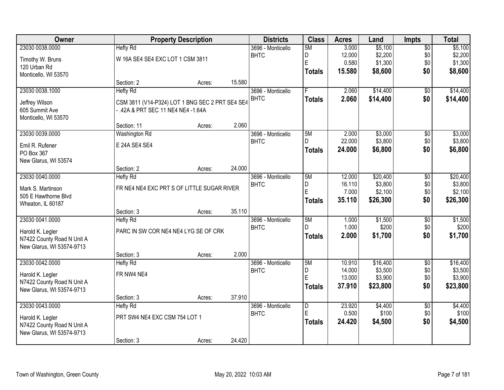| Owner                      |                                                 | <b>Property Description</b> |        | <b>Districts</b>  | <b>Class</b>   | <b>Acres</b> | Land     | <b>Impts</b>    | <b>Total</b> |
|----------------------------|-------------------------------------------------|-----------------------------|--------|-------------------|----------------|--------------|----------|-----------------|--------------|
| 23030 0038.0000            | <b>Hefty Rd</b>                                 |                             |        | 3696 - Monticello | 5M             | 3.000        | \$5,100  | $\sqrt{$0}$     | \$5,100      |
| Timothy W. Bruns           | W 16A SE4 SE4 EXC LOT 1 CSM 3811                |                             |        | <b>BHTC</b>       | D              | 12.000       | \$2,200  | \$0             | \$2,200      |
| 120 Urban Rd               |                                                 |                             |        |                   | E              | 0.580        | \$1,300  | \$0             | \$1,300      |
| Monticello, WI 53570       |                                                 |                             |        |                   | <b>Totals</b>  | 15.580       | \$8,600  | \$0             | \$8,600      |
|                            | Section: 2                                      | Acres:                      | 15.580 |                   |                |              |          |                 |              |
| 23030 0038.1000            | <b>Hefty Rd</b>                                 |                             |        | 3696 - Monticello |                | 2.060        | \$14,400 | \$0             | \$14,400     |
| Jeffrey Wilson             | CSM 3811 (V14-P324) LOT 1 BNG SEC 2 PRT SE4 SE4 |                             |        | <b>BHTC</b>       | <b>Totals</b>  | 2.060        | \$14,400 | \$0             | \$14,400     |
| 605 Summit Ave             | - .42A & PRT SEC 11 NE4 NE4 -1.64A              |                             |        |                   |                |              |          |                 |              |
| Monticello, WI 53570       |                                                 |                             |        |                   |                |              |          |                 |              |
|                            | Section: 11                                     | Acres:                      | 2.060  |                   |                |              |          |                 |              |
| 23030 0039.0000            | Washington Rd                                   |                             |        | 3696 - Monticello | 5M             | 2.000        | \$3,000  | \$0             | \$3,000      |
| Emil R. Rufener            | E 24A SE4 SE4                                   |                             |        | <b>BHTC</b>       | D.             | 22.000       | \$3,800  | \$0             | \$3,800      |
| PO Box 367                 |                                                 |                             |        |                   | <b>Totals</b>  | 24.000       | \$6,800  | \$0             | \$6,800      |
| New Glarus, WI 53574       |                                                 |                             |        |                   |                |              |          |                 |              |
|                            | Section: 2                                      | Acres:                      | 24.000 |                   |                |              |          |                 |              |
| 23030 0040.0000            | <b>Hefty Rd</b>                                 |                             |        | 3696 - Monticello | 5M             | 12.000       | \$20,400 | \$0             | \$20,400     |
| Mark S. Martinson          | FR NE4 NE4 EXC PRT S OF LITTLE SUGAR RIVER      |                             |        | <b>BHTC</b>       | D              | 16.110       | \$3,800  | \$0             | \$3,800      |
| 505 E Hawthorne Blvd       |                                                 |                             |        |                   | E              | 7.000        | \$2,100  | \$0             | \$2,100      |
| Wheaton, IL 60187          |                                                 |                             |        |                   | Totals         | 35.110       | \$26,300 | \$0             | \$26,300     |
|                            | Section: 3                                      | Acres:                      | 35.110 |                   |                |              |          |                 |              |
| 23030 0041.0000            | <b>Hefty Rd</b>                                 |                             |        | 3696 - Monticello | 5M             | 1.000        | \$1,500  | \$0             | \$1,500      |
| Harold K. Legler           | PARC IN SW COR NE4 NE4 LYG SE OF CRK            |                             |        | <b>BHTC</b>       | D              | 1.000        | \$200    | \$0             | \$200        |
| N7422 County Road N Unit A |                                                 |                             |        |                   | <b>Totals</b>  | 2.000        | \$1,700  | \$0             | \$1,700      |
| New Glarus, WI 53574-9713  |                                                 |                             |        |                   |                |              |          |                 |              |
|                            | Section: 3                                      | Acres:                      | 2.000  |                   |                |              |          |                 |              |
| 23030 0042.0000            | <b>Hefty Rd</b>                                 |                             |        | 3696 - Monticello | 5M             | 10.910       | \$16,400 | $\overline{50}$ | \$16,400     |
| Harold K. Legler           | FR NW4 NE4                                      |                             |        | <b>BHTC</b>       | D              | 14.000       | \$3,500  | \$0             | \$3,500      |
| N7422 County Road N Unit A |                                                 |                             |        |                   | E              | 13.000       | \$3,900  | \$0             | \$3,900      |
| New Glarus, WI 53574-9713  |                                                 |                             |        |                   | <b>Totals</b>  | 37.910       | \$23,800 | \$0             | \$23,800     |
|                            | Section: 3                                      | Acres:                      | 37.910 |                   |                |              |          |                 |              |
| 23030 0043,0000            | <b>Hefty Rd</b>                                 |                             |        | 3696 - Monticello | $\overline{D}$ | 23.920       | \$4,400  | $\overline{50}$ | \$4,400      |
| Harold K. Legler           | PRT SW4 NE4 EXC CSM 754 LOT 1                   |                             |        | <b>BHTC</b>       | E              | 0.500        | \$100    | \$0             | \$100        |
| N7422 County Road N Unit A |                                                 |                             |        |                   | <b>Totals</b>  | 24.420       | \$4,500  | \$0             | \$4,500      |
| New Glarus, WI 53574-9713  |                                                 |                             |        |                   |                |              |          |                 |              |
|                            | Section: 3                                      | Acres:                      | 24.420 |                   |                |              |          |                 |              |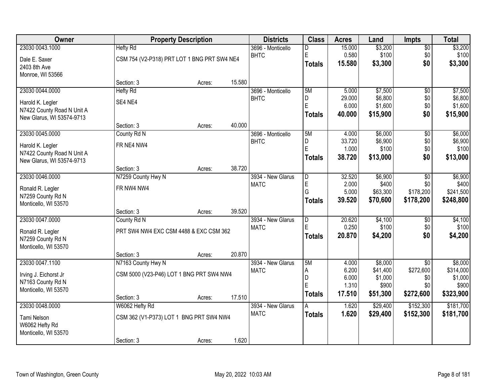| Owner                      |                                             | <b>Property Description</b> |        | <b>Districts</b>  | <b>Class</b>   | <b>Acres</b>   | Land                | <b>Impts</b>     | <b>Total</b>         |
|----------------------------|---------------------------------------------|-----------------------------|--------|-------------------|----------------|----------------|---------------------|------------------|----------------------|
| 23030 0043.1000            | <b>Hefty Rd</b>                             |                             |        | 3696 - Monticello | D              | 15.000         | \$3,200             | $\sqrt{$0}$      | \$3,200              |
| Dale E. Saxer              | CSM 754 (V2-P318) PRT LOT 1 BNG PRT SW4 NE4 |                             |        | <b>BHTC</b>       | $\mathsf E$    | 0.580          | \$100               | \$0              | \$100                |
| 2403 8th Ave               |                                             |                             |        |                   | <b>Totals</b>  | 15.580         | \$3,300             | \$0              | \$3,300              |
| Monroe, WI 53566           |                                             |                             |        |                   |                |                |                     |                  |                      |
|                            | Section: 3                                  | Acres:                      | 15.580 |                   |                |                |                     |                  |                      |
| 23030 0044.0000            | <b>Hefty Rd</b>                             |                             |        | 3696 - Monticello | 5M             | 5.000          | \$7,500             | $\overline{50}$  | \$7,500              |
| Harold K. Legler           | SE4 NE4                                     |                             |        | <b>BHTC</b>       | D<br>E         | 29.000         | \$6,800             | \$0              | \$6,800              |
| N7422 County Road N Unit A |                                             |                             |        |                   |                | 6.000          | \$1,600             | \$0              | \$1,600              |
| New Glarus, WI 53574-9713  |                                             |                             |        |                   | <b>Totals</b>  | 40.000         | \$15,900            | \$0              | \$15,900             |
|                            | Section: 3                                  | Acres:                      | 40.000 |                   |                |                |                     |                  |                      |
| 23030 0045.0000            | County Rd N                                 |                             |        | 3696 - Monticello | 5M             | 4.000          | \$6,000             | \$0              | \$6,000              |
| Harold K. Legler           | FR NE4 NW4                                  |                             |        | <b>BHTC</b>       | D<br>E         | 33.720         | \$6,900             | \$0              | \$6,900              |
| N7422 County Road N Unit A |                                             |                             |        |                   |                | 1.000          | \$100               | \$0              | \$100                |
| New Glarus, WI 53574-9713  |                                             |                             |        |                   | <b>Totals</b>  | 38.720         | \$13,000            | \$0              | \$13,000             |
|                            | Section: 3                                  | Acres:                      | 38.720 |                   |                |                |                     |                  |                      |
| 23030 0046.0000            | N7259 County Hwy N                          |                             |        | 3934 - New Glarus | D              | 32.520         | \$6,900             | \$0              | \$6,900              |
| Ronald R. Legler           | FR NW4 NW4                                  |                             |        | <b>MATC</b>       | E              | 2.000          | \$400               | \$0              | \$400                |
| N7259 County Rd N          |                                             |                             |        |                   | G              | 5.000          | \$63,300            | \$178,200        | \$241,500            |
| Monticello, WI 53570       |                                             |                             |        |                   | <b>Totals</b>  | 39.520         | \$70,600            | \$178,200        | \$248,800            |
|                            | Section: 3                                  | Acres:                      | 39.520 |                   |                |                |                     |                  |                      |
| 23030 0047.0000            | County Rd N                                 |                             |        | 3934 - New Glarus | $\overline{D}$ | 20.620         | \$4,100             | \$0              | \$4,100              |
| Ronald R. Legler           | PRT SW4 NW4 EXC CSM 4488 & EXC CSM 362      |                             |        | <b>MATC</b>       | E              | 0.250          | \$100               | \$0              | \$100                |
| N7259 County Rd N          |                                             |                             |        |                   | <b>Totals</b>  | 20.870         | \$4,200             | \$0              | \$4,200              |
| Monticello, WI 53570       |                                             |                             |        |                   |                |                |                     |                  |                      |
|                            | Section: 3                                  | Acres:                      | 20.870 |                   |                |                |                     |                  |                      |
| 23030 0047.1100            | N7163 County Hwy N                          |                             |        | 3934 - New Glarus | 5M             | 4.000          | \$8,000             | $\overline{50}$  | \$8,000              |
| Irving J. Eichorst Jr      | CSM 5000 (V23-P46) LOT 1 BNG PRT SW4 NW4    |                             |        | <b>MATC</b>       | A<br>D         | 6.200<br>6.000 | \$41,400<br>\$1,000 | \$272,600<br>\$0 | \$314,000<br>\$1,000 |
| N7163 County Rd N          |                                             |                             |        |                   | E              | 1.310          | \$900               | \$0              | \$900                |
| Monticello, WI 53570       |                                             |                             |        |                   | Totals         | 17.510         | \$51,300            | \$272,600        | \$323,900            |
|                            | Section: 3                                  | Acres:                      | 17.510 |                   |                |                |                     |                  |                      |
| 23030 0048.0000            | W6062 Hefty Rd                              |                             |        | 3934 - New Glarus | A              | 1.620          | \$29,400            | \$152,300        | \$181,700            |
| Tami Nelson                | CSM 362 (V1-P373) LOT 1 BNG PRT SW4 NW4     |                             |        | <b>MATC</b>       | <b>Totals</b>  | 1.620          | \$29,400            | \$152,300        | \$181,700            |
| W6062 Hefty Rd             |                                             |                             |        |                   |                |                |                     |                  |                      |
| Monticello, WI 53570       |                                             |                             |        |                   |                |                |                     |                  |                      |
|                            | Section: 3                                  | Acres:                      | 1.620  |                   |                |                |                     |                  |                      |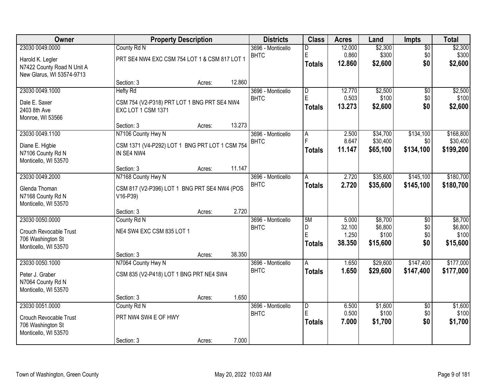| Owner                                |                                                | <b>Property Description</b> |        | <b>Districts</b>                 | <b>Class</b>            | <b>Acres</b>    | Land               | Impts                  | <b>Total</b>       |
|--------------------------------------|------------------------------------------------|-----------------------------|--------|----------------------------------|-------------------------|-----------------|--------------------|------------------------|--------------------|
| 23030 0049.0000                      | County Rd N                                    |                             |        | 3696 - Monticello                | D                       | 12.000          | \$2,300            | $\overline{50}$        | \$2,300            |
| Harold K. Legler                     | PRT SE4 NW4 EXC CSM 754 LOT 1 & CSM 817 LOT 1  |                             |        | <b>BHTC</b>                      | E                       | 0.860           | \$300              | \$0<br>\$0             | \$300              |
| N7422 County Road N Unit A           |                                                |                             |        |                                  | <b>Totals</b>           | 12.860          | \$2,600            |                        | \$2,600            |
| New Glarus, WI 53574-9713            |                                                |                             |        |                                  |                         |                 |                    |                        |                    |
| 23030 0049.1000                      | Section: 3<br><b>Hefty Rd</b>                  | Acres:                      | 12.860 | 3696 - Monticello                | $\overline{\mathsf{D}}$ | 12.770          | \$2,500            | $\overline{50}$        | \$2,500            |
|                                      |                                                |                             |        | <b>BHTC</b>                      | E                       | 0.503           | \$100              | \$0                    | \$100              |
| Dale E. Saxer                        | CSM 754 (V2-P318) PRT LOT 1 BNG PRT SE4 NW4    |                             |        |                                  | <b>Totals</b>           | 13.273          | \$2,600            | \$0                    | \$2,600            |
| 2403 8th Ave<br>Monroe, WI 53566     | EXC LOT 1 CSM 1371                             |                             |        |                                  |                         |                 |                    |                        |                    |
|                                      | Section: 3                                     | Acres:                      | 13.273 |                                  |                         |                 |                    |                        |                    |
| 23030 0049.1100                      | N7106 County Hwy N                             |                             |        | 3696 - Monticello                | A                       | 2.500           | \$34,700           | \$134,100              | \$168,800          |
| Diane E. Higbie                      | CSM 1371 (V4-P292) LOT 1 BNG PRT LOT 1 CSM 754 |                             |        | <b>BHTC</b>                      | F                       | 8.647           | \$30,400           | \$0                    | \$30,400           |
| N7106 County Rd N                    | IN SE4 NW4                                     |                             |        |                                  | <b>Totals</b>           | 11.147          | \$65,100           | \$134,100              | \$199,200          |
| Monticello, WI 53570                 |                                                |                             |        |                                  |                         |                 |                    |                        |                    |
|                                      | Section: 3                                     | Acres:                      | 11.147 |                                  |                         |                 |                    |                        |                    |
| 23030 0049.2000                      | N7168 County Hwy N                             |                             |        | 3696 - Monticello                | Α                       | 2.720           | \$35,600           | \$145,100              | \$180,700          |
| Glenda Thoman                        | CSM 817 (V2-P396) LOT 1 BNG PRT SE4 NW4 (POS   |                             |        | <b>BHTC</b>                      | <b>Totals</b>           | 2.720           | \$35,600           | \$145,100              | \$180,700          |
| N7168 County Rd N                    | V16-P39)                                       |                             |        |                                  |                         |                 |                    |                        |                    |
| Monticello, WI 53570                 |                                                |                             |        |                                  |                         |                 |                    |                        |                    |
|                                      | Section: 3                                     | Acres:                      | 2.720  |                                  |                         |                 |                    |                        |                    |
| 23030 0050.0000                      | County Rd N                                    |                             |        | 3696 - Monticello<br><b>BHTC</b> | 5M<br>D                 | 5.000<br>32.100 | \$8,700<br>\$6,800 | $\overline{50}$<br>\$0 | \$8,700<br>\$6,800 |
| Crouch Revocable Trust               | NE4 SW4 EXC CSM 835 LOT 1                      |                             |        |                                  | E                       | 1.250           | \$100              | \$0                    | \$100              |
| 706 Washington St                    |                                                |                             |        |                                  | <b>Totals</b>           | 38.350          | \$15,600           | \$0                    | \$15,600           |
| Monticello, WI 53570                 | Section: 3                                     | Acres:                      | 38.350 |                                  |                         |                 |                    |                        |                    |
| 23030 0050.1000                      | N7064 County Hwy N                             |                             |        | 3696 - Monticello                | A                       | 1.650           | \$29,600           | \$147,400              | \$177,000          |
|                                      |                                                |                             |        | <b>BHTC</b>                      | <b>Totals</b>           | 1.650           | \$29,600           | \$147,400              | \$177,000          |
| Peter J. Graber<br>N7064 County Rd N | CSM 835 (V2-P418) LOT 1 BNG PRT NE4 SW4        |                             |        |                                  |                         |                 |                    |                        |                    |
| Monticello, WI 53570                 |                                                |                             |        |                                  |                         |                 |                    |                        |                    |
|                                      | Section: 3                                     | Acres:                      | 1.650  |                                  |                         |                 |                    |                        |                    |
| 23030 0051.0000                      | County Rd N                                    |                             |        | 3696 - Monticello                | $\overline{D}$          | 6.500           | \$1,600            | $\overline{50}$        | \$1,600            |
| <b>Crouch Revocable Trust</b>        | PRT NW4 SW4 E OF HWY                           |                             |        | <b>BHTC</b>                      | E                       | 0.500           | \$100              | \$0                    | \$100              |
| 706 Washington St                    |                                                |                             |        |                                  | <b>Totals</b>           | 7.000           | \$1,700            | \$0                    | \$1,700            |
| Monticello, WI 53570                 |                                                |                             |        |                                  |                         |                 |                    |                        |                    |
|                                      | Section: 3                                     | Acres:                      | 7.000  |                                  |                         |                 |                    |                        |                    |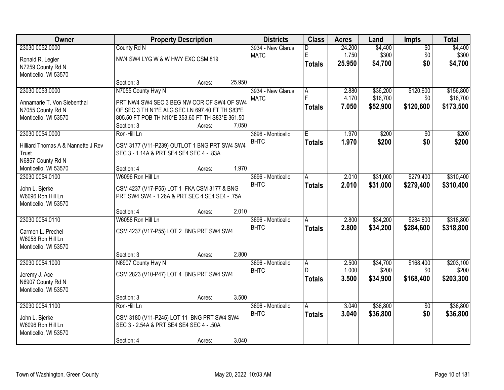| Owner                              |                                                  | <b>Property Description</b> |        | <b>Districts</b>  | <b>Class</b>  | <b>Acres</b> | Land     | Impts           | <b>Total</b> |
|------------------------------------|--------------------------------------------------|-----------------------------|--------|-------------------|---------------|--------------|----------|-----------------|--------------|
| 23030 0052.0000                    | County Rd N                                      |                             |        | 3934 - New Glarus | D             | 24.200       | \$4,400  | $\overline{50}$ | \$4,400      |
| Ronald R. Legler                   | NW4 SW4 LYG W & W HWY EXC CSM 819                |                             |        | <b>MATC</b>       | E             | 1.750        | \$300    | \$0             | \$300        |
| N7259 County Rd N                  |                                                  |                             |        |                   | <b>Totals</b> | 25.950       | \$4,700  | \$0             | \$4,700      |
| Monticello, WI 53570               |                                                  |                             |        |                   |               |              |          |                 |              |
|                                    | Section: 3                                       | Acres:                      | 25.950 |                   |               |              |          |                 |              |
| 23030 0053.0000                    | N7055 County Hwy N                               |                             |        | 3934 - New Glarus | A             | 2.880        | \$36,200 | \$120,600       | \$156,800    |
| Annamarie T. Von Siebenthal        | PRT NW4 SW4 SEC 3 BEG NW COR OF SW4 OF SW4       |                             |        | <b>MATC</b>       | F             | 4.170        | \$16,700 | \$0             | \$16,700     |
| N7055 County Rd N                  | OF SEC 3 TH N1*E ALG SEC LN 697.40 FT TH S83*E   |                             |        |                   | <b>Totals</b> | 7.050        | \$52,900 | \$120,600       | \$173,500    |
| Monticello, WI 53570               | 805.50 FT POB TH N10*E 353.60 FT TH S83*E 361.50 |                             |        |                   |               |              |          |                 |              |
|                                    | Section: 3                                       | Acres:                      | 7.050  |                   |               |              |          |                 |              |
| 23030 0054.0000                    | Ron-Hill Ln                                      |                             |        | 3696 - Monticello | E.            | 1.970        | \$200    | \$0             | \$200        |
| Hilliard Thomas A & Nannette J Rev | CSM 3177 (V11-P239) OUTLOT 1 BNG PRT SW4 SW4     |                             |        | <b>BHTC</b>       | <b>Totals</b> | 1.970        | \$200    | \$0             | \$200        |
| Trust                              | SEC 3 - 1.14A & PRT SE4 SE4 SEC 4 - .83A         |                             |        |                   |               |              |          |                 |              |
| N6857 County Rd N                  |                                                  |                             |        |                   |               |              |          |                 |              |
| Monticello, WI 53570               | Section: 4                                       | Acres:                      | 1.970  |                   |               |              |          |                 |              |
| 23030 0054.0100                    | W6096 Ron Hill Ln                                |                             |        | 3696 - Monticello | A             | 2.010        | \$31,000 | \$279,400       | \$310,400    |
| John L. Bjerke                     | CSM 4237 (V17-P55) LOT 1 FKA CSM 3177 & BNG      |                             |        | <b>BHTC</b>       | <b>Totals</b> | 2.010        | \$31,000 | \$279,400       | \$310,400    |
| W6096 Ron Hill Ln                  | PRT SW4 SW4 - 1.26A & PRT SEC 4 SE4 SE4 - .75A   |                             |        |                   |               |              |          |                 |              |
| Monticello, WI 53570               |                                                  |                             |        |                   |               |              |          |                 |              |
|                                    | Section: 4                                       | Acres:                      | 2.010  |                   |               |              |          |                 |              |
| 23030 0054.0110                    | W6058 Ron Hill Ln                                |                             |        | 3696 - Monticello | A             | 2.800        | \$34,200 | \$284,600       | \$318,800    |
| Carmen L. Prechel                  | CSM 4237 (V17-P55) LOT 2 BNG PRT SW4 SW4         |                             |        | <b>BHTC</b>       | <b>Totals</b> | 2.800        | \$34,200 | \$284,600       | \$318,800    |
| W6058 Ron Hill Ln                  |                                                  |                             |        |                   |               |              |          |                 |              |
| Monticello, WI 53570               |                                                  |                             |        |                   |               |              |          |                 |              |
|                                    | Section: 3                                       | Acres:                      | 2.800  |                   |               |              |          |                 |              |
| 23030 0054.1000                    | N6907 County Hwy N                               |                             |        | 3696 - Monticello | A             | 2.500        | \$34,700 | \$168,400       | \$203,100    |
| Jeremy J. Ace                      | CSM 2823 (V10-P47) LOT 4 BNG PRT SW4 SW4         |                             |        | <b>BHTC</b>       | D.            | 1.000        | \$200    | \$0             | \$200        |
| N6907 County Rd N                  |                                                  |                             |        |                   | <b>Totals</b> | 3.500        | \$34,900 | \$168,400       | \$203,300    |
| Monticello, WI 53570               |                                                  |                             |        |                   |               |              |          |                 |              |
|                                    | Section: 3                                       | Acres:                      | 3.500  |                   |               |              |          |                 |              |
| 23030 0054.1100                    | Ron-Hill Ln                                      |                             |        | 3696 - Monticello | A             | 3.040        | \$36,800 | $\overline{50}$ | \$36,800     |
| John L. Bjerke                     | CSM 3180 (V11-P245) LOT 11 BNG PRT SW4 SW4       |                             |        | <b>BHTC</b>       | <b>Totals</b> | 3.040        | \$36,800 | \$0             | \$36,800     |
| W6096 Ron Hill Ln                  | SEC 3 - 2.54A & PRT SE4 SE4 SEC 4 - .50A         |                             |        |                   |               |              |          |                 |              |
| Monticello, WI 53570               |                                                  |                             |        |                   |               |              |          |                 |              |
|                                    | Section: 4                                       | Acres:                      | 3.040  |                   |               |              |          |                 |              |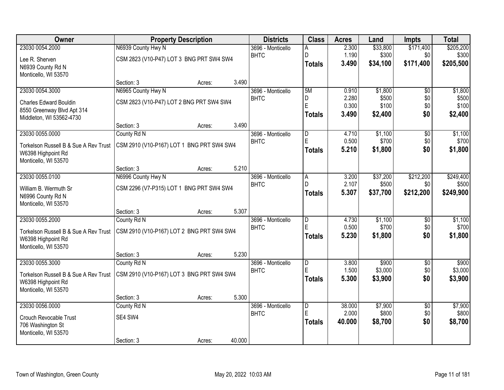| Owner                                     |                                           | <b>Property Description</b> |        | <b>Districts</b>                 | <b>Class</b>            | <b>Acres</b>   | Land              | <b>Impts</b>     | <b>Total</b>       |
|-------------------------------------------|-------------------------------------------|-----------------------------|--------|----------------------------------|-------------------------|----------------|-------------------|------------------|--------------------|
| 23030 0054.2000                           | N6939 County Hwy N                        |                             |        | 3696 - Monticello                | Α                       | 2.300          | \$33,800          | \$171,400        | \$205,200          |
| Lee R. Sherven                            | CSM 2823 (V10-P47) LOT 3 BNG PRT SW4 SW4  |                             |        | <b>BHTC</b>                      | D                       | 1.190          | \$300             | \$0              | \$300              |
| N6939 County Rd N                         |                                           |                             |        |                                  | <b>Totals</b>           | 3.490          | \$34,100          | \$171,400        | \$205,500          |
| Monticello, WI 53570                      |                                           |                             |        |                                  |                         |                |                   |                  |                    |
|                                           | Section: 3                                | Acres:                      | 3.490  |                                  |                         |                |                   |                  |                    |
| 23030 0054.3000                           | N6965 County Hwy N                        |                             |        | 3696 - Monticello                | 5M                      | 0.910          | \$1,800           | $\overline{50}$  | \$1,800            |
| <b>Charles Edward Bouldin</b>             | CSM 2823 (V10-P47) LOT 2 BNG PRT SW4 SW4  |                             |        | <b>BHTC</b>                      | D<br>E                  | 2.280<br>0.300 | \$500<br>\$100    | \$0<br>\$0       | \$500<br>\$100     |
| 8550 Greenway Blvd Apt 314                |                                           |                             |        |                                  | <b>Totals</b>           | 3.490          | \$2,400           | \$0              | \$2,400            |
| Middleton, WI 53562-4730                  |                                           |                             |        |                                  |                         |                |                   |                  |                    |
|                                           | Section: 3                                | Acres:                      | 3.490  |                                  |                         |                |                   |                  |                    |
| 23030 0055.0000                           | County Rd N                               |                             |        | 3696 - Monticello                | D                       | 4.710          | \$1,100           | \$0              | \$1,100            |
| Torkelson Russell B & Sue A Rev Trust     | CSM 2910 (V10-P167) LOT 1 BNG PRT SW4 SW4 |                             |        | <b>BHTC</b>                      | E                       | 0.500          | \$700             | \$0<br>\$0       | \$700              |
| W6398 Highpoint Rd                        |                                           |                             |        |                                  | <b>Totals</b>           | 5.210          | \$1,800           |                  | \$1,800            |
| Monticello, WI 53570                      |                                           |                             |        |                                  |                         |                |                   |                  |                    |
|                                           | Section: 3                                | Acres:                      | 5.210  |                                  |                         |                |                   |                  |                    |
| 23030 0055.0100                           | N6996 County Hwy N                        |                             |        | 3696 - Monticello<br><b>BHTC</b> | A<br>D                  | 3.200<br>2.107 | \$37,200<br>\$500 | \$212,200<br>\$0 | \$249,400<br>\$500 |
| William B. Wermuth Sr                     | CSM 2296 (V7-P315) LOT 1 BNG PRT SW4 SW4  |                             |        |                                  | <b>Totals</b>           | 5.307          | \$37,700          | \$212,200        | \$249,900          |
| N6996 County Rd N                         |                                           |                             |        |                                  |                         |                |                   |                  |                    |
| Monticello, WI 53570                      |                                           |                             |        |                                  |                         |                |                   |                  |                    |
| 23030 0055.2000                           | Section: 3<br>County Rd N                 | Acres:                      | 5.307  |                                  | $\overline{\mathsf{D}}$ | 4.730          | \$1,100           | $\overline{50}$  | \$1,100            |
|                                           |                                           |                             |        | 3696 - Monticello<br><b>BHTC</b> | E                       | 0.500          | \$700             | \$0              | \$700              |
| Torkelson Russell B & Sue A Rev Trust     | CSM 2910 (V10-P167) LOT 2 BNG PRT SW4 SW4 |                             |        |                                  | <b>Totals</b>           | 5.230          | \$1,800           | \$0              | \$1,800            |
| W6398 Highpoint Rd                        |                                           |                             |        |                                  |                         |                |                   |                  |                    |
| Monticello, WI 53570                      |                                           |                             | 5.230  |                                  |                         |                |                   |                  |                    |
| 23030 0055.3000                           | Section: 3<br>County Rd N                 | Acres:                      |        | 3696 - Monticello                | $\overline{\mathsf{D}}$ | 3.800          | \$900             | $\overline{50}$  | \$900              |
|                                           |                                           |                             |        | <b>BHTC</b>                      | E                       | 1.500          | \$3,000           | \$0              | \$3,000            |
| Torkelson Russell B & Sue A Rev Trust     | CSM 2910 (V10-P167) LOT 3 BNG PRT SW4 SW4 |                             |        |                                  | <b>Totals</b>           | 5.300          | \$3,900           | \$0              | \$3,900            |
| W6398 Highpoint Rd                        |                                           |                             |        |                                  |                         |                |                   |                  |                    |
| Monticello, WI 53570                      | Section: 3                                | Acres:                      | 5.300  |                                  |                         |                |                   |                  |                    |
| 23030 0056,0000                           | County Rd N                               |                             |        | 3696 - Monticello                | $\overline{D}$          | 38,000         | \$7,900           | $\overline{50}$  | \$7,900            |
|                                           |                                           |                             |        | <b>BHTC</b>                      | E                       | 2.000          | \$800             | \$0              | \$800              |
| <b>Crouch Revocable Trust</b>             | SE4 SW4                                   |                             |        |                                  | <b>Totals</b>           | 40.000         | \$8,700           | \$0              | \$8,700            |
| 706 Washington St<br>Monticello, WI 53570 |                                           |                             |        |                                  |                         |                |                   |                  |                    |
|                                           | Section: 3                                | Acres:                      | 40.000 |                                  |                         |                |                   |                  |                    |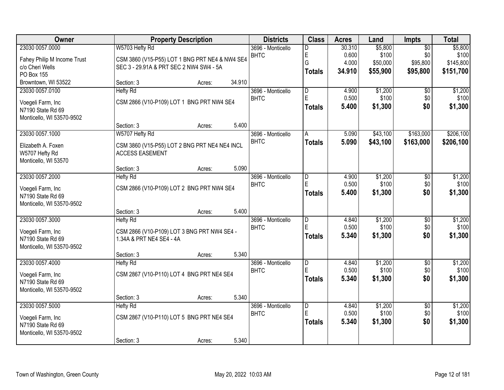| <b>Owner</b>                |                                                | <b>Property Description</b> |        | <b>Districts</b>  | <b>Class</b>            | <b>Acres</b> | Land     | Impts           | <b>Total</b> |
|-----------------------------|------------------------------------------------|-----------------------------|--------|-------------------|-------------------------|--------------|----------|-----------------|--------------|
| 23030 0057.0000             | W5703 Hefty Rd                                 |                             |        | 3696 - Monticello | D                       | 30.310       | \$5,800  | $\overline{50}$ | \$5,800      |
| Fahey Philip M Income Trust | CSM 3860 (V15-P55) LOT 1 BNG PRT NE4 & NW4 SE4 |                             |        | <b>BHTC</b>       | E                       | 0.600        | \$100    | \$0             | \$100        |
| c/o Cheri Wells             | SEC 3 - 29.91A & PRT SEC 2 NW4 SW4 - 5A        |                             |        |                   | G                       | 4.000        | \$50,000 | \$95,800        | \$145,800    |
| PO Box 155                  |                                                |                             |        |                   | <b>Totals</b>           | 34.910       | \$55,900 | \$95,800        | \$151,700    |
| Browntown, WI 53522         | Section: 3                                     | Acres:                      | 34.910 |                   |                         |              |          |                 |              |
| 23030 0057.0100             | <b>Hefty Rd</b>                                |                             |        | 3696 - Monticello | $\overline{\mathsf{D}}$ | 4.900        | \$1,200  | $\overline{50}$ | \$1,200      |
| Voegeli Farm, Inc           | CSM 2866 (V10-P109) LOT 1 BNG PRT NW4 SE4      |                             |        | <b>BHTC</b>       | E                       | 0.500        | \$100    | \$0             | \$100        |
| N7190 State Rd 69           |                                                |                             |        |                   | <b>Totals</b>           | 5.400        | \$1,300  | \$0             | \$1,300      |
| Monticello, WI 53570-9502   |                                                |                             |        |                   |                         |              |          |                 |              |
|                             | Section: 3                                     | Acres:                      | 5.400  |                   |                         |              |          |                 |              |
| 23030 0057.1000             | W5707 Hefty Rd                                 |                             |        | 3696 - Monticello | A                       | 5.090        | \$43,100 | \$163,000       | \$206,100    |
| Elizabeth A. Foxen          | CSM 3860 (V15-P55) LOT 2 BNG PRT NE4 NE4 INCL  |                             |        | <b>BHTC</b>       | <b>Totals</b>           | 5.090        | \$43,100 | \$163,000       | \$206,100    |
| W5707 Hefty Rd              | <b>ACCESS EASEMENT</b>                         |                             |        |                   |                         |              |          |                 |              |
| Monticello, WI 53570        |                                                |                             |        |                   |                         |              |          |                 |              |
|                             | Section: 3                                     | Acres:                      | 5.090  |                   |                         |              |          |                 |              |
| 23030 0057.2000             | <b>Hefty Rd</b>                                |                             |        | 3696 - Monticello | D                       | 4.900        | \$1,200  | \$0             | \$1,200      |
| Voegeli Farm, Inc           | CSM 2866 (V10-P109) LOT 2 BNG PRT NW4 SE4      |                             |        | <b>BHTC</b>       | E                       | 0.500        | \$100    | \$0             | \$100        |
| N7190 State Rd 69           |                                                |                             |        |                   | <b>Totals</b>           | 5.400        | \$1,300  | \$0             | \$1,300      |
| Monticello, WI 53570-9502   |                                                |                             |        |                   |                         |              |          |                 |              |
|                             | Section: 3                                     | Acres:                      | 5.400  |                   |                         |              |          |                 |              |
| 23030 0057.3000             | <b>Hefty Rd</b>                                |                             |        | 3696 - Monticello | $\overline{\mathsf{D}}$ | 4.840        | \$1,200  | $\overline{50}$ | \$1,200      |
| Voegeli Farm, Inc           | CSM 2866 (V10-P109) LOT 3 BNG PRT NW4 SE4 -    |                             |        | <b>BHTC</b>       | E                       | 0.500        | \$100    | \$0             | \$100        |
| N7190 State Rd 69           | 1.34A & PRT NE4 SE4 - 4A                       |                             |        |                   | <b>Totals</b>           | 5.340        | \$1,300  | \$0             | \$1,300      |
| Monticello, WI 53570-9502   |                                                |                             |        |                   |                         |              |          |                 |              |
|                             | Section: 3                                     | Acres:                      | 5.340  |                   |                         |              |          |                 |              |
| 23030 0057.4000             | <b>Hefty Rd</b>                                |                             |        | 3696 - Monticello | $\overline{\mathsf{D}}$ | 4.840        | \$1,200  | $\overline{50}$ | \$1,200      |
| Voegeli Farm, Inc           | CSM 2867 (V10-P110) LOT 4 BNG PRT NE4 SE4      |                             |        | <b>BHTC</b>       | E                       | 0.500        | \$100    | \$0             | \$100        |
| N7190 State Rd 69           |                                                |                             |        |                   | <b>Totals</b>           | 5.340        | \$1,300  | \$0             | \$1,300      |
| Monticello, WI 53570-9502   |                                                |                             |        |                   |                         |              |          |                 |              |
|                             | Section: 3                                     | Acres:                      | 5.340  |                   |                         |              |          |                 |              |
| 23030 0057.5000             | <b>Hefty Rd</b>                                |                             |        | 3696 - Monticello | $\overline{D}$          | 4.840        | \$1,200  | $\overline{50}$ | \$1,200      |
| Voegeli Farm, Inc           | CSM 2867 (V10-P110) LOT 5 BNG PRT NE4 SE4      |                             |        | <b>BHTC</b>       | E                       | 0.500        | \$100    | \$0             | \$100        |
| N7190 State Rd 69           |                                                |                             |        |                   | <b>Totals</b>           | 5.340        | \$1,300  | \$0             | \$1,300      |
| Monticello, WI 53570-9502   |                                                |                             |        |                   |                         |              |          |                 |              |
|                             | Section: 3                                     | Acres:                      | 5.340  |                   |                         |              |          |                 |              |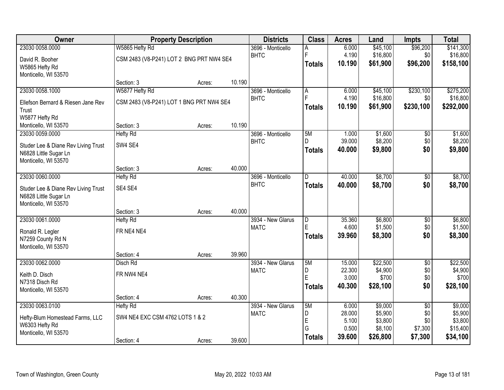| Owner                                         | <b>Property Description</b>              |        |        | <b>Districts</b>                 | <b>Class</b>  | <b>Acres</b>    | Land                 | <b>Impts</b>           | <b>Total</b>          |
|-----------------------------------------------|------------------------------------------|--------|--------|----------------------------------|---------------|-----------------|----------------------|------------------------|-----------------------|
| 23030 0058.0000                               | W5865 Hefty Rd                           |        |        | 3696 - Monticello                | A             | 6.000           | \$45,100             | \$96,200               | \$141,300             |
| David R. Booher                               | CSM 2483 (V8-P241) LOT 2 BNG PRT NW4 SE4 |        |        | <b>BHTC</b>                      | F             | 4.190           | \$16,800             | \$0                    | \$16,800              |
| W5865 Hefty Rd                                |                                          |        |        |                                  | <b>Totals</b> | 10.190          | \$61,900             | \$96,200               | \$158,100             |
| Monticello, WI 53570                          |                                          |        |        |                                  |               |                 |                      |                        |                       |
|                                               | Section: 3                               | Acres: | 10.190 |                                  |               |                 |                      |                        |                       |
| 23030 0058.1000                               | W5877 Hefty Rd                           |        |        | 3696 - Monticello                | A<br>Ė        | 6.000           | \$45,100             | \$230,100              | \$275,200             |
| Ellefson Bernard & Riesen Jane Rev            | CSM 2483 (V8-P241) LOT 1 BNG PRT NW4 SE4 |        |        | <b>BHTC</b>                      |               | 4.190<br>10.190 | \$16,800<br>\$61,900 | \$0<br>\$230,100       | \$16,800<br>\$292,000 |
| Trust                                         |                                          |        |        |                                  | <b>Totals</b> |                 |                      |                        |                       |
| W5877 Hefty Rd                                |                                          |        |        |                                  |               |                 |                      |                        |                       |
| Monticello, WI 53570                          | Section: 3                               | Acres: | 10.190 |                                  |               |                 |                      |                        |                       |
| 23030 0059.0000                               | <b>Hefty Rd</b>                          |        |        | 3696 - Monticello<br><b>BHTC</b> | 5M<br>D       | 1.000<br>39.000 | \$1,600<br>\$8,200   | $\overline{50}$<br>\$0 | \$1,600<br>\$8,200    |
| Studer Lee & Diane Rev Living Trust           | SW4 SE4                                  |        |        |                                  | <b>Totals</b> | 40.000          | \$9,800              | \$0                    | \$9,800               |
| N6828 Little Sugar Ln                         |                                          |        |        |                                  |               |                 |                      |                        |                       |
| Monticello, WI 53570                          | Section: 3                               |        | 40.000 |                                  |               |                 |                      |                        |                       |
| 23030 0060.0000                               | <b>Hefty Rd</b>                          | Acres: |        | 3696 - Monticello                | D             | 40.000          | \$8,700              | \$0                    | \$8,700               |
|                                               |                                          |        |        | <b>BHTC</b>                      | <b>Totals</b> | 40.000          | \$8,700              | \$0                    | \$8,700               |
| Studer Lee & Diane Rev Living Trust           | SE4 SE4                                  |        |        |                                  |               |                 |                      |                        |                       |
| N6828 Little Sugar Ln<br>Monticello, WI 53570 |                                          |        |        |                                  |               |                 |                      |                        |                       |
|                                               | Section: 3                               | Acres: | 40.000 |                                  |               |                 |                      |                        |                       |
| 23030 0061.0000                               | <b>Hefty Rd</b>                          |        |        | 3934 - New Glarus                | D             | 35.360          | \$6,800              | $\overline{50}$        | \$6,800               |
|                                               |                                          |        |        | <b>MATC</b>                      | E             | 4.600           | \$1,500              | \$0                    | \$1,500               |
| Ronald R. Legler<br>N7259 County Rd N         | FR NE4 NE4                               |        |        |                                  | <b>Totals</b> | 39.960          | \$8,300              | \$0                    | \$8,300               |
| Monticello, WI 53570                          |                                          |        |        |                                  |               |                 |                      |                        |                       |
|                                               | Section: 4                               | Acres: | 39.960 |                                  |               |                 |                      |                        |                       |
| 23030 0062.0000                               | Disch Rd                                 |        |        | 3934 - New Glarus                | 5M            | 15.000          | \$22,500             | $\overline{50}$        | \$22,500              |
| Keith D. Disch                                | FR NW4 NE4                               |        |        | <b>MATC</b>                      | D             | 22.300          | \$4,900              | \$0                    | \$4,900               |
| N7318 Disch Rd                                |                                          |        |        |                                  | Ē             | 3.000           | \$700                | \$0                    | \$700                 |
| Monticello, WI 53570                          |                                          |        |        |                                  | <b>Totals</b> | 40.300          | \$28,100             | \$0                    | \$28,100              |
|                                               | Section: 4                               | Acres: | 40.300 |                                  |               |                 |                      |                        |                       |
| 23030 0063.0100                               | <b>Hefty Rd</b>                          |        |        | 3934 - New Glarus                | 5M            | 6.000           | \$9,000              | $\overline{50}$        | \$9,000               |
| Hefty-Blum Homestead Farms, LLC               | SW4 NE4 EXC CSM 4762 LOTS 1 & 2          |        |        | <b>MATC</b>                      | D             | 28.000          | \$5,900              | \$0                    | \$5,900               |
| W6303 Hefty Rd                                |                                          |        |        |                                  | E<br>G        | 5.100<br>0.500  | \$3,800<br>\$8,100   | \$0<br>\$7,300         | \$3,800<br>\$15,400   |
| Monticello, WI 53570                          |                                          |        |        |                                  | <b>Totals</b> | 39.600          | \$26,800             | \$7,300                | \$34,100              |
|                                               | Section: 4                               | Acres: | 39.600 |                                  |               |                 |                      |                        |                       |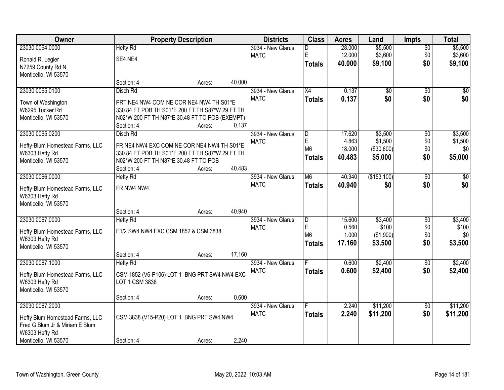| Owner                                             |                                                 | <b>Property Description</b> |        | <b>Districts</b>  | <b>Class</b>    | <b>Acres</b> | Land            | <b>Impts</b>    | <b>Total</b> |
|---------------------------------------------------|-------------------------------------------------|-----------------------------|--------|-------------------|-----------------|--------------|-----------------|-----------------|--------------|
| 23030 0064.0000                                   | <b>Hefty Rd</b>                                 |                             |        | 3934 - New Glarus | D               | 28.000       | \$5,500         | $\sqrt{$0}$     | \$5,500      |
| Ronald R. Legler                                  | SE4 NE4                                         |                             |        | <b>MATC</b>       | E               | 12.000       | \$3,600         | \$0             | \$3,600      |
| N7259 County Rd N                                 |                                                 |                             |        |                   | <b>Totals</b>   | 40.000       | \$9,100         | \$0             | \$9,100      |
| Monticello, WI 53570                              |                                                 |                             |        |                   |                 |              |                 |                 |              |
|                                                   | Section: 4                                      | Acres:                      | 40.000 |                   |                 |              |                 |                 |              |
| 23030 0065.0100                                   | Disch Rd                                        |                             |        | 3934 - New Glarus | $\overline{X4}$ | 0.137        | $\overline{50}$ | $\overline{50}$ | \$0          |
| Town of Washington                                | PRT NE4 NW4 COM NE COR NE4 NW4 TH S01*E         |                             |        | <b>MATC</b>       | <b>Totals</b>   | 0.137        | \$0             | \$0             | \$0          |
| W6295 Tucker Rd                                   | 330.84 FT POB TH S01*E 200 FT TH S87*W 29 FT TH |                             |        |                   |                 |              |                 |                 |              |
| Monticello, WI 53570                              | N02*W 200 FT TH N87*E 30.48 FT TO POB (EXEMPT)  |                             |        |                   |                 |              |                 |                 |              |
|                                                   | Section: 4                                      | Acres:                      | 0.137  |                   |                 |              |                 |                 |              |
| 23030 0065.0200                                   | Disch Rd                                        |                             |        | 3934 - New Glarus | D               | 17.620       | \$3,500         | \$0             | \$3,500      |
| Hefty-Blum Homestead Farms, LLC                   | FR NE4 NW4 EXC COM NE COR NE4 NW4 TH S01*E      |                             |        | <b>MATC</b>       | $\mathsf E$     | 4.863        | \$1,500         | \$0             | \$1,500      |
| W6303 Hefty Rd                                    | 330.84 FT POB TH S01*E 200 FT TH S87*W 29 FT TH |                             |        |                   | M <sub>6</sub>  | 18.000       | (\$30,600)      | \$0             | \$0          |
| Monticello, WI 53570                              | N02*W 200 FT TH N87*E 30.48 FT TO POB           |                             |        |                   | <b>Totals</b>   | 40.483       | \$5,000         | \$0             | \$5,000      |
|                                                   | Section: 4                                      | Acres:                      | 40.483 |                   |                 |              |                 |                 |              |
| 23030 0066.0000                                   | <b>Hefty Rd</b>                                 |                             |        | 3934 - New Glarus | M <sub>6</sub>  | 40.940       | (\$153,100)     | $\frac{1}{20}$  | \$0          |
|                                                   |                                                 |                             |        | <b>MATC</b>       | <b>Totals</b>   | 40.940       | \$0             | \$0             | \$0          |
| Hefty-Blum Homestead Farms, LLC<br>W6303 Hefty Rd | FR NW4 NW4                                      |                             |        |                   |                 |              |                 |                 |              |
| Monticello, WI 53570                              |                                                 |                             |        |                   |                 |              |                 |                 |              |
|                                                   | Section: 4                                      | Acres:                      | 40.940 |                   |                 |              |                 |                 |              |
| 23030 0067.0000                                   | <b>Hefty Rd</b>                                 |                             |        | 3934 - New Glarus | D               | 15.600       | \$3,400         | $\overline{50}$ | \$3,400      |
|                                                   |                                                 |                             |        | <b>MATC</b>       | E               | 0.560        | \$100           | \$0             | \$100        |
| Hefty-Blum Homestead Farms, LLC                   | E1/2 SW4 NW4 EXC CSM 1852 & CSM 3838            |                             |        |                   | M <sub>6</sub>  | 1.000        | ( \$1,900)      | \$0             | \$0          |
| W6303 Hefty Rd<br>Monticello, WI 53570            |                                                 |                             |        |                   | <b>Totals</b>   | 17.160       | \$3,500         | \$0             | \$3,500      |
|                                                   | Section: 4                                      | Acres:                      | 17.160 |                   |                 |              |                 |                 |              |
| 23030 0067.1000                                   | <b>Hefty Rd</b>                                 |                             |        | 3934 - New Glarus |                 | 0.600        | \$2,400         | \$0             | \$2,400      |
|                                                   |                                                 |                             |        | <b>MATC</b>       | <b>Totals</b>   | 0.600        | \$2,400         | \$0             | \$2,400      |
| Hefty-Blum Homestead Farms, LLC                   | CSM 1852 (V6-P106) LOT 1 BNG PRT SW4 NW4 EXC    |                             |        |                   |                 |              |                 |                 |              |
| W6303 Hefty Rd                                    | LOT 1 CSM 3838                                  |                             |        |                   |                 |              |                 |                 |              |
| Monticello, WI 53570                              | Section: 4                                      |                             | 0.600  |                   |                 |              |                 |                 |              |
| 23030 0067.2000                                   |                                                 | Acres:                      |        | 3934 - New Glarus | F               | 2.240        | \$11,200        | $\overline{30}$ | \$11,200     |
|                                                   |                                                 |                             |        | <b>MATC</b>       | <b>Totals</b>   | 2.240        | \$11,200        | \$0             | \$11,200     |
| Hefty Blum Homestead Farms, LLC                   | CSM 3838 (V15-P20) LOT 1 BNG PRT SW4 NW4        |                             |        |                   |                 |              |                 |                 |              |
| Fred G Blum Jr & Miriam E Blum                    |                                                 |                             |        |                   |                 |              |                 |                 |              |
| W6303 Hefty Rd                                    |                                                 |                             |        |                   |                 |              |                 |                 |              |
| Monticello, WI 53570                              | Section: 4                                      | Acres:                      | 2.240  |                   |                 |              |                 |                 |              |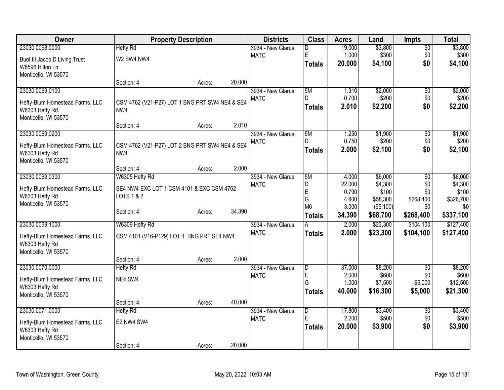| <b>Owner</b>                    |                                                | <b>Property Description</b> |        | <b>Districts</b>                 | <b>Class</b>        | <b>Acres</b>    | Land             | <b>Impts</b>           | <b>Total</b>      |
|---------------------------------|------------------------------------------------|-----------------------------|--------|----------------------------------|---------------------|-----------------|------------------|------------------------|-------------------|
| 23030 0068.0000                 | <b>Hefty Rd</b>                                |                             |        | 3934 - New Glarus                | D                   | 19.000          | \$3,800          | $\overline{50}$        | \$3,800           |
| Buol III Jacob D Living Trust   | W2 SW4 NW4                                     |                             |        | <b>MATC</b>                      | E                   | 1.000           | \$300            | \$0                    | \$300             |
| W6596 Hilton Ln                 |                                                |                             |        |                                  | <b>Totals</b>       | 20.000          | \$4,100          | \$0                    | \$4,100           |
| Monticello, WI 53570            |                                                |                             |        |                                  |                     |                 |                  |                        |                   |
|                                 | Section: 4                                     | Acres:                      | 20.000 |                                  |                     |                 |                  |                        |                   |
| 23030 0069.0100                 |                                                |                             |        | 3934 - New Glarus                | 5M                  | 1.310           | \$2,000          | \$0                    | \$2,000           |
| Hefty-Blum Homestead Farms, LLC | CSM 4762 (V21-P27) LOT 1 BNG PRT SW4 NE4 & SE4 |                             |        | <b>MATC</b>                      | D.                  | 0.700<br>2.010  | \$200<br>\$2,200 | \$0<br>\$0             | \$200<br>\$2,200  |
| W6303 Hefty Rd                  | NW4                                            |                             |        |                                  | <b>Totals</b>       |                 |                  |                        |                   |
| Monticello, WI 53570            |                                                |                             |        |                                  |                     |                 |                  |                        |                   |
|                                 | Section: 4                                     | Acres:                      | 2.010  |                                  |                     |                 |                  |                        |                   |
| 23030 0069.0200                 |                                                |                             |        | 3934 - New Glarus<br><b>MATC</b> | 5M<br>D.            | 1.250<br>0.750  | \$1,900<br>\$200 | $\overline{50}$<br>\$0 | \$1,900<br>\$200  |
| Hefty-Blum Homestead Farms, LLC | CSM 4762 (V21-P27) LOT 2 BNG PRT SW4 NE4 & SE4 |                             |        |                                  | <b>Totals</b>       | 2.000           | \$2,100          | \$0                    | \$2,100           |
| W6303 Hefty Rd                  | NW4                                            |                             |        |                                  |                     |                 |                  |                        |                   |
| Monticello, WI 53570            |                                                |                             | 2.000  |                                  |                     |                 |                  |                        |                   |
| 23030 0069.0300                 | Section: 4<br>W6305 Hefty Rd                   | Acres:                      |        | 3934 - New Glarus                | 5M                  | 4.000           | \$6,000          | \$0                    | \$6,000           |
|                                 |                                                |                             |        | <b>MATC</b>                      | D                   | 22.000          | \$4,300          | \$0                    | \$4,300           |
| Hefty-Blum Homestead Farms, LLC | SE4 NW4 EXC LOT 1 CSM 4101 & EXC CSM 4762      |                             |        |                                  | $\mathsf E$         | 0.790           | \$100            | \$0                    | \$100             |
| W6303 Hefty Rd                  | LOTS 1 & 2                                     |                             |        |                                  | G                   | 4.600           | \$58,300         | \$268,400              | \$326,700         |
| Monticello, WI 53570            | Section: 4                                     | Acres:                      | 34.390 |                                  | M <sub>6</sub>      | 3.000           | $($ \$5,100) $ $ | \$0                    | \$0               |
|                                 |                                                |                             |        |                                  | <b>Totals</b>       | 34.390          | \$68,700         | \$268,400              | \$337,100         |
| 23030 0069.1000                 | W6309 Hefty Rd                                 |                             |        | 3934 - New Glarus                |                     | 2.000           | \$23,300         | \$104,100              | \$127,400         |
| Hefty-Blum Homestead Farms, LLC | CSM 4101 (V16-P129) LOT 1 BNG PRT SE4 NW4      |                             |        | <b>MATC</b>                      | <b>Totals</b>       | 2.000           | \$23,300         | \$104,100              | \$127,400         |
| W6303 Hefty Rd                  |                                                |                             |        |                                  |                     |                 |                  |                        |                   |
| Monticello, WI 53570            |                                                |                             |        |                                  |                     |                 |                  |                        |                   |
|                                 | Section: 4                                     | Acres:                      | 2.000  |                                  |                     |                 |                  |                        |                   |
| 23030 0070.0000                 | <b>Hefty Rd</b>                                |                             |        | 3934 - New Glarus                | l D                 | 37.000          | \$8,200          | \$0                    | \$8,200           |
| Hefty-Blum Homestead Farms, LLC | NE4 SW4                                        |                             |        | <b>MATC</b>                      | E<br>G              | 2.000<br>1.000  | \$600<br>\$7,500 | \$0<br>\$5,000         | \$600<br>\$12,500 |
| W6303 Hefty Rd                  |                                                |                             |        |                                  | <b>Totals</b>       | 40.000          | \$16,300         | \$5,000                | \$21,300          |
| Monticello, WI 53570            |                                                |                             |        |                                  |                     |                 |                  |                        |                   |
|                                 | Section: 4                                     | Acres:                      | 40.000 |                                  |                     |                 |                  |                        |                   |
| 23030 0071.0000                 | <b>Hefty Rd</b>                                |                             |        | 3934 - New Glarus<br><b>MATC</b> | $\overline{D}$<br>E | 17.800<br>2.200 | \$3,400          | \$0                    | \$3,400           |
| Hefty-Blum Homestead Farms, LLC | E2 NW4 SW4                                     |                             |        |                                  |                     | 20.000          | \$500<br>\$3,900 | \$0<br>\$0             | \$500<br>\$3,900  |
| W6303 Hefty Rd                  |                                                |                             |        |                                  | Totals              |                 |                  |                        |                   |
| Monticello, WI 53570            |                                                |                             |        |                                  |                     |                 |                  |                        |                   |
|                                 | Section: 4                                     | Acres:                      | 20.000 |                                  |                     |                 |                  |                        |                   |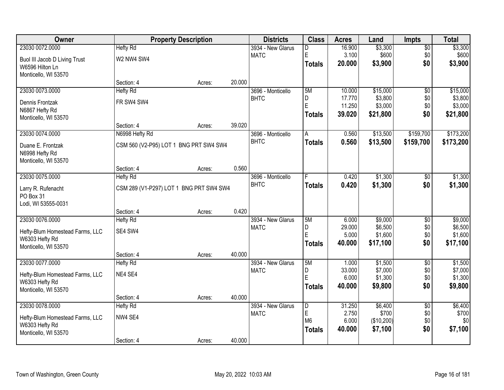| <b>Owner</b>                    |                                         | <b>Property Description</b> |        | <b>Districts</b>                 | <b>Class</b>     | <b>Acres</b>     | Land               | <b>Impts</b>           | <b>Total</b>       |
|---------------------------------|-----------------------------------------|-----------------------------|--------|----------------------------------|------------------|------------------|--------------------|------------------------|--------------------|
| 23030 0072.0000                 | <b>Hefty Rd</b>                         |                             |        | 3934 - New Glarus                | D                | 16.900           | \$3,300            | $\overline{50}$        | \$3,300            |
| Buol III Jacob D Living Trust   | W2 NW4 SW4                              |                             |        | <b>MATC</b>                      | $\mathsf E$      | 3.100            | \$600              | \$0                    | \$600              |
| W6596 Hilton Ln                 |                                         |                             |        |                                  | <b>Totals</b>    | 20.000           | \$3,900            | \$0                    | \$3,900            |
| Monticello, WI 53570            |                                         |                             |        |                                  |                  |                  |                    |                        |                    |
|                                 | Section: 4                              | Acres:                      | 20.000 |                                  |                  |                  |                    |                        |                    |
| 23030 0073.0000                 | <b>Hefty Rd</b>                         |                             |        | 3696 - Monticello                | 5M               | 10.000           | \$15,000           | \$0                    | \$15,000           |
| Dennis Frontzak                 | FR SW4 SW4                              |                             |        | <b>BHTC</b>                      | D<br>$\mathsf E$ | 17.770<br>11.250 | \$3,800<br>\$3,000 | \$0<br>\$0             | \$3,800<br>\$3,000 |
| N6867 Hefty Rd                  |                                         |                             |        |                                  | <b>Totals</b>    | 39.020           | \$21,800           | \$0                    | \$21,800           |
| Monticello, WI 53570            |                                         |                             |        |                                  |                  |                  |                    |                        |                    |
|                                 | Section: 4                              | Acres:                      | 39.020 |                                  |                  |                  |                    |                        |                    |
| 23030 0074.0000                 | N6998 Hefty Rd                          |                             |        | 3696 - Monticello                | A                | 0.560            | \$13,500           | \$159,700              | \$173,200          |
| Duane E. Frontzak               | CSM 560 (V2-P95) LOT 1 BNG PRT SW4 SW4  |                             |        | <b>BHTC</b>                      | Totals           | 0.560            | \$13,500           | \$159,700              | \$173,200          |
| N6998 Hefty Rd                  |                                         |                             |        |                                  |                  |                  |                    |                        |                    |
| Monticello, WI 53570            |                                         |                             |        |                                  |                  |                  |                    |                        |                    |
|                                 | Section: 4                              | Acres:                      | 0.560  |                                  |                  |                  |                    |                        |                    |
| 23030 0075.0000                 | <b>Hefty Rd</b>                         |                             |        | 3696 - Monticello                |                  | 0.420            | \$1,300            | \$0                    | \$1,300            |
| Larry R. Rufenacht              | CSM 289 (V1-P297) LOT 1 BNG PRT SW4 SW4 |                             |        | <b>BHTC</b>                      | <b>Totals</b>    | 0.420            | \$1,300            | \$0                    | \$1,300            |
| PO Box 31                       |                                         |                             |        |                                  |                  |                  |                    |                        |                    |
| Lodi, WI 53555-0031             |                                         |                             |        |                                  |                  |                  |                    |                        |                    |
|                                 | Section: 4                              | Acres:                      | 0.420  |                                  |                  |                  |                    |                        |                    |
| 23030 0076.0000                 | <b>Hefty Rd</b>                         |                             |        | 3934 - New Glarus                | 5M<br>D          | 6.000<br>29.000  | \$9,000<br>\$6,500 | $\overline{50}$<br>\$0 | \$9,000<br>\$6,500 |
| Hefty-Blum Homestead Farms, LLC | SE4 SW4                                 |                             |        | <b>MATC</b>                      | Ė                | 5.000            | \$1,600            | \$0                    | \$1,600            |
| W6303 Hefty Rd                  |                                         |                             |        |                                  | <b>Totals</b>    | 40.000           | \$17,100           | \$0                    | \$17,100           |
| Monticello, WI 53570            |                                         |                             |        |                                  |                  |                  |                    |                        |                    |
|                                 | Section: 4                              | Acres:                      | 40.000 |                                  |                  |                  |                    |                        |                    |
| 23030 0077.0000                 | <b>Hefty Rd</b>                         |                             |        | 3934 - New Glarus<br><b>MATC</b> | 5M<br>D          | 1.000<br>33.000  | \$1,500<br>\$7,000 | $\sqrt{6}$<br>\$0      | \$1,500<br>\$7,000 |
| Hefty-Blum Homestead Farms, LLC | NE4 SE4                                 |                             |        |                                  | E                | 6.000            | \$1,300            | \$0                    | \$1,300            |
| W6303 Hefty Rd                  |                                         |                             |        |                                  | Totals           | 40.000           | \$9,800            | \$0                    | \$9,800            |
| Monticello, WI 53570            |                                         |                             |        |                                  |                  |                  |                    |                        |                    |
|                                 | Section: 4                              | Acres:                      | 40.000 |                                  |                  |                  |                    |                        |                    |
| 23030 0078.0000                 | <b>Hefty Rd</b>                         |                             |        | 3934 - New Glarus<br><b>MATC</b> | D<br>$\mathsf E$ | 31.250<br>2.750  | \$6,400<br>\$700   | $\overline{50}$<br>\$0 | \$6,400<br>\$700   |
| Hefty-Blum Homestead Farms, LLC | NW4 SE4                                 |                             |        |                                  | M <sub>6</sub>   | 6.000            | (\$10,200)         | \$0                    | \$0                |
| W6303 Hefty Rd                  |                                         |                             |        |                                  | <b>Totals</b>    | 40.000           | \$7,100            | \$0                    | \$7,100            |
| Monticello, WI 53570            |                                         |                             |        |                                  |                  |                  |                    |                        |                    |
|                                 | Section: 4                              | Acres:                      | 40.000 |                                  |                  |                  |                    |                        |                    |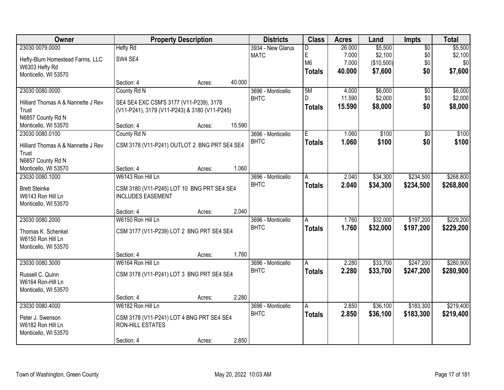| Owner                              |                                               | <b>Property Description</b> |        | <b>Districts</b>  | <b>Class</b>   | <b>Acres</b> | Land       | <b>Impts</b>    | <b>Total</b> |
|------------------------------------|-----------------------------------------------|-----------------------------|--------|-------------------|----------------|--------------|------------|-----------------|--------------|
| 23030 0079.0000                    | <b>Hefty Rd</b>                               |                             |        | 3934 - New Glarus | D              | 26.000       | \$5,500    | $\overline{50}$ | \$5,500      |
| Hefty-Blum Homestead Farms, LLC    | SW4 SE4                                       |                             |        | <b>MATC</b>       | E              | 7.000        | \$2,100    | \$0             | \$2,100      |
| W6303 Hefty Rd                     |                                               |                             |        |                   | M <sub>6</sub> | 7.000        | (\$10,500) | \$0             | \$0          |
| Monticello, WI 53570               |                                               |                             |        |                   | <b>Totals</b>  | 40.000       | \$7,600    | \$0             | \$7,600      |
|                                    | Section: 4                                    | Acres:                      | 40.000 |                   |                |              |            |                 |              |
| 23030 0080.0000                    | County Rd N                                   |                             |        | 3696 - Monticello | 5M             | 4.000        | \$6,000    | $\overline{50}$ | \$6,000      |
| Hilliard Thomas A & Nannette J Rev | SE4 SE4 EXC CSM'S 3177 (V11-P239), 3178       |                             |        | <b>BHTC</b>       | D.             | 11.590       | \$2,000    | \$0             | \$2,000      |
| Trust                              | (V11-P241), 3179 (V11-P243) & 3180 (V11-P245) |                             |        |                   | Totals         | 15.590       | \$8,000    | \$0             | \$8,000      |
| N6857 County Rd N                  |                                               |                             |        |                   |                |              |            |                 |              |
| Monticello, WI 53570               | Section: 4                                    | Acres:                      | 15.590 |                   |                |              |            |                 |              |
| 23030 0080.0100                    | County Rd N                                   |                             |        | 3696 - Monticello | Έ              | 1.060        | \$100      | \$0             | \$100        |
| Hilliard Thomas A & Nannette J Rev | CSM 3178 (V11-P241) OUTLOT 2 BNG PRT SE4 SE4  |                             |        | <b>BHTC</b>       | <b>Totals</b>  | 1.060        | \$100      | \$0             | \$100        |
| Trust                              |                                               |                             |        |                   |                |              |            |                 |              |
| N6857 County Rd N                  |                                               |                             |        |                   |                |              |            |                 |              |
| Monticello, WI 53570               | Section: 4                                    | Acres:                      | 1.060  |                   |                |              |            |                 |              |
| 23030 0080.1000                    | W6143 Ron Hill Ln                             |                             |        | 3696 - Monticello | A              | 2.040        | \$34,300   | \$234,500       | \$268,800    |
| <b>Brett Steinke</b>               | CSM 3180 (V11-P245) LOT 10 BNG PRT SE4 SE4    |                             |        | <b>BHTC</b>       | <b>Totals</b>  | 2.040        | \$34,300   | \$234,500       | \$268,800    |
| W6143 Ron Hill Ln                  | <b>INCLUDES EASEMENT</b>                      |                             |        |                   |                |              |            |                 |              |
| Monticello, WI 53570               |                                               |                             |        |                   |                |              |            |                 |              |
|                                    | Section: 4                                    | Acres:                      | 2.040  |                   |                |              |            |                 |              |
| 23030 0080.2000                    | W6150 Ron Hill Ln                             |                             |        | 3696 - Monticello | A              | 1.760        | \$32,000   | \$197,200       | \$229,200    |
| Thomas K. Schenkel                 | CSM 3177 (V11-P239) LOT 2 BNG PRT SE4 SE4     |                             |        | <b>BHTC</b>       | <b>Totals</b>  | 1.760        | \$32,000   | \$197,200       | \$229,200    |
| W6150 Ron Hill Ln                  |                                               |                             |        |                   |                |              |            |                 |              |
| Monticello, WI 53570               |                                               |                             |        |                   |                |              |            |                 |              |
|                                    | Section: 4                                    | Acres:                      | 1.760  |                   |                |              |            |                 |              |
| 23030 0080.3000                    | W6164 Ron Hill Ln                             |                             |        | 3696 - Monticello | A              | 2.280        | \$33,700   | \$247,200       | \$280,900    |
| Russell C. Quinn                   | CSM 3178 (V11-P241) LOT 3 BNG PRT SE4 SE4     |                             |        | <b>BHTC</b>       | <b>Totals</b>  | 2.280        | \$33,700   | \$247,200       | \$280,900    |
| W6164 Ron-Hill Ln                  |                                               |                             |        |                   |                |              |            |                 |              |
| Monticello, WI 53570               |                                               |                             |        |                   |                |              |            |                 |              |
|                                    | Section: 4                                    | Acres:                      | 2.280  |                   |                |              |            |                 |              |
| 23030 0080.4000                    | W6182 Ron Hill Ln                             |                             |        | 3696 - Monticello | A              | 2.850        | \$36,100   | \$183,300       | \$219,400    |
| Peter J. Swenson                   | CSM 3178 (V11-P241) LOT 4 BNG PRT SE4 SE4     |                             |        | <b>BHTC</b>       | <b>Totals</b>  | 2.850        | \$36,100   | \$183,300       | \$219,400    |
| W6182 Ron Hill Ln                  | RON-HILL ESTATES                              |                             |        |                   |                |              |            |                 |              |
| Monticello, WI 53570               |                                               |                             |        |                   |                |              |            |                 |              |
|                                    | Section: 4                                    | Acres:                      | 2.850  |                   |                |              |            |                 |              |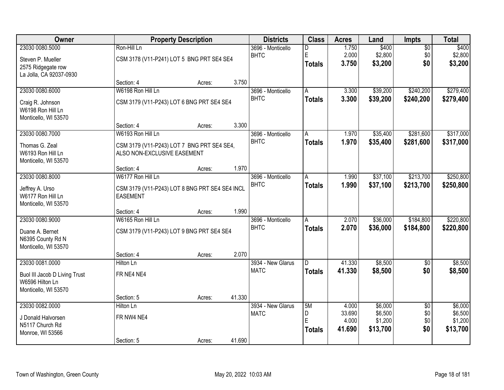| Owner                         |                                                | <b>Property Description</b> |        | <b>Districts</b>  | <b>Class</b>  | <b>Acres</b>    | Land               | Impts           | <b>Total</b>       |
|-------------------------------|------------------------------------------------|-----------------------------|--------|-------------------|---------------|-----------------|--------------------|-----------------|--------------------|
| 23030 0080.5000               | Ron-Hill Ln                                    |                             |        | 3696 - Monticello | D             | 1.750           | \$400              | $\overline{50}$ | \$400              |
| Steven P. Mueller             | CSM 3178 (V11-P241) LOT 5 BNG PRT SE4 SE4      |                             |        | <b>BHTC</b>       | E             | 2.000           | \$2,800            | \$0             | \$2,800            |
| 2575 Ridgegate row            |                                                |                             |        |                   | <b>Totals</b> | 3.750           | \$3,200            | \$0             | \$3,200            |
| La Jolla, CA 92037-0930       |                                                |                             |        |                   |               |                 |                    |                 |                    |
|                               | Section: 4                                     | Acres:                      | 3.750  |                   |               |                 |                    |                 |                    |
| 23030 0080.6000               | W6198 Ron Hill Ln                              |                             |        | 3696 - Monticello | A             | 3.300           | \$39,200           | \$240,200       | \$279,400          |
| Craig R. Johnson              | CSM 3179 (V11-P243) LOT 6 BNG PRT SE4 SE4      |                             |        | <b>BHTC</b>       | <b>Totals</b> | 3.300           | \$39,200           | \$240,200       | \$279,400          |
| W6198 Ron Hill Ln             |                                                |                             |        |                   |               |                 |                    |                 |                    |
| Monticello, WI 53570          |                                                |                             |        |                   |               |                 |                    |                 |                    |
|                               | Section: 4                                     | Acres:                      | 3.300  |                   |               |                 |                    |                 |                    |
| 23030 0080.7000               | W6193 Ron Hill Ln                              |                             |        | 3696 - Monticello | A             | 1.970           | \$35,400           | \$281,600       | \$317,000          |
| Thomas G. Zeal                | CSM 3179 (V11-P243) LOT 7 BNG PRT SE4 SE4,     |                             |        | <b>BHTC</b>       | <b>Totals</b> | 1.970           | \$35,400           | \$281,600       | \$317,000          |
| W6193 Ron Hill Ln             | ALSO NON-EXCLUSIVE EASEMENT                    |                             |        |                   |               |                 |                    |                 |                    |
| Monticello, WI 53570          |                                                |                             |        |                   |               |                 |                    |                 |                    |
|                               | Section: 4                                     | Acres:                      | 1.970  |                   |               |                 |                    |                 |                    |
| 23030 0080.8000               | W6177 Ron Hill Ln                              |                             |        | 3696 - Monticello | A             | 1.990           | \$37,100           | \$213,700       | \$250,800          |
| Jeffrey A. Urso               | CSM 3179 (V11-P243) LOT 8 BNG PRT SE4 SE4 INCL |                             |        | <b>BHTC</b>       | <b>Totals</b> | 1.990           | \$37,100           | \$213,700       | \$250,800          |
| W6177 Ron Hill Ln             | <b>EASEMENT</b>                                |                             |        |                   |               |                 |                    |                 |                    |
| Monticello, WI 53570          |                                                |                             |        |                   |               |                 |                    |                 |                    |
|                               | Section: 4                                     | Acres:                      | 1.990  |                   |               |                 |                    |                 |                    |
| 23030 0080.9000               | W6165 Ron Hill Ln                              |                             |        | 3696 - Monticello | A             | 2.070           | \$36,000           | \$184,800       | \$220,800          |
| Duane A. Bernet               | CSM 3179 (V11-P243) LOT 9 BNG PRT SE4 SE4      |                             |        | <b>BHTC</b>       | <b>Totals</b> | 2.070           | \$36,000           | \$184,800       | \$220,800          |
| N6395 County Rd N             |                                                |                             |        |                   |               |                 |                    |                 |                    |
| Monticello, WI 53570          |                                                |                             |        |                   |               |                 |                    |                 |                    |
|                               | Section: 4                                     | Acres:                      | 2.070  |                   |               |                 |                    |                 |                    |
| 23030 0081.0000               | Hilton Ln                                      |                             |        | 3934 - New Glarus | D             | 41.330          | \$8,500            | $\overline{50}$ | \$8,500            |
| Buol III Jacob D Living Trust | FR NE4 NE4                                     |                             |        | <b>MATC</b>       | <b>Totals</b> | 41.330          | \$8,500            | \$0             | \$8,500            |
| W6596 Hilton Ln               |                                                |                             |        |                   |               |                 |                    |                 |                    |
| Monticello, WI 53570          |                                                |                             |        |                   |               |                 |                    |                 |                    |
|                               | Section: 5                                     | Acres:                      | 41.330 |                   |               |                 |                    |                 |                    |
| 23030 0082.0000               | Hilton Ln                                      |                             |        | 3934 - New Glarus | 5M            | 4.000           | \$6,000            | $\overline{50}$ | \$6,000            |
| J Donald Halvorsen            | FR NW4 NE4                                     |                             |        | <b>MATC</b>       | D<br>E        | 33.690<br>4.000 | \$6,500<br>\$1,200 | \$0<br>\$0      | \$6,500<br>\$1,200 |
| N5117 Church Rd               |                                                |                             |        |                   |               | 41.690          | \$13,700           | \$0             | \$13,700           |
| Monroe, WI 53566              |                                                |                             |        |                   | <b>Totals</b> |                 |                    |                 |                    |
|                               | Section: 5                                     | Acres:                      | 41.690 |                   |               |                 |                    |                 |                    |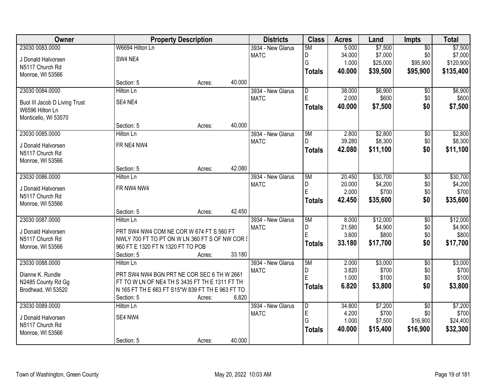| Owner                         | <b>Property Description</b>                      |        | <b>Districts</b>  | <b>Class</b>            | <b>Acres</b> | Land     | <b>Impts</b>    | <b>Total</b> |
|-------------------------------|--------------------------------------------------|--------|-------------------|-------------------------|--------------|----------|-----------------|--------------|
| 23030 0083.0000               | W6694 Hilton Ln                                  |        | 3934 - New Glarus | 5M                      | 5.000        | \$7,500  | $\overline{50}$ | \$7,500      |
| J Donald Halvorsen            | SW4 NE4                                          |        | <b>MATC</b>       | D                       | 34.000       | \$7,000  | \$0             | \$7,000      |
| N5117 Church Rd               |                                                  |        |                   | G                       | 1.000        | \$25,000 | \$95,900        | \$120,900    |
| Monroe, WI 53566              |                                                  |        |                   | <b>Totals</b>           | 40.000       | \$39,500 | \$95,900        | \$135,400    |
|                               | Section: 5<br>Acres:                             | 40.000 |                   |                         |              |          |                 |              |
| 23030 0084.0000               | <b>Hilton Ln</b>                                 |        | 3934 - New Glarus | $\overline{\mathsf{D}}$ | 38.000       | \$6,900  | $\overline{50}$ | \$6,900      |
| Buol III Jacob D Living Trust | SE4 NE4                                          |        | <b>MATC</b>       | E                       | 2.000        | \$600    | \$0             | \$600        |
| W6596 Hilton Ln               |                                                  |        |                   | <b>Totals</b>           | 40.000       | \$7,500  | \$0             | \$7,500      |
| Monticello, WI 53570          |                                                  |        |                   |                         |              |          |                 |              |
|                               | Section: 5<br>Acres:                             | 40.000 |                   |                         |              |          |                 |              |
| 23030 0085.0000               | <b>Hilton Ln</b>                                 |        | 3934 - New Glarus | 5M                      | 2.800        | \$2,800  | \$0             | \$2,800      |
| J Donald Halvorsen            | FR NE4 NW4                                       |        | <b>MATC</b>       | D.                      | 39.280       | \$8,300  | \$0             | \$8,300      |
| N5117 Church Rd               |                                                  |        |                   | <b>Totals</b>           | 42.080       | \$11,100 | \$0             | \$11,100     |
| Monroe, WI 53566              |                                                  |        |                   |                         |              |          |                 |              |
|                               | Section: 5<br>Acres:                             | 42.080 |                   |                         |              |          |                 |              |
| 23030 0086.0000               | Hilton Ln                                        |        | 3934 - New Glarus | 5M                      | 20.450       | \$30,700 | \$0             | \$30,700     |
| J Donald Halvorsen            | FR NW4 NW4                                       |        | <b>MATC</b>       | D                       | 20.000       | \$4,200  | \$0             | \$4,200      |
| N5117 Church Rd               |                                                  |        |                   | E                       | 2.000        | \$700    | \$0             | \$700        |
| Monroe, WI 53566              |                                                  |        |                   | <b>Totals</b>           | 42.450       | \$35,600 | \$0             | \$35,600     |
|                               | Section: 5<br>Acres:                             | 42.450 |                   |                         |              |          |                 |              |
| 23030 0087.0000               | Hilton Ln                                        |        | 3934 - New Glarus | 5M                      | 8.000        | \$12,000 | $\overline{50}$ | \$12,000     |
| J Donald Halvorsen            | PRT SW4 NW4 COM NE COR W 674 FT S 560 FT         |        | <b>MATC</b>       | D                       | 21.580       | \$4,900  | \$0             | \$4,900      |
| N5117 Church Rd               | NWLY 700 FT TO PT ON W LN 360 FT S OF NW COR \$  |        |                   | E                       | 3.600        | \$800    | \$0             | \$800        |
| Monroe, WI 53566              | 960 FT E 1320 FT N 1320 FT TO POB                |        |                   | <b>Totals</b>           | 33.180       | \$17,700 | \$0             | \$17,700     |
|                               | Section: 5<br>Acres:                             | 33.180 |                   |                         |              |          |                 |              |
| 23030 0088.0000               | Hilton Ln                                        |        | 3934 - New Glarus | 5M                      | 2.000        | \$3,000  | $\sqrt{6}$      | \$3,000      |
| Dianne K. Rundle              | PRT SW4 NW4 BGN PRT NE COR SEC 6 TH W 2661       |        | <b>MATC</b>       | D                       | 3.820        | \$700    | \$0             | \$700        |
| N2485 County Rd Gg            | FT TO W LN OF NE4 TH S 3435 FT TH E 1311 FT TH   |        |                   | Ė                       | 1.000        | \$100    | \$0             | \$100        |
| Brodhead, WI 53520            | N 165 FT TH E 663 FT S15*W 839 FT TH E 963 FT TO |        |                   | <b>Totals</b>           | 6.820        | \$3,800  | \$0             | \$3,800      |
|                               | Section: 5<br>Acres:                             | 6.820  |                   |                         |              |          |                 |              |
| 23030 0089.0000               | Hilton Ln                                        |        | 3934 - New Glarus | D                       | 34.800       | \$7,200  | $\overline{50}$ | \$7,200      |
| J Donald Halvorsen            | SE4 NW4                                          |        | <b>MATC</b>       | E                       | 4.200        | \$700    | \$0             | \$700        |
| N5117 Church Rd               |                                                  |        |                   | G                       | 1.000        | \$7,500  | \$16,900        | \$24,400     |
| Monroe, WI 53566              |                                                  |        |                   | <b>Totals</b>           | 40.000       | \$15,400 | \$16,900        | \$32,300     |
|                               | Section: 5<br>Acres:                             | 40.000 |                   |                         |              |          |                 |              |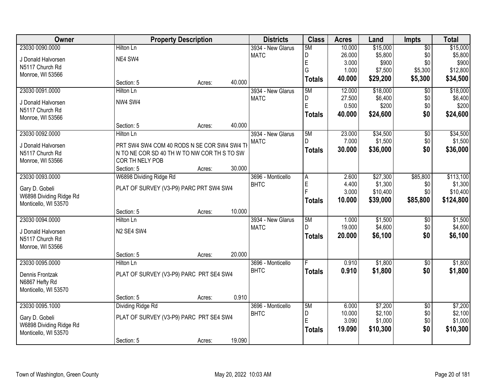| Owner                                     |                                             | <b>Property Description</b> |        | <b>Districts</b>  | <b>Class</b>  | <b>Acres</b> | Land     | <b>Impts</b>    | <b>Total</b> |
|-------------------------------------------|---------------------------------------------|-----------------------------|--------|-------------------|---------------|--------------|----------|-----------------|--------------|
| 23030 0090.0000                           | <b>Hilton Ln</b>                            |                             |        | 3934 - New Glarus | 5M            | 10.000       | \$15,000 | $\overline{50}$ | \$15,000     |
| J Donald Halvorsen                        | NE4 SW4                                     |                             |        | <b>MATC</b>       | D             | 26.000       | \$5,800  | \$0             | \$5,800      |
| N5117 Church Rd                           |                                             |                             |        |                   | E             | 3.000        | \$900    | \$0             | \$900        |
| Monroe, WI 53566                          |                                             |                             |        |                   | G             | 1.000        | \$7,500  | \$5,300         | \$12,800     |
|                                           | Section: 5                                  | Acres:                      | 40.000 |                   | <b>Totals</b> | 40.000       | \$29,200 | \$5,300         | \$34,500     |
| 23030 0091.0000                           | Hilton Ln                                   |                             |        | 3934 - New Glarus | 5M            | 12.000       | \$18,000 | $\overline{50}$ | \$18,000     |
| J Donald Halvorsen                        | NW4 SW4                                     |                             |        | <b>MATC</b>       | D             | 27.500       | \$6,400  | \$0             | \$6,400      |
| N5117 Church Rd                           |                                             |                             |        |                   | E             | 0.500        | \$200    | \$0             | \$200        |
| Monroe, WI 53566                          |                                             |                             |        |                   | <b>Totals</b> | 40.000       | \$24,600 | \$0             | \$24,600     |
|                                           | Section: 5                                  | Acres:                      | 40.000 |                   |               |              |          |                 |              |
| 23030 0092.0000                           | Hilton Ln                                   |                             |        | 3934 - New Glarus | 5M            | 23.000       | \$34,500 | \$0             | \$34,500     |
| J Donald Halvorsen                        | PRT SW4 SW4 COM 40 RODS N SE COR SW4 SW4 TI |                             |        | <b>MATC</b>       | D.            | 7.000        | \$1,500  | \$0             | \$1,500      |
| N5117 Church Rd                           | N TO NE COR SD 40 TH W TO NW COR TH S TO SW |                             |        |                   | <b>Totals</b> | 30.000       | \$36,000 | \$0             | \$36,000     |
| Monroe, WI 53566                          | COR TH NELY POB                             |                             |        |                   |               |              |          |                 |              |
|                                           | Section: 5                                  | Acres:                      | 30.000 |                   |               |              |          |                 |              |
| 23030 0093.0000                           | W6898 Dividing Ridge Rd                     |                             |        | 3696 - Monticello | A             | 2.600        | \$27,300 | \$85,800        | \$113,100    |
|                                           | PLAT OF SURVEY (V3-P9) PARC PRT SW4 SW4     |                             |        | <b>BHTC</b>       | E             | 4.400        | \$1,300  | \$0             | \$1,300      |
| Gary D. Gobeli<br>W6898 Dividing Ridge Rd |                                             |                             |        |                   | Þ             | 3.000        | \$10,400 | \$0             | \$10,400     |
| Monticello, WI 53570                      |                                             |                             |        |                   | <b>Totals</b> | 10.000       | \$39,000 | \$85,800        | \$124,800    |
|                                           | Section: 5                                  | Acres:                      | 10.000 |                   |               |              |          |                 |              |
| 23030 0094.0000                           | Hilton Ln                                   |                             |        | 3934 - New Glarus | 5M            | 1.000        | \$1,500  | \$0             | \$1,500      |
|                                           | N2 SE4 SW4                                  |                             |        | <b>MATC</b>       | D.            | 19.000       | \$4,600  | \$0             | \$4,600      |
| J Donald Halvorsen<br>N5117 Church Rd     |                                             |                             |        |                   | <b>Totals</b> | 20.000       | \$6,100  | \$0             | \$6,100      |
| Monroe, WI 53566                          |                                             |                             |        |                   |               |              |          |                 |              |
|                                           | Section: 5                                  | Acres:                      | 20.000 |                   |               |              |          |                 |              |
| 23030 0095.0000                           | Hilton Ln                                   |                             |        | 3696 - Monticello |               | 0.910        | \$1,800  | $\overline{50}$ | \$1,800      |
| Dennis Frontzak                           | PLAT OF SURVEY (V3-P9) PARC PRT SE4 SW4     |                             |        | <b>BHTC</b>       | <b>Totals</b> | 0.910        | \$1,800  | \$0             | \$1,800      |
| N6867 Hefty Rd                            |                                             |                             |        |                   |               |              |          |                 |              |
| Monticello, WI 53570                      |                                             |                             |        |                   |               |              |          |                 |              |
|                                           | Section: 5                                  | Acres:                      | 0.910  |                   |               |              |          |                 |              |
| 23030 0095.1000                           | Dividing Ridge Rd                           |                             |        | 3696 - Monticello | 5M            | 6.000        | \$7,200  | $\overline{50}$ | \$7,200      |
| Gary D. Gobeli                            | PLAT OF SURVEY (V3-P9) PARC PRT SE4 SW4     |                             |        | <b>BHTC</b>       | D             | 10.000       | \$2,100  | \$0             | \$2,100      |
| W6898 Dividing Ridge Rd                   |                                             |                             |        |                   | E             | 3.090        | \$1,000  | \$0             | \$1,000      |
| Monticello, WI 53570                      |                                             |                             |        |                   | <b>Totals</b> | 19.090       | \$10,300 | \$0             | \$10,300     |
|                                           | Section: 5                                  | Acres:                      | 19.090 |                   |               |              |          |                 |              |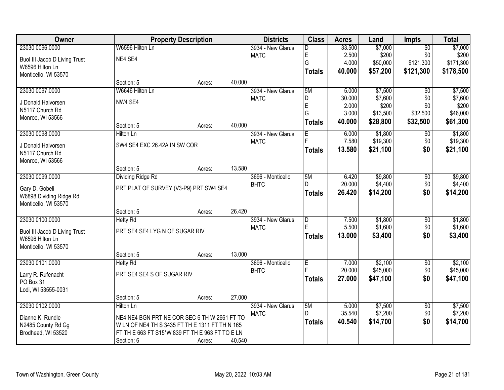| Owner                         |                                                 | <b>Property Description</b> |        | <b>Districts</b>  | <b>Class</b>            | <b>Acres</b> | Land     | <b>Impts</b>    | <b>Total</b>      |
|-------------------------------|-------------------------------------------------|-----------------------------|--------|-------------------|-------------------------|--------------|----------|-----------------|-------------------|
| 23030 0096.0000               | W6596 Hilton Ln                                 |                             |        | 3934 - New Glarus | D                       | 33.500       | \$7,000  | $\overline{50}$ | \$7,000           |
| Buol III Jacob D Living Trust | NE4 SE4                                         |                             |        | <b>MATC</b>       | E                       | 2.500        | \$200    | \$0             | \$200             |
| W6596 Hilton Ln               |                                                 |                             |        |                   | G                       | 4.000        | \$50,000 | \$121,300       | \$171,300         |
| Monticello, WI 53570          |                                                 |                             |        |                   | <b>Totals</b>           | 40.000       | \$57,200 | \$121,300       | \$178,500         |
|                               | Section: 5                                      | Acres:                      | 40.000 |                   |                         |              |          |                 |                   |
| 23030 0097.0000               | W6646 Hilton Ln                                 |                             |        | 3934 - New Glarus | 5M                      | 5.000        | \$7,500  | $\overline{50}$ | \$7,500           |
| J Donald Halvorsen            | NW4 SE4                                         |                             |        | <b>MATC</b>       | D                       | 30.000       | \$7,600  | \$0             | \$7,600           |
| N5117 Church Rd               |                                                 |                             |        |                   | E<br>G                  | 2.000        | \$200    | \$0             | \$200<br>\$46,000 |
| Monroe, WI 53566              |                                                 |                             |        |                   |                         | 3.000        | \$13,500 | \$32,500        |                   |
|                               | Section: 5                                      | Acres:                      | 40.000 |                   | <b>Totals</b>           | 40.000       | \$28,800 | \$32,500        | \$61,300          |
| 23030 0098.0000               | <b>Hilton Ln</b>                                |                             |        | 3934 - New Glarus | E                       | 6.000        | \$1,800  | \$0             | \$1,800           |
| J Donald Halvorsen            | SW4 SE4 EXC 26.42A IN SW COR                    |                             |        | <b>MATC</b>       |                         | 7.580        | \$19,300 | \$0             | \$19,300          |
| N5117 Church Rd               |                                                 |                             |        |                   | <b>Totals</b>           | 13.580       | \$21,100 | \$0             | \$21,100          |
| Monroe, WI 53566              |                                                 |                             |        |                   |                         |              |          |                 |                   |
|                               | Section: 5                                      | Acres:                      | 13.580 |                   |                         |              |          |                 |                   |
| 23030 0099.0000               | <b>Dividing Ridge Rd</b>                        |                             |        | 3696 - Monticello | 5M                      | 6.420        | \$9,800  | \$0             | \$9,800           |
| Gary D. Gobeli                | PRT PLAT OF SURVEY (V3-P9) PRT SW4 SE4          |                             |        | <b>BHTC</b>       | D.                      | 20.000       | \$4,400  | \$0             | \$4,400           |
| W6898 Dividing Ridge Rd       |                                                 |                             |        |                   | <b>Totals</b>           | 26.420       | \$14,200 | \$0             | \$14,200          |
| Monticello, WI 53570          |                                                 |                             |        |                   |                         |              |          |                 |                   |
|                               | Section: 5                                      | Acres:                      | 26.420 |                   |                         |              |          |                 |                   |
| 23030 0100.0000               | <b>Hefty Rd</b>                                 |                             |        | 3934 - New Glarus | $\overline{\mathsf{D}}$ | 7.500        | \$1,800  | \$0             | \$1,800           |
| Buol III Jacob D Living Trust | PRT SE4 SE4 LYG N OF SUGAR RIV                  |                             |        | <b>MATC</b>       | E                       | 5.500        | \$1,600  | \$0             | \$1,600           |
| W6596 Hilton Ln               |                                                 |                             |        |                   | <b>Totals</b>           | 13.000       | \$3,400  | \$0             | \$3,400           |
| Monticello, WI 53570          |                                                 |                             |        |                   |                         |              |          |                 |                   |
|                               | Section: 5                                      | Acres:                      | 13.000 |                   |                         |              |          |                 |                   |
| 23030 0101.0000               | Hefty Rd                                        |                             |        | 3696 - Monticello | E                       | 7.000        | \$2,100  | $\overline{60}$ | \$2,100           |
| Larry R. Rufenacht            | PRT SE4 SE4 S OF SUGAR RIV                      |                             |        | <b>BHTC</b>       |                         | 20.000       | \$45,000 | \$0             | \$45,000          |
| PO Box 31                     |                                                 |                             |        |                   | <b>Totals</b>           | 27.000       | \$47,100 | \$0             | \$47,100          |
| Lodi, WI 53555-0031           |                                                 |                             |        |                   |                         |              |          |                 |                   |
|                               | Section: 5                                      | Acres:                      | 27.000 |                   |                         |              |          |                 |                   |
| 23030 0102.0000               | <b>Hilton Ln</b>                                |                             |        | 3934 - New Glarus | 5M                      | 5.000        | \$7,500  | $\overline{50}$ | \$7,500           |
| Dianne K. Rundle              | NE4 NE4 BGN PRT NE COR SEC 6 TH W 2661 FT TO    |                             |        | <b>MATC</b>       | D.                      | 35.540       | \$7,200  | \$0             | \$7,200           |
| N2485 County Rd Gg            | W LN OF NE4 TH S 3435 FT TH E 1311 FT TH N 165  |                             |        |                   | <b>Totals</b>           | 40.540       | \$14,700 | \$0             | \$14,700          |
| Brodhead, WI 53520            | FT TH E 663 FT S15*W 839 FT TH E 963 FT TO E LN |                             |        |                   |                         |              |          |                 |                   |
|                               | Section: 6                                      | Acres:                      | 40.540 |                   |                         |              |          |                 |                   |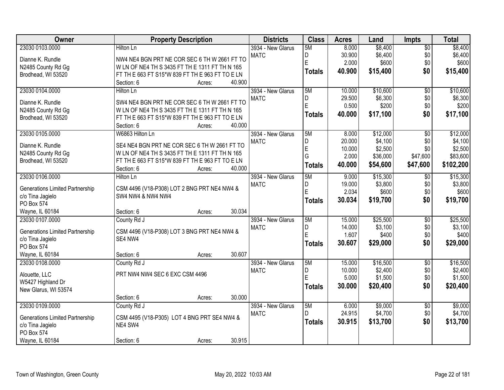| Owner                                                      | <b>Property Description</b>                            | <b>Districts</b>  | <b>Class</b>  | <b>Acres</b> | Land     | <b>Impts</b>    | <b>Total</b> |
|------------------------------------------------------------|--------------------------------------------------------|-------------------|---------------|--------------|----------|-----------------|--------------|
| 23030 0103.0000                                            | <b>Hilton Ln</b>                                       | 3934 - New Glarus | 5M            | 8.000        | \$8,400  | $\overline{50}$ | \$8,400      |
| Dianne K. Rundle                                           | NW4 NE4 BGN PRT NE COR SEC 6 TH W 2661 FT TO           | <b>MATC</b>       | D             | 30.900       | \$6,400  | \$0             | \$6,400      |
| N2485 County Rd Gg                                         | W LN OF NE4 TH S 3435 FT TH E 1311 FT TH N 165         |                   | E             | 2.000        | \$600    | \$0             | \$600        |
| Brodhead, WI 53520                                         | FT TH E 663 FT S15*W 839 FT TH E 963 FT TO E LN        |                   | <b>Totals</b> | 40.900       | \$15,400 | \$0             | \$15,400     |
|                                                            | 40.900<br>Section: 6<br>Acres:                         |                   |               |              |          |                 |              |
| 23030 0104.0000                                            | Hilton Ln                                              | 3934 - New Glarus | 5M            | 10.000       | \$10,600 | $\overline{50}$ | \$10,600     |
| Dianne K. Rundle                                           | SW4 NE4 BGN PRT NE COR SEC 6 TH W 2661 FT TO           | <b>MATC</b>       | D             | 29.500       | \$6,300  | \$0             | \$6,300      |
| N2485 County Rd Gg                                         | W LN OF NE4 TH S 3435 FT TH E 1311 FT TH N 165         |                   | E             | 0.500        | \$200    | \$0             | \$200        |
| Brodhead, WI 53520                                         | FT TH E 663 FT S15*W 839 FT TH E 963 FT TO E LN        |                   | <b>Totals</b> | 40.000       | \$17,100 | \$0             | \$17,100     |
|                                                            | 40.000<br>Section: 6<br>Acres:                         |                   |               |              |          |                 |              |
| 23030 0105.0000                                            | W6863 Hilton Ln                                        | 3934 - New Glarus | 5M            | 8.000        | \$12,000 | $\overline{50}$ | \$12,000     |
| Dianne K. Rundle                                           | SE4 NE4 BGN PRT NE COR SEC 6 TH W 2661 FT TO           | <b>MATC</b>       | D             | 20.000       | \$4,100  | \$0             | \$4,100      |
| N2485 County Rd Gg                                         | W LN OF NE4 TH S 3435 FT TH E 1311 FT TH N 165         |                   | $\mathsf E$   | 10.000       | \$2,500  | \$0             | \$2,500      |
| Brodhead, WI 53520                                         | FT TH E 663 FT S15*W 839 FT TH E 963 FT TO E LN        |                   | G             | 2.000        | \$36,000 | \$47,600        | \$83,600     |
|                                                            | 40.000<br>Section: 6<br>Acres:                         |                   | <b>Totals</b> | 40.000       | \$54,600 | \$47,600        | \$102,200    |
| 23030 0106.0000                                            | Hilton Ln                                              | 3934 - New Glarus | 5M            | 9.000        | \$15,300 | \$0             | \$15,300     |
| <b>Generations Limited Partnership</b>                     | CSM 4496 (V18-P308) LOT 2 BNG PRT NE4 NW4 &            | <b>MATC</b>       | D             | 19.000       | \$3,800  | \$0             | \$3,800      |
| c/o Tina Jagielo                                           | <b>SW4 NW4 &amp; NW4 NW4</b>                           |                   | E             | 2.034        | \$600    | \$0             | \$600        |
| PO Box 574                                                 |                                                        |                   | <b>Totals</b> | 30.034       | \$19,700 | \$0             | \$19,700     |
| Wayne, IL 60184                                            | 30.034<br>Section: 6<br>Acres:                         |                   |               |              |          |                 |              |
| 23030 0107.0000                                            | County Rd J                                            | 3934 - New Glarus | 5M            | 15.000       | \$25,500 | $\overline{50}$ | \$25,500     |
|                                                            |                                                        | <b>MATC</b>       | D             | 14.000       | \$3,100  | \$0             | \$3,100      |
| <b>Generations Limited Partnership</b><br>c/o Tina Jagielo | CSM 4496 (V18-P308) LOT 3 BNG PRT NE4 NW4 &<br>SE4 NW4 |                   | Ė             | 1.607        | \$400    | \$0             | \$400        |
| PO Box 574                                                 |                                                        |                   | <b>Totals</b> | 30.607       | \$29,000 | \$0             | \$29,000     |
| Wayne, IL 60184                                            | 30.607<br>Section: 6<br>Acres:                         |                   |               |              |          |                 |              |
| 23030 0108.0000                                            | County Rd J                                            | 3934 - New Glarus | 5M            | 15.000       | \$16,500 | $\overline{50}$ | \$16,500     |
| Alouette, LLC                                              | PRT NW4 NW4 SEC 6 EXC CSM 4496                         | <b>MATC</b>       | D             | 10.000       | \$2,400  | \$0             | \$2,400      |
| W5427 Highland Dr                                          |                                                        |                   | E             | 5.000        | \$1,500  | \$0             | \$1,500      |
| New Glarus, WI 53574                                       |                                                        |                   | <b>Totals</b> | 30.000       | \$20,400 | \$0             | \$20,400     |
|                                                            | 30.000<br>Section: 6<br>Acres:                         |                   |               |              |          |                 |              |
| 23030 0109.0000                                            | County Rd J                                            | 3934 - New Glarus | 5M            | 6.000        | \$9,000  | $\overline{60}$ | \$9,000      |
|                                                            |                                                        | <b>MATC</b>       | D             | 24.915       | \$4,700  | \$0             | \$4,700      |
| <b>Generations Limited Partnership</b>                     | CSM 4495 (V18-P305) LOT 4 BNG PRT SE4 NW4 &            |                   | <b>Totals</b> | 30.915       | \$13,700 | \$0             | \$13,700     |
| c/o Tina Jagielo<br>PO Box 574                             | NE4 SW4                                                |                   |               |              |          |                 |              |
| Wayne, IL 60184                                            | 30.915<br>Section: 6                                   |                   |               |              |          |                 |              |
|                                                            | Acres:                                                 |                   |               |              |          |                 |              |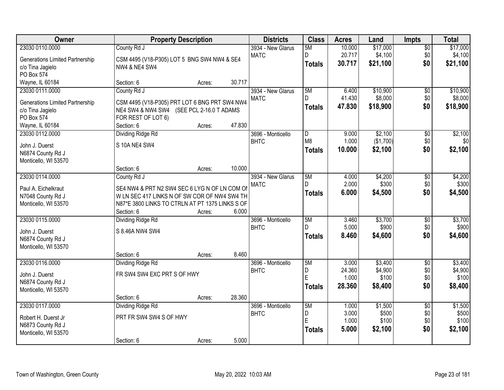| \$17,000<br>23030 0110.0000<br>10.000<br>County Rd J<br>3934 - New Glarus<br>5M<br>$\overline{50}$<br>D<br>\$4,100<br>20.717<br>\$0<br>\$4,100<br><b>MATC</b><br><b>Generations Limited Partnership</b><br>CSM 4495 (V18-P305) LOT 5 BNG SW4 NW4 & SE4<br>\$21,100<br>\$0<br>30.717<br><b>Totals</b><br>c/o Tina Jagielo<br><b>NW4 &amp; NE4 SW4</b><br>PO Box 574<br>30.717<br>Wayne, IL 60184<br>Section: 6<br>Acres:<br>5M<br>\$10,900<br>23030 0111.0000<br>County Rd J<br>3934 - New Glarus<br>6.400<br>$\overline{50}$<br>D.<br>\$8,000<br>\$0<br>41.430<br><b>MATC</b><br>CSM 4495 (V18-P305) PRT LOT 6 BNG PRT SW4 NW4<br><b>Generations Limited Partnership</b><br>\$18,900<br>\$0<br>47.830<br>\$18,900<br><b>Totals</b><br>NE4 SW4 & NW4 SW4 (SEE PCL 2-16.0 T ADAMS<br>c/o Tina Jagielo<br>PO Box 574<br>FOR REST OF LOT 6)<br>47.830<br>Wayne, IL 60184<br>Section: 6<br>Acres:<br>\$2,100<br>23030 0112.0000<br>Dividing Ridge Rd<br>D<br>9.000<br>\$0<br>3696 - Monticello<br>M <sub>8</sub><br>(\$1,700)<br>\$0<br><b>BHTC</b><br>1.000<br>S 10A NE4 SW4<br>John J. Duerst<br>10.000<br>\$2,100<br>\$0<br>\$2,100<br><b>Totals</b><br>N6874 County Rd J<br>Monticello, WI 53570<br>10.000<br>Section: 6<br>Acres:<br>23030 0114.0000<br>\$4,200<br>County Rd J<br>3934 - New Glarus<br>5M<br>4.000<br>\$0<br>2.000<br>\$300<br>\$0<br><b>MATC</b><br>D.<br>SE4 NW4 & PRT N2 SW4 SEC 6 LYG N OF LN COM OF<br>Paul A. Eichelkraut<br>\$0<br>6.000<br>\$4,500<br>\$4,500<br><b>Totals</b><br>W LN SEC 417 LINKS N OF SW COR OF NW4 SW4 TH<br>N7048 County Rd J<br>Monticello, WI 53570<br>N87*E 3800 LINKS TO CTRLN AT PT 1375 LINKS S OF<br>6.000<br>Section: 6<br>Acres:<br>\$3,700<br>\$3,700<br>23030 0115.0000<br><b>Dividing Ridge Rd</b><br>5M<br>3.460<br>$\overline{30}$<br>3696 - Monticello<br>D<br>5.000<br>\$900<br>\$0<br><b>BHTC</b><br>S 8.46A NW4 SW4<br>John J. Duerst<br>8.460<br>\$4,600<br>\$0<br>\$4,600<br><b>Totals</b><br>N6874 County Rd J<br>Monticello, WI 53570<br>8.460<br>Section: 6<br>Acres:<br>5M<br>\$3,400<br>23030 0116.0000<br>3.000<br>$\overline{50}$<br>Dividing Ridge Rd<br>3696 - Monticello<br>24.360<br>\$4,900<br>\$0<br><b>BHTC</b><br>D<br>FR SW4 SW4 EXC PRT S OF HWY<br>John J. Duerst<br>E<br>1.000<br>\$100<br>\$0<br>N6874 County Rd J<br>28.360<br>\$0<br>\$8,400<br>\$8,400<br><b>Totals</b><br>Monticello, WI 53570<br>28.360<br>Section: 6<br>Acres:<br>23030 0117.0000<br>Dividing Ridge Rd<br>\$1,500<br>3696 - Monticello<br>5M<br>1.000<br>$\overline{50}$<br>D<br>3.000<br>\$500<br>\$0<br><b>BHTC</b><br>PRT FR SW4 SW4 S OF HWY<br>Robert H. Duerst Jr<br>E<br>\$100<br>\$0<br>1.000<br>N6873 County Rd J<br>\$0<br>\$2,100<br>5.000<br>\$2,100<br><b>Totals</b><br>Monticello, WI 53570 | Owner |            | <b>Property Description</b> |       | <b>Districts</b> | <b>Class</b> | <b>Acres</b> | Land | <b>Impts</b> | <b>Total</b> |
|-----------------------------------------------------------------------------------------------------------------------------------------------------------------------------------------------------------------------------------------------------------------------------------------------------------------------------------------------------------------------------------------------------------------------------------------------------------------------------------------------------------------------------------------------------------------------------------------------------------------------------------------------------------------------------------------------------------------------------------------------------------------------------------------------------------------------------------------------------------------------------------------------------------------------------------------------------------------------------------------------------------------------------------------------------------------------------------------------------------------------------------------------------------------------------------------------------------------------------------------------------------------------------------------------------------------------------------------------------------------------------------------------------------------------------------------------------------------------------------------------------------------------------------------------------------------------------------------------------------------------------------------------------------------------------------------------------------------------------------------------------------------------------------------------------------------------------------------------------------------------------------------------------------------------------------------------------------------------------------------------------------------------------------------------------------------------------------------------------------------------------------------------------------------------------------------------------------------------------------------------------------------------------------------------------------------------------------------------------------------------------------------------------------------------------------------------------------------------------------------------------------------------------------------------------------------------------------------------------------------------------------------------------------------------------------------------------------------------------------------------------------------------|-------|------------|-----------------------------|-------|------------------|--------------|--------------|------|--------------|--------------|
| \$21,100                                                                                                                                                                                                                                                                                                                                                                                                                                                                                                                                                                                                                                                                                                                                                                                                                                                                                                                                                                                                                                                                                                                                                                                                                                                                                                                                                                                                                                                                                                                                                                                                                                                                                                                                                                                                                                                                                                                                                                                                                                                                                                                                                                                                                                                                                                                                                                                                                                                                                                                                                                                                                                                                                                                                                              |       |            |                             |       |                  |              |              |      |              | \$17,000     |
|                                                                                                                                                                                                                                                                                                                                                                                                                                                                                                                                                                                                                                                                                                                                                                                                                                                                                                                                                                                                                                                                                                                                                                                                                                                                                                                                                                                                                                                                                                                                                                                                                                                                                                                                                                                                                                                                                                                                                                                                                                                                                                                                                                                                                                                                                                                                                                                                                                                                                                                                                                                                                                                                                                                                                                       |       |            |                             |       |                  |              |              |      |              |              |
|                                                                                                                                                                                                                                                                                                                                                                                                                                                                                                                                                                                                                                                                                                                                                                                                                                                                                                                                                                                                                                                                                                                                                                                                                                                                                                                                                                                                                                                                                                                                                                                                                                                                                                                                                                                                                                                                                                                                                                                                                                                                                                                                                                                                                                                                                                                                                                                                                                                                                                                                                                                                                                                                                                                                                                       |       |            |                             |       |                  |              |              |      |              |              |
|                                                                                                                                                                                                                                                                                                                                                                                                                                                                                                                                                                                                                                                                                                                                                                                                                                                                                                                                                                                                                                                                                                                                                                                                                                                                                                                                                                                                                                                                                                                                                                                                                                                                                                                                                                                                                                                                                                                                                                                                                                                                                                                                                                                                                                                                                                                                                                                                                                                                                                                                                                                                                                                                                                                                                                       |       |            |                             |       |                  |              |              |      |              |              |
| \$10,900<br>\$8,000<br>\$2,100<br>\$0<br>\$4,200<br>\$300<br>\$900<br>\$3,400<br>\$4,900<br>\$100<br>\$1,500<br>\$500<br>\$100                                                                                                                                                                                                                                                                                                                                                                                                                                                                                                                                                                                                                                                                                                                                                                                                                                                                                                                                                                                                                                                                                                                                                                                                                                                                                                                                                                                                                                                                                                                                                                                                                                                                                                                                                                                                                                                                                                                                                                                                                                                                                                                                                                                                                                                                                                                                                                                                                                                                                                                                                                                                                                        |       |            |                             |       |                  |              |              |      |              |              |
|                                                                                                                                                                                                                                                                                                                                                                                                                                                                                                                                                                                                                                                                                                                                                                                                                                                                                                                                                                                                                                                                                                                                                                                                                                                                                                                                                                                                                                                                                                                                                                                                                                                                                                                                                                                                                                                                                                                                                                                                                                                                                                                                                                                                                                                                                                                                                                                                                                                                                                                                                                                                                                                                                                                                                                       |       |            |                             |       |                  |              |              |      |              |              |
|                                                                                                                                                                                                                                                                                                                                                                                                                                                                                                                                                                                                                                                                                                                                                                                                                                                                                                                                                                                                                                                                                                                                                                                                                                                                                                                                                                                                                                                                                                                                                                                                                                                                                                                                                                                                                                                                                                                                                                                                                                                                                                                                                                                                                                                                                                                                                                                                                                                                                                                                                                                                                                                                                                                                                                       |       |            |                             |       |                  |              |              |      |              |              |
|                                                                                                                                                                                                                                                                                                                                                                                                                                                                                                                                                                                                                                                                                                                                                                                                                                                                                                                                                                                                                                                                                                                                                                                                                                                                                                                                                                                                                                                                                                                                                                                                                                                                                                                                                                                                                                                                                                                                                                                                                                                                                                                                                                                                                                                                                                                                                                                                                                                                                                                                                                                                                                                                                                                                                                       |       |            |                             |       |                  |              |              |      |              |              |
|                                                                                                                                                                                                                                                                                                                                                                                                                                                                                                                                                                                                                                                                                                                                                                                                                                                                                                                                                                                                                                                                                                                                                                                                                                                                                                                                                                                                                                                                                                                                                                                                                                                                                                                                                                                                                                                                                                                                                                                                                                                                                                                                                                                                                                                                                                                                                                                                                                                                                                                                                                                                                                                                                                                                                                       |       |            |                             |       |                  |              |              |      |              |              |
|                                                                                                                                                                                                                                                                                                                                                                                                                                                                                                                                                                                                                                                                                                                                                                                                                                                                                                                                                                                                                                                                                                                                                                                                                                                                                                                                                                                                                                                                                                                                                                                                                                                                                                                                                                                                                                                                                                                                                                                                                                                                                                                                                                                                                                                                                                                                                                                                                                                                                                                                                                                                                                                                                                                                                                       |       |            |                             |       |                  |              |              |      |              |              |
|                                                                                                                                                                                                                                                                                                                                                                                                                                                                                                                                                                                                                                                                                                                                                                                                                                                                                                                                                                                                                                                                                                                                                                                                                                                                                                                                                                                                                                                                                                                                                                                                                                                                                                                                                                                                                                                                                                                                                                                                                                                                                                                                                                                                                                                                                                                                                                                                                                                                                                                                                                                                                                                                                                                                                                       |       |            |                             |       |                  |              |              |      |              |              |
|                                                                                                                                                                                                                                                                                                                                                                                                                                                                                                                                                                                                                                                                                                                                                                                                                                                                                                                                                                                                                                                                                                                                                                                                                                                                                                                                                                                                                                                                                                                                                                                                                                                                                                                                                                                                                                                                                                                                                                                                                                                                                                                                                                                                                                                                                                                                                                                                                                                                                                                                                                                                                                                                                                                                                                       |       |            |                             |       |                  |              |              |      |              |              |
|                                                                                                                                                                                                                                                                                                                                                                                                                                                                                                                                                                                                                                                                                                                                                                                                                                                                                                                                                                                                                                                                                                                                                                                                                                                                                                                                                                                                                                                                                                                                                                                                                                                                                                                                                                                                                                                                                                                                                                                                                                                                                                                                                                                                                                                                                                                                                                                                                                                                                                                                                                                                                                                                                                                                                                       |       |            |                             |       |                  |              |              |      |              |              |
|                                                                                                                                                                                                                                                                                                                                                                                                                                                                                                                                                                                                                                                                                                                                                                                                                                                                                                                                                                                                                                                                                                                                                                                                                                                                                                                                                                                                                                                                                                                                                                                                                                                                                                                                                                                                                                                                                                                                                                                                                                                                                                                                                                                                                                                                                                                                                                                                                                                                                                                                                                                                                                                                                                                                                                       |       |            |                             |       |                  |              |              |      |              |              |
|                                                                                                                                                                                                                                                                                                                                                                                                                                                                                                                                                                                                                                                                                                                                                                                                                                                                                                                                                                                                                                                                                                                                                                                                                                                                                                                                                                                                                                                                                                                                                                                                                                                                                                                                                                                                                                                                                                                                                                                                                                                                                                                                                                                                                                                                                                                                                                                                                                                                                                                                                                                                                                                                                                                                                                       |       |            |                             |       |                  |              |              |      |              |              |
|                                                                                                                                                                                                                                                                                                                                                                                                                                                                                                                                                                                                                                                                                                                                                                                                                                                                                                                                                                                                                                                                                                                                                                                                                                                                                                                                                                                                                                                                                                                                                                                                                                                                                                                                                                                                                                                                                                                                                                                                                                                                                                                                                                                                                                                                                                                                                                                                                                                                                                                                                                                                                                                                                                                                                                       |       |            |                             |       |                  |              |              |      |              |              |
|                                                                                                                                                                                                                                                                                                                                                                                                                                                                                                                                                                                                                                                                                                                                                                                                                                                                                                                                                                                                                                                                                                                                                                                                                                                                                                                                                                                                                                                                                                                                                                                                                                                                                                                                                                                                                                                                                                                                                                                                                                                                                                                                                                                                                                                                                                                                                                                                                                                                                                                                                                                                                                                                                                                                                                       |       |            |                             |       |                  |              |              |      |              |              |
|                                                                                                                                                                                                                                                                                                                                                                                                                                                                                                                                                                                                                                                                                                                                                                                                                                                                                                                                                                                                                                                                                                                                                                                                                                                                                                                                                                                                                                                                                                                                                                                                                                                                                                                                                                                                                                                                                                                                                                                                                                                                                                                                                                                                                                                                                                                                                                                                                                                                                                                                                                                                                                                                                                                                                                       |       |            |                             |       |                  |              |              |      |              |              |
|                                                                                                                                                                                                                                                                                                                                                                                                                                                                                                                                                                                                                                                                                                                                                                                                                                                                                                                                                                                                                                                                                                                                                                                                                                                                                                                                                                                                                                                                                                                                                                                                                                                                                                                                                                                                                                                                                                                                                                                                                                                                                                                                                                                                                                                                                                                                                                                                                                                                                                                                                                                                                                                                                                                                                                       |       |            |                             |       |                  |              |              |      |              |              |
|                                                                                                                                                                                                                                                                                                                                                                                                                                                                                                                                                                                                                                                                                                                                                                                                                                                                                                                                                                                                                                                                                                                                                                                                                                                                                                                                                                                                                                                                                                                                                                                                                                                                                                                                                                                                                                                                                                                                                                                                                                                                                                                                                                                                                                                                                                                                                                                                                                                                                                                                                                                                                                                                                                                                                                       |       |            |                             |       |                  |              |              |      |              |              |
|                                                                                                                                                                                                                                                                                                                                                                                                                                                                                                                                                                                                                                                                                                                                                                                                                                                                                                                                                                                                                                                                                                                                                                                                                                                                                                                                                                                                                                                                                                                                                                                                                                                                                                                                                                                                                                                                                                                                                                                                                                                                                                                                                                                                                                                                                                                                                                                                                                                                                                                                                                                                                                                                                                                                                                       |       |            |                             |       |                  |              |              |      |              |              |
|                                                                                                                                                                                                                                                                                                                                                                                                                                                                                                                                                                                                                                                                                                                                                                                                                                                                                                                                                                                                                                                                                                                                                                                                                                                                                                                                                                                                                                                                                                                                                                                                                                                                                                                                                                                                                                                                                                                                                                                                                                                                                                                                                                                                                                                                                                                                                                                                                                                                                                                                                                                                                                                                                                                                                                       |       |            |                             |       |                  |              |              |      |              |              |
|                                                                                                                                                                                                                                                                                                                                                                                                                                                                                                                                                                                                                                                                                                                                                                                                                                                                                                                                                                                                                                                                                                                                                                                                                                                                                                                                                                                                                                                                                                                                                                                                                                                                                                                                                                                                                                                                                                                                                                                                                                                                                                                                                                                                                                                                                                                                                                                                                                                                                                                                                                                                                                                                                                                                                                       |       |            |                             |       |                  |              |              |      |              |              |
|                                                                                                                                                                                                                                                                                                                                                                                                                                                                                                                                                                                                                                                                                                                                                                                                                                                                                                                                                                                                                                                                                                                                                                                                                                                                                                                                                                                                                                                                                                                                                                                                                                                                                                                                                                                                                                                                                                                                                                                                                                                                                                                                                                                                                                                                                                                                                                                                                                                                                                                                                                                                                                                                                                                                                                       |       |            |                             |       |                  |              |              |      |              |              |
|                                                                                                                                                                                                                                                                                                                                                                                                                                                                                                                                                                                                                                                                                                                                                                                                                                                                                                                                                                                                                                                                                                                                                                                                                                                                                                                                                                                                                                                                                                                                                                                                                                                                                                                                                                                                                                                                                                                                                                                                                                                                                                                                                                                                                                                                                                                                                                                                                                                                                                                                                                                                                                                                                                                                                                       |       |            |                             |       |                  |              |              |      |              |              |
|                                                                                                                                                                                                                                                                                                                                                                                                                                                                                                                                                                                                                                                                                                                                                                                                                                                                                                                                                                                                                                                                                                                                                                                                                                                                                                                                                                                                                                                                                                                                                                                                                                                                                                                                                                                                                                                                                                                                                                                                                                                                                                                                                                                                                                                                                                                                                                                                                                                                                                                                                                                                                                                                                                                                                                       |       |            |                             |       |                  |              |              |      |              |              |
|                                                                                                                                                                                                                                                                                                                                                                                                                                                                                                                                                                                                                                                                                                                                                                                                                                                                                                                                                                                                                                                                                                                                                                                                                                                                                                                                                                                                                                                                                                                                                                                                                                                                                                                                                                                                                                                                                                                                                                                                                                                                                                                                                                                                                                                                                                                                                                                                                                                                                                                                                                                                                                                                                                                                                                       |       |            |                             |       |                  |              |              |      |              |              |
|                                                                                                                                                                                                                                                                                                                                                                                                                                                                                                                                                                                                                                                                                                                                                                                                                                                                                                                                                                                                                                                                                                                                                                                                                                                                                                                                                                                                                                                                                                                                                                                                                                                                                                                                                                                                                                                                                                                                                                                                                                                                                                                                                                                                                                                                                                                                                                                                                                                                                                                                                                                                                                                                                                                                                                       |       |            |                             |       |                  |              |              |      |              |              |
|                                                                                                                                                                                                                                                                                                                                                                                                                                                                                                                                                                                                                                                                                                                                                                                                                                                                                                                                                                                                                                                                                                                                                                                                                                                                                                                                                                                                                                                                                                                                                                                                                                                                                                                                                                                                                                                                                                                                                                                                                                                                                                                                                                                                                                                                                                                                                                                                                                                                                                                                                                                                                                                                                                                                                                       |       |            |                             |       |                  |              |              |      |              |              |
|                                                                                                                                                                                                                                                                                                                                                                                                                                                                                                                                                                                                                                                                                                                                                                                                                                                                                                                                                                                                                                                                                                                                                                                                                                                                                                                                                                                                                                                                                                                                                                                                                                                                                                                                                                                                                                                                                                                                                                                                                                                                                                                                                                                                                                                                                                                                                                                                                                                                                                                                                                                                                                                                                                                                                                       |       |            |                             |       |                  |              |              |      |              |              |
|                                                                                                                                                                                                                                                                                                                                                                                                                                                                                                                                                                                                                                                                                                                                                                                                                                                                                                                                                                                                                                                                                                                                                                                                                                                                                                                                                                                                                                                                                                                                                                                                                                                                                                                                                                                                                                                                                                                                                                                                                                                                                                                                                                                                                                                                                                                                                                                                                                                                                                                                                                                                                                                                                                                                                                       |       |            |                             |       |                  |              |              |      |              |              |
|                                                                                                                                                                                                                                                                                                                                                                                                                                                                                                                                                                                                                                                                                                                                                                                                                                                                                                                                                                                                                                                                                                                                                                                                                                                                                                                                                                                                                                                                                                                                                                                                                                                                                                                                                                                                                                                                                                                                                                                                                                                                                                                                                                                                                                                                                                                                                                                                                                                                                                                                                                                                                                                                                                                                                                       |       |            |                             |       |                  |              |              |      |              |              |
|                                                                                                                                                                                                                                                                                                                                                                                                                                                                                                                                                                                                                                                                                                                                                                                                                                                                                                                                                                                                                                                                                                                                                                                                                                                                                                                                                                                                                                                                                                                                                                                                                                                                                                                                                                                                                                                                                                                                                                                                                                                                                                                                                                                                                                                                                                                                                                                                                                                                                                                                                                                                                                                                                                                                                                       |       |            |                             |       |                  |              |              |      |              |              |
|                                                                                                                                                                                                                                                                                                                                                                                                                                                                                                                                                                                                                                                                                                                                                                                                                                                                                                                                                                                                                                                                                                                                                                                                                                                                                                                                                                                                                                                                                                                                                                                                                                                                                                                                                                                                                                                                                                                                                                                                                                                                                                                                                                                                                                                                                                                                                                                                                                                                                                                                                                                                                                                                                                                                                                       |       |            |                             |       |                  |              |              |      |              |              |
|                                                                                                                                                                                                                                                                                                                                                                                                                                                                                                                                                                                                                                                                                                                                                                                                                                                                                                                                                                                                                                                                                                                                                                                                                                                                                                                                                                                                                                                                                                                                                                                                                                                                                                                                                                                                                                                                                                                                                                                                                                                                                                                                                                                                                                                                                                                                                                                                                                                                                                                                                                                                                                                                                                                                                                       |       | Section: 6 | Acres:                      | 5.000 |                  |              |              |      |              |              |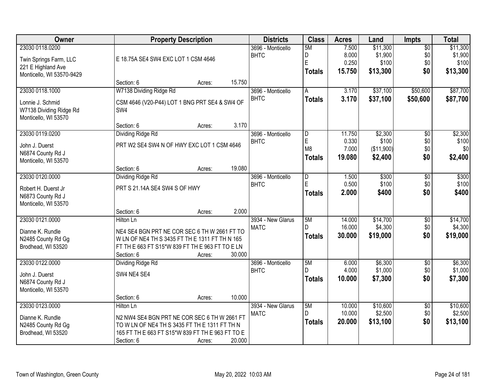| <b>Owner</b>                                    |                                                                  | <b>Property Description</b> |        | <b>Districts</b>                 | <b>Class</b>   | <b>Acres</b>     | Land                | <b>Impts</b>           | <b>Total</b>        |
|-------------------------------------------------|------------------------------------------------------------------|-----------------------------|--------|----------------------------------|----------------|------------------|---------------------|------------------------|---------------------|
| 23030 0118.0200                                 |                                                                  |                             |        | 3696 - Monticello<br><b>BHTC</b> | 5M<br>D        | 7.500<br>8.000   | \$11,300<br>\$1,900 | $\overline{50}$<br>\$0 | \$11,300<br>\$1,900 |
| Twin Springs Farm, LLC                          | E 18.75A SE4 SW4 EXC LOT 1 CSM 4646                              |                             |        |                                  | E              | 0.250            | \$100               | \$0                    | \$100               |
| 221 E Highland Ave<br>Monticello, WI 53570-9429 |                                                                  |                             |        |                                  | <b>Totals</b>  | 15.750           | \$13,300            | \$0                    | \$13,300            |
|                                                 | Section: 6                                                       | Acres:                      | 15.750 |                                  |                |                  |                     |                        |                     |
| 23030 0118.1000                                 | W7138 Dividing Ridge Rd                                          |                             |        | 3696 - Monticello                | A              | 3.170            | \$37,100            | \$50,600               | \$87,700            |
| Lonnie J. Schmid<br>W7138 Dividing Ridge Rd     | CSM 4646 (V20-P44) LOT 1 BNG PRT SE4 & SW4 OF<br>SW <sub>4</sub> |                             |        | <b>BHTC</b>                      | <b>Totals</b>  | 3.170            | \$37,100            | \$50,600               | \$87,700            |
| Monticello, WI 53570                            | Section: 6                                                       | Acres:                      | 3.170  |                                  |                |                  |                     |                        |                     |
| 23030 0119.0200                                 | <b>Dividing Ridge Rd</b>                                         |                             |        | 3696 - Monticello                | D              | 11.750           | \$2,300             | $\overline{50}$        | \$2,300             |
| John J. Duerst                                  | PRT W2 SE4 SW4 N OF HWY EXC LOT 1 CSM 4646                       |                             |        | <b>BHTC</b>                      | E              | 0.330            | \$100               | \$0                    | \$100               |
| N6874 County Rd J                               |                                                                  |                             |        |                                  | M <sub>8</sub> | 7.000            | (\$11,900)          | \$0                    | \$0                 |
| Monticello, WI 53570                            |                                                                  |                             |        |                                  | <b>Totals</b>  | 19.080           | \$2,400             | \$0                    | \$2,400             |
|                                                 | Section: 6                                                       | Acres:                      | 19.080 |                                  |                |                  |                     |                        |                     |
| 23030 0120.0000                                 | <b>Dividing Ridge Rd</b>                                         |                             |        | 3696 - Monticello                | $\overline{D}$ | 1.500            | \$300               | \$0                    | \$300               |
| Robert H. Duerst Jr                             | PRT S 21.14A SE4 SW4 S OF HWY                                    |                             |        | <b>BHTC</b>                      | E              | 0.500            | \$100               | \$0                    | \$100               |
| N6873 County Rd J<br>Monticello, WI 53570       |                                                                  |                             |        |                                  | <b>Totals</b>  | 2.000            | \$400               | \$0                    | \$400               |
|                                                 | Section: 6                                                       | Acres:                      | 2.000  |                                  |                |                  |                     |                        |                     |
| 23030 0121.0000                                 | <b>Hilton Ln</b>                                                 |                             |        | 3934 - New Glarus                | 5M             | 14.000           | \$14,700            | $\overline{30}$        | \$14,700            |
| Dianne K. Rundle                                | NE4 SE4 BGN PRT NE COR SEC 6 TH W 2661 FT TO                     |                             |        | <b>MATC</b>                      | D.             | 16.000           | \$4,300             | \$0                    | \$4,300             |
| N2485 County Rd Gg                              | W LN OF NE4 TH S 3435 FT TH E 1311 FT TH N 165                   |                             |        |                                  | <b>Totals</b>  | 30.000           | \$19,000            | \$0                    | \$19,000            |
| Brodhead, WI 53520                              | FT TH E 663 FT S15*W 839 FT TH E 963 FT TO E LN                  |                             |        |                                  |                |                  |                     |                        |                     |
|                                                 | Section: 6                                                       | Acres:                      | 30.000 |                                  |                |                  |                     |                        |                     |
| 23030 0122.0000                                 | Dividing Ridge Rd                                                |                             |        | 3696 - Monticello                | 5M             | 6.000            | \$6,300             | $\overline{60}$        | \$6,300             |
| John J. Duerst                                  | SW4 NE4 SE4                                                      |                             |        | <b>BHTC</b>                      |                | 4.000            | \$1,000             | \$0                    | \$1,000             |
| N6874 County Rd J                               |                                                                  |                             |        |                                  | <b>Totals</b>  | 10.000           | \$7,300             | \$0                    | \$7,300             |
| Monticello, WI 53570                            |                                                                  |                             |        |                                  |                |                  |                     |                        |                     |
|                                                 | Section: 6                                                       | Acres:                      | 10.000 |                                  |                |                  |                     |                        |                     |
| 23030 0123.0000                                 | <b>Hilton Ln</b>                                                 |                             |        | 3934 - New Glarus                | 5M<br>D.       | 10.000<br>10.000 | \$10,600<br>\$2,500 | $\overline{50}$<br>\$0 | \$10,600<br>\$2,500 |
| Dianne K. Rundle                                | N2 NW4 SE4 BGN PRT NE COR SEC 6 TH W 2661 FT                     |                             |        | <b>MATC</b>                      |                | 20.000           | \$13,100            | \$0                    | \$13,100            |
| N2485 County Rd Gg                              | TO W LN OF NE4 TH S 3435 FT TH E 1311 FT TH N                    |                             |        |                                  | <b>Totals</b>  |                  |                     |                        |                     |
| Brodhead, WI 53520                              | 165 FT TH E 663 FT S15*W 839 FT TH E 963 FT TO E                 |                             |        |                                  |                |                  |                     |                        |                     |
|                                                 | Section: 6                                                       | Acres:                      | 20.000 |                                  |                |                  |                     |                        |                     |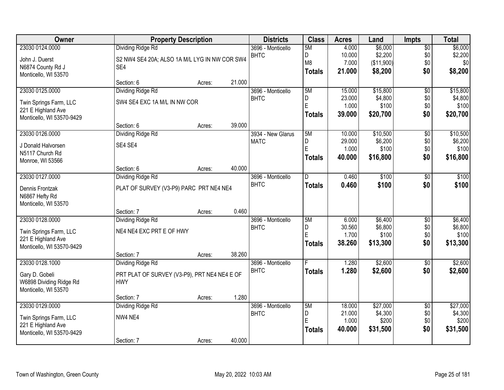| Owner                     |                                               | <b>Property Description</b> |        | <b>Districts</b>  | <b>Class</b>   | <b>Acres</b>     | Land                | <b>Impts</b>           | <b>Total</b>        |
|---------------------------|-----------------------------------------------|-----------------------------|--------|-------------------|----------------|------------------|---------------------|------------------------|---------------------|
| 23030 0124.0000           | Dividing Ridge Rd                             |                             |        | 3696 - Monticello | 5M             | 4.000            | \$6,000             | $\overline{60}$        | \$6,000             |
| John J. Duerst            | S2 NW4 SE4 20A; ALSO 1A M/L LYG IN NW COR SW4 |                             |        | <b>BHTC</b>       | D              | 10.000           | \$2,200             | \$0                    | \$2,200             |
| N6874 County Rd J         | SE4                                           |                             |        |                   | M <sub>8</sub> | 7.000            | (\$11,900)          | \$0                    | \$0                 |
| Monticello, WI 53570      |                                               |                             |        |                   | <b>Totals</b>  | 21.000           | \$8,200             | \$0                    | \$8,200             |
|                           | Section: 6                                    | Acres:                      | 21.000 |                   |                |                  |                     |                        |                     |
| 23030 0125.0000           | Dividing Ridge Rd                             |                             |        | 3696 - Monticello | 5M             | 15.000           | \$15,800            | \$0                    | \$15,800            |
| Twin Springs Farm, LLC    | SW4 SE4 EXC 1A M/L IN NW COR                  |                             |        | <b>BHTC</b>       | D<br>E         | 23.000           | \$4,800             | \$0                    | \$4,800             |
| 221 E Highland Ave        |                                               |                             |        |                   |                | 1.000            | \$100               | \$0                    | \$100               |
| Monticello, WI 53570-9429 |                                               |                             |        |                   | <b>Totals</b>  | 39.000           | \$20,700            | \$0                    | \$20,700            |
|                           | Section: 6                                    | Acres:                      | 39.000 |                   |                |                  |                     |                        |                     |
| 23030 0126.0000           | Dividing Ridge Rd                             |                             |        | 3934 - New Glarus | 5M             | 10.000           | \$10,500            | $\overline{50}$        | \$10,500            |
| J Donald Halvorsen        | SE4 SE4                                       |                             |        | <b>MATC</b>       | D<br>E         | 29.000           | \$6,200             | \$0                    | \$6,200             |
| N5117 Church Rd           |                                               |                             |        |                   |                | 1.000            | \$100               | \$0                    | \$100               |
| Monroe, WI 53566          |                                               |                             |        |                   | <b>Totals</b>  | 40.000           | \$16,800            | \$0                    | \$16,800            |
|                           | Section: 6                                    | Acres:                      | 40.000 |                   |                |                  |                     |                        |                     |
| 23030 0127.0000           | <b>Dividing Ridge Rd</b>                      |                             |        | 3696 - Monticello | D              | 0.460            | \$100               | \$0                    | \$100               |
| Dennis Frontzak           | PLAT OF SURVEY (V3-P9) PARC PRT NE4 NE4       |                             |        | <b>BHTC</b>       | <b>Totals</b>  | 0.460            | \$100               | \$0                    | \$100               |
| N6867 Hefty Rd            |                                               |                             |        |                   |                |                  |                     |                        |                     |
| Monticello, WI 53570      |                                               |                             |        |                   |                |                  |                     |                        |                     |
|                           | Section: 7                                    | Acres:                      | 0.460  |                   |                |                  |                     |                        |                     |
| 23030 0128.0000           | Dividing Ridge Rd                             |                             |        | 3696 - Monticello | 5M             | 6.000            | \$6,400             | \$0                    | \$6,400             |
| Twin Springs Farm, LLC    | NE4 NE4 EXC PRT E OF HWY                      |                             |        | <b>BHTC</b>       | D<br>Ė         | 30.560<br>1.700  | \$6,800<br>\$100    | \$0<br>\$0             | \$6,800<br>\$100    |
| 221 E Highland Ave        |                                               |                             |        |                   | <b>Totals</b>  | 38.260           | \$13,300            | \$0                    | \$13,300            |
| Monticello, WI 53570-9429 |                                               |                             |        |                   |                |                  |                     |                        |                     |
|                           | Section: 7                                    | Acres:                      | 38.260 |                   |                |                  |                     |                        |                     |
| 23030 0128.1000           | Dividing Ridge Rd                             |                             |        | 3696 - Monticello |                | 1.280            | \$2,600             | $\sqrt{6}$             | \$2,600             |
| Gary D. Gobeli            | PRT PLAT OF SURVEY (V3-P9), PRT NE4 NE4 E OF  |                             |        | <b>BHTC</b>       | <b>Totals</b>  | 1.280            | \$2,600             | \$0                    | \$2,600             |
| W6898 Dividing Ridge Rd   | <b>HWY</b>                                    |                             |        |                   |                |                  |                     |                        |                     |
| Monticello, WI 53570      |                                               |                             |        |                   |                |                  |                     |                        |                     |
|                           | Section: 7                                    | Acres:                      | 1.280  |                   |                |                  |                     |                        |                     |
| 23030 0129.0000           | Dividing Ridge Rd                             |                             |        | 3696 - Monticello | 5M<br>D        | 18.000<br>21.000 | \$27,000<br>\$4,300 | $\overline{30}$<br>\$0 | \$27,000<br>\$4,300 |
| Twin Springs Farm, LLC    | NW4 NE4                                       |                             |        | <b>BHTC</b>       | E              | 1.000            | \$200               | \$0                    | \$200               |
| 221 E Highland Ave        |                                               |                             |        |                   | <b>Totals</b>  | 40.000           | \$31,500            | \$0                    | \$31,500            |
| Monticello, WI 53570-9429 |                                               |                             |        |                   |                |                  |                     |                        |                     |
|                           | Section: 7                                    | Acres:                      | 40.000 |                   |                |                  |                     |                        |                     |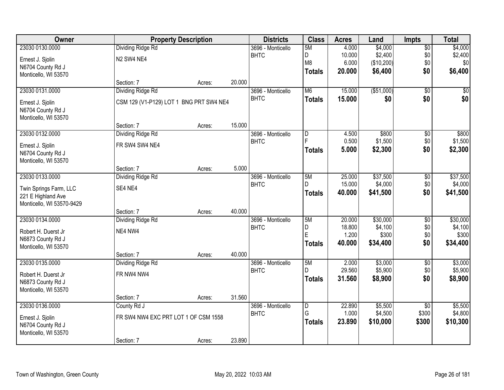| Owner                                     | <b>Property Description</b>             |        |        | <b>Districts</b>                 | <b>Class</b>   | <b>Acres</b>     | Land                | <b>Impts</b>    | <b>Total</b>        |
|-------------------------------------------|-----------------------------------------|--------|--------|----------------------------------|----------------|------------------|---------------------|-----------------|---------------------|
| 23030 0130.0000                           | <b>Dividing Ridge Rd</b>                |        |        | 3696 - Monticello                | 5M             | 4.000            | \$4,000             | $\overline{50}$ | \$4,000             |
| Ernest J. Sjolin                          | N2 SW4 NE4                              |        |        | <b>BHTC</b>                      | D              | 10.000           | \$2,400             | \$0             | \$2,400             |
| N6704 County Rd J                         |                                         |        |        |                                  | M <sub>8</sub> | 6.000            | (\$10,200)          | \$0             | \$0                 |
| Monticello, WI 53570                      |                                         |        |        |                                  | <b>Totals</b>  | 20.000           | \$6,400             | \$0             | \$6,400             |
|                                           | Section: 7                              | Acres: | 20.000 |                                  |                |                  |                     |                 |                     |
| 23030 0131.0000                           | Dividing Ridge Rd                       |        |        | 3696 - Monticello                | M <sub>6</sub> | 15.000           | ( \$51,000)         | $\overline{50}$ | \$0                 |
| Ernest J. Sjolin                          | CSM 129 (V1-P129) LOT 1 BNG PRT SW4 NE4 |        |        | <b>BHTC</b>                      | <b>Totals</b>  | 15.000           | \$0                 | \$0             | \$0                 |
| N6704 County Rd J                         |                                         |        |        |                                  |                |                  |                     |                 |                     |
| Monticello, WI 53570                      |                                         |        |        |                                  |                |                  |                     |                 |                     |
|                                           | Section: 7                              | Acres: | 15.000 |                                  |                |                  |                     |                 |                     |
| 23030 0132.0000                           | Dividing Ridge Rd                       |        |        | 3696 - Monticello                | $\overline{D}$ | 4.500            | \$800               | $\overline{50}$ | \$800               |
| Ernest J. Sjolin                          | FR SW4 SW4 NE4                          |        |        | <b>BHTC</b>                      |                | 0.500<br>5.000   | \$1,500<br>\$2,300  | \$0<br>\$0      | \$1,500             |
| N6704 County Rd J                         |                                         |        |        |                                  | <b>Totals</b>  |                  |                     |                 | \$2,300             |
| Monticello, WI 53570                      |                                         |        |        |                                  |                |                  |                     |                 |                     |
|                                           | Section: 7                              | Acres: | 5.000  |                                  |                |                  |                     |                 |                     |
| 23030 0133.0000                           | Dividing Ridge Rd                       |        |        | 3696 - Monticello<br><b>BHTC</b> | 5M<br>D.       | 25.000<br>15.000 | \$37,500<br>\$4,000 | \$0<br>\$0      | \$37,500<br>\$4,000 |
| Twin Springs Farm, LLC                    | SE4 NE4                                 |        |        |                                  | <b>Totals</b>  | 40.000           | \$41,500            | \$0             | \$41,500            |
| 221 E Highland Ave                        |                                         |        |        |                                  |                |                  |                     |                 |                     |
| Monticello, WI 53570-9429                 |                                         |        | 40.000 |                                  |                |                  |                     |                 |                     |
| 23030 0134.0000                           | Section: 7<br><b>Dividing Ridge Rd</b>  | Acres: |        | 3696 - Monticello                | 5M             | 20.000           | \$30,000            | $\overline{50}$ | \$30,000            |
|                                           |                                         |        |        | <b>BHTC</b>                      | D              | 18.800           | \$4,100             | \$0             | \$4,100             |
| Robert H. Duerst Jr                       | NE4 NW4                                 |        |        |                                  | E              | 1.200            | \$300               | \$0             | \$300               |
| N6873 County Rd J                         |                                         |        |        |                                  | <b>Totals</b>  | 40.000           | \$34,400            | \$0             | \$34,400            |
| Monticello, WI 53570                      | Section: 7                              | Acres: | 40.000 |                                  |                |                  |                     |                 |                     |
| 23030 0135.0000                           | Dividing Ridge Rd                       |        |        | 3696 - Monticello                | 5M             | 2.000            | \$3,000             | $\overline{50}$ | \$3,000             |
|                                           |                                         |        |        | <b>BHTC</b>                      | D              | 29.560           | \$5,900             | \$0             | \$5,900             |
| Robert H. Duerst Jr                       | FR NW4 NW4                              |        |        |                                  | <b>Totals</b>  | 31.560           | \$8,900             | \$0             | \$8,900             |
| N6873 County Rd J<br>Monticello, WI 53570 |                                         |        |        |                                  |                |                  |                     |                 |                     |
|                                           | Section: 7                              | Acres: | 31.560 |                                  |                |                  |                     |                 |                     |
| 23030 0136.0000                           | County Rd J                             |        |        | 3696 - Monticello                | $\overline{D}$ | 22.890           | \$5,500             | $\overline{30}$ | \$5,500             |
|                                           | FR SW4 NW4 EXC PRT LOT 1 OF CSM 1558    |        |        | <b>BHTC</b>                      | G              | 1.000            | \$4,500             | \$300           | \$4,800             |
| Ernest J. Sjolin<br>N6704 County Rd J     |                                         |        |        |                                  | <b>Totals</b>  | 23.890           | \$10,000            | \$300           | \$10,300            |
| Monticello, WI 53570                      |                                         |        |        |                                  |                |                  |                     |                 |                     |
|                                           | Section: 7                              | Acres: | 23.890 |                                  |                |                  |                     |                 |                     |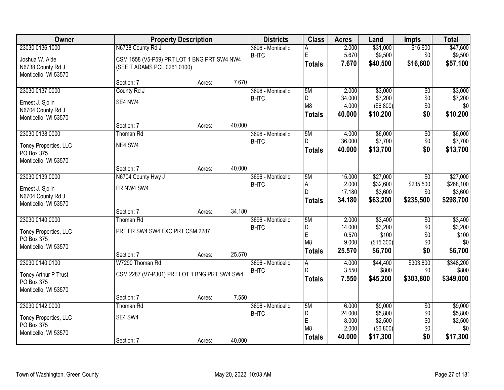| <b>Owner</b>          |                                              | <b>Property Description</b> |        | <b>Districts</b>  | <b>Class</b>   | <b>Acres</b>     | Land                | <b>Impts</b>     | <b>Total</b>       |
|-----------------------|----------------------------------------------|-----------------------------|--------|-------------------|----------------|------------------|---------------------|------------------|--------------------|
| 23030 0136.1000       | N6738 County Rd J                            |                             |        | 3696 - Monticello | А              | 2.000            | \$31,000            | \$16,600         | \$47,600           |
| Joshua W. Aide        | CSM 1558 (V5-P59) PRT LOT 1 BNG PRT SW4 NW4  |                             |        | <b>BHTC</b>       | E              | 5.670            | \$9,500             | \$0              | \$9,500            |
| N6738 County Rd J     | (SEE T ADAMS PCL 0261.0100)                  |                             |        |                   | <b>Totals</b>  | 7.670            | \$40,500            | \$16,600         | \$57,100           |
| Monticello, WI 53570  |                                              |                             |        |                   |                |                  |                     |                  |                    |
|                       | Section: 7                                   | Acres:                      | 7.670  |                   |                |                  |                     |                  |                    |
| 23030 0137.0000       | County Rd J                                  |                             |        | 3696 - Monticello | 5M             | 2.000            | \$3,000             | $\overline{50}$  | \$3,000            |
| Ernest J. Sjolin      | SE4 NW4                                      |                             |        | <b>BHTC</b>       | D              | 34.000           | \$7,200             | \$0              | \$7,200            |
| N6704 County Rd J     |                                              |                             |        |                   | M <sub>8</sub> | 4.000            | (\$6,800)           | \$0<br>\$0       | \$0                |
| Monticello, WI 53570  |                                              |                             |        |                   | <b>Totals</b>  | 40.000           | \$10,200            |                  | \$10,200           |
|                       | Section: 7                                   | Acres:                      | 40.000 |                   |                |                  |                     |                  |                    |
| 23030 0138.0000       | <b>Thoman Rd</b>                             |                             |        | 3696 - Monticello | 5M             | 4.000            | \$6,000             | $\overline{50}$  | \$6,000            |
| Toney Properties, LLC | NE4 SW4                                      |                             |        | <b>BHTC</b>       | D              | 36.000           | \$7,700             | \$0              | \$7,700            |
| PO Box 375            |                                              |                             |        |                   | <b>Totals</b>  | 40.000           | \$13,700            | \$0              | \$13,700           |
| Monticello, WI 53570  |                                              |                             |        |                   |                |                  |                     |                  |                    |
|                       | Section: 7                                   | Acres:                      | 40.000 |                   |                |                  |                     |                  |                    |
| 23030 0139.0000       | N6704 County Hwy J                           |                             |        | 3696 - Monticello | 5M             | 15.000           | \$27,000            | \$0              | \$27,000           |
| Ernest J. Sjolin      | FR NW4 SW4                                   |                             |        | <b>BHTC</b>       | A<br>D         | 2.000            | \$32,600            | \$235,500        | \$268,100          |
| N6704 County Rd J     |                                              |                             |        |                   |                | 17.180<br>34.180 | \$3,600<br>\$63,200 | \$0<br>\$235,500 | \$3,600            |
| Monticello, WI 53570  |                                              |                             |        |                   | <b>Totals</b>  |                  |                     |                  | \$298,700          |
|                       | Section: 7                                   | Acres:                      | 34.180 |                   |                |                  |                     |                  |                    |
| 23030 0140.0000       | Thoman Rd                                    |                             |        | 3696 - Monticello | 5M             | 2.000            | \$3,400             | $\overline{50}$  | \$3,400            |
| Toney Properties, LLC | PRT FR SW4 SW4 EXC PRT CSM 2287              |                             |        | <b>BHTC</b>       | D<br>E         | 14.000<br>0.570  | \$3,200<br>\$100    | \$0<br>\$0       | \$3,200<br>\$100   |
| PO Box 375            |                                              |                             |        |                   | M <sub>8</sub> | 9.000            | (\$15,300)          | \$0              | \$0                |
| Monticello, WI 53570  |                                              |                             |        |                   | <b>Totals</b>  | 25.570           | \$6,700             | \$0              | \$6,700            |
|                       | Section: 7                                   | Acres:                      | 25.570 |                   |                |                  |                     |                  |                    |
| 23030 0140.0100       | W7290 Thoman Rd                              |                             |        | 3696 - Monticello | А<br>D         | 4.000            | \$44,400            | \$303,800        | \$348,200          |
| Toney Arthur P Trust  | CSM 2287 (V7-P301) PRT LOT 1 BNG PRT SW4 SW4 |                             |        | <b>BHTC</b>       |                | 3.550            | \$800               | \$0              | \$800              |
| PO Box 375            |                                              |                             |        |                   | <b>Totals</b>  | 7.550            | \$45,200            | \$303,800        | \$349,000          |
| Monticello, WI 53570  |                                              |                             |        |                   |                |                  |                     |                  |                    |
|                       | Section: 7                                   | Acres:                      | 7.550  |                   |                |                  |                     |                  |                    |
| 23030 0142.0000       | Thoman Rd                                    |                             |        | 3696 - Monticello | 5M             | 6.000            | \$9,000             | $\overline{50}$  | \$9,000            |
| Toney Properties, LLC | SE4 SW4                                      |                             |        | <b>BHTC</b>       | D<br>E         | 24.000<br>8.000  | \$5,800<br>\$2,500  | \$0<br>\$0       | \$5,800<br>\$2,500 |
| PO Box 375            |                                              |                             |        |                   | M <sub>8</sub> | 2.000            | (\$6,800)           | \$0              | \$0                |
| Monticello, WI 53570  |                                              |                             |        |                   | <b>Totals</b>  | 40.000           | \$17,300            | \$0              | \$17,300           |
|                       | Section: 7                                   | Acres:                      | 40.000 |                   |                |                  |                     |                  |                    |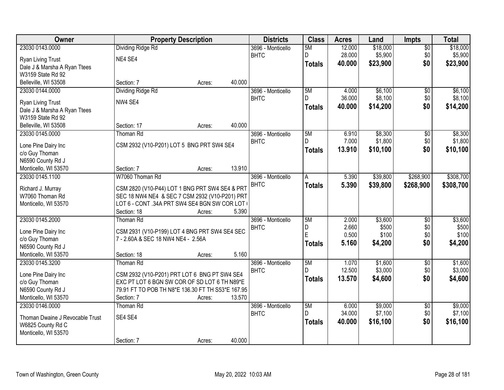| Owner                                     |                                                   | <b>Property Description</b> |        | <b>Districts</b>  | <b>Class</b>  | <b>Acres</b> | Land     | <b>Impts</b>    | <b>Total</b> |
|-------------------------------------------|---------------------------------------------------|-----------------------------|--------|-------------------|---------------|--------------|----------|-----------------|--------------|
| 23030 0143.0000                           | Dividing Ridge Rd                                 |                             |        | 3696 - Monticello | 5M            | 12.000       | \$18,000 | $\overline{50}$ | \$18,000     |
| Ryan Living Trust                         | NE4 SE4                                           |                             |        | <b>BHTC</b>       | D.            | 28.000       | \$5,900  | \$0             | \$5,900      |
| Dale J & Marsha A Ryan Ttees              |                                                   |                             |        |                   | <b>Totals</b> | 40.000       | \$23,900 | \$0             | \$23,900     |
| W3159 State Rd 92                         |                                                   |                             |        |                   |               |              |          |                 |              |
| Belleville, WI 53508                      | Section: 7                                        | Acres:                      | 40.000 |                   |               |              |          |                 |              |
| 23030 0144.0000                           | Dividing Ridge Rd                                 |                             |        | 3696 - Monticello | 5M            | 4.000        | \$6,100  | $\overline{50}$ | \$6,100      |
|                                           | NW4 SE4                                           |                             |        | <b>BHTC</b>       | D.            | 36.000       | \$8,100  | \$0             | \$8,100      |
| Ryan Living Trust                         |                                                   |                             |        |                   | <b>Totals</b> | 40.000       | \$14,200 | \$0             | \$14,200     |
| Dale J & Marsha A Ryan Ttees              |                                                   |                             |        |                   |               |              |          |                 |              |
| W3159 State Rd 92<br>Belleville, WI 53508 | Section: 17                                       | Acres:                      | 40.000 |                   |               |              |          |                 |              |
| 23030 0145.0000                           | <b>Thoman Rd</b>                                  |                             |        | 3696 - Monticello | 5M            | 6.910        | \$8,300  | \$0             | \$8,300      |
|                                           |                                                   |                             |        | <b>BHTC</b>       | D.            | 7.000        | \$1,800  | \$0             | \$1,800      |
| Lone Pine Dairy Inc                       | CSM 2932 (V10-P201) LOT 5 BNG PRT SW4 SE4         |                             |        |                   |               | 13.910       | \$10,100 | \$0             | \$10,100     |
| c/o Guy Thoman                            |                                                   |                             |        |                   | <b>Totals</b> |              |          |                 |              |
| N6590 County Rd J                         |                                                   |                             |        |                   |               |              |          |                 |              |
| Monticello, WI 53570                      | Section: 7                                        | Acres:                      | 13.910 |                   |               |              |          |                 |              |
| 23030 0145.1100                           | W7060 Thoman Rd                                   |                             |        | 3696 - Monticello | A             | 5.390        | \$39,800 | \$268,900       | \$308,700    |
| Richard J. Murray                         | CSM 2820 (V10-P44) LOT 1 BNG PRT SW4 SE4 & PRT    |                             |        | <b>BHTC</b>       | <b>Totals</b> | 5.390        | \$39,800 | \$268,900       | \$308,700    |
| W7060 Thoman Rd                           | SEC 18 NW4 NE4 & SEC 7 CSM 2932 (V10-P201) PRT    |                             |        |                   |               |              |          |                 |              |
| Monticello, WI 53570                      | LOT 6 - CONT .34A PRT SW4 SE4 BGN SW COR LOT (    |                             |        |                   |               |              |          |                 |              |
|                                           | Section: 18                                       | Acres:                      | 5.390  |                   |               |              |          |                 |              |
| 23030 0145.2000                           | Thoman Rd                                         |                             |        | 3696 - Monticello | 5M            | 2.000        | \$3,600  | $\overline{30}$ | \$3,600      |
|                                           |                                                   |                             |        | <b>BHTC</b>       | D             | 2.660        | \$500    | \$0             | \$500        |
| Lone Pine Dairy Inc                       | CSM 2931 (V10-P199) LOT 4 BNG PRT SW4 SE4 SEC     |                             |        |                   | E             | 0.500        | \$100    | \$0             | \$100        |
| c/o Guy Thoman                            | 7 - 2.60A & SEC 18 NW4 NE4 - 2.56A                |                             |        |                   | <b>Totals</b> | 5.160        | \$4,200  | \$0             | \$4,200      |
| N6590 County Rd J                         |                                                   |                             |        |                   |               |              |          |                 |              |
| Monticello, WI 53570                      | Section: 18                                       | Acres:                      | 5.160  |                   |               |              |          |                 |              |
| 23030 0145.3200                           | Thoman Rd                                         |                             |        | 3696 - Monticello | 5M            | 1.070        | \$1,600  | $\overline{50}$ | \$1,600      |
| Lone Pine Dairy Inc                       | CSM 2932 (V10-P201) PRT LOT 6 BNG PT SW4 SE4      |                             |        | <b>BHTC</b>       | D             | 12.500       | \$3,000  | \$0             | \$3,000      |
| c/o Guy Thoman                            | EXC PT LOT 6 BGN SW COR OF SD LOT 6 TH N89*E      |                             |        |                   | Totals        | 13.570       | \$4,600  | \$0             | \$4,600      |
| N6590 County Rd J                         | 79.91 FT TO POB TH N8*E 136.30 FT TH S53*E 167.95 |                             |        |                   |               |              |          |                 |              |
| Monticello, WI 53570                      | Section: 7                                        | Acres:                      | 13.570 |                   |               |              |          |                 |              |
| 23030 0146.0000                           | Thoman Rd                                         |                             |        | 3696 - Monticello | 5M            | 6.000        | \$9,000  | $\overline{50}$ | \$9,000      |
| Thoman Dwaine J Revocable Trust           | SE4 SE4                                           |                             |        | <b>BHTC</b>       | D             | 34.000       | \$7,100  | \$0             | \$7,100      |
| W6825 County Rd C                         |                                                   |                             |        |                   | <b>Totals</b> | 40.000       | \$16,100 | \$0             | \$16,100     |
| Monticello, WI 53570                      |                                                   |                             |        |                   |               |              |          |                 |              |
|                                           | Section: 7                                        | Acres:                      | 40.000 |                   |               |              |          |                 |              |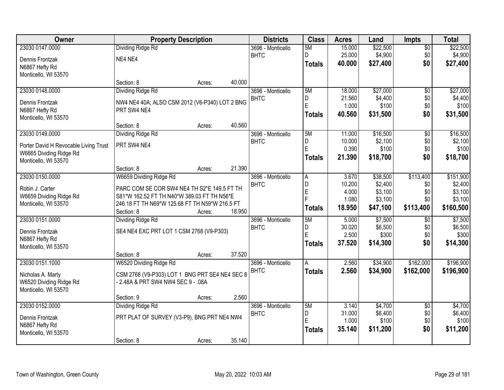| <b>Owner</b>                          | <b>Property Description</b>                    |        |        | <b>Districts</b>  | <b>Class</b>  | <b>Acres</b> | Land     | <b>Impts</b>    | <b>Total</b> |
|---------------------------------------|------------------------------------------------|--------|--------|-------------------|---------------|--------------|----------|-----------------|--------------|
| 23030 0147.0000                       | Dividing Ridge Rd                              |        |        | 3696 - Monticello | 5M            | 15.000       | \$22,500 | $\overline{50}$ | \$22,500     |
| Dennis Frontzak                       | NE4 NE4                                        |        |        | <b>BHTC</b>       | D.            | 25.000       | \$4,900  | \$0             | \$4,900      |
| N6867 Hefty Rd                        |                                                |        |        |                   | <b>Totals</b> | 40.000       | \$27,400 | \$0             | \$27,400     |
| Monticello, WI 53570                  |                                                |        |        |                   |               |              |          |                 |              |
|                                       | Section: 8                                     | Acres: | 40.000 |                   |               |              |          |                 |              |
| 23030 0148.0000                       | Dividing Ridge Rd                              |        |        | 3696 - Monticello | 5M            | 18.000       | \$27,000 | $\overline{50}$ | \$27,000     |
| Dennis Frontzak                       | NW4 NE4 40A; ALSO CSM 2012 (V6-P340) LOT 2 BNG |        |        | <b>BHTC</b>       | D             | 21.560       | \$4,400  | \$0             | \$4,400      |
| N6867 Hefty Rd                        | PRT SW4 NE4                                    |        |        |                   | E             | 1.000        | \$100    | \$0             | \$100        |
| Monticello, WI 53570                  |                                                |        |        |                   | <b>Totals</b> | 40.560       | \$31,500 | \$0             | \$31,500     |
|                                       | Section: 8                                     | Acres: | 40.560 |                   |               |              |          |                 |              |
| 23030 0149.0000                       | Dividing Ridge Rd                              |        |        | 3696 - Monticello | 5M            | 11.000       | \$16,500 | \$0             | \$16,500     |
| Porter David H Revocable Living Trust | PRT SW4 NE4                                    |        |        | <b>BHTC</b>       | D             | 10.000       | \$2,100  | \$0             | \$2,100      |
| W6665 Dividing Ridge Rd               |                                                |        |        |                   | E             | 0.390        | \$100    | \$0             | \$100        |
| Monticello, WI 53570                  |                                                |        |        |                   | <b>Totals</b> | 21.390       | \$18,700 | \$0             | \$18,700     |
|                                       | Section: 8                                     | Acres: | 21.390 |                   |               |              |          |                 |              |
| 23030 0150.0000                       | W6659 Dividing Ridge Rd                        |        |        | 3696 - Monticello | A             | 3.670        | \$38,500 | \$113,400       | \$151,900    |
| Robin J. Carter                       | PARC COM SE COR SW4 NE4 TH S2*E 149.5 FT TH    |        |        | <b>BHTC</b>       | D             | 10.200       | \$2,400  | \$0             | \$2,400      |
| W6659 Dividing Ridge Rd               | S81*W 162.52 FT TH N40*W 389.03 FT TH N56*E    |        |        |                   | $\mathsf E$   | 4.000        | \$3,100  | \$0             | \$3,100      |
| Monticello, WI 53570                  | 246.18 FT TH N69*W 125.68 FT TH N59*W 216.5 FT |        |        |                   | F             | 1.080        | \$3,100  | \$0             | \$3,100      |
|                                       | Section: 8                                     | Acres: | 18.950 |                   | <b>Totals</b> | 18.950       | \$47,100 | \$113,400       | \$160,500    |
| 23030 0151.0000                       | <b>Dividing Ridge Rd</b>                       |        |        | 3696 - Monticello | 5M            | 5.000        | \$7,500  | \$0             | \$7,500      |
| Dennis Frontzak                       | SE4 NE4 EXC PRT LOT 1 CSM 2768 (V9-P303)       |        |        | <b>BHTC</b>       | D             | 30.020       | \$6,500  | \$0             | \$6,500      |
| N6867 Hefty Rd                        |                                                |        |        |                   | E             | 2.500        | \$300    | \$0             | \$300        |
| Monticello, WI 53570                  |                                                |        |        |                   | <b>Totals</b> | 37.520       | \$14,300 | \$0             | \$14,300     |
|                                       | Section: 8                                     | Acres: | 37.520 |                   |               |              |          |                 |              |
| 23030 0151.1000                       | W6520 Dividing Ridge Rd                        |        |        | 3696 - Monticello | A             | 2.560        | \$34,900 | \$162,000       | \$196,900    |
| Nicholas A. Marty                     | CSM 2768 (V9-P303) LOT 1 BNG PRT SE4 NE4 SEC 8 |        |        | <b>BHTC</b>       | <b>Totals</b> | 2.560        | \$34,900 | \$162,000       | \$196,900    |
| W6520 Dividing Ridge Rd               | - 2.48A & PRT SW4 NW4 SEC 9 - .08A             |        |        |                   |               |              |          |                 |              |
| Monticello, WI 53570                  |                                                |        |        |                   |               |              |          |                 |              |
|                                       | Section: 9                                     | Acres: | 2.560  |                   |               |              |          |                 |              |
| 23030 0152.0000                       | Dividing Ridge Rd                              |        |        | 3696 - Monticello | 5M            | 3.140        | \$4,700  | $\overline{50}$ | \$4,700      |
| Dennis Frontzak                       | PRT PLAT OF SURVEY (V3-P9), BNG PRT NE4 NW4    |        |        | <b>BHTC</b>       | D             | 31.000       | \$6,400  | \$0             | \$6,400      |
| N6867 Hefty Rd                        |                                                |        |        |                   | E             | 1.000        | \$100    | \$0             | \$100        |
| Monticello, WI 53570                  |                                                |        |        |                   | <b>Totals</b> | 35.140       | \$11,200 | \$0             | \$11,200     |
|                                       | Section: 8                                     | Acres: | 35.140 |                   |               |              |          |                 |              |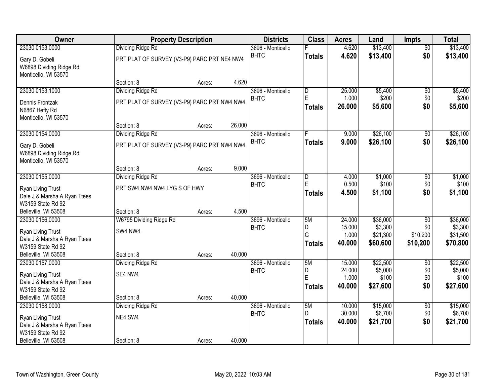| Owner                                                             |                                             | <b>Property Description</b> |        | <b>Districts</b>  | <b>Class</b>   | <b>Acres</b>    | Land                 | Impts                | <b>Total</b>         |
|-------------------------------------------------------------------|---------------------------------------------|-----------------------------|--------|-------------------|----------------|-----------------|----------------------|----------------------|----------------------|
| 23030 0153.0000                                                   | Dividing Ridge Rd                           |                             |        | 3696 - Monticello |                | 4.620           | \$13,400             | $\overline{50}$      | \$13,400             |
| Gary D. Gobeli<br>W6898 Dividing Ridge Rd<br>Monticello, WI 53570 | PRT PLAT OF SURVEY (V3-P9) PARC PRT NE4 NW4 |                             |        | <b>BHTC</b>       | <b>Totals</b>  | 4.620           | \$13,400             | \$0                  | \$13,400             |
|                                                                   | Section: 8                                  | Acres:                      | 4.620  |                   |                |                 |                      |                      |                      |
| 23030 0153.1000                                                   | <b>Dividing Ridge Rd</b>                    |                             |        | 3696 - Monticello | $\overline{D}$ | 25.000          | \$5,400              | $\overline{50}$      | \$5,400              |
| Dennis Frontzak                                                   | PRT PLAT OF SURVEY (V3-P9) PARC PRT NW4 NW4 |                             |        | <b>BHTC</b>       | E              | 1.000           | \$200                | \$0                  | \$200                |
| N6867 Hefty Rd                                                    |                                             |                             |        |                   | <b>Totals</b>  | 26.000          | \$5,600              | \$0                  | \$5,600              |
| Monticello, WI 53570                                              |                                             |                             |        |                   |                |                 |                      |                      |                      |
|                                                                   | Section: 8                                  | Acres:                      | 26.000 |                   |                |                 |                      |                      |                      |
| 23030 0154.0000                                                   | <b>Dividing Ridge Rd</b>                    |                             |        | 3696 - Monticello |                | 9.000           | \$26,100             | $\overline{50}$      | \$26,100             |
| Gary D. Gobeli                                                    | PRT PLAT OF SURVEY (V3-P9) PARC PRT NW4 NW4 |                             |        | <b>BHTC</b>       | <b>Totals</b>  | 9.000           | \$26,100             | \$0                  | \$26,100             |
| W6898 Dividing Ridge Rd                                           |                                             |                             |        |                   |                |                 |                      |                      |                      |
| Monticello, WI 53570                                              |                                             |                             |        |                   |                |                 |                      |                      |                      |
|                                                                   | Section: 8                                  | Acres:                      | 9.000  |                   |                |                 |                      |                      |                      |
| 23030 0155.0000                                                   | Dividing Ridge Rd                           |                             |        | 3696 - Monticello | D              | 4.000           | \$1,000              | \$0                  | \$1,000              |
| <b>Ryan Living Trust</b>                                          | PRT SW4 NW4 NW4 LYG S OF HWY                |                             |        | <b>BHTC</b>       | E              | 0.500           | \$100                | \$0                  | \$100                |
| Dale J & Marsha A Ryan Ttees                                      |                                             |                             |        |                   | <b>Totals</b>  | 4.500           | \$1,100              | \$0                  | \$1,100              |
| W3159 State Rd 92                                                 |                                             |                             |        |                   |                |                 |                      |                      |                      |
| Belleville, WI 53508                                              | Section: 8                                  | Acres:                      | 4.500  |                   |                |                 |                      |                      |                      |
| 23030 0156.0000                                                   | W6795 Dividing Ridge Rd                     |                             |        | 3696 - Monticello | 5M             | 24.000          | \$36,000             | $\overline{50}$      | \$36,000             |
| Ryan Living Trust                                                 | SW4 NW4                                     |                             |        | <b>BHTC</b>       | D<br>G         | 15.000          | \$3,300              | \$0                  | \$3,300              |
| Dale J & Marsha A Ryan Ttees                                      |                                             |                             |        |                   |                | 1.000<br>40.000 | \$21,300<br>\$60,600 | \$10,200<br>\$10,200 | \$31,500<br>\$70,800 |
| W3159 State Rd 92                                                 |                                             |                             |        |                   | <b>Totals</b>  |                 |                      |                      |                      |
| Belleville, WI 53508                                              | Section: 8                                  | Acres:                      | 40.000 |                   |                |                 |                      |                      |                      |
| 23030 0157.0000                                                   | Dividing Ridge Rd                           |                             |        | 3696 - Monticello | 5M             | 15.000          | \$22,500             | $\overline{50}$      | \$22,500             |
| <b>Ryan Living Trust</b>                                          | SE4 NW4                                     |                             |        | <b>BHTC</b>       | D<br>E         | 24.000<br>1.000 | \$5,000<br>\$100     | \$0<br>\$0           | \$5,000<br>\$100     |
| Dale J & Marsha A Ryan Ttees                                      |                                             |                             |        |                   | <b>Totals</b>  | 40.000          | \$27,600             | \$0                  | \$27,600             |
| W3159 State Rd 92                                                 |                                             |                             |        |                   |                |                 |                      |                      |                      |
| Belleville, WI 53508                                              | Section: 8                                  | Acres:                      | 40.000 |                   |                |                 |                      |                      |                      |
| 23030 0158.0000                                                   | Dividing Ridge Rd                           |                             |        | 3696 - Monticello | 5M             | 10.000          | \$15,000             | $\overline{50}$      | \$15,000             |
| Ryan Living Trust                                                 | NE4 SW4                                     |                             |        | <b>BHTC</b>       | D.             | 30.000          | \$6,700              | \$0                  | \$6,700              |
| Dale J & Marsha A Ryan Ttees                                      |                                             |                             |        |                   | <b>Totals</b>  | 40.000          | \$21,700             | \$0                  | \$21,700             |
| W3159 State Rd 92                                                 |                                             |                             |        |                   |                |                 |                      |                      |                      |
| Belleville, WI 53508                                              | Section: 8                                  | Acres:                      | 40.000 |                   |                |                 |                      |                      |                      |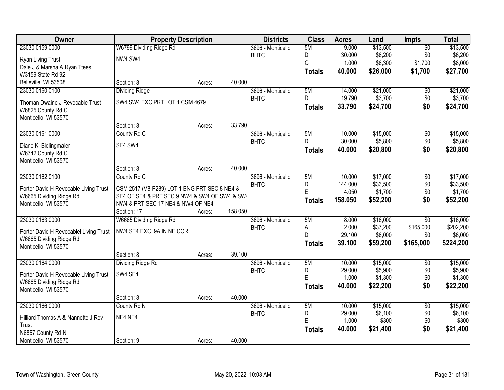| Owner                                  | <b>Property Description</b>                   |        |         | <b>Districts</b>  | <b>Class</b>  | <b>Acres</b> | Land     | <b>Impts</b>    | <b>Total</b> |
|----------------------------------------|-----------------------------------------------|--------|---------|-------------------|---------------|--------------|----------|-----------------|--------------|
| 23030 0159.0000                        | W6799 Dividing Ridge Rd                       |        |         | 3696 - Monticello | 5M            | 9.000        | \$13,500 | $\overline{50}$ | \$13,500     |
| <b>Ryan Living Trust</b>               | NW4 SW4                                       |        |         | <b>BHTC</b>       | D             | 30.000       | \$6,200  | \$0             | \$6,200      |
| Dale J & Marsha A Ryan Ttees           |                                               |        |         |                   | G             | 1.000        | \$6,300  | \$1,700         | \$8,000      |
| W3159 State Rd 92                      |                                               |        |         |                   | <b>Totals</b> | 40.000       | \$26,000 | \$1,700         | \$27,700     |
| Belleville, WI 53508                   | Section: 8                                    | Acres: | 40.000  |                   |               |              |          |                 |              |
| 23030 0160.0100                        | <b>Dividing Ridge</b>                         |        |         | 3696 - Monticello | 5M            | 14.000       | \$21,000 | \$0             | \$21,000     |
|                                        |                                               |        |         | <b>BHTC</b>       | D.            | 19.790       | \$3,700  | \$0             | \$3,700      |
| Thoman Dwaine J Revocable Trust        | SW4 SW4 EXC PRT LOT 1 CSM 4679                |        |         |                   | <b>Totals</b> | 33.790       | \$24,700 | \$0             | \$24,700     |
| W6825 County Rd C                      |                                               |        |         |                   |               |              |          |                 |              |
| Monticello, WI 53570                   |                                               |        |         |                   |               |              |          |                 |              |
|                                        | Section: 8                                    | Acres: | 33.790  |                   |               |              |          |                 |              |
| 23030 0161.0000                        | County Rd C                                   |        |         | 3696 - Monticello | 5M            | 10.000       | \$15,000 | $\overline{50}$ | \$15,000     |
| Diane K. Bidlingmaier                  | SE4 SW4                                       |        |         | <b>BHTC</b>       | D             | 30.000       | \$5,800  | \$0             | \$5,800      |
| W6742 County Rd C                      |                                               |        |         |                   | <b>Totals</b> | 40.000       | \$20,800 | \$0             | \$20,800     |
| Monticello, WI 53570                   |                                               |        |         |                   |               |              |          |                 |              |
|                                        | Section: 8                                    | Acres: | 40.000  |                   |               |              |          |                 |              |
| 23030 0162.0100                        | County Rd C                                   |        |         | 3696 - Monticello | 5M            | 10.000       | \$17,000 | \$0             | \$17,000     |
| Porter David H Revocable Living Trust  | CSM 2517 (V8-P289) LOT 1 BNG PRT SEC 8 NE4 &  |        |         | <b>BHTC</b>       | D             | 144.000      | \$33,500 | \$0             | \$33,500     |
| W6665 Dividing Ridge Rd                | SE4 OF SE4 & PRT SEC 9 NW4 & SW4 OF SW4 & SW4 |        |         |                   | E             | 4.050        | \$1,700  | \$0             | \$1,700      |
| Monticello, WI 53570                   | NW4 & PRT SEC 17 NE4 & NW4 OF NE4             |        |         |                   | <b>Totals</b> | 158.050      | \$52,200 | \$0             | \$52,200     |
|                                        | Section: 17                                   | Acres: | 158.050 |                   |               |              |          |                 |              |
| 23030 0163.0000                        | W6665 Dividing Ridge Rd                       |        |         | 3696 - Monticello | 5M            | 8.000        | \$16,000 | $\overline{30}$ | \$16,000     |
|                                        |                                               |        |         | <b>BHTC</b>       | Α             | 2.000        | \$37,200 | \$165,000       | \$202,200    |
| Porter David H Revocablel Living Trust | NW4 SE4 EXC .9A IN NE COR                     |        |         |                   | D             | 29.100       | \$6,000  | \$0             | \$6,000      |
| W6665 Dividing Ridge Rd                |                                               |        |         |                   | <b>Totals</b> | 39.100       | \$59,200 | \$165,000       | \$224,200    |
| Monticello, WI 53570                   |                                               |        |         |                   |               |              |          |                 |              |
|                                        | Section: 8                                    | Acres: | 39.100  |                   |               |              |          |                 |              |
| 23030 0164.0000                        | Dividing Ridge Rd                             |        |         | 3696 - Monticello | 5M            | 10.000       | \$15,000 | $\overline{50}$ | \$15,000     |
| Porter David H Revocable Living Trust  | SW4 SE4                                       |        |         | <b>BHTC</b>       | D<br>E        | 29.000       | \$5,900  | \$0             | \$5,900      |
| W6665 Dividing Ridge Rd                |                                               |        |         |                   |               | 1.000        | \$1,300  | \$0             | \$1,300      |
| Monticello, WI 53570                   |                                               |        |         |                   | <b>Totals</b> | 40.000       | \$22,200 | \$0             | \$22,200     |
|                                        | Section: 8                                    | Acres: | 40.000  |                   |               |              |          |                 |              |
| 23030 0166.0000                        | County Rd N                                   |        |         | 3696 - Monticello | 5M            | 10.000       | \$15,000 | $\overline{50}$ | \$15,000     |
| Hilliard Thomas A & Nannette J Rev     | NE4 NE4                                       |        |         | <b>BHTC</b>       | D             | 29.000       | \$6,100  | \$0             | \$6,100      |
| Trust                                  |                                               |        |         |                   | E             | 1.000        | \$300    | \$0             | \$300        |
| N6857 County Rd N                      |                                               |        |         |                   | <b>Totals</b> | 40.000       | \$21,400 | \$0             | \$21,400     |
| Monticello, WI 53570                   | Section: 9                                    | Acres: | 40.000  |                   |               |              |          |                 |              |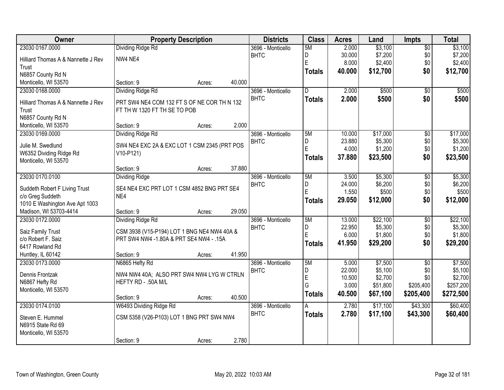| Owner                              | <b>Property Description</b>                  |        |        | <b>Districts</b>  | <b>Class</b>  | <b>Acres</b> | Land     | <b>Impts</b>    | <b>Total</b> |
|------------------------------------|----------------------------------------------|--------|--------|-------------------|---------------|--------------|----------|-----------------|--------------|
| 23030 0167.0000                    | Dividing Ridge Rd                            |        |        | 3696 - Monticello | 5M            | 2.000        | \$3,100  | $\overline{50}$ | \$3,100      |
| Hilliard Thomas A & Nannette J Rev | NW4 NE4                                      |        |        | <b>BHTC</b>       | D             | 30.000       | \$7,200  | \$0             | \$7,200      |
| Trust                              |                                              |        |        |                   | E             | 8.000        | \$2,400  | \$0             | \$2,400      |
| N6857 County Rd N                  |                                              |        |        |                   | <b>Totals</b> | 40.000       | \$12,700 | \$0             | \$12,700     |
| Monticello, WI 53570               | Section: 9                                   | Acres: | 40.000 |                   |               |              |          |                 |              |
| 23030 0168.0000                    | <b>Dividing Ridge Rd</b>                     |        |        | 3696 - Monticello | D.            | 2.000        | \$500    | \$0             | \$500        |
| Hilliard Thomas A & Nannette J Rev | PRT SW4 NE4 COM 132 FT S OF NE COR TH N 132  |        |        | <b>BHTC</b>       | <b>Totals</b> | 2.000        | \$500    | \$0             | \$500        |
| Trust                              | FT TH W 1320 FT TH SE TO POB                 |        |        |                   |               |              |          |                 |              |
| N6857 County Rd N                  |                                              |        |        |                   |               |              |          |                 |              |
| Monticello, WI 53570               | Section: 9                                   | Acres: | 2.000  |                   |               |              |          |                 |              |
| 23030 0169.0000                    | Dividing Ridge Rd                            |        |        | 3696 - Monticello | 5M            | 10.000       | \$17,000 | \$0             | \$17,000     |
| Julie M. Swedlund                  | SW4 NE4 EXC 2A & EXC LOT 1 CSM 2345 (PRT POS |        |        | <b>BHTC</b>       | D             | 23.880       | \$5,300  | \$0             | \$5,300      |
| W6352 Dividing Ridge Rd            | V10-P121)                                    |        |        |                   | E             | 4.000        | \$1,200  | \$0             | \$1,200      |
| Monticello, WI 53570               |                                              |        |        |                   | <b>Totals</b> | 37,880       | \$23,500 | \$0             | \$23,500     |
|                                    | Section: 9                                   | Acres: | 37.880 |                   |               |              |          |                 |              |
| 23030 0170.0100                    | <b>Dividing Ridge</b>                        |        |        | 3696 - Monticello | 5M            | 3.500        | \$5,300  | \$0             | \$5,300      |
| Suddeth Robert F Living Trust      | SE4 NE4 EXC PRT LOT 1 CSM 4852 BNG PRT SE4   |        |        | <b>BHTC</b>       | D             | 24.000       | \$6,200  | \$0             | \$6,200      |
| c/o Greg Suddeth                   | NE4                                          |        |        |                   | E             | 1.550        | \$500    | \$0             | \$500        |
| 1010 E Washington Ave Apt 1003     |                                              |        |        |                   | <b>Totals</b> | 29.050       | \$12,000 | \$0             | \$12,000     |
| Madison, WI 53703-4414             | Section: 9                                   | Acres: | 29.050 |                   |               |              |          |                 |              |
| 23030 0172.0000                    | Dividing Ridge Rd                            |        |        | 3696 - Monticello | 5M            | 13.000       | \$22,100 | $\overline{50}$ | \$22,100     |
| Saiz Family Trust                  | CSM 3938 (V15-P194) LOT 1 BNG NE4 NW4 40A &  |        |        | <b>BHTC</b>       | D             | 22.950       | \$5,300  | \$0             | \$5,300      |
| c/o Robert F. Saiz                 | PRT SW4 NW4 -1.80A & PRT SE4 NW4 - .15A      |        |        |                   | E             | 6.000        | \$1,800  | \$0             | \$1,800      |
| 6417 Rowland Rd                    |                                              |        |        |                   | <b>Totals</b> | 41.950       | \$29,200 | \$0             | \$29,200     |
| Huntley, IL 60142                  | Section: 9                                   | Acres: | 41.950 |                   |               |              |          |                 |              |
| 23030 0173.0000                    | N6865 Hefty Rd                               |        |        | 3696 - Monticello | 5M            | 5.000        | \$7,500  | $\overline{50}$ | \$7,500      |
| Dennis Frontzak                    | NW4 NW4 40A; ALSO PRT SW4 NW4 LYG W CTRLN    |        |        | <b>BHTC</b>       | D             | 22.000       | \$5,100  | \$0             | \$5,100      |
| N6867 Hefty Rd                     | HEFTY RD - .50A M/L                          |        |        |                   | E             | 10.500       | \$2,700  | \$0             | \$2,700      |
| Monticello, WI 53570               |                                              |        |        |                   | G             | 3.000        | \$51,800 | \$205,400       | \$257,200    |
|                                    | Section: 9                                   | Acres: | 40.500 |                   | <b>Totals</b> | 40.500       | \$67,100 | \$205,400       | \$272,500    |
| 23030 0174.0100                    | W6493 Dividing Ridge Rd                      |        |        | 3696 - Monticello | Α             | 2.780        | \$17,100 | \$43,300        | \$60,400     |
| Steven E. Hummel                   | CSM 5358 (V26-P103) LOT 1 BNG PRT SW4 NW4    |        |        | <b>BHTC</b>       | <b>Totals</b> | 2.780        | \$17,100 | \$43,300        | \$60,400     |
| N6915 State Rd 69                  |                                              |        |        |                   |               |              |          |                 |              |
| Monticello, WI 53570               |                                              |        |        |                   |               |              |          |                 |              |
|                                    | Section: 9                                   | Acres: | 2.780  |                   |               |              |          |                 |              |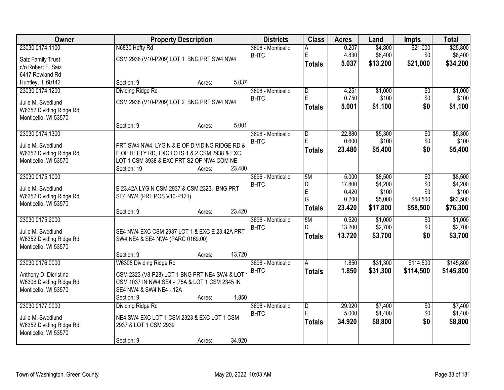| Owner                   | <b>Property Description</b>                    | <b>Districts</b>  | <b>Class</b>            | <b>Acres</b> | Land     | <b>Impts</b>    | <b>Total</b> |
|-------------------------|------------------------------------------------|-------------------|-------------------------|--------------|----------|-----------------|--------------|
| 23030 0174.1100         | N6830 Hefty Rd                                 | 3696 - Monticello | Α                       | 0.207        | \$4,800  | \$21,000        | \$25,800     |
| Saiz Family Trust       | CSM 2938 (V10-P209) LOT 1 BNG PRT SW4 NW4      | <b>BHTC</b>       | E                       | 4.830        | \$8,400  | \$0             | \$8,400      |
| c/o Robert F. Saiz      |                                                |                   | <b>Totals</b>           | 5.037        | \$13,200 | \$21,000        | \$34,200     |
| 6417 Rowland Rd         |                                                |                   |                         |              |          |                 |              |
| Huntley, IL 60142       | 5.037<br>Section: 9<br>Acres:                  |                   |                         |              |          |                 |              |
| 23030 0174.1200         | <b>Dividing Ridge Rd</b>                       | 3696 - Monticello | $\overline{\mathsf{D}}$ | 4.251        | \$1,000  | \$0             | \$1,000      |
| Julie M. Swedlund       | CSM 2938 (V10-P209) LOT 2 BNG PRT SW4 NW4      | <b>BHTC</b>       | E                       | 0.750        | \$100    | \$0             | \$100        |
| W6352 Dividing Ridge Rd |                                                |                   | <b>Totals</b>           | 5.001        | \$1,100  | \$0             | \$1,100      |
| Monticello, WI 53570    |                                                |                   |                         |              |          |                 |              |
|                         | 5.001<br>Section: 9<br>Acres:                  |                   |                         |              |          |                 |              |
| 23030 0174.1300         |                                                | 3696 - Monticello | D                       | 22.880       | \$5,300  | \$0             | \$5,300      |
| Julie M. Swedlund       | PRT SW4 NW4, LYG N & E OF DIVIDING RIDGE RD &  | <b>BHTC</b>       | E                       | 0.600        | \$100    | \$0             | \$100        |
| W6352 Dividing Ridge Rd | E OF HEFTY RD, EXC LOTS 1 & 2 CSM 2938 & EXC   |                   | <b>Totals</b>           | 23.480       | \$5,400  | \$0             | \$5,400      |
| Monticello, WI 53570    | LOT 1 CSM 3938 & EXC PRT S2 OF NW4 COM NE      |                   |                         |              |          |                 |              |
|                         | 23.480<br>Section: 19<br>Acres:                |                   |                         |              |          |                 |              |
| 23030 0175.1000         |                                                | 3696 - Monticello | 5M                      | 5.000        | \$8,500  | \$0             | \$8,500      |
| Julie M. Swedlund       | E 23.42A LYG N CSM 2937 & CSM 2323, BNG PRT    | <b>BHTC</b>       | D                       | 17.800       | \$4,200  | \$0             | \$4,200      |
| W6352 Dividing Ridge Rd | SE4 NW4 (PRT POS V10-P121)                     |                   | E                       | 0.420        | \$100    | \$0             | \$100        |
| Monticello, WI 53570    |                                                |                   | G                       | 0.200        | \$5,000  | \$58,500        | \$63,500     |
|                         | 23.420<br>Section: 9<br>Acres:                 |                   | <b>Totals</b>           | 23.420       | \$17,800 | \$58,500        | \$76,300     |
| 23030 0175.2000         |                                                | 3696 - Monticello | 5M                      | 0.520        | \$1,000  | $\overline{50}$ | \$1,000      |
| Julie M. Swedlund       | SE4 NW4 EXC CSM 2937 LOT 1 & EXC E 23.42A PRT  | <b>BHTC</b>       | D.                      | 13.200       | \$2,700  | \$0             | \$2,700      |
| W6352 Dividing Ridge Rd | SW4 NE4 & SE4 NW4 (PARC 0169.00)               |                   | <b>Totals</b>           | 13.720       | \$3,700  | \$0             | \$3,700      |
| Monticello, WI 53570    |                                                |                   |                         |              |          |                 |              |
|                         | 13.720<br>Section: 9<br>Acres:                 |                   |                         |              |          |                 |              |
| 23030 0176.0000         | W6308 Dividing Ridge Rd                        | 3696 - Monticello | A                       | 1.850        | \$31,300 | \$114,500       | \$145,800    |
| Anthony D. Dicristina   | CSM 2323 (V8-P28) LOT 1 BNG PRT NE4 SW4 & LOT  | <b>BHTC</b>       | <b>Totals</b>           | 1.850        | \$31,300 | \$114,500       | \$145,800    |
| W6308 Dividing Ridge Rd | CSM 1037 IN NW4 SE4 - .75A & LOT 1 CSM 2345 IN |                   |                         |              |          |                 |              |
| Monticello, WI 53570    | SE4 NW4 & SW4 NE4 -. 12A                       |                   |                         |              |          |                 |              |
|                         | 1.850<br>Section: 9<br>Acres:                  |                   |                         |              |          |                 |              |
| 23030 0177.0000         | Dividing Ridge Rd                              | 3696 - Monticello | $\overline{D}$          | 29.920       | \$7,400  | $\overline{50}$ | \$7,400      |
| Julie M. Swedlund       | NE4 SW4 EXC LOT 1 CSM 2323 & EXC LOT 1 CSM     | <b>BHTC</b>       | E                       | 5.000        | \$1,400  | \$0             | \$1,400      |
| W6352 Dividing Ridge Rd | 2937 & LOT 1 CSM 2939                          |                   | <b>Totals</b>           | 34.920       | \$8,800  | \$0             | \$8,800      |
| Monticello, WI 53570    |                                                |                   |                         |              |          |                 |              |
|                         | 34.920<br>Section: 9<br>Acres:                 |                   |                         |              |          |                 |              |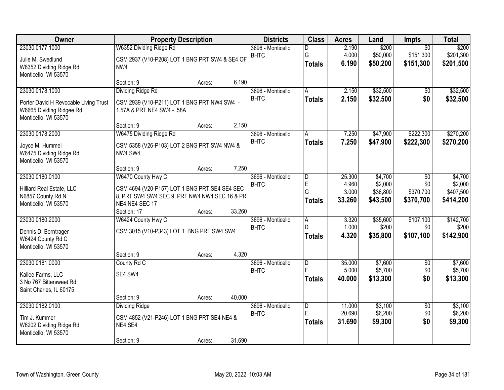| Owner                                 | <b>Property Description</b>                    |        |        | <b>Districts</b>                 | <b>Class</b>        | <b>Acres</b>     | Land               | Impts                  | <b>Total</b>       |
|---------------------------------------|------------------------------------------------|--------|--------|----------------------------------|---------------------|------------------|--------------------|------------------------|--------------------|
| 23030 0177.1000                       | W6352 Dividing Ridge Rd                        |        |        | 3696 - Monticello                | D                   | 2.190            | \$200              | $\overline{50}$        | \$200              |
| Julie M. Swedlund                     | CSM 2937 (V10-P208) LOT 1 BNG PRT SW4 & SE4 OF |        |        | <b>BHTC</b>                      | G                   | 4.000            | \$50,000           | \$151,300              | \$201,300          |
| W6352 Dividing Ridge Rd               | NW4                                            |        |        |                                  | <b>Totals</b>       | 6.190            | \$50,200           | \$151,300              | \$201,500          |
| Monticello, WI 53570                  |                                                |        |        |                                  |                     |                  |                    |                        |                    |
|                                       | Section: 9                                     | Acres: | 6.190  |                                  |                     |                  |                    |                        |                    |
| 23030 0178.1000                       | <b>Dividing Ridge Rd</b>                       |        |        | 3696 - Monticello                | A                   | 2.150            | \$32,500           | \$0                    | \$32,500           |
| Porter David H Revocable Living Trust | CSM 2939 (V10-P211) LOT 1 BNG PRT NW4 SW4 -    |        |        | <b>BHTC</b>                      | <b>Totals</b>       | 2.150            | \$32,500           | \$0                    | \$32,500           |
| W6665 Dividing Ridgee Rd              | 1.57A & PRT NE4 SW4 - .58A                     |        |        |                                  |                     |                  |                    |                        |                    |
| Monticello, WI 53570                  |                                                |        |        |                                  |                     |                  |                    |                        |                    |
|                                       | Section: 9                                     | Acres: | 2.150  |                                  |                     |                  |                    |                        |                    |
| 23030 0178.2000                       | W6475 Dividing Ridge Rd                        |        |        | 3696 - Monticello                | Α                   | 7.250            | \$47,900           | \$222,300              | \$270,200          |
| Joyce M. Hummel                       | CSM 5358 (V26-P103) LOT 2 BNG PRT SW4 NW4 &    |        |        | <b>BHTC</b>                      | <b>Totals</b>       | 7.250            | \$47,900           | \$222,300              | \$270,200          |
| W6475 Dividing Ridge Rd               | NW4 SW4                                        |        |        |                                  |                     |                  |                    |                        |                    |
| Monticello, WI 53570                  |                                                |        |        |                                  |                     |                  |                    |                        |                    |
|                                       | Section: 9                                     | Acres: | 7.250  |                                  |                     |                  |                    |                        |                    |
| 23030 0180.0100                       | W6470 County Hwy C                             |        |        | 3696 - Monticello<br><b>BHTC</b> | $\overline{D}$<br>E | 25.300<br>4.960  | \$4,700<br>\$2,000 | \$0<br>\$0             | \$4,700<br>\$2,000 |
| Hilliard Real Estate, LLC             | CSM 4694 (V20-P157) LOT 1 BNG PRT SE4 SE4 SEC  |        |        |                                  | G                   | 3.000            | \$36,800           | \$370,700              | \$407,500          |
| N6857 County Rd N                     | 8, PRT SW4 SW4 SEC 9, PRT NW4 NW4 SEC 16 & PR  |        |        |                                  | <b>Totals</b>       | 33.260           | \$43,500           | \$370,700              | \$414,200          |
| Monticello, WI 53570                  | NE4 NE4 SEC 17                                 |        |        |                                  |                     |                  |                    |                        |                    |
|                                       | Section: 17                                    | Acres: | 33.260 |                                  |                     |                  |                    |                        |                    |
| 23030 0180.2000                       | W6424 County Hwy C                             |        |        | 3696 - Monticello                | $\overline{A}$<br>D | 3.320<br>1.000   | \$35,600<br>\$200  | \$107,100<br>\$0       | \$142,700<br>\$200 |
| Dennis D. Borntrager                  | CSM 3015 (V10-P343) LOT 1 BNG PRT SW4 SW4      |        |        | <b>BHTC</b>                      |                     | 4.320            | \$35,800           | \$107,100              | \$142,900          |
| W6424 County Rd C                     |                                                |        |        |                                  | <b>Totals</b>       |                  |                    |                        |                    |
| Monticello, WI 53570                  |                                                |        |        |                                  |                     |                  |                    |                        |                    |
|                                       | Section: 9                                     | Acres: | 4.320  |                                  |                     |                  |                    |                        |                    |
| 23030 0181.0000                       | County Rd C                                    |        |        | 3696 - Monticello<br><b>BHTC</b> | $\overline{D}$<br>E | 35.000<br>5.000  | \$7,600<br>\$5,700 | $\overline{60}$<br>\$0 | \$7,600<br>\$5,700 |
| Kailee Farms, LLC                     | SE4 SW4                                        |        |        |                                  | <b>Totals</b>       | 40.000           | \$13,300           | \$0                    | \$13,300           |
| 3 No 767 Bittersweet Rd               |                                                |        |        |                                  |                     |                  |                    |                        |                    |
| Saint Charles, IL 60175               |                                                |        |        |                                  |                     |                  |                    |                        |                    |
|                                       | Section: 9                                     | Acres: | 40.000 |                                  |                     |                  |                    |                        |                    |
| 23030 0182.0100                       | <b>Dividing Ridge</b>                          |        |        | 3696 - Monticello<br><b>BHTC</b> | $\overline{D}$<br>E | 11.000<br>20.690 | \$3,100<br>\$6,200 | $\overline{50}$<br>\$0 | \$3,100<br>\$6,200 |
| Tim J. Kummer                         | CSM 4852 (V21-P246) LOT 1 BNG PRT SE4 NE4 &    |        |        |                                  | <b>Totals</b>       | 31.690           | \$9,300            | \$0                    | \$9,300            |
| W6202 Dividing Ridge Rd               | NE4 SE4                                        |        |        |                                  |                     |                  |                    |                        |                    |
| Monticello, WI 53570                  |                                                |        |        |                                  |                     |                  |                    |                        |                    |
|                                       | Section: 9                                     | Acres: | 31.690 |                                  |                     |                  |                    |                        |                    |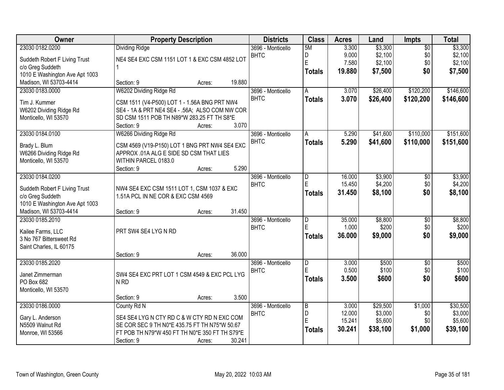| Owner                          | <b>Property Description</b>                    |        |        | <b>Districts</b>  | <b>Class</b>            | <b>Acres</b> | Land     | Impts           | <b>Total</b> |
|--------------------------------|------------------------------------------------|--------|--------|-------------------|-------------------------|--------------|----------|-----------------|--------------|
| 23030 0182.0200                | <b>Dividing Ridge</b>                          |        |        | 3696 - Monticello | 5M                      | 3.300        | \$3,300  | $\overline{50}$ | \$3,300      |
| Suddeth Robert F Living Trust  | NE4 SE4 EXC CSM 1151 LOT 1 & EXC CSM 4852 LOT  |        |        | <b>BHTC</b>       | D                       | 9.000        | \$2,100  | \$0             | \$2,100      |
| c/o Greg Suddeth               |                                                |        |        |                   | Ė                       | 7.580        | \$2,100  | \$0             | \$2,100      |
| 1010 E Washington Ave Apt 1003 |                                                |        |        |                   | <b>Totals</b>           | 19,880       | \$7,500  | \$0             | \$7,500      |
| Madison, WI 53703-4414         | Section: 9                                     | Acres: | 19.880 |                   |                         |              |          |                 |              |
| 23030 0183.0000                | W6202 Dividing Ridge Rd                        |        |        | 3696 - Monticello | A                       | 3.070        | \$26,400 | \$120,200       | \$146,600    |
| Tim J. Kummer                  | CSM 1511 (V4-P500) LOT 1 - 1.56A BNG PRT NW4   |        |        | <b>BHTC</b>       | <b>Totals</b>           | 3.070        | \$26,400 | \$120,200       | \$146,600    |
| W6202 Dividing Ridge Rd        | SE4 - 1A & PRT NE4 SE4 - .56A; ALSO COM NW COR |        |        |                   |                         |              |          |                 |              |
| Monticello, WI 53570           | SD CSM 1511 POB TH N89*W 283.25 FT TH S8*E     |        |        |                   |                         |              |          |                 |              |
|                                | Section: 9                                     | Acres: | 3.070  |                   |                         |              |          |                 |              |
| 23030 0184.0100                | W6266 Dividing Ridge Rd                        |        |        | 3696 - Monticello | A                       | 5.290        | \$41,600 | \$110,000       | \$151,600    |
| Brady L. Blum                  | CSM 4569 (V19-P150) LOT 1 BNG PRT NW4 SE4 EXC  |        |        | <b>BHTC</b>       | <b>Totals</b>           | 5.290        | \$41,600 | \$110,000       | \$151,600    |
| W6266 Dividing Ridge Rd        | APPROX .01A ALG E SIDE SD CSM THAT LIES        |        |        |                   |                         |              |          |                 |              |
| Monticello, WI 53570           | WITHIN PARCEL 0183.0                           |        |        |                   |                         |              |          |                 |              |
|                                | Section: 9                                     | Acres: | 5.290  |                   |                         |              |          |                 |              |
| 23030 0184.0200                |                                                |        |        | 3696 - Monticello | D                       | 16.000       | \$3,900  | \$0             | \$3,900      |
| Suddeth Robert F Living Trust  | NW4 SE4 EXC CSM 1511 LOT 1, CSM 1037 & EXC     |        |        | <b>BHTC</b>       | E                       | 15.450       | \$4,200  | \$0             | \$4,200      |
| c/o Greg Suddeth               | 1.51A PCL IN NE COR & EXC CSM 4569             |        |        |                   | <b>Totals</b>           | 31.450       | \$8,100  | \$0             | \$8,100      |
| 1010 E Washington Ave Apt 1003 |                                                |        |        |                   |                         |              |          |                 |              |
| Madison, WI 53703-4414         | Section: 9                                     | Acres: | 31.450 |                   |                         |              |          |                 |              |
| 23030 0185.2010                |                                                |        |        | 3696 - Monticello | $\overline{\mathsf{D}}$ | 35.000       | \$8,800  | $\overline{50}$ | \$8,800      |
| Kailee Farms, LLC              | PRT SW4 SE4 LYG N RD                           |        |        | <b>BHTC</b>       | Ē                       | 1.000        | \$200    | \$0             | \$200        |
| 3 No 767 Bittersweet Rd        |                                                |        |        |                   | <b>Totals</b>           | 36.000       | \$9,000  | \$0             | \$9,000      |
| Saint Charles, IL 60175        |                                                |        |        |                   |                         |              |          |                 |              |
|                                | Section: 9                                     | Acres: | 36.000 |                   |                         |              |          |                 |              |
| 23030 0185.2020                |                                                |        |        | 3696 - Monticello | $\overline{\mathsf{D}}$ | 3.000        | \$500    | $\overline{50}$ | \$500        |
| Janet Zimmerman                | SW4 SE4 EXC PRT LOT 1 CSM 4549 & EXC PCL LYG   |        |        | <b>BHTC</b>       | Ė                       | 0.500        | \$100    | \$0             | \$100        |
| PO Box 682                     | N <sub>RD</sub>                                |        |        |                   | <b>Totals</b>           | 3.500        | \$600    | \$0             | \$600        |
| Monticello, WI 53570           |                                                |        |        |                   |                         |              |          |                 |              |
|                                | Section: 9                                     | Acres: | 3.500  |                   |                         |              |          |                 |              |
| 23030 0186.0000                | County Rd N                                    |        |        | 3696 - Monticello | $\overline{B}$          | 3.000        | \$29,500 | \$1,000         | \$30,500     |
| Gary L. Anderson               | SE4 SE4 LYG N CTY RD C & W CTY RD N EXC COM    |        |        | <b>BHTC</b>       | D                       | 12.000       | \$3,000  | \$0             | \$3,000      |
| N5509 Walnut Rd                | SE COR SEC 9 TH N0*E 435.75 FT TH N75*W 50.67  |        |        |                   | E                       | 15.241       | \$5,600  | \$0             | \$5,600      |
| Monroe, WI 53566               | FT POB TH N79*W 450 FT TH N0*E 350 FT TH S79*E |        |        |                   | <b>Totals</b>           | 30.241       | \$38,100 | \$1,000         | \$39,100     |
|                                | Section: 9                                     | Acres: | 30.241 |                   |                         |              |          |                 |              |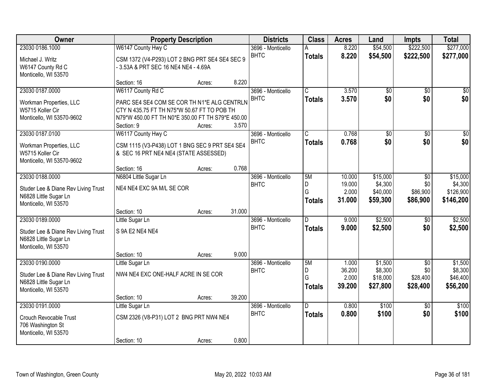| Owner                                         |                                                   | <b>Property Description</b> |        | <b>Districts</b>                 | <b>Class</b>          | <b>Acres</b> | Land            | <b>Impts</b>    | <b>Total</b>           |
|-----------------------------------------------|---------------------------------------------------|-----------------------------|--------|----------------------------------|-----------------------|--------------|-----------------|-----------------|------------------------|
| 23030 0186.1000                               | W6147 County Hwy C                                |                             |        | 3696 - Monticello                | А                     | 8.220        | \$54,500        | \$222,500       | \$277,000              |
| Michael J. Writz                              | CSM 1372 (V4-P293) LOT 2 BNG PRT SE4 SE4 SEC 9    |                             |        | <b>BHTC</b>                      | <b>Totals</b>         | 8.220        | \$54,500        | \$222,500       | \$277,000              |
| W6147 County Rd C                             | - 3.53A & PRT SEC 16 NE4 NE4 - 4.69A              |                             |        |                                  |                       |              |                 |                 |                        |
| Monticello, WI 53570                          |                                                   |                             |        |                                  |                       |              |                 |                 |                        |
|                                               | Section: 16                                       | Acres:                      | 8.220  |                                  |                       |              |                 |                 |                        |
| 23030 0187.0000                               | W6117 County Rd C                                 |                             |        | 3696 - Monticello                | $\overline{\text{c}}$ | 3.570        | $\overline{50}$ | $\overline{30}$ | $\sqrt{50}$            |
| Workman Properties, LLC                       | PARC SE4 SE4 COM SE COR TH N1*E ALG CENTRLN       |                             |        | <b>BHTC</b>                      | <b>Totals</b>         | 3.570        | \$0             | \$0             | \$0                    |
| W5715 Koller Cir                              | CTY N 435.75 FT TH N75*W 50.67 FT TO POB TH       |                             |        |                                  |                       |              |                 |                 |                        |
| Monticello, WI 53570-9602                     | N79*W 450.00 FT TH N0*E 350.00 FT TH S79*E 450.00 |                             |        |                                  |                       |              |                 |                 |                        |
|                                               | Section: 9                                        | Acres:                      | 3.570  |                                  |                       |              |                 |                 |                        |
| 23030 0187.0100                               | W6117 County Hwy C                                |                             |        | 3696 - Monticello<br><b>BHTC</b> | C                     | 0.768        | \$0<br>\$0      | \$0<br>\$0      | $\overline{30}$<br>\$0 |
| Workman Properties, LLC                       | CSM 1115 (V3-P438) LOT 1 BNG SEC 9 PRT SE4 SE4    |                             |        |                                  | <b>Totals</b>         | 0.768        |                 |                 |                        |
| W5715 Koller Cir                              | & SEC 16 PRT NE4 NE4 (STATE ASSESSED)             |                             |        |                                  |                       |              |                 |                 |                        |
| Monticello, WI 53570-9602                     |                                                   |                             | 0.768  |                                  |                       |              |                 |                 |                        |
| 23030 0188.0000                               | Section: 16<br>N6804 Little Sugar Ln              | Acres:                      |        | 3696 - Monticello                | 5M                    | 10.000       | \$15,000        | \$0             | \$15,000               |
|                                               |                                                   |                             |        | <b>BHTC</b>                      | D                     | 19.000       | \$4,300         | \$0             | \$4,300                |
| Studer Lee & Diane Rev Living Trust           | NE4 NE4 EXC 9A M/L SE COR                         |                             |        |                                  | G                     | 2.000        | \$40,000        | \$86,900        | \$126,900              |
| N6828 Little Sugar Ln                         |                                                   |                             |        |                                  | <b>Totals</b>         | 31.000       | \$59,300        | \$86,900        | \$146,200              |
| Monticello, WI 53570                          | Section: 10                                       | Acres:                      | 31.000 |                                  |                       |              |                 |                 |                        |
| 23030 0189.0000                               | Little Sugar Ln                                   |                             |        | 3696 - Monticello                | n.                    | 9.000        | \$2,500         | $\overline{50}$ | \$2,500                |
|                                               |                                                   |                             |        | <b>BHTC</b>                      | <b>Totals</b>         | 9.000        | \$2,500         | \$0             | \$2,500                |
| Studer Lee & Diane Rev Living Trust           | S 9A E2 NE4 NE4                                   |                             |        |                                  |                       |              |                 |                 |                        |
| N6828 Little Sugar Ln<br>Monticello, WI 53570 |                                                   |                             |        |                                  |                       |              |                 |                 |                        |
|                                               | Section: 10                                       | Acres:                      | 9.000  |                                  |                       |              |                 |                 |                        |
| 23030 0190.0000                               | Little Sugar Ln                                   |                             |        | 3696 - Monticello                | 5M                    | 1.000        | \$1,500         | $\overline{50}$ | \$1,500                |
| Studer Lee & Diane Rev Living Trust           | NW4 NE4 EXC ONE-HALF ACRE IN SE COR               |                             |        | <b>BHTC</b>                      | D                     | 36.200       | \$8,300         | \$0             | \$8,300                |
| N6828 Little Sugar Ln                         |                                                   |                             |        |                                  | Ġ                     | 2.000        | \$18,000        | \$28,400        | \$46,400               |
| Monticello, WI 53570                          |                                                   |                             |        |                                  | <b>Totals</b>         | 39.200       | \$27,800        | \$28,400        | \$56,200               |
|                                               | Section: 10                                       | Acres:                      | 39.200 |                                  |                       |              |                 |                 |                        |
| 23030 0191.0000                               | Little Sugar Ln                                   |                             |        | 3696 - Monticello                | D.                    | 0.800        | \$100           | $\overline{30}$ | \$100                  |
| <b>Crouch Revocable Trust</b>                 | CSM 2326 (V8-P31) LOT 2 BNG PRT NW4 NE4           |                             |        | <b>BHTC</b>                      | <b>Totals</b>         | 0.800        | \$100           | \$0             | \$100                  |
| 706 Washington St                             |                                                   |                             |        |                                  |                       |              |                 |                 |                        |
| Monticello, WI 53570                          |                                                   |                             |        |                                  |                       |              |                 |                 |                        |
|                                               | Section: 10                                       | Acres:                      | 0.800  |                                  |                       |              |                 |                 |                        |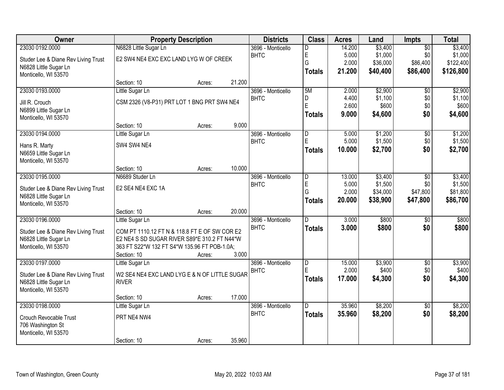| <b>Owner</b>                        |                                               | <b>Property Description</b> |        | <b>Districts</b>  | <b>Class</b>                 | <b>Acres</b>    | Land                 | Impts                | <b>Total</b>         |
|-------------------------------------|-----------------------------------------------|-----------------------------|--------|-------------------|------------------------------|-----------------|----------------------|----------------------|----------------------|
| 23030 0192.0000                     | N6828 Little Sugar Ln                         |                             |        | 3696 - Monticello | D                            | 14.200          | \$3,400              | $\overline{50}$      | \$3,400              |
| Studer Lee & Diane Rev Living Trust | E2 SW4 NE4 EXC EXC LAND LYG W OF CREEK        |                             |        | <b>BHTC</b>       | E                            | 5.000           | \$1,000              | \$0                  | \$1,000              |
| N6828 Little Sugar Ln               |                                               |                             |        |                   | G                            | 2.000           | \$36,000             | \$86,400             | \$122,400            |
| Monticello, WI 53570                |                                               |                             |        |                   | <b>Totals</b>                | 21.200          | \$40,400             | \$86,400             | \$126,800            |
|                                     | Section: 10                                   | Acres:                      | 21.200 |                   |                              |                 |                      |                      |                      |
| 23030 0193.0000                     | Little Sugar Ln                               |                             |        | 3696 - Monticello | 5M                           | 2.000           | \$2,900              | $\overline{50}$      | \$2,900              |
| Jill R. Crouch                      | CSM 2326 (V8-P31) PRT LOT 1 BNG PRT SW4 NE4   |                             |        | <b>BHTC</b>       | D<br>E                       | 4.400           | \$1,100              | \$0                  | \$1,100              |
| N6899 Little Sugar Ln               |                                               |                             |        |                   |                              | 2.600           | \$600                | \$0                  | \$600                |
| Monticello, WI 53570                |                                               |                             |        |                   | <b>Totals</b>                | 9.000           | \$4,600              | \$0                  | \$4,600              |
|                                     | Section: 10                                   | Acres:                      | 9.000  |                   |                              |                 |                      |                      |                      |
| 23030 0194.0000                     | Little Sugar Ln                               |                             |        | 3696 - Monticello | D                            | 5.000           | \$1,200              | \$0                  | \$1,200              |
| Hans R. Marty                       | SW4 SW4 NE4                                   |                             |        | <b>BHTC</b>       | E                            | 5.000           | \$1,500              | \$0                  | \$1,500              |
| N6659 Little Sugar Ln               |                                               |                             |        |                   | <b>Totals</b>                | 10.000          | \$2,700              | \$0                  | \$2,700              |
| Monticello, WI 53570                |                                               |                             |        |                   |                              |                 |                      |                      |                      |
|                                     | Section: 10                                   | Acres:                      | 10.000 |                   |                              |                 |                      |                      |                      |
| 23030 0195.0000                     | N6689 Studer Ln                               |                             |        | 3696 - Monticello | $\overline{D}$               | 13.000          | \$3,400              | \$0                  | \$3,400              |
| Studer Lee & Diane Rev Living Trust | E2 SE4 NE4 EXC 1A                             |                             |        | <b>BHTC</b>       | E                            | 5.000<br>2.000  | \$1,500              | \$0                  | \$1,500              |
| N6828 Little Sugar Ln               |                                               |                             |        |                   | G<br><b>Totals</b>           | 20.000          | \$34,000<br>\$38,900 | \$47,800<br>\$47,800 | \$81,800<br>\$86,700 |
| Monticello, WI 53570                |                                               |                             |        |                   |                              |                 |                      |                      |                      |
|                                     | Section: 10                                   | Acres:                      | 20.000 |                   |                              |                 |                      |                      |                      |
| 23030 0196.0000                     | Little Sugar Ln                               |                             |        | 3696 - Monticello | D.                           | 3.000           | \$800                | $\overline{50}$      | \$800                |
| Studer Lee & Diane Rev Living Trust | COM PT 1110.12 FT N & 118.8 FT E OF SW COR E2 |                             |        | <b>BHTC</b>       | <b>Totals</b>                | 3.000           | \$800                | \$0                  | \$800                |
| N6828 Little Sugar Ln               | E2 NE4 S SD SUGAR RIVER S89*E 310.2 FT N44*W  |                             |        |                   |                              |                 |                      |                      |                      |
| Monticello, WI 53570                | 363 FT S22*W 132 FT S4*W 135.96 FT POB-1.0A;  |                             |        |                   |                              |                 |                      |                      |                      |
|                                     | Section: 10                                   | Acres:                      | 3.000  |                   |                              |                 |                      |                      |                      |
| 23030 0197.0000                     | Little Sugar Ln                               |                             |        | 3696 - Monticello | $\overline{\mathsf{D}}$<br>E | 15.000          | \$3,900              | $\overline{50}$      | \$3,900              |
| Studer Lee & Diane Rev Living Trust | W2 SE4 NE4 EXC LAND LYG E & N OF LITTLE SUGAR |                             |        | <b>BHTC</b>       |                              | 2.000<br>17,000 | \$400                | \$0<br>\$0           | \$400                |
| N6828 Little Sugar Ln               | <b>RIVER</b>                                  |                             |        |                   | <b>Totals</b>                |                 | \$4,300              |                      | \$4,300              |
| Monticello, WI 53570                |                                               |                             |        |                   |                              |                 |                      |                      |                      |
|                                     | Section: 10                                   | Acres:                      | 17.000 |                   |                              |                 |                      |                      |                      |
| 23030 0198.0000                     | Little Sugar Ln                               |                             |        | 3696 - Monticello | D                            | 35,960          | \$8,200              | $\overline{50}$      | \$8,200              |
| <b>Crouch Revocable Trust</b>       | PRT NE4 NW4                                   |                             |        | <b>BHTC</b>       | <b>Totals</b>                | 35.960          | \$8,200              | \$0                  | \$8,200              |
| 706 Washington St                   |                                               |                             |        |                   |                              |                 |                      |                      |                      |
| Monticello, WI 53570                |                                               |                             |        |                   |                              |                 |                      |                      |                      |
|                                     | Section: 10                                   | Acres:                      | 35.960 |                   |                              |                 |                      |                      |                      |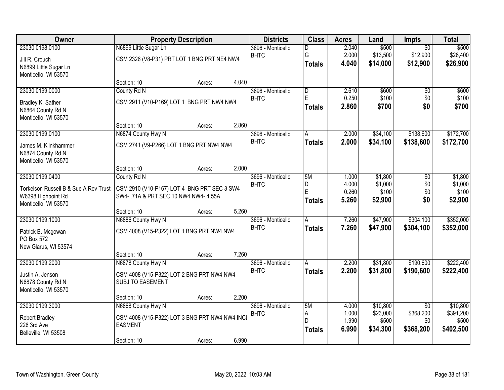| Owner                                      | <b>Property Description</b>                                                        |                 | <b>Districts</b>                 | <b>Class</b>                 | <b>Acres</b>   | Land              | <b>Impts</b>     | <b>Total</b>       |
|--------------------------------------------|------------------------------------------------------------------------------------|-----------------|----------------------------------|------------------------------|----------------|-------------------|------------------|--------------------|
| 23030 0198.0100                            | N6899 Little Sugar Ln                                                              |                 | 3696 - Monticello                | D                            | 2.040          | \$500             | $\overline{50}$  | \$500              |
| Jill R. Crouch                             | CSM 2326 (V8-P31) PRT LOT 1 BNG PRT NE4 NW4                                        |                 | <b>BHTC</b>                      | G                            | 2.000          | \$13,500          | \$12,900         | \$26,400           |
| N6899 Little Sugar Ln                      |                                                                                    |                 |                                  | <b>Totals</b>                | 4.040          | \$14,000          | \$12,900         | \$26,900           |
| Monticello, WI 53570                       |                                                                                    |                 |                                  |                              |                |                   |                  |                    |
|                                            | Section: 10                                                                        | 4.040<br>Acres: |                                  |                              |                |                   |                  |                    |
| 23030 0199.0000                            | County Rd N                                                                        |                 | 3696 - Monticello                | $\overline{\mathsf{D}}$<br>E | 2.610          | \$600             | \$0              | \$600<br>\$100     |
| Bradley K. Sather                          | CSM 2911 (V10-P169) LOT 1 BNG PRT NW4 NW4                                          |                 | <b>BHTC</b>                      |                              | 0.250<br>2.860 | \$100<br>\$700    | \$0<br>\$0       | \$700              |
| N6864 County Rd N                          |                                                                                    |                 |                                  | <b>Totals</b>                |                |                   |                  |                    |
| Monticello, WI 53570                       |                                                                                    |                 |                                  |                              |                |                   |                  |                    |
| 23030 0199.0100                            | Section: 10                                                                        | 2.860<br>Acres: |                                  |                              | 2.000          | \$34,100          | \$138,600        | \$172,700          |
|                                            | N6874 County Hwy N                                                                 |                 | 3696 - Monticello<br><b>BHTC</b> | A<br><b>Totals</b>           | 2.000          | \$34,100          | \$138,600        | \$172,700          |
| James M. Klinkhammer                       | CSM 2741 (V9-P266) LOT 1 BNG PRT NW4 NW4                                           |                 |                                  |                              |                |                   |                  |                    |
| N6874 County Rd N                          |                                                                                    |                 |                                  |                              |                |                   |                  |                    |
| Monticello, WI 53570                       | Section: 10                                                                        | 2.000<br>Acres: |                                  |                              |                |                   |                  |                    |
| 23030 0199.0400                            | County Rd N                                                                        |                 | 3696 - Monticello                | 5M                           | 1.000          | \$1,800           | \$0              | \$1,800            |
|                                            |                                                                                    |                 | <b>BHTC</b>                      | D                            | 4.000          | \$1,000           | \$0              | \$1,000            |
| Torkelson Russell B & Sue A Rev Trust      | CSM 2910 (V10-P167) LOT 4 BNG PRT SEC 3 SW4<br>SW4-.71A & PRT SEC 10 NW4 NW4-4.55A |                 |                                  | E                            | 0.260          | \$100             | \$0              | \$100              |
| W6398 Highpoint Rd<br>Monticello, WI 53570 |                                                                                    |                 |                                  | <b>Totals</b>                | 5.260          | \$2,900           | \$0              | \$2,900            |
|                                            | Section: 10                                                                        | 5.260<br>Acres: |                                  |                              |                |                   |                  |                    |
| 23030 0199.1000                            | N6886 County Hwy N                                                                 |                 | 3696 - Monticello                | $\overline{A}$               | 7.260          | \$47,900          | \$304,100        | \$352,000          |
| Patrick B. Mcgowan                         | CSM 4008 (V15-P322) LOT 1 BNG PRT NW4 NW4                                          |                 | <b>BHTC</b>                      | <b>Totals</b>                | 7.260          | \$47,900          | \$304,100        | \$352,000          |
| PO Box 572                                 |                                                                                    |                 |                                  |                              |                |                   |                  |                    |
| New Glarus, WI 53574                       |                                                                                    |                 |                                  |                              |                |                   |                  |                    |
|                                            | Section: 10                                                                        | 7.260<br>Acres: |                                  |                              |                |                   |                  |                    |
| 23030 0199.2000                            | N6878 County Hwy N                                                                 |                 | 3696 - Monticello                | Α                            | 2.200          | \$31,800          | \$190,600        | \$222,400          |
| Justin A. Jenson                           | CSM 4008 (V15-P322) LOT 2 BNG PRT NW4 NW4                                          |                 | <b>BHTC</b>                      | <b>Totals</b>                | 2.200          | \$31,800          | \$190,600        | \$222,400          |
| N6878 County Rd N                          | <b>SUBJ TO EASEMENT</b>                                                            |                 |                                  |                              |                |                   |                  |                    |
| Monticello, WI 53570                       |                                                                                    |                 |                                  |                              |                |                   |                  |                    |
|                                            | Section: 10                                                                        | 2.200<br>Acres: |                                  |                              |                |                   |                  |                    |
| 23030 0199.3000                            | N6868 County Hwy N                                                                 |                 | 3696 - Monticello                | 5M                           | 4.000<br>1.000 | \$10,800          | $\overline{30}$  | \$10,800           |
| Robert Bradley                             | CSM 4008 (V15-P322) LOT 3 BNG PRT NW4 NW4 INCL                                     |                 | <b>BHTC</b>                      | А<br>D                       | 1.990          | \$23,000<br>\$500 | \$368,200<br>\$0 | \$391,200<br>\$500 |
| 226 3rd Ave                                | <b>EASMENT</b>                                                                     |                 |                                  | <b>Totals</b>                | 6.990          | \$34,300          | \$368,200        | \$402,500          |
| Belleville, WI 53508                       |                                                                                    |                 |                                  |                              |                |                   |                  |                    |
|                                            | Section: 10                                                                        | 6.990<br>Acres: |                                  |                              |                |                   |                  |                    |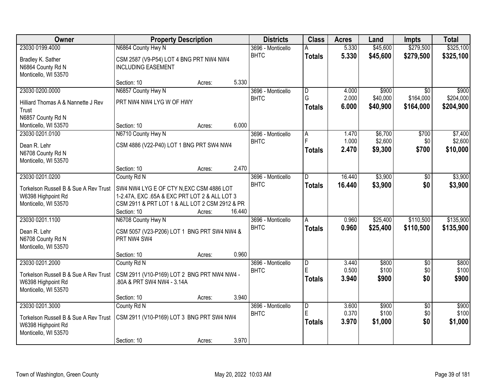| Owner                                                          | <b>Property Description</b>                                          | <b>Districts</b>  | <b>Class</b>       | <b>Acres</b>   | Land                 | <b>Impts</b>           | <b>Total</b>           |
|----------------------------------------------------------------|----------------------------------------------------------------------|-------------------|--------------------|----------------|----------------------|------------------------|------------------------|
| 23030 0199.4000                                                | N6864 County Hwy N                                                   | 3696 - Monticello | А                  | 5.330          | \$45,600             | \$279,500              | \$325,100              |
| Bradley K. Sather<br>N6864 County Rd N<br>Monticello, WI 53570 | CSM 2587 (V9-P54) LOT 4 BNG PRT NW4 NW4<br><b>INCLUDING EASEMENT</b> | <b>BHTC</b>       | <b>Totals</b>      | 5.330          | \$45,600             | \$279,500              | \$325,100              |
|                                                                | 5.330<br>Section: 10<br>Acres:                                       |                   |                    |                |                      |                        |                        |
| 23030 0200.0000                                                | N6857 County Hwy N                                                   | 3696 - Monticello | D                  | 4.000          | \$900                | $\overline{50}$        | \$900                  |
| Hilliard Thomas A & Nannette J Rev<br>Trust                    | PRT NW4 NW4 LYG W OF HWY                                             | <b>BHTC</b>       | Ġ<br><b>Totals</b> | 2.000<br>6.000 | \$40,000<br>\$40,900 | \$164,000<br>\$164,000 | \$204,000<br>\$204,900 |
| N6857 County Rd N                                              |                                                                      |                   |                    |                |                      |                        |                        |
| Monticello, WI 53570                                           | 6.000<br>Section: 10<br>Acres:                                       |                   |                    |                |                      |                        |                        |
| 23030 0201.0100                                                | N6710 County Hwy N                                                   | 3696 - Monticello | $\overline{A}$     | 1.470          | \$6,700              | \$700                  | \$7,400                |
| Dean R. Lehr                                                   | CSM 4886 (V22-P40) LOT 1 BNG PRT SW4 NW4                             | <b>BHTC</b>       |                    | 1.000          | \$2,600              | \$0                    | \$2,600                |
| N6708 County Rd N<br>Monticello, WI 53570                      |                                                                      |                   | <b>Totals</b>      | 2.470          | \$9,300              | \$700                  | \$10,000               |
|                                                                | 2.470<br>Section: 10<br>Acres:                                       |                   |                    |                |                      |                        |                        |
| 23030 0201.0200                                                | County Rd N                                                          | 3696 - Monticello | D                  | 16.440         | \$3,900              | \$0                    | \$3,900                |
| Torkelson Russell B & Sue A Rev Trust                          | SW4 NW4 LYG E OF CTY N, EXC CSM 4886 LOT                             | <b>BHTC</b>       | <b>Totals</b>      | 16.440         | \$3,900              | \$0                    | \$3,900                |
| W6398 Highpoint Rd                                             | 1-2.47A, EXC .65A & EXC PRT LOT 2 & ALL LOT 3                        |                   |                    |                |                      |                        |                        |
| Monticello, WI 53570                                           | CSM 2911 & PRT LOT 1 & ALL LOT 2 CSM 2912 & PR                       |                   |                    |                |                      |                        |                        |
|                                                                | Section: 10<br>16.440<br>Acres:                                      |                   |                    |                |                      |                        |                        |
| 23030 0201.1100                                                | N6708 County Hwy N                                                   | 3696 - Monticello | A                  | 0.960          | \$25,400             | \$110,500              | \$135,900              |
| Dean R. Lehr                                                   | CSM 5057 (V23-P206) LOT 1 BNG PRT SW4 NW4 &                          | <b>BHTC</b>       | <b>Totals</b>      | 0.960          | \$25,400             | \$110,500              | \$135,900              |
| N6708 County Rd N                                              | PRT NW4 SW4                                                          |                   |                    |                |                      |                        |                        |
| Monticello, WI 53570                                           |                                                                      |                   |                    |                |                      |                        |                        |
|                                                                | 0.960<br>Section: 10<br>Acres:                                       |                   |                    |                |                      |                        |                        |
| 23030 0201.2000                                                | County Rd N                                                          | 3696 - Monticello | D                  | 3.440          | \$800                | $\overline{50}$        | \$800                  |
| Torkelson Russell B & Sue A Rev Trust                          | CSM 2911 (V10-P169) LOT 2 BNG PRT NW4 NW4 -                          | <b>BHTC</b>       | E.                 | 0.500          | \$100                | \$0                    | \$100                  |
| W6398 Highpoint Rd                                             | 80A & PRT SW4 NW4 - 3.14A                                            |                   | <b>Totals</b>      | 3.940          | \$900                | \$0                    | \$900                  |
| Monticello, WI 53570                                           |                                                                      |                   |                    |                |                      |                        |                        |
|                                                                | 3.940<br>Section: 10<br>Acres:                                       |                   |                    |                |                      |                        |                        |
| 23030 0201.3000                                                | County Rd N                                                          | 3696 - Monticello | $\overline{D}$     | 3.600          | \$900                | $\overline{30}$        | \$900                  |
| Torkelson Russell B & Sue A Rev Trust                          | CSM 2911 (V10-P169) LOT 3 BNG PRT SW4 NW4                            | <b>BHTC</b>       | E                  | 0.370          | \$100                | \$0                    | \$100                  |
| W6398 Highpoint Rd                                             |                                                                      |                   | <b>Totals</b>      | 3.970          | \$1,000              | \$0                    | \$1,000                |
| Monticello, WI 53570                                           |                                                                      |                   |                    |                |                      |                        |                        |
|                                                                | 3.970<br>Section: 10<br>Acres:                                       |                   |                    |                |                      |                        |                        |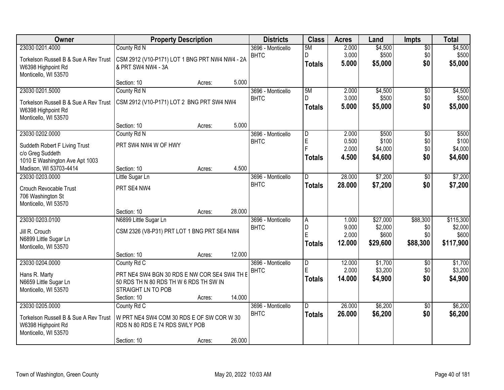| Owner                                 | <b>Property Description</b>                    |        |        | <b>Districts</b>  | <b>Class</b>            | <b>Acres</b> | Land     | <b>Impts</b>    | <b>Total</b> |
|---------------------------------------|------------------------------------------------|--------|--------|-------------------|-------------------------|--------------|----------|-----------------|--------------|
| 23030 0201.4000                       | County Rd N                                    |        |        | 3696 - Monticello | 5M                      | 2.000        | \$4,500  | \$0             | \$4,500      |
| Torkelson Russell B & Sue A Rev Trust | CSM 2912 (V10-P171) LOT 1 BNG PRT NW4 NW4 - 2A |        |        | <b>BHTC</b>       | D.                      | 3.000        | \$500    | \$0             | \$500        |
| W6398 Highpoint Rd                    | & PRT SW4 NW4 - 3A                             |        |        |                   | <b>Totals</b>           | 5.000        | \$5,000  | \$0             | \$5,000      |
| Monticello, WI 53570                  |                                                |        |        |                   |                         |              |          |                 |              |
|                                       | Section: 10                                    | Acres: | 5.000  |                   |                         |              |          |                 |              |
| 23030 0201.5000                       | County Rd N                                    |        |        | 3696 - Monticello | 5M                      | 2.000        | \$4,500  | \$0             | \$4,500      |
| Torkelson Russell B & Sue A Rev Trust | CSM 2912 (V10-P171) LOT 2 BNG PRT SW4 NW4      |        |        | <b>BHTC</b>       | $\Gamma$                | 3.000        | \$500    | \$0             | \$500        |
| W6398 Highpoint Rd                    |                                                |        |        |                   | <b>Totals</b>           | 5.000        | \$5,000  | \$0             | \$5,000      |
| Monticello, WI 53570                  |                                                |        |        |                   |                         |              |          |                 |              |
|                                       | Section: 10                                    | Acres: | 5.000  |                   |                         |              |          |                 |              |
| 23030 0202.0000                       | County Rd N                                    |        |        | 3696 - Monticello | D                       | 2.000        | \$500    | \$0             | \$500        |
| Suddeth Robert F Living Trust         | PRT SW4 NW4 W OF HWY                           |        |        | <b>BHTC</b>       | E<br>Е                  | 0.500        | \$100    | \$0             | \$100        |
| c/o Greg Suddeth                      |                                                |        |        |                   |                         | 2.000        | \$4,000  | \$0             | \$4,000      |
| 1010 E Washington Ave Apt 1003        |                                                |        |        |                   | <b>Totals</b>           | 4.500        | \$4,600  | \$0             | \$4,600      |
| Madison, WI 53703-4414                | Section: 10                                    | Acres: | 4.500  |                   |                         |              |          |                 |              |
| 23030 0203.0000                       | Little Sugar Ln                                |        |        | 3696 - Monticello | ID.                     | 28.000       | \$7,200  | $\sqrt[6]{3}$   | \$7,200      |
| Crouch Revocable Trust                | PRT SE4 NW4                                    |        |        | <b>BHTC</b>       | <b>Totals</b>           | 28.000       | \$7,200  | \$0             | \$7,200      |
| 706 Washington St                     |                                                |        |        |                   |                         |              |          |                 |              |
| Monticello, WI 53570                  |                                                |        |        |                   |                         |              |          |                 |              |
|                                       | Section: 10                                    | Acres: | 28.000 |                   |                         |              |          |                 |              |
| 23030 0203.0100                       | N6899 Little Sugar Ln                          |        |        | 3696 - Monticello | $\overline{A}$          | 1.000        | \$27,000 | \$88,300        | \$115,300    |
| Jill R. Crouch                        | CSM 2326 (V8-P31) PRT LOT 1 BNG PRT SE4 NW4    |        |        | <b>BHTC</b>       | D                       | 9.000        | \$2,000  | \$0             | \$2,000      |
| N6899 Little Sugar Ln                 |                                                |        |        |                   | E                       | 2.000        | \$600    | \$0             | \$600        |
| Monticello, WI 53570                  |                                                |        |        |                   | Totals                  | 12.000       | \$29,600 | \$88,300        | \$117,900    |
|                                       | Section: 10                                    | Acres: | 12.000 |                   |                         |              |          |                 |              |
| 23030 0204.0000                       | County Rd C                                    |        |        | 3696 - Monticello | $\overline{\mathsf{D}}$ | 12.000       | \$1,700  | \$0             | \$1,700      |
| Hans R. Marty                         | PRT NE4 SW4 BGN 30 RDS E NW COR SE4 SW4 TH E   |        |        | <b>BHTC</b>       | E                       | 2.000        | \$3,200  | \$0             | \$3,200      |
| N6659 Little Sugar Ln                 | 50 RDS TH N 80 RDS TH W 6 RDS TH SW IN         |        |        |                   | <b>Totals</b>           | 14.000       | \$4,900  | \$0             | \$4,900      |
| Monticello, WI 53570                  | STRAIGHT LN TO POB                             |        |        |                   |                         |              |          |                 |              |
|                                       | Section: 10                                    | Acres: | 14.000 |                   |                         |              |          |                 |              |
| 23030 0205.0000                       | County Rd C                                    |        |        | 3696 - Monticello | ID.                     | 26.000       | \$6,200  | $\overline{50}$ | \$6,200      |
| Torkelson Russell B & Sue A Rev Trust | W PRT NE4 SW4 COM 30 RDS E OF SW COR W 30      |        |        | <b>BHTC</b>       | <b>Totals</b>           | 26.000       | \$6,200  | \$0             | \$6,200      |
| W6398 Highpoint Rd                    | RDS N 80 RDS E 74 RDS SWLY POB                 |        |        |                   |                         |              |          |                 |              |
| Monticello, WI 53570                  |                                                |        |        |                   |                         |              |          |                 |              |
|                                       | Section: 10                                    | Acres: | 26.000 |                   |                         |              |          |                 |              |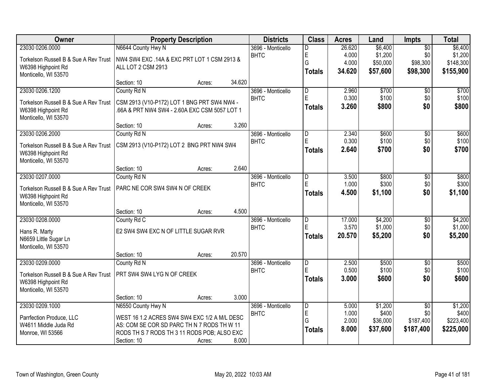| <b>Owner</b>                          |                                               | <b>Property Description</b> |        | <b>Districts</b>  | <b>Class</b>            | <b>Acres</b> | Land     | <b>Impts</b>    | <b>Total</b> |
|---------------------------------------|-----------------------------------------------|-----------------------------|--------|-------------------|-------------------------|--------------|----------|-----------------|--------------|
| 23030 0206.0000                       | N6644 County Hwy N                            |                             |        | 3696 - Monticello | D                       | 26.620       | \$6,400  | $\overline{50}$ | \$6,400      |
| Torkelson Russell B & Sue A Rev Trust | NW4 SW4 EXC .14A & EXC PRT LOT 1 CSM 2913 &   |                             |        | <b>BHTC</b>       | E                       | 4.000        | \$1,200  | \$0             | \$1,200      |
| W6398 Highpoint Rd                    | ALL LOT 2 CSM 2913                            |                             |        |                   | G                       | 4.000        | \$50,000 | \$98,300        | \$148,300    |
| Monticello, WI 53570                  |                                               |                             |        |                   | <b>Totals</b>           | 34.620       | \$57,600 | \$98,300        | \$155,900    |
|                                       | Section: 10                                   | Acres:                      | 34.620 |                   |                         |              |          |                 |              |
| 23030 0206.1200                       | County Rd N                                   |                             |        | 3696 - Monticello | $\overline{\mathsf{D}}$ | 2.960        | \$700    | $\overline{50}$ | \$700        |
| Torkelson Russell B & Sue A Rev Trust | CSM 2913 (V10-P172) LOT 1 BNG PRT SW4 NW4 -   |                             |        | <b>BHTC</b>       | E                       | 0.300        | \$100    | \$0             | \$100        |
| W6398 Highpoint Rd                    | .66A & PRT NW4 SW4 - 2.60A EXC CSM 5057 LOT 1 |                             |        |                   | Totals                  | 3.260        | \$800    | \$0             | \$800        |
| Monticello, WI 53570                  |                                               |                             |        |                   |                         |              |          |                 |              |
|                                       | Section: 10                                   | Acres:                      | 3.260  |                   |                         |              |          |                 |              |
| 23030 0206.2000                       | County Rd N                                   |                             |        | 3696 - Monticello | $\overline{D}$          | 2.340        | \$600    | $\overline{50}$ | \$600        |
| Torkelson Russell B & Sue A Rev Trust | CSM 2913 (V10-P172) LOT 2 BNG PRT NW4 SW4     |                             |        | <b>BHTC</b>       | E                       | 0.300        | \$100    | \$0             | \$100        |
| W6398 Highpoint Rd                    |                                               |                             |        |                   | Totals                  | 2.640        | \$700    | \$0             | \$700        |
| Monticello, WI 53570                  |                                               |                             |        |                   |                         |              |          |                 |              |
|                                       | Section: 10                                   | Acres:                      | 2.640  |                   |                         |              |          |                 |              |
| 23030 0207.0000                       | County Rd N                                   |                             |        | 3696 - Monticello | $\overline{D}$          | 3.500        | \$800    | \$0             | \$800        |
| Torkelson Russell B & Sue A Rev Trust | PARC NE COR SW4 SW4 N OF CREEK                |                             |        | <b>BHTC</b>       | E                       | 1.000        | \$300    | \$0             | \$300        |
| W6398 Highpoint Rd                    |                                               |                             |        |                   | <b>Totals</b>           | 4.500        | \$1,100  | \$0             | \$1,100      |
| Monticello, WI 53570                  |                                               |                             |        |                   |                         |              |          |                 |              |
|                                       | Section: 10                                   | Acres:                      | 4.500  |                   |                         |              |          |                 |              |
| 23030 0208.0000                       | County Rd C                                   |                             |        | 3696 - Monticello | $\overline{D}$          | 17.000       | \$4,200  | $\overline{30}$ | \$4,200      |
| Hans R. Marty                         | E2 SW4 SW4 EXC N OF LITTLE SUGAR RVR          |                             |        | <b>BHTC</b>       | E                       | 3.570        | \$1,000  | \$0             | \$1,000      |
| N6659 Little Sugar Ln                 |                                               |                             |        |                   | <b>Totals</b>           | 20.570       | \$5,200  | \$0             | \$5,200      |
| Monticello, WI 53570                  |                                               |                             |        |                   |                         |              |          |                 |              |
|                                       | Section: 10                                   | Acres:                      | 20.570 |                   |                         |              |          |                 |              |
| 23030 0209.0000                       | County Rd N                                   |                             |        | 3696 - Monticello | $\overline{D}$          | 2.500        | \$500    | $\overline{60}$ | \$500        |
| Torkelson Russell B & Sue A Rev Trust | PRT SW4 SW4 LYG N OF CREEK                    |                             |        | <b>BHTC</b>       | E                       | 0.500        | \$100    | \$0             | \$100        |
| W6398 Highpoint Rd                    |                                               |                             |        |                   | Totals                  | 3.000        | \$600    | \$0             | \$600        |
| Monticello, WI 53570                  |                                               |                             |        |                   |                         |              |          |                 |              |
|                                       | Section: 10                                   | Acres:                      | 3.000  |                   |                         |              |          |                 |              |
| 23030 0209.1000                       | N6550 County Hwy N                            |                             |        | 3696 - Monticello | D                       | 5.000        | \$1,200  | $\overline{30}$ | \$1,200      |
| Parrfection Produce, LLC              | WEST 16 1.2 ACRES SW4 SW4 EXC 1/2 A M/L DESC  |                             |        | <b>BHTC</b>       | E                       | 1.000        | \$400    | \$0             | \$400        |
| W4611 Middle Juda Rd                  | AS: COM SE COR SD PARC TH N 7 RODS TH W 11    |                             |        |                   | G                       | 2.000        | \$36,000 | \$187,400       | \$223,400    |
| Monroe, WI 53566                      | RODS TH S 7 RODS TH 3 11 RODS POB; ALSO EXC   |                             |        |                   | <b>Totals</b>           | 8.000        | \$37,600 | \$187,400       | \$225,000    |
|                                       | Section: 10                                   | Acres:                      | 8.000  |                   |                         |              |          |                 |              |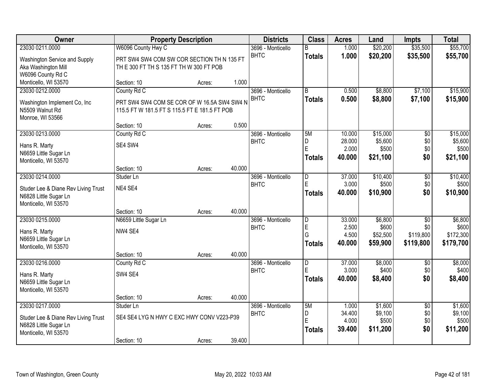| Owner                               |                                               | <b>Property Description</b> |        | <b>Districts</b>  | <b>Class</b>            | <b>Acres</b> | Land     | <b>Impts</b>    | <b>Total</b> |
|-------------------------------------|-----------------------------------------------|-----------------------------|--------|-------------------|-------------------------|--------------|----------|-----------------|--------------|
| 23030 0211.0000                     | W6096 County Hwy C                            |                             |        | 3696 - Monticello | B                       | 1.000        | \$20,200 | \$35,500        | \$55,700     |
| Washington Service and Supply       | PRT SW4 SW4 COM SW COR SECTION TH N 135 FT    |                             |        | <b>BHTC</b>       | <b>Totals</b>           | 1.000        | \$20,200 | \$35,500        | \$55,700     |
| Aka Washington Mill                 | TH E 300 FT TH S 135 FT TH W 300 FT POB       |                             |        |                   |                         |              |          |                 |              |
| W6096 County Rd C                   |                                               |                             |        |                   |                         |              |          |                 |              |
| Monticello, WI 53570                | Section: 10                                   | Acres:                      | 1.000  |                   |                         |              |          |                 |              |
| 23030 0212.0000                     | County Rd C                                   |                             |        | 3696 - Monticello | $\overline{B}$          | 0.500        | \$8,800  | \$7,100         | \$15,900     |
| Washington Implement Co, Inc        | PRT SW4 SW4 COM SE COR OF W 16.5A SW4 SW4 N   |                             |        | <b>BHTC</b>       | <b>Totals</b>           | 0.500        | \$8,800  | \$7,100         | \$15,900     |
| N5509 Walnut Rd                     | 115.5 FT W 181.5 FT S 115.5 FT E 181.5 FT POB |                             |        |                   |                         |              |          |                 |              |
| Monroe, WI 53566                    |                                               |                             |        |                   |                         |              |          |                 |              |
|                                     | Section: 10                                   | Acres:                      | 0.500  |                   |                         |              |          |                 |              |
| 23030 0213.0000                     | County Rd C                                   |                             |        | 3696 - Monticello | 5M                      | 10.000       | \$15,000 | $\overline{50}$ | \$15,000     |
| Hans R. Marty                       | SE4 SW4                                       |                             |        | <b>BHTC</b>       | D                       | 28.000       | \$5,600  | \$0             | \$5,600      |
| N6659 Little Sugar Ln               |                                               |                             |        |                   | E                       | 2.000        | \$500    | \$0             | \$500        |
| Monticello, WI 53570                |                                               |                             |        |                   | <b>Totals</b>           | 40.000       | \$21,100 | \$0             | \$21,100     |
|                                     | Section: 10                                   | Acres:                      | 40.000 |                   |                         |              |          |                 |              |
| 23030 0214.0000                     | Studer Ln                                     |                             |        | 3696 - Monticello | D                       | 37.000       | \$10,400 | \$0             | \$10,400     |
| Studer Lee & Diane Rev Living Trust | NE4 SE4                                       |                             |        | <b>BHTC</b>       | E                       | 3.000        | \$500    | \$0             | \$500        |
| N6828 Little Sugar Ln               |                                               |                             |        |                   | <b>Totals</b>           | 40.000       | \$10,900 | \$0             | \$10,900     |
| Monticello, WI 53570                |                                               |                             |        |                   |                         |              |          |                 |              |
|                                     | Section: 10                                   | Acres:                      | 40.000 |                   |                         |              |          |                 |              |
| 23030 0215.0000                     | N6659 Little Sugar Ln                         |                             |        | 3696 - Monticello | $\overline{\mathsf{D}}$ | 33.000       | \$6,800  | $\overline{50}$ | \$6,800      |
| Hans R. Marty                       | NW4 SE4                                       |                             |        | <b>BHTC</b>       | E                       | 2.500        | \$600    | \$0             | \$600        |
| N6659 Little Sugar Ln               |                                               |                             |        |                   | Ġ                       | 4.500        | \$52,500 | \$119,800       | \$172,300    |
| Monticello, WI 53570                |                                               |                             |        |                   | <b>Totals</b>           | 40.000       | \$59,900 | \$119,800       | \$179,700    |
|                                     | Section: 10                                   | Acres:                      | 40.000 |                   |                         |              |          |                 |              |
| 23030 0216.0000                     | County Rd C                                   |                             |        | 3696 - Monticello | D                       | 37.000       | \$8,000  | $\sqrt{6}$      | \$8,000      |
| Hans R. Marty                       | SW4 SE4                                       |                             |        | <b>BHTC</b>       | Ė                       | 3.000        | \$400    | \$0             | \$400        |
| N6659 Little Sugar Ln               |                                               |                             |        |                   | <b>Totals</b>           | 40.000       | \$8,400  | \$0             | \$8,400      |
| Monticello, WI 53570                |                                               |                             |        |                   |                         |              |          |                 |              |
|                                     | Section: 10                                   | Acres:                      | 40.000 |                   |                         |              |          |                 |              |
| 23030 0217.0000                     | Studer Ln                                     |                             |        | 3696 - Monticello | 5M                      | 1.000        | \$1,600  | $\overline{50}$ | \$1,600      |
| Studer Lee & Diane Rev Living Trust | SE4 SE4 LYG N HWY C EXC HWY CONV V223-P39     |                             |        | <b>BHTC</b>       | D                       | 34.400       | \$9,100  | \$0             | \$9,100      |
| N6828 Little Sugar Ln               |                                               |                             |        |                   | E                       | 4.000        | \$500    | \$0             | \$500        |
| Monticello, WI 53570                |                                               |                             |        |                   | <b>Totals</b>           | 39.400       | \$11,200 | \$0             | \$11,200     |
|                                     | Section: 10                                   | Acres:                      | 39.400 |                   |                         |              |          |                 |              |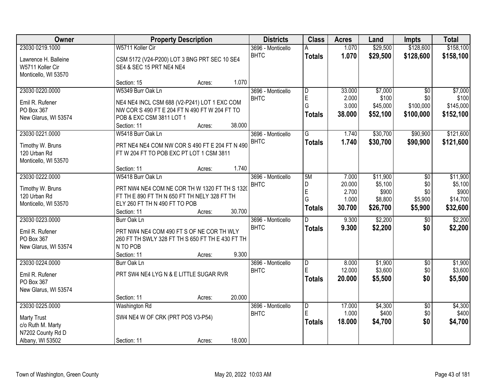| Owner                                    | <b>Property Description</b>                      | <b>Districts</b>  | <b>Class</b>  | <b>Acres</b>   | Land              | <b>Impts</b>     | <b>Total</b>       |
|------------------------------------------|--------------------------------------------------|-------------------|---------------|----------------|-------------------|------------------|--------------------|
| 23030 0219.1000                          | W5711 Koller Cir                                 | 3696 - Monticello |               | 1.070          | \$29,500          | \$128,600        | \$158,100          |
| Lawrence H. Balleine                     | CSM 5172 (V24-P200) LOT 3 BNG PRT SEC 10 SE4     | <b>BHTC</b>       | <b>Totals</b> | 1.070          | \$29,500          | \$128,600        | \$158,100          |
| W5711 Koller Cir<br>Monticello, WI 53570 | SE4 & SEC 15 PRT NE4 NE4                         |                   |               |                |                   |                  |                    |
|                                          | 1.070<br>Section: 15<br>Acres:                   |                   |               |                |                   |                  |                    |
| 23030 0220.0000                          | W5349 Burr Oak Ln                                | 3696 - Monticello | D             | 33.000         | \$7,000           | $\overline{30}$  | \$7,000            |
| Emil R. Rufener                          | NE4 NE4 INCL CSM 688 (V2-P241) LOT 1 EXC COM     | <b>BHTC</b>       | E<br>G        | 2.000<br>3.000 | \$100<br>\$45,000 | \$0<br>\$100,000 | \$100<br>\$145,000 |
| PO Box 367                               | NW COR S 490 FT E 204 FT N 490 FT W 204 FT TO    |                   |               |                |                   |                  |                    |
| New Glarus, WI 53574                     | POB & EXC CSM 3811 LOT 1                         |                   | <b>Totals</b> | 38.000         | \$52,100          | \$100,000        | \$152,100          |
|                                          | 38.000<br>Section: 11<br>Acres:                  |                   |               |                |                   |                  |                    |
| 23030 0221.0000                          | W5418 Burr Oak Ln                                | 3696 - Monticello | G             | 1.740          | \$30,700          | \$90,900         | \$121,600          |
| Timothy W. Bruns                         | PRT NE4 NE4 COM NW COR S 490 FT E 204 FT N 490   | <b>BHTC</b>       | <b>Totals</b> | 1.740          | \$30,700          | \$90,900         | \$121,600          |
| 120 Urban Rd                             | FTW 204 FT TO POB EXC PT LOT 1 CSM 3811          |                   |               |                |                   |                  |                    |
| Monticello, WI 53570                     |                                                  |                   |               |                |                   |                  |                    |
|                                          | 1.740<br>Section: 11<br>Acres:                   |                   |               |                |                   |                  |                    |
| 23030 0222.0000                          | W5418 Burr Oak Ln                                | 3696 - Monticello | 5M            | 7.000          | \$11,900          | \$0              | \$11,900           |
| Timothy W. Bruns                         | PRT NW4 NE4 COM NE COR TH W 1320 FT TH S 1320    | <b>BHTC</b>       | D             | 20.000         | \$5,100           | \$0              | \$5,100            |
| 120 Urban Rd                             | FT TH E 890 FT TH N 650 FT TH NELY 328 FT TH     |                   | E             | 2.700          | \$900             | \$0              | \$900              |
| Monticello, WI 53570                     | ELY 260 FT TH N 490 FT TO POB                    |                   | G             | 1.000          | \$8,800           | \$5,900          | \$14,700           |
|                                          | 30.700<br>Section: 11<br>Acres:                  |                   | <b>Totals</b> | 30.700         | \$26,700          | \$5,900          | \$32,600           |
| 23030 0223.0000                          | Burr Oak Ln                                      | 3696 - Monticello | n             | 9.300          | \$2,200           | \$0              | \$2,200            |
| Emil R. Rufener                          | PRT NW4 NE4 COM 490 FT S OF NE COR TH WLY        | <b>BHTC</b>       | <b>Totals</b> | 9.300          | \$2,200           | \$0              | \$2,200            |
| PO Box 367                               | 260 FT TH SWLY 328 FT TH S 650 FT TH E 430 FT TH |                   |               |                |                   |                  |                    |
| New Glarus, WI 53574                     | N TO POB                                         |                   |               |                |                   |                  |                    |
|                                          | 9.300<br>Section: 11<br>Acres:                   |                   |               |                |                   |                  |                    |
| 23030 0224.0000                          | Burr Oak Ln                                      | 3696 - Monticello | D             | 8.000          | \$1,900           | \$0              | \$1,900            |
| Emil R. Rufener                          | PRT SW4 NE4 LYG N & E LITTLE SUGAR RVR           | <b>BHTC</b>       | E             | 12.000         | \$3,600           | \$0              | \$3,600            |
| PO Box 367                               |                                                  |                   | <b>Totals</b> | 20.000         | \$5,500           | \$0              | \$5,500            |
| New Glarus, WI 53574                     |                                                  |                   |               |                |                   |                  |                    |
|                                          | 20.000<br>Section: 11<br>Acres:                  |                   |               |                |                   |                  |                    |
| 23030 0225.0000                          | Washington Rd                                    | 3696 - Monticello | D             | 17.000         | \$4,300           | $\overline{50}$  | \$4,300            |
| <b>Marty Trust</b>                       | SW4 NE4 W OF CRK (PRT POS V3-P54)                | <b>BHTC</b>       | E             | 1.000          | \$400             | \$0              | \$400              |
| c/o Ruth M. Marty                        |                                                  |                   | <b>Totals</b> | 18.000         | \$4,700           | \$0              | \$4,700            |
| N7202 County Rd D                        |                                                  |                   |               |                |                   |                  |                    |
| Albany, WI 53502                         | 18.000<br>Section: 11<br>Acres:                  |                   |               |                |                   |                  |                    |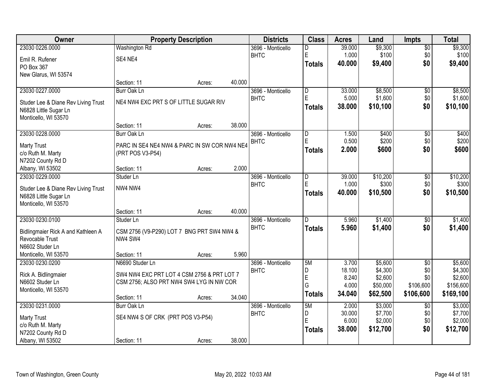| <b>Owner</b>                        |                                              | <b>Property Description</b> |        | <b>Districts</b>  | <b>Class</b>   | <b>Acres</b>    | Land                | <b>Impts</b>     | <b>Total</b>         |
|-------------------------------------|----------------------------------------------|-----------------------------|--------|-------------------|----------------|-----------------|---------------------|------------------|----------------------|
| 23030 0226.0000                     | <b>Washington Rd</b>                         |                             |        | 3696 - Monticello | D              | 39.000          | \$9,300             | $\sqrt{$0}$      | \$9,300              |
| Emil R. Rufener                     | SE4 NE4                                      |                             |        | <b>BHTC</b>       | E              | 1.000           | \$100               | \$0              | \$100                |
| PO Box 367                          |                                              |                             |        |                   | <b>Totals</b>  | 40.000          | \$9,400             | \$0              | \$9,400              |
| New Glarus, WI 53574                |                                              |                             |        |                   |                |                 |                     |                  |                      |
|                                     | Section: 11                                  | Acres:                      | 40.000 |                   |                |                 |                     |                  |                      |
| 23030 0227.0000                     | Burr Oak Ln                                  |                             |        | 3696 - Monticello | D              | 33.000          | \$8,500             | \$0              | \$8,500              |
| Studer Lee & Diane Rev Living Trust | NE4 NW4 EXC PRT S OF LITTLE SUGAR RIV        |                             |        | <b>BHTC</b>       | E              | 5.000           | \$1,600             | \$0              | \$1,600              |
| N6828 Little Sugar Ln               |                                              |                             |        |                   | Totals         | 38.000          | \$10,100            | \$0              | \$10,100             |
| Monticello, WI 53570                |                                              |                             |        |                   |                |                 |                     |                  |                      |
|                                     | Section: 11                                  | Acres:                      | 38.000 |                   |                |                 |                     |                  |                      |
| 23030 0228.0000                     | Burr Oak Ln                                  |                             |        | 3696 - Monticello | D              | 1.500           | \$400               | \$0              | \$400                |
| <b>Marty Trust</b>                  | PARC IN SE4 NE4 NW4 & PARC IN SW COR NW4 NE4 |                             |        | <b>BHTC</b>       | E              | 0.500           | \$200               | \$0              | \$200                |
| c/o Ruth M. Marty                   | (PRT POS V3-P54)                             |                             |        |                   | <b>Totals</b>  | 2.000           | \$600               | \$0              | \$600                |
| N7202 County Rd D                   |                                              |                             |        |                   |                |                 |                     |                  |                      |
| Albany, WI 53502                    | Section: 11                                  | Acres:                      | 2.000  |                   |                |                 |                     |                  |                      |
| 23030 0229.0000                     | Studer Ln                                    |                             |        | 3696 - Monticello | D              | 39.000          | \$10,200            | \$0              | \$10,200             |
| Studer Lee & Diane Rev Living Trust | NW4 NW4                                      |                             |        | <b>BHTC</b>       | $\mathsf E$    | 1.000           | \$300               | \$0              | \$300                |
| N6828 Little Sugar Ln               |                                              |                             |        |                   | Totals         | 40.000          | \$10,500            | \$0              | \$10,500             |
| Monticello, WI 53570                |                                              |                             |        |                   |                |                 |                     |                  |                      |
|                                     | Section: 11                                  | Acres:                      | 40.000 |                   |                |                 |                     |                  |                      |
| 23030 0230.0100                     | Studer Ln                                    |                             |        | 3696 - Monticello | $\overline{D}$ | 5.960           | \$1,400             | $\overline{50}$  | \$1,400              |
| Bidlingmaier Rick A and Kathleen A  | CSM 2756 (V9-P290) LOT 7 BNG PRT SW4 NW4 &   |                             |        | <b>BHTC</b>       | <b>Totals</b>  | 5.960           | \$1,400             | \$0              | \$1,400              |
| Revocable Trust                     | NW4 SW4                                      |                             |        |                   |                |                 |                     |                  |                      |
| N6602 Studer Ln                     |                                              |                             |        |                   |                |                 |                     |                  |                      |
| Monticello, WI 53570                | Section: 11                                  | Acres:                      | 5.960  |                   |                |                 |                     |                  |                      |
| 23030 0230.0200                     | N6690 Studer Ln                              |                             |        | 3696 - Monticello | 5M             | 3.700           | \$5,600             | $\overline{50}$  | \$5,600              |
| Rick A. Bidlingmaier                | SW4 NW4 EXC PRT LOT 4 CSM 2756 & PRT LOT 7   |                             |        | <b>BHTC</b>       | D              | 18.100          | \$4,300             | \$0              | \$4,300              |
| N6602 Studer Ln                     | CSM 2756; ALSO PRT NW4 SW4 LYG IN NW COR     |                             |        |                   | E<br>G         | 8.240<br>4.000  | \$2,600<br>\$50,000 | \$0<br>\$106,600 | \$2,600<br>\$156,600 |
| Monticello, WI 53570                |                                              |                             |        |                   | <b>Totals</b>  | 34.040          | \$62,500            | \$106,600        | \$169,100            |
|                                     | Section: 11                                  | Acres:                      | 34.040 |                   |                |                 |                     |                  |                      |
| 23030 0231.0000                     | Burr Oak Ln                                  |                             |        | 3696 - Monticello | 5M             | 2.000           | \$3,000             | $\overline{50}$  | \$3,000              |
| <b>Marty Trust</b>                  | SE4 NW4 S OF CRK (PRT POS V3-P54)            |                             |        | <b>BHTC</b>       | D<br>E         | 30.000          | \$7,700             | \$0              | \$7,700              |
| c/o Ruth M. Marty                   |                                              |                             |        |                   |                | 6.000<br>38.000 | \$2,000             | \$0<br>\$0       | \$2,000              |
| N7202 County Rd D                   |                                              |                             |        |                   | <b>Totals</b>  |                 | \$12,700            |                  | \$12,700             |
| Albany, WI 53502                    | Section: 11                                  | Acres:                      | 38.000 |                   |                |                 |                     |                  |                      |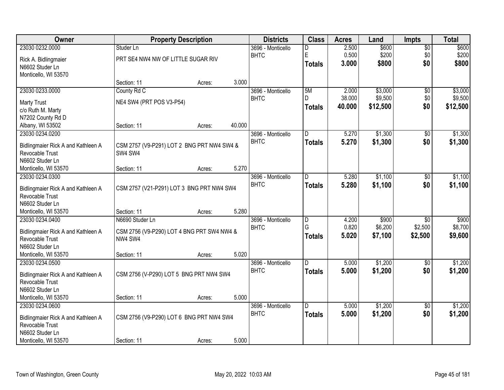| Owner                                                 |                                                       | <b>Property Description</b> |        | <b>Districts</b>  | <b>Class</b>        | <b>Acres</b>   | Land             | <b>Impts</b>    | <b>Total</b>     |
|-------------------------------------------------------|-------------------------------------------------------|-----------------------------|--------|-------------------|---------------------|----------------|------------------|-----------------|------------------|
| 23030 0232.0000                                       | Studer Ln                                             |                             |        | 3696 - Monticello | D                   | 2.500          | \$600            | $\overline{60}$ | \$600            |
| Rick A. Bidlingmaier                                  | PRT SE4 NW4 NW OF LITTLE SUGAR RIV                    |                             |        | <b>BHTC</b>       | $\mathsf E$         | 0.500          | \$200            | \$0             | \$200            |
| N6602 Studer Ln                                       |                                                       |                             |        |                   | Totals              | 3.000          | \$800            | \$0             | \$800            |
| Monticello, WI 53570                                  |                                                       |                             |        |                   |                     |                |                  |                 |                  |
|                                                       | Section: 11                                           | Acres:                      | 3.000  |                   |                     |                |                  |                 |                  |
| 23030 0233.0000                                       | County Rd C                                           |                             |        | 3696 - Monticello | 5M                  | 2.000          | \$3,000          | \$0             | \$3,000          |
| <b>Marty Trust</b>                                    | NE4 SW4 (PRT POS V3-P54)                              |                             |        | <b>BHTC</b>       | D.                  | 38.000         | \$9,500          | \$0             | \$9,500          |
| c/o Ruth M. Marty                                     |                                                       |                             |        |                   | <b>Totals</b>       | 40.000         | \$12,500         | \$0             | \$12,500         |
| N7202 County Rd D                                     |                                                       |                             |        |                   |                     |                |                  |                 |                  |
| Albany, WI 53502                                      | Section: 11                                           | Acres:                      | 40.000 |                   |                     |                |                  |                 |                  |
| 23030 0234.0200                                       |                                                       |                             |        | 3696 - Monticello | ID.                 | 5.270          | \$1,300          | $\sqrt[6]{3}$   | \$1,300          |
|                                                       |                                                       |                             |        | <b>BHTC</b>       | <b>Totals</b>       | 5.270          | \$1,300          | \$0             | \$1,300          |
| Bidlingmaier Rick A and Kathleen A<br>Revocable Trust | CSM 2757 (V9-P291) LOT 2 BNG PRT NW4 SW4 &<br>SW4 SW4 |                             |        |                   |                     |                |                  |                 |                  |
| N6602 Studer Ln                                       |                                                       |                             |        |                   |                     |                |                  |                 |                  |
| Monticello, WI 53570                                  | Section: 11                                           | Acres:                      | 5.270  |                   |                     |                |                  |                 |                  |
| 23030 0234.0300                                       |                                                       |                             |        | 3696 - Monticello | ID.                 | 5.280          | \$1,100          | $\sqrt[6]{3}$   | \$1,100          |
|                                                       |                                                       |                             |        | <b>BHTC</b>       | <b>Totals</b>       | 5.280          | \$1,100          | \$0             | \$1,100          |
| Bidlingmaier Rick A and Kathleen A                    | CSM 2757 (V21-P291) LOT 3 BNG PRT NW4 SW4             |                             |        |                   |                     |                |                  |                 |                  |
| Revocable Trust                                       |                                                       |                             |        |                   |                     |                |                  |                 |                  |
| N6602 Studer Ln                                       |                                                       |                             |        |                   |                     |                |                  |                 |                  |
| Monticello, WI 53570                                  | Section: 11                                           | Acres:                      | 5.280  |                   |                     |                |                  |                 |                  |
| 23030 0234.0400                                       | N6690 Studer Ln                                       |                             |        | 3696 - Monticello | $\overline{D}$<br>G | 4.200<br>0.820 | \$900<br>\$6,200 | \$0<br>\$2,500  | \$900<br>\$8,700 |
| Bidlingmaier Rick A and Kathleen A                    | CSM 2756 (V9-P290) LOT 4 BNG PRT SW4 NW4 &            |                             |        | <b>BHTC</b>       |                     | 5.020          | \$7,100          | \$2,500         | \$9,600          |
| Revocable Trust                                       | NW4 SW4                                               |                             |        |                   | <b>Totals</b>       |                |                  |                 |                  |
| N6602 Studer Ln                                       |                                                       |                             |        |                   |                     |                |                  |                 |                  |
| Monticello, WI 53570                                  | Section: 11                                           | Acres:                      | 5.020  |                   |                     |                |                  |                 |                  |
| 23030 0234.0500                                       |                                                       |                             |        | 3696 - Monticello | ID.                 | 5.000          | \$1,200          | \$0             | \$1,200          |
| Bidlingmaier Rick A and Kathleen A                    | CSM 2756 (V-P290) LOT 5 BNG PRT NW4 SW4               |                             |        | <b>BHTC</b>       | <b>Totals</b>       | 5.000          | \$1,200          | \$0             | \$1,200          |
| Revocable Trust                                       |                                                       |                             |        |                   |                     |                |                  |                 |                  |
| N6602 Studer Ln                                       |                                                       |                             |        |                   |                     |                |                  |                 |                  |
| Monticello, WI 53570                                  | Section: 11                                           | Acres:                      | 5.000  |                   |                     |                |                  |                 |                  |
| 23030 0234.0600                                       |                                                       |                             |        | 3696 - Monticello | ID.                 | 5.000          | \$1,200          | $\overline{30}$ | \$1,200          |
| Bidlingmaier Rick A and Kathleen A                    | CSM 2756 (V9-P290) LOT 6 BNG PRT NW4 SW4              |                             |        | <b>BHTC</b>       | <b>Totals</b>       | 5.000          | \$1,200          | \$0             | \$1,200          |
| Revocable Trust                                       |                                                       |                             |        |                   |                     |                |                  |                 |                  |
| N6602 Studer Ln                                       |                                                       |                             |        |                   |                     |                |                  |                 |                  |
| Monticello, WI 53570                                  | Section: 11                                           | Acres:                      | 5.000  |                   |                     |                |                  |                 |                  |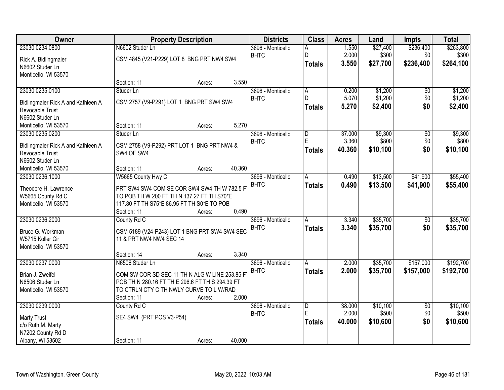| Owner                                   |                                                 | <b>Property Description</b> |        | <b>Districts</b>  | <b>Class</b>            | <b>Acres</b> | Land     | <b>Impts</b>    | <b>Total</b> |
|-----------------------------------------|-------------------------------------------------|-----------------------------|--------|-------------------|-------------------------|--------------|----------|-----------------|--------------|
| 23030 0234.0800                         | N6602 Studer Ln                                 |                             |        | 3696 - Monticello | А                       | 1.550        | \$27,400 | \$236,400       | \$263,800    |
| Rick A. Bidlingmaier                    | CSM 4845 (V21-P229) LOT 8 BNG PRT NW4 SW4       |                             |        | <b>BHTC</b>       | D                       | 2.000        | \$300    | \$0             | \$300        |
| N6602 Studer Ln                         |                                                 |                             |        |                   | <b>Totals</b>           | 3.550        | \$27,700 | \$236,400       | \$264,100    |
| Monticello, WI 53570                    |                                                 |                             |        |                   |                         |              |          |                 |              |
|                                         | Section: 11                                     | Acres:                      | 3.550  |                   |                         |              |          |                 |              |
| 23030 0235.0100                         | Studer Ln                                       |                             |        | 3696 - Monticello | $\overline{A}$          | 0.200        | \$1,200  | \$0             | \$1,200      |
| Bidlingmaier Rick A and Kathleen A      | CSM 2757 (V9-P291) LOT 1 BNG PRT SW4 SW4        |                             |        | <b>BHTC</b>       | D.                      | 5.070        | \$1,200  | \$0             | \$1,200      |
| Revocable Trust                         |                                                 |                             |        |                   | <b>Totals</b>           | 5.270        | \$2,400  | \$0             | \$2,400      |
| N6602 Studer Ln                         |                                                 |                             |        |                   |                         |              |          |                 |              |
| Monticello, WI 53570                    | Section: 11                                     | Acres:                      | 5.270  |                   |                         |              |          |                 |              |
| 23030 0235.0200                         | Studer Ln                                       |                             |        | 3696 - Monticello | $\overline{\mathsf{D}}$ | 37.000       | \$9,300  | \$0             | \$9,300      |
| Bidlingmaier Rick A and Kathleen A      | CSM 2758 (V9-P292) PRT LOT 1 BNG PRT NW4 &      |                             |        | <b>BHTC</b>       | E                       | 3.360        | \$800    | \$0             | \$800        |
| Revocable Trust                         | SW4 OF SW4                                      |                             |        |                   | <b>Totals</b>           | 40.360       | \$10,100 | \$0             | \$10,100     |
| N6602 Studer Ln                         |                                                 |                             |        |                   |                         |              |          |                 |              |
| Monticello, WI 53570                    | Section: 11                                     | Acres:                      | 40.360 |                   |                         |              |          |                 |              |
| 23030 0236.1000                         | W5665 County Hwy C                              |                             |        | 3696 - Monticello | Α                       | 0.490        | \$13,500 | \$41,900        | \$55,400     |
| Theodore H. Lawrence                    | PRT SW4 SW4 COM SE COR SW4 SW4 TH W 782.5 F     |                             |        | <b>BHTC</b>       | <b>Totals</b>           | 0.490        | \$13,500 | \$41,900        | \$55,400     |
| W5665 County Rd C                       | TO POB TH W 200 FT TH N 137.27 FT TH S70*E      |                             |        |                   |                         |              |          |                 |              |
| Monticello, WI 53570                    | 117.80 FT TH S75*E 86.95 FT TH S0*E TO POB      |                             |        |                   |                         |              |          |                 |              |
|                                         | Section: 11                                     | Acres:                      | 0.490  |                   |                         |              |          |                 |              |
| 23030 0236.2000                         | County Rd C                                     |                             |        | 3696 - Monticello | A                       | 3.340        | \$35,700 | $\overline{50}$ | \$35,700     |
| Bruce G. Workman                        | CSM 5189 (V24-P243) LOT 1 BNG PRT SW4 SW4 SEC   |                             |        | <b>BHTC</b>       | <b>Totals</b>           | 3.340        | \$35,700 | \$0             | \$35,700     |
| W5715 Koller Cir                        | 11 & PRT NW4 NW4 SEC 14                         |                             |        |                   |                         |              |          |                 |              |
| Monticello, WI 53570                    |                                                 |                             |        |                   |                         |              |          |                 |              |
|                                         | Section: 14                                     | Acres:                      | 3.340  |                   |                         |              |          |                 |              |
| 23030 0237.0000                         | N6506 Studer Ln                                 |                             |        | 3696 - Monticello | A                       | 2.000        | \$35,700 | \$157,000       | \$192,700    |
| Brian J. Zweifel                        | COM SW COR SD SEC 11 TH N ALG W LINE 253.85 F   |                             |        | <b>BHTC</b>       | <b>Totals</b>           | 2.000        | \$35,700 | \$157,000       | \$192,700    |
| N6506 Studer Ln                         | POB TH N 280.16 FT TH E 296.6 FT TH S 294.39 FT |                             |        |                   |                         |              |          |                 |              |
| Monticello, WI 53570                    | TO CTRLN CTY C TH NWLY CURVE TO L W/RAD         |                             |        |                   |                         |              |          |                 |              |
|                                         | Section: 11                                     | Acres:                      | 2.000  |                   |                         |              |          |                 |              |
| 23030 0239.0000                         | County Rd C                                     |                             |        | 3696 - Monticello | $\overline{D}$          | 38.000       | \$10,100 | $\overline{50}$ | \$10,100     |
|                                         |                                                 |                             |        | <b>BHTC</b>       | E                       | 2.000        | \$500    | \$0             | \$500        |
| <b>Marty Trust</b><br>c/o Ruth M. Marty | SE4 SW4 (PRT POS V3-P54)                        |                             |        |                   | <b>Totals</b>           | 40.000       | \$10,600 | \$0             | \$10,600     |
| N7202 County Rd D                       |                                                 |                             |        |                   |                         |              |          |                 |              |
| Albany, WI 53502                        | Section: 11                                     | Acres:                      | 40.000 |                   |                         |              |          |                 |              |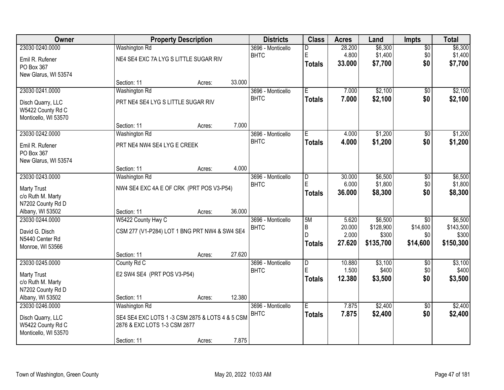| Owner                                     |                                                 | <b>Property Description</b> |        | <b>Districts</b>                 | <b>Class</b>        | <b>Acres</b>    | Land               | <b>Impts</b>    | <b>Total</b>     |
|-------------------------------------------|-------------------------------------------------|-----------------------------|--------|----------------------------------|---------------------|-----------------|--------------------|-----------------|------------------|
| 23030 0240.0000                           | <b>Washington Rd</b>                            |                             |        | 3696 - Monticello                | D                   | 28.200          | \$6,300            | $\overline{60}$ | \$6,300          |
| Emil R. Rufener                           | NE4 SE4 EXC 7A LYG S LITTLE SUGAR RIV           |                             |        | <b>BHTC</b>                      | E                   | 4.800           | \$1,400            | \$0             | \$1,400          |
| PO Box 367                                |                                                 |                             |        |                                  | <b>Totals</b>       | 33.000          | \$7,700            | \$0             | \$7,700          |
| New Glarus, WI 53574                      |                                                 |                             |        |                                  |                     |                 |                    |                 |                  |
|                                           | Section: 11                                     | Acres:                      | 33.000 |                                  |                     |                 |                    |                 |                  |
| 23030 0241.0000                           | Washington Rd                                   |                             |        | 3696 - Monticello<br><b>BHTC</b> | Ē                   | 7.000           | \$2,100            | $\overline{50}$ | \$2,100          |
| Disch Quarry, LLC                         | PRT NE4 SE4 LYG S LITTLE SUGAR RIV              |                             |        |                                  | <b>Totals</b>       | 7.000           | \$2,100            | \$0             | \$2,100          |
| W5422 County Rd C                         |                                                 |                             |        |                                  |                     |                 |                    |                 |                  |
| Monticello, WI 53570                      |                                                 |                             | 7.000  |                                  |                     |                 |                    |                 |                  |
| 23030 0242.0000                           | Section: 11<br>Washington Rd                    | Acres:                      |        | 3696 - Monticello                | Ē                   | 4.000           | \$1,200            | \$0             | \$1,200          |
|                                           |                                                 |                             |        | <b>BHTC</b>                      | <b>Totals</b>       | 4.000           | \$1,200            | \$0             | \$1,200          |
| Emil R. Rufener                           | PRT NE4 NW4 SE4 LYG E CREEK                     |                             |        |                                  |                     |                 |                    |                 |                  |
| PO Box 367<br>New Glarus, WI 53574        |                                                 |                             |        |                                  |                     |                 |                    |                 |                  |
|                                           | Section: 11                                     | Acres:                      | 4.000  |                                  |                     |                 |                    |                 |                  |
| 23030 0243.0000                           | Washington Rd                                   |                             |        | 3696 - Monticello                | D                   | 30.000          | \$6,500            | \$0             | \$6,500          |
|                                           | NW4 SE4 EXC 4A E OF CRK (PRT POS V3-P54)        |                             |        | <b>BHTC</b>                      | E                   | 6.000           | \$1,800            | \$0             | \$1,800          |
| <b>Marty Trust</b><br>c/o Ruth M. Marty   |                                                 |                             |        |                                  | <b>Totals</b>       | 36.000          | \$8,300            | \$0             | \$8,300          |
| N7202 County Rd D                         |                                                 |                             |        |                                  |                     |                 |                    |                 |                  |
| Albany, WI 53502                          | Section: 11                                     | Acres:                      | 36.000 |                                  |                     |                 |                    |                 |                  |
| 23030 0244.0000                           | W5422 County Hwy C                              |                             |        | 3696 - Monticello                | 5M                  | 5.620           | \$6,500            | $\overline{30}$ | \$6,500          |
| David G. Disch                            | CSM 277 (V1-P284) LOT 1 BNG PRT NW4 & SW4 SE4   |                             |        | <b>BHTC</b>                      | B                   | 20.000          | \$128,900          | \$14,600        | \$143,500        |
| N5440 Center Rd                           |                                                 |                             |        |                                  | D                   | 2.000<br>27.620 | \$300<br>\$135,700 | \$0<br>\$14,600 | \$300            |
| Monroe, WI 53566                          |                                                 |                             |        |                                  | <b>Totals</b>       |                 |                    |                 | \$150,300        |
|                                           | Section: 11                                     | Acres:                      | 27.620 |                                  |                     |                 |                    |                 |                  |
| 23030 0245.0000                           | County Rd C                                     |                             |        | 3696 - Monticello                | $\overline{D}$<br>E | 10.880<br>1.500 | \$3,100<br>\$400   | $\sqrt{6}$      | \$3,100<br>\$400 |
| <b>Marty Trust</b>                        | E2 SW4 SE4 (PRT POS V3-P54)                     |                             |        | <b>BHTC</b>                      | <b>Totals</b>       | 12.380          | \$3,500            | \$0<br>\$0      | \$3,500          |
| c/o Ruth M. Marty                         |                                                 |                             |        |                                  |                     |                 |                    |                 |                  |
| N7202 County Rd D                         |                                                 |                             | 12.380 |                                  |                     |                 |                    |                 |                  |
| Albany, WI 53502<br>23030 0246.0000       | Section: 11<br>Washington Rd                    | Acres:                      |        | 3696 - Monticello                | E                   | 7.875           | \$2,400            | $\overline{50}$ | \$2,400          |
|                                           |                                                 |                             |        | <b>BHTC</b>                      | <b>Totals</b>       | 7.875           | \$2,400            | \$0             | \$2,400          |
| Disch Quarry, LLC                         | SE4 SE4 EXC LOTS 1 -3 CSM 2875 & LOTS 4 & 5 CSM |                             |        |                                  |                     |                 |                    |                 |                  |
| W5422 County Rd C<br>Monticello, WI 53570 | 2876 & EXC LOTS 1-3 CSM 2877                    |                             |        |                                  |                     |                 |                    |                 |                  |
|                                           | Section: 11                                     | Acres:                      | 7.875  |                                  |                     |                 |                    |                 |                  |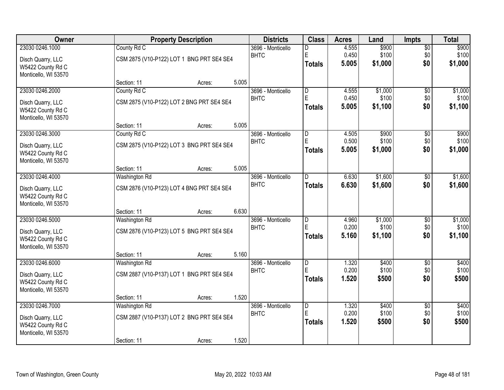| Owner                                  |                              | <b>Property Description</b>               |       | <b>Districts</b>  | <b>Class</b>            | <b>Acres</b>   | Land           | <b>Impts</b>    | <b>Total</b>   |
|----------------------------------------|------------------------------|-------------------------------------------|-------|-------------------|-------------------------|----------------|----------------|-----------------|----------------|
| 23030 0246.1000                        | County Rd C                  |                                           |       | 3696 - Monticello | D                       | 4.555          | \$900          | $\overline{60}$ | \$900          |
| Disch Quarry, LLC                      |                              | CSM 2875 (V10-P122) LOT 1 BNG PRT SE4 SE4 |       | <b>BHTC</b>       | $\mathsf E$             | 0.450          | \$100          | \$0             | \$100          |
| W5422 County Rd C                      |                              |                                           |       |                   | Totals                  | 5.005          | \$1,000        | \$0             | \$1,000        |
| Monticello, WI 53570                   |                              |                                           |       |                   |                         |                |                |                 |                |
|                                        | Section: 11                  | Acres:                                    | 5.005 |                   |                         |                |                |                 |                |
| 23030 0246.2000                        | County Rd C                  |                                           |       | 3696 - Monticello | $\overline{D}$          | 4.555          | \$1,000        | \$0             | \$1,000        |
| Disch Quarry, LLC                      |                              | CSM 2875 (V10-P122) LOT 2 BNG PRT SE4 SE4 |       | <b>BHTC</b>       | E                       | 0.450          | \$100          | \$0             | \$100          |
| W5422 County Rd C                      |                              |                                           |       |                   | Totals                  | 5.005          | \$1,100        | \$0             | \$1,100        |
| Monticello, WI 53570                   |                              |                                           |       |                   |                         |                |                |                 |                |
|                                        | Section: 11                  | Acres:                                    | 5.005 |                   |                         |                |                |                 |                |
| 23030 0246.3000                        | County Rd C                  |                                           |       | 3696 - Monticello | $\overline{D}$<br>E     | 4.505<br>0.500 | \$900<br>\$100 | \$0             | \$900<br>\$100 |
| Disch Quarry, LLC                      |                              | CSM 2875 (V10-P122) LOT 3 BNG PRT SE4 SE4 |       | <b>BHTC</b>       | <b>Totals</b>           | 5.005          | \$1,000        | \$0<br>\$0      | \$1,000        |
| W5422 County Rd C                      |                              |                                           |       |                   |                         |                |                |                 |                |
| Monticello, WI 53570                   |                              |                                           |       |                   |                         |                |                |                 |                |
| 23030 0246.4000                        | Section: 11<br>Washington Rd | Acres:                                    | 5.005 | 3696 - Monticello | D                       | 6.630          | \$1,600        | \$0             | \$1,600        |
|                                        |                              |                                           |       | <b>BHTC</b>       | <b>Totals</b>           | 6.630          | \$1,600        | \$0             | \$1,600        |
| Disch Quarry, LLC                      |                              | CSM 2876 (V10-P123) LOT 4 BNG PRT SE4 SE4 |       |                   |                         |                |                |                 |                |
| W5422 County Rd C                      |                              |                                           |       |                   |                         |                |                |                 |                |
| Monticello, WI 53570                   | Section: 11                  | Acres:                                    | 6.630 |                   |                         |                |                |                 |                |
| 23030 0246.5000                        | <b>Washington Rd</b>         |                                           |       | 3696 - Monticello | $\overline{\mathsf{D}}$ | 4.960          | \$1,000        | \$0             | \$1,000        |
|                                        |                              |                                           |       | <b>BHTC</b>       | E                       | 0.200          | \$100          | \$0             | \$100          |
| Disch Quarry, LLC<br>W5422 County Rd C |                              | CSM 2876 (V10-P123) LOT 5 BNG PRT SE4 SE4 |       |                   | Totals                  | 5.160          | \$1,100        | \$0             | \$1,100        |
| Monticello, WI 53570                   |                              |                                           |       |                   |                         |                |                |                 |                |
|                                        | Section: 11                  | Acres:                                    | 5.160 |                   |                         |                |                |                 |                |
| 23030 0246.6000                        | Washington Rd                |                                           |       | 3696 - Monticello | D                       | 1.320          | \$400          | $\overline{60}$ | \$400          |
| Disch Quarry, LLC                      |                              | CSM 2887 (V10-P137) LOT 1 BNG PRT SE4 SE4 |       | <b>BHTC</b>       | E                       | 0.200          | \$100          | \$0             | \$100          |
| W5422 County Rd C                      |                              |                                           |       |                   | Totals                  | 1.520          | \$500          | \$0             | \$500          |
| Monticello, WI 53570                   |                              |                                           |       |                   |                         |                |                |                 |                |
|                                        | Section: 11                  | Acres:                                    | 1.520 |                   |                         |                |                |                 |                |
| 23030 0246.7000                        | Washington Rd                |                                           |       | 3696 - Monticello | $\overline{D}$          | 1.320          | \$400          | $\overline{30}$ | \$400          |
| Disch Quarry, LLC                      |                              | CSM 2887 (V10-P137) LOT 2 BNG PRT SE4 SE4 |       | <b>BHTC</b>       | E                       | 0.200          | \$100          | \$0             | \$100          |
| W5422 County Rd C                      |                              |                                           |       |                   | <b>Totals</b>           | 1.520          | \$500          | \$0             | \$500          |
| Monticello, WI 53570                   |                              |                                           |       |                   |                         |                |                |                 |                |
|                                        | Section: 11                  | Acres:                                    | 1.520 |                   |                         |                |                |                 |                |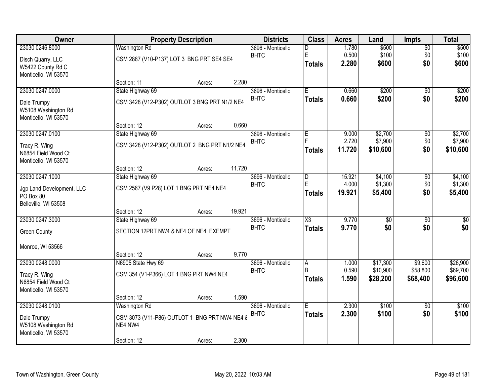| Owner                                       |                                               | <b>Property Description</b> |        | <b>Districts</b>                 | <b>Class</b>           | <b>Acres</b>   | Land            | <b>Impts</b>    | <b>Total</b>    |
|---------------------------------------------|-----------------------------------------------|-----------------------------|--------|----------------------------------|------------------------|----------------|-----------------|-----------------|-----------------|
| 23030 0246.8000                             | <b>Washington Rd</b>                          |                             |        | 3696 - Monticello                | D                      | 1.780          | \$500           | \$0             | \$500           |
| Disch Quarry, LLC                           | CSM 2887 (V10-P137) LOT 3 BNG PRT SE4 SE4     |                             |        | <b>BHTC</b>                      | E                      | 0.500<br>2.280 | \$100<br>\$600  | \$0<br>\$0      | \$100<br>\$600  |
| W5422 County Rd C                           |                                               |                             |        |                                  | <b>Totals</b>          |                |                 |                 |                 |
| Monticello, WI 53570                        | Section: 11                                   |                             | 2.280  |                                  |                        |                |                 |                 |                 |
| 23030 0247.0000                             | State Highway 69                              | Acres:                      |        | 3696 - Monticello                | Έ                      | 0.660          | \$200           | $\overline{50}$ | \$200           |
|                                             |                                               |                             |        | <b>BHTC</b>                      | <b>Totals</b>          | 0.660          | \$200           | \$0             | \$200           |
| Dale Trumpy<br>W5108 Washington Rd          | CSM 3428 (V12-P302) OUTLOT 3 BNG PRT N1/2 NE4 |                             |        |                                  |                        |                |                 |                 |                 |
| Monticello, WI 53570                        |                                               |                             |        |                                  |                        |                |                 |                 |                 |
|                                             | Section: 12                                   | Acres:                      | 0.660  |                                  |                        |                |                 |                 |                 |
| 23030 0247.0100                             | State Highway 69                              |                             |        | 3696 - Monticello                | E                      | 9.000          | \$2,700         | \$0             | \$2,700         |
| Tracy R. Wing                               | CSM 3428 (V12-P302) OUTLOT 2 BNG PRT N1/2 NE4 |                             |        | <b>BHTC</b>                      |                        | 2.720          | \$7,900         | \$0             | \$7,900         |
| N6854 Field Wood Ct                         |                                               |                             |        |                                  | Totals                 | 11.720         | \$10,600        | \$0             | \$10,600        |
| Monticello, WI 53570                        |                                               |                             |        |                                  |                        |                |                 |                 |                 |
| 23030 0247.1000                             | Section: 12<br>State Highway 69               | Acres:                      | 11.720 | 3696 - Monticello                | D                      | 15.921         | \$4,100         |                 | \$4,100         |
|                                             |                                               |                             |        | <b>BHTC</b>                      | E                      | 4.000          | \$1,300         | \$0<br>\$0      | \$1,300         |
| Jgp Land Development, LLC                   | CSM 2567 (V9 P28) LOT 1 BNG PRT NE4 NE4       |                             |        |                                  | Totals                 | 19.921         | \$5,400         | \$0             | \$5,400         |
| PO Box 80<br>Belleville, WI 53508           |                                               |                             |        |                                  |                        |                |                 |                 |                 |
|                                             | Section: 12                                   | Acres:                      | 19.921 |                                  |                        |                |                 |                 |                 |
| 23030 0247.3000                             | State Highway 69                              |                             |        | 3696 - Monticello                | $\overline{\text{X3}}$ | 9.770          | $\overline{50}$ | $\overline{50}$ | $\overline{50}$ |
| <b>Green County</b>                         | SECTION 12PRT NW4 & NE4 OF NE4 EXEMPT         |                             |        | <b>BHTC</b>                      | <b>Totals</b>          | 9.770          | \$0             | \$0             | \$0             |
|                                             |                                               |                             |        |                                  |                        |                |                 |                 |                 |
| Monroe, WI 53566                            |                                               |                             |        |                                  |                        |                |                 |                 |                 |
| 23030 0248.0000                             | Section: 12<br>N6905 State Hwy 69             | Acres:                      | 9.770  |                                  |                        |                | \$17,300        | \$9,600         | \$26,900        |
|                                             |                                               |                             |        | 3696 - Monticello<br><b>BHTC</b> | A<br>B                 | 1.000<br>0.590 | \$10,900        | \$58,800        | \$69,700        |
| Tracy R. Wing                               | CSM 354 (V1-P366) LOT 1 BNG PRT NW4 NE4       |                             |        |                                  | Totals                 | 1.590          | \$28,200        | \$68,400        | \$96,600        |
| N6854 Field Wood Ct<br>Monticello, WI 53570 |                                               |                             |        |                                  |                        |                |                 |                 |                 |
|                                             | Section: 12                                   | Acres:                      | 1.590  |                                  |                        |                |                 |                 |                 |
| 23030 0248.0100                             | Washington Rd                                 |                             |        | 3696 - Monticello                | E                      | 2.300          | \$100           | $\overline{50}$ | \$100           |
| Dale Trumpy                                 | CSM 3073 (V11-P86) OUTLOT 1 BNG PRT NW4 NE4 8 |                             |        | <b>BHTC</b>                      | <b>Totals</b>          | 2.300          | \$100           | \$0             | \$100           |
| W5108 Washington Rd                         | NE4 NW4                                       |                             |        |                                  |                        |                |                 |                 |                 |
| Monticello, WI 53570                        |                                               |                             |        |                                  |                        |                |                 |                 |                 |
|                                             | Section: 12                                   | Acres:                      | 2.300  |                                  |                        |                |                 |                 |                 |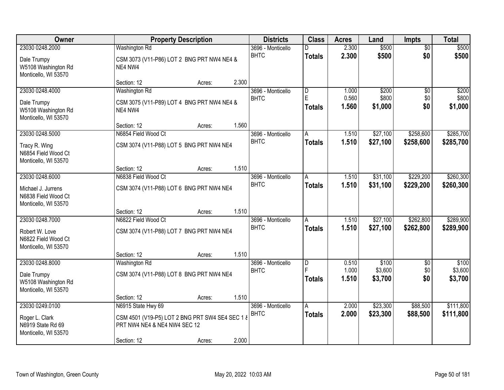| Owner                                                             |                                                                                 | <b>Property Description</b> |       | <b>Districts</b>  | <b>Class</b>            | <b>Acres</b>   | Land               | <b>Impts</b>    | <b>Total</b>       |
|-------------------------------------------------------------------|---------------------------------------------------------------------------------|-----------------------------|-------|-------------------|-------------------------|----------------|--------------------|-----------------|--------------------|
| 23030 0248.2000                                                   | <b>Washington Rd</b>                                                            |                             |       | 3696 - Monticello |                         | 2.300          | \$500              | $\overline{50}$ | \$500              |
| Dale Trumpy<br>W5108 Washington Rd<br>Monticello, WI 53570        | CSM 3073 (V11-P86) LOT 2 BNG PRT NW4 NE4 &<br>NE4 NW4                           |                             |       | <b>BHTC</b>       | <b>Totals</b>           | 2.300          | \$500              | \$0             | \$500              |
|                                                                   | Section: 12                                                                     | Acres:                      | 2.300 |                   |                         |                |                    |                 |                    |
| 23030 0248.4000                                                   | Washington Rd                                                                   |                             |       | 3696 - Monticello | $\overline{\mathsf{D}}$ | 1.000          | \$200              | $\overline{50}$ | \$200              |
| Dale Trumpy<br>W5108 Washington Rd<br>Monticello, WI 53570        | CSM 3075 (V11-P89) LOT 4 BNG PRT NW4 NE4 &<br>NE4 NW4                           |                             |       | <b>BHTC</b>       | E<br><b>Totals</b>      | 0.560<br>1.560 | \$800<br>\$1,000   | \$0<br>\$0      | \$800<br>\$1,000   |
|                                                                   | Section: 12                                                                     | Acres:                      | 1.560 |                   |                         |                |                    |                 |                    |
| 23030 0248.5000                                                   | N6854 Field Wood Ct                                                             |                             |       | 3696 - Monticello | A                       | 1.510          | \$27,100           | \$258,600       | \$285,700          |
| Tracy R. Wing<br>N6854 Field Wood Ct<br>Monticello, WI 53570      | CSM 3074 (V11-P88) LOT 5 BNG PRT NW4 NE4                                        |                             |       | <b>BHTC</b>       | <b>Totals</b>           | 1.510          | \$27,100           | \$258,600       | \$285,700          |
|                                                                   | Section: 12                                                                     | Acres:                      | 1.510 |                   |                         |                |                    |                 |                    |
| 23030 0248.6000                                                   | N6838 Field Wood Ct                                                             |                             |       | 3696 - Monticello | Α                       | 1.510          | \$31,100           | \$229,200       | \$260,300          |
| Michael J. Jurrens<br>N6838 Field Wood Ct<br>Monticello, WI 53570 | CSM 3074 (V11-P88) LOT 6 BNG PRT NW4 NE4                                        |                             |       | <b>BHTC</b>       | <b>Totals</b>           | 1.510          | \$31,100           | \$229,200       | \$260,300          |
|                                                                   | Section: 12                                                                     | Acres:                      | 1.510 |                   |                         |                |                    |                 |                    |
| 23030 0248.7000                                                   | N6822 Field Wood Ct                                                             |                             |       | 3696 - Monticello | A                       | 1.510          | \$27,100           | \$262,800       | \$289,900          |
| Robert W. Love<br>N6822 Field Wood Ct<br>Monticello, WI 53570     | CSM 3074 (V11-P88) LOT 7 BNG PRT NW4 NE4                                        |                             |       | <b>BHTC</b>       | <b>Totals</b>           | 1.510          | \$27,100           | \$262,800       | \$289,900          |
|                                                                   | Section: 12                                                                     | Acres:                      | 1.510 |                   |                         |                |                    |                 |                    |
| 23030 0248.8000                                                   | Washington Rd                                                                   |                             |       | 3696 - Monticello | $\overline{D}$          | 0.510          | \$100              | $\overline{50}$ | \$100              |
| Dale Trumpy<br>W5108 Washington Rd<br>Monticello, WI 53570        | CSM 3074 (V11-P88) LOT 8 BNG PRT NW4 NE4                                        |                             |       | <b>BHTC</b>       | F<br><b>Totals</b>      | 1.000<br>1.510 | \$3,600<br>\$3,700 | \$0<br>\$0      | \$3,600<br>\$3,700 |
|                                                                   | Section: 12                                                                     | Acres:                      | 1.510 |                   |                         |                |                    |                 |                    |
| 23030 0249.0100                                                   | N6915 State Hwy 69                                                              |                             |       | 3696 - Monticello | A                       | 2.000          | \$23,300           | \$88,500        | \$111,800          |
| Roger L. Clark<br>N6919 State Rd 69<br>Monticello, WI 53570       | CSM 4501 (V19-P5) LOT 2 BNG PRT SW4 SE4 SEC 1 8<br>PRT NW4 NE4 & NE4 NW4 SEC 12 |                             |       | <b>BHTC</b>       | <b>Totals</b>           | 2.000          | \$23,300           | \$88,500        | \$111,800          |
|                                                                   | Section: 12                                                                     | Acres:                      | 2.000 |                   |                         |                |                    |                 |                    |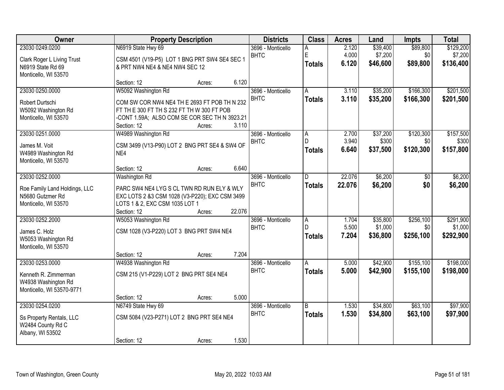| <b>Owner</b>                  |                                                | <b>Property Description</b> |        | <b>Districts</b>  | <b>Class</b>   | <b>Acres</b> | Land     | <b>Impts</b> | <b>Total</b> |
|-------------------------------|------------------------------------------------|-----------------------------|--------|-------------------|----------------|--------------|----------|--------------|--------------|
| 23030 0249.0200               | N6919 State Hwy 69                             |                             |        | 3696 - Monticello | A              | 2.120        | \$39,400 | \$89,800     | \$129,200    |
| Clark Roger L Living Trust    | CSM 4501 (V19-P5) LOT 1 BNG PRT SW4 SE4 SEC 1  |                             |        | <b>BHTC</b>       | E              | 4.000        | \$7,200  | \$0          | \$7,200      |
| N6919 State Rd 69             | & PRT NW4 NE4 & NE4 NW4 SEC 12                 |                             |        |                   | <b>Totals</b>  | 6.120        | \$46,600 | \$89,800     | \$136,400    |
| Monticello, WI 53570          |                                                |                             |        |                   |                |              |          |              |              |
|                               | Section: 12                                    | Acres:                      | 6.120  |                   |                |              |          |              |              |
| 23030 0250.0000               | W5092 Washington Rd                            |                             |        | 3696 - Monticello | A              | 3.110        | \$35,200 | \$166,300    | \$201,500    |
| Robert Durtschi               | COM SW COR NW4 NE4 TH E 2693 FT POB TH N 232   |                             |        | <b>BHTC</b>       | <b>Totals</b>  | 3.110        | \$35,200 | \$166,300    | \$201,500    |
| W5092 Washington Rd           | FT TH E 300 FT TH S 232 FT TH W 300 FT POB     |                             |        |                   |                |              |          |              |              |
| Monticello, WI 53570          | -CONT 1.59A; ALSO COM SE COR SEC TH N 3923.21  |                             |        |                   |                |              |          |              |              |
|                               | Section: 12                                    | Acres:                      | 3.110  |                   |                |              |          |              |              |
| 23030 0251.0000               | W4989 Washington Rd                            |                             |        | 3696 - Monticello | A.             | 2.700        | \$37,200 | \$120,300    | \$157,500    |
| James M. Voit                 | CSM 3499 (V13-P90) LOT 2 BNG PRT SE4 & SW4 OF  |                             |        | <b>BHTC</b>       | D.             | 3.940        | \$300    | \$0          | \$300        |
| W4989 Washington Rd           | NE4                                            |                             |        |                   | <b>Totals</b>  | 6.640        | \$37,500 | \$120,300    | \$157,800    |
| Monticello, WI 53570          |                                                |                             |        |                   |                |              |          |              |              |
|                               | Section: 12                                    | Acres:                      | 6.640  |                   |                |              |          |              |              |
| 23030 0252.0000               | Washington Rd                                  |                             |        | 3696 - Monticello | D              | 22.076       | \$6,200  | \$0          | \$6,200      |
| Roe Family Land Holdings, LLC | PARC SW4 NE4 LYG S CL TWN RD RUN ELY & WLY     |                             |        | <b>BHTC</b>       | <b>Totals</b>  | 22.076       | \$6,200  | \$0          | \$6,200      |
| N5680 Gutzmer Rd              | EXC LOTS 2 &3 CSM 1028 (V3-P220); EXC CSM 3499 |                             |        |                   |                |              |          |              |              |
| Monticello, WI 53570          | LOTS 1 & 2, EXC CSM 1035 LOT 1                 |                             |        |                   |                |              |          |              |              |
|                               | Section: 12                                    | Acres:                      | 22.076 |                   |                |              |          |              |              |
| 23030 0252.2000               | W5053 Washington Rd                            |                             |        | 3696 - Monticello | $\overline{A}$ | 1.704        | \$35,800 | \$256,100    | \$291,900    |
| James C. Holz                 | CSM 1028 (V3-P220) LOT 3 BNG PRT SW4 NE4       |                             |        | <b>BHTC</b>       | D              | 5.500        | \$1,000  | \$0          | \$1,000      |
| W5053 Washington Rd           |                                                |                             |        |                   | <b>Totals</b>  | 7.204        | \$36,800 | \$256,100    | \$292,900    |
| Monticello, WI 53570          |                                                |                             |        |                   |                |              |          |              |              |
|                               | Section: 12                                    | Acres:                      | 7.204  |                   |                |              |          |              |              |
| 23030 0253.0000               | W4938 Washington Rd                            |                             |        | 3696 - Monticello | A              | 5.000        | \$42,900 | \$155,100    | \$198,000    |
| Kenneth R. Zimmerman          | CSM 215 (V1-P229) LOT 2 BNG PRT SE4 NE4        |                             |        | <b>BHTC</b>       | <b>Totals</b>  | 5.000        | \$42,900 | \$155,100    | \$198,000    |
| W4938 Washington Rd           |                                                |                             |        |                   |                |              |          |              |              |
| Monticello, WI 53570-9771     |                                                |                             |        |                   |                |              |          |              |              |
|                               | Section: 12                                    | Acres:                      | 5.000  |                   |                |              |          |              |              |
| 23030 0254.0200               | N6749 State Hwy 69                             |                             |        | 3696 - Monticello | B              | 1.530        | \$34,800 | \$63,100     | \$97,900     |
| Ss Property Rentals, LLC      | CSM 5084 (V23-P271) LOT 2 BNG PRT SE4 NE4      |                             |        | <b>BHTC</b>       | <b>Totals</b>  | 1.530        | \$34,800 | \$63,100     | \$97,900     |
| W2484 County Rd C             |                                                |                             |        |                   |                |              |          |              |              |
| Albany, WI 53502              |                                                |                             |        |                   |                |              |          |              |              |
|                               | Section: 12                                    | Acres:                      | 1.530  |                   |                |              |          |              |              |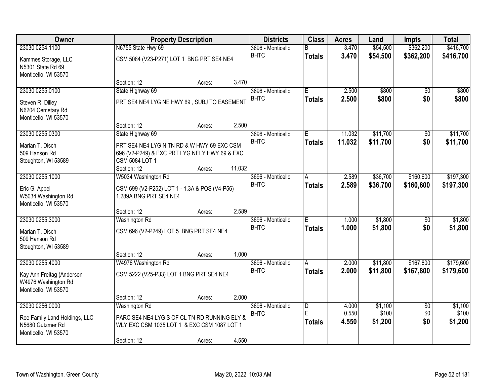| <b>Owner</b>                                                              |                                                                                                                              | <b>Property Description</b> |        | <b>Districts</b>                 | <b>Class</b>            | <b>Acres</b>   | Land                 | <b>Impts</b>    | <b>Total</b>     |
|---------------------------------------------------------------------------|------------------------------------------------------------------------------------------------------------------------------|-----------------------------|--------|----------------------------------|-------------------------|----------------|----------------------|-----------------|------------------|
| 23030 0254.1100                                                           | N6755 State Hwy 69                                                                                                           |                             |        | 3696 - Monticello                | B                       | 3.470          | \$54,500             | \$362,200       | \$416,700        |
| Kammes Storage, LLC<br>N5301 State Rd 69<br>Monticello, WI 53570          | CSM 5084 (V23-P271) LOT 1 BNG PRT SE4 NE4                                                                                    |                             |        | <b>BHTC</b>                      | <b>Totals</b>           | 3.470          | \$54,500             | \$362,200       | \$416,700        |
|                                                                           | Section: 12                                                                                                                  | Acres:                      | 3.470  |                                  |                         |                |                      |                 |                  |
| 23030 0255.0100                                                           | State Highway 69                                                                                                             |                             |        | 3696 - Monticello                | $\overline{E}$          | 2.500          | \$800                | $\overline{50}$ | \$800            |
| Steven R. Dilley<br>N6204 Cemetary Rd<br>Monticello, WI 53570             | PRT SE4 NE4 LYG NE HWY 69, SUBJ TO EASEMENT                                                                                  |                             |        | <b>BHTC</b>                      | <b>Totals</b>           | 2.500          | \$800                | \$0             | \$800            |
|                                                                           | Section: 12                                                                                                                  | Acres:                      | 2.500  |                                  |                         |                |                      |                 |                  |
| 23030 0255.0300                                                           | State Highway 69                                                                                                             |                             |        | 3696 - Monticello                | Е                       | 11.032         | \$11,700             | \$0             | \$11,700         |
| Marian T. Disch<br>509 Hanson Rd<br>Stoughton, WI 53589                   | PRT SE4 NE4 LYG N TN RD & W HWY 69 EXC CSM<br>696 (V2-P249) & EXC PRT LYG NELY HWY 69 & EXC<br>CSM 5084 LOT 1<br>Section: 12 | Acres:                      | 11.032 | <b>BHTC</b>                      | <b>Totals</b>           | 11.032         | \$11,700             | \$0             | \$11,700         |
| 23030 0255.1000                                                           | W5034 Washington Rd                                                                                                          |                             |        | 3696 - Monticello                | A                       | 2.589          | \$36,700             | \$160,600       | \$197,300        |
| Eric G. Appel<br>W5034 Washington Rd<br>Monticello, WI 53570              | CSM 699 (V2-P252) LOT 1 - 1.3A & POS (V4-P56)<br>1.289A BNG PRT SE4 NE4                                                      |                             |        | <b>BHTC</b>                      | <b>Totals</b>           | 2.589          | \$36,700             | \$160,600       | \$197,300        |
|                                                                           | Section: 12                                                                                                                  | Acres:                      | 2.589  |                                  |                         |                |                      |                 |                  |
| 23030 0255.3000                                                           | <b>Washington Rd</b>                                                                                                         |                             |        | 3696 - Monticello                | Ē                       | 1.000          | \$1,800              | $\overline{30}$ | \$1,800          |
| Marian T. Disch<br>509 Hanson Rd<br>Stoughton, WI 53589                   | CSM 696 (V2-P249) LOT 5 BNG PRT SE4 NE4                                                                                      |                             |        | <b>BHTC</b>                      | <b>Totals</b>           | 1.000          | \$1,800              | \$0             | \$1,800          |
|                                                                           | Section: 12                                                                                                                  | Acres:                      | 1.000  |                                  |                         |                |                      |                 |                  |
| 23030 0255.4000                                                           | W4976 Washington Rd                                                                                                          |                             |        | 3696 - Monticello<br><b>BHTC</b> | A                       | 2.000<br>2.000 | \$11,800<br>\$11,800 | \$167,800       | \$179,600        |
| Kay Ann Freitag (Anderson<br>W4976 Washington Rd<br>Monticello, WI 53570  | CSM 5222 (V25-P33) LOT 1 BNG PRT SE4 NE4                                                                                     |                             |        |                                  | <b>Totals</b>           |                |                      | \$167,800       | \$179,600        |
|                                                                           | Section: 12                                                                                                                  | Acres:                      | 2.000  |                                  |                         |                |                      |                 |                  |
| 23030 0256.0000                                                           | <b>Washington Rd</b>                                                                                                         |                             |        | 3696 - Monticello                | $\overline{\mathsf{D}}$ | 4.000          | \$1,100              | $\overline{50}$ | \$1,100          |
| Roe Family Land Holdings, LLC<br>N5680 Gutzmer Rd<br>Monticello, WI 53570 | PARC SE4 NE4 LYG S OF CL TN RD RUNNING ELY &<br>WLY EXC CSM 1035 LOT 1 & EXC CSM 1087 LOT 1                                  |                             |        | <b>BHTC</b>                      | E<br>Totals             | 0.550<br>4.550 | \$100<br>\$1,200     | \$0<br>\$0      | \$100<br>\$1,200 |
|                                                                           | Section: 12                                                                                                                  | Acres:                      | 4.550  |                                  |                         |                |                      |                 |                  |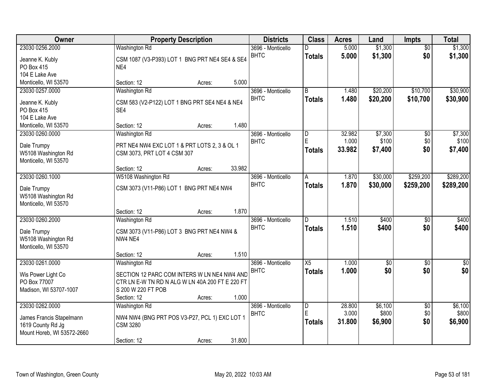| Owner                              | <b>Property Description</b>                                            | <b>Districts</b>                 | <b>Class</b>       | <b>Acres</b>   | Land               | Impts                  | <b>Total</b>       |
|------------------------------------|------------------------------------------------------------------------|----------------------------------|--------------------|----------------|--------------------|------------------------|--------------------|
| 23030 0256.2000<br>Jeanne K. Kubly | <b>Washington Rd</b><br>CSM 1087 (V3-P393) LOT 1 BNG PRT NE4 SE4 & SE4 | 3696 - Monticello<br><b>BHTC</b> | n<br><b>Totals</b> | 5.000<br>5.000 | \$1,300<br>\$1,300 | $\overline{50}$<br>\$0 | \$1,300<br>\$1,300 |
| PO Box 415                         | NE4                                                                    |                                  |                    |                |                    |                        |                    |
| 104 E Lake Ave                     |                                                                        |                                  |                    |                |                    |                        |                    |
| Monticello, WI 53570               | 5.000<br>Section: 12<br>Acres:                                         |                                  |                    |                |                    |                        |                    |
| 23030 0257.0000                    | Washington Rd                                                          | 3696 - Monticello                | $\overline{B}$     | 1.480          | \$20,200           | \$10,700               | \$30,900           |
| Jeanne K. Kubly                    | CSM 583 (V2-P122) LOT 1 BNG PRT SE4 NE4 & NE4                          | <b>BHTC</b>                      | <b>Totals</b>      | 1.480          | \$20,200           | \$10,700               | \$30,900           |
| PO Box 415                         | SE4                                                                    |                                  |                    |                |                    |                        |                    |
| 104 E Lake Ave                     |                                                                        |                                  |                    |                |                    |                        |                    |
| Monticello, WI 53570               | 1.480<br>Section: 12<br>Acres:                                         |                                  |                    |                |                    |                        |                    |
| 23030 0260.0000                    | Washington Rd                                                          | 3696 - Monticello                | D                  | 32.982         | \$7,300            | \$0                    | \$7,300            |
| Dale Trumpy                        | PRT NE4 NW4 EXC LOT 1 & PRT LOTS 2, 3 & OL 1                           | <b>BHTC</b>                      | E                  | 1.000          | \$100              | \$0                    | \$100              |
| W5108 Washington Rd                | CSM 3073, PRT LOT 4 CSM 307                                            |                                  | <b>Totals</b>      | 33.982         | \$7,400            | \$0                    | \$7,400            |
| Monticello, WI 53570               |                                                                        |                                  |                    |                |                    |                        |                    |
|                                    | 33.982<br>Section: 12<br>Acres:                                        |                                  |                    |                |                    |                        |                    |
| 23030 0260.1000                    | W5108 Washington Rd                                                    | 3696 - Monticello                | A                  | 1.870          | \$30,000           | \$259,200              | \$289,200          |
| Dale Trumpy                        | CSM 3073 (V11-P86) LOT 1 BNG PRT NE4 NW4                               | <b>BHTC</b>                      | <b>Totals</b>      | 1.870          | \$30,000           | \$259,200              | \$289,200          |
| W5108 Washington Rd                |                                                                        |                                  |                    |                |                    |                        |                    |
| Monticello, WI 53570               |                                                                        |                                  |                    |                |                    |                        |                    |
|                                    | 1.870<br>Section: 12<br>Acres:                                         |                                  |                    |                |                    |                        |                    |
| 23030 0260.2000                    | Washington Rd                                                          | 3696 - Monticello                | D.                 | 1.510          | \$400              | $\overline{50}$        | \$400              |
| Dale Trumpy                        | CSM 3073 (V11-P86) LOT 3 BNG PRT NE4 NW4 &                             | <b>BHTC</b>                      | <b>Totals</b>      | 1.510          | \$400              | \$0                    | \$400              |
| W5108 Washington Rd                | NW4 NE4                                                                |                                  |                    |                |                    |                        |                    |
| Monticello, WI 53570               |                                                                        |                                  |                    |                |                    |                        |                    |
|                                    | 1.510<br>Section: 12<br>Acres:                                         |                                  |                    |                |                    |                        |                    |
| 23030 0261.0000                    | Washington Rd                                                          | 3696 - Monticello                | $\overline{X5}$    | 1.000          | $\overline{60}$    | $\overline{50}$        | $\overline{50}$    |
| Wis Power Light Co                 | SECTION 12 PARC COM INTERS W LN NE4 NW4 AND                            | <b>BHTC</b>                      | <b>Totals</b>      | 1.000          | \$0                | \$0                    | \$0                |
| PO Box 77007                       | CTR LN E-W TN RD N ALG W LN 40A 200 FT E 220 FT                        |                                  |                    |                |                    |                        |                    |
| Madison, WI 53707-1007             | S 200 W 220 FT POB                                                     |                                  |                    |                |                    |                        |                    |
|                                    | 1.000<br>Section: 12<br>Acres:                                         |                                  |                    |                |                    |                        |                    |
| 23030 0262,0000                    | Washington Rd                                                          | 3696 - Monticello                | $\overline{D}$     | 28.800         | \$6,100            | $\overline{50}$        | \$6,100            |
| James Francis Stapelmann           | NW4 NW4 (BNG PRT POS V3-P27, PCL 1) EXC LOT 1                          | <b>BHTC</b>                      | E                  | 3.000          | \$800              | \$0                    | \$800              |
| 1619 County Rd Jg                  | <b>CSM 3280</b>                                                        |                                  | <b>Totals</b>      | 31.800         | \$6,900            | \$0                    | \$6,900            |
| Mount Horeb, WI 53572-2660         |                                                                        |                                  |                    |                |                    |                        |                    |
|                                    | 31.800<br>Section: 12<br>Acres:                                        |                                  |                    |                |                    |                        |                    |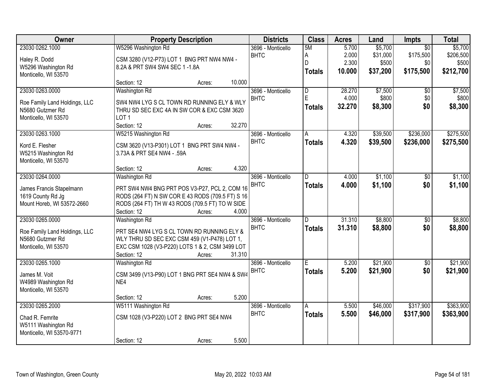| Owner                         | <b>Property Description</b>                      | <b>Districts</b>  | <b>Class</b>   | <b>Acres</b> | Land     | <b>Impts</b>    | <b>Total</b> |
|-------------------------------|--------------------------------------------------|-------------------|----------------|--------------|----------|-----------------|--------------|
| 23030 0262.1000               | W5296 Washington Rd                              | 3696 - Monticello | 5M             | 5.700        | \$5,700  | $\overline{50}$ | \$5,700      |
| Haley R. Dodd                 | CSM 3280 (V12-P73) LOT 1 BNG PRT NW4 NW4 -       | <b>BHTC</b>       | A              | 2.000        | \$31,000 | \$175,500       | \$206,500    |
| W5296 Washington Rd           | 8.2A & PRT SW4 SW4 SEC 1-1.8A                    |                   | D              | 2.300        | \$500    | \$0             | \$500        |
| Monticello, WI 53570          |                                                  |                   | <b>Totals</b>  | 10.000       | \$37,200 | \$175,500       | \$212,700    |
|                               | 10.000<br>Section: 12<br>Acres:                  |                   |                |              |          |                 |              |
| 23030 0263.0000               | Washington Rd                                    | 3696 - Monticello | $\overline{D}$ | 28.270       | \$7,500  | \$0             | \$7,500      |
| Roe Family Land Holdings, LLC | SW4 NW4 LYG S CL TOWN RD RUNNING ELY & WLY       | <b>BHTC</b>       | E              | 4.000        | \$800    | \$0             | \$800        |
| N5680 Gutzmer Rd              | THRU SD SEC EXC 4A IN SW COR & EXC CSM 3620      |                   | <b>Totals</b>  | 32.270       | \$8,300  | \$0             | \$8,300      |
| Monticello, WI 53570          | LOT <sub>1</sub>                                 |                   |                |              |          |                 |              |
|                               | Section: 12<br>32.270<br>Acres:                  |                   |                |              |          |                 |              |
| 23030 0263.1000               | W5215 Washington Rd                              | 3696 - Monticello | $\overline{A}$ | 4.320        | \$39,500 | \$236,000       | \$275,500    |
| Kord E. Flesher               | CSM 3620 (V13-P301) LOT 1 BNG PRT SW4 NW4 -      | <b>BHTC</b>       | <b>Totals</b>  | 4.320        | \$39,500 | \$236,000       | \$275,500    |
| W5215 Washington Rd           | 3.73A & PRT SE4 NW4 - .59A                       |                   |                |              |          |                 |              |
| Monticello, WI 53570          |                                                  |                   |                |              |          |                 |              |
|                               | Section: 12<br>Acres:                            | 4.320             |                |              |          |                 |              |
| 23030 0264.0000               | Washington Rd                                    | 3696 - Monticello | D              | 4.000        | \$1,100  | \$0             | \$1,100      |
| James Francis Stapelmann      | PRT SW4 NW4 BNG PRT POS V3-P27, PCL 2, COM 16    | <b>BHTC</b>       | <b>Totals</b>  | 4.000        | \$1,100  | \$0             | \$1,100      |
| 1619 County Rd Jg             | RODS (264 FT) N SW COR E 43 RODS (709.5 FT) S 16 |                   |                |              |          |                 |              |
| Mount Horeb, WI 53572-2660    | RODS (264 FT) TH W 43 RODS (709.5 FT) TO W SIDE  |                   |                |              |          |                 |              |
|                               | Section: 12<br>Acres:                            | 4.000             |                |              |          |                 |              |
| 23030 0265.0000               | <b>Washington Rd</b>                             | 3696 - Monticello | D.             | 31.310       | \$8,800  | $\overline{50}$ | \$8,800      |
| Roe Family Land Holdings, LLC | PRT SE4 NW4 LYG S CL TOWN RD RUNNING ELY &       | <b>BHTC</b>       | <b>Totals</b>  | 31.310       | \$8,800  | \$0             | \$8,800      |
| N5680 Gutzmer Rd              | WLY THRU SD SEC EXC CSM 459 (V1-P478) LOT 1,     |                   |                |              |          |                 |              |
| Monticello, WI 53570          | EXC CSM 1028 (V3-P220) LOTS 1 & 2, CSM 3499 LOT  |                   |                |              |          |                 |              |
|                               | Section: 12<br>31.310<br>Acres:                  |                   |                |              |          |                 |              |
| 23030 0265.1000               | Washington Rd                                    | 3696 - Monticello | E              | 5.200        | \$21,900 | \$0             | \$21,900     |
| James M. Voit                 | CSM 3499 (V13-P90) LOT 1 BNG PRT SE4 NW4 & SW4   | <b>BHTC</b>       | <b>Totals</b>  | 5.200        | \$21,900 | \$0             | \$21,900     |
| W4989 Washington Rd           | NE4                                              |                   |                |              |          |                 |              |
| Monticello, WI 53570          |                                                  |                   |                |              |          |                 |              |
|                               | Section: 12<br>Acres:                            | 5.200             |                |              |          |                 |              |
| 23030 0265.2000               | W5111 Washington Rd                              | 3696 - Monticello | $\overline{A}$ | 5.500        | \$46,000 | \$317,900       | \$363,900    |
| Chad R. Femrite               | CSM 1028 (V3-P220) LOT 2 BNG PRT SE4 NW4         | <b>BHTC</b>       | <b>Totals</b>  | 5.500        | \$46,000 | \$317,900       | \$363,900    |
| W5111 Washington Rd           |                                                  |                   |                |              |          |                 |              |
| Monticello, WI 53570-9771     |                                                  |                   |                |              |          |                 |              |
|                               | Section: 12<br>Acres:                            | 5.500             |                |              |          |                 |              |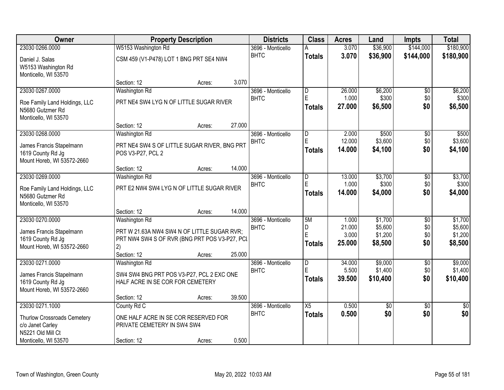| Owner                                                                                                           |                                                                                                                                    | <b>Property Description</b> |        | <b>Districts</b>                 | <b>Class</b>                     | <b>Acres</b>                       | Land                                     | <b>Impts</b>                         | <b>Total</b>                             |
|-----------------------------------------------------------------------------------------------------------------|------------------------------------------------------------------------------------------------------------------------------------|-----------------------------|--------|----------------------------------|----------------------------------|------------------------------------|------------------------------------------|--------------------------------------|------------------------------------------|
| 23030 0266.0000                                                                                                 | W5153 Washington Rd                                                                                                                |                             |        | 3696 - Monticello                | А                                | 3.070                              | \$36,900                                 | \$144,000                            | \$180,900                                |
| Daniel J. Salas<br>W5153 Washington Rd<br>Monticello, WI 53570                                                  | CSM 459 (V1-P478) LOT 1 BNG PRT SE4 NW4                                                                                            |                             |        | <b>BHTC</b>                      | <b>Totals</b>                    | 3.070                              | \$36,900                                 | \$144,000                            | \$180,900                                |
|                                                                                                                 | Section: 12                                                                                                                        | Acres:                      | 3.070  |                                  |                                  |                                    |                                          |                                      |                                          |
| 23030 0267.0000                                                                                                 | Washington Rd                                                                                                                      |                             |        | 3696 - Monticello                | $\overline{\mathsf{D}}$          | 26.000                             | \$6,200                                  | \$0                                  | \$6,200                                  |
| Roe Family Land Holdings, LLC<br>N5680 Gutzmer Rd<br>Monticello, WI 53570                                       | PRT NE4 SW4 LYG N OF LITTLE SUGAR RIVER                                                                                            |                             |        | <b>BHTC</b>                      | E<br><b>Totals</b>               | 1.000<br>27.000                    | \$300<br>\$6,500                         | \$0<br>\$0                           | \$300<br>\$6,500                         |
|                                                                                                                 | Section: 12                                                                                                                        | Acres:                      | 27.000 |                                  |                                  |                                    |                                          |                                      |                                          |
| 23030 0268.0000<br>James Francis Stapelmann<br>1619 County Rd Jg<br>Mount Horeb, WI 53572-2660                  | Washington Rd<br>PRT NE4 SW4 S OF LITTLE SUGAR RIVER, BNG PRT<br>POS V3-P27, PCL 2                                                 |                             |        | 3696 - Monticello<br><b>BHTC</b> | D<br>E<br><b>Totals</b>          | 2.000<br>12.000<br>14.000          | \$500<br>\$3,600<br>\$4,100              | \$0<br>\$0<br>\$0                    | \$500<br>\$3,600<br>\$4,100              |
|                                                                                                                 | Section: 12                                                                                                                        | Acres:                      | 14.000 |                                  |                                  |                                    |                                          |                                      |                                          |
| 23030 0269.0000<br>Roe Family Land Holdings, LLC<br>N5680 Gutzmer Rd<br>Monticello, WI 53570                    | Washington Rd<br>PRT E2 NW4 SW4 LYG N OF LITTLE SUGAR RIVER                                                                        |                             |        | 3696 - Monticello<br><b>BHTC</b> | D<br>E<br><b>Totals</b>          | 13.000<br>1.000<br>14.000          | \$3,700<br>\$300<br>\$4,000              | \$0<br>\$0<br>\$0                    | \$3,700<br>\$300<br>\$4,000              |
|                                                                                                                 | Section: 12                                                                                                                        | Acres:                      | 14.000 |                                  |                                  |                                    |                                          |                                      |                                          |
| 23030 0270.0000<br>James Francis Stapelmann<br>1619 County Rd Jg<br>Mount Horeb, WI 53572-2660                  | Washington Rd<br>PRT W 21.63A NW4 SW4 N OF LITTLE SUGAR RVR;<br>PRT NW4 SW4 S OF RVR (BNG PRT POS V3-P27, PCI<br>2)<br>Section: 12 | Acres:                      | 25.000 | 3696 - Monticello<br><b>BHTC</b> | 5M<br>D<br>Ė<br><b>Totals</b>    | 1.000<br>21.000<br>3.000<br>25.000 | \$1,700<br>\$5,600<br>\$1,200<br>\$8,500 | $\overline{30}$<br>\$0<br>\$0<br>\$0 | \$1,700<br>\$5,600<br>\$1,200<br>\$8,500 |
| 23030 0271.0000                                                                                                 | Washington Rd                                                                                                                      |                             |        | 3696 - Monticello                | $\overline{\mathsf{D}}$          | 34.000                             | \$9,000                                  | $\sqrt{6}$                           | \$9,000                                  |
| James Francis Stapelmann<br>1619 County Rd Jg<br>Mount Horeb, WI 53572-2660                                     | SW4 SW4 BNG PRT POS V3-P27, PCL 2 EXC ONE<br>HALF ACRE IN SE COR FOR CEMETERY                                                      |                             |        | <b>BHTC</b>                      | E<br><b>Totals</b>               | 5.500<br>39.500                    | \$1,400<br>\$10,400                      | \$0<br>\$0                           | \$1,400<br>\$10,400                      |
|                                                                                                                 | Section: 12                                                                                                                        | Acres:                      | 39.500 |                                  |                                  |                                    |                                          |                                      |                                          |
| 23030 0271.1000<br>Thurlow Crossroads Cemetery<br>c/o Janet Carley<br>N5221 Old Mill Ct<br>Monticello, WI 53570 | County Rd C<br>ONE HALF ACRE IN SE COR RESERVED FOR<br>PRIVATE CEMETERY IN SW4 SW4<br>Section: 12                                  | Acres:                      | 0.500  | 3696 - Monticello<br><b>BHTC</b> | $\overline{X5}$<br><b>Totals</b> | 0.500<br>0.500                     | $\overline{50}$<br>\$0                   | $\overline{50}$<br>\$0               | $\overline{50}$<br>\$0                   |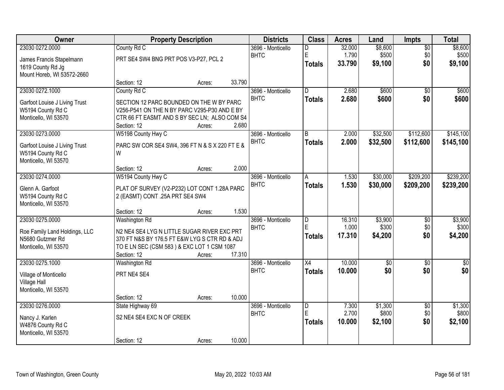| Owner                         |                                                           | <b>Property Description</b> |        | <b>Districts</b>  | <b>Class</b>        | <b>Acres</b>    | Land             | Impts                  | <b>Total</b>     |
|-------------------------------|-----------------------------------------------------------|-----------------------------|--------|-------------------|---------------------|-----------------|------------------|------------------------|------------------|
| 23030 0272.0000               | County Rd C                                               |                             |        | 3696 - Monticello | D                   | 32.000          | \$8,600          | $\overline{50}$        | \$8,600          |
| James Francis Stapelmann      | PRT SE4 SW4 BNG PRT POS V3-P27, PCL 2                     |                             |        | <b>BHTC</b>       | E<br><b>Totals</b>  | 1.790<br>33.790 | \$500<br>\$9,100 | \$0<br>\$0             | \$500<br>\$9,100 |
| 1619 County Rd Jg             |                                                           |                             |        |                   |                     |                 |                  |                        |                  |
| Mount Horeb, WI 53572-2660    | Section: 12                                               | Acres:                      | 33.790 |                   |                     |                 |                  |                        |                  |
| 23030 0272.1000               | County Rd C                                               |                             |        | 3696 - Monticello | $\overline{D}$      | 2.680           | \$600            | $\overline{50}$        | \$600            |
| Garfoot Louise J Living Trust | SECTION 12 PARC BOUNDED ON THE W BY PARC                  |                             |        | <b>BHTC</b>       | <b>Totals</b>       | 2.680           | \$600            | \$0                    | \$600            |
| W5194 County Rd C             | V256-P541 ON THE N BY PARC V295-P30 AND E BY              |                             |        |                   |                     |                 |                  |                        |                  |
| Monticello, WI 53570          | CTR 66 FT EASMT AND S BY SEC LN; ALSO COM S4              |                             |        |                   |                     |                 |                  |                        |                  |
|                               | Section: 12                                               | Acres:                      | 2.680  |                   |                     |                 |                  |                        |                  |
| 23030 0273.0000               | W5198 County Hwy C                                        |                             |        | 3696 - Monticello | B                   | 2.000           | \$32,500         | \$112,600              | \$145,100        |
| Garfoot Louise J Living Trust | PARC SW COR SE4 SW4, 396 FT N & S X 220 FT E &            |                             |        | <b>BHTC</b>       | <b>Totals</b>       | 2.000           | \$32,500         | \$112,600              | \$145,100        |
| W5194 County Rd C             | W                                                         |                             |        |                   |                     |                 |                  |                        |                  |
| Monticello, WI 53570          | Section: 12                                               | Acres:                      | 2.000  |                   |                     |                 |                  |                        |                  |
| 23030 0274.0000               | W5194 County Hwy C                                        |                             |        | 3696 - Monticello | A                   | 1.530           | \$30,000         | \$209,200              | \$239,200        |
| Glenn A. Garfoot              | PLAT OF SURVEY (V2-P232) LOT CONT 1.28A PARC              |                             |        | <b>BHTC</b>       | <b>Totals</b>       | 1.530           | \$30,000         | \$209,200              | \$239,200        |
| W5194 County Rd C             | 2 (EASMT) CONT .25A PRT SE4 SW4                           |                             |        |                   |                     |                 |                  |                        |                  |
| Monticello, WI 53570          |                                                           |                             |        |                   |                     |                 |                  |                        |                  |
|                               | Section: 12                                               | Acres:                      | 1.530  |                   |                     |                 |                  |                        |                  |
| 23030 0275.0000               | Washington Rd                                             |                             |        | 3696 - Monticello | $\overline{D}$      | 16.310          | \$3,900          | $\overline{50}$        | \$3,900          |
| Roe Family Land Holdings, LLC | N2 NE4 SE4 LYG N LITTLE SUGAR RIVER EXC PRT               |                             |        | <b>BHTC</b>       | E<br><b>Totals</b>  | 1.000<br>17.310 | \$300<br>\$4,200 | \$0<br>\$0             | \$300<br>\$4,200 |
| N5680 Gutzmer Rd              | 370 FT N&S BY 176.5 FT E&W LYG S CTR RD & ADJ             |                             |        |                   |                     |                 |                  |                        |                  |
| Monticello, WI 53570          | TO E LN SEC (CSM 583) & EXC LOT 1 CSM 1087<br>Section: 12 | Acres:                      | 17.310 |                   |                     |                 |                  |                        |                  |
| 23030 0275.1000               | Washington Rd                                             |                             |        | 3696 - Monticello | $\overline{X4}$     | 10.000          | $\overline{60}$  | $\overline{50}$        | $\overline{50}$  |
| Village of Monticello         | PRT NE4 SE4                                               |                             |        | <b>BHTC</b>       | <b>Totals</b>       | 10.000          | \$0              | \$0                    | \$0              |
| Village Hall                  |                                                           |                             |        |                   |                     |                 |                  |                        |                  |
| Monticello, WI 53570          |                                                           |                             |        |                   |                     |                 |                  |                        |                  |
|                               | Section: 12                                               | Acres:                      | 10.000 |                   |                     |                 |                  |                        |                  |
| 23030 0276,0000               | State Highway 69                                          |                             |        | 3696 - Monticello | $\overline{D}$<br>E | 7.300<br>2.700  | \$1,300<br>\$800 | $\overline{50}$<br>\$0 | \$1,300<br>\$800 |
| Nancy J. Karlen               | S2 NE4 SE4 EXC N OF CREEK                                 |                             |        | <b>BHTC</b>       | <b>Totals</b>       | 10.000          | \$2,100          | \$0                    | \$2,100          |
| W4876 County Rd C             |                                                           |                             |        |                   |                     |                 |                  |                        |                  |
| Monticello, WI 53570          | Section: 12                                               | Acres:                      | 10.000 |                   |                     |                 |                  |                        |                  |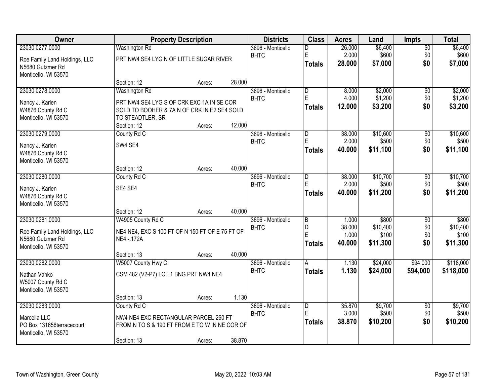| Owner                         |                                                 | <b>Property Description</b> |        | <b>Districts</b>  | <b>Class</b>   | <b>Acres</b>    | Land              | <b>Impts</b>    | <b>Total</b>      |
|-------------------------------|-------------------------------------------------|-----------------------------|--------|-------------------|----------------|-----------------|-------------------|-----------------|-------------------|
| 23030 0277.0000               | <b>Washington Rd</b>                            |                             |        | 3696 - Monticello | D              | 26.000          | \$6,400           | \$0             | \$6,400           |
| Roe Family Land Holdings, LLC | PRT NW4 SE4 LYG N OF LITTLE SUGAR RIVER         |                             |        | <b>BHTC</b>       | $\mathsf E$    | 2.000           | \$600             | \$0             | \$600             |
| N5680 Gutzmer Rd              |                                                 |                             |        |                   | <b>Totals</b>  | 28.000          | \$7,000           | \$0             | \$7,000           |
| Monticello, WI 53570          |                                                 |                             |        |                   |                |                 |                   |                 |                   |
|                               | Section: 12                                     | Acres:                      | 28.000 |                   |                |                 |                   |                 |                   |
| 23030 0278.0000               | Washington Rd                                   |                             |        | 3696 - Monticello | l D            | 8.000           | \$2,000           | \$0             | \$2,000           |
| Nancy J. Karlen               | PRT NW4 SE4 LYG S OF CRK EXC 1A IN SE COR       |                             |        | <b>BHTC</b>       | E              | 4.000           | \$1,200           | \$0             | \$1,200           |
| W4876 County Rd C             | SOLD TO BOOHER & 7A N OF CRK IN E2 SE4 SOLD     |                             |        |                   | <b>Totals</b>  | 12.000          | \$3,200           | \$0             | \$3,200           |
| Monticello, WI 53570          | TO STEADTLER, SR                                |                             |        |                   |                |                 |                   |                 |                   |
|                               | Section: 12                                     | Acres:                      | 12.000 |                   |                |                 |                   |                 |                   |
| 23030 0279.0000               | County Rd C                                     |                             |        | 3696 - Monticello | D              | 38.000          | \$10,600          | \$0             | \$10,600          |
| Nancy J. Karlen               | SW4 SE4                                         |                             |        | <b>BHTC</b>       | E              | 2.000           | \$500             | \$0             | \$500             |
| W4876 County Rd C             |                                                 |                             |        |                   | Totals         | 40.000          | \$11,100          | \$0             | \$11,100          |
| Monticello, WI 53570          |                                                 |                             |        |                   |                |                 |                   |                 |                   |
|                               | Section: 12                                     | Acres:                      | 40.000 |                   |                |                 |                   |                 |                   |
| 23030 0280.0000               | County Rd C                                     |                             |        | 3696 - Monticello | D              | 38.000          | \$10,700          | \$0             | \$10,700          |
| Nancy J. Karlen               | SE4 SE4                                         |                             |        | <b>BHTC</b>       | E              | 2.000           | \$500             | \$0             | \$500             |
| W4876 County Rd C             |                                                 |                             |        |                   | Totals         | 40.000          | \$11,200          | \$0             | \$11,200          |
| Monticello, WI 53570          |                                                 |                             |        |                   |                |                 |                   |                 |                   |
|                               | Section: 12                                     | Acres:                      | 40.000 |                   |                |                 |                   |                 |                   |
| 23030 0281.0000               | W4905 County Rd C                               |                             |        | 3696 - Monticello | $\overline{B}$ | 1.000           | \$800             | $\overline{50}$ | \$800             |
| Roe Family Land Holdings, LLC | NE4 NE4, EXC S 100 FT OF N 150 FT OF E 75 FT OF |                             |        | <b>BHTC</b>       | D<br>E         | 38,000          | \$10,400          | \$0             | \$10,400          |
| N5680 Gutzmer Rd              | NE4 - 172A                                      |                             |        |                   | <b>Totals</b>  | 1.000<br>40.000 | \$100<br>\$11,300 | \$0<br>\$0      | \$100<br>\$11,300 |
| Monticello, WI 53570          |                                                 |                             |        |                   |                |                 |                   |                 |                   |
|                               | Section: 13                                     | Acres:                      | 40.000 |                   |                |                 |                   |                 |                   |
| 23030 0282.0000               | W5007 County Hwy C                              |                             |        | 3696 - Monticello | A              | 1.130           | \$24,000          | \$94,000        | \$118,000         |
| Nathan Vanko                  | CSM 482 (V2-P7) LOT 1 BNG PRT NW4 NE4           |                             |        | <b>BHTC</b>       | <b>Totals</b>  | 1.130           | \$24,000          | \$94,000        | \$118,000         |
| W5007 County Rd C             |                                                 |                             |        |                   |                |                 |                   |                 |                   |
| Monticello, WI 53570          |                                                 |                             |        |                   |                |                 |                   |                 |                   |
|                               | Section: 13                                     | Acres:                      | 1.130  |                   |                |                 |                   |                 |                   |
| 23030 0283.0000               | County Rd C                                     |                             |        | 3696 - Monticello | D              | 35.870          | \$9,700           | $\overline{60}$ | \$9,700           |
| Marcella LLC                  | NW4 NE4 EXC RECTANGULAR PARCEL 260 FT           |                             |        | <b>BHTC</b>       | E              | 3.000           | \$500             | \$0             | \$500             |
| PO Box 131656terracecourt     | FROM N TO S & 190 FT FROM E TO W IN NE COR OF   |                             |        |                   | Totals         | 38.870          | \$10,200          | \$0             | \$10,200          |
| Monticello, WI 53570          |                                                 |                             |        |                   |                |                 |                   |                 |                   |
|                               | Section: 13                                     | Acres:                      | 38.870 |                   |                |                 |                   |                 |                   |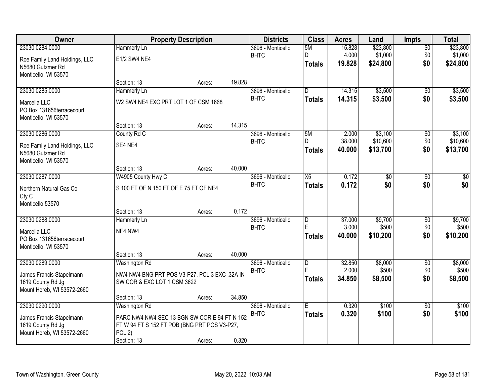| Owner                         |                                               | <b>Property Description</b> |        | <b>Districts</b>  | <b>Class</b>    | <b>Acres</b> | Land            | <b>Impts</b>    | <b>Total</b> |
|-------------------------------|-----------------------------------------------|-----------------------------|--------|-------------------|-----------------|--------------|-----------------|-----------------|--------------|
| 23030 0284.0000               | Hammerly Ln                                   |                             |        | 3696 - Monticello | 5M              | 15.828       | \$23,800        | $\overline{30}$ | \$23,800     |
| Roe Family Land Holdings, LLC | E1/2 SW4 NE4                                  |                             |        | <b>BHTC</b>       | D               | 4.000        | \$1,000         | \$0             | \$1,000      |
| N5680 Gutzmer Rd              |                                               |                             |        |                   | <b>Totals</b>   | 19.828       | \$24,800        | \$0             | \$24,800     |
| Monticello, WI 53570          |                                               |                             |        |                   |                 |              |                 |                 |              |
|                               | Section: 13                                   | Acres:                      | 19.828 |                   |                 |              |                 |                 |              |
| 23030 0285.0000               | Hammerly Ln                                   |                             |        | 3696 - Monticello | $\overline{D}$  | 14.315       | \$3,500         | $\overline{50}$ | \$3,500      |
| Marcella LLC                  | W2 SW4 NE4 EXC PRT LOT 1 OF CSM 1668          |                             |        | <b>BHTC</b>       | <b>Totals</b>   | 14.315       | \$3,500         | \$0             | \$3,500      |
| PO Box 131656terracecourt     |                                               |                             |        |                   |                 |              |                 |                 |              |
| Monticello, WI 53570          |                                               |                             |        |                   |                 |              |                 |                 |              |
|                               | Section: 13                                   | Acres:                      | 14.315 |                   |                 |              |                 |                 |              |
| 23030 0286.0000               | County Rd C                                   |                             |        | 3696 - Monticello | 5M              | 2.000        | \$3,100         | \$0             | \$3,100      |
| Roe Family Land Holdings, LLC | SE4 NE4                                       |                             |        | <b>BHTC</b>       | D               | 38.000       | \$10,600        | \$0             | \$10,600     |
| N5680 Gutzmer Rd              |                                               |                             |        |                   | <b>Totals</b>   | 40.000       | \$13,700        | \$0             | \$13,700     |
| Monticello, WI 53570          |                                               |                             |        |                   |                 |              |                 |                 |              |
|                               | Section: 13                                   | Acres:                      | 40.000 |                   |                 |              |                 |                 |              |
| 23030 0287.0000               | W4905 County Hwy C                            |                             |        | 3696 - Monticello | $\overline{X5}$ | 0.172        | $\overline{50}$ | \$0             | \$0          |
| Northern Natural Gas Co       | S 100 FT OF N 150 FT OF E 75 FT OF NE4        |                             |        | <b>BHTC</b>       | <b>Totals</b>   | 0.172        | \$0             | \$0             | \$0          |
| Cty C                         |                                               |                             |        |                   |                 |              |                 |                 |              |
| Monticello 53570              |                                               |                             |        |                   |                 |              |                 |                 |              |
|                               | Section: 13                                   | Acres:                      | 0.172  |                   |                 |              |                 |                 |              |
| 23030 0288.0000               | Hammerly Ln                                   |                             |        | 3696 - Monticello | $\overline{D}$  | 37.000       | \$9,700         | $\overline{30}$ | \$9,700      |
| Marcella LLC                  | NE4 NW4                                       |                             |        | <b>BHTC</b>       | E               | 3.000        | \$500           | \$0             | \$500        |
| PO Box 131656terracecourt     |                                               |                             |        |                   | <b>Totals</b>   | 40.000       | \$10,200        | \$0             | \$10,200     |
| Monticello, WI 53570          |                                               |                             |        |                   |                 |              |                 |                 |              |
|                               | Section: 13                                   | Acres:                      | 40.000 |                   |                 |              |                 |                 |              |
| 23030 0289.0000               | Washington Rd                                 |                             |        | 3696 - Monticello | $\overline{D}$  | 32.850       | \$8,000         | $\overline{50}$ | \$8,000      |
| James Francis Stapelmann      | NW4 NW4 BNG PRT POS V3-P27, PCL 3 EXC .32A IN |                             |        | <b>BHTC</b>       | E               | 2.000        | \$500           | \$0             | \$500        |
| 1619 County Rd Jg             | SW COR & EXC LOT 1 CSM 3622                   |                             |        |                   | <b>Totals</b>   | 34,850       | \$8,500         | \$0             | \$8,500      |
| Mount Horeb, WI 53572-2660    |                                               |                             |        |                   |                 |              |                 |                 |              |
|                               | Section: 13                                   | Acres:                      | 34.850 |                   |                 |              |                 |                 |              |
| 23030 0290.0000               | Washington Rd                                 |                             |        | 3696 - Monticello | E               | 0.320        | \$100           | $\overline{50}$ | \$100        |
| James Francis Stapelmann      | PARC NW4 NW4 SEC 13 BGN SW COR E 94 FT N 152  |                             |        | <b>BHTC</b>       | <b>Totals</b>   | 0.320        | \$100           | \$0             | \$100        |
| 1619 County Rd Jg             | FTW94 FTS152 FTPOB (BNG PRTPOSV3-P27,         |                             |        |                   |                 |              |                 |                 |              |
| Mount Horeb, WI 53572-2660    | $PCL$ 2)                                      |                             |        |                   |                 |              |                 |                 |              |
|                               | Section: 13                                   | Acres:                      | 0.320  |                   |                 |              |                 |                 |              |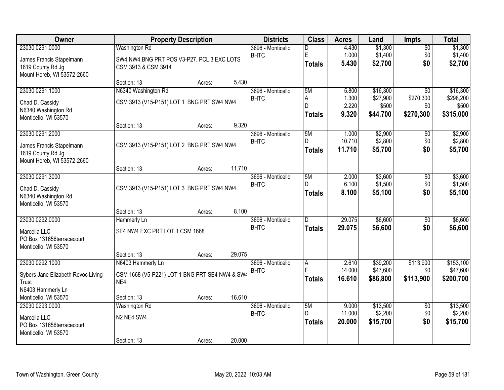| <b>Owner</b>                       |                                                | <b>Property Description</b> |        | <b>Districts</b>                 | <b>Class</b>  | <b>Acres</b>    | Land                 | <b>Impts</b>           | <b>Total</b>          |
|------------------------------------|------------------------------------------------|-----------------------------|--------|----------------------------------|---------------|-----------------|----------------------|------------------------|-----------------------|
| 23030 0291.0000                    | <b>Washington Rd</b>                           |                             |        | 3696 - Monticello                | D             | 4.430           | \$1,300              | $\overline{50}$        | \$1,300               |
| James Francis Stapelmann           | SW4 NW4 BNG PRT POS V3-P27, PCL 3 EXC LOTS     |                             |        | <b>BHTC</b>                      | E             | 1.000           | \$1,400              | \$0                    | \$1,400               |
| 1619 County Rd Jg                  | CSM 3913 & CSM 3914                            |                             |        |                                  | <b>Totals</b> | 5.430           | \$2,700              | \$0                    | \$2,700               |
| Mount Horeb, WI 53572-2660         |                                                |                             |        |                                  |               |                 |                      |                        |                       |
|                                    | Section: 13                                    | Acres:                      | 5.430  |                                  |               |                 |                      |                        |                       |
| 23030 0291.1000                    | N6340 Washington Rd                            |                             |        | 3696 - Monticello                | 5M            | 5.800           | \$16,300             | $\overline{30}$        | \$16,300              |
| Chad D. Cassidy                    | CSM 3913 (V15-P151) LOT 1 BNG PRT SW4 NW4      |                             |        | <b>BHTC</b>                      | A<br>D        | 1.300<br>2.220  | \$27,900<br>\$500    | \$270,300<br>\$0       | \$298,200<br>\$500    |
| N6340 Washington Rd                |                                                |                             |        |                                  | <b>Totals</b> | 9.320           | \$44,700             | \$270,300              | \$315,000             |
| Monticello, WI 53570               |                                                |                             |        |                                  |               |                 |                      |                        |                       |
|                                    | Section: 13                                    | Acres:                      | 9.320  |                                  |               |                 |                      |                        |                       |
| 23030 0291.2000                    |                                                |                             |        | 3696 - Monticello                | 5M            | 1.000           | \$2,900              | \$0                    | \$2,900               |
| James Francis Stapelmann           | CSM 3913 (V15-P151) LOT 2 BNG PRT SW4 NW4      |                             |        | <b>BHTC</b>                      | D             | 10.710          | \$2,800              | \$0                    | \$2,800               |
| 1619 County Rd Jg                  |                                                |                             |        |                                  | <b>Totals</b> | 11.710          | \$5,700              | \$0                    | \$5,700               |
| Mount Horeb, WI 53572-2660         |                                                |                             |        |                                  |               |                 |                      |                        |                       |
|                                    | Section: 13                                    | Acres:                      | 11.710 |                                  |               |                 |                      |                        |                       |
| 23030 0291.3000                    |                                                |                             |        | 3696 - Monticello                | 5M            | 2.000           | \$3,600              | \$0                    | \$3,600               |
| Chad D. Cassidy                    | CSM 3913 (V15-P151) LOT 3 BNG PRT SW4 NW4      |                             |        | <b>BHTC</b>                      | D             | 6.100<br>8.100  | \$1,500              | \$0<br>\$0             | \$1,500               |
| N6340 Washington Rd                |                                                |                             |        |                                  | <b>Totals</b> |                 | \$5,100              |                        | \$5,100               |
| Monticello, WI 53570               |                                                |                             |        |                                  |               |                 |                      |                        |                       |
|                                    | Section: 13                                    | Acres:                      | 8.100  |                                  |               |                 |                      |                        |                       |
| 23030 0292.0000                    | Hammerly Ln                                    |                             |        | 3696 - Monticello                | D.            | 29.075          | \$6,600              | $\overline{30}$        | \$6,600               |
| Marcella LLC                       | SE4 NW4 EXC PRT LOT 1 CSM 1668                 |                             |        | <b>BHTC</b>                      | <b>Totals</b> | 29.075          | \$6,600              | \$0                    | \$6,600               |
| PO Box 131656terracecourt          |                                                |                             |        |                                  |               |                 |                      |                        |                       |
| Monticello, WI 53570               |                                                |                             |        |                                  |               |                 |                      |                        |                       |
|                                    | Section: 13                                    | Acres:                      | 29.075 |                                  |               |                 |                      |                        |                       |
| 23030 0292.1000                    | N6403 Hammerly Ln                              |                             |        | 3696 - Monticello<br><b>BHTC</b> | A<br>F        | 2.610<br>14.000 | \$39,200<br>\$47,600 | \$113,900<br>\$0       | \$153,100<br>\$47,600 |
| Sybers Jane Elizabeth Revoc Living | CSM 1668 (V5-P221) LOT 1 BNG PRT SE4 NW4 & SW4 |                             |        |                                  | <b>Totals</b> | 16.610          | \$86,800             | \$113,900              | \$200,700             |
| Trust                              | NE4                                            |                             |        |                                  |               |                 |                      |                        |                       |
| N6403 Hammerly Ln                  |                                                |                             |        |                                  |               |                 |                      |                        |                       |
| Monticello, WI 53570               | Section: 13                                    | Acres:                      | 16.610 |                                  |               |                 |                      |                        |                       |
| 23030 0293,0000                    | <b>Washington Rd</b>                           |                             |        | 3696 - Monticello<br><b>BHTC</b> | 5M<br>D       | 9.000<br>11.000 | \$13,500<br>\$2,200  | $\overline{50}$<br>\$0 | \$13,500<br>\$2,200   |
| Marcella LLC                       | N2 NE4 SW4                                     |                             |        |                                  | <b>Totals</b> | 20.000          | \$15,700             | \$0                    | \$15,700              |
| PO Box 131656terracecourt          |                                                |                             |        |                                  |               |                 |                      |                        |                       |
| Monticello, WI 53570               |                                                |                             |        |                                  |               |                 |                      |                        |                       |
|                                    | Section: 13                                    | Acres:                      | 20.000 |                                  |               |                 |                      |                        |                       |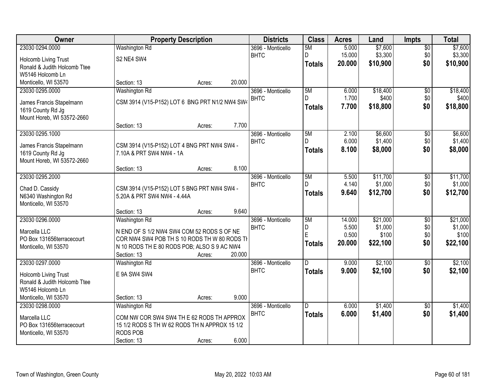| Owner                        |                                                | <b>Property Description</b> |        | <b>Districts</b>  | <b>Class</b>  | <b>Acres</b>    | Land              | <b>Impts</b>    | <b>Total</b>      |
|------------------------------|------------------------------------------------|-----------------------------|--------|-------------------|---------------|-----------------|-------------------|-----------------|-------------------|
| 23030 0294.0000              | <b>Washington Rd</b>                           |                             |        | 3696 - Monticello | 5M            | 5.000           | \$7,600           | $\overline{60}$ | \$7,600           |
| Holcomb Living Trust         | S2 NE4 SW4                                     |                             |        | <b>BHTC</b>       | D             | 15.000          | \$3,300           | \$0             | \$3,300           |
| Ronald & Judith Holcomb Ttee |                                                |                             |        |                   | <b>Totals</b> | 20.000          | \$10,900          | \$0             | \$10,900          |
| W5146 Holcomb Ln             |                                                |                             |        |                   |               |                 |                   |                 |                   |
| Monticello, WI 53570         | Section: 13                                    | Acres:                      | 20.000 |                   |               |                 |                   |                 |                   |
| 23030 0295.0000              | <b>Washington Rd</b>                           |                             |        | 3696 - Monticello | 5M            | 6.000           | \$18,400          | \$0             | \$18,400          |
| James Francis Stapelmann     | CSM 3914 (V15-P152) LOT 6 BNG PRT N1/2 NW4 SW4 |                             |        | <b>BHTC</b>       | D.            | 1.700           | \$400             | \$0             | \$400             |
| 1619 County Rd Jg            |                                                |                             |        |                   | <b>Totals</b> | 7.700           | \$18,800          | \$0             | \$18,800          |
| Mount Horeb, WI 53572-2660   |                                                |                             |        |                   |               |                 |                   |                 |                   |
|                              | Section: 13                                    | Acres:                      | 7.700  |                   |               |                 |                   |                 |                   |
| 23030 0295.1000              |                                                |                             |        | 3696 - Monticello | 5M            | 2.100           | \$6,600           | $\sqrt[6]{30}$  | \$6,600           |
| James Francis Stapelmann     | CSM 3914 (V15-P152) LOT 4 BNG PRT NW4 SW4 -    |                             |        | <b>BHTC</b>       | D             | 6.000           | \$1,400           | \$0             | \$1,400           |
| 1619 County Rd Jg            | 7.10A & PRT SW4 NW4 - 1A                       |                             |        |                   | <b>Totals</b> | 8.100           | \$8,000           | \$0             | \$8,000           |
| Mount Horeb, WI 53572-2660   |                                                |                             |        |                   |               |                 |                   |                 |                   |
|                              | Section: 13                                    | Acres:                      | 8.100  |                   |               |                 |                   |                 |                   |
| 23030 0295.2000              |                                                |                             |        | 3696 - Monticello | 5M            | 5.500           | \$11,700          | \$0             | \$11,700          |
| Chad D. Cassidy              | CSM 3914 (V15-P152) LOT 5 BNG PRT NW4 SW4 -    |                             |        | <b>BHTC</b>       | D.            | 4.140           | \$1,000           | \$0             | \$1,000           |
| N6340 Washington Rd          | 5.20A & PRT SW4 NW4 - 4.44A                    |                             |        |                   | <b>Totals</b> | 9.640           | \$12,700          | \$0             | \$12,700          |
| Monticello, WI 53570         |                                                |                             |        |                   |               |                 |                   |                 |                   |
|                              | Section: 13                                    | Acres:                      | 9.640  |                   |               |                 |                   |                 |                   |
| 23030 0296.0000              | Washington Rd                                  |                             |        | 3696 - Monticello | 5M            | 14.000          | \$21,000          | $\overline{30}$ | \$21,000          |
| Marcella LLC                 | N END OF S 1/2 NW4 SW4 COM 52 RODS S OF NE     |                             |        | <b>BHTC</b>       | D<br>E        | 5.500           | \$1,000           | \$0             | \$1,000           |
| PO Box 131656terracecourt    | COR NW4 SW4 POB TH S 10 RODS TH W 80 RODS TI   |                             |        |                   |               | 0.500<br>20.000 | \$100<br>\$22,100 | \$0<br>\$0      | \$100<br>\$22,100 |
| Monticello, WI 53570         | N 10 RODS THE 80 RODS POB; ALSO S 9 AC NW4     |                             |        |                   | <b>Totals</b> |                 |                   |                 |                   |
|                              | Section: 13                                    | Acres:                      | 20.000 |                   |               |                 |                   |                 |                   |
| 23030 0297.0000              | Washington Rd                                  |                             |        | 3696 - Monticello | D.            | 9.000           | \$2,100           | $\overline{60}$ | \$2,100           |
| Holcomb Living Trust         | E 9A SW4 SW4                                   |                             |        | <b>BHTC</b>       | <b>Totals</b> | 9.000           | \$2,100           | \$0             | \$2,100           |
| Ronald & Judith Holcomb Ttee |                                                |                             |        |                   |               |                 |                   |                 |                   |
| W5146 Holcomb Ln             |                                                |                             |        |                   |               |                 |                   |                 |                   |
| Monticello, WI 53570         | Section: 13                                    | Acres:                      | 9.000  |                   |               |                 |                   |                 |                   |
| 23030 0298.0000              | Washington Rd                                  |                             |        | 3696 - Monticello | D             | 6.000           | \$1,400           | $\overline{50}$ | \$1,400           |
| Marcella LLC                 | COM NW COR SW4 SW4 TH E 62 RODS TH APPROX      |                             |        | <b>BHTC</b>       | <b>Totals</b> | 6.000           | \$1,400           | \$0             | \$1,400           |
| PO Box 131656terracecourt    | 15 1/2 RODS S TH W 62 RODS TH N APPROX 15 1/2  |                             |        |                   |               |                 |                   |                 |                   |
| Monticello, WI 53570         | <b>RODS POB</b>                                |                             |        |                   |               |                 |                   |                 |                   |
|                              | Section: 13                                    | Acres:                      | 6.000  |                   |               |                 |                   |                 |                   |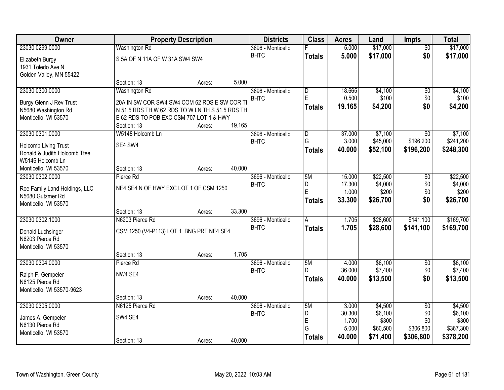| Owner                         |                                                 | <b>Property Description</b> |        | <b>Districts</b>  | <b>Class</b>            | <b>Acres</b>   | Land              | Impts            | <b>Total</b>       |
|-------------------------------|-------------------------------------------------|-----------------------------|--------|-------------------|-------------------------|----------------|-------------------|------------------|--------------------|
| 23030 0299.0000               | <b>Washington Rd</b>                            |                             |        | 3696 - Monticello |                         | 5.000          | \$17,000          | $\overline{50}$  | \$17,000           |
| Elizabeth Burgy               | S 5A OF N 11A OF W 31A SW4 SW4                  |                             |        | <b>BHTC</b>       | <b>Totals</b>           | 5.000          | \$17,000          | \$0              | \$17,000           |
| 1931 Toledo Ave N             |                                                 |                             |        |                   |                         |                |                   |                  |                    |
| Golden Valley, MN 55422       |                                                 |                             |        |                   |                         |                |                   |                  |                    |
|                               | Section: 13                                     | Acres:                      | 5.000  |                   |                         |                |                   |                  |                    |
| 23030 0300.0000               | Washington Rd                                   |                             |        | 3696 - Monticello | $\overline{\mathsf{D}}$ | 18.665         | \$4,100           | $\overline{50}$  | \$4,100            |
| Burgy Glenn J Rev Trust       | 20A IN SW COR SW4 SW4 COM 62 RDS E SW COR TI    |                             |        | <b>BHTC</b>       | E                       | 0.500          | \$100             | \$0              | \$100              |
| N5680 Washington Rd           | N 51.5 RDS TH W 62 RDS TO W LN TH S 51.5 RDS TH |                             |        |                   | <b>Totals</b>           | 19.165         | \$4,200           | \$0              | \$4,200            |
| Monticello, WI 53570          | E 62 RDS TO POB EXC CSM 707 LOT 1 & HWY         |                             |        |                   |                         |                |                   |                  |                    |
|                               | Section: 13                                     | Acres:                      | 19.165 |                   |                         |                |                   |                  |                    |
| 23030 0301.0000               | W5148 Holcomb Ln                                |                             |        | 3696 - Monticello | $\overline{\mathsf{D}}$ | 37.000         | \$7,100           | \$0              | \$7,100            |
| Holcomb Living Trust          | SE4 SW4                                         |                             |        | <b>BHTC</b>       | G                       | 3.000          | \$45,000          | \$196,200        | \$241,200          |
| Ronald & Judith Holcomb Ttee  |                                                 |                             |        |                   | <b>Totals</b>           | 40.000         | \$52,100          | \$196,200        | \$248,300          |
| W5146 Holcomb Ln              |                                                 |                             |        |                   |                         |                |                   |                  |                    |
| Monticello, WI 53570          | Section: 13                                     | Acres:                      | 40.000 |                   |                         |                |                   |                  |                    |
| 23030 0302.0000               | Pierce Rd                                       |                             |        | 3696 - Monticello | 5M                      | 15.000         | \$22,500          | \$0              | \$22,500           |
| Roe Family Land Holdings, LLC | NE4 SE4 N OF HWY EXC LOT 1 OF CSM 1250          |                             |        | <b>BHTC</b>       | D.                      | 17.300         | \$4,000           | \$0              | \$4,000            |
| N5680 Gutzmer Rd              |                                                 |                             |        |                   | E                       | 1.000          | \$200             | \$0              | \$200              |
| Monticello, WI 53570          |                                                 |                             |        |                   | <b>Totals</b>           | 33.300         | \$26,700          | \$0              | \$26,700           |
|                               | Section: 13                                     | Acres:                      | 33.300 |                   |                         |                |                   |                  |                    |
| 23030 0302.1000               | N6203 Pierce Rd                                 |                             |        | 3696 - Monticello | $\overline{A}$          | 1.705          | \$28,600          | \$141,100        | \$169,700          |
| Donald Luchsinger             | CSM 1250 (V4-P113) LOT 1 BNG PRT NE4 SE4        |                             |        | <b>BHTC</b>       | <b>Totals</b>           | 1.705          | \$28,600          | \$141,100        | \$169,700          |
| N6203 Pierce Rd               |                                                 |                             |        |                   |                         |                |                   |                  |                    |
| Monticello, WI 53570          |                                                 |                             |        |                   |                         |                |                   |                  |                    |
|                               | Section: 13                                     | Acres:                      | 1.705  |                   |                         |                |                   |                  |                    |
| 23030 0304.0000               | Pierce Rd                                       |                             |        | 3696 - Monticello | 5M                      | 4.000          | \$6,100           | $\overline{50}$  | \$6,100            |
| Ralph F. Gempeler             | NW4 SE4                                         |                             |        | <b>BHTC</b>       | D                       | 36.000         | \$7,400           | \$0              | \$7,400            |
| N6125 Pierce Rd               |                                                 |                             |        |                   | <b>Totals</b>           | 40.000         | \$13,500          | \$0              | \$13,500           |
| Monticello, WI 53570-9623     |                                                 |                             |        |                   |                         |                |                   |                  |                    |
|                               | Section: 13                                     | Acres:                      | 40.000 |                   |                         |                |                   |                  |                    |
| 23030 0305.0000               | N6125 Pierce Rd                                 |                             |        | 3696 - Monticello | 5M                      | 3.000          | \$4,500           | $\overline{50}$  | \$4,500            |
| James A. Gempeler             | SW4 SE4                                         |                             |        | <b>BHTC</b>       | D                       | 30.300         | \$6,100           | \$0              | \$6,100            |
| N6130 Pierce Rd               |                                                 |                             |        |                   | E<br>G                  | 1.700<br>5.000 | \$300<br>\$60,500 | \$0<br>\$306,800 | \$300<br>\$367,300 |
| Monticello, WI 53570          |                                                 |                             |        |                   | <b>Totals</b>           | 40.000         | \$71,400          | \$306,800        | \$378,200          |
|                               | Section: 13                                     | Acres:                      | 40.000 |                   |                         |                |                   |                  |                    |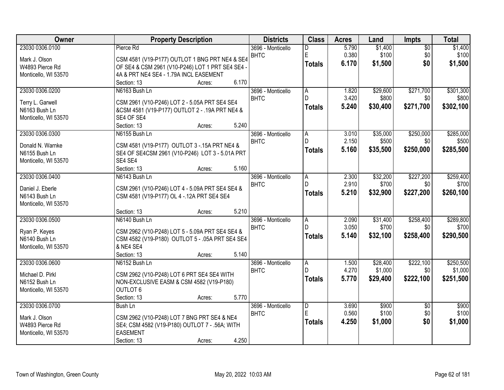| Owner                | <b>Property Description</b>                                       | <b>Districts</b>                 | <b>Class</b>        | <b>Acres</b>   | Land              | Impts           | <b>Total</b> |
|----------------------|-------------------------------------------------------------------|----------------------------------|---------------------|----------------|-------------------|-----------------|--------------|
| 23030 0306.0100      | Pierce Rd                                                         | 3696 - Monticello                | D                   | 5.790          | \$1,400           | $\overline{50}$ | \$1,400      |
| Mark J. Olson        | CSM 4581 (V19-P177) OUTLOT 1 BNG PRT NE4 & SE4                    | <b>BHTC</b>                      | E                   | 0.380          | \$100             | \$0             | \$100        |
| W4893 Pierce Rd      | OF SE4 & CSM 2961 (V10-P246) LOT 1 PRT SE4 SE4 -                  |                                  | <b>Totals</b>       | 6.170          | \$1,500           | \$0             | \$1,500      |
| Monticello, WI 53570 | 4A & PRT NE4 SE4 - 1.79A INCL EASEMENT                            |                                  |                     |                |                   |                 |              |
|                      | 6.170<br>Section: 13<br>Acres:                                    |                                  |                     |                |                   |                 |              |
| 23030 0306.0200      | N6163 Bush Ln                                                     | 3696 - Monticello                | $\overline{A}$      | 1.820          | \$29,600          | \$271,700       | \$301,300    |
| Terry L. Garwell     | CSM 2961 (V10-P246) LOT 2 - 5.05A PRT SE4 SE4                     | <b>BHTC</b>                      | D.                  | 3.420          | \$800             | \$0             | \$800        |
| N6163 Bush Ln        | & CSM 4581 (V19-P177) OUTLOT 2 - .19A PRT NE4 &                   |                                  | <b>Totals</b>       | 5.240          | \$30,400          | \$271,700       | \$302,100    |
| Monticello, WI 53570 | SE4 OF SE4                                                        |                                  |                     |                |                   |                 |              |
|                      | 5.240<br>Section: 13<br>Acres:                                    |                                  |                     |                |                   |                 |              |
| 23030 0306.0300      | N6155 Bush Ln                                                     | 3696 - Monticello                | A                   | 3.010          | \$35,000          | \$250,000       | \$285,000    |
|                      |                                                                   | <b>BHTC</b>                      | D                   | 2.150          | \$500             | \$0             | \$500        |
| Donald N. Warnke     | CSM 4581 (V19-P177) OUTLOT 3 - 15A PRT NE4 &                      |                                  | <b>Totals</b>       | 5.160          | \$35,500          | \$250,000       | \$285,500    |
| N6155 Bush Ln        | SE4 OF SE4CSM 2961 (V10-P246) LOT 3 - 5.01A PRT                   |                                  |                     |                |                   |                 |              |
| Monticello, WI 53570 | SE4 SE4<br>5.160                                                  |                                  |                     |                |                   |                 |              |
| 23030 0306.0400      | Section: 13<br>Acres:<br>N6143 Bush Ln                            |                                  |                     |                |                   | \$227,200       | \$259,400    |
|                      |                                                                   | 3696 - Monticello<br><b>BHTC</b> | $\overline{A}$<br>D | 2.300<br>2.910 | \$32,200<br>\$700 | \$0             | \$700        |
| Daniel J. Eberle     | CSM 2961 (V10-P246) LOT 4 - 5.09A PRT SE4 SE4 &                   |                                  |                     | 5.210          | \$32,900          | \$227,200       | \$260,100    |
| N6143 Bush Ln        | CSM 4581 (V19-P177) OL 4 - 12A PRT SE4 SE4                        |                                  | <b>Totals</b>       |                |                   |                 |              |
| Monticello, WI 53570 |                                                                   |                                  |                     |                |                   |                 |              |
|                      | 5.210<br>Section: 13<br>Acres:                                    |                                  |                     |                |                   |                 |              |
| 23030 0306.0500      | N6140 Bush Ln                                                     | 3696 - Monticello                | $\overline{A}$      | 2.090          | \$31,400          | \$258,400       | \$289,800    |
| Ryan P. Keyes        | CSM 2962 (V10-P248) LOT 5 - 5.09A PRT SE4 SE4 &                   | <b>BHTC</b>                      | D.                  | 3.050          | \$700             | \$0             | \$700        |
| N6140 Bush Ln        | CSM 4582 (V19-P180) OUTLOT 5 - .05A PRT SE4 SE4                   |                                  | <b>Totals</b>       | 5.140          | \$32,100          | \$258,400       | \$290,500    |
| Monticello, WI 53570 | & NE4 SE4                                                         |                                  |                     |                |                   |                 |              |
|                      | 5.140<br>Section: 13<br>Acres:                                    |                                  |                     |                |                   |                 |              |
| 23030 0306.0600      | N6152 Bush Ln                                                     | 3696 - Monticello                | A                   | 1.500          | \$28,400          | \$222,100       | \$250,500    |
| Michael D. Pirkl     | CSM 2962 (V10-P248) LOT 6 PRT SE4 SE4 WITH                        | <b>BHTC</b>                      | D.                  | 4.270          | \$1,000           | \$0             | \$1,000      |
| N6152 Bush Ln        | NON-EXCLUSIVE EASM & CSM 4582 (V19-P180)                          |                                  | <b>Totals</b>       | 5.770          | \$29,400          | \$222,100       | \$251,500    |
| Monticello, WI 53570 | <b>OUTLOT 6</b>                                                   |                                  |                     |                |                   |                 |              |
|                      | 5.770<br>Section: 13<br>Acres:                                    |                                  |                     |                |                   |                 |              |
| 23030 0306.0700      | <b>Bush Ln</b>                                                    | 3696 - Monticello                | $\overline{D}$      | 3.690          | \$900             | $\overline{50}$ | \$900        |
|                      |                                                                   | <b>BHTC</b>                      | E                   | 0.560          | \$100             | \$0             | \$100        |
| Mark J. Olson        | CSM 2962 (V10-P248) LOT 7 BNG PRT SE4 & NE4                       |                                  | <b>Totals</b>       | 4.250          | \$1,000           | \$0             | \$1,000      |
| W4893 Pierce Rd      | SE4; CSM 4582 (V19-P180) OUTLOT 7 - .56A; WITH<br><b>EASEMENT</b> |                                  |                     |                |                   |                 |              |
| Monticello, WI 53570 | 4.250<br>Section: 13                                              |                                  |                     |                |                   |                 |              |
|                      | Acres:                                                            |                                  |                     |                |                   |                 |              |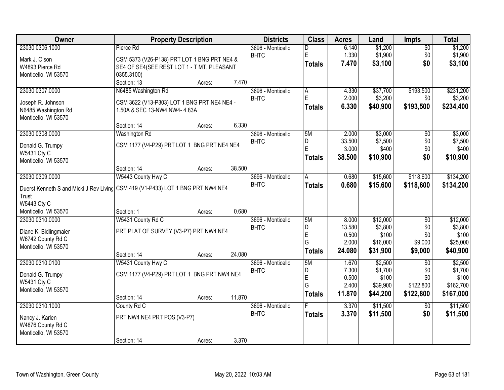| Owner                 | <b>Property Description</b>                                                       |        | <b>Districts</b>  | <b>Class</b>   | <b>Acres</b> | Land     | <b>Impts</b>    | <b>Total</b> |
|-----------------------|-----------------------------------------------------------------------------------|--------|-------------------|----------------|--------------|----------|-----------------|--------------|
| 23030 0306.1000       | Pierce Rd                                                                         |        | 3696 - Monticello | D              | 6.140        | \$1,200  | $\overline{50}$ | \$1,200      |
| Mark J. Olson         | CSM 5373 (V26-P138) PRT LOT 1 BNG PRT NE4 &                                       |        | <b>BHTC</b>       | E              | 1.330        | \$1,900  | \$0             | \$1,900      |
| W4893 Pierce Rd       | SE4 OF SE4(SEE REST LOT 1 - T MT. PLEASANT                                        |        |                   | <b>Totals</b>  | 7.470        | \$3,100  | \$0             | \$3,100      |
| Monticello, WI 53570  | 0355.3100)                                                                        |        |                   |                |              |          |                 |              |
|                       | Section: 13<br>Acres:                                                             | 7.470  |                   |                |              |          |                 |              |
| 23030 0307.0000       | N6485 Washington Rd                                                               |        | 3696 - Monticello | $\overline{A}$ | 4.330        | \$37,700 | \$193,500       | \$231,200    |
| Joseph R. Johnson     | CSM 3622 (V13-P303) LOT 1 BNG PRT NE4 NE4 -                                       |        | <b>BHTC</b>       | E              | 2.000        | \$3,200  | \$0             | \$3,200      |
| N6485 Washington Rd   | 1.50A & SEC 13-NW4 NW4- 4.83A                                                     |        |                   | <b>Totals</b>  | 6.330        | \$40,900 | \$193,500       | \$234,400    |
| Monticello, WI 53570  |                                                                                   |        |                   |                |              |          |                 |              |
|                       | Section: 14<br>Acres:                                                             | 6.330  |                   |                |              |          |                 |              |
| 23030 0308.0000       | Washington Rd                                                                     |        | 3696 - Monticello | 5M             | 2.000        | \$3,000  | \$0             | \$3,000      |
| Donald G. Trumpy      | CSM 1177 (V4-P29) PRT LOT 1 BNG PRT NE4 NE4                                       |        | <b>BHTC</b>       | D              | 33.500       | \$7,500  | \$0             | \$7,500      |
| W5431 Cty C           |                                                                                   |        |                   | E              | 3.000        | \$400    | \$0             | \$400        |
| Monticello, WI 53570  |                                                                                   |        |                   | <b>Totals</b>  | 38.500       | \$10,900 | \$0             | \$10,900     |
|                       | Section: 14<br>Acres:                                                             | 38.500 |                   |                |              |          |                 |              |
| 23030 0309.0000       | W5443 County Hwy C                                                                |        | 3696 - Monticello | Α              | 0.680        | \$15,600 | \$118,600       | \$134,200    |
|                       | Duerst Kenneth S and Micki J Rev Living   CSM 419 (V1-P433) LOT 1 BNG PRT NW4 NE4 |        | <b>BHTC</b>       | <b>Totals</b>  | 0.680        | \$15,600 | \$118,600       | \$134,200    |
| Trust                 |                                                                                   |        |                   |                |              |          |                 |              |
| W5443 Cty C           |                                                                                   |        |                   |                |              |          |                 |              |
| Monticello, WI 53570  | Section: 1<br>Acres:                                                              | 0.680  |                   |                |              |          |                 |              |
| 23030 0310.0000       | W5431 County Rd C                                                                 |        | 3696 - Monticello | 5M             | 8.000        | \$12,000 | $\overline{50}$ | \$12,000     |
| Diane K. Bidlingmaier | PRT PLAT OF SURVEY (V3-P7) PRT NW4 NE4                                            |        | <b>BHTC</b>       | D              | 13.580       | \$3,800  | \$0             | \$3,800      |
| W6742 County Rd C     |                                                                                   |        |                   | E              | 0.500        | \$100    | \$0             | \$100        |
| Monticello, WI 53570  |                                                                                   |        |                   | G              | 2.000        | \$16,000 | \$9,000         | \$25,000     |
|                       | Section: 14<br>Acres:                                                             | 24.080 |                   | <b>Totals</b>  | 24.080       | \$31,900 | \$9,000         | \$40,900     |
| 23030 0310.0100       | W5431 County Hwy C                                                                |        | 3696 - Monticello | 5M             | 1.670        | \$2,500  | $\overline{30}$ | \$2,500      |
| Donald G. Trumpy      | CSM 1177 (V4-P29) PRT LOT 1 BNG PRT NW4 NE4                                       |        | <b>BHTC</b>       | D              | 7.300        | \$1,700  | \$0             | \$1,700      |
| W5431 Cty C           |                                                                                   |        |                   | E              | 0.500        | \$100    | \$0             | \$100        |
| Monticello, WI 53570  |                                                                                   |        |                   | G              | 2.400        | \$39,900 | \$122,800       | \$162,700    |
|                       | Section: 14<br>Acres:                                                             | 11.870 |                   | <b>Totals</b>  | 11.870       | \$44,200 | \$122,800       | \$167,000    |
| 23030 0310.1000       | County Rd C                                                                       |        | 3696 - Monticello |                | 3.370        | \$11,500 | $\overline{30}$ | \$11,500     |
| Nancy J. Karlen       | PRT NW4 NE4 PRT POS (V3-P7)                                                       |        | <b>BHTC</b>       | <b>Totals</b>  | 3.370        | \$11,500 | \$0             | \$11,500     |
| W4876 County Rd C     |                                                                                   |        |                   |                |              |          |                 |              |
| Monticello, WI 53570  |                                                                                   |        |                   |                |              |          |                 |              |
|                       | Section: 14<br>Acres:                                                             | 3.370  |                   |                |              |          |                 |              |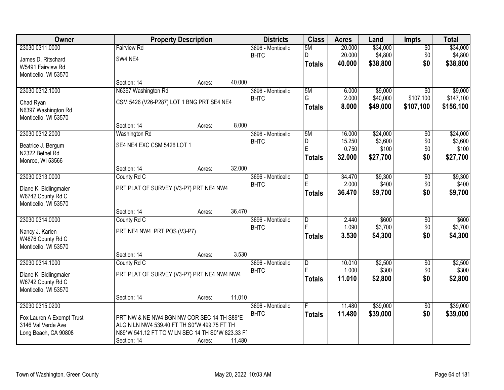| Owner                     |                                                  | <b>Property Description</b> |        | <b>Districts</b>  | <b>Class</b>            | <b>Acres</b> | Land     | <b>Impts</b>    | <b>Total</b> |
|---------------------------|--------------------------------------------------|-----------------------------|--------|-------------------|-------------------------|--------------|----------|-----------------|--------------|
| 23030 0311.0000           | <b>Fairview Rd</b>                               |                             |        | 3696 - Monticello | 5M                      | 20.000       | \$34,000 | $\overline{50}$ | \$34,000     |
| James D. Ritschard        | SW4 NE4                                          |                             |        | <b>BHTC</b>       | D.                      | 20.000       | \$4,800  | \$0             | \$4,800      |
| W5491 Fairview Rd         |                                                  |                             |        |                   | <b>Totals</b>           | 40.000       | \$38,800 | \$0             | \$38,800     |
| Monticello, WI 53570      |                                                  |                             |        |                   |                         |              |          |                 |              |
|                           | Section: 14                                      | Acres:                      | 40.000 |                   |                         |              |          |                 |              |
| 23030 0312.1000           | N6397 Washington Rd                              |                             |        | 3696 - Monticello | 5M                      | 6.000        | \$9,000  | $\overline{30}$ | \$9,000      |
| Chad Ryan                 | CSM 5426 (V26-P287) LOT 1 BNG PRT SE4 NE4        |                             |        | <b>BHTC</b>       | G                       | 2.000        | \$40,000 | \$107,100       | \$147,100    |
| N6397 Washington Rd       |                                                  |                             |        |                   | <b>Totals</b>           | 8.000        | \$49,000 | \$107,100       | \$156,100    |
| Monticello, WI 53570      |                                                  |                             |        |                   |                         |              |          |                 |              |
|                           | Section: 14                                      | Acres:                      | 8.000  |                   |                         |              |          |                 |              |
| 23030 0312.2000           | Washington Rd                                    |                             |        | 3696 - Monticello | 5M                      | 16.000       | \$24,000 | $\overline{50}$ | \$24,000     |
| Beatrice J. Bergum        | SE4 NE4 EXC CSM 5426 LOT 1                       |                             |        | <b>BHTC</b>       | D                       | 15.250       | \$3,600  | \$0             | \$3,600      |
| N2322 Bethel Rd           |                                                  |                             |        |                   | E                       | 0.750        | \$100    | \$0             | \$100        |
| Monroe, WI 53566          |                                                  |                             |        |                   | <b>Totals</b>           | 32.000       | \$27,700 | \$0             | \$27,700     |
|                           | Section: 14                                      | Acres:                      | 32.000 |                   |                         |              |          |                 |              |
| 23030 0313.0000           | County Rd C                                      |                             |        | 3696 - Monticello | D                       | 34.470       | \$9,300  | \$0             | \$9,300      |
| Diane K. Bidlingmaier     | PRT PLAT OF SURVEY (V3-P7) PRT NE4 NW4           |                             |        | <b>BHTC</b>       | E                       | 2.000        | \$400    | \$0             | \$400        |
| W6742 County Rd C         |                                                  |                             |        |                   | <b>Totals</b>           | 36.470       | \$9,700  | \$0             | \$9,700      |
| Monticello, WI 53570      |                                                  |                             |        |                   |                         |              |          |                 |              |
|                           | Section: 14                                      | Acres:                      | 36.470 |                   |                         |              |          |                 |              |
| 23030 0314.0000           | County Rd C                                      |                             |        | 3696 - Monticello | $\overline{\mathsf{D}}$ | 2.440        | \$600    | \$0             | \$600        |
| Nancy J. Karlen           | PRT NE4 NW4 PRT POS (V3-P7)                      |                             |        | <b>BHTC</b>       | E                       | 1.090        | \$3,700  | \$0             | \$3,700      |
| W4876 County Rd C         |                                                  |                             |        |                   | <b>Totals</b>           | 3.530        | \$4,300  | \$0             | \$4,300      |
| Monticello, WI 53570      |                                                  |                             |        |                   |                         |              |          |                 |              |
|                           | Section: 14                                      | Acres:                      | 3.530  |                   |                         |              |          |                 |              |
| 23030 0314.1000           | County Rd C                                      |                             |        | 3696 - Monticello | D                       | 10.010       | \$2,500  | $\sqrt{$0}$     | \$2,500      |
| Diane K. Bidlingmaier     | PRT PLAT OF SURVEY (V3-P7) PRT NE4 NW4 NW4       |                             |        | <b>BHTC</b>       | E                       | 1.000        | \$300    | \$0             | \$300        |
| W6742 County Rd C         |                                                  |                             |        |                   | <b>Totals</b>           | 11.010       | \$2,800  | \$0             | \$2,800      |
| Monticello, WI 53570      |                                                  |                             |        |                   |                         |              |          |                 |              |
|                           | Section: 14                                      | Acres:                      | 11.010 |                   |                         |              |          |                 |              |
| 23030 0315.0200           |                                                  |                             |        | 3696 - Monticello |                         | 11.480       | \$39,000 | $\overline{50}$ | \$39,000     |
| Fox Lauren A Exempt Trust | PRT NW & NE NW4 BGN NW COR SEC 14 TH S89*E       |                             |        | <b>BHTC</b>       | <b>Totals</b>           | 11.480       | \$39,000 | \$0             | \$39,000     |
| 3146 Val Verde Ave        | ALG N LN NW4 539.40 FT TH S0*W 499.75 FT TH      |                             |        |                   |                         |              |          |                 |              |
| Long Beach, CA 90808      | N89*W 541.12 FT TO W LN SEC 14 TH S0*W 823.33 F1 |                             |        |                   |                         |              |          |                 |              |
|                           | Section: 14                                      | Acres:                      | 11.480 |                   |                         |              |          |                 |              |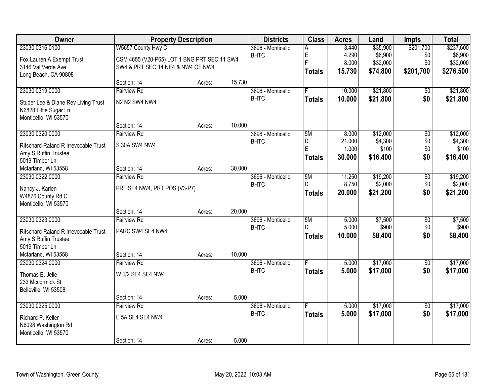| Owner                                |                                             | <b>Property Description</b> |        | <b>Districts</b>  | <b>Class</b>  | <b>Acres</b> | Land     | <b>Impts</b>    | <b>Total</b> |
|--------------------------------------|---------------------------------------------|-----------------------------|--------|-------------------|---------------|--------------|----------|-----------------|--------------|
| 23030 0316.0100                      | W5657 County Hwy C                          |                             |        | 3696 - Monticello | Α             | 3.440        | \$35,900 | \$201,700       | \$237,600    |
| Fox Lauren A Exempt Trust            | CSM 4655 (V20-P65) LOT 1 BNG PRT SEC 11 SW4 |                             |        | <b>BHTC</b>       | E             | 4.290        | \$6,900  | \$0             | \$6,900      |
| 3146 Val Verde Ave                   | SW4 & PRT SEC 14 NE4 & NW4 OF NW4           |                             |        |                   | F             | 8.000        | \$32,000 | \$0             | \$32,000     |
| Long Beach, CA 90808                 |                                             |                             |        |                   | <b>Totals</b> | 15.730       | \$74,800 | \$201,700       | \$276,500    |
|                                      | Section: 14                                 | Acres:                      | 15.730 |                   |               |              |          |                 |              |
| 23030 0319.0000                      | <b>Fairview Rd</b>                          |                             |        | 3696 - Monticello | F.            | 10.000       | \$21,800 | \$0             | \$21,800     |
| Studer Lee & Diane Rev Living Trust  | N2 N2 SW4 NW4                               |                             |        | <b>BHTC</b>       | <b>Totals</b> | 10.000       | \$21,800 | \$0             | \$21,800     |
| N6828 Little Sugar Ln                |                                             |                             |        |                   |               |              |          |                 |              |
| Monticello, WI 53570                 |                                             |                             |        |                   |               |              |          |                 |              |
|                                      | Section: 14                                 | Acres:                      | 10.000 |                   |               |              |          |                 |              |
| 23030 0320.0000                      | <b>Fairview Rd</b>                          |                             |        | 3696 - Monticello | 5M            | 8.000        | \$12,000 | \$0             | \$12,000     |
| Ritschard Raland R Irrevocable Trust | S 30A SW4 NW4                               |                             |        | <b>BHTC</b>       | D             | 21.000       | \$4,300  | \$0             | \$4,300      |
| Amy S Ruffin Trustee                 |                                             |                             |        |                   | E             | 1.000        | \$100    | \$0             | \$100        |
| 5019 Timber Ln                       |                                             |                             |        |                   | <b>Totals</b> | 30,000       | \$16,400 | \$0             | \$16,400     |
| Mcfarland, WI 53558                  | Section: 14                                 | Acres:                      | 30.000 |                   |               |              |          |                 |              |
| 23030 0322.0000                      | <b>Fairview Rd</b>                          |                             |        | 3696 - Monticello | 5M            | 11.250       | \$19,200 | \$0             | \$19,200     |
| Nancy J. Karlen                      | PRT SE4 NW4, PRT POS (V3-P7)                |                             |        | <b>BHTC</b>       | D.            | 8.750        | \$2,000  | \$0             | \$2,000      |
| W4876 County Rd C                    |                                             |                             |        |                   | <b>Totals</b> | 20.000       | \$21,200 | \$0             | \$21,200     |
| Monticello, WI 53570                 |                                             |                             |        |                   |               |              |          |                 |              |
|                                      | Section: 14                                 | Acres:                      | 20.000 |                   |               |              |          |                 |              |
| 23030 0323.0000                      | <b>Fairview Rd</b>                          |                             |        | 3696 - Monticello | 5M            | 5.000        | \$7,500  | $\overline{$0}$ | \$7,500      |
| Ritschard Raland R Irrevocable Trust | PARC SW4 SE4 NW4                            |                             |        | <b>BHTC</b>       | D             | 5.000        | \$900    | \$0             | \$900        |
| Amy S Ruffin Trustee                 |                                             |                             |        |                   | <b>Totals</b> | 10.000       | \$8,400  | \$0             | \$8,400      |
| 5019 Timber Ln                       |                                             |                             |        |                   |               |              |          |                 |              |
| Mcfarland, WI 53558                  | Section: 14                                 | Acres:                      | 10.000 |                   |               |              |          |                 |              |
| 23030 0324.0000                      | <b>Fairview Rd</b>                          |                             |        | 3696 - Monticello |               | 5.000        | \$17,000 | $\overline{60}$ | \$17,000     |
| Thomas E. Jelle                      | W 1/2 SE4 SE4 NW4                           |                             |        | <b>BHTC</b>       | <b>Totals</b> | 5.000        | \$17,000 | \$0             | \$17,000     |
| 233 Mccormick St                     |                                             |                             |        |                   |               |              |          |                 |              |
| Belleville, WI 53508                 |                                             |                             |        |                   |               |              |          |                 |              |
|                                      | Section: 14                                 | Acres:                      | 5.000  |                   |               |              |          |                 |              |
| 23030 0325.0000                      | <b>Fairview Rd</b>                          |                             |        | 3696 - Monticello | F             | 5.000        | \$17,000 | $\overline{50}$ | \$17,000     |
| Richard P. Keller                    | E 5A SE4 SE4 NW4                            |                             |        | <b>BHTC</b>       | <b>Totals</b> | 5.000        | \$17,000 | \$0             | \$17,000     |
| N6098 Washington Rd                  |                                             |                             |        |                   |               |              |          |                 |              |
| Monticello, WI 53570                 |                                             |                             |        |                   |               |              |          |                 |              |
|                                      | Section: 14                                 | Acres:                      | 5.000  |                   |               |              |          |                 |              |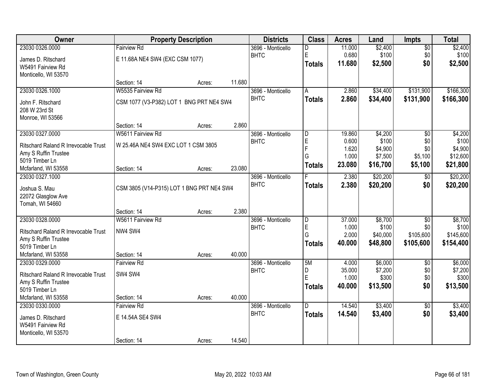| Owner                                       |                                           | <b>Property Description</b> |        | <b>Districts</b>  | <b>Class</b>            | <b>Acres</b> | Land     | Impts           | <b>Total</b> |
|---------------------------------------------|-------------------------------------------|-----------------------------|--------|-------------------|-------------------------|--------------|----------|-----------------|--------------|
| 23030 0326.0000                             | <b>Fairview Rd</b>                        |                             |        | 3696 - Monticello | D                       | 11.000       | \$2,400  | $\overline{50}$ | \$2,400      |
| James D. Ritschard                          | E 11.68A NE4 SW4 (EXC CSM 1077)           |                             |        | <b>BHTC</b>       | E                       | 0.680        | \$100    | \$0             | \$100        |
| W5491 Fairview Rd                           |                                           |                             |        |                   | <b>Totals</b>           | 11.680       | \$2,500  | \$0             | \$2,500      |
| Monticello, WI 53570                        |                                           |                             |        |                   |                         |              |          |                 |              |
|                                             | Section: 14                               | Acres:                      | 11.680 |                   |                         |              |          |                 |              |
| 23030 0326.1000                             | W5535 Fairview Rd                         |                             |        | 3696 - Monticello | A                       | 2.860        | \$34,400 | \$131,900       | \$166,300    |
| John F. Ritschard                           | CSM 1077 (V3-P382) LOT 1 BNG PRT NE4 SW4  |                             |        | <b>BHTC</b>       | <b>Totals</b>           | 2.860        | \$34,400 | \$131,900       | \$166,300    |
| 208 W 23rd St                               |                                           |                             |        |                   |                         |              |          |                 |              |
| Monroe, WI 53566                            |                                           |                             |        |                   |                         |              |          |                 |              |
|                                             | Section: 14                               | Acres:                      | 2.860  |                   |                         |              |          |                 |              |
| 23030 0327.0000                             | W5611 Fairview Rd                         |                             |        | 3696 - Monticello | $\overline{\mathsf{D}}$ | 19.860       | \$4,200  | $\overline{50}$ | \$4,200      |
| <b>Ritschard Raland R Irrevocable Trust</b> | W 25.46A NE4 SW4 EXC LOT 1 CSM 3805       |                             |        | <b>BHTC</b>       | E                       | 0.600        | \$100    | \$0             | \$100        |
| Amy S Ruffin Trustee                        |                                           |                             |        |                   | F                       | 1.620        | \$4,900  | \$0             | \$4,900      |
| 5019 Timber Ln                              |                                           |                             |        |                   | G                       | 1.000        | \$7,500  | \$5,100         | \$12,600     |
| Mcfarland, WI 53558                         | Section: 14                               | Acres:                      | 23.080 |                   | <b>Totals</b>           | 23.080       | \$16,700 | \$5,100         | \$21,800     |
| 23030 0327.1000                             |                                           |                             |        | 3696 - Monticello |                         | 2.380        | \$20,200 | $\sqrt[6]{}$    | \$20,200     |
| Joshua S. Mau                               | CSM 3805 (V14-P315) LOT 1 BNG PRT NE4 SW4 |                             |        | <b>BHTC</b>       | <b>Totals</b>           | 2.380        | \$20,200 | \$0             | \$20,200     |
| 22072 Glasglow Ave                          |                                           |                             |        |                   |                         |              |          |                 |              |
| Tomah, WI 54660                             |                                           |                             |        |                   |                         |              |          |                 |              |
|                                             | Section: 14                               | Acres:                      | 2.380  |                   |                         |              |          |                 |              |
| 23030 0328.0000                             | W5611 Fairview Rd                         |                             |        | 3696 - Monticello | $\overline{\mathsf{D}}$ | 37.000       | \$8,700  | $\overline{50}$ | \$8,700      |
| <b>Ritschard Raland R Irrevocable Trust</b> | NW4 SW4                                   |                             |        | <b>BHTC</b>       | E                       | 1.000        | \$100    | \$0             | \$100        |
| Amy S Ruffin Trustee                        |                                           |                             |        |                   | G                       | 2.000        | \$40,000 | \$105,600       | \$145,600    |
| 5019 Timber Ln                              |                                           |                             |        |                   | <b>Totals</b>           | 40.000       | \$48,800 | \$105,600       | \$154,400    |
| Mcfarland, WI 53558                         | Section: 14                               | Acres:                      | 40.000 |                   |                         |              |          |                 |              |
| 23030 0329.0000                             | <b>Fairview Rd</b>                        |                             |        | 3696 - Monticello | 5M                      | 4.000        | \$6,000  | $\overline{50}$ | \$6,000      |
| <b>Ritschard Raland R Irrevocable Trust</b> | SW4 SW4                                   |                             |        | <b>BHTC</b>       | D                       | 35.000       | \$7,200  | \$0             | \$7,200      |
| Amy S Ruffin Trustee                        |                                           |                             |        |                   | E                       | 1.000        | \$300    | \$0             | \$300        |
| 5019 Timber Ln                              |                                           |                             |        |                   | <b>Totals</b>           | 40.000       | \$13,500 | \$0             | \$13,500     |
| Mcfarland, WI 53558                         | Section: 14                               | Acres:                      | 40.000 |                   |                         |              |          |                 |              |
| 23030 0330.0000                             | <b>Fairview Rd</b>                        |                             |        | 3696 - Monticello | D                       | 14.540       | \$3,400  | $\overline{50}$ | \$3,400      |
| James D. Ritschard                          | E 14.54A SE4 SW4                          |                             |        | <b>BHTC</b>       | <b>Totals</b>           | 14.540       | \$3,400  | \$0             | \$3,400      |
| W5491 Fairview Rd                           |                                           |                             |        |                   |                         |              |          |                 |              |
| Monticello, WI 53570                        |                                           |                             |        |                   |                         |              |          |                 |              |
|                                             | Section: 14                               | Acres:                      | 14.540 |                   |                         |              |          |                 |              |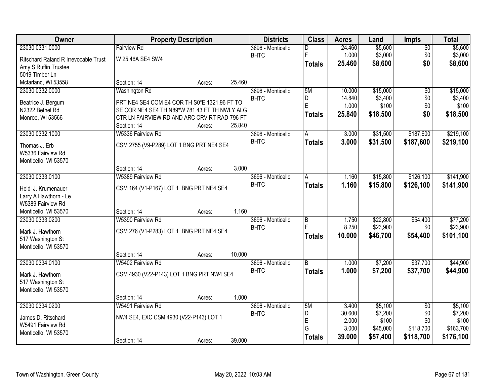| Owner                                |                                               | <b>Property Description</b> |        | <b>Districts</b>  | <b>Class</b>   | <b>Acres</b> | Land     | Impts           | <b>Total</b> |
|--------------------------------------|-----------------------------------------------|-----------------------------|--------|-------------------|----------------|--------------|----------|-----------------|--------------|
| 23030 0331.0000                      | <b>Fairview Rd</b>                            |                             |        | 3696 - Monticello | D              | 24.460       | \$5,600  | $\overline{50}$ | \$5,600      |
| Ritschard Raland R Irrevocable Trust | W 25.46A SE4 SW4                              |                             |        | <b>BHTC</b>       | F              | 1.000        | \$3,000  | \$0             | \$3,000      |
| Amy S Ruffin Trustee                 |                                               |                             |        |                   | <b>Totals</b>  | 25.460       | \$8,600  | \$0             | \$8,600      |
| 5019 Timber Ln                       |                                               |                             |        |                   |                |              |          |                 |              |
| Mcfarland, WI 53558                  | Section: 14                                   | Acres:                      | 25.460 |                   |                |              |          |                 |              |
| 23030 0332.0000                      | <b>Washington Rd</b>                          |                             |        | 3696 - Monticello | 5M             | 10.000       | \$15,000 | $\overline{30}$ | \$15,000     |
|                                      |                                               |                             |        | <b>BHTC</b>       | D              | 14.840       | \$3,400  | \$0             | \$3,400      |
| Beatrice J. Bergum                   | PRT NE4 SE4 COM E4 COR TH S0*E 1321.96 FT TO  |                             |        |                   | E              | 1.000        | \$100    | \$0             | \$100        |
| N2322 Bethel Rd                      | SE COR NE4 SE4 TH N89*W 781.43 FT TH NWLY ALG |                             |        |                   | <b>Totals</b>  | 25.840       | \$18,500 | \$0             | \$18,500     |
| Monroe, WI 53566                     | CTR LN FAIRVIEW RD AND ARC CRV RT RAD 796 FT  |                             |        |                   |                |              |          |                 |              |
|                                      | Section: 14                                   | Acres:                      | 25.840 |                   |                |              |          |                 |              |
| 23030 0332.1000                      | W5336 Fairview Rd                             |                             |        | 3696 - Monticello | A              | 3.000        | \$31,500 | \$187,600       | \$219,100    |
| Thomas J. Erb                        | CSM 2755 (V9-P289) LOT 1 BNG PRT NE4 SE4      |                             |        | <b>BHTC</b>       | <b>Totals</b>  | 3.000        | \$31,500 | \$187,600       | \$219,100    |
| W5336 Fairview Rd                    |                                               |                             |        |                   |                |              |          |                 |              |
| Monticello, WI 53570                 |                                               |                             |        |                   |                |              |          |                 |              |
|                                      | Section: 14                                   | Acres:                      | 3.000  |                   |                |              |          |                 |              |
| 23030 0333.0100                      | W5389 Fairview Rd                             |                             |        | 3696 - Monticello | A              | 1.160        | \$15,800 | \$126,100       | \$141,900    |
| Heidi J. Krumenauer                  | CSM 164 (V1-P167) LOT 1 BNG PRT NE4 SE4       |                             |        | <b>BHTC</b>       | <b>Totals</b>  | 1.160        | \$15,800 | \$126,100       | \$141,900    |
| Larry A Hawthorn - Le                |                                               |                             |        |                   |                |              |          |                 |              |
| W5389 Fairview Rd                    |                                               |                             |        |                   |                |              |          |                 |              |
| Monticello, WI 53570                 | Section: 14                                   | Acres:                      | 1.160  |                   |                |              |          |                 |              |
| 23030 0333.0200                      | W5390 Fairview Rd                             |                             |        | 3696 - Monticello | $\overline{B}$ | 1.750        | \$22,800 | \$54,400        | \$77,200     |
|                                      |                                               |                             |        | <b>BHTC</b>       | F              | 8.250        | \$23,900 | \$0             | \$23,900     |
| Mark J. Hawthorn                     | CSM 276 (V1-P283) LOT 1 BNG PRT NE4 SE4       |                             |        |                   | <b>Totals</b>  | 10.000       | \$46,700 | \$54,400        | \$101,100    |
| 517 Washington St                    |                                               |                             |        |                   |                |              |          |                 |              |
| Monticello, WI 53570                 |                                               |                             |        |                   |                |              |          |                 |              |
|                                      | Section: 14                                   | Acres:                      | 10.000 |                   |                |              |          |                 |              |
| 23030 0334.0100                      | W5402 Fairview Rd                             |                             |        | 3696 - Monticello | $\overline{B}$ | 1.000        | \$7,200  | \$37,700        | \$44,900     |
| Mark J. Hawthorn                     | CSM 4930 (V22-P143) LOT 1 BNG PRT NW4 SE4     |                             |        | <b>BHTC</b>       | <b>Totals</b>  | 1.000        | \$7,200  | \$37,700        | \$44,900     |
| 517 Washington St                    |                                               |                             |        |                   |                |              |          |                 |              |
| Monticello, WI 53570                 |                                               |                             |        |                   |                |              |          |                 |              |
|                                      | Section: 14                                   | Acres:                      | 1.000  |                   |                |              |          |                 |              |
| 23030 0334.0200                      | W5491 Fairview Rd                             |                             |        | 3696 - Monticello | 5M             | 3.400        | \$5,100  | $\overline{50}$ | \$5,100      |
| James D. Ritschard                   | NW4 SE4, EXC CSM 4930 (V22-P143) LOT 1        |                             |        | <b>BHTC</b>       | D              | 30.600       | \$7,200  | \$0             | \$7,200      |
| W5491 Fairview Rd                    |                                               |                             |        |                   | E              | 2.000        | \$100    | \$0             | \$100        |
| Monticello, WI 53570                 |                                               |                             |        |                   | G              | 3.000        | \$45,000 | \$118,700       | \$163,700    |
|                                      | Section: 14                                   | Acres:                      | 39.000 |                   | <b>Totals</b>  | 39.000       | \$57,400 | \$118,700       | \$176,100    |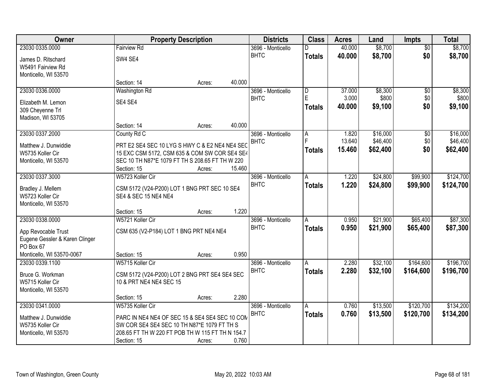| Owner                          |                                                  | <b>Property Description</b> |        | <b>Districts</b>  | <b>Class</b>  | <b>Acres</b> | Land     | <b>Impts</b>    | <b>Total</b> |
|--------------------------------|--------------------------------------------------|-----------------------------|--------|-------------------|---------------|--------------|----------|-----------------|--------------|
| 23030 0335.0000                | <b>Fairview Rd</b>                               |                             |        | 3696 - Monticello | D             | 40.000       | \$8,700  | $\overline{50}$ | \$8,700      |
| James D. Ritschard             | SW4 SE4                                          |                             |        | <b>BHTC</b>       | <b>Totals</b> | 40.000       | \$8,700  | \$0             | \$8,700      |
| W5491 Fairview Rd              |                                                  |                             |        |                   |               |              |          |                 |              |
| Monticello, WI 53570           |                                                  |                             |        |                   |               |              |          |                 |              |
|                                | Section: 14                                      | Acres:                      | 40.000 |                   |               |              |          |                 |              |
| 23030 0336.0000                | Washington Rd                                    |                             |        | 3696 - Monticello | D             | 37.000       | \$8,300  | $\overline{50}$ | \$8,300      |
| Elizabeth M. Lemon             | SE4 SE4                                          |                             |        | <b>BHTC</b>       | E             | 3.000        | \$800    | \$0             | \$800        |
| 309 Cheyenne Trl               |                                                  |                             |        |                   | <b>Totals</b> | 40.000       | \$9,100  | \$0             | \$9,100      |
| Madison, WI 53705              |                                                  |                             |        |                   |               |              |          |                 |              |
|                                | Section: 14                                      | Acres:                      | 40.000 |                   |               |              |          |                 |              |
| 23030 0337.2000                | County Rd C                                      |                             |        | 3696 - Monticello | А             | 1.820        | \$16,000 | \$0             | \$16,000     |
| Matthew J. Dunwiddie           | PRT E2 SE4 SEC 10 LYG S HWY C & E2 NE4 NE4 SEC   |                             |        | <b>BHTC</b>       |               | 13.640       | \$46,400 | \$0             | \$46,400     |
| W5735 Koller Cir               | 15 EXC CSM 5172, CSM 635 & COM SW COR SE4 SE4    |                             |        |                   | <b>Totals</b> | 15.460       | \$62,400 | \$0             | \$62,400     |
| Monticello, WI 53570           | SEC 10 TH N87*E 1079 FT TH S 208.65 FT TH W 220  |                             |        |                   |               |              |          |                 |              |
|                                | Section: 15                                      | Acres:                      | 15.460 |                   |               |              |          |                 |              |
| 23030 0337.3000                | W5723 Koller Cir                                 |                             |        | 3696 - Monticello | A             | 1.220        | \$24,800 | \$99,900        | \$124,700    |
| Bradley J. Mellem              | CSM 5172 (V24-P200) LOT 1 BNG PRT SEC 10 SE4     |                             |        | <b>BHTC</b>       | <b>Totals</b> | 1.220        | \$24,800 | \$99,900        | \$124,700    |
| W5723 Koller Cir               | SE4 & SEC 15 NE4 NE4                             |                             |        |                   |               |              |          |                 |              |
| Monticello, WI 53570           |                                                  |                             |        |                   |               |              |          |                 |              |
|                                | Section: 15                                      | Acres:                      | 1.220  |                   |               |              |          |                 |              |
| 23030 0338.0000                | W5721 Koller Cir                                 |                             |        | 3696 - Monticello | A             | 0.950        | \$21,900 | \$65,400        | \$87,300     |
| App Revocable Trust            | CSM 635 (V2-P184) LOT 1 BNG PRT NE4 NE4          |                             |        | <b>BHTC</b>       | <b>Totals</b> | 0.950        | \$21,900 | \$65,400        | \$87,300     |
| Eugene Gessler & Karen Clinger |                                                  |                             |        |                   |               |              |          |                 |              |
| PO Box 67                      |                                                  |                             |        |                   |               |              |          |                 |              |
| Monticello, WI 53570-0067      | Section: 15                                      | Acres:                      | 0.950  |                   |               |              |          |                 |              |
| 23030 0339.1100                | W5715 Koller Cir                                 |                             |        | 3696 - Monticello | Α             | 2.280        | \$32,100 | \$164,600       | \$196,700    |
| Bruce G. Workman               | CSM 5172 (V24-P200) LOT 2 BNG PRT SE4 SE4 SEC    |                             |        | <b>BHTC</b>       | <b>Totals</b> | 2.280        | \$32,100 | \$164,600       | \$196,700    |
| W5715 Koller Cir               | 10 & PRT NE4 NE4 SEC 15                          |                             |        |                   |               |              |          |                 |              |
| Monticello, WI 53570           |                                                  |                             |        |                   |               |              |          |                 |              |
|                                | Section: 15                                      | Acres:                      | 2.280  |                   |               |              |          |                 |              |
| 23030 0341.0000                | W5735 Koller Cir                                 |                             |        | 3696 - Monticello | A             | 0.760        | \$13,500 | \$120,700       | \$134,200    |
| Matthew J. Dunwiddie           | PARC IN NE4 NE4 OF SEC 15 & SE4 SE4 SEC 10 COM   |                             |        | <b>BHTC</b>       | <b>Totals</b> | 0.760        | \$13,500 | \$120,700       | \$134,200    |
| W5735 Koller Cir               | SW COR SE4 SE4 SEC 10 TH N87*E 1079 FT TH S      |                             |        |                   |               |              |          |                 |              |
| Monticello, WI 53570           | 208.65 FT TH W 220 FT POB TH W 115 FT TH N 154.7 |                             |        |                   |               |              |          |                 |              |
|                                | Section: 15                                      | Acres:                      | 0.760  |                   |               |              |          |                 |              |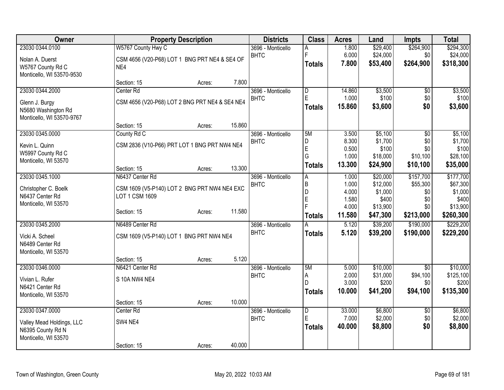| <b>Owner</b>              | <b>Property Description</b>                    |        | <b>Districts</b>                 | <b>Class</b>   | <b>Acres</b>    | Land                 | <b>Impts</b>          | <b>Total</b>          |
|---------------------------|------------------------------------------------|--------|----------------------------------|----------------|-----------------|----------------------|-----------------------|-----------------------|
| 23030 0344.0100           | W5767 County Hwy C                             |        | 3696 - Monticello                | А              | 1.800           | \$29,400             | \$264,900             | \$294,300             |
| Nolan A. Duerst           | CSM 4656 (V20-P68) LOT 1 BNG PRT NE4 & SE4 OF  |        | <b>BHTC</b>                      | F              | 6.000           | \$24,000             | \$0                   | \$24,000              |
| W5767 County Rd C         | NE4                                            |        |                                  | <b>Totals</b>  | 7.800           | \$53,400             | \$264,900             | \$318,300             |
| Monticello, WI 53570-9530 |                                                |        |                                  |                |                 |                      |                       |                       |
|                           | Section: 15<br>Acres:                          | 7.800  |                                  |                |                 |                      |                       |                       |
| 23030 0344.2000           | Center <sub>Rd</sub>                           |        | 3696 - Monticello                | $\overline{D}$ | 14.860          | \$3,500              | \$0                   | \$3,500               |
| Glenn J. Burgy            | CSM 4656 (V20-P68) LOT 2 BNG PRT NE4 & SE4 NE4 |        | <b>BHTC</b>                      | E              | 1.000           | \$100                | \$0                   | \$100                 |
| N5680 Washington Rd       |                                                |        |                                  | Totals         | 15.860          | \$3,600              | \$0                   | \$3,600               |
| Monticello, WI 53570-9767 |                                                |        |                                  |                |                 |                      |                       |                       |
|                           | Section: 15<br>Acres:                          | 15.860 |                                  |                |                 |                      |                       |                       |
| 23030 0345.0000           | County Rd C                                    |        | 3696 - Monticello<br><b>BHTC</b> | 5M             | 3.500<br>8.300  | \$5,100<br>\$1,700   | $\overline{50}$       | \$5,100               |
| Kevin L. Quinn            | CSM 2836 (V10-P66) PRT LOT 1 BNG PRT NW4 NE4   |        |                                  | D<br>E         | 0.500           | \$100                | \$0<br>\$0            | \$1,700<br>\$100      |
| W5997 County Rd C         |                                                |        |                                  | G              | 1.000           | \$18,000             | \$10,100              | \$28,100              |
| Monticello, WI 53570      |                                                |        |                                  | <b>Totals</b>  | 13.300          | \$24,900             | \$10,100              | \$35,000              |
|                           | Section: 15<br>Acres:                          | 13.300 |                                  |                |                 |                      |                       |                       |
| 23030 0345.1000           | N6437 Center Rd                                |        | 3696 - Monticello<br><b>BHTC</b> | A<br>B         | 1.000<br>1.000  | \$20,000<br>\$12,000 | \$157,700<br>\$55,300 | \$177,700<br>\$67,300 |
| Christopher C. Boelk      | CSM 1609 (V5-P140) LOT 2 BNG PRT NW4 NE4 EXC   |        |                                  | D              | 4.000           | \$1,000              | \$0                   | \$1,000               |
| N6437 Center Rd           | LOT 1 CSM 1609                                 |        |                                  | $\overline{E}$ | 1.580           | \$400                | \$0                   | \$400                 |
| Monticello, WI 53570      |                                                | 11.580 |                                  | $\overline{F}$ | 4.000           | \$13,900             | \$0                   | \$13,900              |
|                           | Section: 15<br>Acres:                          |        |                                  | <b>Totals</b>  | 11.580          | \$47,300             | \$213,000             | \$260,300             |
| 23030 0345.2000           | N6489 Center Rd                                |        | 3696 - Monticello                | A              | 5.120           | \$39,200             | \$190,000             | \$229,200             |
| Vicki A. Scheel           | CSM 1609 (V5-P140) LOT 1 BNG PRT NW4 NE4       |        | <b>BHTC</b>                      | <b>Totals</b>  | 5.120           | \$39,200             | \$190,000             | \$229,200             |
| N6489 Center Rd           |                                                |        |                                  |                |                 |                      |                       |                       |
| Monticello, WI 53570      |                                                |        |                                  |                |                 |                      |                       |                       |
|                           | Section: 15<br>Acres:                          | 5.120  |                                  |                |                 |                      |                       |                       |
| 23030 0346.0000           | N6421 Center Rd                                |        | 3696 - Monticello                | 5M             | 5.000           | \$10,000             | $\sqrt{50}$           | \$10,000              |
| Vivian L. Rufer           | S 10A NW4 NE4                                  |        | <b>BHTC</b>                      | Α<br>D         | 2.000<br>3.000  | \$31,000<br>\$200    | \$94,100<br>\$0       | \$125,100<br>\$200    |
| N6421 Center Rd           |                                                |        |                                  | <b>Totals</b>  | 10.000          | \$41,200             | \$94,100              | \$135,300             |
| Monticello, WI 53570      |                                                |        |                                  |                |                 |                      |                       |                       |
|                           | Section: 15<br>Acres:                          | 10.000 |                                  |                |                 |                      |                       |                       |
| 23030 0347.0000           | Center Rd                                      |        | 3696 - Monticello                | D<br>Ė         | 33.000<br>7.000 | \$6,800<br>\$2,000   | \$0                   | \$6,800               |
| Valley Mead Holdings, LLC | SW4 NE4                                        |        | <b>BHTC</b>                      | <b>Totals</b>  | 40.000          | \$8,800              | \$0<br>\$0            | \$2,000<br>\$8,800    |
| N6395 County Rd N         |                                                |        |                                  |                |                 |                      |                       |                       |
| Monticello, WI 53570      |                                                |        |                                  |                |                 |                      |                       |                       |
|                           | Section: 15<br>Acres:                          | 40.000 |                                  |                |                 |                      |                       |                       |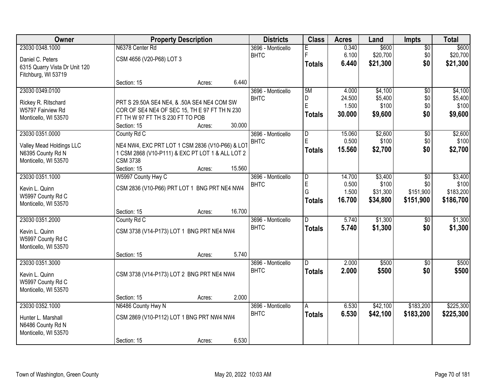| Owner                                     |                                                  | <b>Property Description</b> |        | <b>Districts</b>                 | <b>Class</b>        | <b>Acres</b>    | Land             | <b>Impts</b>    | <b>Total</b>     |
|-------------------------------------------|--------------------------------------------------|-----------------------------|--------|----------------------------------|---------------------|-----------------|------------------|-----------------|------------------|
| 23030 0348.1000                           | N6378 Center Rd                                  |                             |        | 3696 - Monticello                | Е                   | 0.340           | \$600            | $\overline{50}$ | \$600            |
| Daniel C. Peters                          | CSM 4656 (V20-P68) LOT 3                         |                             |        | <b>BHTC</b>                      | F                   | 6.100           | \$20,700         | \$0             | \$20,700         |
| 6315 Quarry Vista Dr Unit 120             |                                                  |                             |        |                                  | Totals              | 6.440           | \$21,300         | \$0             | \$21,300         |
| Fitchburg, WI 53719                       |                                                  |                             |        |                                  |                     |                 |                  |                 |                  |
|                                           | Section: 15                                      | Acres:                      | 6.440  |                                  |                     |                 |                  |                 |                  |
| 23030 0349.0100                           |                                                  |                             |        | 3696 - Monticello                | 5M                  | 4.000           | \$4,100          | $\overline{50}$ | \$4,100          |
| Rickey R. Ritschard                       | PRT S 29.50A SE4 NE4, & .50A SE4 NE4 COM SW      |                             |        | <b>BHTC</b>                      | D<br>E              | 24.500<br>1.500 | \$5,400<br>\$100 | \$0<br>\$0      | \$5,400<br>\$100 |
| W5797 Fairview Rd                         | COR OF SE4 NE4 OF SEC 15, TH E 97 FT TH N 230    |                             |        |                                  | <b>Totals</b>       | 30.000          | \$9,600          | \$0             | \$9,600          |
| Monticello, WI 53570                      | FT TH W 97 FT TH S 230 FT TO POB                 |                             |        |                                  |                     |                 |                  |                 |                  |
|                                           | Section: 15                                      | Acres:                      | 30.000 |                                  |                     |                 |                  |                 |                  |
| 23030 0351.0000                           | County Rd C                                      |                             |        | 3696 - Monticello<br><b>BHTC</b> | $\overline{D}$<br>E | 15.060<br>0.500 | \$2,600<br>\$100 | \$0<br>\$0      | \$2,600<br>\$100 |
| Valley Mead Holdings LLC                  | NE4 NW4, EXC PRT LOT 1 CSM 2836 (V10-P66) & LOT  |                             |        |                                  | <b>Totals</b>       | 15.560          | \$2,700          | \$0             | \$2,700          |
| N6395 County Rd N                         | 1 CSM 2868 (V10-P111) & EXC PT LOT 1 & ALL LOT 2 |                             |        |                                  |                     |                 |                  |                 |                  |
| Monticello, WI 53570                      | <b>CSM 3738</b>                                  |                             | 15.560 |                                  |                     |                 |                  |                 |                  |
| 23030 0351.1000                           | Section: 15<br>W5997 County Hwy C                | Acres:                      |        | 3696 - Monticello                | $\overline{D}$      | 14.700          | \$3,400          | \$0             | \$3,400          |
|                                           |                                                  |                             |        | <b>BHTC</b>                      | $\mathsf E$         | 0.500           | \$100            | \$0             | \$100            |
| Kevin L. Quinn                            | CSM 2836 (V10-P66) PRT LOT 1 BNG PRT NE4 NW4     |                             |        |                                  | G                   | 1.500           | \$31,300         | \$151,900       | \$183,200        |
| W5997 County Rd C                         |                                                  |                             |        |                                  | <b>Totals</b>       | 16.700          | \$34,800         | \$151,900       | \$186,700        |
| Monticello, WI 53570                      | Section: 15                                      | Acres:                      | 16.700 |                                  |                     |                 |                  |                 |                  |
| 23030 0351.2000                           | County Rd C                                      |                             |        | 3696 - Monticello                | $\overline{D}$      | 5.740           | \$1,300          | \$0             | \$1,300          |
|                                           |                                                  |                             |        | <b>BHTC</b>                      | <b>Totals</b>       | 5.740           | \$1,300          | \$0             | \$1,300          |
| Kevin L. Quinn                            | CSM 3738 (V14-P173) LOT 1 BNG PRT NE4 NW4        |                             |        |                                  |                     |                 |                  |                 |                  |
| W5997 County Rd C<br>Monticello, WI 53570 |                                                  |                             |        |                                  |                     |                 |                  |                 |                  |
|                                           | Section: 15                                      | Acres:                      | 5.740  |                                  |                     |                 |                  |                 |                  |
| 23030 0351.3000                           |                                                  |                             |        | 3696 - Monticello                | D                   | 2.000           | \$500            | \$0             | \$500            |
| Kevin L. Quinn                            | CSM 3738 (V14-P173) LOT 2 BNG PRT NE4 NW4        |                             |        | <b>BHTC</b>                      | <b>Totals</b>       | 2.000           | \$500            | \$0             | \$500            |
| W5997 County Rd C                         |                                                  |                             |        |                                  |                     |                 |                  |                 |                  |
| Monticello, WI 53570                      |                                                  |                             |        |                                  |                     |                 |                  |                 |                  |
|                                           | Section: 15                                      | Acres:                      | 2.000  |                                  |                     |                 |                  |                 |                  |
| 23030 0352.1000                           | N6486 County Hwy N                               |                             |        | 3696 - Monticello                | А                   | 6.530           | \$42,100         | \$183,200       | \$225,300        |
| Hunter L. Marshall                        | CSM 2869 (V10-P112) LOT 1 BNG PRT NW4 NW4        |                             |        | <b>BHTC</b>                      | <b>Totals</b>       | 6.530           | \$42,100         | \$183,200       | \$225,300        |
| N6486 County Rd N                         |                                                  |                             |        |                                  |                     |                 |                  |                 |                  |
| Monticello, WI 53570                      |                                                  |                             |        |                                  |                     |                 |                  |                 |                  |
|                                           | Section: 15                                      | Acres:                      | 6.530  |                                  |                     |                 |                  |                 |                  |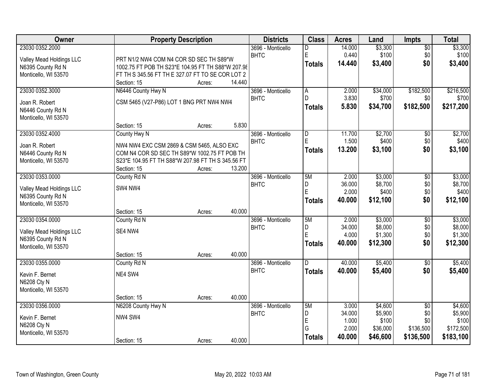| Owner                    | <b>Property Description</b>                       |        |        | <b>Districts</b>  | <b>Class</b>   | <b>Acres</b> | Land     | Impts           | <b>Total</b> |
|--------------------------|---------------------------------------------------|--------|--------|-------------------|----------------|--------------|----------|-----------------|--------------|
| 23030 0352.2000          |                                                   |        |        | 3696 - Monticello | D              | 14.000       | \$3,300  | $\overline{50}$ | \$3,300      |
| Valley Mead Holdings LLC | PRT N1/2 NW4 COM N4 COR SD SEC TH S89*W           |        |        | <b>BHTC</b>       | E              | 0.440        | \$100    | \$0             | \$100        |
| N6395 County Rd N        | 1002.75 FT POB TH S23*E 104.95 FT TH S88*W 207.98 |        |        |                   | <b>Totals</b>  | 14.440       | \$3,400  | \$0             | \$3,400      |
| Monticello, WI 53570     | FT TH S 345.56 FT TH E 327.07 FT TO SE COR LOT 2  |        |        |                   |                |              |          |                 |              |
|                          | Section: 15                                       | Acres: | 14.440 |                   |                |              |          |                 |              |
| 23030 0352.3000          | N6446 County Hwy N                                |        |        | 3696 - Monticello | A              | 2.000        | \$34,000 | \$182,500       | \$216,500    |
| Joan R. Robert           | CSM 5465 (V27-P86) LOT 1 BNG PRT NW4 NW4          |        |        | <b>BHTC</b>       | D.             | 3.830        | \$700    | \$0             | \$700        |
| N6446 County Rd N        |                                                   |        |        |                   | <b>Totals</b>  | 5.830        | \$34,700 | \$182,500       | \$217,200    |
| Monticello, WI 53570     |                                                   |        |        |                   |                |              |          |                 |              |
|                          | Section: 15                                       | Acres: | 5.830  |                   |                |              |          |                 |              |
| 23030 0352.4000          | County Hwy N                                      |        |        | 3696 - Monticello | $\overline{D}$ | 11.700       | \$2,700  | $\overline{50}$ | \$2,700      |
| Joan R. Robert           | NW4 NW4 EXC CSM 2869 & CSM 5465, ALSO EXC         |        |        | <b>BHTC</b>       | E              | 1.500        | \$400    | \$0             | \$400        |
| N6446 County Rd N        | COM N4 COR SD SEC TH S89*W 1002.75 FT POB TH      |        |        |                   | <b>Totals</b>  | 13.200       | \$3,100  | \$0             | \$3,100      |
| Monticello, WI 53570     | S23*E 104.95 FT TH S88*W 207.98 FT TH S 345.56 FT |        |        |                   |                |              |          |                 |              |
|                          | Section: 15                                       | Acres: | 13.200 |                   |                |              |          |                 |              |
| 23030 0353.0000          | County Rd N                                       |        |        | 3696 - Monticello | 5M             | 2.000        | \$3,000  | \$0             | \$3,000      |
| Valley Mead Holdings LLC | SW4 NW4                                           |        |        | <b>BHTC</b>       | D              | 36.000       | \$8,700  | \$0             | \$8,700      |
| N6395 County Rd N        |                                                   |        |        |                   | E              | 2.000        | \$400    | \$0             | \$400        |
| Monticello, WI 53570     |                                                   |        |        |                   | <b>Totals</b>  | 40.000       | \$12,100 | \$0             | \$12,100     |
|                          | Section: 15                                       | Acres: | 40.000 |                   |                |              |          |                 |              |
| 23030 0354.0000          | County Rd N                                       |        |        | 3696 - Monticello | 5M             | 2.000        | \$3,000  | $\overline{50}$ | \$3,000      |
| Valley Mead Holdings LLC | SE4 NW4                                           |        |        | <b>BHTC</b>       | D              | 34.000       | \$8,000  | \$0             | \$8,000      |
| N6395 County Rd N        |                                                   |        |        |                   | E              | 4.000        | \$1,300  | \$0             | \$1,300      |
| Monticello, WI 53570     |                                                   |        |        |                   | <b>Totals</b>  | 40.000       | \$12,300 | \$0             | \$12,300     |
|                          | Section: 15                                       | Acres: | 40.000 |                   |                |              |          |                 |              |
| 23030 0355.0000          | County Rd N                                       |        |        | 3696 - Monticello | D              | 40.000       | \$5,400  | $\overline{60}$ | \$5,400      |
| Kevin F. Bernet          | NE4 SW4                                           |        |        | <b>BHTC</b>       | <b>Totals</b>  | 40.000       | \$5,400  | \$0             | \$5,400      |
| N6208 Cty N              |                                                   |        |        |                   |                |              |          |                 |              |
| Monticello, WI 53570     |                                                   |        |        |                   |                |              |          |                 |              |
|                          | Section: 15                                       | Acres: | 40.000 |                   |                |              |          |                 |              |
| 23030 0356.0000          | N6208 County Hwy N                                |        |        | 3696 - Monticello | 5M             | 3.000        | \$4,600  | $\overline{50}$ | \$4,600      |
| Kevin F. Bernet          | NW4 SW4                                           |        |        | <b>BHTC</b>       | D              | 34.000       | \$5,900  | \$0             | \$5,900      |
| N6208 Cty N              |                                                   |        |        |                   | E              | 1.000        | \$100    | \$0             | \$100        |
| Monticello, WI 53570     |                                                   |        |        |                   | G              | 2.000        | \$36,000 | \$136,500       | \$172,500    |
|                          | Section: 15                                       | Acres: | 40.000 |                   | <b>Totals</b>  | 40.000       | \$46,600 | \$136,500       | \$183,100    |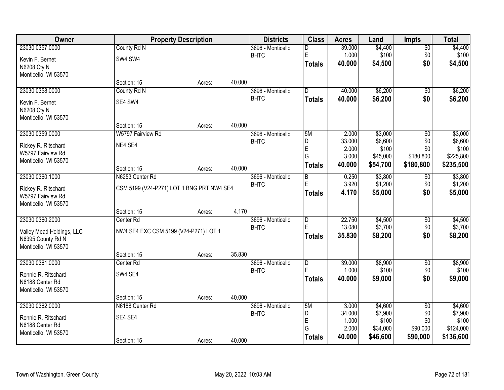| Owner                     |                                           | <b>Property Description</b> |        | <b>Districts</b>                 | <b>Class</b>                 | <b>Acres</b>     | Land               | <b>Impts</b>           | <b>Total</b>       |
|---------------------------|-------------------------------------------|-----------------------------|--------|----------------------------------|------------------------------|------------------|--------------------|------------------------|--------------------|
| 23030 0357.0000           | County Rd N                               |                             |        | 3696 - Monticello                | D                            | 39.000           | \$4,400            | $\overline{50}$        | \$4,400            |
| Kevin F. Bernet           | SW4 SW4                                   |                             |        | <b>BHTC</b>                      | E                            | 1.000            | \$100              | \$0                    | \$100              |
| N6208 Cty N               |                                           |                             |        |                                  | <b>Totals</b>                | 40.000           | \$4,500            | \$0                    | \$4,500            |
| Monticello, WI 53570      |                                           |                             |        |                                  |                              |                  |                    |                        |                    |
|                           | Section: 15                               | Acres:                      | 40.000 |                                  |                              |                  |                    |                        |                    |
| 23030 0358.0000           | County Rd N                               |                             |        | 3696 - Monticello                | $\overline{D}$               | 40.000           | \$6,200            | \$0                    | \$6,200            |
| Kevin F. Bernet           | SE4 SW4                                   |                             |        | <b>BHTC</b>                      | <b>Totals</b>                | 40.000           | \$6,200            | \$0                    | \$6,200            |
| N6208 Cty N               |                                           |                             |        |                                  |                              |                  |                    |                        |                    |
| Monticello, WI 53570      |                                           |                             |        |                                  |                              |                  |                    |                        |                    |
|                           | Section: 15                               | Acres:                      | 40.000 |                                  |                              |                  |                    |                        |                    |
| 23030 0359.0000           | W5797 Fairview Rd                         |                             |        | 3696 - Monticello                | 5M                           | 2.000<br>33.000  | \$3,000            | $\overline{50}$        | \$3,000            |
| Rickey R. Ritschard       | NE4 SE4                                   |                             |        | <b>BHTC</b>                      | D<br>E                       | 2.000            | \$6,600<br>\$100   | \$0<br>\$0             | \$6,600<br>\$100   |
| W5797 Fairview Rd         |                                           |                             |        |                                  | G                            | 3.000            | \$45,000           | \$180,800              | \$225,800          |
| Monticello, WI 53570      |                                           |                             |        |                                  | <b>Totals</b>                | 40.000           | \$54,700           | \$180,800              | \$235,500          |
|                           | Section: 15                               | Acres:                      | 40.000 |                                  |                              |                  |                    |                        |                    |
| 23030 0360.1000           | N6253 Center Rd                           |                             |        | 3696 - Monticello<br><b>BHTC</b> | B<br>E                       | 0.250<br>3.920   | \$3,800<br>\$1,200 | \$0<br>\$0             | \$3,800<br>\$1,200 |
| Rickey R. Ritschard       | CSM 5199 (V24-P271) LOT 1 BNG PRT NW4 SE4 |                             |        |                                  | <b>Totals</b>                | 4.170            | \$5,000            | \$0                    | \$5,000            |
| W5797 Fairview Rd         |                                           |                             |        |                                  |                              |                  |                    |                        |                    |
| Monticello, WI 53570      |                                           |                             |        |                                  |                              |                  |                    |                        |                    |
|                           | Section: 15                               | Acres:                      | 4.170  |                                  |                              |                  |                    |                        |                    |
| 23030 0360.2000           | Center Rd                                 |                             |        | 3696 - Monticello<br><b>BHTC</b> | $\overline{\mathsf{D}}$<br>Ė | 22.750<br>13.080 | \$4,500<br>\$3,700 | \$0<br>\$0             | \$4,500<br>\$3,700 |
| Valley Mead Holdings, LLC | NW4 SE4 EXC CSM 5199 (V24-P271) LOT 1     |                             |        |                                  | <b>Totals</b>                | 35.830           | \$8,200            | \$0                    | \$8,200            |
| N6395 County Rd N         |                                           |                             |        |                                  |                              |                  |                    |                        |                    |
| Monticello, WI 53570      |                                           |                             |        |                                  |                              |                  |                    |                        |                    |
|                           | Section: 15                               | Acres:                      | 35.830 |                                  |                              |                  |                    |                        |                    |
| 23030 0361.0000           | Center Rd                                 |                             |        | 3696 - Monticello<br><b>BHTC</b> | D<br>Ė                       | 39.000<br>1.000  | \$8,900<br>\$100   | $\sqrt{$0}$<br>\$0     | \$8,900<br>\$100   |
| Ronnie R. Ritschard       | SW4 SE4                                   |                             |        |                                  | <b>Totals</b>                | 40.000           | \$9,000            | \$0                    | \$9,000            |
| N6188 Center Rd           |                                           |                             |        |                                  |                              |                  |                    |                        |                    |
| Monticello, WI 53570      |                                           |                             | 40.000 |                                  |                              |                  |                    |                        |                    |
| 23030 0362.0000           | Section: 15<br>N6188 Center Rd            | Acres:                      |        | 3696 - Monticello                | 5M                           | 3.000            | \$4,600            |                        | \$4,600            |
|                           |                                           |                             |        | <b>BHTC</b>                      | D                            | 34.000           | \$7,900            | $\overline{50}$<br>\$0 | \$7,900            |
| Ronnie R. Ritschard       | SE4 SE4                                   |                             |        |                                  | E                            | 1.000            | \$100              | \$0                    | \$100              |
| N6188 Center Rd           |                                           |                             |        |                                  | G                            | 2.000            | \$34,000           | \$90,000               | \$124,000          |
| Monticello, WI 53570      |                                           |                             | 40.000 |                                  | <b>Totals</b>                | 40.000           | \$46,600           | \$90,000               | \$136,600          |
|                           | Section: 15                               | Acres:                      |        |                                  |                              |                  |                    |                        |                    |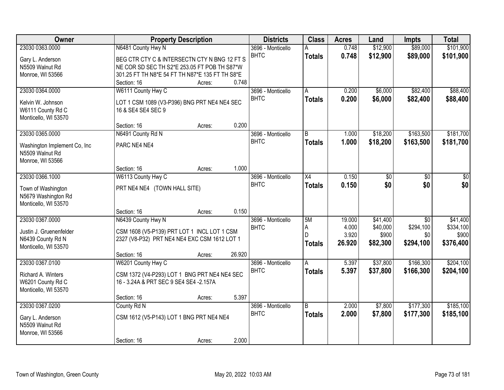| Owner                                       | <b>Property Description</b>                     |        |        | <b>Districts</b>                 | <b>Class</b>  | <b>Acres</b> | Land     | <b>Impts</b>    | <b>Total</b> |
|---------------------------------------------|-------------------------------------------------|--------|--------|----------------------------------|---------------|--------------|----------|-----------------|--------------|
| 23030 0363.0000                             | N6481 County Hwy N                              |        |        | 3696 - Monticello                |               | 0.748        | \$12,900 | \$89,000        | \$101,900    |
| Gary L. Anderson                            | BEG CTR CTY C & INTERSECTN CTY N BNG 12 FT S    |        |        | <b>BHTC</b>                      | <b>Totals</b> | 0.748        | \$12,900 | \$89,000        | \$101,900    |
| N5509 Walnut Rd                             | NE COR SD SEC TH S2*E 253.05 FT POB TH S87*W    |        |        |                                  |               |              |          |                 |              |
| Monroe, WI 53566                            | 301.25 FT TH N8*E 54 FT TH N87*E 135 FT TH S8*E |        |        |                                  |               |              |          |                 |              |
|                                             | Section: 16                                     | Acres: | 0.748  |                                  |               |              |          |                 |              |
| 23030 0364.0000                             | W6111 County Hwy C                              |        |        | 3696 - Monticello                | A             | 0.200        | \$6,000  | \$82,400        | \$88,400     |
| Kelvin W. Johnson                           | LOT 1 CSM 1089 (V3-P396) BNG PRT NE4 NE4 SEC    |        |        | <b>BHTC</b>                      | <b>Totals</b> | 0.200        | \$6,000  | \$82,400        | \$88,400     |
| W6111 County Rd C                           | 16 & SE4 SE4 SEC 9                              |        |        |                                  |               |              |          |                 |              |
| Monticello, WI 53570                        |                                                 |        |        |                                  |               |              |          |                 |              |
|                                             | Section: 16                                     | Acres: | 0.200  |                                  |               |              |          |                 |              |
| 23030 0365.0000                             | N6491 County Rd N                               |        |        | 3696 - Monticello                | B             | 1.000        | \$18,200 | \$163,500       | \$181,700    |
| Washington Implement Co, Inc.               | PARC NE4 NE4                                    |        |        | <b>BHTC</b>                      | <b>Totals</b> | 1.000        | \$18,200 | \$163,500       | \$181,700    |
| N5509 Walnut Rd                             |                                                 |        |        |                                  |               |              |          |                 |              |
| Monroe, WI 53566                            |                                                 |        |        |                                  |               |              |          |                 |              |
|                                             | Section: 16                                     | Acres: | 1.000  |                                  |               |              |          |                 |              |
| 23030 0366.1000                             | W6113 County Hwy C                              |        |        | 3696 - Monticello                | X4            | 0.150        | \$0      | \$0             | \$0          |
|                                             |                                                 |        |        | <b>BHTC</b>                      | <b>Totals</b> | 0.150        | \$0      | \$0             | \$0          |
| Town of Washington                          | PRT NE4 NE4 (TOWN HALL SITE)                    |        |        |                                  |               |              |          |                 |              |
| N5679 Washington Rd<br>Monticello, WI 53570 |                                                 |        |        |                                  |               |              |          |                 |              |
|                                             | Section: 16                                     | Acres: | 0.150  |                                  |               |              |          |                 |              |
| 23030 0367.0000                             | N6439 County Hwy N                              |        |        | 3696 - Monticello                | 5M            | 19.000       | \$41,400 | $\overline{30}$ | \$41,400     |
|                                             |                                                 |        |        | <b>BHTC</b>                      | А             | 4.000        | \$40,000 | \$294,100       | \$334,100    |
| Justin J. Gruenenfelder                     | CSM 1608 (V5-P139) PRT LOT 1 INCL LOT 1 CSM     |        |        |                                  | D             | 3.920        | \$900    | \$0             | \$900        |
| N6439 County Rd N                           | 2327 (V8-P32) PRT NE4 NE4 EXC CSM 1612 LOT 1    |        |        |                                  | <b>Totals</b> | 26.920       | \$82,300 | \$294,100       | \$376,400    |
| Monticello, WI 53570                        |                                                 |        |        |                                  |               |              |          |                 |              |
| 23030 0367.0100                             | Section: 16                                     | Acres: | 26.920 |                                  |               |              | \$37,800 | \$166,300       | \$204,100    |
|                                             | W6201 County Hwy C                              |        |        | 3696 - Monticello<br><b>BHTC</b> | A             | 5.397        |          |                 |              |
| Richard A. Winters                          | CSM 1372 (V4-P293) LOT 1 BNG PRT NE4 NE4 SEC    |        |        |                                  | <b>Totals</b> | 5.397        | \$37,800 | \$166,300       | \$204,100    |
| W6201 County Rd C                           | 16 - 3.24A & PRT SEC 9 SE4 SE4 - 2.157A         |        |        |                                  |               |              |          |                 |              |
| Monticello, WI 53570                        |                                                 |        |        |                                  |               |              |          |                 |              |
|                                             | Section: 16                                     | Acres: | 5.397  |                                  |               |              |          |                 |              |
| 23030 0367.0200                             | County Rd N                                     |        |        | 3696 - Monticello                | B             | 2.000        | \$7,800  | \$177,300       | \$185,100    |
| Gary L. Anderson                            | CSM 1612 (V5-P143) LOT 1 BNG PRT NE4 NE4        |        |        | <b>BHTC</b>                      | <b>Totals</b> | 2.000        | \$7,800  | \$177,300       | \$185,100    |
| N5509 Walnut Rd                             |                                                 |        |        |                                  |               |              |          |                 |              |
| Monroe, WI 53566                            |                                                 |        |        |                                  |               |              |          |                 |              |
|                                             | Section: 16                                     | Acres: | 2.000  |                                  |               |              |          |                 |              |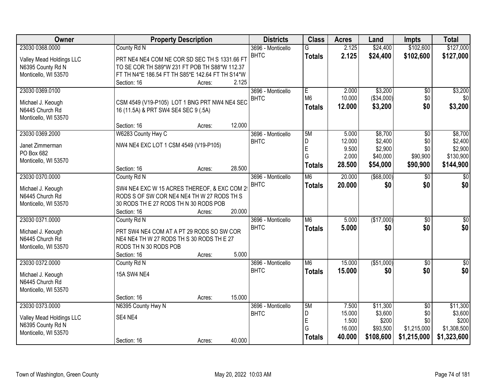| <b>Owner</b>                         |                                                  | <b>Property Description</b> |        | <b>Districts</b>  | <b>Class</b>             | <b>Acres</b> | Land          | <b>Impts</b>    | <b>Total</b>    |
|--------------------------------------|--------------------------------------------------|-----------------------------|--------|-------------------|--------------------------|--------------|---------------|-----------------|-----------------|
| 23030 0368.0000                      | County Rd N                                      |                             |        | 3696 - Monticello | G                        | 2.125        | \$24,400      | \$102,600       | \$127,000       |
| Valley Mead Holdings LLC             | PRT NE4 NE4 COM NE COR SD SEC TH S 1331.66 FT    |                             |        | <b>BHTC</b>       | <b>Totals</b>            | 2.125        | \$24,400      | \$102,600       | \$127,000       |
| N6395 County Rd N                    | TO SE COR TH S89*W 231 FT POB TH S88*W 112.37    |                             |        |                   |                          |              |               |                 |                 |
| Monticello, WI 53570                 | FT TH N4*E 186.54 FT TH S85*E 142.64 FT TH S14*W |                             |        |                   |                          |              |               |                 |                 |
|                                      | Section: 16                                      | Acres:                      | 2.125  |                   |                          |              |               |                 |                 |
| 23030 0369.0100                      |                                                  |                             |        | 3696 - Monticello | E                        | 2.000        | \$3,200       | $\overline{50}$ | \$3,200         |
|                                      |                                                  |                             |        | <b>BHTC</b>       | M <sub>6</sub>           | 10.000       | (\$34,000)    | \$0             | \$0             |
| Michael J. Keough<br>N6445 Church Rd | CSM 4549 (V19-P105) LOT 1 BNG PRT NW4 NE4 SEC    |                             |        |                   | <b>Totals</b>            | 12.000       | \$3,200       | \$0             | \$3,200         |
| Monticello, WI 53570                 | 16 (11.5A) & PRT SW4 SE4 SEC 9 (.5A)             |                             |        |                   |                          |              |               |                 |                 |
|                                      | Section: 16                                      | Acres:                      | 12.000 |                   |                          |              |               |                 |                 |
| 23030 0369.2000                      | W6283 County Hwy C                               |                             |        | 3696 - Monticello | 5M                       | 5.000        | \$8,700       | \$0             | \$8,700         |
|                                      |                                                  |                             |        | <b>BHTC</b>       | D                        | 12.000       | \$2,400       | \$0             | \$2,400         |
| Janet Zimmerman                      | NW4 NE4 EXC LOT 1 CSM 4549 (V19-P105)            |                             |        |                   | E                        | 9.500        | \$2,900       | \$0             | \$2,900         |
| PO Box 682                           |                                                  |                             |        |                   | Ġ                        | 2.000        | \$40,000      | \$90,900        | \$130,900       |
| Monticello, WI 53570                 |                                                  |                             |        |                   | <b>Totals</b>            | 28.500       | \$54,000      | \$90,900        | \$144,900       |
|                                      | Section: 16                                      | Acres:                      | 28.500 |                   |                          |              |               |                 |                 |
| 23030 0370.0000                      | County Rd N                                      |                             |        | 3696 - Monticello | M6                       | 20.000       | $($ \$68,000) | \$0             | $\overline{50}$ |
| Michael J. Keough                    | SW4 NE4 EXC W 15 ACRES THEREOF, & EXC COM 29     |                             |        | <b>BHTC</b>       | <b>Totals</b>            | 20.000       | \$0           | \$0             | \$0             |
| N6445 Church Rd                      | RODS S OF SW COR NE4 NE4 TH W 27 RODS TH S       |                             |        |                   |                          |              |               |                 |                 |
| Monticello, WI 53570                 | 30 RODS THE 27 RODS THN 30 RODS POB              |                             |        |                   |                          |              |               |                 |                 |
|                                      | Section: 16                                      | Acres:                      | 20.000 |                   |                          |              |               |                 |                 |
| 23030 0371.0000                      | County Rd N                                      |                             |        | 3696 - Monticello | $\overline{\mathsf{M6}}$ | 5.000        | (\$17,000)    | $\overline{30}$ | $\sqrt{50}$     |
| Michael J. Keough                    | PRT SW4 NE4 COM AT A PT 29 RODS SO SW COR        |                             |        | <b>BHTC</b>       | <b>Totals</b>            | 5.000        | \$0           | \$0             | \$0             |
| N6445 Church Rd                      | NE4 NE4 TH W 27 RODS TH S 30 RODS TH E 27        |                             |        |                   |                          |              |               |                 |                 |
| Monticello, WI 53570                 | RODS TH N 30 RODS POB                            |                             |        |                   |                          |              |               |                 |                 |
|                                      | Section: 16                                      | Acres:                      | 5.000  |                   |                          |              |               |                 |                 |
| 23030 0372.0000                      | County Rd N                                      |                             |        | 3696 - Monticello | $\overline{\mathsf{M6}}$ | 15.000       | ( \$51,000)   | $\overline{60}$ | $\sqrt{50}$     |
|                                      |                                                  |                             |        | <b>BHTC</b>       | <b>Totals</b>            | 15.000       | \$0           | \$0             | \$0             |
| Michael J. Keough<br>N6445 Church Rd | <b>15A SW4 NE4</b>                               |                             |        |                   |                          |              |               |                 |                 |
| Monticello, WI 53570                 |                                                  |                             |        |                   |                          |              |               |                 |                 |
|                                      | Section: 16                                      | Acres:                      | 15.000 |                   |                          |              |               |                 |                 |
| 23030 0373.0000                      | N6395 County Hwy N                               |                             |        | 3696 - Monticello | 5M                       | 7.500        | \$11,300      | $\overline{30}$ | \$11,300        |
|                                      |                                                  |                             |        | <b>BHTC</b>       | D                        | 15.000       | \$3,600       | \$0             | \$3,600         |
| Valley Mead Holdings LLC             | SE4 NE4                                          |                             |        |                   | E                        | 1.500        | \$200         | \$0             | \$200           |
| N6395 County Rd N                    |                                                  |                             |        |                   | G                        | 16.000       | \$93,500      | \$1,215,000     | \$1,308,500     |
| Monticello, WI 53570                 |                                                  |                             |        |                   | <b>Totals</b>            | 40.000       | \$108,600     | \$1,215,000     | \$1,323,600     |
|                                      | Section: 16                                      | Acres:                      | 40.000 |                   |                          |              |               |                 |                 |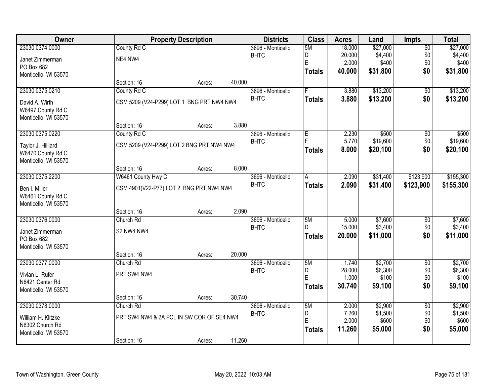| <b>Owner</b>                            | <b>Property Description</b>               |        |        | <b>Districts</b>                 | <b>Class</b>  | <b>Acres</b>   | Land                 | <b>Impts</b>    | <b>Total</b> |
|-----------------------------------------|-------------------------------------------|--------|--------|----------------------------------|---------------|----------------|----------------------|-----------------|--------------|
| 23030 0374.0000                         | County Rd C                               |        |        | 3696 - Monticello                | 5M            | 18.000         | \$27,000             | $\overline{50}$ | \$27,000     |
| Janet Zimmerman                         | NE4 NW4                                   |        |        | <b>BHTC</b>                      | D             | 20.000         | \$4,400              | \$0             | \$4,400      |
| PO Box 682                              |                                           |        |        |                                  | E             | 2.000          | \$400                | \$0             | \$400        |
| Monticello, WI 53570                    |                                           |        |        |                                  | <b>Totals</b> | 40.000         | \$31,800             | \$0             | \$31,800     |
|                                         | Section: 16                               | Acres: | 40.000 |                                  |               |                |                      |                 |              |
| 23030 0375.0210                         | County Rd C                               |        |        | 3696 - Monticello                | F.            | 3.880          | \$13,200             | \$0             | \$13,200     |
| David A. Wirth                          | CSM 5209 (V24-P299) LOT 1 BNG PRT NW4 NW4 |        |        | <b>BHTC</b>                      | <b>Totals</b> | 3.880          | \$13,200             | \$0             | \$13,200     |
| W6497 County Rd C                       |                                           |        |        |                                  |               |                |                      |                 |              |
| Monticello, WI 53570                    |                                           |        |        |                                  |               |                |                      |                 |              |
|                                         | Section: 16                               | Acres: | 3.880  |                                  |               |                |                      |                 |              |
| 23030 0375.0220                         | County Rd C                               |        |        | 3696 - Monticello                | E             | 2.230          | \$500                | \$0             | \$500        |
| Taylor J. Hilliard                      | CSM 5209 (V24-P299) LOT 2 BNG PRT NW4 NW4 |        |        | <b>BHTC</b>                      |               | 5.770<br>8.000 | \$19,600<br>\$20,100 | \$0<br>\$0      | \$19,600     |
| W6470 County Rd C                       |                                           |        |        |                                  | <b>Totals</b> |                |                      |                 | \$20,100     |
| Monticello, WI 53570                    |                                           |        |        |                                  |               |                |                      |                 |              |
|                                         | Section: 16                               | Acres: | 8.000  |                                  |               |                |                      |                 |              |
| 23030 0375.2200                         | W6461 County Hwy C                        |        |        | 3696 - Monticello<br><b>BHTC</b> | A             | 2.090<br>2.090 | \$31,400             | \$123,900       | \$155,300    |
| Ben I. Miller                           | CSM 4901(V22-P77) LOT 2 BNG PRT NW4 NW4   |        |        |                                  | <b>Totals</b> |                | \$31,400             | \$123,900       | \$155,300    |
| W6461 County Rd C                       |                                           |        |        |                                  |               |                |                      |                 |              |
| Monticello, WI 53570                    |                                           |        | 2.090  |                                  |               |                |                      |                 |              |
| 23030 0376.0000                         | Section: 16<br>Church Rd                  | Acres: |        | 3696 - Monticello                | 5M            | 5.000          | \$7,600              | $\overline{50}$ | \$7,600      |
|                                         |                                           |        |        | <b>BHTC</b>                      | D.            | 15.000         | \$3,400              | \$0             | \$3,400      |
| Janet Zimmerman                         | S2 NW4 NW4                                |        |        |                                  | <b>Totals</b> | 20.000         | \$11,000             | \$0             | \$11,000     |
| PO Box 682                              |                                           |        |        |                                  |               |                |                      |                 |              |
| Monticello, WI 53570                    | Section: 16                               | Acres: | 20.000 |                                  |               |                |                      |                 |              |
| 23030 0377.0000                         | Church Rd                                 |        |        | 3696 - Monticello                | 5M            | 1.740          | \$2,700              | $\overline{50}$ | \$2,700      |
|                                         |                                           |        |        | <b>BHTC</b>                      | D             | 28.000         | \$6,300              | \$0             | \$6,300      |
| Vivian L. Rufer                         | PRT SW4 NW4                               |        |        |                                  | E             | 1.000          | \$100                | \$0             | \$100        |
| N6421 Center Rd<br>Monticello, WI 53570 |                                           |        |        |                                  | <b>Totals</b> | 30.740         | \$9,100              | \$0             | \$9,100      |
|                                         | Section: 16                               | Acres: | 30.740 |                                  |               |                |                      |                 |              |
| 23030 0378.0000                         | Church Rd                                 |        |        | 3696 - Monticello                | 5M            | 2.000          | \$2,900              | $\overline{50}$ | \$2,900      |
|                                         | PRT SW4 NW4 & 2A PCL IN SW COR OF SE4 NW4 |        |        | <b>BHTC</b>                      | D             | 7.260          | \$1,500              | \$0             | \$1,500      |
| William H. Klitzke<br>N6302 Church Rd   |                                           |        |        |                                  | E             | 2.000          | \$600                | \$0             | \$600        |
| Monticello, WI 53570                    |                                           |        |        |                                  | <b>Totals</b> | 11.260         | \$5,000              | \$0             | \$5,000      |
|                                         | Section: 16                               | Acres: | 11.260 |                                  |               |                |                      |                 |              |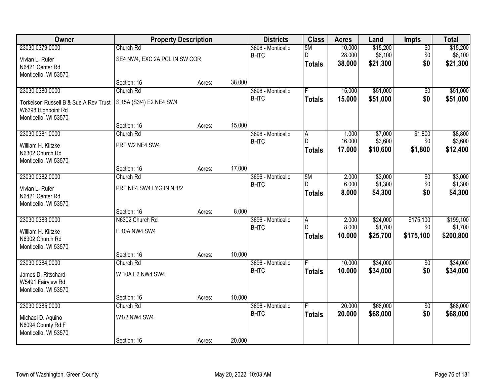| <b>Owner</b>                               | <b>Property Description</b>   |        |        | <b>Districts</b>                 | <b>Class</b>   | <b>Acres</b>     | Land               | Impts               | <b>Total</b>       |
|--------------------------------------------|-------------------------------|--------|--------|----------------------------------|----------------|------------------|--------------------|---------------------|--------------------|
| 23030 0379.0000                            | Church Rd                     |        |        | 3696 - Monticello                | 5M             | 10.000           | \$15,200           | $\overline{50}$     | \$15,200           |
| Vivian L. Rufer                            | SE4 NW4, EXC 2A PCL IN SW COR |        |        | <b>BHTC</b>                      | D              | 28.000<br>38.000 | \$6,100            | \$0<br>\$0          | \$6,100            |
| N6421 Center Rd                            |                               |        |        |                                  | <b>Totals</b>  |                  | \$21,300           |                     | \$21,300           |
| Monticello, WI 53570                       |                               |        |        |                                  |                |                  |                    |                     |                    |
| 23030 0380.0000                            | Section: 16<br>Church Rd      | Acres: | 38.000 | 3696 - Monticello                | F              | 15.000           | \$51,000           | $\overline{50}$     | \$51,000           |
|                                            |                               |        |        | <b>BHTC</b>                      | <b>Totals</b>  | 15.000           | \$51,000           | \$0                 | \$51,000           |
| Torkelson Russell B & Sue A Rev Trust      | S 15A (S3/4) E2 NE4 SW4       |        |        |                                  |                |                  |                    |                     |                    |
| W6398 Highpoint Rd<br>Monticello, WI 53570 |                               |        |        |                                  |                |                  |                    |                     |                    |
|                                            | Section: 16                   | Acres: | 15.000 |                                  |                |                  |                    |                     |                    |
| 23030 0381.0000                            | Church Rd                     |        |        | 3696 - Monticello                | A              | 1.000            | \$7,000            | \$1,800             | \$8,800            |
| William H. Klitzke                         | PRT W2 NE4 SW4                |        |        | <b>BHTC</b>                      | D              | 16.000           | \$3,600            | \$0                 | \$3,600            |
| N6302 Church Rd                            |                               |        |        |                                  | <b>Totals</b>  | 17.000           | \$10,600           | \$1,800             | \$12,400           |
| Monticello, WI 53570                       |                               |        |        |                                  |                |                  |                    |                     |                    |
|                                            | Section: 16                   | Acres: | 17.000 |                                  |                |                  |                    |                     |                    |
| 23030 0382.0000                            | Church Rd                     |        |        | 3696 - Monticello<br><b>BHTC</b> | 5M<br>D.       | 2.000<br>6.000   | \$3,000<br>\$1,300 | $\sqrt[6]{}$<br>\$0 | \$3,000<br>\$1,300 |
| Vivian L. Rufer                            | PRT NE4 SW4 LYG IN N 1/2      |        |        |                                  | <b>Totals</b>  | 8.000            | \$4,300            | \$0                 | \$4,300            |
| N6421 Center Rd                            |                               |        |        |                                  |                |                  |                    |                     |                    |
| Monticello, WI 53570                       | Section: 16                   | Acres: | 8.000  |                                  |                |                  |                    |                     |                    |
| 23030 0383.0000                            | N6302 Church Rd               |        |        | 3696 - Monticello                | $\overline{A}$ | 2.000            | \$24,000           | \$175,100           | \$199,100          |
| William H. Klitzke                         | E 10A NW4 SW4                 |        |        | <b>BHTC</b>                      | D.             | 8.000            | \$1,700            | \$0                 | \$1,700            |
| N6302 Church Rd                            |                               |        |        |                                  | <b>Totals</b>  | 10.000           | \$25,700           | \$175,100           | \$200,800          |
| Monticello, WI 53570                       |                               |        |        |                                  |                |                  |                    |                     |                    |
|                                            | Section: 16                   | Acres: | 10.000 |                                  |                |                  |                    |                     |                    |
| 23030 0384.0000                            | Church Rd                     |        |        | 3696 - Monticello                |                | 10.000           | \$34,000           | $\overline{60}$     | \$34,000           |
| James D. Ritschard                         | W 10A E2 NW4 SW4              |        |        | <b>BHTC</b>                      | <b>Totals</b>  | 10.000           | \$34,000           | \$0                 | \$34,000           |
| W5491 Fairview Rd                          |                               |        |        |                                  |                |                  |                    |                     |                    |
| Monticello, WI 53570                       |                               |        |        |                                  |                |                  |                    |                     |                    |
| 23030 0385.0000                            | Section: 16<br>Church Rd      | Acres: | 10.000 | 3696 - Monticello                | F              | 20.000           | \$68,000           | $\overline{50}$     | \$68,000           |
|                                            |                               |        |        | <b>BHTC</b>                      | <b>Totals</b>  | 20.000           | \$68,000           | \$0                 | \$68,000           |
| Michael D. Aquino                          | W1/2 NW4 SW4                  |        |        |                                  |                |                  |                    |                     |                    |
| N6094 County Rd F<br>Monticello, WI 53570  |                               |        |        |                                  |                |                  |                    |                     |                    |
|                                            | Section: 16                   | Acres: | 20.000 |                                  |                |                  |                    |                     |                    |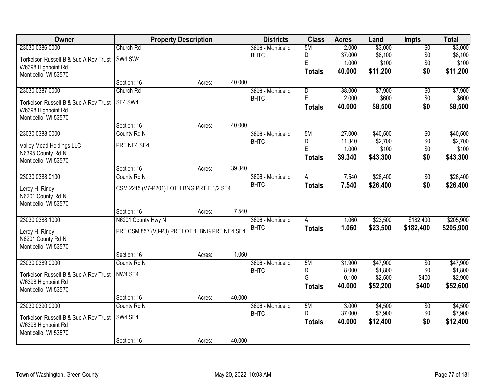| Owner                                 | <b>Property Description</b>                   |        |        | <b>Districts</b>  | <b>Class</b>   | <b>Acres</b>   | Land               | Impts           | <b>Total</b>       |
|---------------------------------------|-----------------------------------------------|--------|--------|-------------------|----------------|----------------|--------------------|-----------------|--------------------|
| 23030 0386.0000                       | Church Rd                                     |        |        | 3696 - Monticello | 5M             | 2.000          | \$3,000            | $\overline{50}$ | \$3,000            |
| Torkelson Russell B & Sue A Rev Trust | SW4 SW4                                       |        |        | <b>BHTC</b>       | D              | 37.000         | \$8,100            | \$0             | \$8,100            |
| W6398 Highpoint Rd                    |                                               |        |        |                   | E              | 1.000          | \$100              | \$0             | \$100              |
| Monticello, WI 53570                  |                                               |        |        |                   | <b>Totals</b>  | 40.000         | \$11,200           | \$0             | \$11,200           |
|                                       | Section: 16                                   | Acres: | 40.000 |                   |                |                |                    |                 |                    |
| 23030 0387.0000                       | Church Rd                                     |        |        | 3696 - Monticello | D              | 38.000         | \$7,900            | $\overline{50}$ | \$7,900            |
| Torkelson Russell B & Sue A Rev Trust | SE4 SW4                                       |        |        | <b>BHTC</b>       | E              | 2.000          | \$600              | \$0             | \$600              |
| W6398 Highpoint Rd                    |                                               |        |        |                   | <b>Totals</b>  | 40.000         | \$8,500            | \$0             | \$8,500            |
| Monticello, WI 53570                  |                                               |        |        |                   |                |                |                    |                 |                    |
|                                       | Section: 16                                   | Acres: | 40.000 |                   |                |                |                    |                 |                    |
| 23030 0388.0000                       | County Rd N                                   |        |        | 3696 - Monticello | 5M             | 27.000         | \$40,500           | \$0             | \$40,500           |
| Valley Mead Holdings LLC              | PRT NE4 SE4                                   |        |        | <b>BHTC</b>       | D              | 11.340         | \$2,700            | \$0             | \$2,700            |
| N6395 County Rd N                     |                                               |        |        |                   | E              | 1.000          | \$100              | \$0             | \$100              |
| Monticello, WI 53570                  |                                               |        |        |                   | <b>Totals</b>  | 39.340         | \$43,300           | \$0             | \$43,300           |
|                                       | Section: 16                                   | Acres: | 39.340 |                   |                |                |                    |                 |                    |
| 23030 0388.0100                       | County Rd N                                   |        |        | 3696 - Monticello | $\overline{A}$ | 7.540          | \$26,400           | \$0             | \$26,400           |
| Leroy H. Rindy                        | CSM 2215 (V7-P201) LOT 1 BNG PRT E 1/2 SE4    |        |        | <b>BHTC</b>       | <b>Totals</b>  | 7.540          | \$26,400           | \$0             | \$26,400           |
| N6201 County Rd N                     |                                               |        |        |                   |                |                |                    |                 |                    |
| Monticello, WI 53570                  |                                               |        |        |                   |                |                |                    |                 |                    |
|                                       | Section: 16                                   | Acres: | 7.540  |                   |                |                |                    |                 |                    |
| 23030 0388.1000                       | N6201 County Hwy N                            |        |        | 3696 - Monticello | $\overline{A}$ | 1.060          | \$23,500           | \$182,400       | \$205,900          |
| Leroy H. Rindy                        | PRT CSM 857 (V3-P3) PRT LOT 1 BNG PRT NE4 SE4 |        |        | <b>BHTC</b>       | <b>Totals</b>  | 1.060          | \$23,500           | \$182,400       | \$205,900          |
| N6201 County Rd N                     |                                               |        |        |                   |                |                |                    |                 |                    |
| Monticello, WI 53570                  |                                               |        |        |                   |                |                |                    |                 |                    |
|                                       | Section: 16                                   | Acres: | 1.060  |                   |                |                |                    |                 |                    |
| 23030 0389.0000                       | County Rd N                                   |        |        | 3696 - Monticello | 5M             | 31.900         | \$47,900           | $\overline{30}$ | \$47,900           |
| Torkelson Russell B & Sue A Rev Trust | NW4 SE4                                       |        |        | <b>BHTC</b>       | D<br>G         | 8.000<br>0.100 | \$1,800<br>\$2,500 | \$0<br>\$400    | \$1,800<br>\$2,900 |
| W6398 Highpoint Rd                    |                                               |        |        |                   | <b>Totals</b>  | 40.000         | \$52,200           | \$400           | \$52,600           |
| Monticello, WI 53570                  |                                               |        |        |                   |                |                |                    |                 |                    |
|                                       | Section: 16                                   | Acres: | 40.000 |                   |                |                |                    |                 |                    |
| 23030 0390.0000                       | County Rd N                                   |        |        | 3696 - Monticello | 5M             | 3.000          | \$4,500            | $\overline{50}$ | \$4,500            |
| Torkelson Russell B & Sue A Rev Trust | SW4 SE4                                       |        |        | <b>BHTC</b>       | D.             | 37.000         | \$7,900            | \$0             | \$7,900            |
| W6398 Highpoint Rd                    |                                               |        |        |                   | <b>Totals</b>  | 40.000         | \$12,400           | \$0             | \$12,400           |
| Monticello, WI 53570                  |                                               |        |        |                   |                |                |                    |                 |                    |
|                                       | Section: 16                                   | Acres: | 40.000 |                   |                |                |                    |                 |                    |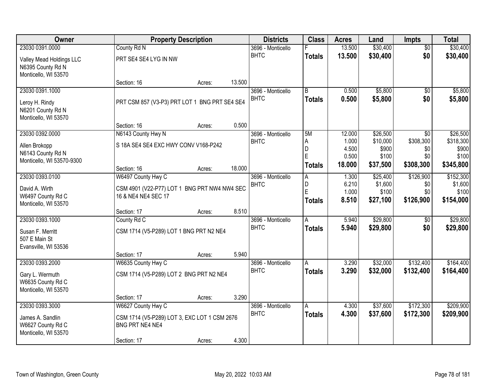| <b>Owner</b>                                                                     |                                                                                                      | <b>Property Description</b> |        | <b>Districts</b>                 | <b>Class</b>                       | <b>Acres</b>                      | Land                                     | <b>Impts</b>                         | <b>Total</b>                               |
|----------------------------------------------------------------------------------|------------------------------------------------------------------------------------------------------|-----------------------------|--------|----------------------------------|------------------------------------|-----------------------------------|------------------------------------------|--------------------------------------|--------------------------------------------|
| 23030 0391.0000                                                                  | County Rd N                                                                                          |                             |        | 3696 - Monticello                |                                    | 13.500                            | \$30,400                                 | $\overline{60}$                      | \$30,400                                   |
| Valley Mead Holdings LLC<br>N6395 County Rd N<br>Monticello, WI 53570            | PRT SE4 SE4 LYG IN NW                                                                                |                             |        | <b>BHTC</b>                      | <b>Totals</b>                      | 13.500                            | \$30,400                                 | \$0                                  | \$30,400                                   |
|                                                                                  | Section: 16                                                                                          | Acres:                      | 13.500 |                                  |                                    |                                   |                                          |                                      |                                            |
| 23030 0391.1000<br>Leroy H. Rindy<br>N6201 County Rd N<br>Monticello, WI 53570   | PRT CSM 857 (V3-P3) PRT LOT 1 BNG PRT SE4 SE4                                                        |                             |        | 3696 - Monticello<br><b>BHTC</b> | B<br><b>Totals</b>                 | 0.500<br>0.500                    | \$5,800<br>\$5,800                       | $\overline{50}$<br>\$0               | \$5,800<br>\$5,800                         |
| 23030 0392.0000                                                                  | Section: 16<br>N6143 County Hwy N                                                                    | Acres:                      | 0.500  | 3696 - Monticello                | 5M                                 | 12.000                            | \$26,500                                 | \$0                                  | \$26,500                                   |
| Allen Brokopp<br>N6143 County Rd N<br>Monticello, WI 53570-9300                  | S 18A SE4 SE4 EXC HWY CONV V168-P242                                                                 |                             |        | <b>BHTC</b>                      | A<br>D<br>E<br>Totals              | 1.000<br>4.500<br>0.500<br>18.000 | \$10,000<br>\$900<br>\$100<br>\$37,500   | \$308,300<br>\$0<br>\$0<br>\$308,300 | \$318,300<br>\$900<br>\$100<br>\$345,800   |
|                                                                                  | Section: 16                                                                                          | Acres:                      | 18.000 |                                  |                                    |                                   |                                          |                                      |                                            |
| 23030 0393.0100<br>David A. Wirth<br>W6497 County Rd C<br>Monticello, WI 53570   | W6497 County Hwy C<br>CSM 4901 (V22-P77) LOT 1 BNG PRT NW4 NW4 SEC<br>16 & NE4 NE4 SEC 17            |                             |        | 3696 - Monticello<br><b>BHTC</b> | $\overline{A}$<br>D<br>E<br>Totals | 1.300<br>6.210<br>1.000<br>8.510  | \$25,400<br>\$1,600<br>\$100<br>\$27,100 | \$126,900<br>\$0<br>\$0<br>\$126,900 | \$152,300<br>\$1,600<br>\$100<br>\$154,000 |
|                                                                                  | Section: 17                                                                                          | Acres:                      | 8.510  |                                  |                                    |                                   |                                          |                                      |                                            |
| 23030 0393.1000<br>Susan F. Merritt<br>507 E Main St<br>Evansville, WI 53536     | County Rd C<br>CSM 1714 (V5-P289) LOT 1 BNG PRT N2 NE4<br>Section: 17                                | Acres:                      | 5.940  | 3696 - Monticello<br><b>BHTC</b> | $\overline{A}$<br><b>Totals</b>    | 5.940<br>5.940                    | \$29,800<br>\$29,800                     | $\overline{50}$<br>\$0               | \$29,800<br>\$29,800                       |
| 23030 0393.2000                                                                  | W6635 County Hwy C                                                                                   |                             |        | 3696 - Monticello                | A                                  | 3.290                             | \$32,000                                 | \$132,400                            | \$164,400                                  |
| Gary L. Wermuth<br>W6635 County Rd C<br>Monticello, WI 53570                     | CSM 1714 (V5-P289) LOT 2 BNG PRT N2 NE4                                                              |                             |        | <b>BHTC</b>                      | <b>Totals</b>                      | 3.290                             | \$32,000                                 | \$132,400                            | \$164,400                                  |
|                                                                                  | Section: 17                                                                                          | Acres:                      | 3.290  |                                  |                                    |                                   |                                          |                                      |                                            |
| 23030 0393.3000<br>James A. Sandlin<br>W6627 County Rd C<br>Monticello, WI 53570 | W6627 County Hwy C<br>CSM 1714 (V5-P289) LOT 3, EXC LOT 1 CSM 2676<br>BNG PRT NE4 NE4<br>Section: 17 | Acres:                      | 4.300  | 3696 - Monticello<br><b>BHTC</b> | $\overline{A}$<br><b>Totals</b>    | 4.300<br>4.300                    | \$37,600<br>\$37,600                     | \$172,300<br>\$172,300               | \$209,900<br>\$209,900                     |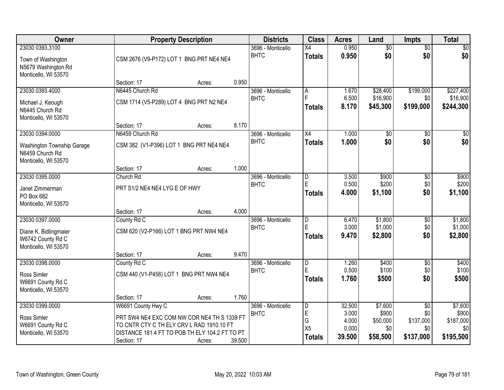| Owner                                                                                |                                                                                             | <b>Property Description</b> |        | <b>Districts</b>                 | <b>Class</b>                                  | <b>Acres</b>            | Land                    | Impts                         | <b>Total</b>            |
|--------------------------------------------------------------------------------------|---------------------------------------------------------------------------------------------|-----------------------------|--------|----------------------------------|-----------------------------------------------|-------------------------|-------------------------|-------------------------------|-------------------------|
| 23030 0393.3100<br>Town of Washington<br>N5679 Washington Rd<br>Monticello, WI 53570 | CSM 2676 (V9-P172) LOT 1 BNG PRT NE4 NE4                                                    |                             |        | 3696 - Monticello<br><b>BHTC</b> | X4<br><b>Totals</b>                           | 0.950<br>0.950          | $\overline{50}$<br>\$0  | $\overline{50}$<br>\$0        | \$0<br>\$0              |
|                                                                                      | Section: 17                                                                                 | Acres:                      | 0.950  |                                  |                                               |                         |                         |                               |                         |
| 23030 0393.4000                                                                      | N6445 Church Rd                                                                             |                             |        | 3696 - Monticello                | A                                             | 1.670                   | \$28,400                | \$199,000                     | \$227,400               |
| Michael J. Keough<br>N6445 Church Rd<br>Monticello, WI 53570                         | CSM 1714 (V5-P289) LOT 4 BNG PRT N2 NE4                                                     |                             |        | <b>BHTC</b>                      | Ė<br><b>Totals</b>                            | 6.500<br>8.170          | \$16,900<br>\$45,300    | \$0<br>\$199,000              | \$16,900<br>\$244,300   |
|                                                                                      | Section: 17                                                                                 | Acres:                      | 8.170  |                                  |                                               |                         |                         |                               |                         |
| 23030 0394.0000                                                                      | N6459 Church Rd                                                                             |                             |        | 3696 - Monticello                | $\overline{X4}$                               | 1.000                   | $\overline{50}$         | $\overline{50}$               | $\overline{50}$         |
| Washington Township Garage<br>N6459 Church Rd<br>Monticello, WI 53570                | CSM 382 (V1-P396) LOT 1 BNG PRT NE4 NE4                                                     |                             |        | <b>BHTC</b>                      | <b>Totals</b>                                 | 1.000                   | \$0                     | \$0                           | \$0                     |
|                                                                                      | Section: 17                                                                                 | Acres:                      | 1.000  |                                  |                                               |                         |                         |                               |                         |
| 23030 0395.0000                                                                      | Church Rd                                                                                   |                             |        | 3696 - Monticello                | $\overline{\mathsf{D}}$                       | 3.500                   | \$900                   | \$0                           | \$900                   |
| Janet Zimmerman<br>PO Box 682<br>Monticello, WI 53570                                | PRT S1/2 NE4 NE4 LYG E OF HWY                                                               |                             |        | <b>BHTC</b>                      | E<br><b>Totals</b>                            | 0.500<br>4.000          | \$200<br>\$1,100        | \$0<br>\$0                    | \$200<br>\$1,100        |
|                                                                                      | Section: 17                                                                                 | Acres:                      | 4.000  |                                  |                                               |                         |                         |                               |                         |
| 23030 0397.0000                                                                      | County Rd C                                                                                 |                             |        | 3696 - Monticello                | D                                             | 6.470                   | \$1,800                 | $\overline{50}$               | \$1,800                 |
| Diane K. Bidlingmaier<br>W6742 County Rd C<br>Monticello, WI 53570                   | CSM 620 (V2-P166) LOT 1 BNG PRT NW4 NE4                                                     |                             |        | <b>BHTC</b>                      | E<br><b>Totals</b>                            | 3.000<br>9.470          | \$1,000<br>\$2,800      | \$0<br>\$0                    | \$1,000<br>\$2,800      |
|                                                                                      | Section: 17                                                                                 | Acres:                      | 9.470  |                                  |                                               |                         |                         |                               |                         |
| 23030 0398.0000<br>Ross Simler<br>W6691 County Rd C<br>Monticello, WI 53570          | County Rd C<br>CSM 440 (V1-P456) LOT 1 BNG PRT NW4 NE4                                      |                             |        | 3696 - Monticello<br><b>BHTC</b> | $\overline{\mathsf{D}}$<br>E<br><b>Totals</b> | 1.260<br>0.500<br>1.760 | \$400<br>\$100<br>\$500 | $\overline{50}$<br>\$0<br>\$0 | \$400<br>\$100<br>\$500 |
|                                                                                      | Section: 17                                                                                 | Acres:                      | 1.760  |                                  |                                               |                         |                         |                               |                         |
| 23030 0399.0000                                                                      | W6691 County Hwy C                                                                          |                             |        | 3696 - Monticello<br><b>BHTC</b> | $\overline{D}$<br>E                           | 32.500<br>3.000         | \$7,600<br>\$900        | $\overline{50}$<br>\$0        | \$7,600<br>\$900        |
| Ross Simler                                                                          | PRT SW4 NE4 EXC COM NW COR NE4 TH S 1339 FT                                                 |                             |        |                                  | G                                             | 4.000                   | \$50,000                | \$137,000                     | \$187,000               |
| W6691 County Rd C<br>Monticello, WI 53570                                            | TO CNTR CTY C TH ELY CRV L RAD 1910.10 FT<br>DISTANCE 181.4 FT TO POB TH ELY 104.2 FT TO PT |                             |        |                                  | X <sub>5</sub>                                | 0.000                   | \$0                     | \$0                           | \$0                     |
|                                                                                      | Section: 17                                                                                 | Acres:                      | 39.500 |                                  | <b>Totals</b>                                 | 39.500                  | \$58,500                | \$137,000                     | \$195,500               |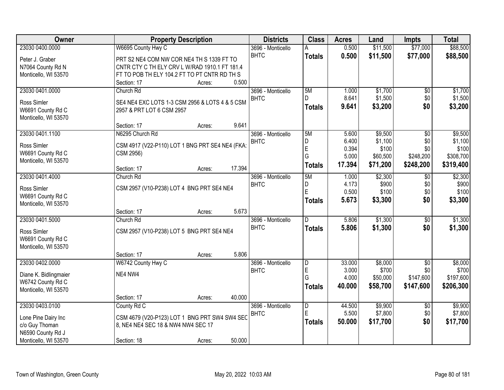| Owner                 | <b>Property Description</b>                     |        |        | <b>Districts</b>                 | <b>Class</b>            | <b>Acres</b> | Land     | <b>Impts</b>    | <b>Total</b> |
|-----------------------|-------------------------------------------------|--------|--------|----------------------------------|-------------------------|--------------|----------|-----------------|--------------|
| 23030 0400.0000       | W6695 County Hwy C                              |        |        | 3696 - Monticello                | A                       | 0.500        | \$11,500 | \$77,000        | \$88,500     |
| Peter J. Graber       | PRT S2 NE4 COM NW COR NE4 TH S 1339 FT TO       |        |        | <b>BHTC</b>                      | <b>Totals</b>           | 0.500        | \$11,500 | \$77,000        | \$88,500     |
| N7064 County Rd N     | CNTR CTY C TH ELY CRV L W/RAD 1910.1 FT 181.4   |        |        |                                  |                         |              |          |                 |              |
| Monticello, WI 53570  | FT TO POB TH ELY 104.2 FT TO PT CNTR RD TH S    |        |        |                                  |                         |              |          |                 |              |
|                       | Section: 17                                     | Acres: | 0.500  |                                  |                         |              |          |                 |              |
| 23030 0401.0000       | Church Rd                                       |        |        | 3696 - Monticello                | 5M                      | 1.000        | \$1,700  | \$0             | \$1,700      |
| Ross Simler           | SE4 NE4 EXC LOTS 1-3 CSM 2956 & LOTS 4 & 5 CSM  |        |        | <b>BHTC</b>                      | D.                      | 8.641        | \$1,500  | \$0             | \$1,500      |
| W6691 County Rd C     | 2957 & PRT LOT 6 CSM 2957                       |        |        |                                  | Totals                  | 9.641        | \$3,200  | \$0             | \$3,200      |
| Monticello, WI 53570  |                                                 |        |        |                                  |                         |              |          |                 |              |
|                       | Section: 17                                     | Acres: | 9.641  |                                  |                         |              |          |                 |              |
| 23030 0401.1100       | N6295 Church Rd                                 |        |        | 3696 - Monticello                | 5M                      | 5.600        | \$9,500  | $\overline{50}$ | \$9,500      |
|                       |                                                 |        |        | <b>BHTC</b>                      | D                       | 6.400        | \$1,100  | \$0             | \$1,100      |
| Ross Simler           | CSM 4917 (V22-P110) LOT 1 BNG PRT SE4 NE4 (FKA: |        |        |                                  | E                       | 0.394        | \$100    | \$0             | \$100        |
| W6691 County Rd C     | CSM 2956)                                       |        |        |                                  | G                       | 5.000        | \$60,500 | \$248,200       | \$308,700    |
| Monticello, WI 53570  | Section: 17                                     | Acres: | 17.394 |                                  | <b>Totals</b>           | 17.394       | \$71,200 | \$248,200       | \$319,400    |
| 23030 0401.4000       | Church Rd                                       |        |        | 3696 - Monticello                | 5M                      | 1.000        | \$2,300  | \$0             | \$2,300      |
|                       |                                                 |        |        | <b>BHTC</b>                      | D                       | 4.173        | \$900    | \$0             | \$900        |
| Ross Simler           | CSM 2957 (V10-P238) LOT 4 BNG PRT SE4 NE4       |        |        |                                  | E                       | 0.500        | \$100    | \$0             | \$100        |
| W6691 County Rd C     |                                                 |        |        |                                  | <b>Totals</b>           | 5.673        | \$3,300  | \$0             | \$3,300      |
| Monticello, WI 53570  |                                                 |        |        |                                  |                         |              |          |                 |              |
| 23030 0401.5000       | Section: 17                                     | Acres: | 5.673  |                                  | $\overline{D}$          | 5.806        |          |                 |              |
|                       | Church Rd                                       |        |        | 3696 - Monticello<br><b>BHTC</b> |                         |              | \$1,300  | \$0             | \$1,300      |
| Ross Simler           | CSM 2957 (V10-P238) LOT 5 BNG PRT SE4 NE4       |        |        |                                  | <b>Totals</b>           | 5.806        | \$1,300  | \$0             | \$1,300      |
| W6691 County Rd C     |                                                 |        |        |                                  |                         |              |          |                 |              |
| Monticello, WI 53570  |                                                 |        |        |                                  |                         |              |          |                 |              |
|                       | Section: 17                                     | Acres: | 5.806  |                                  |                         |              |          |                 |              |
| 23030 0402.0000       | W6742 County Hwy C                              |        |        | 3696 - Monticello                | D                       | 33.000       | \$8,000  | $\overline{50}$ | \$8,000      |
| Diane K. Bidlingmaier | NE4 NW4                                         |        |        | <b>BHTC</b>                      | $\mathsf{E}$<br>G       | 3.000        | \$700    | \$0             | \$700        |
| W6742 County Rd C     |                                                 |        |        |                                  |                         | 4.000        | \$50,000 | \$147,600       | \$197,600    |
| Monticello, WI 53570  |                                                 |        |        |                                  | Totals                  | 40.000       | \$58,700 | \$147,600       | \$206,300    |
|                       | Section: 17                                     | Acres: | 40.000 |                                  |                         |              |          |                 |              |
| 23030 0403.0100       | County Rd C                                     |        |        | 3696 - Monticello                | $\overline{\mathsf{D}}$ | 44.500       | \$9,900  | $\overline{60}$ | \$9,900      |
| Lone Pine Dairy Inc   | CSM 4679 (V20-P123) LOT 1 BNG PRT SW4 SW4 SEC   |        |        | <b>BHTC</b>                      | E                       | 5.500        | \$7,800  | \$0             | \$7,800      |
| c/o Guy Thoman        | 8, NE4 NE4 SEC 18 & NW4 NW4 SEC 17              |        |        |                                  | <b>Totals</b>           | 50.000       | \$17,700 | \$0             | \$17,700     |
| N6590 County Rd J     |                                                 |        |        |                                  |                         |              |          |                 |              |
| Monticello, WI 53570  | Section: 18                                     | Acres: | 50.000 |                                  |                         |              |          |                 |              |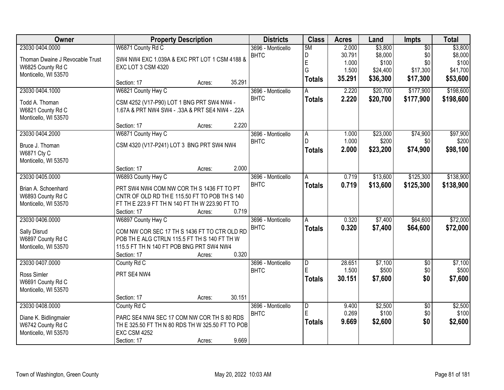| Owner                           |                                                  | <b>Property Description</b> |        | <b>Districts</b>  | <b>Class</b>        | <b>Acres</b> | Land     | <b>Impts</b>    | <b>Total</b> |
|---------------------------------|--------------------------------------------------|-----------------------------|--------|-------------------|---------------------|--------------|----------|-----------------|--------------|
| 23030 0404.0000                 | W6871 County Rd C                                |                             |        | 3696 - Monticello | 5M                  | 2.000        | \$3,800  | $\overline{50}$ | \$3,800      |
| Thoman Dwaine J Revocable Trust | SW4 NW4 EXC 1.039A & EXC PRT LOT 1 CSM 4188 &    |                             |        | <b>BHTC</b>       | D                   | 30.791       | \$8,000  | \$0             | \$8,000      |
| W6825 County Rd C               | EXC LOT 3 CSM 4320                               |                             |        |                   | E                   | 1.000        | \$100    | \$0             | \$100        |
| Monticello, WI 53570            |                                                  |                             |        |                   | G                   | 1.500        | \$24,400 | \$17,300        | \$41,700     |
|                                 | Section: 17                                      | Acres:                      | 35.291 |                   | <b>Totals</b>       | 35.291       | \$36,300 | \$17,300        | \$53,600     |
| 23030 0404.1000                 | W6821 County Hwy C                               |                             |        | 3696 - Monticello | Α                   | 2.220        | \$20,700 | \$177,900       | \$198,600    |
|                                 |                                                  |                             |        | <b>BHTC</b>       | <b>Totals</b>       | 2.220        | \$20,700 | \$177,900       | \$198,600    |
| Todd A. Thoman                  | CSM 4252 (V17-P90) LOT 1 BNG PRT SW4 NW4 -       |                             |        |                   |                     |              |          |                 |              |
| W6821 County Rd C               | 1.67A & PRT NW4 SW4 - .33A & PRT SE4 NW4 - .22A  |                             |        |                   |                     |              |          |                 |              |
| Monticello, WI 53570            |                                                  |                             |        |                   |                     |              |          |                 |              |
|                                 | Section: 17                                      | Acres:                      | 2.220  |                   |                     |              |          |                 |              |
| 23030 0404.2000                 | W6871 County Hwy C                               |                             |        | 3696 - Monticello | A                   | 1.000        | \$23,000 | \$74,900        | \$97,900     |
| Bruce J. Thoman                 | CSM 4320 (V17-P241) LOT 3 BNG PRT SW4 NW4        |                             |        | <b>BHTC</b>       | D.                  | 1.000        | \$200    | \$0             | \$200        |
| W6871 Cty C                     |                                                  |                             |        |                   | <b>Totals</b>       | 2.000        | \$23,200 | \$74,900        | \$98,100     |
| Monticello, WI 53570            |                                                  |                             |        |                   |                     |              |          |                 |              |
|                                 | Section: 17                                      | Acres:                      | 2.000  |                   |                     |              |          |                 |              |
| 23030 0405.0000                 | W6893 County Hwy C                               |                             |        | 3696 - Monticello | A                   | 0.719        | \$13,600 | \$125,300       | \$138,900    |
|                                 |                                                  |                             |        | <b>BHTC</b>       | <b>Totals</b>       | 0.719        | \$13,600 | \$125,300       | \$138,900    |
| Brian A. Schoenhard             | PRT SW4 NW4 COM NW COR TH S 1436 FT TO PT        |                             |        |                   |                     |              |          |                 |              |
| W6893 County Rd C               | CNTR OF OLD RD THE 115.50 FT TO POB TH S 140     |                             |        |                   |                     |              |          |                 |              |
| Monticello, WI 53570            | FT TH E 223.9 FT TH N 140 FT TH W 223.90 FT TO   |                             |        |                   |                     |              |          |                 |              |
|                                 | Section: 17                                      | Acres:                      | 0.719  |                   |                     |              |          |                 |              |
| 23030 0406.0000                 | W6897 County Hwy C                               |                             |        | 3696 - Monticello | $\overline{A}$      | 0.320        | \$7,400  | \$64,600        | \$72,000     |
| Sally Disrud                    | COM NW COR SEC 17 TH S 1436 FT TO CTR OLD RD     |                             |        | <b>BHTC</b>       | <b>Totals</b>       | 0.320        | \$7,400  | \$64,600        | \$72,000     |
| W6897 County Rd C               | POB THE ALG CTRLN 115.5 FT TH S 140 FT TH W      |                             |        |                   |                     |              |          |                 |              |
| Monticello, WI 53570            | 115.5 FT TH N 140 FT POB BNG PRT SW4 NW4         |                             |        |                   |                     |              |          |                 |              |
|                                 | Section: 17                                      | Acres:                      | 0.320  |                   |                     |              |          |                 |              |
| 23030 0407.0000                 | County Rd C                                      |                             |        | 3696 - Monticello | D                   | 28.651       | \$7,100  | $\overline{50}$ | \$7,100      |
|                                 | PRT SE4 NW4                                      |                             |        | <b>BHTC</b>       | E                   | 1.500        | \$500    | \$0             | \$500        |
| Ross Simler                     |                                                  |                             |        |                   | <b>Totals</b>       | 30.151       | \$7,600  | \$0             | \$7,600      |
| W6691 County Rd C               |                                                  |                             |        |                   |                     |              |          |                 |              |
| Monticello, WI 53570            |                                                  |                             |        |                   |                     |              |          |                 |              |
|                                 | Section: 17                                      | Acres:                      | 30.151 |                   |                     |              |          |                 |              |
| 23030 0408.0000                 | County Rd C                                      |                             |        | 3696 - Monticello | $\overline{D}$<br>E | 9.400        | \$2,500  | $\overline{50}$ | \$2,500      |
| Diane K. Bidlingmaier           | PARC SE4 NW4 SEC 17 COM NW COR TH S 80 RDS       |                             |        | <b>BHTC</b>       |                     | 0.269        | \$100    | \$0             | \$100        |
| W6742 County Rd C               | TH E 325.50 FT TH N 80 RDS TH W 325.50 FT TO POB |                             |        |                   | <b>Totals</b>       | 9.669        | \$2,600  | \$0             | \$2,600      |
| Monticello, WI 53570            | <b>EXC CSM 4252</b>                              |                             |        |                   |                     |              |          |                 |              |
|                                 | Section: 17                                      | Acres:                      | 9.669  |                   |                     |              |          |                 |              |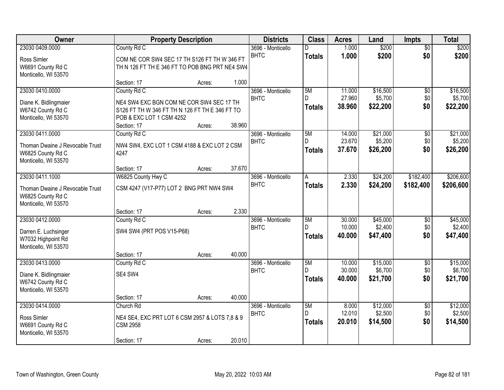| Owner                                     |                                                | <b>Property Description</b> |        | <b>Districts</b>                 | <b>Class</b>  | <b>Acres</b>     | Land                | <b>Impts</b>           | <b>Total</b>        |
|-------------------------------------------|------------------------------------------------|-----------------------------|--------|----------------------------------|---------------|------------------|---------------------|------------------------|---------------------|
| 23030 0409.0000                           | County Rd C                                    |                             |        | 3696 - Monticello                | D             | 1.000            | \$200               | $\overline{50}$        | \$200               |
| Ross Simler                               | COM NE COR SW4 SEC 17 TH S126 FT TH W 346 FT   |                             |        | <b>BHTC</b>                      | <b>Totals</b> | 1.000            | \$200               | \$0                    | \$200               |
| W6691 County Rd C                         | TH N 126 FT TH E 346 FT TO POB BNG PRT NE4 SW4 |                             |        |                                  |               |                  |                     |                        |                     |
| Monticello, WI 53570                      |                                                |                             |        |                                  |               |                  |                     |                        |                     |
|                                           | Section: 17                                    | Acres:                      | 1.000  |                                  |               |                  |                     |                        |                     |
| 23030 0410.0000                           | County Rd C                                    |                             |        | 3696 - Monticello                | 5M<br>D.      | 11.000<br>27.960 | \$16,500            | \$0                    | \$16,500            |
| Diane K. Bidlingmaier                     | NE4 SW4 EXC BGN COM NE COR SW4 SEC 17 TH       |                             |        | <b>BHTC</b>                      |               | 38.960           | \$5,700<br>\$22,200 | \$0<br>\$0             | \$5,700<br>\$22,200 |
| W6742 County Rd C                         | S126 FT TH W 346 FT TH N 126 FT TH E 346 FT TO |                             |        |                                  | <b>Totals</b> |                  |                     |                        |                     |
| Monticello, WI 53570                      | POB & EXC LOT 1 CSM 4252                       |                             |        |                                  |               |                  |                     |                        |                     |
| 23030 0411.0000                           | Section: 17                                    | Acres:                      | 38.960 |                                  | 5M            | 14.000           | \$21,000            |                        | \$21,000            |
|                                           | County Rd C                                    |                             |        | 3696 - Monticello<br><b>BHTC</b> | D.            | 23.670           | \$5,200             | $\overline{50}$<br>\$0 | \$5,200             |
| Thoman Dwaine J Revocable Trust           | NW4 SW4, EXC LOT 1 CSM 4188 & EXC LOT 2 CSM    |                             |        |                                  | <b>Totals</b> | 37,670           | \$26,200            | \$0                    | \$26,200            |
| W6825 County Rd C                         | 4247                                           |                             |        |                                  |               |                  |                     |                        |                     |
| Monticello, WI 53570                      | Section: 17                                    | Acres:                      | 37.670 |                                  |               |                  |                     |                        |                     |
| 23030 0411.1000                           | W6825 County Hwy C                             |                             |        | 3696 - Monticello                | A             | 2.330            | \$24,200            | \$182,400              | \$206,600           |
|                                           |                                                |                             |        | <b>BHTC</b>                      | <b>Totals</b> | 2.330            | \$24,200            | \$182,400              | \$206,600           |
| Thoman Dwaine J Revocable Trust           | CSM 4247 (V17-P77) LOT 2 BNG PRT NW4 SW4       |                             |        |                                  |               |                  |                     |                        |                     |
| W6825 County Rd C<br>Monticello, WI 53570 |                                                |                             |        |                                  |               |                  |                     |                        |                     |
|                                           | Section: 17                                    | Acres:                      | 2.330  |                                  |               |                  |                     |                        |                     |
| 23030 0412.0000                           | County Rd C                                    |                             |        | 3696 - Monticello                | 5M            | 30.000           | \$45,000            | $\overline{50}$        | \$45,000            |
| Darren E. Luchsinger                      | SW4 SW4 (PRT POS V15-P68)                      |                             |        | <b>BHTC</b>                      | D.            | 10.000           | \$2,400             | \$0                    | \$2,400             |
| W7032 Highpoint Rd                        |                                                |                             |        |                                  | <b>Totals</b> | 40.000           | \$47,400            | \$0                    | \$47,400            |
| Monticello, WI 53570                      |                                                |                             |        |                                  |               |                  |                     |                        |                     |
|                                           | Section: 17                                    | Acres:                      | 40.000 |                                  |               |                  |                     |                        |                     |
| 23030 0413.0000                           | County Rd C                                    |                             |        | 3696 - Monticello                | 5M            | 10.000           | \$15,000            | $\sqrt{$0}$            | \$15,000            |
| Diane K. Bidlingmaier                     | SE4 SW4                                        |                             |        | <b>BHTC</b>                      | D.            | 30.000           | \$6,700             | \$0                    | \$6,700             |
| W6742 County Rd C                         |                                                |                             |        |                                  | <b>Totals</b> | 40.000           | \$21,700            | \$0                    | \$21,700            |
| Monticello, WI 53570                      |                                                |                             |        |                                  |               |                  |                     |                        |                     |
|                                           | Section: 17                                    | Acres:                      | 40.000 |                                  |               |                  |                     |                        |                     |
| 23030 0414.0000                           | Church Rd                                      |                             |        | 3696 - Monticello                | 5M            | 8.000            | \$12,000            | $\overline{50}$        | \$12,000            |
| Ross Simler                               | NE4 SE4, EXC PRT LOT 6 CSM 2957 & LOTS 7,8 & 9 |                             |        | <b>BHTC</b>                      | D             | 12.010           | \$2,500             | \$0                    | \$2,500             |
| W6691 County Rd C                         | <b>CSM 2958</b>                                |                             |        |                                  | <b>Totals</b> | 20.010           | \$14,500            | \$0                    | \$14,500            |
| Monticello, WI 53570                      |                                                |                             |        |                                  |               |                  |                     |                        |                     |
|                                           | Section: 17                                    | Acres:                      | 20.010 |                                  |               |                  |                     |                        |                     |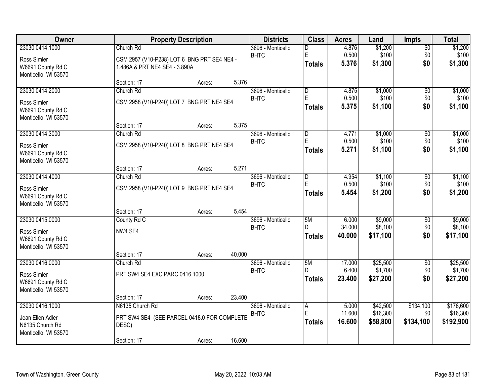| Owner                |                                | <b>Property Description</b>                 |        | <b>Districts</b>  | <b>Class</b>  | <b>Acres</b> | Land     | <b>Impts</b>    | <b>Total</b> |
|----------------------|--------------------------------|---------------------------------------------|--------|-------------------|---------------|--------------|----------|-----------------|--------------|
| 23030 0414.1000      | Church Rd                      |                                             |        | 3696 - Monticello | D             | 4.876        | \$1,200  | $\overline{50}$ | \$1,200      |
| Ross Simler          |                                | CSM 2957 (V10-P238) LOT 6 BNG PRT SE4 NE4 - |        | <b>BHTC</b>       | E             | 0.500        | \$100    | \$0             | \$100        |
| W6691 County Rd C    | 1.486A & PRT NE4 SE4 - 3.890A  |                                             |        |                   | <b>Totals</b> | 5.376        | \$1,300  | \$0             | \$1,300      |
| Monticello, WI 53570 |                                |                                             |        |                   |               |              |          |                 |              |
|                      | Section: 17                    | Acres:                                      | 5.376  |                   |               |              |          |                 |              |
| 23030 0414.2000      | Church Rd                      |                                             |        | 3696 - Monticello | ID.           | 4.875        | \$1,000  | $\overline{50}$ | \$1,000      |
| Ross Simler          |                                | CSM 2958 (V10-P240) LOT 7 BNG PRT NE4 SE4   |        | <b>BHTC</b>       | E             | 0.500        | \$100    | \$0             | \$100        |
| W6691 County Rd C    |                                |                                             |        |                   | Totals        | 5.375        | \$1,100  | \$0             | \$1,100      |
| Monticello, WI 53570 |                                |                                             |        |                   |               |              |          |                 |              |
|                      | Section: 17                    | Acres:                                      | 5.375  |                   |               |              |          |                 |              |
| 23030 0414.3000      | Church Rd                      |                                             |        | 3696 - Monticello | D             | 4.771        | \$1,000  | \$0             | \$1,000      |
| Ross Simler          |                                | CSM 2958 (V10-P240) LOT 8 BNG PRT NE4 SE4   |        | <b>BHTC</b>       | E             | 0.500        | \$100    | \$0             | \$100        |
| W6691 County Rd C    |                                |                                             |        |                   | <b>Totals</b> | 5.271        | \$1,100  | \$0             | \$1,100      |
| Monticello, WI 53570 |                                |                                             |        |                   |               |              |          |                 |              |
|                      | Section: 17                    | Acres:                                      | 5.271  |                   |               |              |          |                 |              |
| 23030 0414.4000      | Church Rd                      |                                             |        | 3696 - Monticello | D             | 4.954        | \$1,100  | \$0             | \$1,100      |
| Ross Simler          |                                | CSM 2958 (V10-P240) LOT 9 BNG PRT NE4 SE4   |        | <b>BHTC</b>       | $\mathsf E$   | 0.500        | \$100    | \$0             | \$100        |
| W6691 County Rd C    |                                |                                             |        |                   | Totals        | 5.454        | \$1,200  | \$0             | \$1,200      |
| Monticello, WI 53570 |                                |                                             |        |                   |               |              |          |                 |              |
|                      | Section: 17                    | Acres:                                      | 5.454  |                   |               |              |          |                 |              |
| 23030 0415.0000      | County Rd C                    |                                             |        | 3696 - Monticello | 5M            | 6.000        | \$9,000  | \$0             | \$9,000      |
| Ross Simler          | NW4 SE4                        |                                             |        | <b>BHTC</b>       | D.            | 34.000       | \$8,100  | \$0             | \$8,100      |
| W6691 County Rd C    |                                |                                             |        |                   | Totals        | 40.000       | \$17,100 | \$0             | \$17,100     |
| Monticello, WI 53570 |                                |                                             |        |                   |               |              |          |                 |              |
|                      | Section: 17                    | Acres:                                      | 40.000 |                   |               |              |          |                 |              |
| 23030 0416.0000      | Church Rd                      |                                             |        | 3696 - Monticello | 5M            | 17.000       | \$25,500 | $\overline{60}$ | \$25,500     |
| Ross Simler          | PRT SW4 SE4 EXC PARC 0416.1000 |                                             |        | <b>BHTC</b>       |               | 6.400        | \$1,700  | \$0             | \$1,700      |
| W6691 County Rd C    |                                |                                             |        |                   | <b>Totals</b> | 23,400       | \$27,200 | \$0             | \$27,200     |
| Monticello, WI 53570 |                                |                                             |        |                   |               |              |          |                 |              |
|                      | Section: 17                    | Acres:                                      | 23.400 |                   |               |              |          |                 |              |
| 23030 0416.1000      | N6135 Church Rd                |                                             |        | 3696 - Monticello | A             | 5.000        | \$42,500 | \$134,100       | \$176,600    |
| Jean Ellen Adler     |                                | PRT SW4 SE4 (SEE PARCEL 0418.0 FOR COMPLETE |        | <b>BHTC</b>       | $\mathsf E$   | 11.600       | \$16,300 | \$0             | \$16,300     |
| N6135 Church Rd      | DESC)                          |                                             |        |                   | Totals        | 16.600       | \$58,800 | \$134,100       | \$192,900    |
| Monticello, WI 53570 |                                |                                             |        |                   |               |              |          |                 |              |
|                      | Section: 17                    | Acres:                                      | 16.600 |                   |               |              |          |                 |              |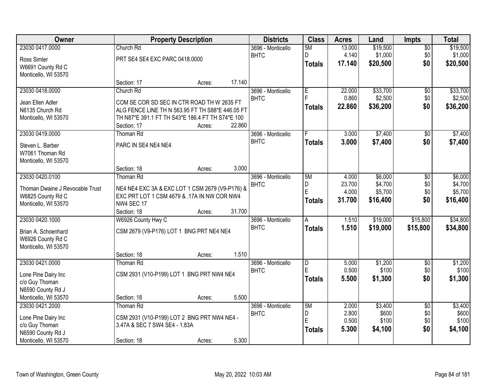| Owner                           |                                                  | <b>Property Description</b> |        | <b>Districts</b>  | <b>Class</b>   | <b>Acres</b> | Land     | <b>Impts</b>    | <b>Total</b> |
|---------------------------------|--------------------------------------------------|-----------------------------|--------|-------------------|----------------|--------------|----------|-----------------|--------------|
| 23030 0417.0000                 | Church Rd                                        |                             |        | 3696 - Monticello | 5M             | 13.000       | \$19,500 | $\sqrt{$0}$     | \$19,500     |
| Ross Simler                     | PRT SE4 SE4 EXC PARC 0418.0000                   |                             |        | <b>BHTC</b>       | D.             | 4.140        | \$1,000  | \$0             | \$1,000      |
| W6691 County Rd C               |                                                  |                             |        |                   | <b>Totals</b>  | 17.140       | \$20,500 | \$0             | \$20,500     |
| Monticello, WI 53570            |                                                  |                             |        |                   |                |              |          |                 |              |
|                                 | Section: 17                                      | Acres:                      | 17.140 |                   |                |              |          |                 |              |
| 23030 0418.0000                 | Church Rd                                        |                             |        | 3696 - Monticello | E              | 22,000       | \$33,700 | \$0             | \$33,700     |
| Jean Ellen Adler                | COM SE COR SD SEC IN CTR ROAD TH W 2635 FT       |                             |        | <b>BHTC</b>       | F              | 0.860        | \$2,500  | \$0             | \$2,500      |
| N6135 Church Rd                 | ALG FENCE LINE TH N 563.95 FT TH S88*E 446.05 FT |                             |        |                   | Totals         | 22.860       | \$36,200 | \$0             | \$36,200     |
| Monticello, WI 53570            | TH N87*E 391.1 FT TH S43*E 186.4 FT TH S74*E 100 |                             |        |                   |                |              |          |                 |              |
|                                 | Section: 17                                      | Acres:                      | 22.860 |                   |                |              |          |                 |              |
| 23030 0419.0000                 | <b>Thoman Rd</b>                                 |                             |        | 3696 - Monticello |                | 3.000        | \$7,400  | \$0             | \$7,400      |
| Steven L. Barber                | PARC IN SE4 NE4 NE4                              |                             |        | <b>BHTC</b>       | Totals         | 3.000        | \$7,400  | \$0             | \$7,400      |
| W7061 Thoman Rd                 |                                                  |                             |        |                   |                |              |          |                 |              |
| Monticello, WI 53570            |                                                  |                             |        |                   |                |              |          |                 |              |
|                                 | Section: 18                                      | Acres:                      | 3.000  |                   |                |              |          |                 |              |
| 23030 0420.0100                 | <b>Thoman Rd</b>                                 |                             |        | 3696 - Monticello | 5M             | 4.000        | \$6,000  | \$0             | \$6,000      |
| Thoman Dwaine J Revocable Trust | NE4 NE4 EXC 3A & EXC LOT 1 CSM 2679 (V9-P176) &  |                             |        | <b>BHTC</b>       | D              | 23.700       | \$4,700  | \$0             | \$4,700      |
| W6825 County Rd C               | EXC PRT LOT 1 CSM 4679 & .17A IN NW COR NW4      |                             |        |                   | E              | 4.000        | \$5,700  | \$0             | \$5,700      |
| Monticello, WI 53570            | <b>NW4 SEC 17</b>                                |                             |        |                   | Totals         | 31.700       | \$16,400 | \$0             | \$16,400     |
|                                 | Section: 18                                      | Acres:                      | 31.700 |                   |                |              |          |                 |              |
| 23030 0420.1000                 | W6926 County Hwy C                               |                             |        | 3696 - Monticello | $\overline{A}$ | 1.510        | \$19,000 | \$15,800        | \$34,800     |
| Brian A. Schoenhard             | CSM 2679 (V9-P176) LOT 1 BNG PRT NE4 NE4         |                             |        | <b>BHTC</b>       | <b>Totals</b>  | 1.510        | \$19,000 | \$15,800        | \$34,800     |
| W6926 County Rd C               |                                                  |                             |        |                   |                |              |          |                 |              |
| Monticello, WI 53570            |                                                  |                             |        |                   |                |              |          |                 |              |
|                                 | Section: 18                                      | Acres:                      | 1.510  |                   |                |              |          |                 |              |
| 23030 0421.0000                 | <b>Thoman Rd</b>                                 |                             |        | 3696 - Monticello | $\overline{D}$ | 5.000        | \$1,200  | $\sqrt{6}$      | \$1,200      |
| Lone Pine Dairy Inc             | CSM 2931 (V10-P199) LOT 1 BNG PRT NW4 NE4        |                             |        | <b>BHTC</b>       | E              | 0.500        | \$100    | \$0             | \$100        |
| c/o Guy Thoman                  |                                                  |                             |        |                   | <b>Totals</b>  | 5.500        | \$1,300  | \$0             | \$1,300      |
| N6590 County Rd J               |                                                  |                             |        |                   |                |              |          |                 |              |
| Monticello, WI 53570            | Section: 18                                      | Acres:                      | 5.500  |                   |                |              |          |                 |              |
| 23030 0421.2000                 | <b>Thoman Rd</b>                                 |                             |        | 3696 - Monticello | 5M             | 2.000        | \$3,400  | $\overline{50}$ | \$3,400      |
| Lone Pine Dairy Inc             | CSM 2931 (V10-P199) LOT 2 BNG PRT NW4 NE4 -      |                             |        | <b>BHTC</b>       | D              | 2.800        | \$600    | \$0             | \$600        |
| c/o Guy Thoman                  | 3.47A & SEC 7 SW4 SE4 - 1.83A                    |                             |        |                   | E              | 0.500        | \$100    | \$0             | \$100        |
| N6590 County Rd J               |                                                  |                             |        |                   | <b>Totals</b>  | 5.300        | \$4,100  | \$0             | \$4,100      |
| Monticello, WI 53570            | Section: 18                                      | Acres:                      | 5.300  |                   |                |              |          |                 |              |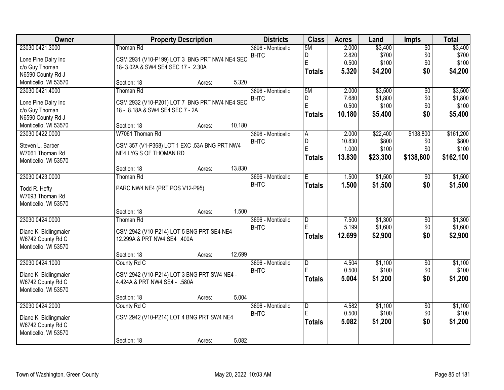| Owner                               | <b>Property Description</b>                   |                  | <b>Districts</b>  | <b>Class</b>            | <b>Acres</b> | Land     | <b>Impts</b>    | <b>Total</b>   |
|-------------------------------------|-----------------------------------------------|------------------|-------------------|-------------------------|--------------|----------|-----------------|----------------|
| 23030 0421.3000                     | <b>Thoman Rd</b>                              |                  | 3696 - Monticello | 5M                      | 2.000        | \$3,400  | \$0             | \$3,400        |
| Lone Pine Dairy Inc                 | CSM 2931 (V10-P199) LOT 3 BNG PRT NW4 NE4 SEC |                  | <b>BHTC</b>       | D                       | 2.820        | \$700    | \$0             | \$700          |
| c/o Guy Thoman                      | 18-3.02A & SW4 SE4 SEC 17 - 2.30A             |                  |                   | $\mathsf E$             | 0.500        | \$100    | \$0             | \$100          |
| N6590 County Rd J                   |                                               |                  |                   | <b>Totals</b>           | 5.320        | \$4,200  | \$0             | \$4,200        |
| Monticello, WI 53570                | Section: 18                                   | 5.320<br>Acres:  |                   |                         |              |          |                 |                |
| 23030 0421.4000                     | Thoman Rd                                     |                  | 3696 - Monticello | 5M                      | 2.000        | \$3,500  | $\overline{50}$ | \$3,500        |
|                                     |                                               |                  | <b>BHTC</b>       | D                       | 7.680        | \$1,800  | \$0             | \$1,800        |
| Lone Pine Dairy Inc                 | CSM 2932 (V10-P201) LOT 7 BNG PRT NW4 NE4 SEC |                  |                   | E                       | 0.500        | \$100    | \$0             | \$100          |
| c/o Guy Thoman<br>N6590 County Rd J | 18 - 8.18A & SW4 SE4 SEC 7 - 2A               |                  |                   | <b>Totals</b>           | 10.180       | \$5,400  | \$0             | \$5,400        |
|                                     |                                               | 10.180           |                   |                         |              |          |                 |                |
| Monticello, WI 53570                | Section: 18                                   | Acres:           |                   |                         |              |          |                 |                |
| 23030 0422.0000                     | W7061 Thoman Rd                               |                  | 3696 - Monticello | A                       | 2.000        | \$22,400 | \$138,800       | \$161,200      |
| Steven L. Barber                    | CSM 357 (V1-P368) LOT 1 EXC .53A BNG PRT NW4  |                  | <b>BHTC</b>       | D<br>E                  | 10.830       | \$800    | \$0             | \$800<br>\$100 |
| W7061 Thoman Rd                     | NE4 LYG S OF THOMAN RD                        |                  |                   |                         | 1.000        | \$100    | \$0             |                |
| Monticello, WI 53570                |                                               |                  |                   | Totals                  | 13.830       | \$23,300 | \$138,800       | \$162,100      |
|                                     | Section: 18                                   | 13.830<br>Acres: |                   |                         |              |          |                 |                |
| 23030 0423.0000                     | Thoman Rd                                     |                  | 3696 - Monticello | E                       | 1.500        | \$1,500  | $\sqrt[6]{3}$   | \$1,500        |
| Todd R. Hefty                       | PARC NW4 NE4 (PRT POS V12-P95)                |                  | <b>BHTC</b>       | <b>Totals</b>           | 1.500        | \$1,500  | \$0             | \$1,500        |
| W7093 Thoman Rd                     |                                               |                  |                   |                         |              |          |                 |                |
| Monticello, WI 53570                |                                               |                  |                   |                         |              |          |                 |                |
|                                     | Section: 18                                   | 1.500<br>Acres:  |                   |                         |              |          |                 |                |
| 23030 0424.0000                     | Thoman Rd                                     |                  | 3696 - Monticello | $\overline{\mathsf{D}}$ | 7.500        | \$1,300  | $\overline{50}$ | \$1,300        |
|                                     |                                               |                  | <b>BHTC</b>       | E                       | 5.199        | \$1,600  | \$0             | \$1,600        |
| Diane K. Bidlingmaier               | CSM 2942 (V10-P214) LOT 5 BNG PRT SE4 NE4     |                  |                   |                         |              |          |                 |                |
| W6742 County Rd C                   | 12.299A & PRT NW4 SE4 .400A                   |                  |                   | Totals                  | 12.699       | \$2,900  | \$0             | \$2,900        |
| Monticello, WI 53570                |                                               |                  |                   |                         |              |          |                 |                |
|                                     | Section: 18                                   | 12.699<br>Acres: |                   |                         |              |          |                 |                |
| 23030 0424.1000                     | County Rd C                                   |                  | 3696 - Monticello | $\overline{\mathsf{D}}$ | 4.504        | \$1,100  | $\overline{50}$ | \$1,100        |
| Diane K. Bidlingmaier               | CSM 2942 (V10-P214) LOT 3 BNG PRT SW4 NE4 -   |                  | <b>BHTC</b>       | E                       | 0.500        | \$100    | \$0             | \$100          |
| W6742 County Rd C                   | 4.424A & PRT NW4 SE4 - .580A                  |                  |                   | Totals                  | 5.004        | \$1,200  | \$0             | \$1,200        |
| Monticello, WI 53570                |                                               |                  |                   |                         |              |          |                 |                |
|                                     | Section: 18                                   | 5.004<br>Acres:  |                   |                         |              |          |                 |                |
| 23030 0424.2000                     | County Rd C                                   |                  | 3696 - Monticello | $\overline{D}$          | 4.582        | \$1,100  | $\overline{50}$ | \$1,100        |
|                                     |                                               |                  | <b>BHTC</b>       | E                       | 0.500        | \$100    | \$0             | \$100          |
| Diane K. Bidlingmaier               | CSM 2942 (V10-P214) LOT 4 BNG PRT SW4 NE4     |                  |                   | Totals                  | 5.082        | \$1,200  | \$0             | \$1,200        |
| W6742 County Rd C                   |                                               |                  |                   |                         |              |          |                 |                |
| Monticello, WI 53570                |                                               |                  |                   |                         |              |          |                 |                |
|                                     | Section: 18                                   | 5.082<br>Acres:  |                   |                         |              |          |                 |                |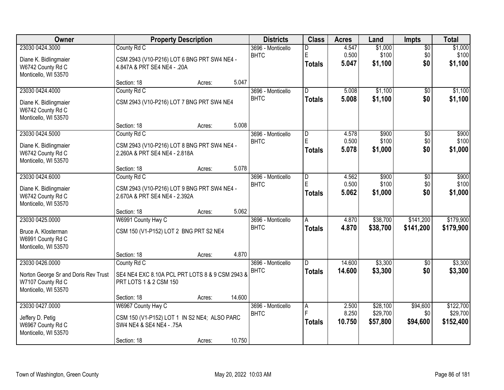| Owner                                     |                                                                          | <b>Property Description</b> |        | <b>Districts</b>                 | <b>Class</b>            | <b>Acres</b> | Land     | <b>Impts</b>    | <b>Total</b> |
|-------------------------------------------|--------------------------------------------------------------------------|-----------------------------|--------|----------------------------------|-------------------------|--------------|----------|-----------------|--------------|
| 23030 0424.3000                           | County Rd C                                                              |                             |        | 3696 - Monticello                | D                       | 4.547        | \$1,000  | $\overline{50}$ | \$1,000      |
| Diane K. Bidlingmaier                     | CSM 2943 (V10-P216) LOT 6 BNG PRT SW4 NE4 -                              |                             |        | <b>BHTC</b>                      | E                       | 0.500        | \$100    | \$0             | \$100        |
| W6742 County Rd C                         | 4.847A & PRT SE4 NE4 - .20A                                              |                             |        |                                  | <b>Totals</b>           | 5.047        | \$1,100  | \$0             | \$1,100      |
| Monticello, WI 53570                      |                                                                          |                             |        |                                  |                         |              |          |                 |              |
|                                           | Section: 18                                                              | Acres:                      | 5.047  |                                  |                         |              |          |                 |              |
| 23030 0424.4000                           | County Rd C                                                              |                             |        | 3696 - Monticello<br><b>BHTC</b> | $\overline{\mathsf{n}}$ | 5.008        | \$1,100  | $\overline{50}$ | \$1,100      |
| Diane K. Bidlingmaier                     | CSM 2943 (V10-P216) LOT 7 BNG PRT SW4 NE4                                |                             |        |                                  | <b>Totals</b>           | 5.008        | \$1,100  | \$0             | \$1,100      |
| W6742 County Rd C                         |                                                                          |                             |        |                                  |                         |              |          |                 |              |
| Monticello, WI 53570                      |                                                                          |                             |        |                                  |                         |              |          |                 |              |
| 23030 0424.5000                           | Section: 18                                                              | Acres:                      | 5.008  |                                  |                         | 4.578        | \$900    |                 | \$900        |
|                                           | County Rd C                                                              |                             |        | 3696 - Monticello<br><b>BHTC</b> | $\overline{D}$<br>E     | 0.500        | \$100    | \$0<br>\$0      | \$100        |
| Diane K. Bidlingmaier                     | CSM 2943 (V10-P216) LOT 8 BNG PRT SW4 NE4 -                              |                             |        |                                  | <b>Totals</b>           | 5.078        | \$1,000  | \$0             | \$1,000      |
| W6742 County Rd C                         | 2.260A & PRT SE4 NE4 - 2.818A                                            |                             |        |                                  |                         |              |          |                 |              |
| Monticello, WI 53570                      |                                                                          |                             |        |                                  |                         |              |          |                 |              |
| 23030 0424.6000                           | Section: 18<br>County Rd C                                               | Acres:                      | 5.078  | 3696 - Monticello                | $\overline{D}$          | 4.562        | \$900    | \$0             | \$900        |
|                                           |                                                                          |                             |        | <b>BHTC</b>                      | E                       | 0.500        | \$100    | \$0             | \$100        |
| Diane K. Bidlingmaier                     | CSM 2943 (V10-P216) LOT 9 BNG PRT SW4 NE4 -                              |                             |        |                                  | <b>Totals</b>           | 5.062        | \$1,000  | \$0             | \$1,000      |
| W6742 County Rd C                         | 2.670A & PRT SE4 NE4 - 2.392A                                            |                             |        |                                  |                         |              |          |                 |              |
| Monticello, WI 53570                      | Section: 18                                                              |                             | 5.062  |                                  |                         |              |          |                 |              |
| 23030 0425.0000                           | W6991 County Hwy C                                                       | Acres:                      |        | 3696 - Monticello                | A                       | 4.870        | \$38,700 | \$141,200       | \$179,900    |
|                                           |                                                                          |                             |        | <b>BHTC</b>                      | <b>Totals</b>           | 4.870        | \$38,700 | \$141,200       | \$179,900    |
| Bruce A. Klosterman                       | CSM 150 (V1-P152) LOT 2 BNG PRT S2 NE4                                   |                             |        |                                  |                         |              |          |                 |              |
| W6991 County Rd C                         |                                                                          |                             |        |                                  |                         |              |          |                 |              |
| Monticello, WI 53570                      | Section: 18                                                              | Acres:                      | 4.870  |                                  |                         |              |          |                 |              |
| 23030 0426.0000                           | County Rd C                                                              |                             |        | 3696 - Monticello                | $\overline{D}$          | 14.600       | \$3,300  | $\sqrt{6}$      | \$3,300      |
|                                           |                                                                          |                             |        | <b>BHTC</b>                      | <b>Totals</b>           | 14.600       | \$3,300  | \$0             | \$3,300      |
| Norton George Sr and Doris Rev Trust      | SE4 NE4 EXC 8.10A PCL PRT LOTS 8 & 9 CSM 2943 &                          |                             |        |                                  |                         |              |          |                 |              |
| W7107 County Rd C<br>Monticello, WI 53570 | PRT LOTS 1 & 2 CSM 150                                                   |                             |        |                                  |                         |              |          |                 |              |
|                                           | Section: 18                                                              | Acres:                      | 14.600 |                                  |                         |              |          |                 |              |
| 23030 0427.0000                           | W6967 County Hwy C                                                       |                             |        | 3696 - Monticello                | A                       | 2.500        | \$28,100 | \$94,600        | \$122,700    |
|                                           |                                                                          |                             |        | <b>BHTC</b>                      | E                       | 8.250        | \$29,700 | \$0             | \$29,700     |
| Jeffery D. Petig<br>W6967 County Rd C     | CSM 150 (V1-P152) LOT 1 IN S2 NE4; ALSO PARC<br>SW4 NE4 & SE4 NE4 - .75A |                             |        |                                  | <b>Totals</b>           | 10.750       | \$57,800 | \$94,600        | \$152,400    |
| Monticello, WI 53570                      |                                                                          |                             |        |                                  |                         |              |          |                 |              |
|                                           | Section: 18                                                              | Acres:                      | 10.750 |                                  |                         |              |          |                 |              |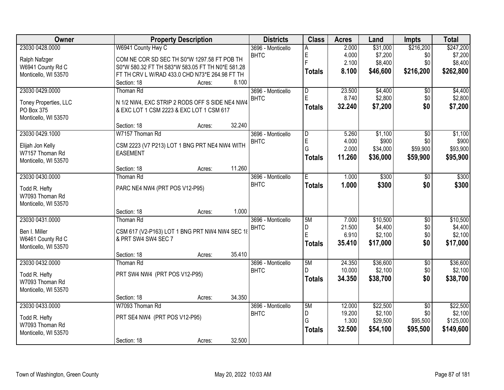| Owner                               | <b>Property Description</b>                      | <b>Districts</b>  | <b>Class</b>            | <b>Acres</b>    | Land               | <b>Impts</b>    | <b>Total</b>       |
|-------------------------------------|--------------------------------------------------|-------------------|-------------------------|-----------------|--------------------|-----------------|--------------------|
| 23030 0428.0000                     | W6941 County Hwy C                               | 3696 - Monticello |                         | 2.000           | \$31,000           | \$216,200       | \$247,200          |
| Ralph Nafzger                       | COM NE COR SD SEC TH S0*W 1297.58 FT POB TH      | <b>BHTC</b>       | E                       | 4.000           | \$7,200            | \$0             | \$7,200            |
| W6941 County Rd C                   | S0*W 580.32 FT TH S83*W 583.05 FT TH N0*E 581.28 |                   | F                       | 2.100           | \$8,400            | \$0             | \$8,400            |
| Monticello, WI 53570                | FT TH CRV L W/RAD 433.0 CHD N73*E 264.98 FT TH   |                   | <b>Totals</b>           | 8.100           | \$46,600           | \$216,200       | \$262,800          |
|                                     | 8.100<br>Section: 18<br>Acres:                   |                   |                         |                 |                    |                 |                    |
| 23030 0429.0000                     | Thoman Rd                                        | 3696 - Monticello | $\overline{\mathsf{D}}$ | 23.500          | \$4,400            | $\overline{50}$ | \$4,400            |
|                                     | N 1/2 NW4, EXC STRIP 2 RODS OFF S SIDE NE4 NW4   | <b>BHTC</b>       | E                       | 8.740           | \$2,800            | \$0             | \$2,800            |
| Toney Properties, LLC<br>PO Box 375 | & EXC LOT 1 CSM 2223 & EXC LOT 1 CSM 617         |                   | <b>Totals</b>           | 32.240          | \$7,200            | \$0             | \$7,200            |
| Monticello, WI 53570                |                                                  |                   |                         |                 |                    |                 |                    |
|                                     | 32.240<br>Section: 18<br>Acres:                  |                   |                         |                 |                    |                 |                    |
| 23030 0429.1000                     | W7157 Thoman Rd                                  | 3696 - Monticello | D                       | 5.260           | \$1,100            | $\overline{50}$ | \$1,100            |
|                                     |                                                  | <b>BHTC</b>       | E                       | 4.000           | \$900              | \$0             | \$900              |
| Elijah Jon Kelly                    | CSM 2223 (V7 P213) LOT 1 BNG PRT NE4 NW4 WITH    |                   | G                       | 2.000           | \$34,000           | \$59,900        | \$93,900           |
| W7157 Thoman Rd                     | <b>EASEMENT</b>                                  |                   | <b>Totals</b>           | 11.260          | \$36,000           | \$59,900        | \$95,900           |
| Monticello, WI 53570                | 11.260<br>Section: 18<br>Acres:                  |                   |                         |                 |                    |                 |                    |
| 23030 0430.0000                     | <b>Thoman Rd</b>                                 | 3696 - Monticello | E                       | 1.000           | \$300              | $\overline{50}$ | \$300              |
|                                     |                                                  | <b>BHTC</b>       | <b>Totals</b>           | 1.000           | \$300              | \$0             | \$300              |
| Todd R. Hefty                       | PARC NE4 NW4 (PRT POS V12-P95)                   |                   |                         |                 |                    |                 |                    |
| W7093 Thoman Rd                     |                                                  |                   |                         |                 |                    |                 |                    |
| Monticello, WI 53570                |                                                  |                   |                         |                 |                    |                 |                    |
|                                     | 1.000<br>Section: 18<br>Acres:                   |                   |                         |                 |                    |                 |                    |
| 23030 0431.0000                     | Thoman Rd                                        | 3696 - Monticello | 5M                      | 7.000           | \$10,500           | $\overline{50}$ | \$10,500           |
| Ben I. Miller                       | CSM 617 (V2-P163) LOT 1 BNG PRT NW4 NW4 SEC 18   | <b>BHTC</b>       | D<br>E                  | 21.500<br>6.910 | \$4,400<br>\$2,100 | \$0<br>\$0      | \$4,400<br>\$2,100 |
| W6461 County Rd C                   | & PRT SW4 SW4 SEC 7                              |                   |                         | 35.410          | \$17,000           | \$0             |                    |
| Monticello, WI 53570                |                                                  |                   | <b>Totals</b>           |                 |                    |                 | \$17,000           |
|                                     | 35.410<br>Section: 18<br>Acres:                  |                   |                         |                 |                    |                 |                    |
| 23030 0432.0000                     | Thoman Rd                                        | 3696 - Monticello | 5M                      | 24.350          | \$36,600           | $\overline{50}$ | \$36,600           |
| Todd R. Hefty                       | PRT SW4 NW4 (PRT POS V12-P95)                    | <b>BHTC</b>       | D                       | 10.000          | \$2,100            | \$0             | \$2,100            |
| W7093 Thoman Rd                     |                                                  |                   | <b>Totals</b>           | 34.350          | \$38,700           | \$0             | \$38,700           |
| Monticello, WI 53570                |                                                  |                   |                         |                 |                    |                 |                    |
|                                     | 34.350<br>Section: 18<br>Acres:                  |                   |                         |                 |                    |                 |                    |
| 23030 0433,0000                     | W7093 Thoman Rd                                  | 3696 - Monticello | 5M                      | 12.000          | \$22,500           | $\overline{50}$ | \$22,500           |
| Todd R. Hefty                       | PRT SE4 NW4 (PRT POS V12-P95)                    | <b>BHTC</b>       | D                       | 19.200          | \$2,100            | \$0             | \$2,100            |
| W7093 Thoman Rd                     |                                                  |                   | G                       | 1.300           | \$29,500           | \$95,500        | \$125,000          |
| Monticello, WI 53570                |                                                  |                   | <b>Totals</b>           | 32.500          | \$54,100           | \$95,500        | \$149,600          |
|                                     | 32.500<br>Section: 18<br>Acres:                  |                   |                         |                 |                    |                 |                    |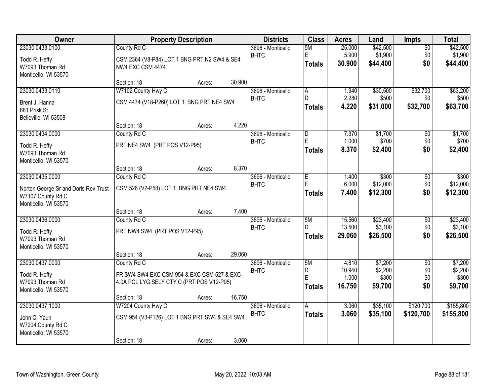| Owner                                                                                                |                                                                                                        | <b>Property Description</b> |        | <b>Districts</b>                 | <b>Class</b>                                   | <b>Acres</b>                       | Land                                   | <b>Impts</b>                         | <b>Total</b>                           |
|------------------------------------------------------------------------------------------------------|--------------------------------------------------------------------------------------------------------|-----------------------------|--------|----------------------------------|------------------------------------------------|------------------------------------|----------------------------------------|--------------------------------------|----------------------------------------|
| 23030 0433.0100<br>Todd R. Hefty<br>W7093 Thoman Rd<br>Monticello, WI 53570                          | County Rd C<br>CSM 2364 (V8-P84) LOT 1 BNG PRT N2 SW4 & SE4<br>NW4 EXC CSM 4474                        |                             |        | 3696 - Monticello<br><b>BHTC</b> | 5M<br>E<br><b>Totals</b>                       | 25.000<br>5.900<br>30.900          | \$42,500<br>\$1,900<br>\$44,400        | $\overline{50}$<br>\$0<br>\$0        | \$42,500<br>\$1,900<br>\$44,400        |
|                                                                                                      | Section: 18                                                                                            | Acres:                      | 30.900 |                                  |                                                |                                    |                                        |                                      |                                        |
| 23030 0433.0110                                                                                      | W7102 County Hwy C                                                                                     |                             |        | 3696 - Monticello                | $\overline{A}$                                 | 1.940                              | \$30,500                               | \$32,700                             | \$63,200                               |
| Brent J. Hanna<br>681 Prisk St<br>Belleville, WI 53508                                               | CSM 4474 (V18-P260) LOT 1 BNG PRT NE4 SW4                                                              |                             |        | <b>BHTC</b>                      | D<br><b>Totals</b>                             | 2.280<br>4.220                     | \$500<br>\$31,000                      | \$0<br>\$32,700                      | \$500<br>\$63,700                      |
|                                                                                                      | Section: 18                                                                                            | Acres:                      | 4.220  |                                  |                                                |                                    |                                        |                                      |                                        |
| 23030 0434.0000<br>Todd R. Hefty<br>W7093 Thoman Rd<br>Monticello, WI 53570                          | County Rd C<br>PRT NE4 SW4 (PRT POS V12-P95)                                                           |                             |        | 3696 - Monticello<br><b>BHTC</b> | $\overline{D}$<br>$\mathsf E$<br><b>Totals</b> | 7.370<br>1.000<br>8.370            | \$1,700<br>\$700<br>\$2,400            | \$0<br>\$0<br>\$0                    | \$1,700<br>\$700<br>\$2,400            |
|                                                                                                      | Section: 18                                                                                            | Acres:                      | 8.370  |                                  |                                                |                                    |                                        |                                      |                                        |
| 23030 0435.0000<br>Norton George Sr and Doris Rev Trust<br>W7107 County Rd C<br>Monticello, WI 53570 | County Rd C<br>CSM 526 (V2-P58) LOT 1 BNG PRT NE4 SW4                                                  |                             |        | 3696 - Monticello<br><b>BHTC</b> | E<br><b>Totals</b>                             | 1.400<br>6.000<br>7.400            | \$300<br>\$12,000<br>\$12,300          | \$0<br>\$0<br>\$0                    | \$300<br>\$12,000<br>\$12,300          |
|                                                                                                      | Section: 18                                                                                            | Acres:                      | 7.400  |                                  |                                                |                                    |                                        |                                      |                                        |
| 23030 0436.0000<br>Todd R. Hefty<br>W7093 Thoman Rd<br>Monticello, WI 53570                          | County Rd C<br>PRT NW4 SW4 (PRT POS V12-P95)                                                           |                             |        | 3696 - Monticello<br><b>BHTC</b> | 5M<br>D<br>Totals                              | 15.560<br>13.500<br>29.060         | \$23,400<br>\$3,100<br>\$26,500        | $\overline{60}$<br>\$0<br>\$0        | \$23,400<br>\$3,100<br>\$26,500        |
|                                                                                                      | Section: 18                                                                                            | Acres:                      | 29.060 |                                  |                                                |                                    |                                        |                                      |                                        |
| 23030 0437.0000<br>Todd R. Hefty<br>W7093 Thoman Rd<br>Monticello, WI 53570                          | County Rd C<br>FR SW4 SW4 EXC CSM 954 & EXC CSM 527 & EXC<br>4.0A PCL LYG SELY CTY C (PRT POS V12-P95) |                             |        | 3696 - Monticello<br><b>BHTC</b> | 5M<br>D<br>E<br><b>Totals</b>                  | 4.810<br>10.940<br>1.000<br>16.750 | \$7,200<br>\$2,200<br>\$300<br>\$9,700 | $\overline{50}$<br>\$0<br>\$0<br>\$0 | \$7,200<br>\$2,200<br>\$300<br>\$9,700 |
|                                                                                                      | Section: 18                                                                                            | Acres:                      | 16.750 |                                  |                                                |                                    |                                        |                                      |                                        |
| 23030 0437.1000<br>John C. Yaun<br>W7204 County Rd C<br>Monticello, WI 53570                         | W7204 County Hwy C<br>CSM 954 (V3-P126) LOT 1 BNG PRT SW4 & SE4 SW4<br>Section: 18                     | Acres:                      | 3.060  | 3696 - Monticello<br><b>BHTC</b> | A<br><b>Totals</b>                             | 3.060<br>3.060                     | \$35,100<br>\$35,100                   | \$120,700<br>\$120,700               | \$155,800<br>\$155,800                 |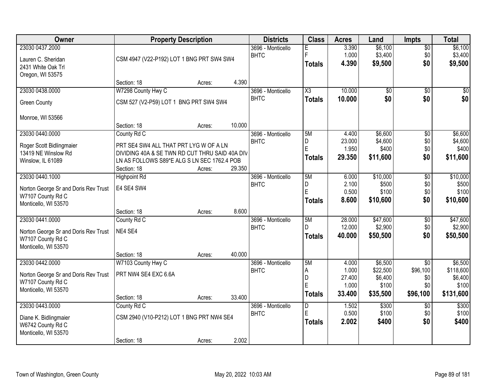| <b>Owner</b>                         | <b>Property Description</b>                    |        |        | <b>Districts</b>  | <b>Class</b>           | <b>Acres</b> | Land            | <b>Impts</b>    | <b>Total</b> |
|--------------------------------------|------------------------------------------------|--------|--------|-------------------|------------------------|--------------|-----------------|-----------------|--------------|
| 23030 0437.2000                      |                                                |        |        | 3696 - Monticello | Е                      | 3.390        | \$6,100         | \$0             | \$6,100      |
| Lauren C. Sheridan                   | CSM 4947 (V22-P192) LOT 1 BNG PRT SW4 SW4      |        |        | <b>BHTC</b>       | E                      | 1.000        | \$3,400         | \$0             | \$3,400      |
| 2431 White Oak Trl                   |                                                |        |        |                   | <b>Totals</b>          | 4.390        | \$9,500         | \$0             | \$9,500      |
| Oregon, WI 53575                     |                                                |        |        |                   |                        |              |                 |                 |              |
|                                      | Section: 18                                    | Acres: | 4.390  |                   |                        |              |                 |                 |              |
| 23030 0438.0000                      | W7298 County Hwy C                             |        |        | 3696 - Monticello | $\overline{\text{X3}}$ | 10.000       | $\overline{50}$ | \$0             | \$0          |
| <b>Green County</b>                  | CSM 527 (V2-P59) LOT 1 BNG PRT SW4 SW4         |        |        | <b>BHTC</b>       | <b>Totals</b>          | 10.000       | \$0             | \$0             | \$0          |
| Monroe, WI 53566                     |                                                |        |        |                   |                        |              |                 |                 |              |
|                                      | Section: 18                                    | Acres: | 10.000 |                   |                        |              |                 |                 |              |
| 23030 0440.0000                      | County Rd C                                    |        |        | 3696 - Monticello | 5M                     | 4.400        | \$6,600         | \$0             | \$6,600      |
| Roger Scott Bidlingmaier             | PRT SE4 SW4 ALL THAT PRT LYG W OF A LN         |        |        | <b>BHTC</b>       | D                      | 23.000       | \$4,600         | \$0             | \$4,600      |
| 13419 NE Winslow Rd                  | DIVIDING 40A & SE TWN RD CUT THRU SAID 40A DIV |        |        |                   | E                      | 1.950        | \$400           | \$0             | \$400        |
| Winslow, IL 61089                    | LN AS FOLLOWS S89*E ALG S LN SEC 1762.4 POB    |        |        |                   | <b>Totals</b>          | 29.350       | \$11,600        | \$0             | \$11,600     |
|                                      | Section: 18                                    | Acres: | 29.350 |                   |                        |              |                 |                 |              |
| 23030 0440.1000                      | <b>Highpoint Rd</b>                            |        |        | 3696 - Monticello | 5M                     | 6.000        | \$10,000        | \$0             | \$10,000     |
| Norton George Sr and Doris Rev Trust | E4 SE4 SW4                                     |        |        | <b>BHTC</b>       | D                      | 2.100        | \$500           | \$0             | \$500        |
| W7107 County Rd C                    |                                                |        |        |                   | E                      | 0.500        | \$100           | \$0             | \$100        |
| Monticello, WI 53570                 |                                                |        |        |                   | <b>Totals</b>          | 8.600        | \$10,600        | \$0             | \$10,600     |
|                                      | Section: 18                                    | Acres: | 8.600  |                   |                        |              |                 |                 |              |
| 23030 0441.0000                      | County Rd C                                    |        |        | 3696 - Monticello | 5M                     | 28.000       | \$47,600        | $\overline{50}$ | \$47,600     |
| Norton George Sr and Doris Rev Trust | NE4 SE4                                        |        |        | <b>BHTC</b>       | D.                     | 12.000       | \$2,900         | \$0             | \$2,900      |
| W7107 County Rd C                    |                                                |        |        |                   | <b>Totals</b>          | 40.000       | \$50,500        | \$0             | \$50,500     |
| Monticello, WI 53570                 |                                                |        |        |                   |                        |              |                 |                 |              |
|                                      | Section: 18                                    | Acres: | 40.000 |                   |                        |              |                 |                 |              |
| 23030 0442.0000                      | W7103 County Hwy C                             |        |        | 3696 - Monticello | 5M                     | 4.000        | \$6,500         | $\sqrt{$0}$     | \$6,500      |
| Norton George Sr and Doris Rev Trust | PRT NW4 SE4 EXC 6.6A                           |        |        | <b>BHTC</b>       | A                      | 1.000        | \$22,500        | \$96,100        | \$118,600    |
| W7107 County Rd C                    |                                                |        |        |                   | D                      | 27.400       | \$6,400         | \$0             | \$6,400      |
| Monticello, WI 53570                 |                                                |        |        |                   | E                      | 1.000        | \$100           | \$0             | \$100        |
|                                      | Section: 18                                    | Acres: | 33.400 |                   | <b>Totals</b>          | 33.400       | \$35,500        | \$96,100        | \$131,600    |
| 23030 0443.0000                      | County Rd C                                    |        |        | 3696 - Monticello | $\overline{D}$         | 1.502        | \$300           | $\overline{50}$ | \$300        |
| Diane K. Bidlingmaier                | CSM 2940 (V10-P212) LOT 1 BNG PRT NW4 SE4      |        |        | <b>BHTC</b>       | E                      | 0.500        | \$100           | \$0             | \$100        |
| W6742 County Rd C                    |                                                |        |        |                   | <b>Totals</b>          | 2.002        | \$400           | \$0             | \$400        |
| Monticello, WI 53570                 |                                                |        |        |                   |                        |              |                 |                 |              |
|                                      | Section: 18                                    | Acres: | 2.002  |                   |                        |              |                 |                 |              |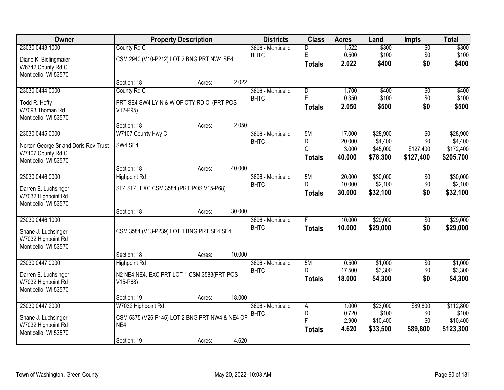| County Rd C<br>3696 - Monticello<br>$\sqrt{$0}$<br>D<br>$\mathsf E$<br>0.500<br>\$100<br>\$100<br><b>BHTC</b><br>\$0<br>CSM 2940 (V10-P212) LOT 2 BNG PRT NW4 SE4<br>Diane K. Bidlingmaier<br>2.022<br>\$400<br>\$0<br>\$400<br><b>Totals</b><br>W6742 County Rd C<br>Monticello, WI 53570<br>2.022<br>Section: 18<br>Acres:<br>23030 0444.0000<br>$\overline{D}$<br>\$400<br>County Rd C<br>3696 - Monticello<br>1.700<br>\$0<br>E<br>0.350<br>\$100<br><b>BHTC</b><br>\$0<br>PRT SE4 SW4 LY N & W OF CTY RD C (PRT POS<br>Todd R. Hefty<br>\$0<br>2.050<br>\$500<br><b>Totals</b><br>W7093 Thoman Rd<br>V12-P95)<br>Monticello, WI 53570<br>2.050<br>Section: 18<br>Acres:<br>\$28,900<br>23030 0445.0000<br>W7107 County Hwy C<br>5M<br>17.000<br>3696 - Monticello<br>\$0<br>20.000<br>\$4,400<br>\$0<br><b>BHTC</b><br>D<br>SW4 SE4<br>Norton George Sr and Doris Rev Trust<br>G<br>3.000<br>\$127,400<br>\$45,000<br>W7107 County Rd C<br>40.000<br>\$78,300<br>\$127,400<br>\$205,700<br><b>Totals</b><br>Monticello, WI 53570<br>40.000<br>Section: 18<br>Acres:<br>23030 0446.0000<br>5M<br>\$30,000<br>3696 - Monticello<br>20.000<br><b>Highpoint Rd</b><br>$\sqrt[6]{3}$<br>10.000<br>\$2,100<br><b>BHTC</b><br>D.<br>\$0<br>SE4 SE4, EXC CSM 3584 (PRT POS V15-P68)<br>Darren E. Luchsinger<br>30.000<br>\$32,100<br>\$0<br>\$32,100<br><b>Totals</b><br>W7032 Highpoint Rd<br>Monticello, WI 53570<br>30.000<br>Section: 18<br>Acres:<br>\$29,000<br>23030 0446.1000<br>10.000<br>$\overline{$0}$<br>3696 - Monticello<br>F<br><b>BHTC</b><br>10,000<br>\$29,000<br>\$0<br><b>Totals</b><br>CSM 3584 (V13-P239) LOT 1 BNG PRT SE4 SE4<br>Shane J. Luchsinger<br>W7032 Highpoint Rd<br>Monticello, WI 53570<br>10.000<br>Section: 18<br>Acres:<br>5M<br>23030 0447.0000<br>3696 - Monticello<br>0.500<br>\$1,000<br>$\sqrt{6}$<br><b>Highpoint Rd</b><br>\$3,300<br>17.500<br><b>BHTC</b><br>\$0<br>Darren E. Luchsinger<br>N2 NE4 NE4, EXC PRT LOT 1 CSM 3583(PRT POS<br>\$0<br>18.000<br>\$4,300<br>\$4,300<br><b>Totals</b><br>W7032 Highpoint Rd<br>V15-P68)<br>Monticello, WI 53570<br>18.000<br>Section: 19<br>Acres:<br>23030 0447.2000<br>W7032 Highpoint Rd<br>\$23,000<br>\$89,800<br>3696 - Monticello<br>A<br>1.000<br>D<br>0.720<br>\$100<br><b>BHTC</b><br>\$0<br>CSM 5375 (V26-P145) LOT 2 BNG PRT NW4 & NE4 OF<br>Shane J. Luchsinger<br>F<br>2.900<br>\$10,400<br>\$0<br>W7032 Highpoint Rd<br>NE4 | <b>Owner</b>    | <b>Property Description</b> | <b>Districts</b> | <b>Class</b>  | <b>Acres</b> | Land     | <b>Impts</b> | <b>Total</b> |
|----------------------------------------------------------------------------------------------------------------------------------------------------------------------------------------------------------------------------------------------------------------------------------------------------------------------------------------------------------------------------------------------------------------------------------------------------------------------------------------------------------------------------------------------------------------------------------------------------------------------------------------------------------------------------------------------------------------------------------------------------------------------------------------------------------------------------------------------------------------------------------------------------------------------------------------------------------------------------------------------------------------------------------------------------------------------------------------------------------------------------------------------------------------------------------------------------------------------------------------------------------------------------------------------------------------------------------------------------------------------------------------------------------------------------------------------------------------------------------------------------------------------------------------------------------------------------------------------------------------------------------------------------------------------------------------------------------------------------------------------------------------------------------------------------------------------------------------------------------------------------------------------------------------------------------------------------------------------------------------------------------------------------------------------------------------------------------------------------------------------------------------------------------------------------------------------------------------------------------------------------------------------------------------------------------------------------------------------------------------------------------------------------------------------------------|-----------------|-----------------------------|------------------|---------------|--------------|----------|--------------|--------------|
|                                                                                                                                                                                                                                                                                                                                                                                                                                                                                                                                                                                                                                                                                                                                                                                                                                                                                                                                                                                                                                                                                                                                                                                                                                                                                                                                                                                                                                                                                                                                                                                                                                                                                                                                                                                                                                                                                                                                                                                                                                                                                                                                                                                                                                                                                                                                                                                                                                  | 23030 0443.1000 |                             |                  |               | 1.522        | \$300    |              | \$300        |
|                                                                                                                                                                                                                                                                                                                                                                                                                                                                                                                                                                                                                                                                                                                                                                                                                                                                                                                                                                                                                                                                                                                                                                                                                                                                                                                                                                                                                                                                                                                                                                                                                                                                                                                                                                                                                                                                                                                                                                                                                                                                                                                                                                                                                                                                                                                                                                                                                                  |                 |                             |                  |               |              |          |              |              |
|                                                                                                                                                                                                                                                                                                                                                                                                                                                                                                                                                                                                                                                                                                                                                                                                                                                                                                                                                                                                                                                                                                                                                                                                                                                                                                                                                                                                                                                                                                                                                                                                                                                                                                                                                                                                                                                                                                                                                                                                                                                                                                                                                                                                                                                                                                                                                                                                                                  |                 |                             |                  |               |              |          |              |              |
| \$400                                                                                                                                                                                                                                                                                                                                                                                                                                                                                                                                                                                                                                                                                                                                                                                                                                                                                                                                                                                                                                                                                                                                                                                                                                                                                                                                                                                                                                                                                                                                                                                                                                                                                                                                                                                                                                                                                                                                                                                                                                                                                                                                                                                                                                                                                                                                                                                                                            |                 |                             |                  |               |              |          |              |              |
| \$100<br>\$500<br>\$28,900<br>\$4,400<br>\$172,400<br>\$30,000<br>\$2,100<br>\$29,000<br>\$29,000<br>\$1,000<br>\$3,300<br>\$112,800<br>\$100<br>\$10,400                                                                                                                                                                                                                                                                                                                                                                                                                                                                                                                                                                                                                                                                                                                                                                                                                                                                                                                                                                                                                                                                                                                                                                                                                                                                                                                                                                                                                                                                                                                                                                                                                                                                                                                                                                                                                                                                                                                                                                                                                                                                                                                                                                                                                                                                        |                 |                             |                  |               |              |          |              |              |
|                                                                                                                                                                                                                                                                                                                                                                                                                                                                                                                                                                                                                                                                                                                                                                                                                                                                                                                                                                                                                                                                                                                                                                                                                                                                                                                                                                                                                                                                                                                                                                                                                                                                                                                                                                                                                                                                                                                                                                                                                                                                                                                                                                                                                                                                                                                                                                                                                                  |                 |                             |                  |               |              |          |              |              |
|                                                                                                                                                                                                                                                                                                                                                                                                                                                                                                                                                                                                                                                                                                                                                                                                                                                                                                                                                                                                                                                                                                                                                                                                                                                                                                                                                                                                                                                                                                                                                                                                                                                                                                                                                                                                                                                                                                                                                                                                                                                                                                                                                                                                                                                                                                                                                                                                                                  |                 |                             |                  |               |              |          |              |              |
|                                                                                                                                                                                                                                                                                                                                                                                                                                                                                                                                                                                                                                                                                                                                                                                                                                                                                                                                                                                                                                                                                                                                                                                                                                                                                                                                                                                                                                                                                                                                                                                                                                                                                                                                                                                                                                                                                                                                                                                                                                                                                                                                                                                                                                                                                                                                                                                                                                  |                 |                             |                  |               |              |          |              |              |
|                                                                                                                                                                                                                                                                                                                                                                                                                                                                                                                                                                                                                                                                                                                                                                                                                                                                                                                                                                                                                                                                                                                                                                                                                                                                                                                                                                                                                                                                                                                                                                                                                                                                                                                                                                                                                                                                                                                                                                                                                                                                                                                                                                                                                                                                                                                                                                                                                                  |                 |                             |                  |               |              |          |              |              |
|                                                                                                                                                                                                                                                                                                                                                                                                                                                                                                                                                                                                                                                                                                                                                                                                                                                                                                                                                                                                                                                                                                                                                                                                                                                                                                                                                                                                                                                                                                                                                                                                                                                                                                                                                                                                                                                                                                                                                                                                                                                                                                                                                                                                                                                                                                                                                                                                                                  |                 |                             |                  |               |              |          |              |              |
|                                                                                                                                                                                                                                                                                                                                                                                                                                                                                                                                                                                                                                                                                                                                                                                                                                                                                                                                                                                                                                                                                                                                                                                                                                                                                                                                                                                                                                                                                                                                                                                                                                                                                                                                                                                                                                                                                                                                                                                                                                                                                                                                                                                                                                                                                                                                                                                                                                  |                 |                             |                  |               |              |          |              |              |
|                                                                                                                                                                                                                                                                                                                                                                                                                                                                                                                                                                                                                                                                                                                                                                                                                                                                                                                                                                                                                                                                                                                                                                                                                                                                                                                                                                                                                                                                                                                                                                                                                                                                                                                                                                                                                                                                                                                                                                                                                                                                                                                                                                                                                                                                                                                                                                                                                                  |                 |                             |                  |               |              |          |              |              |
|                                                                                                                                                                                                                                                                                                                                                                                                                                                                                                                                                                                                                                                                                                                                                                                                                                                                                                                                                                                                                                                                                                                                                                                                                                                                                                                                                                                                                                                                                                                                                                                                                                                                                                                                                                                                                                                                                                                                                                                                                                                                                                                                                                                                                                                                                                                                                                                                                                  |                 |                             |                  |               |              |          |              |              |
|                                                                                                                                                                                                                                                                                                                                                                                                                                                                                                                                                                                                                                                                                                                                                                                                                                                                                                                                                                                                                                                                                                                                                                                                                                                                                                                                                                                                                                                                                                                                                                                                                                                                                                                                                                                                                                                                                                                                                                                                                                                                                                                                                                                                                                                                                                                                                                                                                                  |                 |                             |                  |               |              |          |              |              |
|                                                                                                                                                                                                                                                                                                                                                                                                                                                                                                                                                                                                                                                                                                                                                                                                                                                                                                                                                                                                                                                                                                                                                                                                                                                                                                                                                                                                                                                                                                                                                                                                                                                                                                                                                                                                                                                                                                                                                                                                                                                                                                                                                                                                                                                                                                                                                                                                                                  |                 |                             |                  |               |              |          |              |              |
|                                                                                                                                                                                                                                                                                                                                                                                                                                                                                                                                                                                                                                                                                                                                                                                                                                                                                                                                                                                                                                                                                                                                                                                                                                                                                                                                                                                                                                                                                                                                                                                                                                                                                                                                                                                                                                                                                                                                                                                                                                                                                                                                                                                                                                                                                                                                                                                                                                  |                 |                             |                  |               |              |          |              |              |
|                                                                                                                                                                                                                                                                                                                                                                                                                                                                                                                                                                                                                                                                                                                                                                                                                                                                                                                                                                                                                                                                                                                                                                                                                                                                                                                                                                                                                                                                                                                                                                                                                                                                                                                                                                                                                                                                                                                                                                                                                                                                                                                                                                                                                                                                                                                                                                                                                                  |                 |                             |                  |               |              |          |              |              |
|                                                                                                                                                                                                                                                                                                                                                                                                                                                                                                                                                                                                                                                                                                                                                                                                                                                                                                                                                                                                                                                                                                                                                                                                                                                                                                                                                                                                                                                                                                                                                                                                                                                                                                                                                                                                                                                                                                                                                                                                                                                                                                                                                                                                                                                                                                                                                                                                                                  |                 |                             |                  |               |              |          |              |              |
|                                                                                                                                                                                                                                                                                                                                                                                                                                                                                                                                                                                                                                                                                                                                                                                                                                                                                                                                                                                                                                                                                                                                                                                                                                                                                                                                                                                                                                                                                                                                                                                                                                                                                                                                                                                                                                                                                                                                                                                                                                                                                                                                                                                                                                                                                                                                                                                                                                  |                 |                             |                  |               |              |          |              |              |
|                                                                                                                                                                                                                                                                                                                                                                                                                                                                                                                                                                                                                                                                                                                                                                                                                                                                                                                                                                                                                                                                                                                                                                                                                                                                                                                                                                                                                                                                                                                                                                                                                                                                                                                                                                                                                                                                                                                                                                                                                                                                                                                                                                                                                                                                                                                                                                                                                                  |                 |                             |                  |               |              |          |              |              |
|                                                                                                                                                                                                                                                                                                                                                                                                                                                                                                                                                                                                                                                                                                                                                                                                                                                                                                                                                                                                                                                                                                                                                                                                                                                                                                                                                                                                                                                                                                                                                                                                                                                                                                                                                                                                                                                                                                                                                                                                                                                                                                                                                                                                                                                                                                                                                                                                                                  |                 |                             |                  |               |              |          |              |              |
|                                                                                                                                                                                                                                                                                                                                                                                                                                                                                                                                                                                                                                                                                                                                                                                                                                                                                                                                                                                                                                                                                                                                                                                                                                                                                                                                                                                                                                                                                                                                                                                                                                                                                                                                                                                                                                                                                                                                                                                                                                                                                                                                                                                                                                                                                                                                                                                                                                  |                 |                             |                  |               |              |          |              |              |
|                                                                                                                                                                                                                                                                                                                                                                                                                                                                                                                                                                                                                                                                                                                                                                                                                                                                                                                                                                                                                                                                                                                                                                                                                                                                                                                                                                                                                                                                                                                                                                                                                                                                                                                                                                                                                                                                                                                                                                                                                                                                                                                                                                                                                                                                                                                                                                                                                                  |                 |                             |                  |               |              |          |              |              |
|                                                                                                                                                                                                                                                                                                                                                                                                                                                                                                                                                                                                                                                                                                                                                                                                                                                                                                                                                                                                                                                                                                                                                                                                                                                                                                                                                                                                                                                                                                                                                                                                                                                                                                                                                                                                                                                                                                                                                                                                                                                                                                                                                                                                                                                                                                                                                                                                                                  |                 |                             |                  |               |              |          |              |              |
|                                                                                                                                                                                                                                                                                                                                                                                                                                                                                                                                                                                                                                                                                                                                                                                                                                                                                                                                                                                                                                                                                                                                                                                                                                                                                                                                                                                                                                                                                                                                                                                                                                                                                                                                                                                                                                                                                                                                                                                                                                                                                                                                                                                                                                                                                                                                                                                                                                  |                 |                             |                  |               |              |          |              |              |
|                                                                                                                                                                                                                                                                                                                                                                                                                                                                                                                                                                                                                                                                                                                                                                                                                                                                                                                                                                                                                                                                                                                                                                                                                                                                                                                                                                                                                                                                                                                                                                                                                                                                                                                                                                                                                                                                                                                                                                                                                                                                                                                                                                                                                                                                                                                                                                                                                                  |                 |                             |                  |               |              |          |              |              |
|                                                                                                                                                                                                                                                                                                                                                                                                                                                                                                                                                                                                                                                                                                                                                                                                                                                                                                                                                                                                                                                                                                                                                                                                                                                                                                                                                                                                                                                                                                                                                                                                                                                                                                                                                                                                                                                                                                                                                                                                                                                                                                                                                                                                                                                                                                                                                                                                                                  |                 |                             |                  |               |              |          |              |              |
|                                                                                                                                                                                                                                                                                                                                                                                                                                                                                                                                                                                                                                                                                                                                                                                                                                                                                                                                                                                                                                                                                                                                                                                                                                                                                                                                                                                                                                                                                                                                                                                                                                                                                                                                                                                                                                                                                                                                                                                                                                                                                                                                                                                                                                                                                                                                                                                                                                  |                 |                             |                  |               |              |          |              |              |
|                                                                                                                                                                                                                                                                                                                                                                                                                                                                                                                                                                                                                                                                                                                                                                                                                                                                                                                                                                                                                                                                                                                                                                                                                                                                                                                                                                                                                                                                                                                                                                                                                                                                                                                                                                                                                                                                                                                                                                                                                                                                                                                                                                                                                                                                                                                                                                                                                                  |                 |                             |                  |               |              |          |              |              |
|                                                                                                                                                                                                                                                                                                                                                                                                                                                                                                                                                                                                                                                                                                                                                                                                                                                                                                                                                                                                                                                                                                                                                                                                                                                                                                                                                                                                                                                                                                                                                                                                                                                                                                                                                                                                                                                                                                                                                                                                                                                                                                                                                                                                                                                                                                                                                                                                                                  |                 |                             |                  |               |              |          |              |              |
|                                                                                                                                                                                                                                                                                                                                                                                                                                                                                                                                                                                                                                                                                                                                                                                                                                                                                                                                                                                                                                                                                                                                                                                                                                                                                                                                                                                                                                                                                                                                                                                                                                                                                                                                                                                                                                                                                                                                                                                                                                                                                                                                                                                                                                                                                                                                                                                                                                  |                 |                             |                  |               |              |          |              |              |
|                                                                                                                                                                                                                                                                                                                                                                                                                                                                                                                                                                                                                                                                                                                                                                                                                                                                                                                                                                                                                                                                                                                                                                                                                                                                                                                                                                                                                                                                                                                                                                                                                                                                                                                                                                                                                                                                                                                                                                                                                                                                                                                                                                                                                                                                                                                                                                                                                                  |                 |                             |                  |               |              |          |              |              |
|                                                                                                                                                                                                                                                                                                                                                                                                                                                                                                                                                                                                                                                                                                                                                                                                                                                                                                                                                                                                                                                                                                                                                                                                                                                                                                                                                                                                                                                                                                                                                                                                                                                                                                                                                                                                                                                                                                                                                                                                                                                                                                                                                                                                                                                                                                                                                                                                                                  |                 |                             |                  | <b>Totals</b> | 4.620        | \$33,500 | \$89,800     | \$123,300    |
| Monticello, WI 53570<br>4.620<br>Section: 19<br>Acres:                                                                                                                                                                                                                                                                                                                                                                                                                                                                                                                                                                                                                                                                                                                                                                                                                                                                                                                                                                                                                                                                                                                                                                                                                                                                                                                                                                                                                                                                                                                                                                                                                                                                                                                                                                                                                                                                                                                                                                                                                                                                                                                                                                                                                                                                                                                                                                           |                 |                             |                  |               |              |          |              |              |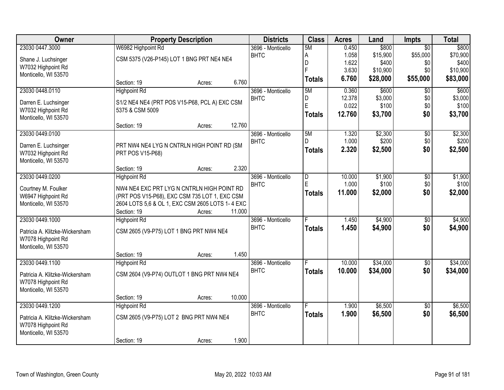| Owner                          |                                                 | <b>Property Description</b> |        | <b>Districts</b>  | <b>Class</b>   | <b>Acres</b> | Land     | <b>Impts</b>    | <b>Total</b> |
|--------------------------------|-------------------------------------------------|-----------------------------|--------|-------------------|----------------|--------------|----------|-----------------|--------------|
| 23030 0447.3000                | W6982 Highpoint Rd                              |                             |        | 3696 - Monticello | 5M             | 0.450        | \$800    | $\overline{30}$ | \$800        |
| Shane J. Luchsinger            | CSM 5375 (V26-P145) LOT 1 BNG PRT NE4 NE4       |                             |        | <b>BHTC</b>       | A              | 1.058        | \$15,900 | \$55,000        | \$70,900     |
| W7032 Highpoint Rd             |                                                 |                             |        |                   | D              | 1.622        | \$400    | \$0             | \$400        |
| Monticello, WI 53570           |                                                 |                             |        |                   |                | 3.630        | \$10,900 | \$0             | \$10,900     |
|                                | Section: 19                                     | Acres:                      | 6.760  |                   | <b>Totals</b>  | 6.760        | \$28,000 | \$55,000        | \$83,000     |
| 23030 0448.0110                | <b>Highpoint Rd</b>                             |                             |        | 3696 - Monticello | 5M             | 0.360        | \$600    | $\overline{50}$ | \$600        |
| Darren E. Luchsinger           | S1/2 NE4 NE4 (PRT POS V15-P68, PCL A) EXC CSM   |                             |        | <b>BHTC</b>       | D              | 12.378       | \$3,000  | \$0             | \$3,000      |
| W7032 Highpoint Rd             | 5375 & CSM 5009                                 |                             |        |                   | E              | 0.022        | \$100    | \$0             | \$100        |
| Monticello, WI 53570           |                                                 |                             |        |                   | <b>Totals</b>  | 12.760       | \$3,700  | \$0             | \$3,700      |
|                                | Section: 19                                     | Acres:                      | 12.760 |                   |                |              |          |                 |              |
| 23030 0449.0100                |                                                 |                             |        | 3696 - Monticello | 5M             | 1.320        | \$2,300  | $\overline{50}$ | \$2,300      |
| Darren E. Luchsinger           | PRT NW4 NE4 LYG N CNTRLN HIGH POINT RD (SM      |                             |        | <b>BHTC</b>       | D              | 1.000        | \$200    | \$0             | \$200        |
| W7032 Highpoint Rd             | PRT POS V15-P68)                                |                             |        |                   | <b>Totals</b>  | 2.320        | \$2,500  | \$0             | \$2,500      |
| Monticello, WI 53570           |                                                 |                             |        |                   |                |              |          |                 |              |
|                                | Section: 19                                     | Acres:                      | 2.320  |                   |                |              |          |                 |              |
| 23030 0449.0200                | <b>Highpoint Rd</b>                             |                             |        | 3696 - Monticello | $\overline{D}$ | 10.000       | \$1,900  | \$0             | \$1,900      |
| Courtney M. Foulker            | NW4 NE4 EXC PRT LYG N CNTRLN HIGH POINT RD      |                             |        | <b>BHTC</b>       | E              | 1.000        | \$100    | \$0             | \$100        |
| W6947 Highpoint Rd             | (PRT POS V15-P68), EXC CSM 735 LOT 1, EXC CSM   |                             |        |                   | <b>Totals</b>  | 11.000       | \$2,000  | \$0             | \$2,000      |
| Monticello, WI 53570           | 2604 LOTS 5,6 & OL 1, EXC CSM 2605 LOTS 1-4 EXC |                             |        |                   |                |              |          |                 |              |
|                                | Section: 19                                     | Acres:                      | 11.000 |                   |                |              |          |                 |              |
| 23030 0449.1000                | <b>Highpoint Rd</b>                             |                             |        | 3696 - Monticello | E              | 1.450        | \$4,900  | \$0             | \$4,900      |
| Patricia A. Klitzke-Wickersham | CSM 2605 (V9-P75) LOT 1 BNG PRT NW4 NE4         |                             |        | <b>BHTC</b>       | <b>Totals</b>  | 1.450        | \$4,900  | \$0             | \$4,900      |
| W7078 Highpoint Rd             |                                                 |                             |        |                   |                |              |          |                 |              |
| Monticello, WI 53570           |                                                 |                             |        |                   |                |              |          |                 |              |
|                                | Section: 19                                     | Acres:                      | 1.450  |                   |                |              |          |                 |              |
| 23030 0449.1100                | <b>Highpoint Rd</b>                             |                             |        | 3696 - Monticello |                | 10.000       | \$34,000 | $\sqrt{6}$      | \$34,000     |
| Patricia A. Klitzke-Wickersham | CSM 2604 (V9-P74) OUTLOT 1 BNG PRT NW4 NE4      |                             |        | <b>BHTC</b>       | <b>Totals</b>  | 10.000       | \$34,000 | \$0             | \$34,000     |
| W7078 Highpoint Rd             |                                                 |                             |        |                   |                |              |          |                 |              |
| Monticello, WI 53570           |                                                 |                             |        |                   |                |              |          |                 |              |
|                                | Section: 19                                     | Acres:                      | 10.000 |                   |                |              |          |                 |              |
| 23030 0449.1200                | <b>Highpoint Rd</b>                             |                             |        | 3696 - Monticello | F              | 1.900        | \$6,500  | $\overline{30}$ | \$6,500      |
| Patricia A. Klitzke-Wickersham | CSM 2605 (V9-P75) LOT 2 BNG PRT NW4 NE4         |                             |        | <b>BHTC</b>       | <b>Totals</b>  | 1.900        | \$6,500  | \$0             | \$6,500      |
| W7078 Highpoint Rd             |                                                 |                             |        |                   |                |              |          |                 |              |
| Monticello, WI 53570           |                                                 |                             |        |                   |                |              |          |                 |              |
|                                | Section: 19                                     | Acres:                      | 1.900  |                   |                |              |          |                 |              |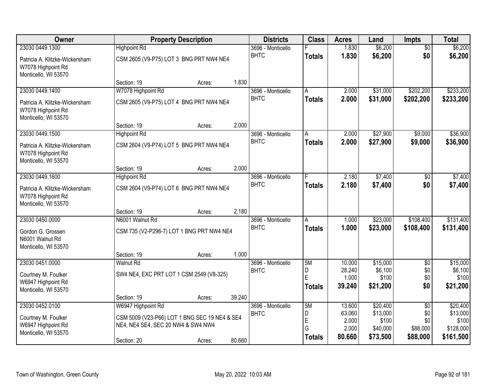| <b>Owner</b>                                                                 |                                               | <b>Property Description</b> |        | <b>Districts</b>  | <b>Class</b>  | <b>Acres</b>     | Land              | <b>Impts</b>           | <b>Total</b>      |
|------------------------------------------------------------------------------|-----------------------------------------------|-----------------------------|--------|-------------------|---------------|------------------|-------------------|------------------------|-------------------|
| 23030 0449.1300                                                              | <b>Highpoint Rd</b>                           |                             |        | 3696 - Monticello |               | 1.830            | \$6,200           | $\overline{50}$        | \$6,200           |
| Patricia A. Klitzke-Wickersham<br>W7078 Highpoint Rd<br>Monticello, WI 53570 | CSM 2605 (V9-P75) LOT 3 BNG PRT NW4 NE4       |                             |        | <b>BHTC</b>       | <b>Totals</b> | 1.830            | \$6,200           | \$0                    | \$6,200           |
|                                                                              | Section: 19                                   | Acres:                      | 1.830  |                   |               |                  |                   |                        |                   |
| 23030 0449.1400                                                              | W7078 Highpoint Rd                            |                             |        | 3696 - Monticello | А             | 2.000            | \$31,000          | \$202,200              | \$233,200         |
| Patricia A. Klitzke-Wickersham<br>W7078 Highpoint Rd<br>Monticello, WI 53570 | CSM 2605 (V9-P75) LOT 4 BNG PRT NW4 NE4       |                             |        | <b>BHTC</b>       | <b>Totals</b> | 2.000            | \$31,000          | \$202,200              | \$233,200         |
|                                                                              | Section: 19                                   | Acres:                      | 2.000  |                   |               |                  |                   |                        |                   |
| 23030 0449.1500                                                              | <b>Highpoint Rd</b>                           |                             |        | 3696 - Monticello | A             | 2.000            | \$27,900          | \$9,000                | \$36,900          |
| Patricia A. Klitzke-Wickersham<br>W7078 Highpoint Rd<br>Monticello, WI 53570 | CSM 2604 (V9-P74) LOT 5 BNG PRT NW4 NE4       |                             |        | <b>BHTC</b>       | <b>Totals</b> | 2.000            | \$27,900          | \$9,000                | \$36,900          |
|                                                                              | Section: 19                                   | Acres:                      | 2.000  |                   |               |                  |                   |                        |                   |
| 23030 0449.1600                                                              | <b>Highpoint Rd</b>                           |                             |        | 3696 - Monticello | F             | 2.180            | \$7,400           | \$0                    | \$7,400           |
| Patricia A. Klitzke-Wickersham<br>W7078 Highpoint Rd<br>Monticello, WI 53570 | CSM 2604 (V9-P74) LOT 6 BNG PRT NW4 NE4       |                             |        | <b>BHTC</b>       | <b>Totals</b> | 2.180            | \$7,400           | \$0                    | \$7,400           |
|                                                                              | Section: 19                                   | Acres:                      | 2.180  |                   |               |                  |                   |                        |                   |
| 23030 0450.0000                                                              | N6001 Walnut Rd                               |                             |        | 3696 - Monticello | A             | 1.000            | \$23,000          | \$108,400              | \$131,400         |
| Gordon G. Grossen<br>N6001 Walnut Rd<br>Monticello, WI 53570                 | CSM 735 (V2-P296-7) LOT 1 BNG PRT NW4 NE4     |                             |        | <b>BHTC</b>       | <b>Totals</b> | 1.000            | \$23,000          | \$108,400              | \$131,400         |
|                                                                              | Section: 19                                   | Acres:                      | 1.000  |                   |               |                  |                   |                        |                   |
| 23030 0451.0000                                                              | <b>Walnut Rd</b>                              |                             |        | 3696 - Monticello | 5M            | 10.000           | \$15,000          | $\overline{60}$        | \$15,000          |
| Courtney M. Foulker                                                          | SW4 NE4, EXC PRT LOT 1 CSM 2549 (V8-325)      |                             |        | <b>BHTC</b>       | D<br>E        | 28.240<br>1.000  | \$6,100<br>\$100  | \$0                    | \$6,100<br>\$100  |
| W6947 Highpoint Rd                                                           |                                               |                             |        |                   | <b>Totals</b> | 39.240           | \$21,200          | \$0<br>\$0             | \$21,200          |
| Monticello, WI 53570                                                         |                                               |                             |        |                   |               |                  |                   |                        |                   |
|                                                                              | Section: 19                                   | Acres:                      | 39.240 |                   |               |                  |                   |                        |                   |
| 23030 0452.0100                                                              | W6947 Highpoint Rd                            |                             |        | 3696 - Monticello | 5M            | 13.600<br>63.060 | \$20,400          | $\overline{50}$<br>\$0 | \$20,400          |
| Courtney M. Foulker                                                          | CSM 5009 (V23-P66) LOT 1 BNG SEC 19 NE4 & SE4 |                             |        | <b>BHTC</b>       | D<br>E        | 2.000            | \$13,000<br>\$100 | \$0                    | \$13,000<br>\$100 |
| W6947 Highpoint Rd                                                           | NE4, NE4 SE4, SEC 20 NW4 & SW4 NW4            |                             |        |                   | G             | 2.000            | \$40,000          | \$88,000               | \$128,000         |
| Monticello, WI 53570                                                         | Section: 20                                   | Acres:                      | 80.660 |                   | <b>Totals</b> | 80.660           | \$73,500          | \$88,000               | \$161,500         |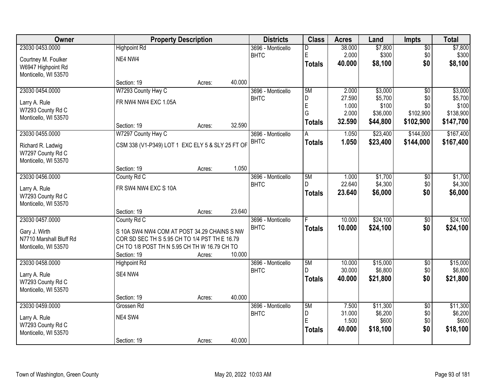| Owner                                     |                                                  | <b>Property Description</b> |        | <b>Districts</b>                 | <b>Class</b>  | <b>Acres</b>    | Land             | <b>Impts</b>    | <b>Total</b>     |
|-------------------------------------------|--------------------------------------------------|-----------------------------|--------|----------------------------------|---------------|-----------------|------------------|-----------------|------------------|
| 23030 0453.0000                           | <b>Highpoint Rd</b>                              |                             |        | 3696 - Monticello                | D             | 38.000          | \$7,800          | $\overline{60}$ | \$7,800          |
| Courtney M. Foulker                       | NE4 NW4                                          |                             |        | <b>BHTC</b>                      | E             | 2.000           | \$300            | \$0             | \$300            |
| W6947 Highpoint Rd                        |                                                  |                             |        |                                  | <b>Totals</b> | 40.000          | \$8,100          | \$0             | \$8,100          |
| Monticello, WI 53570                      |                                                  |                             |        |                                  |               |                 |                  |                 |                  |
|                                           | Section: 19                                      | Acres:                      | 40.000 |                                  |               |                 |                  |                 |                  |
| 23030 0454.0000                           | W7293 County Hwy C                               |                             |        | 3696 - Monticello                | 5M            | 2.000           | \$3,000          | $\overline{50}$ | \$3,000          |
| Larry A. Rule                             | FR NW4 NW4 EXC 1.05A                             |                             |        | <b>BHTC</b>                      | D<br>E        | 27.590<br>1.000 | \$5,700<br>\$100 | \$0<br>\$0      | \$5,700<br>\$100 |
| W7293 County Rd C                         |                                                  |                             |        |                                  | G             | 2.000           | \$36,000         | \$102,900       | \$138,900        |
| Monticello, WI 53570                      |                                                  |                             |        |                                  | <b>Totals</b> | 32.590          | \$44,800         | \$102,900       | \$147,700        |
|                                           | Section: 19                                      | Acres:                      | 32.590 |                                  |               |                 |                  |                 |                  |
| 23030 0455.0000                           | W7297 County Hwy C                               |                             |        | 3696 - Monticello<br><b>BHTC</b> | A             | 1.050           | \$23,400         | \$144,000       | \$167,400        |
| Richard R. Ladwig                         | CSM 338 (V1-P349) LOT 1 EXC ELY 5 & SLY 25 FT OF |                             |        |                                  | <b>Totals</b> | 1.050           | \$23,400         | \$144,000       | \$167,400        |
| W7297 County Rd C                         |                                                  |                             |        |                                  |               |                 |                  |                 |                  |
| Monticello, WI 53570                      | Section: 19                                      | Acres:                      | 1.050  |                                  |               |                 |                  |                 |                  |
| 23030 0456.0000                           | County Rd C                                      |                             |        | 3696 - Monticello                | 5M            | 1.000           | \$1,700          | \$0             | \$1,700          |
|                                           |                                                  |                             |        | <b>BHTC</b>                      | D.            | 22.640          | \$4,300          | \$0             | \$4,300          |
| Larry A. Rule                             | FR SW4 NW4 EXC S 10A                             |                             |        |                                  | <b>Totals</b> | 23.640          | \$6,000          | \$0             | \$6,000          |
| W7293 County Rd C<br>Monticello, WI 53570 |                                                  |                             |        |                                  |               |                 |                  |                 |                  |
|                                           | Section: 19                                      | Acres:                      | 23.640 |                                  |               |                 |                  |                 |                  |
| 23030 0457.0000                           | County Rd C                                      |                             |        | 3696 - Monticello                |               | 10.000          | \$24,100         | \$0             | \$24,100         |
| Gary J. Wirth                             | S 10A SW4 NW4 COM AT POST 34.29 CHAINS S NW      |                             |        | <b>BHTC</b>                      | <b>Totals</b> | 10.000          | \$24,100         | \$0             | \$24,100         |
| N7710 Marshall Bluff Rd                   | COR SD SEC TH S 5.95 CH TO 1/4 PST TH E 16.79    |                             |        |                                  |               |                 |                  |                 |                  |
| Monticello, WI 53570                      | CH TO 1/8 POST TH N 5.95 CH TH W 16.79 CH TO     |                             |        |                                  |               |                 |                  |                 |                  |
|                                           | Section: 19                                      | Acres:                      | 10.000 |                                  |               |                 |                  |                 |                  |
| 23030 0458.0000                           | <b>Highpoint Rd</b>                              |                             |        | 3696 - Monticello                | 5M            | 10.000          | \$15,000         | $\overline{60}$ | \$15,000         |
| Larry A. Rule                             | SE4 NW4                                          |                             |        | <b>BHTC</b>                      | D             | 30.000          | \$6,800          | \$0             | \$6,800          |
| W7293 County Rd C                         |                                                  |                             |        |                                  | <b>Totals</b> | 40.000          | \$21,800         | \$0             | \$21,800         |
| Monticello, WI 53570                      |                                                  |                             |        |                                  |               |                 |                  |                 |                  |
|                                           | Section: 19                                      | Acres:                      | 40.000 |                                  |               |                 |                  |                 |                  |
| 23030 0459.0000                           | Grossen Rd                                       |                             |        | 3696 - Monticello                | 5M            | 7.500           | \$11,300         | $\overline{30}$ | \$11,300         |
| Larry A. Rule                             | NE4 SW4                                          |                             |        | <b>BHTC</b>                      | D<br>E        | 31.000<br>1.500 | \$6,200<br>\$600 | \$0<br>\$0      | \$6,200<br>\$600 |
| W7293 County Rd C                         |                                                  |                             |        |                                  | <b>Totals</b> | 40.000          | \$18,100         | \$0             | \$18,100         |
| Monticello, WI 53570                      |                                                  |                             |        |                                  |               |                 |                  |                 |                  |
|                                           | Section: 19                                      | Acres:                      | 40.000 |                                  |               |                 |                  |                 |                  |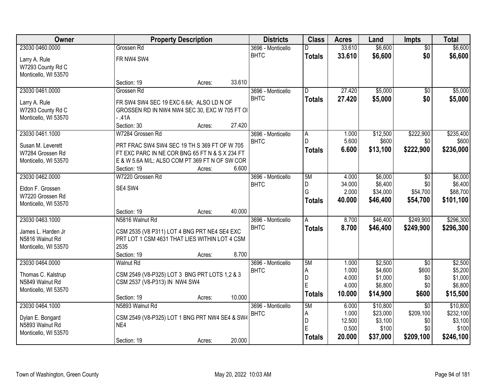| Owner                | <b>Property Description</b>                    |        |        | <b>Districts</b>  | <b>Class</b>   | <b>Acres</b>    | Land               | <b>Impts</b>    | <b>Total</b>       |
|----------------------|------------------------------------------------|--------|--------|-------------------|----------------|-----------------|--------------------|-----------------|--------------------|
| 23030 0460.0000      | Grossen Rd                                     |        |        | 3696 - Monticello | D              | 33.610          | \$6,600            | $\overline{50}$ | \$6,600            |
| Larry A. Rule        | FR NW4 SW4                                     |        |        | <b>BHTC</b>       | <b>Totals</b>  | 33.610          | \$6,600            | \$0             | \$6,600            |
| W7293 County Rd C    |                                                |        |        |                   |                |                 |                    |                 |                    |
| Monticello, WI 53570 |                                                |        |        |                   |                |                 |                    |                 |                    |
|                      | Section: 19                                    | Acres: | 33.610 |                   |                |                 |                    |                 |                    |
| 23030 0461.0000      | Grossen Rd                                     |        |        | 3696 - Monticello | $\overline{D}$ | 27.420          | \$5,000            | $\overline{50}$ | \$5,000            |
| Larry A. Rule        | FR SW4 SW4 SEC 19 EXC 6.6A; ALSO LD N OF       |        |        | <b>BHTC</b>       | <b>Totals</b>  | 27.420          | \$5,000            | \$0             | \$5,000            |
| W7293 County Rd C    | GROSSEN RD IN NW4 NW4 SEC 30, EXC W 705 FT OI  |        |        |                   |                |                 |                    |                 |                    |
| Monticello, WI 53570 | $-41A$                                         |        |        |                   |                |                 |                    |                 |                    |
|                      | Section: 30                                    | Acres: | 27.420 |                   |                |                 |                    |                 |                    |
| 23030 0461.1000      | W7284 Grossen Rd                               |        |        | 3696 - Monticello | A              | 1.000           | \$12,500           | \$222,900       | \$235,400          |
| Susan M. Leverett    | PRT FRAC SW4 SW4 SEC 19 TH S 369 FT OF W 705   |        |        | <b>BHTC</b>       | D              | 5.600           | \$600              | \$0             | \$600              |
| W7284 Grossen Rd     | FT EXC PARC IN NE COR BNG 65 FT N & S X 234 FT |        |        |                   | <b>Totals</b>  | 6.600           | \$13,100           | \$222,900       | \$236,000          |
| Monticello, WI 53570 | E & W 5.6A M/L; ALSO COM PT 369 FT N OF SW COR |        |        |                   |                |                 |                    |                 |                    |
|                      | Section: 19                                    | Acres: | 6.600  |                   |                |                 |                    |                 |                    |
| 23030 0462.0000      | W7220 Grossen Rd                               |        |        | 3696 - Monticello | 5M             | 4.000           | \$6,000            | $\overline{50}$ | \$6,000            |
| Eldon F. Grossen     | SE4 SW4                                        |        |        | <b>BHTC</b>       | D              | 34.000          | \$6,400            | \$0             | \$6,400            |
| W7220 Grossen Rd     |                                                |        |        |                   | G              | 2.000           | \$34,000           | \$54,700        | \$88,700           |
| Monticello, WI 53570 |                                                |        |        |                   | <b>Totals</b>  | 40.000          | \$46,400           | \$54,700        | \$101,100          |
|                      | Section: 19                                    | Acres: | 40.000 |                   |                |                 |                    |                 |                    |
| 23030 0463.1000      | N5816 Walnut Rd                                |        |        | 3696 - Monticello | $\overline{A}$ | 8.700           | \$46,400           | \$249,900       | \$296,300          |
| James L. Harden Jr   | CSM 2535 (V8 P311) LOT 4 BNG PRT NE4 SE4 EXC   |        |        | <b>BHTC</b>       | <b>Totals</b>  | 8.700           | \$46,400           | \$249,900       | \$296,300          |
| N5816 Walnut Rd      | PRT LOT 1 CSM 4631 THAT LIES WITHIN LOT 4 CSM  |        |        |                   |                |                 |                    |                 |                    |
| Monticello, WI 53570 | 2535                                           |        |        |                   |                |                 |                    |                 |                    |
|                      | Section: 19                                    | Acres: | 8.700  |                   |                |                 |                    |                 |                    |
| 23030 0464.0000      | <b>Walnut Rd</b>                               |        |        | 3696 - Monticello | 5M             | 1.000           | \$2,500            | $\overline{30}$ | \$2,500            |
| Thomas C. Kalstrup   | CSM 2549 (V8-P325) LOT 3 BNG PRT LOTS 1,2 & 3  |        |        | <b>BHTC</b>       | Α              | 1.000           | \$4,600            | \$600           | \$5,200            |
| N5849 Walnut Rd      | CSM 2537 (V8-P313) IN NW4 SW4                  |        |        |                   | D<br>E         | 4.000<br>4.000  | \$1,000<br>\$6,800 | \$0<br>\$0      | \$1,000<br>\$6,800 |
| Monticello, WI 53570 |                                                |        |        |                   | <b>Totals</b>  | 10.000          | \$14,900           | \$600           | \$15,500           |
|                      | Section: 19                                    | Acres: | 10.000 |                   |                |                 |                    |                 |                    |
| 23030 0464.1000      | N5893 Walnut Rd                                |        |        | 3696 - Monticello | 5M             | 6.000           | \$10,800           | $\overline{30}$ | \$10,800           |
| Dylan E. Bongard     | CSM 2549 (V8-P325) LOT 1 BNG PRT NW4 SE4 & SW4 |        |        | <b>BHTC</b>       | A              | 1.000           | \$23,000           | \$209,100       | \$232,100          |
| N5893 Walnut Rd      | NE4                                            |        |        |                   | D<br>E         | 12.500<br>0.500 | \$3,100<br>\$100   | \$0<br>\$0      | \$3,100<br>\$100   |
| Monticello, WI 53570 |                                                |        |        |                   |                | 20.000          |                    |                 |                    |
|                      | Section: 19                                    | Acres: | 20.000 |                   | <b>Totals</b>  |                 | \$37,000           | \$209,100       | \$246,100          |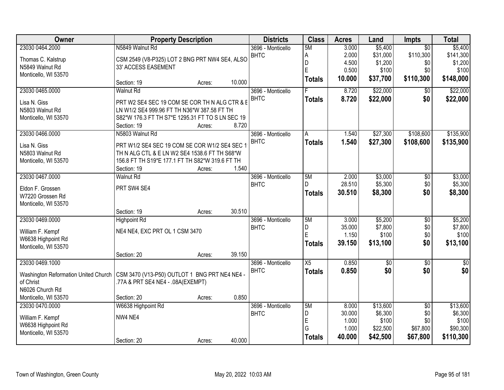| <b>Owner</b>                         |                                                  | <b>Property Description</b> |        | <b>Districts</b>  | <b>Class</b>     | <b>Acres</b> | Land        | <b>Impts</b>    | <b>Total</b> |
|--------------------------------------|--------------------------------------------------|-----------------------------|--------|-------------------|------------------|--------------|-------------|-----------------|--------------|
| 23030 0464.2000                      | N5849 Walnut Rd                                  |                             |        | 3696 - Monticello | 5M               | 3.000        | \$5,400     | $\overline{50}$ | \$5,400      |
| Thomas C. Kalstrup                   | CSM 2549 (V8-P325) LOT 2 BNG PRT NW4 SE4, ALSO   |                             |        | <b>BHTC</b>       | А                | 2.000        | \$31,000    | \$110,300       | \$141,300    |
| N5849 Walnut Rd                      | 33' ACCESS EASEMENT                              |                             |        |                   | D                | 4.500        | \$1,200     | \$0             | \$1,200      |
| Monticello, WI 53570                 |                                                  |                             |        |                   | E                | 0.500        | \$100       | \$0             | \$100        |
|                                      | Section: 19                                      | Acres:                      | 10.000 |                   | <b>Totals</b>    | 10.000       | \$37,700    | \$110,300       | \$148,000    |
| 23030 0465.0000                      | <b>Walnut Rd</b>                                 |                             |        | 3696 - Monticello |                  | 8.720        | \$22,000    | \$0             | \$22,000     |
| Lisa N. Giss                         | PRT W2 SE4 SEC 19 COM SE COR TH N ALG CTR & E    |                             |        | <b>BHTC</b>       | <b>Totals</b>    | 8.720        | \$22,000    | \$0             | \$22,000     |
| N5803 Walnut Rd                      | LN W1/2 SE4 999.96 FT TH N36*W 387.58 FT TH      |                             |        |                   |                  |              |             |                 |              |
| Monticello, WI 53570                 | S82*W 176.3 FT TH S7*E 1295.31 FT TO S LN SEC 19 |                             |        |                   |                  |              |             |                 |              |
|                                      | Section: 19                                      | Acres:                      | 8.720  |                   |                  |              |             |                 |              |
| 23030 0466.0000                      | N5803 Walnut Rd                                  |                             |        | 3696 - Monticello | A                | 1.540        | \$27,300    | \$108,600       | \$135,900    |
| Lisa N. Giss                         | PRT W1/2 SE4 SEC 19 COM SE COR W1/2 SE4 SEC 1    |                             |        | <b>BHTC</b>       | <b>Totals</b>    | 1.540        | \$27,300    | \$108,600       | \$135,900    |
| N5803 Walnut Rd                      | TH N ALG CTL & E LN W2 SE4 1538.6 FT TH S68*W    |                             |        |                   |                  |              |             |                 |              |
| Monticello, WI 53570                 | 156.8 FT TH S19*E 177.1 FT TH S82*W 319.6 FT TH  |                             |        |                   |                  |              |             |                 |              |
|                                      | Section: 19                                      | Acres:                      | 1.540  |                   |                  |              |             |                 |              |
| 23030 0467.0000                      | <b>Walnut Rd</b>                                 |                             |        | 3696 - Monticello | 5M               | 2.000        | \$3,000     | \$0             | \$3,000      |
|                                      | PRT SW4 SE4                                      |                             |        | <b>BHTC</b>       | D.               | 28.510       | \$5,300     | \$0             | \$5,300      |
| Eldon F. Grossen<br>W7220 Grossen Rd |                                                  |                             |        |                   | <b>Totals</b>    | 30.510       | \$8,300     | \$0             | \$8,300      |
| Monticello, WI 53570                 |                                                  |                             |        |                   |                  |              |             |                 |              |
|                                      | Section: 19                                      | Acres:                      | 30.510 |                   |                  |              |             |                 |              |
| 23030 0469.0000                      | <b>Highpoint Rd</b>                              |                             |        | 3696 - Monticello | 5M               | 3.000        | \$5,200     | $\overline{50}$ | \$5,200      |
|                                      |                                                  |                             |        | <b>BHTC</b>       | D                | 35.000       | \$7,800     | \$0             | \$7,800      |
| William F. Kempf                     | NE4 NE4, EXC PRT OL 1 CSM 3470                   |                             |        |                   | E                | 1.150        | \$100       | \$0             | \$100        |
| W6638 Highpoint Rd                   |                                                  |                             |        |                   | <b>Totals</b>    | 39.150       | \$13,100    | \$0             | \$13,100     |
| Monticello, WI 53570                 |                                                  |                             | 39.150 |                   |                  |              |             |                 |              |
| 23030 0469.1000                      | Section: 20                                      | Acres:                      |        | 3696 - Monticello | X5               | 0.850        | $\sqrt{$0}$ | $\overline{30}$ | $\sqrt{30}$  |
|                                      |                                                  |                             |        | <b>BHTC</b>       |                  | 0.850        | \$0         | \$0             | \$0          |
| Washington Reformation United Church | CSM 3470 (V13-P50) OUTLOT 1 BNG PRT NE4 NE4 -    |                             |        |                   | <b>Totals</b>    |              |             |                 |              |
| of Christ                            | .77A & PRT SE4 NE4 - .08A(EXEMPT)                |                             |        |                   |                  |              |             |                 |              |
| N6026 Church Rd                      |                                                  |                             |        |                   |                  |              |             |                 |              |
| Monticello, WI 53570                 | Section: 20                                      | Acres:                      | 0.850  |                   |                  |              |             |                 |              |
| 23030 0470.0000                      | W6638 Highpoint Rd                               |                             |        | 3696 - Monticello | 5M               | 8.000        | \$13,600    | $\overline{50}$ | \$13,600     |
| William F. Kempf                     | NW4 NE4                                          |                             |        | <b>BHTC</b>       | D                | 30.000       | \$6,300     | \$0             | \$6,300      |
| W6638 Highpoint Rd                   |                                                  |                             |        |                   | $\mathsf E$<br>G | 1.000        | \$100       | \$0             | \$100        |
| Monticello, WI 53570                 |                                                  |                             |        |                   |                  | 1.000        | \$22,500    | \$67,800        | \$90,300     |
|                                      | Section: 20                                      | Acres:                      | 40.000 |                   | <b>Totals</b>    | 40.000       | \$42,500    | \$67,800        | \$110,300    |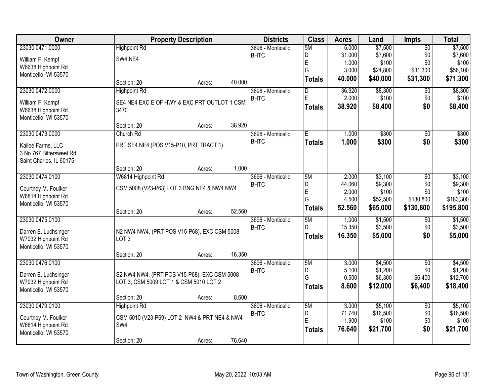| <b>Owner</b>            | <b>Property Description</b>                  |        | <b>Districts</b>  | <b>Class</b>   | <b>Acres</b> | Land     | <b>Impts</b>    | <b>Total</b> |
|-------------------------|----------------------------------------------|--------|-------------------|----------------|--------------|----------|-----------------|--------------|
| 23030 0471.0000         | <b>Highpoint Rd</b>                          |        | 3696 - Monticello | 5M             | 5.000        | \$7,500  | $\overline{50}$ | \$7,500      |
| William F. Kempf        | SW4 NE4                                      |        | <b>BHTC</b>       | D              | 31.000       | \$7,600  | \$0             | \$7,600      |
| W6638 Highpoint Rd      |                                              |        |                   | $\mathsf E$    | 1.000        | \$100    | \$0             | \$100        |
| Monticello, WI 53570    |                                              |        |                   | G              | 3.000        | \$24,800 | \$31,300        | \$56,100     |
|                         | Section: 20                                  | Acres: | 40.000            | <b>Totals</b>  | 40.000       | \$40,000 | \$31,300        | \$71,300     |
| 23030 0472.0000         | <b>Highpoint Rd</b>                          |        | 3696 - Monticello | $\overline{D}$ | 36.920       | \$8,300  | $\overline{50}$ | \$8,300      |
| William F. Kempf        | SE4 NE4 EXC E OF HWY & EXC PRT OUTLOT 1 CSM  |        | <b>BHTC</b>       | E              | 2.000        | \$100    | \$0             | \$100        |
| W6638 Highpoint Rd      | 3470                                         |        |                   | Totals         | 38.920       | \$8,400  | \$0             | \$8,400      |
| Monticello, WI 53570    |                                              |        |                   |                |              |          |                 |              |
|                         | Section: 20                                  | Acres: | 38.920            |                |              |          |                 |              |
| 23030 0473.0000         | Church Rd                                    |        | 3696 - Monticello | Έ              | 1.000        | \$300    | $\sqrt[6]{3}$   | \$300        |
| Kailee Farms, LLC       | PRT SE4 NE4 (POS V15-P10, PRT TRACT 1)       |        | <b>BHTC</b>       | <b>Totals</b>  | 1.000        | \$300    | \$0             | \$300        |
| 3 No 767 Bittersweet Rd |                                              |        |                   |                |              |          |                 |              |
| Saint Charles, IL 60175 |                                              |        |                   |                |              |          |                 |              |
|                         | Section: 20                                  | Acres: | 1.000             |                |              |          |                 |              |
| 23030 0474.0100         | W6814 Highpoint Rd                           |        | 3696 - Monticello | 5M             | 2.000        | \$3,100  | \$0             | \$3,100      |
| Courtney M. Foulker     | CSM 5008 (V23-P63) LOT 3 BNG NE4 & NW4 NW4   |        | <b>BHTC</b>       | D              | 44.060       | \$9,300  | \$0             | \$9,300      |
| W6814 Highpoint Rd      |                                              |        |                   | $\mathsf E$    | 2.000        | \$100    | \$0             | \$100        |
| Monticello, WI 53570    |                                              |        |                   | G              | 4.500        | \$52,500 | \$130,800       | \$183,300    |
|                         | Section: 20                                  | Acres: | 52.560            | <b>Totals</b>  | 52.560       | \$65,000 | \$130,800       | \$195,800    |
| 23030 0475.0100         |                                              |        | 3696 - Monticello | 5M             | 1.000        | \$1,500  | \$0             | \$1,500      |
| Darren E. Luchsinger    | N2 NW4 NW4, (PRT POS V15-P68), EXC CSM 5008  |        | <b>BHTC</b>       | D.             | 15.350       | \$3,500  | \$0             | \$3,500      |
| W7032 Highpoint Rd      | LOT <sub>3</sub>                             |        |                   | <b>Totals</b>  | 16.350       | \$5,000  | \$0             | \$5,000      |
| Monticello, WI 53570    |                                              |        |                   |                |              |          |                 |              |
|                         | Section: 20                                  | Acres: | 16.350            |                |              |          |                 |              |
| 23030 0476.0100         |                                              |        | 3696 - Monticello | 5M             | 3.000        | \$4,500  | $\overline{50}$ | \$4,500      |
| Darren E. Luchsinger    | S2 NW4 NW4, (PRT POS V15-P68), EXC CSM 5008  |        | <b>BHTC</b>       | D              | 5.100        | \$1,200  | \$0             | \$1,200      |
| W7032 Highpoint Rd      | LOT 3, CSM 5009 LOT 1 & CSM 5010 LOT 2       |        |                   | G              | 0.500        | \$6,300  | \$6,400         | \$12,700     |
| Monticello, WI 53570    |                                              |        |                   | Totals         | 8.600        | \$12,000 | \$6,400         | \$18,400     |
|                         | Section: 20                                  | Acres: | 8.600             |                |              |          |                 |              |
| 23030 0479.0100         | <b>Highpoint Rd</b>                          |        | 3696 - Monticello | 5M             | 3.000        | \$5,100  | $\overline{30}$ | \$5,100      |
| Courtney M. Foulker     | CSM 5010 (V23-P69) LOT 2 NW4 & PRT NE4 & NW4 |        | <b>BHTC</b>       | D              | 71.740       | \$16,500 | \$0             | \$16,500     |
| W6814 Highpoint Rd      | SW4                                          |        |                   | E              | 1.900        | \$100    | \$0             | \$100        |
| Monticello, WI 53570    |                                              |        |                   | <b>Totals</b>  | 76.640       | \$21,700 | \$0             | \$21,700     |
|                         | Section: 20                                  | Acres: | 76.640            |                |              |          |                 |              |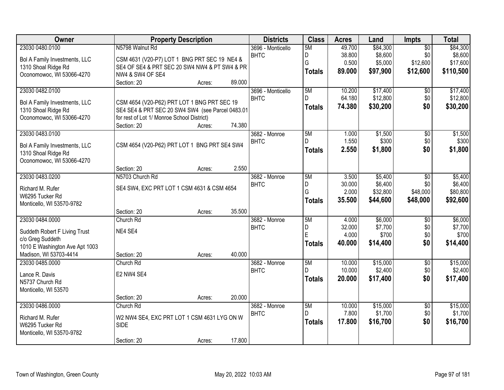| <b>Owner</b>                              | <b>Property Description</b>                      |        | <b>Districts</b>             | <b>Class</b>  | <b>Acres</b> | Land     | Impts           | <b>Total</b> |
|-------------------------------------------|--------------------------------------------------|--------|------------------------------|---------------|--------------|----------|-----------------|--------------|
| 23030 0480.0100                           | N5798 Walnut Rd                                  |        | 3696 - Monticello            | 5M            | 49.700       | \$84,300 | $\overline{50}$ | \$84,300     |
| Bol A Family Investments, LLC             | CSM 4631 (V20-P7) LOT 1 BNG PRT SEC 19 NE4 &     |        | <b>BHTC</b>                  | D             | 38.800       | \$8,600  | \$0             | \$8,600      |
| 1310 Shoal Ridge Rd                       | SE4 OF SE4 & PRT SEC 20 SW4 NW4 & PT SW4 & PR    |        |                              | G             | 0.500        | \$5,000  | \$12,600        | \$17,600     |
| Oconomowoc, WI 53066-4270                 | NW4 & SW4 OF SE4                                 |        |                              | <b>Totals</b> | 89.000       | \$97,900 | \$12,600        | \$110,500    |
|                                           | Section: 20<br>Acres:                            | 89.000 |                              |               |              |          |                 |              |
| 23030 0482.0100                           |                                                  |        | 3696 - Monticello            | 5M            | 10.200       | \$17,400 | \$0             | \$17,400     |
| Bol A Family Investments, LLC             | CSM 4654 (V20-P62) PRT LOT 1 BNG PRT SEC 19      |        | <b>BHTC</b>                  | D.            | 64.180       | \$12,800 | \$0             | \$12,800     |
| 1310 Shoal Ridge Rd                       | SE4 SE4 & PRT SEC 20 SW4 SW4 (see Parcel 0483.01 |        |                              | <b>Totals</b> | 74.380       | \$30,200 | \$0             | \$30,200     |
| Oconomowoc, WI 53066-4270                 | for rest of Lot 1/ Monroe School District)       |        |                              |               |              |          |                 |              |
|                                           | Section: 20<br>Acres:                            | 74.380 |                              |               |              |          |                 |              |
| 23030 0483.0100                           |                                                  |        | 3682 - Monroe                | 5M            | 1.000        | \$1,500  | $\overline{50}$ | \$1,500      |
| Bol A Family Investments, LLC             | CSM 4654 (V20-P62) PRT LOT 1 BNG PRT SE4 SW4     |        | <b>BHTC</b>                  | D.            | 1.550        | \$300    | \$0             | \$300        |
| 1310 Shoal Ridge Rd                       |                                                  |        |                              | <b>Totals</b> | 2.550        | \$1,800  | \$0             | \$1,800      |
| Oconomowoc, WI 53066-4270                 |                                                  |        |                              |               |              |          |                 |              |
|                                           | Section: 20<br>Acres:                            | 2.550  |                              |               |              |          |                 |              |
| 23030 0483.0200                           | N5703 Church Rd                                  |        | 3682 - Monroe                | 5M            | 3.500        | \$5,400  | \$0             | \$5,400      |
|                                           |                                                  |        | <b>BHTC</b>                  | D             | 30.000       | \$6,400  | \$0             | \$6,400      |
| Richard M. Rufer<br>W6295 Tucker Rd       | SE4 SW4, EXC PRT LOT 1 CSM 4631 & CSM 4654       |        |                              | G             | 2.000        | \$32,800 | \$48,000        | \$80,800     |
| Monticello, WI 53570-9782                 |                                                  |        |                              | <b>Totals</b> | 35.500       | \$44,600 | \$48,000        | \$92,600     |
|                                           | Section: 20<br>Acres:                            | 35.500 |                              |               |              |          |                 |              |
| 23030 0484.0000                           | Church Rd                                        |        | 3682 - Monroe                | 5M            | 4.000        | \$6,000  | $\overline{50}$ | \$6,000      |
|                                           |                                                  |        | <b>BHTC</b>                  | D             | 32.000       | \$7,700  | \$0             | \$7,700      |
| Suddeth Robert F Living Trust             | NE4 SE4                                          |        |                              | E             | 4.000        | \$700    | \$0             | \$700        |
| c/o Greg Suddeth                          |                                                  |        |                              | <b>Totals</b> | 40.000       | \$14,400 | \$0             | \$14,400     |
| 1010 E Washington Ave Apt 1003            |                                                  | 40.000 |                              |               |              |          |                 |              |
| Madison, WI 53703-4414<br>23030 0485.0000 | Section: 20<br>Acres:<br>Church Rd               |        |                              | 5M            | 10.000       | \$15,000 | $\overline{60}$ | \$15,000     |
|                                           |                                                  |        | 3682 - Monroe<br><b>BHTC</b> | D.            | 10.000       | \$2,400  | \$0             | \$2,400      |
| Lance R. Davis                            | E2 NW4 SE4                                       |        |                              |               | 20.000       | \$17,400 | \$0             | \$17,400     |
| N5737 Church Rd                           |                                                  |        |                              | <b>Totals</b> |              |          |                 |              |
| Monticello, WI 53570                      |                                                  |        |                              |               |              |          |                 |              |
|                                           | Section: 20<br>Acres:                            | 20.000 |                              |               |              |          |                 |              |
| 23030 0486.0000                           | Church Rd                                        |        | 3682 - Monroe                | 5M            | 10.000       | \$15,000 | $\overline{50}$ | \$15,000     |
| Richard M. Rufer                          | W2 NW4 SE4, EXC PRT LOT 1 CSM 4631 LYG ON W      |        | <b>BHTC</b>                  | D             | 7.800        | \$1,700  | \$0             | \$1,700      |
| W6295 Tucker Rd                           | <b>SIDE</b>                                      |        |                              | <b>Totals</b> | 17,800       | \$16,700 | \$0             | \$16,700     |
| Monticello, WI 53570-9782                 |                                                  |        |                              |               |              |          |                 |              |
|                                           | Section: 20<br>Acres:                            | 17.800 |                              |               |              |          |                 |              |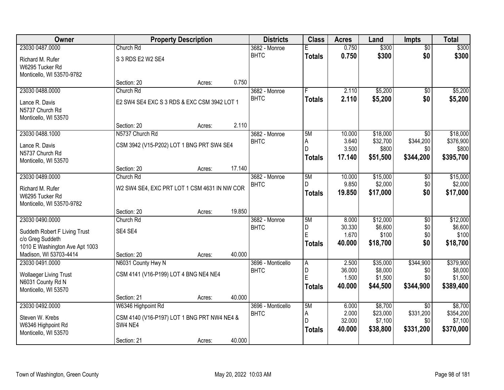| <b>Owner</b>                                      |                                              | <b>Property Description</b> |        | <b>Districts</b>             | <b>Class</b>  | <b>Acres</b>     | Land                 | <b>Impts</b>     | <b>Total</b>          |
|---------------------------------------------------|----------------------------------------------|-----------------------------|--------|------------------------------|---------------|------------------|----------------------|------------------|-----------------------|
| 23030 0487.0000                                   | Church Rd                                    |                             |        | 3682 - Monroe                |               | 0.750            | \$300                | $\overline{50}$  | \$300                 |
| Richard M. Rufer                                  | S 3 RDS E2 W2 SE4                            |                             |        | <b>BHTC</b>                  | <b>Totals</b> | 0.750            | \$300                | \$0              | \$300                 |
| W6295 Tucker Rd                                   |                                              |                             |        |                              |               |                  |                      |                  |                       |
| Monticello, WI 53570-9782                         |                                              |                             |        |                              |               |                  |                      |                  |                       |
|                                                   | Section: 20                                  | Acres:                      | 0.750  |                              |               |                  |                      |                  |                       |
| 23030 0488.0000                                   | Church Rd                                    |                             |        | 3682 - Monroe                | F             | 2.110            | \$5,200              | \$0              | \$5,200               |
| Lance R. Davis                                    | E2 SW4 SE4 EXC S 3 RDS & EXC CSM 3942 LOT 1  |                             |        | <b>BHTC</b>                  | <b>Totals</b> | 2.110            | \$5,200              | \$0              | \$5,200               |
| N5737 Church Rd                                   |                                              |                             |        |                              |               |                  |                      |                  |                       |
| Monticello, WI 53570                              |                                              |                             |        |                              |               |                  |                      |                  |                       |
|                                                   | Section: 20                                  | Acres:                      | 2.110  |                              |               |                  |                      |                  |                       |
| 23030 0488.1000                                   | N5737 Church Rd                              |                             |        | 3682 - Monroe<br><b>BHTC</b> | 5M            | 10.000<br>3.640  | \$18,000<br>\$32,700 | \$0<br>\$344,200 | \$18,000<br>\$376,900 |
| Lance R. Davis                                    | CSM 3942 (V15-P202) LOT 1 BNG PRT SW4 SE4    |                             |        |                              | Α<br>D        | 3.500            | \$800                | \$0              | \$800                 |
| N5737 Church Rd                                   |                                              |                             |        |                              | <b>Totals</b> | 17.140           | \$51,500             | \$344,200        | \$395,700             |
| Monticello, WI 53570                              |                                              |                             | 17.140 |                              |               |                  |                      |                  |                       |
| 23030 0489.0000                                   | Section: 20<br>Church Rd                     | Acres:                      |        | 3682 - Monroe                | 5M            | 10.000           | \$15,000             | $\sqrt[6]{3}$    | \$15,000              |
|                                                   |                                              |                             |        | <b>BHTC</b>                  | D.            | 9.850            | \$2,000              | \$0              | \$2,000               |
| Richard M. Rufer                                  | W2 SW4 SE4, EXC PRT LOT 1 CSM 4631 IN NW COR |                             |        |                              | <b>Totals</b> | 19.850           | \$17,000             | \$0              | \$17,000              |
| W6295 Tucker Rd<br>Monticello, WI 53570-9782      |                                              |                             |        |                              |               |                  |                      |                  |                       |
|                                                   | Section: 20                                  | Acres:                      | 19.850 |                              |               |                  |                      |                  |                       |
| 23030 0490.0000                                   | Church Rd                                    |                             |        | 3682 - Monroe                | 5M            | 8.000            | \$12,000             | $\overline{50}$  | \$12,000              |
|                                                   |                                              |                             |        | <b>BHTC</b>                  | D             | 30.330           | \$6,600              | \$0              | \$6,600               |
| Suddeth Robert F Living Trust<br>c/o Greg Suddeth | SE4 SE4                                      |                             |        |                              | Ė             | 1.670            | \$100                | \$0              | \$100                 |
| 1010 E Washington Ave Apt 1003                    |                                              |                             |        |                              | <b>Totals</b> | 40.000           | \$18,700             | \$0              | \$18,700              |
| Madison, WI 53703-4414                            | Section: 20                                  | Acres:                      | 40.000 |                              |               |                  |                      |                  |                       |
| 23030 0491.0000                                   | N6031 County Hwy N                           |                             |        | 3696 - Monticello            | A             | 2.500            | \$35,000             | \$344,900        | \$379,900             |
| <b>Wollaeger Living Trust</b>                     | CSM 4141 (V16-P199) LOT 4 BNG NE4 NE4        |                             |        | <b>BHTC</b>                  | D             | 36.000           | \$8,000              | \$0              | \$8,000               |
| N6031 County Rd N                                 |                                              |                             |        |                              | E             | 1.500            | \$1,500              | \$0              | \$1,500               |
| Monticello, WI 53570                              |                                              |                             |        |                              | Totals        | 40,000           | \$44,500             | \$344,900        | \$389,400             |
|                                                   | Section: 21                                  | Acres:                      | 40.000 |                              |               |                  |                      |                  |                       |
| 23030 0492.0000                                   | W6346 Highpoint Rd                           |                             |        | 3696 - Monticello            | 5M            | 6.000            | \$8,700              | $\overline{30}$  | \$8,700               |
| Steven W. Krebs                                   | CSM 4140 (V16-P197) LOT 1 BNG PRT NW4 NE4 &  |                             |        | <b>BHTC</b>                  | Α             | 2.000            | \$23,000             | \$331,200        | \$354,200             |
| W6346 Highpoint Rd                                | SW4 NE4                                      |                             |        |                              | D             | 32.000<br>40.000 | \$7,100              | \$0              | \$7,100               |
| Monticello, WI 53570                              |                                              |                             |        |                              | <b>Totals</b> |                  | \$38,800             | \$331,200        | \$370,000             |
|                                                   | Section: 21                                  | Acres:                      | 40.000 |                              |               |                  |                      |                  |                       |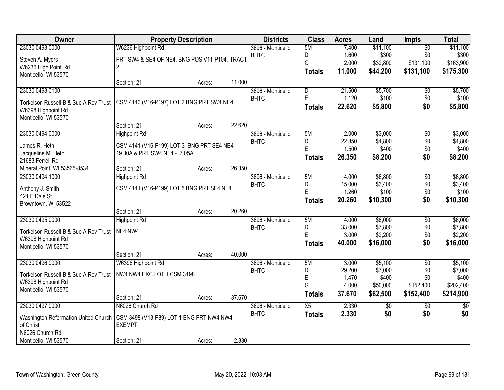| Owner                                 | <b>Property Description</b>                   |        |        | <b>Districts</b>  | <b>Class</b>            | <b>Acres</b> | Land       | <b>Impts</b>    | <b>Total</b>    |
|---------------------------------------|-----------------------------------------------|--------|--------|-------------------|-------------------------|--------------|------------|-----------------|-----------------|
| 23030 0493.0000                       | W6236 Highpoint Rd                            |        |        | 3696 - Monticello | 5M                      | 7.400        | \$11,100   | $\overline{30}$ | \$11,100        |
| Steven A. Myers                       | PRT SW4 & SE4 OF NE4, BNG POS V11-P104, TRACT |        |        | <b>BHTC</b>       | D                       | 1.600        | \$300      | \$0             | \$300           |
| W6236 High Point Rd                   | $\overline{2}$                                |        |        |                   | G                       | 2.000        | \$32,800   | \$131,100       | \$163,900       |
| Monticello, WI 53570                  |                                               |        |        |                   | <b>Totals</b>           | 11.000       | \$44,200   | \$131,100       | \$175,300       |
|                                       | Section: 21                                   | Acres: | 11.000 |                   |                         |              |            |                 |                 |
| 23030 0493.0100                       |                                               |        |        | 3696 - Monticello | $\overline{\mathsf{D}}$ | 21.500       | \$5,700    | \$0             | \$5,700         |
| Torkelson Russell B & Sue A Rev Trust | CSM 4140 (V16-P197) LOT 2 BNG PRT SW4 NE4     |        |        | <b>BHTC</b>       | E                       | 1.120        | \$100      | \$0             | \$100           |
| W6398 Highpoint Rd                    |                                               |        |        |                   | <b>Totals</b>           | 22.620       | \$5,800    | \$0             | \$5,800         |
| Monticello, WI 53570                  |                                               |        |        |                   |                         |              |            |                 |                 |
|                                       | Section: 21                                   | Acres: | 22.620 |                   |                         |              |            |                 |                 |
| 23030 0494.0000                       | <b>Highpoint Rd</b>                           |        |        | 3696 - Monticello | 5M                      | 2.000        | \$3,000    | \$0             | \$3,000         |
| James R. Heth                         | CSM 4141 (V16-P199) LOT 3 BNG PRT SE4 NE4 -   |        |        | <b>BHTC</b>       | D                       | 22.850       | \$4,800    | \$0             | \$4,800         |
| Jacqueline M. Heth                    | 19.30A & PRT SW4 NE4 - 7.05A                  |        |        |                   | E                       | 1.500        | \$400      | \$0             | \$400           |
| 21683 Ferrell Rd                      |                                               |        |        |                   | <b>Totals</b>           | 26,350       | \$8,200    | \$0             | \$8,200         |
| Mineral Point, WI 53565-8534          | Section: 21                                   | Acres: | 26.350 |                   |                         |              |            |                 |                 |
| 23030 0494.1000                       | <b>Highpoint Rd</b>                           |        |        | 3696 - Monticello | 5M                      | 4.000        | \$6,800    | $\overline{50}$ | \$6,800         |
| Anthony J. Smith                      | CSM 4141 (V16-P199) LOT 5 BNG PRT SE4 NE4     |        |        | <b>BHTC</b>       | D                       | 15.000       | \$3,400    | \$0             | \$3,400         |
| 421 E Dale St                         |                                               |        |        |                   | E                       | 1.260        | \$100      | \$0             | \$100           |
| Browntown, WI 53522                   |                                               |        |        |                   | <b>Totals</b>           | 20.260       | \$10,300   | \$0             | \$10,300        |
|                                       | Section: 21                                   | Acres: | 20.260 |                   |                         |              |            |                 |                 |
| 23030 0495.0000                       | <b>Highpoint Rd</b>                           |        |        | 3696 - Monticello | 5M                      | 4.000        | \$6,000    | $\overline{50}$ | \$6,000         |
| Torkelson Russell B & Sue A Rev Trust | NE4 NW4                                       |        |        | <b>BHTC</b>       | D                       | 33.000       | \$7,800    | \$0             | \$7,800         |
| W6398 Highpoint Rd                    |                                               |        |        |                   | E                       | 3.000        | \$2,200    | \$0             | \$2,200         |
| Monticello, WI 53570                  |                                               |        |        |                   | <b>Totals</b>           | 40.000       | \$16,000   | \$0             | \$16,000        |
|                                       | Section: 21                                   | Acres: | 40.000 |                   |                         |              |            |                 |                 |
| 23030 0496.0000                       | W6398 Highpoint Rd                            |        |        | 3696 - Monticello | 5M                      | 3.000        | \$5,100    | $\overline{50}$ | \$5,100         |
| Torkelson Russell B & Sue A Rev Trust | NW4 NW4 EXC LOT 1 CSM 3498                    |        |        | <b>BHTC</b>       | D                       | 29.200       | \$7,000    | \$0             | \$7,000         |
| W6398 Highpoint Rd                    |                                               |        |        |                   | E                       | 1.470        | \$400      | \$0             | \$400           |
| Monticello, WI 53570                  |                                               |        |        |                   | G                       | 4.000        | \$50,000   | \$152,400       | \$202,400       |
|                                       | Section: 21                                   | Acres: | 37.670 |                   | <b>Totals</b>           | 37.670       | \$62,500   | \$152,400       | \$214,900       |
| 23030 0497.0000                       | N6026 Church Rd                               |        |        | 3696 - Monticello | X5                      | 2.330        | $\sqrt{6}$ | $\overline{30}$ | $\overline{50}$ |
| Washington Reformation United Church  | CSM 3498 (V13-P89) LOT 1 BNG PRT NW4 NW4      |        |        | <b>BHTC</b>       | <b>Totals</b>           | 2.330        | \$0        | \$0             | \$0             |
| of Christ                             | <b>EXEMPT</b>                                 |        |        |                   |                         |              |            |                 |                 |
| N6026 Church Rd                       |                                               |        |        |                   |                         |              |            |                 |                 |
| Monticello, WI 53570                  | Section: 21                                   | Acres: | 2.330  |                   |                         |              |            |                 |                 |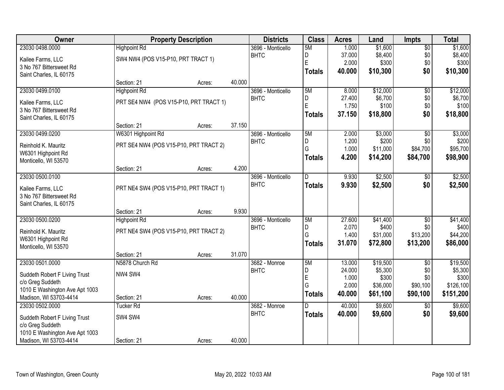| Owner                          |                                        | <b>Property Description</b> |        | <b>Districts</b>  | <b>Class</b>  | <b>Acres</b>    | Land              | <b>Impts</b>    | <b>Total</b>      |
|--------------------------------|----------------------------------------|-----------------------------|--------|-------------------|---------------|-----------------|-------------------|-----------------|-------------------|
| 23030 0498.0000                | <b>Highpoint Rd</b>                    |                             |        | 3696 - Monticello | 5M            | 1.000           | \$1,600           | $\overline{50}$ | \$1,600           |
| Kailee Farms, LLC              | SW4 NW4 (POS V15-P10, PRT TRACT 1)     |                             |        | <b>BHTC</b>       | D             | 37.000          | \$8,400           | \$0             | \$8,400           |
| 3 No 767 Bittersweet Rd        |                                        |                             |        |                   | E             | 2.000           | \$300             | \$0             | \$300             |
| Saint Charles, IL 60175        |                                        |                             |        |                   | <b>Totals</b> | 40.000          | \$10,300          | \$0             | \$10,300          |
|                                | Section: 21                            | Acres:                      | 40.000 |                   |               |                 |                   |                 |                   |
| 23030 0499.0100                | <b>Highpoint Rd</b>                    |                             |        | 3696 - Monticello | 5M            | 8.000           | \$12,000          | $\overline{50}$ | \$12,000          |
| Kailee Farms, LLC              | PRT SE4 NW4 (POS V15-P10, PRT TRACT 1) |                             |        | <b>BHTC</b>       | D             | 27.400          | \$6,700           | \$0             | \$6,700           |
| 3 No 767 Bittersweet Rd        |                                        |                             |        |                   | E             | 1.750           | \$100             | \$0             | \$100             |
| Saint Charles, IL 60175        |                                        |                             |        |                   | <b>Totals</b> | 37.150          | \$18,800          | \$0             | \$18,800          |
|                                | Section: 21                            | Acres:                      | 37.150 |                   |               |                 |                   |                 |                   |
| 23030 0499.0200                | W6301 Highpoint Rd                     |                             |        | 3696 - Monticello | 5M            | 2.000           | \$3,000           | $\overline{50}$ | \$3,000           |
| Reinhold K. Mauritz            | PRT SE4 NW4 (POS V15-P10, PRT TRACT 2) |                             |        | <b>BHTC</b>       | D             | 1.200           | \$200             | \$0             | \$200             |
| W6301 Highpoint Rd             |                                        |                             |        |                   | G             | 1.000           | \$11,000          | \$84,700        | \$95,700          |
| Monticello, WI 53570           |                                        |                             |        |                   | <b>Totals</b> | 4.200           | \$14,200          | \$84,700        | \$98,900          |
|                                | Section: 21                            | Acres:                      | 4.200  |                   |               |                 |                   |                 |                   |
| 23030 0500.0100                |                                        |                             |        | 3696 - Monticello | D             | 9.930           | \$2,500           | $\sqrt[6]{}$    | \$2,500           |
| Kailee Farms, LLC              | PRT NE4 SW4 (POS V15-P10, PRT TRACT 1) |                             |        | <b>BHTC</b>       | <b>Totals</b> | 9.930           | \$2,500           | \$0             | \$2,500           |
| 3 No 767 Bittersweet Rd        |                                        |                             |        |                   |               |                 |                   |                 |                   |
| Saint Charles, IL 60175        |                                        |                             |        |                   |               |                 |                   |                 |                   |
|                                | Section: 21                            | Acres:                      | 9.930  |                   |               |                 |                   |                 |                   |
| 23030 0500.0200                | <b>Highpoint Rd</b>                    |                             |        | 3696 - Monticello | 5M            | 27.600          | \$41,400          | $\overline{50}$ | \$41,400          |
| Reinhold K. Mauritz            | PRT NE4 SW4 (POS V15-P10, PRT TRACT 2) |                             |        | <b>BHTC</b>       | D<br>G        | 2.070<br>1.400  | \$400<br>\$31,000 | \$0<br>\$13,200 | \$400<br>\$44,200 |
| W6301 Highpoint Rd             |                                        |                             |        |                   | <b>Totals</b> | 31.070          | \$72,800          | \$13,200        | \$86,000          |
| Monticello, WI 53570           |                                        |                             |        |                   |               |                 |                   |                 |                   |
|                                | Section: 21                            | Acres:                      | 31.070 |                   |               |                 |                   |                 |                   |
| 23030 0501.0000                | N5878 Church Rd                        |                             |        | 3682 - Monroe     | 5M            | 13.000          | \$19,500          | $\overline{50}$ | \$19,500          |
| Suddeth Robert F Living Trust  | NW4 SW4                                |                             |        | <b>BHTC</b>       | D<br>E        | 24.000<br>1.000 | \$5,300<br>\$300  | \$0<br>\$0      | \$5,300<br>\$300  |
| c/o Greg Suddeth               |                                        |                             |        |                   | G             | 2.000           | \$36,000          | \$90,100        | \$126,100         |
| 1010 E Washington Ave Apt 1003 |                                        |                             |        |                   | <b>Totals</b> | 40.000          | \$61,100          | \$90,100        | \$151,200         |
| Madison, WI 53703-4414         | Section: 21                            | Acres:                      | 40.000 |                   |               |                 |                   |                 |                   |
| 23030 0502.0000                | <b>Tucker Rd</b>                       |                             |        | 3682 - Monroe     | D             | 40.000          | \$9,600           | $\overline{50}$ | \$9,600           |
| Suddeth Robert F Living Trust  | SW4 SW4                                |                             |        | <b>BHTC</b>       | <b>Totals</b> | 40.000          | \$9,600           | \$0             | \$9,600           |
| c/o Greg Suddeth               |                                        |                             |        |                   |               |                 |                   |                 |                   |
| 1010 E Washington Ave Apt 1003 |                                        |                             |        |                   |               |                 |                   |                 |                   |
| Madison, WI 53703-4414         | Section: 21                            | Acres:                      | 40.000 |                   |               |                 |                   |                 |                   |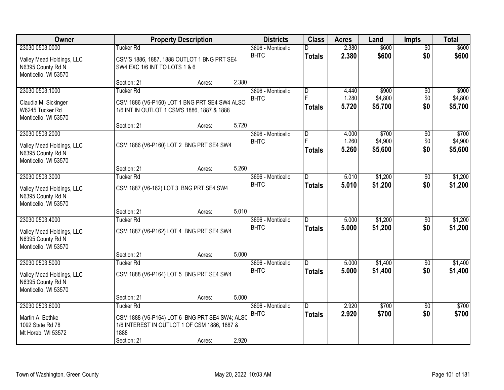| Owner                                                                                     |                                                                                                                    | <b>Property Description</b> |       | <b>Districts</b>                 | <b>Class</b>                    | <b>Acres</b>            | Land                        | <b>Impts</b>                | <b>Total</b>                |
|-------------------------------------------------------------------------------------------|--------------------------------------------------------------------------------------------------------------------|-----------------------------|-------|----------------------------------|---------------------------------|-------------------------|-----------------------------|-----------------------------|-----------------------------|
| 23030 0503.0000                                                                           | Tucker Rd                                                                                                          |                             |       | 3696 - Monticello                | D                               | 2.380                   | \$600                       | $\overline{50}$             | \$600                       |
| Valley Mead Holdings, LLC<br>N6395 County Rd N<br>Monticello, WI 53570                    | CSM'S 1886, 1887, 1888 OUTLOT 1 BNG PRT SE4<br>SW4 EXC 1/6 INT TO LOTS 1 & 6                                       |                             |       | <b>BHTC</b>                      | <b>Totals</b>                   | 2.380                   | \$600                       | \$0                         | \$600                       |
|                                                                                           | Section: 21                                                                                                        | Acres:                      | 2.380 |                                  |                                 |                         |                             |                             |                             |
| 23030 0503.1000                                                                           | <b>Tucker Rd</b>                                                                                                   |                             |       | 3696 - Monticello                | $\overline{D}$                  | 4.440                   | \$900                       | $\overline{50}$             | \$900                       |
| Claudia M. Sickinger<br>W6245 Tucker Rd<br>Monticello, WI 53570                           | CSM 1886 (V6-P160) LOT 1 BNG PRT SE4 SW4 ALSO<br>1/6 INT IN OUTLOT 1 CSM'S 1886, 1887 & 1888                       |                             |       | <b>BHTC</b>                      | F<br>Totals                     | 1.280<br>5.720          | \$4,800<br>\$5,700          | \$0<br>\$0                  | \$4,800<br>\$5,700          |
|                                                                                           | Section: 21                                                                                                        | Acres:                      | 5.720 |                                  |                                 |                         |                             |                             |                             |
| 23030 0503.2000<br>Valley Mead Holdings, LLC<br>N6395 County Rd N<br>Monticello, WI 53570 | CSM 1886 (V6-P160) LOT 2 BNG PRT SE4 SW4                                                                           |                             |       | 3696 - Monticello<br><b>BHTC</b> | D<br>Totals                     | 4.000<br>1.260<br>5.260 | \$700<br>\$4,900<br>\$5,600 | $\sqrt[6]{3}$<br>\$0<br>\$0 | \$700<br>\$4,900<br>\$5,600 |
|                                                                                           | Section: 21                                                                                                        | Acres:                      | 5.260 |                                  |                                 |                         |                             |                             |                             |
| 23030 0503.3000                                                                           | <b>Tucker Rd</b>                                                                                                   |                             |       | 3696 - Monticello                | ID.                             | 5.010                   | \$1,200                     | $\sqrt[6]{3}$               | \$1,200                     |
| Valley Mead Holdings, LLC<br>N6395 County Rd N<br>Monticello, WI 53570                    | CSM 1887 (V6-162) LOT 3 BNG PRT SE4 SW4                                                                            |                             |       | <b>BHTC</b>                      | <b>Totals</b>                   | 5.010                   | \$1,200                     | \$0                         | \$1,200                     |
|                                                                                           | Section: 21                                                                                                        | Acres:                      | 5.010 |                                  |                                 |                         |                             |                             |                             |
| 23030 0503.4000<br>Valley Mead Holdings, LLC<br>N6395 County Rd N<br>Monticello, WI 53570 | <b>Tucker Rd</b><br>CSM 1887 (V6-P162) LOT 4 BNG PRT SE4 SW4                                                       |                             |       | 3696 - Monticello<br><b>BHTC</b> | $\overline{D}$<br><b>Totals</b> | 5.000<br>5.000          | \$1,200<br>\$1,200          | \$0<br>\$0                  | \$1,200<br>\$1,200          |
|                                                                                           | Section: 21                                                                                                        | Acres:                      | 5.000 |                                  |                                 |                         |                             |                             |                             |
| 23030 0503.5000                                                                           | <b>Tucker Rd</b>                                                                                                   |                             |       | 3696 - Monticello                | D.                              | 5.000                   | \$1,400                     | \$0                         | \$1,400                     |
| Valley Mead Holdings, LLC<br>N6395 County Rd N<br>Monticello, WI 53570                    | CSM 1888 (V6-P164) LOT 5 BNG PRT SE4 SW4                                                                           |                             |       | <b>BHTC</b>                      | <b>Totals</b>                   | 5.000                   | \$1,400                     | \$0                         | \$1,400                     |
|                                                                                           | Section: 21                                                                                                        | Acres:                      | 5.000 |                                  |                                 |                         |                             |                             |                             |
| 23030 0503.6000<br>Martin A. Bethke<br>1092 State Rd 78                                   | <b>Tucker Rd</b><br>CSM 1888 (V6-P164) LOT 6 BNG PRT SE4 SW4; ALSC<br>1/6 INTEREST IN OUTLOT 1 OF CSM 1886, 1887 & |                             |       | 3696 - Monticello<br><b>BHTC</b> | ID.<br><b>Totals</b>            | 2.920<br>2.920          | \$700<br>\$700              | $\overline{30}$<br>\$0      | \$700<br>\$700              |
| Mt Horeb, WI 53572                                                                        | 1888<br>Section: 21                                                                                                | Acres:                      | 2.920 |                                  |                                 |                         |                             |                             |                             |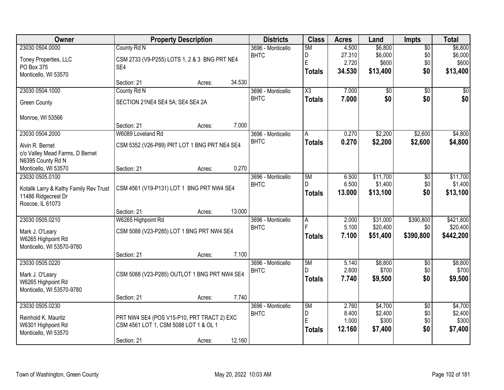| Owner                                  | <b>Property Description</b>                  |        |        | <b>Districts</b>                 | <b>Class</b>   | <b>Acres</b>   | Land                 | <b>Impts</b>           | <b>Total</b>          |
|----------------------------------------|----------------------------------------------|--------|--------|----------------------------------|----------------|----------------|----------------------|------------------------|-----------------------|
| 23030 0504.0000                        | County Rd N                                  |        |        | 3696 - Monticello                | 5M             | 4.500          | \$6,800              | $\overline{50}$        | \$6,800               |
| Toney Properties, LLC                  | CSM 2733 (V9-P255) LOTS 1, 2 & 3 BNG PRT NE4 |        |        | <b>BHTC</b>                      | D              | 27.310         | \$6,000              | \$0                    | \$6,000               |
| PO Box 375                             | SE4                                          |        |        |                                  | E              | 2.720          | \$600                | \$0                    | \$600                 |
| Monticello, WI 53570                   |                                              |        |        |                                  | <b>Totals</b>  | 34.530         | \$13,400             | \$0                    | \$13,400              |
|                                        | Section: 21                                  | Acres: | 34.530 |                                  |                |                |                      |                        |                       |
| 23030 0504.1000                        | County Rd N                                  |        |        | 3696 - Monticello                | X3             | 7.000          | \$0                  | $\overline{50}$        | \$0                   |
| <b>Green County</b>                    | SECTION 21NE4 SE4 5A; SE4 SE4 2A             |        |        | <b>BHTC</b>                      | <b>Totals</b>  | 7.000          | \$0                  | \$0                    | \$0                   |
| Monroe, WI 53566                       |                                              |        |        |                                  |                |                |                      |                        |                       |
|                                        | Section: 21                                  | Acres: | 7.000  |                                  |                |                |                      |                        |                       |
| 23030 0504.2000                        | W6089 Loveland Rd                            |        |        | 3696 - Monticello                | A              | 0.270          | \$2,200              | \$2,600                | \$4,800               |
| Alvin R. Bernet                        | CSM 5352 (V26-P89) PRT LOT 1 BNG PRT NE4 SE4 |        |        | <b>BHTC</b>                      | <b>Totals</b>  | 0.270          | \$2,200              | \$2,600                | \$4,800               |
| c/o Valley Mead Farms, D Bernet        |                                              |        |        |                                  |                |                |                      |                        |                       |
| N6395 County Rd N                      |                                              |        |        |                                  |                |                |                      |                        |                       |
| Monticello, WI 53570                   | Section: 21                                  | Acres: | 0.270  |                                  |                |                |                      |                        |                       |
| 23030 0505.0100                        |                                              |        |        | 3696 - Monticello                | 5M             | 6.500          | \$11,700             | $\overline{50}$        | \$11,700              |
| Kotalik Larry & Kathy Family Rev Trust | CSM 4561 (V19-P131) LOT 1 BNG PRT NW4 SE4    |        |        | <b>BHTC</b>                      | D              | 6.500          | \$1,400              | \$0<br>\$0             | \$1,400               |
| 11486 Ridgecrest Dr                    |                                              |        |        |                                  | <b>Totals</b>  | 13.000         | \$13,100             |                        | \$13,100              |
| Roscoe, IL 61073                       |                                              |        |        |                                  |                |                |                      |                        |                       |
|                                        | Section: 21                                  | Acres: | 13.000 |                                  |                |                |                      |                        |                       |
| 23030 0505.0210                        | W6265 Highpoint Rd                           |        |        | 3696 - Monticello                | $\overline{A}$ | 2.000<br>5.100 | \$31,000<br>\$20,400 | \$390,800<br>\$0       | \$421,800<br>\$20,400 |
| Mark J. O'Leary                        | CSM 5088 (V23-P285) LOT 1 BNG PRT NW4 SE4    |        |        | <b>BHTC</b>                      |                | 7.100          | \$51,400             | \$390,800              | \$442,200             |
| W6265 Highpoint Rd                     |                                              |        |        |                                  | <b>Totals</b>  |                |                      |                        |                       |
| Monticello, WI 53570-9780              |                                              |        |        |                                  |                |                |                      |                        |                       |
|                                        | Section: 21                                  | Acres: | 7.100  |                                  |                |                |                      |                        |                       |
| 23030 0505.0220                        |                                              |        |        | 3696 - Monticello<br><b>BHTC</b> | 5M<br>D.       | 5.140<br>2.600 | \$8,800<br>\$700     | $\overline{50}$<br>\$0 | \$8,800<br>\$700      |
| Mark J. O'Leary                        | CSM 5088 (V23-P285) OUTLOT 1 BNG PRT NW4 SE4 |        |        |                                  | <b>Totals</b>  | 7.740          | \$9,500              | \$0                    | \$9,500               |
| W6265 Highpoint Rd                     |                                              |        |        |                                  |                |                |                      |                        |                       |
| Monticello, WI 53570-9780              |                                              |        |        |                                  |                |                |                      |                        |                       |
|                                        | Section: 21                                  | Acres: | 7.740  |                                  |                |                |                      |                        |                       |
| 23030 0505.0230                        |                                              |        |        | 3696 - Monticello<br><b>BHTC</b> | 5M<br>D        | 2.760<br>8.400 | \$4,700<br>\$2,400   | $\overline{50}$<br>\$0 | \$4,700<br>\$2,400    |
| Reinhold K. Mauritz                    | PRT NW4 SE4 (POS V15-P10, PRT TRACT 2) EXC   |        |        |                                  | E              | 1.000          | \$300                | \$0                    | \$300                 |
| W6301 Highpoint Rd                     | CSM 4561 LOT 1, CSM 5088 LOT 1 & OL 1        |        |        |                                  | <b>Totals</b>  | 12.160         | \$7,400              | \$0                    | \$7,400               |
| Monticello, WI 53570                   |                                              |        |        |                                  |                |                |                      |                        |                       |
|                                        | Section: 21                                  | Acres: | 12.160 |                                  |                |                |                      |                        |                       |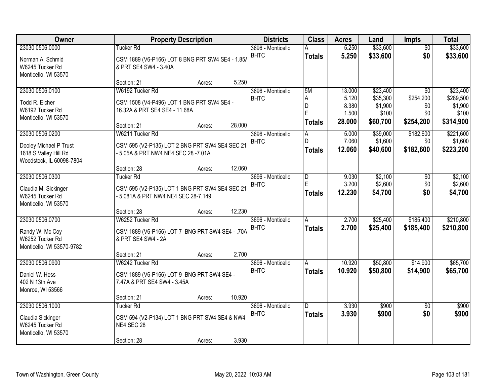| Owner                                           |                                                                                       | <b>Property Description</b> |        | <b>Districts</b>                 | <b>Class</b>   | <b>Acres</b>     | Land                 | <b>Impts</b>                 | <b>Total</b>          |
|-------------------------------------------------|---------------------------------------------------------------------------------------|-----------------------------|--------|----------------------------------|----------------|------------------|----------------------|------------------------------|-----------------------|
| 23030 0506.0000                                 | Tucker Rd                                                                             |                             |        | 3696 - Monticello                | А              | 5.250            | \$33,600             | $\overline{50}$              | \$33,600              |
| Norman A. Schmid                                | CSM 1889 (V6-P166) LOT 8 BNG PRT SW4 SE4 - 1.85/                                      |                             |        | <b>BHTC</b>                      | <b>Totals</b>  | 5.250            | \$33,600             | \$0                          | \$33,600              |
| W6245 Tucker Rd                                 | & PRT SE4 SW4 - 3.40A                                                                 |                             |        |                                  |                |                  |                      |                              |                       |
| Monticello, WI 53570                            |                                                                                       |                             |        |                                  |                |                  |                      |                              |                       |
|                                                 | Section: 21                                                                           | Acres:                      | 5.250  |                                  |                |                  |                      |                              |                       |
| 23030 0506.0100                                 | W6192 Tucker Rd                                                                       |                             |        | 3696 - Monticello<br><b>BHTC</b> | 5M<br>Α        | 13.000<br>5.120  | \$23,400<br>\$35,300 | $\overline{30}$<br>\$254,200 | \$23,400<br>\$289,500 |
| Todd R. Eicher                                  | CSM 1508 (V4-P496) LOT 1 BNG PRT SW4 SE4 -                                            |                             |        |                                  | D              | 8.380            | \$1,900              | \$0                          | \$1,900               |
| W6192 Tucker Rd                                 | 16.32A & PRT SE4 SE4 - 11.68A                                                         |                             |        |                                  | E              | 1.500            | \$100                | \$0                          | \$100                 |
| Monticello, WI 53570                            | Section: 21                                                                           | Acres:                      | 28.000 |                                  | <b>Totals</b>  | 28.000           | \$60,700             | \$254,200                    | \$314,900             |
| 23030 0506.0200                                 | W6211 Tucker Rd                                                                       |                             |        | 3696 - Monticello                | A              | 5.000            | \$39,000             | \$182,600                    | \$221,600             |
|                                                 |                                                                                       |                             |        | <b>BHTC</b>                      | D              | 7.060            | \$1,600              | \$0                          | \$1,600               |
| Dooley Michael P Trust<br>1618 S Valley Hill Rd | CSM 595 (V2-P135) LOT 2 BNG PRT SW4 SE4 SEC 21<br>- 5.05A & PRT NW4 NE4 SEC 28 -7.01A |                             |        |                                  | <b>Totals</b>  | 12.060           | \$40,600             | \$182,600                    | \$223,200             |
| Woodstock, IL 60098-7804                        |                                                                                       |                             |        |                                  |                |                  |                      |                              |                       |
|                                                 | Section: 28                                                                           | Acres:                      | 12.060 |                                  |                |                  |                      |                              |                       |
| 23030 0506.0300                                 | <b>Tucker Rd</b>                                                                      |                             |        | 3696 - Monticello                | D              | 9.030            | \$2,100              | \$0                          | \$2,100               |
| Claudia M. Sickinger                            | CSM 595 (V2-P135) LOT 1 BNG PRT SW4 SE4 SEC 21                                        |                             |        | <b>BHTC</b>                      | E              | 3.200            | \$2,600              | \$0                          | \$2,600               |
| W6245 Tucker Rd                                 | - 5.081A & PRT NW4 NE4 SEC 28-7.149                                                   |                             |        |                                  | <b>Totals</b>  | 12.230           | \$4,700              | \$0                          | \$4,700               |
| Monticello, WI 53570                            |                                                                                       |                             |        |                                  |                |                  |                      |                              |                       |
|                                                 | Section: 28                                                                           | Acres:                      | 12.230 |                                  |                |                  |                      |                              |                       |
| 23030 0506.0700                                 | W6252 Tucker Rd                                                                       |                             |        | 3696 - Monticello                | $\overline{A}$ | 2.700            | \$25,400             | \$185,400                    | \$210,800             |
| Randy W. Mc Coy                                 | CSM 1889 (V6-P166) LOT 7 BNG PRT SW4 SE4 - .70A                                       |                             |        | <b>BHTC</b>                      | <b>Totals</b>  | 2.700            | \$25,400             | \$185,400                    | \$210,800             |
| W6252 Tucker Rd                                 | & PRT SE4 SW4 - 2A                                                                    |                             |        |                                  |                |                  |                      |                              |                       |
| Monticello, WI 53570-9782                       |                                                                                       |                             |        |                                  |                |                  |                      |                              |                       |
|                                                 | Section: 21                                                                           | Acres:                      | 2.700  |                                  |                |                  |                      |                              |                       |
| 23030 0506.0900                                 | W6242 Tucker Rd                                                                       |                             |        | 3696 - Monticello<br><b>BHTC</b> | A              | 10.920<br>10.920 | \$50,800<br>\$50,800 | \$14,900<br>\$14,900         | \$65,700              |
| Daniel W. Hess                                  | CSM 1889 (V6-P166) LOT 9 BNG PRT SW4 SE4 -                                            |                             |        |                                  | <b>Totals</b>  |                  |                      |                              | \$65,700              |
| 402 N 13th Ave                                  | 7.47A & PRT SE4 SW4 - 3.45A                                                           |                             |        |                                  |                |                  |                      |                              |                       |
| Monroe, WI 53566                                |                                                                                       |                             | 10.920 |                                  |                |                  |                      |                              |                       |
| 23030 0506.1000                                 | Section: 21<br><b>Tucker Rd</b>                                                       | Acres:                      |        | 3696 - Monticello                | D              | 3.930            | \$900                | $\overline{50}$              | \$900                 |
|                                                 |                                                                                       |                             |        | <b>BHTC</b>                      | <b>Totals</b>  | 3.930            | \$900                | \$0                          | \$900                 |
| Claudia Sickinger                               | CSM 594 (V2-P134) LOT 1 BNG PRT SW4 SE4 & NW4                                         |                             |        |                                  |                |                  |                      |                              |                       |
| W6245 Tucker Rd<br>Monticello, WI 53570         | NE4 SEC 28                                                                            |                             |        |                                  |                |                  |                      |                              |                       |
|                                                 | Section: 28                                                                           | Acres:                      | 3.930  |                                  |                |                  |                      |                              |                       |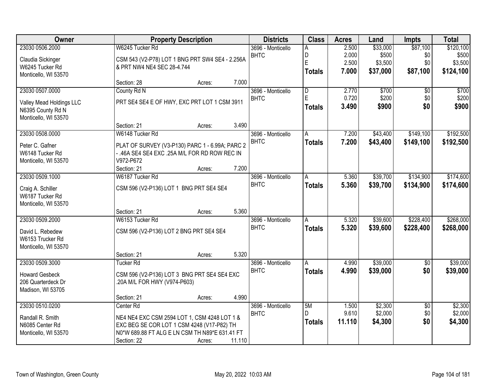| Owner                    |                             | <b>Property Description</b>                     |        | <b>Districts</b>  | <b>Class</b>            | <b>Acres</b> | Land     | <b>Impts</b>    | <b>Total</b> |
|--------------------------|-----------------------------|-------------------------------------------------|--------|-------------------|-------------------------|--------------|----------|-----------------|--------------|
| 23030 0506.2000          | W6245 Tucker Rd             |                                                 |        | 3696 - Monticello | A                       | 2.500        | \$33,000 | \$87,100        | \$120,100    |
| Claudia Sickinger        |                             | CSM 543 (V2-P78) LOT 1 BNG PRT SW4 SE4 - 2.256A |        | <b>BHTC</b>       | D                       | 2.000        | \$500    | \$0             | \$500        |
| W6245 Tucker Rd          | & PRT NW4 NE4 SEC 28-4.744  |                                                 |        |                   | E                       | 2.500        | \$3,500  | \$0             | \$3,500      |
| Monticello, WI 53570     |                             |                                                 |        |                   | <b>Totals</b>           | 7.000        | \$37,000 | \$87,100        | \$124,100    |
|                          | Section: 28                 | Acres:                                          | 7.000  |                   |                         |              |          |                 |              |
| 23030 0507.0000          | County Rd N                 |                                                 |        | 3696 - Monticello | $\overline{\mathsf{D}}$ | 2.770        | \$700    | $\overline{50}$ | \$700        |
| Valley Mead Holdings LLC |                             | PRT SE4 SE4 E OF HWY, EXC PRT LOT 1 CSM 3911    |        | <b>BHTC</b>       | E                       | 0.720        | \$200    | \$0             | \$200        |
| N6395 County Rd N        |                             |                                                 |        |                   | <b>Totals</b>           | 3.490        | \$900    | \$0             | \$900        |
| Monticello, WI 53570     |                             |                                                 |        |                   |                         |              |          |                 |              |
|                          | Section: 21                 | Acres:                                          | 3.490  |                   |                         |              |          |                 |              |
| 23030 0508.0000          | W6148 Tucker Rd             |                                                 |        | 3696 - Monticello | Α                       | 7.200        | \$43,400 | \$149,100       | \$192,500    |
| Peter C. Gafner          |                             | PLAT OF SURVEY (V3-P130) PARC 1 - 6.99A; PARC 2 |        | <b>BHTC</b>       | <b>Totals</b>           | 7.200        | \$43,400 | \$149,100       | \$192,500    |
| W6148 Tucker Rd          |                             | - .46A SE4 SE4 EXC .25A M/L FOR RD ROW REC IN   |        |                   |                         |              |          |                 |              |
| Monticello, WI 53570     | V972-P672                   |                                                 |        |                   |                         |              |          |                 |              |
|                          | Section: 21                 | Acres:                                          | 7.200  |                   |                         |              |          |                 |              |
| 23030 0509.1000          | W6187 Tucker Rd             |                                                 |        | 3696 - Monticello | A                       | 5.360        | \$39,700 | \$134,900       | \$174,600    |
| Craig A. Schiller        |                             | CSM 596 (V2-P136) LOT 1 BNG PRT SE4 SE4         |        | <b>BHTC</b>       | <b>Totals</b>           | 5.360        | \$39,700 | \$134,900       | \$174,600    |
| W6187 Tucker Rd          |                             |                                                 |        |                   |                         |              |          |                 |              |
| Monticello, WI 53570     |                             |                                                 |        |                   |                         |              |          |                 |              |
|                          | Section: 21                 | Acres:                                          | 5.360  |                   |                         |              |          |                 |              |
| 23030 0509.2000          | W6153 Tucker Rd             |                                                 |        | 3696 - Monticello | A                       | 5.320        | \$39,600 | \$228,400       | \$268,000    |
| David L. Rebedew         |                             | CSM 596 (V2-P136) LOT 2 BNG PRT SE4 SE4         |        | <b>BHTC</b>       | <b>Totals</b>           | 5.320        | \$39,600 | \$228,400       | \$268,000    |
| W6153 Trucker Rd         |                             |                                                 |        |                   |                         |              |          |                 |              |
| Monticello, WI 53570     |                             |                                                 |        |                   |                         |              |          |                 |              |
|                          | Section: 21                 | Acres:                                          | 5.320  |                   |                         |              |          |                 |              |
| 23030 0509.3000          | <b>Tucker Rd</b>            |                                                 |        | 3696 - Monticello | A                       | 4.990        | \$39,000 | $\sqrt{6}$      | \$39,000     |
| <b>Howard Gesbeck</b>    |                             | CSM 596 (V2-P136) LOT 3 BNG PRT SE4 SE4 EXC     |        | <b>BHTC</b>       | <b>Totals</b>           | 4.990        | \$39,000 | \$0             | \$39,000     |
| 206 Quarterdeck Dr       | 20A M/L FOR HWY (V974-P603) |                                                 |        |                   |                         |              |          |                 |              |
| Madison, WI 53705        |                             |                                                 |        |                   |                         |              |          |                 |              |
|                          | Section: 21                 | Acres:                                          | 4.990  |                   |                         |              |          |                 |              |
| 23030 0510.0200          | Center Rd                   |                                                 |        | 3696 - Monticello | 5M                      | 1.500        | \$2,300  | $\overline{50}$ | \$2,300      |
| Randall R. Smith         |                             | NE4 NE4 EXC CSM 2594 LOT 1, CSM 4248 LOT 1 &    |        | <b>BHTC</b>       | D                       | 9.610        | \$2,000  | \$0             | \$2,000      |
| N6085 Center Rd          |                             | EXC BEG SE COR LOT 1 CSM 4248 (V17-P82) TH      |        |                   | <b>Totals</b>           | 11.110       | \$4,300  | \$0             | \$4,300      |
| Monticello, WI 53570     |                             | N0*W 689.88 FT ALG E LN CSM TH N89*E 631.41 FT  |        |                   |                         |              |          |                 |              |
|                          | Section: 22                 | Acres:                                          | 11.110 |                   |                         |              |          |                 |              |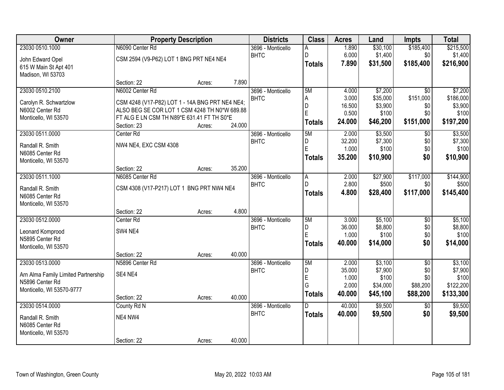| Owner                               |                                                 | <b>Property Description</b> |        | <b>Districts</b>  | <b>Class</b>  | <b>Acres</b>    | Land                | <b>Impts</b>     | <b>Total</b>         |
|-------------------------------------|-------------------------------------------------|-----------------------------|--------|-------------------|---------------|-----------------|---------------------|------------------|----------------------|
| 23030 0510.1000                     | N6090 Center Rd                                 |                             |        | 3696 - Monticello | Α             | 1.890           | \$30,100            | \$185,400        | \$215,500            |
| John Edward Opel                    | CSM 2594 (V9-P62) LOT 1 BNG PRT NE4 NE4         |                             |        | <b>BHTC</b>       | D             | 6.000           | \$1,400             | \$0              | \$1,400              |
| 615 W Main St Apt 401               |                                                 |                             |        |                   | <b>Totals</b> | 7.890           | \$31,500            | \$185,400        | \$216,900            |
| Madison, WI 53703                   |                                                 |                             |        |                   |               |                 |                     |                  |                      |
|                                     | Section: 22                                     | Acres:                      | 7.890  |                   |               |                 |                     |                  |                      |
| 23030 0510.2100                     | N6002 Center Rd                                 |                             |        | 3696 - Monticello | 5M            | 4.000           | \$7,200             | $\overline{50}$  | \$7,200              |
| Carolyn R. Schwartzlow              | CSM 4248 (V17-P82) LOT 1 - 14A BNG PRT NE4 NE4; |                             |        | <b>BHTC</b>       | Α<br>D        | 3.000<br>16.500 | \$35,000<br>\$3,900 | \$151,000<br>\$0 | \$186,000<br>\$3,900 |
| N6002 Center Rd                     | ALSO BEG SE COR LOT 1 CSM 4248 TH N0*W 689.88   |                             |        |                   | E             | 0.500           | \$100               | \$0              | \$100                |
| Monticello, WI 53570                | FT ALG E LN CSM TH N89*E 631.41 FT TH S0*E      |                             |        |                   | <b>Totals</b> | 24.000          | \$46,200            | \$151,000        | \$197,200            |
|                                     | Section: 23                                     | Acres:                      | 24.000 |                   |               |                 |                     |                  |                      |
| 23030 0511.0000                     | Center Rd                                       |                             |        | 3696 - Monticello | 5M            | 2.000           | \$3,500             | \$0              | \$3,500              |
| Randall R. Smith                    | NW4 NE4, EXC CSM 4308                           |                             |        | <b>BHTC</b>       | D<br>E        | 32.200<br>1.000 | \$7,300<br>\$100    | \$0<br>\$0       | \$7,300<br>\$100     |
| N6085 Center Rd                     |                                                 |                             |        |                   |               | 35.200          | \$10,900            | \$0              | \$10,900             |
| Monticello, WI 53570                |                                                 |                             |        |                   | <b>Totals</b> |                 |                     |                  |                      |
|                                     | Section: 22                                     | Acres:                      | 35.200 |                   |               |                 |                     |                  |                      |
| 23030 0511.1000                     | N6085 Center Rd                                 |                             |        | 3696 - Monticello | A             | 2.000           | \$27,900            | \$117,000        | \$144,900            |
| Randall R. Smith                    | CSM 4308 (V17-P217) LOT 1 BNG PRT NW4 NE4       |                             |        | <b>BHTC</b>       | D             | 2.800           | \$500               | \$0              | \$500                |
| N6085 Center Rd                     |                                                 |                             |        |                   | <b>Totals</b> | 4.800           | \$28,400            | \$117,000        | \$145,400            |
| Monticello, WI 53570                |                                                 |                             |        |                   |               |                 |                     |                  |                      |
|                                     | Section: 22                                     | Acres:                      | 4.800  |                   |               |                 |                     |                  |                      |
| 23030 0512.0000                     | Center Rd                                       |                             |        | 3696 - Monticello | 5M            | 3.000           | \$5,100             | $\overline{50}$  | \$5,100              |
| Leonard Komprood                    | SW4 NE4                                         |                             |        | <b>BHTC</b>       | D<br>E        | 36.000<br>1.000 | \$8,800<br>\$100    | \$0<br>\$0       | \$8,800<br>\$100     |
| N5895 Center Rd                     |                                                 |                             |        |                   | <b>Totals</b> | 40.000          | \$14,000            | \$0              | \$14,000             |
| Monticello, WI 53570                |                                                 |                             |        |                   |               |                 |                     |                  |                      |
|                                     | Section: 22                                     | Acres:                      | 40.000 |                   |               |                 |                     |                  |                      |
| 23030 0513.0000                     | N5896 Center Rd                                 |                             |        | 3696 - Monticello | 5M            | 2.000           | \$3,100             | $\overline{50}$  | \$3,100              |
| Arn Alma Family Limited Partnership | SE4 NE4                                         |                             |        | <b>BHTC</b>       | D<br>E        | 35.000<br>1.000 | \$7,900<br>\$100    | \$0<br>\$0       | \$7,900<br>\$100     |
| N5896 Center Rd                     |                                                 |                             |        |                   | G             | 2.000           | \$34,000            | \$88,200         | \$122,200            |
| Monticello, WI 53570-9777           |                                                 |                             |        |                   | <b>Totals</b> | 40.000          | \$45,100            | \$88,200         | \$133,300            |
|                                     | Section: 22                                     | Acres:                      | 40.000 |                   |               |                 |                     |                  |                      |
| 23030 0514.0000                     | County Rd N                                     |                             |        | 3696 - Monticello | D             | 40.000          | \$9,500             | $\overline{50}$  | \$9,500              |
| Randall R. Smith                    | NE4 NW4                                         |                             |        | <b>BHTC</b>       | <b>Totals</b> | 40.000          | \$9,500             | \$0              | \$9,500              |
| N6085 Center Rd                     |                                                 |                             |        |                   |               |                 |                     |                  |                      |
| Monticello, WI 53570                |                                                 |                             |        |                   |               |                 |                     |                  |                      |
|                                     | Section: 22                                     | Acres:                      | 40.000 |                   |               |                 |                     |                  |                      |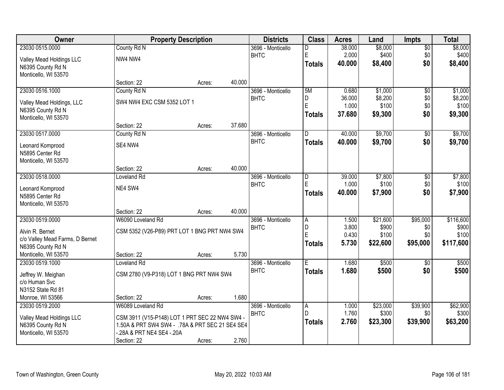| Owner                           |                                                 | <b>Property Description</b> |        | <b>Districts</b>  | <b>Class</b>   | <b>Acres</b> | Land     | <b>Impts</b>    | <b>Total</b> |
|---------------------------------|-------------------------------------------------|-----------------------------|--------|-------------------|----------------|--------------|----------|-----------------|--------------|
| 23030 0515.0000                 | County Rd N                                     |                             |        | 3696 - Monticello | D              | 38.000       | \$8,000  | $\sqrt{$0}$     | \$8,000      |
| Valley Mead Holdings LLC        | NW4 NW4                                         |                             |        | <b>BHTC</b>       | E              | 2.000        | \$400    | \$0             | \$400        |
| N6395 County Rd N               |                                                 |                             |        |                   | <b>Totals</b>  | 40.000       | \$8,400  | \$0             | \$8,400      |
| Monticello, WI 53570            |                                                 |                             |        |                   |                |              |          |                 |              |
|                                 | Section: 22                                     | Acres:                      | 40.000 |                   |                |              |          |                 |              |
| 23030 0516.1000                 | County Rd N                                     |                             |        | 3696 - Monticello | 5M             | 0.680        | \$1,000  | $\overline{50}$ | \$1,000      |
| Valley Mead Holdings, LLC       | SW4 NW4 EXC CSM 5352 LOT 1                      |                             |        | <b>BHTC</b>       | D              | 36.000       | \$8,200  | \$0             | \$8,200      |
| N6395 County Rd N               |                                                 |                             |        |                   | $\overline{E}$ | 1.000        | \$100    | \$0             | \$100        |
| Monticello, WI 53570            |                                                 |                             |        |                   | <b>Totals</b>  | 37.680       | \$9,300  | \$0             | \$9,300      |
|                                 | Section: 22                                     | Acres:                      | 37.680 |                   |                |              |          |                 |              |
| 23030 0517.0000                 | County Rd N                                     |                             |        | 3696 - Monticello | D              | 40.000       | \$9,700  | \$0             | \$9,700      |
| Leonard Komprood                | SE4 NW4                                         |                             |        | <b>BHTC</b>       | <b>Totals</b>  | 40.000       | \$9,700  | \$0             | \$9,700      |
| N5895 Center Rd                 |                                                 |                             |        |                   |                |              |          |                 |              |
| Monticello, WI 53570            |                                                 |                             |        |                   |                |              |          |                 |              |
|                                 | Section: 22                                     | Acres:                      | 40.000 |                   |                |              |          |                 |              |
| 23030 0518.0000                 | <b>Loveland Rd</b>                              |                             |        | 3696 - Monticello | D              | 39.000       | \$7,800  | \$0             | \$7,800      |
| Leonard Komprood                | NE4 SW4                                         |                             |        | <b>BHTC</b>       | E              | 1.000        | \$100    | \$0             | \$100        |
| N5895 Center Rd                 |                                                 |                             |        |                   | Totals         | 40.000       | \$7,900  | \$0             | \$7,900      |
| Monticello, WI 53570            |                                                 |                             |        |                   |                |              |          |                 |              |
|                                 | Section: 22                                     | Acres:                      | 40.000 |                   |                |              |          |                 |              |
| 23030 0519.0000                 | W6090 Loveland Rd                               |                             |        | 3696 - Monticello | A              | 1.500        | \$21,600 | \$95,000        | \$116,600    |
| Alvin R. Bernet                 | CSM 5352 (V26-P89) PRT LOT 1 BNG PRT NW4 SW4    |                             |        | <b>BHTC</b>       | D              | 3.800        | \$900    | \$0             | \$900        |
| c/o Valley Mead Farms, D Bernet |                                                 |                             |        |                   | E              | 0.430        | \$100    | \$0             | \$100        |
| N6395 County Rd N               |                                                 |                             |        |                   | <b>Totals</b>  | 5.730        | \$22,600 | \$95,000        | \$117,600    |
| Monticello, WI 53570            | Section: 22                                     | Acres:                      | 5.730  |                   |                |              |          |                 |              |
| 23030 0519.1000                 | Loveland Rd                                     |                             |        | 3696 - Monticello | Έ              | 1.680        | \$500    | \$0             | \$500        |
| Jeffrey W. Meighan              | CSM 2780 (V9-P318) LOT 1 BNG PRT NW4 SW4        |                             |        | <b>BHTC</b>       | <b>Totals</b>  | 1.680        | \$500    | \$0             | \$500        |
| c/o Human Svc                   |                                                 |                             |        |                   |                |              |          |                 |              |
| N3152 State Rd 81               |                                                 |                             |        |                   |                |              |          |                 |              |
| Monroe, WI 53566                | Section: 22                                     | Acres:                      | 1.680  |                   |                |              |          |                 |              |
| 23030 0519.2000                 | W6089 Loveland Rd                               |                             |        | 3696 - Monticello | A              | 1.000        | \$23,000 | \$39,900        | \$62,900     |
| Valley Mead Holdings LLC        | CSM 3911 (V15-P148) LOT 1 PRT SEC 22 NW4 SW4 -  |                             |        | <b>BHTC</b>       | D              | 1.760        | \$300    | \$0             | \$300        |
| N6395 County Rd N               | 1.50A & PRT SW4 SW4 - .78A & PRT SEC 21 SE4 SE4 |                             |        |                   | <b>Totals</b>  | 2.760        | \$23,300 | \$39,900        | \$63,200     |
| Monticello, WI 53570            | .28A & PRT NE4 SE4 -.20A                        |                             |        |                   |                |              |          |                 |              |
|                                 | Section: 22                                     | Acres:                      | 2.760  |                   |                |              |          |                 |              |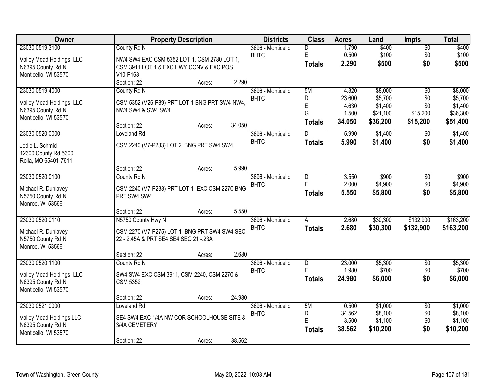| Owner                     | <b>Property Description</b>                   | <b>Districts</b>  | <b>Class</b>   | <b>Acres</b> | Land     | <b>Impts</b>    | <b>Total</b> |
|---------------------------|-----------------------------------------------|-------------------|----------------|--------------|----------|-----------------|--------------|
| 23030 0519.3100           | County Rd N                                   | 3696 - Monticello | D              | 1.790        | \$400    | $\overline{$0}$ | \$400        |
| Valley Mead Holdings, LLC | NW4 SW4 EXC CSM 5352 LOT 1, CSM 2780 LOT 1,   | <b>BHTC</b>       | $\mathsf E$    | 0.500        | \$100    | \$0             | \$100        |
| N6395 County Rd N         | CSM 3911 LOT 1 & EXC HWY CONV & EXC POS       |                   | <b>Totals</b>  | 2.290        | \$500    | \$0             | \$500        |
| Monticello, WI 53570      | V10-P163                                      |                   |                |              |          |                 |              |
|                           | 2.290<br>Section: 22<br>Acres:                |                   |                |              |          |                 |              |
| 23030 0519.4000           | County Rd N                                   | 3696 - Monticello | 5M             | 4.320        | \$8,000  | $\overline{50}$ | \$8,000      |
| Valley Mead Holdings, LLC | CSM 5352 (V26-P89) PRT LOT 1 BNG PRT SW4 NW4, | <b>BHTC</b>       | D              | 23.600       | \$5,700  | \$0             | \$5,700      |
| N6395 County Rd N         | NW4 SW4 & SW4 SW4                             |                   | $\overline{E}$ | 4.630        | \$1,400  | \$0             | \$1,400      |
| Monticello, WI 53570      |                                               |                   | G              | 1.500        | \$21,100 | \$15,200        | \$36,300     |
|                           | 34.050<br>Section: 22<br>Acres:               |                   | <b>Totals</b>  | 34.050       | \$36,200 | \$15,200        | \$51,400     |
| 23030 0520.0000           | Loveland Rd                                   | 3696 - Monticello | D              | 5.990        | \$1,400  | \$0             | \$1,400      |
| Jodie L. Schmid           | CSM 2240 (V7-P233) LOT 2 BNG PRT SW4 SW4      | <b>BHTC</b>       | <b>Totals</b>  | 5.990        | \$1,400  | \$0             | \$1,400      |
| 12300 County Rd 5300      |                                               |                   |                |              |          |                 |              |
| Rolla, MO 65401-7611      |                                               |                   |                |              |          |                 |              |
|                           | 5.990<br>Section: 22<br>Acres:                |                   |                |              |          |                 |              |
| 23030 0520.0100           | County Rd N                                   | 3696 - Monticello | D              | 3.550        | \$900    | \$0             | \$900        |
| Michael R. Dunlavey       | CSM 2240 (V7-P233) PRT LOT 1 EXC CSM 2270 BNG | <b>BHTC</b>       |                | 2.000        | \$4,900  | \$0             | \$4,900      |
| N5750 County Rd N         | PRT SW4 SW4                                   |                   | <b>Totals</b>  | 5.550        | \$5,800  | \$0             | \$5,800      |
| Monroe, WI 53566          |                                               |                   |                |              |          |                 |              |
|                           | 5.550<br>Section: 22<br>Acres:                |                   |                |              |          |                 |              |
| 23030 0520.0110           | N5750 County Hwy N                            | 3696 - Monticello | A              | 2.680        | \$30,300 | \$132,900       | \$163,200    |
| Michael R. Dunlavey       | CSM 2270 (V7-P275) LOT 1 BNG PRT SW4 SW4 SEC  | <b>BHTC</b>       | <b>Totals</b>  | 2.680        | \$30,300 | \$132,900       | \$163,200    |
| N5750 County Rd N         | 22 - 2.45A & PRT SE4 SE4 SEC 21 - 23A         |                   |                |              |          |                 |              |
| Monroe, WI 53566          |                                               |                   |                |              |          |                 |              |
|                           | 2.680<br>Section: 22<br>Acres:                |                   |                |              |          |                 |              |
| 23030 0520.1100           | County Rd N                                   | 3696 - Monticello | D              | 23.000       | \$5,300  | $\overline{$0}$ | \$5,300      |
| Valley Mead Holdings, LLC | SW4 SW4 EXC CSM 3911, CSM 2240, CSM 2270 &    | <b>BHTC</b>       | E              | 1.980        | \$700    | \$0             | \$700        |
| N6395 County Rd N         | <b>CSM 5352</b>                               |                   | <b>Totals</b>  | 24.980       | \$6,000  | \$0             | \$6,000      |
| Monticello, WI 53570      |                                               |                   |                |              |          |                 |              |
|                           | 24.980<br>Section: 22<br>Acres:               |                   |                |              |          |                 |              |
| 23030 0521.0000           | Loveland Rd                                   | 3696 - Monticello | 5M             | 0.500        | \$1,000  | $\overline{50}$ | \$1,000      |
| Valley Mead Holdings LLC  | SE4 SW4 EXC 1/4A NW COR SCHOOLHOUSE SITE &    | <b>BHTC</b>       | D              | 34.562       | \$8,100  | \$0             | \$8,100      |
| N6395 County Rd N         | 3/4A CEMETERY                                 |                   | E              | 3.500        | \$1,100  | \$0             | \$1,100      |
| Monticello, WI 53570      |                                               |                   | <b>Totals</b>  | 38.562       | \$10,200 | \$0             | \$10,200     |
|                           | 38.562<br>Section: 22<br>Acres:               |                   |                |              |          |                 |              |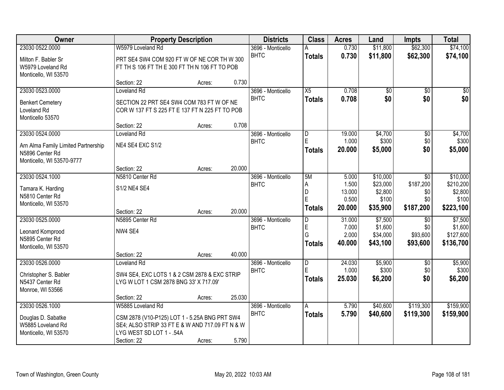| Owner                               |                                                 | <b>Property Description</b> |        | <b>Districts</b>  | <b>Class</b>   | <b>Acres</b>    | Land                 | <b>Impts</b>    | <b>Total</b>           |
|-------------------------------------|-------------------------------------------------|-----------------------------|--------|-------------------|----------------|-----------------|----------------------|-----------------|------------------------|
| 23030 0522.0000                     | W5979 Loveland Rd                               |                             |        | 3696 - Monticello | A              | 0.730           | \$11,800             | \$62,300        | \$74,100               |
| Milton F. Babler Sr                 | PRT SE4 SW4 COM 920 FT W OF NE COR TH W 300     |                             |        | <b>BHTC</b>       | <b>Totals</b>  | 0.730           | \$11,800             | \$62,300        | \$74,100               |
| W5979 Loveland Rd                   | FT TH S 106 FT TH E 300 FT TH N 106 FT TO POB   |                             |        |                   |                |                 |                      |                 |                        |
| Monticello, WI 53570                |                                                 |                             |        |                   |                |                 |                      |                 |                        |
|                                     | Section: 22                                     | Acres:                      | 0.730  |                   |                |                 |                      |                 |                        |
| 23030 0523.0000                     | Loveland Rd                                     |                             |        | 3696 - Monticello | X5             | 0.708           | \$0                  | \$0             | \$0                    |
| <b>Benkert Cemetery</b>             | SECTION 22 PRT SE4 SW4 COM 783 FT W OF NE       |                             |        | <b>BHTC</b>       | <b>Totals</b>  | 0.708           | \$0                  | \$0             | \$0                    |
| Loveland Rd                         | COR W 137 FT S 225 FT E 137 FT N 225 FT TO POB  |                             |        |                   |                |                 |                      |                 |                        |
| Monticello 53570                    |                                                 |                             |        |                   |                |                 |                      |                 |                        |
|                                     | Section: 22                                     | Acres:                      | 0.708  |                   |                |                 |                      |                 |                        |
| 23030 0524.0000                     | Loveland Rd                                     |                             |        | 3696 - Monticello | D              | 19.000          | \$4,700              | \$0             | \$4,700                |
| Arn Alma Family Limited Partnership | NE4 SE4 EXC S1/2                                |                             |        | <b>BHTC</b>       | E              | 1.000           | \$300                | \$0             | \$300                  |
| N5896 Center Rd                     |                                                 |                             |        |                   | <b>Totals</b>  | 20,000          | \$5,000              | \$0             | \$5,000                |
| Monticello, WI 53570-9777           |                                                 |                             |        |                   |                |                 |                      |                 |                        |
|                                     | Section: 22                                     | Acres:                      | 20.000 |                   |                |                 |                      |                 |                        |
| 23030 0524.1000                     | N5810 Center Rd                                 |                             |        | 3696 - Monticello | 5M             | 5.000           | \$10,000             | $\sqrt[6]{3}$   | \$10,000               |
| Tamara K. Harding                   | S1/2 NE4 SE4                                    |                             |        | <b>BHTC</b>       | A              | 1.500           | \$23,000             | \$187,200       | \$210,200              |
| N5810 Center Rd                     |                                                 |                             |        |                   | D<br>E         | 13.000<br>0.500 | \$2,800<br>\$100     | \$0<br>\$0      | \$2,800<br>\$100       |
| Monticello, WI 53570                |                                                 |                             |        |                   | <b>Totals</b>  | 20.000          | \$35,900             | \$187,200       | \$223,100              |
|                                     | Section: 22                                     | Acres:                      | 20.000 |                   |                |                 |                      |                 |                        |
| 23030 0525.0000                     | N5895 Center Rd                                 |                             |        | 3696 - Monticello | $\overline{D}$ | 31.000          | \$7,500              | \$0             | \$7,500                |
| Leonard Komprood                    | NW4 SE4                                         |                             |        | <b>BHTC</b>       | E<br>G         | 7.000<br>2.000  | \$1,600              | \$0<br>\$93,600 | \$1,600                |
| N5895 Center Rd                     |                                                 |                             |        |                   |                | 40.000          | \$34,000<br>\$43,100 | \$93,600        | \$127,600<br>\$136,700 |
| Monticello, WI 53570                |                                                 |                             |        |                   | <b>Totals</b>  |                 |                      |                 |                        |
|                                     | Section: 22                                     | Acres:                      | 40.000 |                   |                |                 |                      |                 |                        |
| 23030 0526.0000                     | Loveland Rd                                     |                             |        | 3696 - Monticello | $\overline{D}$ | 24.030          | \$5,900              | \$0             | \$5,900                |
| Christopher S. Babler               | SW4 SE4, EXC LOTS 1 & 2 CSM 2878 & EXC STRIP    |                             |        | <b>BHTC</b>       | E              | 1.000           | \$300                | \$0             | \$300                  |
| N5437 Center Rd                     | LYG W LOT 1 CSM 2878 BNG 33' X 717.09'          |                             |        |                   | <b>Totals</b>  | 25.030          | \$6,200              | \$0             | \$6,200                |
| Monroe, WI 53566                    |                                                 |                             |        |                   |                |                 |                      |                 |                        |
|                                     | Section: 22                                     | Acres:                      | 25.030 |                   |                |                 |                      |                 |                        |
| 23030 0526.1000                     | W5885 Loveland Rd                               |                             |        | 3696 - Monticello | Α              | 5.790           | \$40,600             | \$119,300       | \$159,900              |
| Douglas D. Sabatke                  | CSM 2878 (V10-P125) LOT 1 - 5.25A BNG PRT SW4   |                             |        | <b>BHTC</b>       | <b>Totals</b>  | 5.790           | \$40,600             | \$119,300       | \$159,900              |
| W5885 Loveland Rd                   | SE4; ALSO STRIP 33 FT E & W AND 717.09 FT N & W |                             |        |                   |                |                 |                      |                 |                        |
| Monticello, WI 53570                | LYG WEST SD LOT 1 - .54A                        |                             |        |                   |                |                 |                      |                 |                        |
|                                     | Section: 22                                     | Acres:                      | 5.790  |                   |                |                 |                      |                 |                        |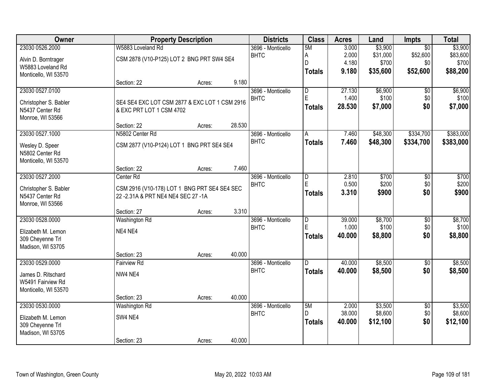| Owner                 |                                               | <b>Property Description</b> |        | <b>Districts</b>  | <b>Class</b>                 | <b>Acres</b>    | Land               | Impts                  | <b>Total</b>       |
|-----------------------|-----------------------------------------------|-----------------------------|--------|-------------------|------------------------------|-----------------|--------------------|------------------------|--------------------|
| 23030 0526.2000       | W5883 Loveland Rd                             |                             |        | 3696 - Monticello | 5M                           | 3.000           | \$3,900            | $\overline{50}$        | \$3,900            |
| Alvin D. Borntrager   | CSM 2878 (V10-P125) LOT 2 BNG PRT SW4 SE4     |                             |        | <b>BHTC</b>       | А                            | 2.000           | \$31,000           | \$52,600               | \$83,600           |
| W5883 Loveland Rd     |                                               |                             |        |                   | D                            | 4.180           | \$700              | \$0                    | \$700              |
| Monticello, WI 53570  |                                               |                             |        |                   | <b>Totals</b>                | 9.180           | \$35,600           | \$52,600               | \$88,200           |
|                       | Section: 22                                   | Acres:                      | 9.180  |                   |                              |                 |                    |                        |                    |
| 23030 0527.0100       |                                               |                             |        | 3696 - Monticello | D                            | 27.130          | \$6,900            | \$0                    | \$6,900            |
| Christopher S. Babler | SE4 SE4 EXC LOT CSM 2877 & EXC LOT 1 CSM 2916 |                             |        | <b>BHTC</b>       | E                            | 1.400           | \$100              | \$0                    | \$100              |
| N5437 Center Rd       | & EXC PRT LOT 1 CSM 4702                      |                             |        |                   | <b>Totals</b>                | 28.530          | \$7,000            | \$0                    | \$7,000            |
| Monroe, WI 53566      |                                               |                             |        |                   |                              |                 |                    |                        |                    |
|                       | Section: 22                                   | Acres:                      | 28.530 |                   |                              |                 |                    |                        |                    |
| 23030 0527.1000       | N5802 Center Rd                               |                             |        | 3696 - Monticello | A                            | 7.460           | \$48,300           | \$334,700              | \$383,000          |
| Wesley D. Speer       | CSM 2877 (V10-P124) LOT 1 BNG PRT SE4 SE4     |                             |        | <b>BHTC</b>       | <b>Totals</b>                | 7.460           | \$48,300           | \$334,700              | \$383,000          |
| N5802 Center Rd       |                                               |                             |        |                   |                              |                 |                    |                        |                    |
| Monticello, WI 53570  |                                               |                             |        |                   |                              |                 |                    |                        |                    |
|                       | Section: 22                                   | Acres:                      | 7.460  |                   |                              |                 |                    |                        |                    |
| 23030 0527.2000       | Center Rd                                     |                             |        | 3696 - Monticello | $\overline{D}$               | 2.810           | \$700              | \$0                    | \$700              |
| Christopher S. Babler | CSM 2916 (V10-178) LOT 1 BNG PRT SE4 SE4 SEC  |                             |        | <b>BHTC</b>       | E                            | 0.500           | \$200              | \$0<br>\$0             | \$200              |
| N5437 Center Rd       | 22 - 2.31 A & PRT NE4 NE4 SEC 27 - 1A         |                             |        |                   | <b>Totals</b>                | 3.310           | \$900              |                        | \$900              |
| Monroe, WI 53566      |                                               |                             |        |                   |                              |                 |                    |                        |                    |
|                       | Section: 27                                   | Acres:                      | 3.310  |                   |                              |                 |                    |                        |                    |
| 23030 0528.0000       | <b>Washington Rd</b>                          |                             |        | 3696 - Monticello | $\overline{\mathsf{D}}$<br>E | 39.000          | \$8,700            | \$0                    | \$8,700            |
| Elizabeth M. Lemon    | NE4 NE4                                       |                             |        | <b>BHTC</b>       |                              | 1.000<br>40.000 | \$100<br>\$8,800   | \$0<br>\$0             | \$100<br>\$8,800   |
| 309 Cheyenne Trl      |                                               |                             |        |                   | <b>Totals</b>                |                 |                    |                        |                    |
| Madison, WI 53705     |                                               |                             |        |                   |                              |                 |                    |                        |                    |
|                       | Section: 23                                   | Acres:                      | 40.000 |                   |                              |                 |                    |                        |                    |
| 23030 0529.0000       | <b>Fairview Rd</b>                            |                             |        | 3696 - Monticello | D                            | 40.000          | \$8,500            | $\sqrt{6}$             | \$8,500            |
| James D. Ritschard    | NW4 NE4                                       |                             |        | <b>BHTC</b>       | <b>Totals</b>                | 40.000          | \$8,500            | \$0                    | \$8,500            |
| W5491 Fairview Rd     |                                               |                             |        |                   |                              |                 |                    |                        |                    |
| Monticello, WI 53570  |                                               |                             |        |                   |                              |                 |                    |                        |                    |
|                       | Section: 23                                   | Acres:                      | 40.000 |                   |                              |                 |                    |                        |                    |
| 23030 0530.0000       | Washington Rd                                 |                             |        | 3696 - Monticello | 5M<br>D.                     | 2.000<br>38.000 | \$3,500<br>\$8,600 | $\overline{50}$<br>\$0 | \$3,500<br>\$8,600 |
| Elizabeth M. Lemon    | SW4 NE4                                       |                             |        | <b>BHTC</b>       |                              | 40.000          |                    | \$0                    | \$12,100           |
| 309 Cheyenne Trl      |                                               |                             |        |                   | <b>Totals</b>                |                 | \$12,100           |                        |                    |
| Madison, WI 53705     |                                               |                             |        |                   |                              |                 |                    |                        |                    |
|                       | Section: 23                                   | Acres:                      | 40.000 |                   |                              |                 |                    |                        |                    |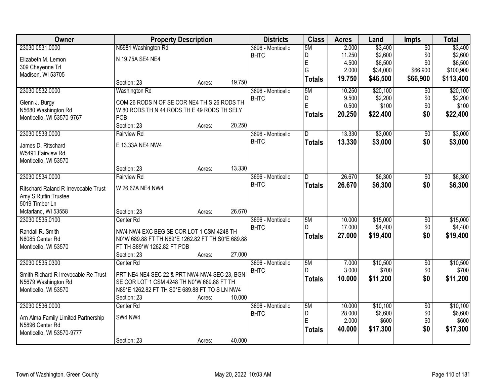| Owner                                | <b>Property Description</b>                       |        |        | <b>Districts</b>  | <b>Class</b>  | <b>Acres</b> | Land     | <b>Impts</b>    | <b>Total</b> |
|--------------------------------------|---------------------------------------------------|--------|--------|-------------------|---------------|--------------|----------|-----------------|--------------|
| 23030 0531.0000                      | N5981 Washington Rd                               |        |        | 3696 - Monticello | 5M            | 2.000        | \$3,400  | $\overline{50}$ | \$3,400      |
| Elizabeth M. Lemon                   | N 19.75A SE4 NE4                                  |        |        | <b>BHTC</b>       | D             | 11.250       | \$2,600  | \$0             | \$2,600      |
| 309 Cheyenne Trl                     |                                                   |        |        |                   | E             | 4.500        | \$6,500  | \$0             | \$6,500      |
| Madison, WI 53705                    |                                                   |        |        |                   | G             | 2.000        | \$34,000 | \$66,900        | \$100,900    |
|                                      | Section: 23                                       | Acres: | 19.750 |                   | <b>Totals</b> | 19.750       | \$46,500 | \$66,900        | \$113,400    |
| 23030 0532.0000                      | Washington Rd                                     |        |        | 3696 - Monticello | 5M            | 10.250       | \$20,100 | $\overline{50}$ | \$20,100     |
| Glenn J. Burgy                       | COM 26 RODS N OF SE COR NE4 TH S 26 RODS TH       |        |        | <b>BHTC</b>       | D             | 9.500        | \$2,200  | \$0             | \$2,200      |
| N5680 Washington Rd                  | W 80 RODS TH N 44 RODS TH E 49 RODS TH SELY       |        |        |                   | E             | 0.500        | \$100    | \$0             | \$100        |
| Monticello, WI 53570-9767            | POB                                               |        |        |                   | <b>Totals</b> | 20.250       | \$22,400 | \$0             | \$22,400     |
|                                      | Section: 23                                       | Acres: | 20.250 |                   |               |              |          |                 |              |
| 23030 0533.0000                      | <b>Fairview Rd</b>                                |        |        | 3696 - Monticello | D             | 13.330       | \$3,000  | \$0             | \$3,000      |
| James D. Ritschard                   | E 13.33A NE4 NW4                                  |        |        | <b>BHTC</b>       | <b>Totals</b> | 13.330       | \$3,000  | \$0             | \$3,000      |
| W5491 Fairview Rd                    |                                                   |        |        |                   |               |              |          |                 |              |
| Monticello, WI 53570                 |                                                   |        |        |                   |               |              |          |                 |              |
|                                      | Section: 23                                       | Acres: | 13.330 |                   |               |              |          |                 |              |
| 23030 0534.0000                      | <b>Fairview Rd</b>                                |        |        | 3696 - Monticello | D             | 26.670       | \$6,300  | \$0             | \$6,300      |
| Ritschard Raland R Irrevocable Trust | W 26.67A NE4 NW4                                  |        |        | <b>BHTC</b>       | <b>Totals</b> | 26.670       | \$6,300  | \$0             | \$6,300      |
| Amy S Ruffin Trustee                 |                                                   |        |        |                   |               |              |          |                 |              |
| 5019 Timber Ln                       |                                                   |        |        |                   |               |              |          |                 |              |
| Mcfarland, WI 53558                  | Section: 23                                       | Acres: | 26.670 |                   |               |              |          |                 |              |
| 23030 0535.0100                      | Center <sub>Rd</sub>                              |        |        | 3696 - Monticello | 5M            | 10.000       | \$15,000 | $\overline{50}$ | \$15,000     |
| Randall R. Smith                     | NW4 NW4 EXC BEG SE COR LOT 1 CSM 4248 TH          |        |        | <b>BHTC</b>       | D.            | 17.000       | \$4,400  | \$0             | \$4,400      |
| N6085 Center Rd                      | N0*W 689.88 FT TH N89*E 1262.82 FT TH S0*E 689.88 |        |        |                   | <b>Totals</b> | 27.000       | \$19,400 | \$0             | \$19,400     |
| Monticello, WI 53570                 | FT TH S89*W 1262.82 FT POB                        |        |        |                   |               |              |          |                 |              |
|                                      | Section: 23                                       | Acres: | 27.000 |                   |               |              |          |                 |              |
| 23030 0535.0300                      | Center Rd                                         |        |        | 3696 - Monticello | 5M            | 7.000        | \$10,500 | $\overline{50}$ | \$10,500     |
| Smith Richard R Irrevocable Re Trust | PRT NE4 NE4 SEC 22 & PRT NW4 NW4 SEC 23, BGN      |        |        | <b>BHTC</b>       | D.            | 3.000        | \$700    | \$0             | \$700        |
| N5679 Washington Rd                  | SE COR LOT 1 CSM 4248 TH N0*W 689.88 FT TH        |        |        |                   | <b>Totals</b> | 10.000       | \$11,200 | \$0             | \$11,200     |
| Monticello, WI 53570                 | N89*E 1262.82 FT TH S0*E 689.88 FT TO S LN NW4    |        |        |                   |               |              |          |                 |              |
|                                      | Section: 23                                       | Acres: | 10.000 |                   |               |              |          |                 |              |
| 23030 0536.0000                      | Center <sub>Rd</sub>                              |        |        | 3696 - Monticello | 5M            | 10.000       | \$10,100 | $\overline{50}$ | \$10,100     |
| Arn Alma Family Limited Partnership  | SW4 NW4                                           |        |        | <b>BHTC</b>       | D             | 28.000       | \$6,600  | \$0             | \$6,600      |
| N5896 Center Rd                      |                                                   |        |        |                   | E             | 2.000        | \$600    | \$0             | \$600        |
| Monticello, WI 53570-9777            |                                                   |        |        |                   | <b>Totals</b> | 40.000       | \$17,300 | \$0             | \$17,300     |
|                                      | Section: 23                                       | Acres: | 40.000 |                   |               |              |          |                 |              |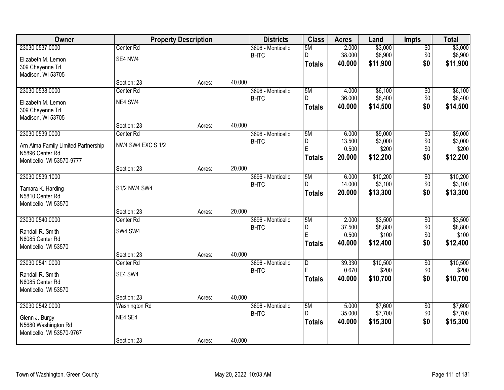| <b>Owner</b>                        |                          | <b>Property Description</b> |        | <b>Districts</b>                 | <b>Class</b>  | <b>Acres</b>    | Land               | <b>Impts</b>           | <b>Total</b>       |
|-------------------------------------|--------------------------|-----------------------------|--------|----------------------------------|---------------|-----------------|--------------------|------------------------|--------------------|
| 23030 0537.0000                     | Center Rd                |                             |        | 3696 - Monticello                | 5M            | 2.000           | \$3,000            | \$0                    | \$3,000            |
| Elizabeth M. Lemon                  | SE4 NW4                  |                             |        | <b>BHTC</b>                      | D             | 38.000          | \$8,900            | \$0                    | \$8,900            |
| 309 Cheyenne Trl                    |                          |                             |        |                                  | <b>Totals</b> | 40.000          | \$11,900           | \$0                    | \$11,900           |
| Madison, WI 53705                   |                          |                             |        |                                  |               |                 |                    |                        |                    |
|                                     | Section: 23              | Acres:                      | 40.000 |                                  |               |                 |                    |                        |                    |
| 23030 0538.0000                     | Center <sub>Rd</sub>     |                             |        | 3696 - Monticello                | 5M            | 4.000           | \$6,100            | \$0                    | \$6,100            |
| Elizabeth M. Lemon                  | NE4 SW4                  |                             |        | <b>BHTC</b>                      | D.            | 36.000          | \$8,400            | \$0                    | \$8,400            |
| 309 Cheyenne Trl                    |                          |                             |        |                                  | Totals        | 40.000          | \$14,500           | \$0                    | \$14,500           |
| Madison, WI 53705                   |                          |                             |        |                                  |               |                 |                    |                        |                    |
|                                     | Section: 23              | Acres:                      | 40.000 |                                  |               |                 |                    |                        |                    |
| 23030 0539.0000                     | Center Rd                |                             |        | 3696 - Monticello                | 5M            | 6.000           | \$9,000            | \$0                    | \$9,000            |
| Arn Alma Family Limited Partnership | <b>NW4 SW4 EXC S 1/2</b> |                             |        | <b>BHTC</b>                      | D<br>E        | 13.500<br>0.500 | \$3,000<br>\$200   | \$0<br>\$0             | \$3,000<br>\$200   |
| N5896 Center Rd                     |                          |                             |        |                                  |               | 20.000          | \$12,200           | \$0                    |                    |
| Monticello, WI 53570-9777           |                          |                             |        |                                  | <b>Totals</b> |                 |                    |                        | \$12,200           |
|                                     | Section: 23              | Acres:                      | 20.000 |                                  |               |                 |                    |                        |                    |
| 23030 0539.1000                     |                          |                             |        | 3696 - Monticello                | 5M            | 6.000           | \$10,200           | $\sqrt[6]{3}$          | \$10,200           |
| Tamara K. Harding                   | S1/2 NW4 SW4             |                             |        | <b>BHTC</b>                      | D.            | 14.000          | \$3,100            | \$0                    | \$3,100            |
| N5810 Center Rd                     |                          |                             |        |                                  | <b>Totals</b> | 20.000          | \$13,300           | \$0                    | \$13,300           |
| Monticello, WI 53570                |                          |                             |        |                                  |               |                 |                    |                        |                    |
|                                     | Section: 23              | Acres:                      | 20.000 |                                  |               |                 |                    |                        |                    |
| 23030 0540.0000                     | Center Rd                |                             |        | 3696 - Monticello                | 5M            | 2.000           | \$3,500            | $\overline{50}$        | \$3,500            |
| Randall R. Smith                    | SW4 SW4                  |                             |        | <b>BHTC</b>                      | D<br>E        | 37.500<br>0.500 | \$8,800<br>\$100   | \$0<br>\$0             | \$8,800<br>\$100   |
| N6085 Center Rd                     |                          |                             |        |                                  | <b>Totals</b> | 40.000          | \$12,400           | \$0                    | \$12,400           |
| Monticello, WI 53570                |                          |                             |        |                                  |               |                 |                    |                        |                    |
|                                     | Section: 23              | Acres:                      | 40.000 |                                  |               |                 |                    |                        |                    |
| 23030 0541.0000                     | Center Rd                |                             |        | 3696 - Monticello                | D<br>E        | 39.330<br>0.670 | \$10,500<br>\$200  | $\overline{$0}$        | \$10,500<br>\$200  |
| Randall R. Smith                    | SE4 SW4                  |                             |        | <b>BHTC</b>                      |               | 40,000          | \$10,700           | \$0<br>\$0             | \$10,700           |
| N6085 Center Rd                     |                          |                             |        |                                  | Totals        |                 |                    |                        |                    |
| Monticello, WI 53570                |                          |                             |        |                                  |               |                 |                    |                        |                    |
|                                     | Section: 23              | Acres:                      | 40.000 |                                  |               |                 |                    |                        |                    |
| 23030 0542.0000                     | Washington Rd            |                             |        | 3696 - Monticello<br><b>BHTC</b> | 5M<br>D.      | 5.000<br>35.000 | \$7,600<br>\$7,700 | $\overline{60}$<br>\$0 | \$7,600<br>\$7,700 |
| Glenn J. Burgy                      | NE4 SE4                  |                             |        |                                  | <b>Totals</b> | 40.000          | \$15,300           | \$0                    | \$15,300           |
| N5680 Washington Rd                 |                          |                             |        |                                  |               |                 |                    |                        |                    |
| Monticello, WI 53570-9767           |                          |                             |        |                                  |               |                 |                    |                        |                    |
|                                     | Section: 23              | Acres:                      | 40.000 |                                  |               |                 |                    |                        |                    |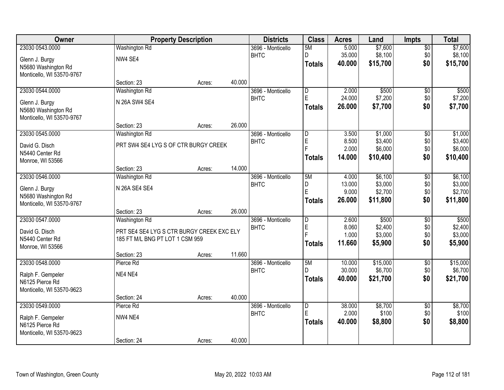| Owner                     |                                           | <b>Property Description</b> |        | <b>Districts</b>  | <b>Class</b>     | <b>Acres</b>    | Land     | <b>Impts</b>    | <b>Total</b> |
|---------------------------|-------------------------------------------|-----------------------------|--------|-------------------|------------------|-----------------|----------|-----------------|--------------|
| 23030 0543.0000           | Washington Rd                             |                             |        | 3696 - Monticello | 5M               | 5.000           | \$7,600  | \$0             | \$7,600      |
| Glenn J. Burgy            | NW4 SE4                                   |                             |        | <b>BHTC</b>       | D.               | 35.000          | \$8,100  | \$0             | \$8,100      |
| N5680 Washington Rd       |                                           |                             |        |                   | <b>Totals</b>    | 40,000          | \$15,700 | \$0             | \$15,700     |
| Monticello, WI 53570-9767 |                                           |                             |        |                   |                  |                 |          |                 |              |
|                           | Section: 23                               | Acres:                      | 40.000 |                   |                  |                 |          |                 |              |
| 23030 0544.0000           | Washington Rd                             |                             |        | 3696 - Monticello | D                | 2.000           | \$500    | \$0             | \$500        |
| Glenn J. Burgy            | N 26A SW4 SE4                             |                             |        | <b>BHTC</b>       | E                | 24.000          | \$7,200  | \$0             | \$7,200      |
| N5680 Washington Rd       |                                           |                             |        |                   | Totals           | 26.000          | \$7,700  | \$0             | \$7,700      |
| Monticello, WI 53570-9767 |                                           |                             |        |                   |                  |                 |          |                 |              |
|                           | Section: 23                               | Acres:                      | 26.000 |                   |                  |                 |          |                 |              |
| 23030 0545.0000           | Washington Rd                             |                             |        | 3696 - Monticello | $\overline{D}$   | 3.500           | \$1,000  | \$0             | \$1,000      |
| David G. Disch            | PRT SW4 SE4 LYG S OF CTR BURGY CREEK      |                             |        | <b>BHTC</b>       | $\mathsf E$<br>E | 8.500           | \$3,400  | \$0             | \$3,400      |
| N5440 Center Rd           |                                           |                             |        |                   |                  | 2.000           | \$6,000  | \$0             | \$6,000      |
| Monroe, WI 53566          |                                           |                             |        |                   | <b>Totals</b>    | 14.000          | \$10,400 | \$0             | \$10,400     |
|                           | Section: 23                               | Acres:                      | 14.000 |                   |                  |                 |          |                 |              |
| 23030 0546.0000           | Washington Rd                             |                             |        | 3696 - Monticello | 5M               | 4.000           | \$6,100  | \$0             | \$6,100      |
| Glenn J. Burgy            | N 26A SE4 SE4                             |                             |        | <b>BHTC</b>       | D<br>E           | 13.000          | \$3,000  | \$0             | \$3,000      |
| N5680 Washington Rd       |                                           |                             |        |                   |                  | 9.000           | \$2,700  | \$0             | \$2,700      |
| Monticello, WI 53570-9767 |                                           |                             |        |                   | Totals           | 26.000          | \$11,800 | \$0             | \$11,800     |
|                           | Section: 23                               | Acres:                      | 26.000 |                   |                  |                 |          |                 |              |
| 23030 0547.0000           | Washington Rd                             |                             |        | 3696 - Monticello | D                | 2.600           | \$500    | \$0             | \$500        |
| David G. Disch            | PRT SE4 SE4 LYG S CTR BURGY CREEK EXC ELY |                             |        | <b>BHTC</b>       | E<br>E           | 8.060           | \$2,400  | \$0             | \$2,400      |
| N5440 Center Rd           | 185 FT M/L BNG PT LOT 1 CSM 959           |                             |        |                   |                  | 1.000<br>11.660 | \$3,000  | \$0<br>\$0      | \$3,000      |
| Monroe, WI 53566          |                                           |                             |        |                   | <b>Totals</b>    |                 | \$5,900  |                 | \$5,900      |
|                           | Section: 23                               | Acres:                      | 11.660 |                   |                  |                 |          |                 |              |
| 23030 0548.0000           | Pierce Rd                                 |                             |        | 3696 - Monticello | 5M               | 10.000          | \$15,000 | $\sqrt{$0}$     | \$15,000     |
| Ralph F. Gempeler         | NE4 NE4                                   |                             |        | <b>BHTC</b>       | D                | 30.000          | \$6,700  | \$0             | \$6,700      |
| N6125 Pierce Rd           |                                           |                             |        |                   | <b>Totals</b>    | 40.000          | \$21,700 | \$0             | \$21,700     |
| Monticello, WI 53570-9623 |                                           |                             |        |                   |                  |                 |          |                 |              |
|                           | Section: 24                               | Acres:                      | 40.000 |                   |                  |                 |          |                 |              |
| 23030 0549.0000           | Pierce Rd                                 |                             |        | 3696 - Monticello | $\overline{D}$   | 38,000          | \$8,700  | $\overline{50}$ | \$8,700      |
| Ralph F. Gempeler         | NW4 NE4                                   |                             |        | <b>BHTC</b>       | E                | 2.000           | \$100    | \$0             | \$100        |
| N6125 Pierce Rd           |                                           |                             |        |                   | <b>Totals</b>    | 40.000          | \$8,800  | \$0             | \$8,800      |
| Monticello, WI 53570-9623 |                                           |                             |        |                   |                  |                 |          |                 |              |
|                           | Section: 24                               | Acres:                      | 40.000 |                   |                  |                 |          |                 |              |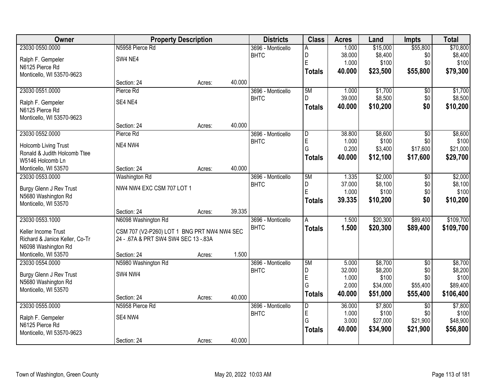| Owner                          | <b>Property Description</b>                 |        |        | <b>Districts</b>  | <b>Class</b>   | <b>Acres</b>    | Land                 | <b>Impts</b>         | <b>Total</b>      |
|--------------------------------|---------------------------------------------|--------|--------|-------------------|----------------|-----------------|----------------------|----------------------|-------------------|
| 23030 0550.0000                | N5958 Pierce Rd                             |        |        | 3696 - Monticello | A              | 1.000           | \$15,000             | \$55,800             | \$70,800          |
| Ralph F. Gempeler              | SW4 NE4                                     |        |        | <b>BHTC</b>       | D              | 38.000          | \$8,400              | \$0                  | \$8,400           |
| N6125 Pierce Rd                |                                             |        |        |                   | E              | 1.000           | \$100                | \$0                  | \$100             |
| Monticello, WI 53570-9623      |                                             |        |        |                   | <b>Totals</b>  | 40.000          | \$23,500             | \$55,800             | \$79,300          |
|                                | Section: 24                                 | Acres: | 40.000 |                   |                |                 |                      |                      |                   |
| 23030 0551.0000                | Pierce Rd                                   |        |        | 3696 - Monticello | 5M             | 1.000           | \$1,700              | \$0                  | \$1,700           |
| Ralph F. Gempeler              | SE4 NE4                                     |        |        | <b>BHTC</b>       | D              | 39.000          | \$8,500              | \$0                  | \$8,500           |
| N6125 Pierce Rd                |                                             |        |        |                   | <b>Totals</b>  | 40.000          | \$10,200             | \$0                  | \$10,200          |
| Monticello, WI 53570-9623      |                                             |        |        |                   |                |                 |                      |                      |                   |
|                                | Section: 24                                 | Acres: | 40.000 |                   |                |                 |                      |                      |                   |
| 23030 0552.0000                | Pierce Rd                                   |        |        | 3696 - Monticello | $\overline{D}$ | 38.800          | \$8,600              | $\overline{50}$      | \$8,600           |
| Holcomb Living Trust           | NE4 NW4                                     |        |        | <b>BHTC</b>       | E              | 1.000           | \$100                | \$0                  | \$100             |
| Ronald & Judith Holcomb Ttee   |                                             |        |        |                   | G              | 0.200           | \$3,400              | \$17,600             | \$21,000          |
| W5146 Holcomb Ln               |                                             |        |        |                   | <b>Totals</b>  | 40.000          | \$12,100             | \$17,600             | \$29,700          |
| Monticello, WI 53570           | Section: 24                                 | Acres: | 40.000 |                   |                |                 |                      |                      |                   |
| 23030 0553.0000                | Washington Rd                               |        |        | 3696 - Monticello | 5M             | 1.335           | \$2,000              | \$0                  | \$2,000           |
| Burgy Glenn J Rev Trust        | NW4 NW4 EXC CSM 707 LOT 1                   |        |        | <b>BHTC</b>       | D              | 37.000          | \$8,100              | \$0                  | \$8,100           |
| N5680 Washington Rd            |                                             |        |        |                   | E              | 1.000           | \$100                | \$0                  | \$100             |
| Monticello, WI 53570           |                                             |        |        |                   | <b>Totals</b>  | 39.335          | \$10,200             | \$0                  | \$10,200          |
|                                | Section: 24                                 | Acres: | 39.335 |                   |                |                 |                      |                      |                   |
| 23030 0553.1000                | N6098 Washington Rd                         |        |        | 3696 - Monticello | $\overline{A}$ | 1.500           | \$20,300             | \$89,400             | \$109,700         |
| Keller Income Trust            | CSM 707 (V2-P260) LOT 1 BNG PRT NW4 NW4 SEC |        |        | <b>BHTC</b>       | <b>Totals</b>  | 1.500           | \$20,300             | \$89,400             | \$109,700         |
| Richard & Janice Keller, Co-Tr | 24 - .67A & PRT SW4 SW4 SEC 13 -.83A        |        |        |                   |                |                 |                      |                      |                   |
| N6098 Washington Rd            |                                             |        |        |                   |                |                 |                      |                      |                   |
| Monticello, WI 53570           | Section: 24                                 | Acres: | 1.500  |                   |                |                 |                      |                      |                   |
| 23030 0554.0000                | N5980 Washington Rd                         |        |        | 3696 - Monticello | 5M             | 5.000           | \$8,700              | $\sqrt{$0}$          | \$8,700           |
| Burgy Glenn J Rev Trust        | SW4 NW4                                     |        |        | <b>BHTC</b>       | D              | 32.000          | \$8,200<br>\$100     | \$0                  | \$8,200           |
| N5680 Washington Rd            |                                             |        |        |                   | E<br>G         | 1.000<br>2.000  | \$34,000             | \$0<br>\$55,400      | \$100<br>\$89,400 |
| Monticello, WI 53570           |                                             |        |        |                   | <b>Totals</b>  | 40.000          | \$51,000             | \$55,400             | \$106,400         |
|                                | Section: 24                                 | Acres: | 40.000 |                   |                |                 |                      |                      |                   |
| 23030 0555.0000                | N5958 Pierce Rd                             |        |        | 3696 - Monticello | $\overline{D}$ | 36.000          | \$7,800              | $\overline{50}$      | \$7,800           |
| Ralph F. Gempeler              | SE4 NW4                                     |        |        | <b>BHTC</b>       | E              | 1.000           | \$100                | \$0                  | \$100             |
| N6125 Pierce Rd                |                                             |        |        |                   | G              | 3.000<br>40.000 | \$27,000<br>\$34,900 | \$21,900<br>\$21,900 | \$48,900          |
| Monticello, WI 53570-9623      |                                             |        |        |                   | <b>Totals</b>  |                 |                      |                      | \$56,800          |
|                                | Section: 24                                 | Acres: | 40.000 |                   |                |                 |                      |                      |                   |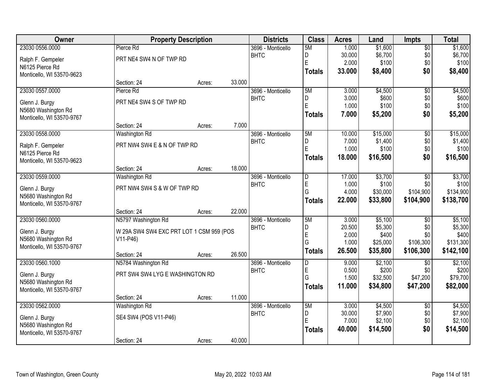| <b>Owner</b>              |                                          | <b>Property Description</b> |        | <b>Districts</b>  | <b>Class</b>  | <b>Acres</b> | Land     | <b>Impts</b>    | <b>Total</b> |
|---------------------------|------------------------------------------|-----------------------------|--------|-------------------|---------------|--------------|----------|-----------------|--------------|
| 23030 0556.0000           | Pierce Rd                                |                             |        | 3696 - Monticello | 5M            | 1.000        | \$1,600  | $\overline{50}$ | \$1,600      |
| Ralph F. Gempeler         | PRT NE4 SW4 N OF TWP RD                  |                             |        | <b>BHTC</b>       | D             | 30.000       | \$6,700  | \$0             | \$6,700      |
| N6125 Pierce Rd           |                                          |                             |        |                   | E             | 2.000        | \$100    | \$0             | \$100        |
| Monticello, WI 53570-9623 |                                          |                             |        |                   | <b>Totals</b> | 33.000       | \$8,400  | \$0             | \$8,400      |
|                           | Section: 24                              | Acres:                      | 33.000 |                   |               |              |          |                 |              |
| 23030 0557.0000           | Pierce Rd                                |                             |        | 3696 - Monticello | 5M            | 3.000        | \$4,500  | $\overline{50}$ | \$4,500      |
| Glenn J. Burgy            | PRT NE4 SW4 S OF TWP RD                  |                             |        | <b>BHTC</b>       | D             | 3.000        | \$600    | \$0             | \$600        |
| N5680 Washington Rd       |                                          |                             |        |                   | E             | 1.000        | \$100    | \$0             | \$100        |
| Monticello, WI 53570-9767 |                                          |                             |        |                   | <b>Totals</b> | 7.000        | \$5,200  | \$0             | \$5,200      |
|                           | Section: 24                              | Acres:                      | 7.000  |                   |               |              |          |                 |              |
| 23030 0558.0000           | Washington Rd                            |                             |        | 3696 - Monticello | 5M            | 10.000       | \$15,000 | \$0             | \$15,000     |
| Ralph F. Gempeler         | PRT NW4 SW4 E & N OF TWP RD              |                             |        | <b>BHTC</b>       | D             | 7.000        | \$1,400  | \$0             | \$1,400      |
| N6125 Pierce Rd           |                                          |                             |        |                   | E             | 1.000        | \$100    | \$0             | \$100        |
| Monticello, WI 53570-9623 |                                          |                             |        |                   | <b>Totals</b> | 18.000       | \$16,500 | \$0             | \$16,500     |
|                           | Section: 24                              | Acres:                      | 18.000 |                   |               |              |          |                 |              |
| 23030 0559.0000           | Washington Rd                            |                             |        | 3696 - Monticello | D             | 17.000       | \$3,700  | \$0             | \$3,700      |
| Glenn J. Burgy            | PRT NW4 SW4 S & W OF TWP RD              |                             |        | <b>BHTC</b>       | E             | 1.000        | \$100    | \$0             | \$100        |
| N5680 Washington Rd       |                                          |                             |        |                   | G             | 4.000        | \$30,000 | \$104,900       | \$134,900    |
| Monticello, WI 53570-9767 |                                          |                             |        |                   | <b>Totals</b> | 22.000       | \$33,800 | \$104,900       | \$138,700    |
|                           | Section: 24                              | Acres:                      | 22.000 |                   |               |              |          |                 |              |
| 23030 0560.0000           | N5797 Washington Rd                      |                             |        | 3696 - Monticello | 5M            | 3.000        | \$5,100  | $\overline{30}$ | \$5,100      |
| Glenn J. Burgy            | W 29A SW4 SW4 EXC PRT LOT 1 CSM 959 (POS |                             |        | <b>BHTC</b>       | D             | 20.500       | \$5,300  | \$0             | \$5,300      |
| N5680 Washington Rd       | V11-P46)                                 |                             |        |                   | E<br>G        | 2.000        | \$400    | \$0             | \$400        |
| Monticello, WI 53570-9767 |                                          |                             |        |                   |               | 1.000        | \$25,000 | \$106,300       | \$131,300    |
|                           | Section: 24                              | Acres:                      | 26.500 |                   | <b>Totals</b> | 26.500       | \$35,800 | \$106,300       | \$142,100    |
| 23030 0560.1000           | N5784 Washington Rd                      |                             |        | 3696 - Monticello | D             | 9.000        | \$2,100  | $\overline{50}$ | \$2,100      |
| Glenn J. Burgy            | PRT SW4 SW4 LYG E WASHINGTON RD          |                             |        | <b>BHTC</b>       | E             | 0.500        | \$200    | \$0             | \$200        |
| N5680 Washington Rd       |                                          |                             |        |                   | G             | 1.500        | \$32,500 | \$47,200        | \$79,700     |
| Monticello, WI 53570-9767 |                                          |                             |        |                   | <b>Totals</b> | 11.000       | \$34,800 | \$47,200        | \$82,000     |
|                           | Section: 24                              | Acres:                      | 11.000 |                   |               |              |          |                 |              |
| 23030 0562.0000           | Washington Rd                            |                             |        | 3696 - Monticello | 5M            | 3.000        | \$4,500  | $\overline{30}$ | \$4,500      |
| Glenn J. Burgy            | SE4 SW4 (POS V11-P46)                    |                             |        | <b>BHTC</b>       | D             | 30.000       | \$7,900  | \$0             | \$7,900      |
| N5680 Washington Rd       |                                          |                             |        |                   | E             | 7.000        | \$2,100  | \$0             | \$2,100      |
| Monticello, WI 53570-9767 |                                          |                             |        |                   | <b>Totals</b> | 40.000       | \$14,500 | \$0             | \$14,500     |
|                           | Section: 24                              | Acres:                      | 40.000 |                   |               |              |          |                 |              |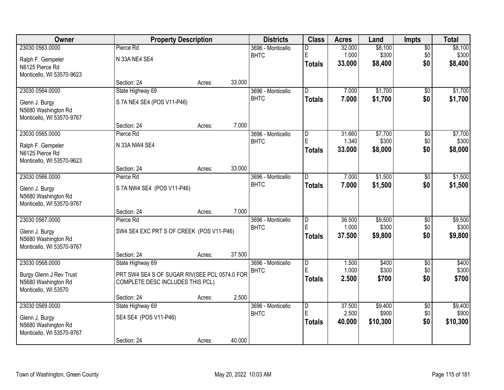| Owner                                 |                                               | <b>Property Description</b> |        | <b>Districts</b>                 | <b>Class</b>                 | <b>Acres</b>   | Land     | <b>Impts</b>           | <b>Total</b>     |
|---------------------------------------|-----------------------------------------------|-----------------------------|--------|----------------------------------|------------------------------|----------------|----------|------------------------|------------------|
| 23030 0563.0000                       | Pierce Rd                                     |                             |        | 3696 - Monticello                | D                            | 32.000         | \$8,100  | $\overline{50}$        | \$8,100          |
| Ralph F. Gempeler                     | N 33A NE4 SE4                                 |                             |        | <b>BHTC</b>                      | E                            | 1.000          | \$300    | \$0                    | \$300            |
| N6125 Pierce Rd                       |                                               |                             |        |                                  | <b>Totals</b>                | 33.000         | \$8,400  | \$0                    | \$8,400          |
| Monticello, WI 53570-9623             |                                               |                             |        |                                  |                              |                |          |                        |                  |
|                                       | Section: 24                                   | Acres:                      | 33.000 |                                  |                              |                |          |                        |                  |
| 23030 0564.0000                       | State Highway 69                              |                             |        | 3696 - Monticello                | $\overline{D}$               | 7.000          | \$1,700  | $\overline{50}$        | \$1,700          |
| Glenn J. Burgy                        | S 7A NE4 SE4 (POS V11-P46)                    |                             |        | <b>BHTC</b>                      | <b>Totals</b>                | 7.000          | \$1,700  | \$0                    | \$1,700          |
| N5680 Washington Rd                   |                                               |                             |        |                                  |                              |                |          |                        |                  |
| Monticello, WI 53570-9767             |                                               |                             |        |                                  |                              |                |          |                        |                  |
| 23030 0565.0000                       | Section: 24<br>Pierce Rd                      | Acres:                      | 7.000  | 3696 - Monticello                | $\overline{D}$               | 31.660         | \$7,700  |                        | \$7,700          |
|                                       |                                               |                             |        | <b>BHTC</b>                      | E                            | 1.340          | \$300    | \$0<br>\$0             | \$300            |
| Ralph F. Gempeler                     | N 33A NW4 SE4                                 |                             |        |                                  | <b>Totals</b>                | 33.000         | \$8,000  | \$0                    | \$8,000          |
| N6125 Pierce Rd                       |                                               |                             |        |                                  |                              |                |          |                        |                  |
| Monticello, WI 53570-9623             | Section: 24                                   | Acres:                      | 33.000 |                                  |                              |                |          |                        |                  |
| 23030 0566.0000                       | Pierce Rd                                     |                             |        | 3696 - Monticello                | D                            | 7.000          | \$1,500  | \$0                    | \$1,500          |
|                                       |                                               |                             |        | <b>BHTC</b>                      | <b>Totals</b>                | 7.000          | \$1,500  | \$0                    | \$1,500          |
| Glenn J. Burgy<br>N5680 Washington Rd | S 7A NW4 SE4 (POS V11-P46)                    |                             |        |                                  |                              |                |          |                        |                  |
| Monticello, WI 53570-9767             |                                               |                             |        |                                  |                              |                |          |                        |                  |
|                                       | Section: 24                                   | Acres:                      | 7.000  |                                  |                              |                |          |                        |                  |
| 23030 0567.0000                       | Pierce Rd                                     |                             |        | 3696 - Monticello                | $\overline{\mathsf{D}}$      | 36.500         | \$9,500  | \$0                    | \$9,500          |
| Glenn J. Burgy                        | SW4 SE4 EXC PRT S OF CREEK (POS V11-P46)      |                             |        | <b>BHTC</b>                      | E                            | 1.000          | \$300    | \$0                    | \$300            |
| N5680 Washington Rd                   |                                               |                             |        |                                  | <b>Totals</b>                | 37.500         | \$9,800  | \$0                    | \$9,800          |
| Monticello, WI 53570-9767             |                                               |                             |        |                                  |                              |                |          |                        |                  |
|                                       | Section: 24                                   | Acres:                      | 37.500 |                                  |                              |                |          |                        |                  |
| 23030 0568.0000                       | State Highway 69                              |                             |        | 3696 - Monticello                | D<br>E                       | 1.500          | \$400    | $\overline{50}$        | \$400            |
| Burgy Glenn J Rev Trust               | PRT SW4 SE4 S OF SUGAR RIV(SEE PCL 0574.0 FOR |                             |        | <b>BHTC</b>                      |                              | 1.000<br>2.500 | \$300    | \$0<br>\$0             | \$300<br>\$700   |
| N5680 Washington Rd                   | COMPLETE DESC INCLUDES THIS PCL)              |                             |        |                                  | <b>Totals</b>                |                | \$700    |                        |                  |
| Monticello, WI 53570                  |                                               |                             |        |                                  |                              |                |          |                        |                  |
| 23030 0569.0000                       | Section: 24                                   | Acres:                      | 2.500  |                                  |                              | 37.500         | \$9,400  |                        |                  |
|                                       | State Highway 69                              |                             |        | 3696 - Monticello<br><b>BHTC</b> | $\overline{\mathsf{D}}$<br>E | 2.500          | \$900    | $\overline{50}$<br>\$0 | \$9,400<br>\$900 |
| Glenn J. Burgy                        | SE4 SE4 (POS V11-P46)                         |                             |        |                                  | <b>Totals</b>                | 40.000         | \$10,300 | \$0                    | \$10,300         |
| N5680 Washington Rd                   |                                               |                             |        |                                  |                              |                |          |                        |                  |
| Monticello, WI 53570-9767             | Section: 24                                   | Acres:                      | 40.000 |                                  |                              |                |          |                        |                  |
|                                       |                                               |                             |        |                                  |                              |                |          |                        |                  |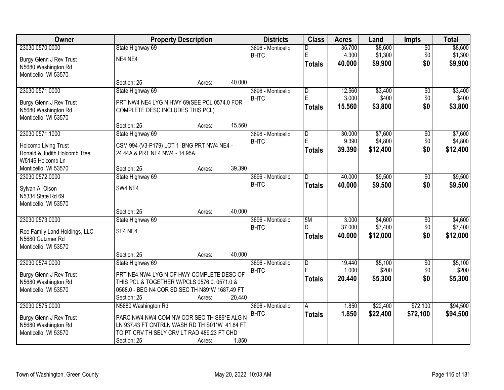| Owner                         |                                                | <b>Property Description</b> |        | <b>Districts</b>  | <b>Class</b>            | <b>Acres</b> | Land     | <b>Impts</b>    | <b>Total</b> |
|-------------------------------|------------------------------------------------|-----------------------------|--------|-------------------|-------------------------|--------------|----------|-----------------|--------------|
| 23030 0570.0000               | State Highway 69                               |                             |        | 3696 - Monticello | D                       | 35.700       | \$8,600  | $\sqrt{$0}$     | \$8,600      |
| Burgy Glenn J Rev Trust       | NE4 NE4                                        |                             |        | <b>BHTC</b>       | E                       | 4.300        | \$1,300  | \$0             | \$1,300      |
| N5680 Washington Rd           |                                                |                             |        |                   | <b>Totals</b>           | 40.000       | \$9,900  | \$0             | \$9,900      |
| Monticello, WI 53570          |                                                |                             |        |                   |                         |              |          |                 |              |
|                               | Section: 25                                    | Acres:                      | 40.000 |                   |                         |              |          |                 |              |
| 23030 0571.0000               | State Highway 69                               |                             |        | 3696 - Monticello | $\overline{\mathsf{D}}$ | 12.560       | \$3,400  | $\overline{50}$ | \$3,400      |
| Burgy Glenn J Rev Trust       | PRT NW4 NE4 LYG N HWY 69(SEE PCL 0574.0 FOR    |                             |        | <b>BHTC</b>       | E                       | 3.000        | \$400    | \$0             | \$400        |
| N5680 Washington Rd           | COMPLETE DESC INCLUDES THIS PCL)               |                             |        |                   | <b>Totals</b>           | 15.560       | \$3,800  | \$0             | \$3,800      |
| Monticello, WI 53570          |                                                |                             |        |                   |                         |              |          |                 |              |
|                               | Section: 25                                    | Acres:                      | 15.560 |                   |                         |              |          |                 |              |
| 23030 0571.1000               | State Highway 69                               |                             |        | 3696 - Monticello | D                       | 30.000       | \$7,600  | \$0             | \$7,600      |
| Holcomb Living Trust          | CSM 994 (V3-P179) LOT 1 BNG PRT NW4 NE4 -      |                             |        | <b>BHTC</b>       | E                       | 9.390        | \$4,800  | \$0             | \$4,800      |
| Ronald & Judith Holcomb Ttee  | 24.44A & PRT NE4 NW4 - 14.95A                  |                             |        |                   | <b>Totals</b>           | 39.390       | \$12,400 | \$0             | \$12,400     |
| W5146 Holcomb Ln              |                                                |                             |        |                   |                         |              |          |                 |              |
| Monticello, WI 53570          | Section: 25                                    | Acres:                      | 39.390 |                   |                         |              |          |                 |              |
| 23030 0572.0000               | State Highway 69                               |                             |        | 3696 - Monticello | D                       | 40.000       | \$9,500  | \$0             | \$9,500      |
| Sylvan A. Olson               | SW4 NE4                                        |                             |        | <b>BHTC</b>       | <b>Totals</b>           | 40.000       | \$9,500  | \$0             | \$9,500      |
| N5334 State Rd 69             |                                                |                             |        |                   |                         |              |          |                 |              |
| Monticello, WI 53570          |                                                |                             |        |                   |                         |              |          |                 |              |
|                               | Section: 25                                    | Acres:                      | 40.000 |                   |                         |              |          |                 |              |
| 23030 0573.0000               | State Highway 69                               |                             |        | 3696 - Monticello | 5M                      | 3.000        | \$4,600  | $\overline{50}$ | \$4,600      |
| Roe Family Land Holdings, LLC | SE4 NE4                                        |                             |        | <b>BHTC</b>       | D.                      | 37.000       | \$7,400  | \$0             | \$7,400      |
| N5680 Gutzmer Rd              |                                                |                             |        |                   | <b>Totals</b>           | 40.000       | \$12,000 | \$0             | \$12,000     |
| Monticello, WI 53570          |                                                |                             |        |                   |                         |              |          |                 |              |
|                               | Section: 25                                    | Acres:                      | 40.000 |                   |                         |              |          |                 |              |
| 23030 0574.0000               | State Highway 69                               |                             |        | 3696 - Monticello | $\overline{\mathsf{D}}$ | 19.440       | \$5,100  | $\overline{50}$ | \$5,100      |
| Burgy Glenn J Rev Trust       | PRT NE4 NW4 LYG N OF HWY COMPLETE DESC OF      |                             |        | <b>BHTC</b>       | E                       | 1.000        | \$200    | \$0             | \$200        |
| N5680 Washington Rd           | THIS PCL & TOGETHER W/PCLS 0576.0, 0571.0 &    |                             |        |                   | <b>Totals</b>           | 20.440       | \$5,300  | \$0             | \$5,300      |
| Monticello, WI 53570          | 0568.0 - BEG N4 COR SD SEC TH N89*W 1687.49 FT |                             |        |                   |                         |              |          |                 |              |
|                               | Section: 25                                    | Acres:                      | 20.440 |                   |                         |              |          |                 |              |
| 23030 0575.0000               | N5680 Washington Rd                            |                             |        | 3696 - Monticello | A                       | 1.850        | \$22,400 | \$72,100        | \$94,500     |
| Burgy Glenn J Rev Trust       | PARC NW4 NW4 COM NW COR SEC TH S89*E ALG N     |                             |        | <b>BHTC</b>       | <b>Totals</b>           | 1.850        | \$22,400 | \$72,100        | \$94,500     |
| N5680 Washington Rd           | LN 937.43 FT CNTRLN WASH RD TH S01*W 41.84 FT  |                             |        |                   |                         |              |          |                 |              |
| Monticello, WI 53570          | TO PT CRV TH SELY CRV LT RAD 489.23 FT CHD     |                             |        |                   |                         |              |          |                 |              |
|                               | Section: 25                                    | Acres:                      | 1.850  |                   |                         |              |          |                 |              |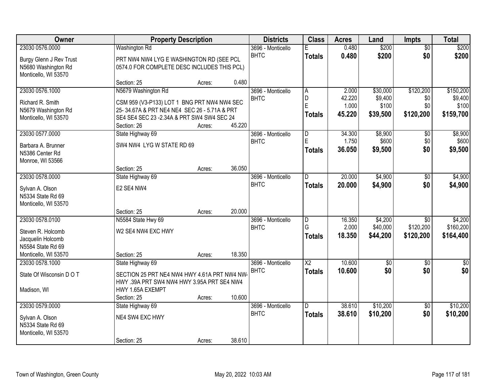| Owner                                                                  | <b>Property Description</b>                                                                 |        |        | <b>Districts</b>                 | <b>Class</b>                 | <b>Acres</b>    | Land                | Impts                        | <b>Total</b>         |
|------------------------------------------------------------------------|---------------------------------------------------------------------------------------------|--------|--------|----------------------------------|------------------------------|-----------------|---------------------|------------------------------|----------------------|
| 23030 0576.0000                                                        | <b>Washington Rd</b>                                                                        |        |        | 3696 - Monticello                | F                            | 0.480           | \$200               | $\overline{50}$              | \$200                |
| Burgy Glenn J Rev Trust<br>N5680 Washington Rd<br>Monticello, WI 53570 | PRT NW4 NW4 LYG E WASHINGTON RD (SEE PCL<br>0574.0 FOR COMPLETE DESC INCLUDES THIS PCL)     |        |        | <b>BHTC</b>                      | <b>Totals</b>                | 0.480           | \$200               | \$0                          | \$200                |
|                                                                        | Section: 25                                                                                 | Acres: | 0.480  |                                  |                              |                 |                     |                              |                      |
| 23030 0576.1000                                                        | N5679 Washington Rd                                                                         |        |        | 3696 - Monticello<br><b>BHTC</b> | A<br>D                       | 2.000<br>42.220 | \$30,000<br>\$9,400 | \$120,200<br>\$0             | \$150,200<br>\$9,400 |
| Richard R. Smith                                                       | CSM 959 (V3-P133) LOT 1 BNG PRT NW4 NW4 SEC<br>25-34.67A & PRT NE4 NE4 SEC 26 - 5.71A & PRT |        |        |                                  | E                            | 1.000           | \$100               | \$0                          | \$100                |
| N5679 Washington Rd<br>Monticello, WI 53570                            | SE4 SE4 SEC 23 - 2.34A & PRT SW4 SW4 SEC 24<br>Section: 26                                  | Acres: | 45.220 |                                  | <b>Totals</b>                | 45.220          | \$39,500            | \$120,200                    | \$159,700            |
| 23030 0577.0000                                                        | State Highway 69                                                                            |        |        | 3696 - Monticello                | D                            | 34.300          | \$8,900             | \$0                          | \$8,900              |
| Barbara A. Brunner<br>N5386 Center Rd<br>Monroe, WI 53566              | SW4 NW4 LYG W STATE RD 69                                                                   |        |        | <b>BHTC</b>                      | E<br><b>Totals</b>           | 1.750<br>36.050 | \$600<br>\$9,500    | \$0<br>\$0                   | \$600<br>\$9,500     |
|                                                                        | Section: 25                                                                                 | Acres: | 36.050 |                                  |                              |                 |                     |                              |                      |
| 23030 0578.0000                                                        | State Highway 69                                                                            |        |        | 3696 - Monticello                | D                            | 20.000          | \$4,900             | \$0                          | \$4,900              |
| Sylvan A. Olson<br>N5334 State Rd 69<br>Monticello, WI 53570           | E2 SE4 NW4                                                                                  |        |        | <b>BHTC</b>                      | <b>Totals</b>                | 20.000          | \$4,900             | \$0                          | \$4,900              |
|                                                                        | Section: 25                                                                                 | Acres: | 20.000 |                                  |                              |                 |                     |                              |                      |
| 23030 0578.0100                                                        | N5584 State Hwy 69                                                                          |        |        | 3696 - Monticello<br><b>BHTC</b> | $\overline{\mathsf{D}}$<br>G | 16.350<br>2.000 | \$4,200<br>\$40,000 | $\overline{50}$<br>\$120,200 | \$4,200<br>\$160,200 |
| Steven R. Holcomb<br>Jacquelin Holcomb<br>N5584 State Rd 69            | W2 SE4 NW4 EXC HWY                                                                          |        |        |                                  | <b>Totals</b>                | 18.350          | \$44,200            | \$120,200                    | \$164,400            |
| Monticello, WI 53570                                                   | Section: 25                                                                                 | Acres: | 18.350 |                                  |                              |                 |                     |                              |                      |
| 23030 0578.1000                                                        | State Highway 69                                                                            |        |        | 3696 - Monticello                | $\overline{\text{X2}}$       | 10.600          | $\sqrt{$0}$         | $\overline{50}$              | \$0                  |
| State Of Wisconsin D O T                                               | SECTION 25 PRT NE4 NW4 HWY 4.61A PRT NW4 NW<br>HWY .39A PRT SW4 NW4 HWY 3.95A PRT SE4 NW4   |        |        | <b>BHTC</b>                      | <b>Totals</b>                | 10.600          | \$0                 | \$0                          | \$0                  |
| Madison, WI                                                            | HWY 1.65A EXEMPT<br>Section: 25                                                             | Acres: | 10.600 |                                  |                              |                 |                     |                              |                      |
| 23030 0579.0000                                                        | State Highway 69                                                                            |        |        | 3696 - Monticello                | $\overline{D}$               | 38.610          | \$10,200            | $\overline{50}$              | \$10,200             |
| Sylvan A. Olson<br>N5334 State Rd 69<br>Monticello, WI 53570           | NE4 SW4 EXC HWY                                                                             |        |        | <b>BHTC</b>                      | <b>Totals</b>                | 38.610          | \$10,200            | \$0                          | \$10,200             |
|                                                                        | Section: 25                                                                                 | Acres: | 38.610 |                                  |                              |                 |                     |                              |                      |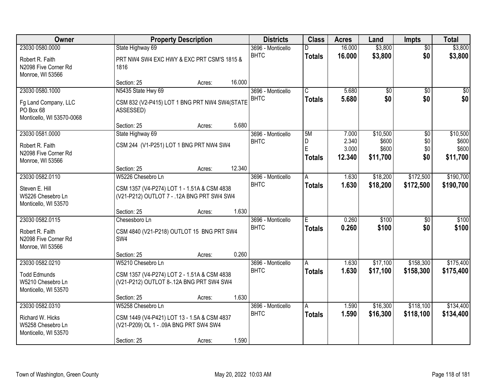| Owner                                                          |                                                                                           | <b>Property Description</b> |        | <b>Districts</b>                 | <b>Class</b>          | <b>Acres</b>   | Land                 | <b>Impts</b>    | <b>Total</b>    |
|----------------------------------------------------------------|-------------------------------------------------------------------------------------------|-----------------------------|--------|----------------------------------|-----------------------|----------------|----------------------|-----------------|-----------------|
| 23030 0580.0000                                                | State Highway 69                                                                          |                             |        | 3696 - Monticello                | D                     | 16.000         | \$3,800              | $\overline{30}$ | \$3,800         |
| Robert R. Faith<br>N2098 Five Corner Rd<br>Monroe, WI 53566    | PRT NW4 SW4 EXC HWY & EXC PRT CSM'S 1815 &<br>1816                                        |                             |        | <b>BHTC</b>                      | <b>Totals</b>         | 16.000         | \$3,800              | \$0             | \$3,800         |
|                                                                | Section: 25                                                                               | Acres:                      | 16.000 |                                  |                       |                |                      |                 |                 |
| 23030 0580.1000                                                | N5435 State Hwy 69                                                                        |                             |        | 3696 - Monticello                | $\overline{\text{c}}$ | 5.680          | $\overline{50}$      | $\overline{30}$ | $\overline{30}$ |
| Fg Land Company, LLC<br>PO Box 68<br>Monticello, WI 53570-0068 | CSM 832 (V2-P415) LOT 1 BNG PRT NW4 SW4(STATE<br>ASSESSED)                                |                             |        | <b>BHTC</b>                      | <b>Totals</b>         | 5.680          | \$0                  | \$0             | \$0             |
|                                                                | Section: 25                                                                               | Acres:                      | 5.680  |                                  |                       |                |                      |                 |                 |
| 23030 0581.0000                                                | State Highway 69                                                                          |                             |        | 3696 - Monticello                | 5M                    | 7.000          | \$10,500             | \$0             | \$10,500        |
| Robert R. Faith                                                | CSM 244 (V1-P251) LOT 1 BNG PRT NW4 SW4                                                   |                             |        | <b>BHTC</b>                      | D<br>E                | 2.340<br>3.000 | \$600<br>\$600       | \$0<br>\$0      | \$600<br>\$600  |
| N2098 Five Corner Rd                                           |                                                                                           |                             |        |                                  | <b>Totals</b>         | 12.340         | \$11,700             | \$0             | \$11,700        |
| Monroe, WI 53566                                               |                                                                                           |                             |        |                                  |                       |                |                      |                 |                 |
| 23030 0582.0110                                                | Section: 25<br>W5226 Chesebro Ln                                                          | Acres:                      | 12.340 |                                  |                       |                |                      | \$172,500       | \$190,700       |
|                                                                |                                                                                           |                             |        | 3696 - Monticello<br><b>BHTC</b> | A                     | 1.630<br>1.630 | \$18,200<br>\$18,200 | \$172,500       | \$190,700       |
| Steven E. Hill<br>W5226 Chesebro Ln<br>Monticello, WI 53570    | CSM 1357 (V4-P274) LOT 1 - 1.51A & CSM 4838<br>(V21-P212) OUTLOT 7 - .12A BNG PRT SW4 SW4 |                             |        |                                  | <b>Totals</b>         |                |                      |                 |                 |
|                                                                | Section: 25                                                                               | Acres:                      | 1.630  |                                  |                       |                |                      |                 |                 |
| 23030 0582.0115                                                | Chesesboro Ln                                                                             |                             |        | 3696 - Monticello                | E                     | 0.260          | \$100                | $\overline{50}$ | \$100           |
| Robert R. Faith                                                | CSM 4840 (V21-P218) OUTLOT 15 BNG PRT SW4                                                 |                             |        | <b>BHTC</b>                      | <b>Totals</b>         | 0.260          | \$100                | \$0             | \$100           |
| N2098 Five Corner Rd                                           | SW4                                                                                       |                             |        |                                  |                       |                |                      |                 |                 |
| Monroe, WI 53566                                               |                                                                                           |                             |        |                                  |                       |                |                      |                 |                 |
|                                                                | Section: 25                                                                               | Acres:                      | 0.260  |                                  |                       |                |                      |                 |                 |
| 23030 0582.0210                                                | W5210 Chesebro Ln                                                                         |                             |        | 3696 - Monticello<br><b>BHTC</b> | A                     | 1.630          | \$17,100             | \$158,300       | \$175,400       |
| <b>Todd Edmunds</b>                                            | CSM 1357 (V4-P274) LOT 2 - 1.51A & CSM 4838                                               |                             |        |                                  | <b>Totals</b>         | 1.630          | \$17,100             | \$158,300       | \$175,400       |
| W5210 Chesebro Ln                                              | (V21-P212) OUTLOT 8-.12A BNG PRT SW4 SW4                                                  |                             |        |                                  |                       |                |                      |                 |                 |
| Monticello, WI 53570                                           | Section: 25                                                                               | Acres:                      | 1.630  |                                  |                       |                |                      |                 |                 |
| 23030 0582.0310                                                | W5258 Chesebro Ln                                                                         |                             |        | 3696 - Monticello                | A                     | 1.590          | \$16,300             | \$118,100       | \$134,400       |
|                                                                |                                                                                           |                             |        | <b>BHTC</b>                      | <b>Totals</b>         | 1.590          | \$16,300             | \$118,100       | \$134,400       |
| Richard W. Hicks                                               | CSM 1449 (V4-P421) LOT 13 - 1.5A & CSM 4837                                               |                             |        |                                  |                       |                |                      |                 |                 |
| W5258 Chesebro Ln<br>Monticello, WI 53570                      | (V21-P209) OL 1 - .09A BNG PRT SW4 SW4                                                    |                             |        |                                  |                       |                |                      |                 |                 |
|                                                                | Section: 25                                                                               | Acres:                      | 1.590  |                                  |                       |                |                      |                 |                 |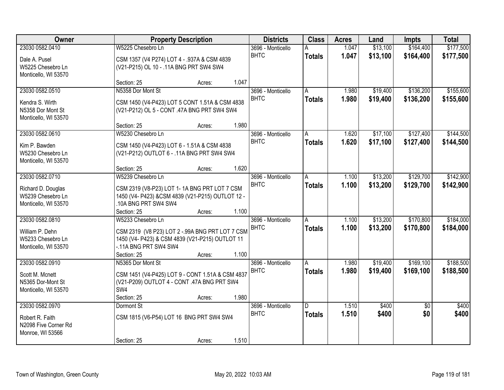| <b>Owner</b>                              |                                                                          | <b>Property Description</b> |       | <b>Districts</b>                 | <b>Class</b>  | <b>Acres</b> | Land     | <b>Impts</b>    | <b>Total</b> |
|-------------------------------------------|--------------------------------------------------------------------------|-----------------------------|-------|----------------------------------|---------------|--------------|----------|-----------------|--------------|
| 23030 0582.0410                           | W5225 Chesebro Ln                                                        |                             |       | 3696 - Monticello                |               | 1.047        | \$13,100 | \$164,400       | \$177,500    |
| Dale A. Pusel                             | CSM 1357 (V4 P274) LOT 4 - .937A & CSM 4839                              |                             |       | <b>BHTC</b>                      | <b>Totals</b> | 1.047        | \$13,100 | \$164,400       | \$177,500    |
| W5225 Chesebro Ln                         | (V21-P215) OL 10 - .11A BNG PRT SW4 SW4                                  |                             |       |                                  |               |              |          |                 |              |
| Monticello, WI 53570                      |                                                                          |                             |       |                                  |               |              |          |                 |              |
|                                           | Section: 25                                                              | Acres:                      | 1.047 |                                  |               |              |          |                 |              |
| 23030 0582.0510                           | N5358 Dor Mont St                                                        |                             |       | 3696 - Monticello<br><b>BHTC</b> | A             | 1.980        | \$19,400 | \$136,200       | \$155,600    |
| Kendra S. Wirth                           | CSM 1450 (V4-P423) LOT 5 CONT 1.51A & CSM 4838                           |                             |       |                                  | <b>Totals</b> | 1.980        | \$19,400 | \$136,200       | \$155,600    |
| N5358 Dor Mont St                         | (V21-P212) OL 5 - CONT .47A BNG PRT SW4 SW4                              |                             |       |                                  |               |              |          |                 |              |
| Monticello, WI 53570                      |                                                                          |                             |       |                                  |               |              |          |                 |              |
| 23030 0582.0610                           | Section: 25<br>W5230 Chesebro Ln                                         | Acres:                      | 1.980 | 3696 - Monticello                | A             | 1.620        | \$17,100 | \$127,400       | \$144,500    |
|                                           |                                                                          |                             |       | <b>BHTC</b>                      | <b>Totals</b> | 1.620        | \$17,100 | \$127,400       | \$144,500    |
| Kim P. Bawden                             | CSM 1450 (V4-P423) LOT 6 - 1.51A & CSM 4838                              |                             |       |                                  |               |              |          |                 |              |
| W5230 Chesebro Ln                         | (V21-P212) OUTLOT 6 - .11A BNG PRT SW4 SW4                               |                             |       |                                  |               |              |          |                 |              |
| Monticello, WI 53570                      | Section: 25                                                              | Acres:                      | 1.620 |                                  |               |              |          |                 |              |
| 23030 0582.0710                           | W5239 Chesebro Ln                                                        |                             |       | 3696 - Monticello                | A             | 1.100        | \$13,200 | \$129,700       | \$142,900    |
|                                           |                                                                          |                             |       | <b>BHTC</b>                      | <b>Totals</b> | 1.100        | \$13,200 | \$129,700       | \$142,900    |
| Richard D. Douglas                        | CSM 2319 (V8-P23) LOT 1-1A BNG PRT LOT 7 CSM                             |                             |       |                                  |               |              |          |                 |              |
| W5239 Chesebro Ln<br>Monticello, WI 53570 | 1450 (V4- P423) &CSM 4839 (V21-P215) OUTLOT 12 -<br>.10A BNG PRT SW4 SW4 |                             |       |                                  |               |              |          |                 |              |
|                                           | Section: 25                                                              | Acres:                      | 1.100 |                                  |               |              |          |                 |              |
| 23030 0582.0810                           | W5233 Chesebro Ln                                                        |                             |       | 3696 - Monticello                | A             | 1.100        | \$13,200 | \$170,800       | \$184,000    |
| William P. Dehn                           | CSM 2319 (V8 P23) LOT 2 - 99A BNG PRT LOT 7 CSM                          |                             |       | <b>BHTC</b>                      | <b>Totals</b> | 1.100        | \$13,200 | \$170,800       | \$184,000    |
| W5233 Chesebro Ln                         | 1450 (V4- P423) & CSM 4839 (V21-P215) OUTLOT 11                          |                             |       |                                  |               |              |          |                 |              |
| Monticello, WI 53570                      | -.11A BNG PRT SW4 SW4                                                    |                             |       |                                  |               |              |          |                 |              |
|                                           | Section: 25                                                              | Acres:                      | 1.100 |                                  |               |              |          |                 |              |
| 23030 0582.0910                           | N5365 Dor Mont St                                                        |                             |       | 3696 - Monticello                | A             | 1.980        | \$19,400 | \$169,100       | \$188,500    |
| Scott M. Mcnett                           | CSM 1451 (V4-P425) LOT 9 - CONT 1.51A & CSM 4837                         |                             |       | <b>BHTC</b>                      | <b>Totals</b> | 1.980        | \$19,400 | \$169,100       | \$188,500    |
| N5365 Dor-Mont St                         | (V21-P209) OUTLOT 4 - CONT .47A BNG PRT SW4                              |                             |       |                                  |               |              |          |                 |              |
| Monticello, WI 53570                      | SW4                                                                      |                             |       |                                  |               |              |          |                 |              |
|                                           | Section: 25                                                              | Acres:                      | 1.980 |                                  |               |              |          |                 |              |
| 23030 0582.0970                           | Dormont St                                                               |                             |       | 3696 - Monticello                | D.            | 1.510        | \$400    | $\overline{50}$ | \$400        |
| Robert R. Faith                           | CSM 1815 (V6-P54) LOT 16 BNG PRT SW4 SW4                                 |                             |       | <b>BHTC</b>                      | <b>Totals</b> | 1.510        | \$400    | \$0             | \$400        |
| N2098 Five Corner Rd                      |                                                                          |                             |       |                                  |               |              |          |                 |              |
| Monroe, WI 53566                          |                                                                          |                             |       |                                  |               |              |          |                 |              |
|                                           | Section: 25                                                              | Acres:                      | 1.510 |                                  |               |              |          |                 |              |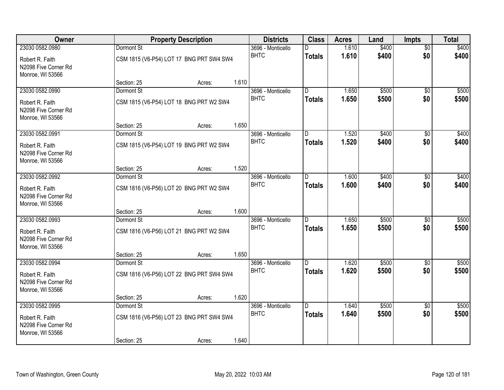| Owner                                                       |             | <b>Property Description</b>              |       | <b>Districts</b>  | <b>Class</b>   | <b>Acres</b> | Land  | <b>Impts</b>    | <b>Total</b> |
|-------------------------------------------------------------|-------------|------------------------------------------|-------|-------------------|----------------|--------------|-------|-----------------|--------------|
| 23030 0582.0980                                             | Dormont St  |                                          |       | 3696 - Monticello | D.             | 1.610        | \$400 | $\overline{50}$ | \$400        |
| Robert R. Faith<br>N2098 Five Corner Rd<br>Monroe, WI 53566 |             | CSM 1815 (V6-P54) LOT 17 BNG PRT SW4 SW4 |       | <b>BHTC</b>       | <b>Totals</b>  | 1.610        | \$400 | \$0             | \$400        |
|                                                             | Section: 25 | Acres:                                   | 1.610 |                   |                |              |       |                 |              |
| 23030 0582.0990                                             | Dormont St  |                                          |       | 3696 - Monticello | D              | 1.650        | \$500 | $\overline{50}$ | \$500        |
| Robert R. Faith<br>N2098 Five Corner Rd<br>Monroe, WI 53566 |             | CSM 1815 (V6-P54) LOT 18 BNG PRT W2 SW4  |       | <b>BHTC</b>       | <b>Totals</b>  | 1.650        | \$500 | \$0             | \$500        |
|                                                             | Section: 25 | Acres:                                   | 1.650 |                   |                |              |       |                 |              |
| 23030 0582.0991                                             | Dormont St  |                                          |       | 3696 - Monticello | D              | 1.520        | \$400 | \$0             | \$400        |
| Robert R. Faith<br>N2098 Five Corner Rd<br>Monroe, WI 53566 |             | CSM 1815 (V6-P54) LOT 19 BNG PRT W2 SW4  |       | <b>BHTC</b>       | <b>Totals</b>  | 1.520        | \$400 | \$0             | \$400        |
|                                                             | Section: 25 | Acres:                                   | 1.520 |                   |                |              |       |                 |              |
| 23030 0582.0992                                             | Dormont St  |                                          |       | 3696 - Monticello | D.             | 1.600        | \$400 | $\sqrt{6}$      | \$400        |
| Robert R. Faith<br>N2098 Five Corner Rd<br>Monroe, WI 53566 |             | CSM 1816 (V6-P56) LOT 20 BNG PRT W2 SW4  |       | <b>BHTC</b>       | Totals         | 1.600        | \$400 | \$0             | \$400        |
|                                                             | Section: 25 | Acres:                                   | 1.600 |                   |                |              |       |                 |              |
| 23030 0582.0993                                             | Dormont St  |                                          |       | 3696 - Monticello | $\overline{D}$ | 1.650        | \$500 | \$0             | \$500        |
| Robert R. Faith                                             |             | CSM 1816 (V6-P56) LOT 21 BNG PRT W2 SW4  |       | <b>BHTC</b>       | <b>Totals</b>  | 1.650        | \$500 | \$0             | \$500        |
| N2098 Five Corner Rd<br>Monroe, WI 53566                    |             |                                          |       |                   |                |              |       |                 |              |
|                                                             | Section: 25 | Acres:                                   | 1.650 |                   |                |              |       |                 |              |
| 23030 0582.0994                                             | Dormont St  |                                          |       | 3696 - Monticello | D              | 1.620        | \$500 | \$0             | \$500        |
| Robert R. Faith<br>N2098 Five Corner Rd<br>Monroe, WI 53566 |             | CSM 1816 (V6-P56) LOT 22 BNG PRT SW4 SW4 |       | <b>BHTC</b>       | <b>Totals</b>  | 1.620        | \$500 | \$0             | \$500        |
|                                                             | Section: 25 | Acres:                                   | 1.620 |                   |                |              |       |                 |              |
| 23030 0582.0995                                             | Dormont St  |                                          |       | 3696 - Monticello | D.             | 1.640        | \$500 | $\overline{60}$ | \$500        |
| Robert R. Faith<br>N2098 Five Corner Rd<br>Monroe, WI 53566 |             | CSM 1816 (V6-P56) LOT 23 BNG PRT SW4 SW4 |       | <b>BHTC</b>       | <b>Totals</b>  | 1.640        | \$500 | \$0             | \$500        |
|                                                             | Section: 25 | Acres:                                   | 1.640 |                   |                |              |       |                 |              |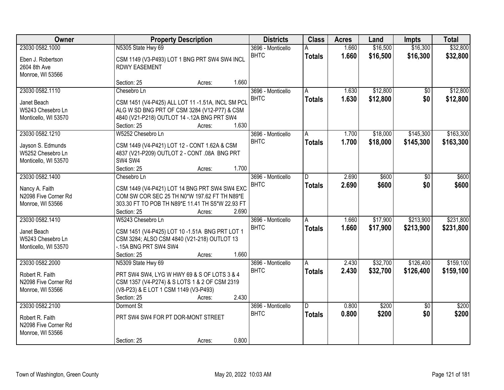| Owner                                    |                                                                                                  | <b>Property Description</b> |       | <b>Districts</b>                 | <b>Class</b>       | <b>Acres</b>   | Land                 | <b>Impts</b>           | <b>Total</b>           |
|------------------------------------------|--------------------------------------------------------------------------------------------------|-----------------------------|-------|----------------------------------|--------------------|----------------|----------------------|------------------------|------------------------|
| 23030 0582.1000                          | N5305 State Hwy 69                                                                               |                             |       | 3696 - Monticello<br><b>BHTC</b> | A<br><b>Totals</b> | 1.660<br>1.660 | \$16,500<br>\$16,500 | \$16,300<br>\$16,300   | \$32,800<br>\$32,800   |
| Eben J. Robertson<br>2604 8th Ave        | CSM 1149 (V3-P493) LOT 1 BNG PRT SW4 SW4 INCL<br><b>RDWY EASEMENT</b>                            |                             |       |                                  |                    |                |                      |                        |                        |
| Monroe, WI 53566                         | Section: 25                                                                                      | Acres:                      | 1.660 |                                  |                    |                |                      |                        |                        |
| 23030 0582.1110                          | Chesebro Ln                                                                                      |                             |       | 3696 - Monticello                | A                  | 1.630          | \$12,800             | \$0                    | \$12,800               |
| Janet Beach                              | CSM 1451 (V4-P425) ALL LOT 11 -1.51A, INCL SM PCL                                                |                             |       | <b>BHTC</b>                      | <b>Totals</b>      | 1.630          | \$12,800             | \$0                    | \$12,800               |
| W5243 Chesebro Ln                        | ALG W SD BNG PRT OF CSM 3284 (V12-P77) & CSM                                                     |                             |       |                                  |                    |                |                      |                        |                        |
| Monticello, WI 53570                     | 4840 (V21-P218) OUTLOT 14 -. 12A BNG PRT SW4<br>Section: 25                                      | Acres:                      | 1.630 |                                  |                    |                |                      |                        |                        |
| 23030 0582.1210                          | W5252 Chesebro Ln                                                                                |                             |       | 3696 - Monticello                | A                  | 1.700          | \$18,000             | \$145,300              | \$163,300              |
| Jayson S. Edmunds                        | CSM 1449 (V4-P421) LOT 12 - CONT 1.62A & CSM                                                     |                             |       | <b>BHTC</b>                      | <b>Totals</b>      | 1.700          | \$18,000             | \$145,300              | \$163,300              |
| W5252 Chesebro Ln                        | 4837 (V21-P209) OUTLOT 2 - CONT .08A BNG PRT                                                     |                             |       |                                  |                    |                |                      |                        |                        |
| Monticello, WI 53570                     | SW4 SW4                                                                                          |                             |       |                                  |                    |                |                      |                        |                        |
| 23030 0582.1400                          | Section: 25<br>Chesebro Ln                                                                       | Acres:                      | 1.700 | 3696 - Monticello                | D                  | 2.690          | \$600                | \$0                    | \$600                  |
|                                          |                                                                                                  |                             |       | <b>BHTC</b>                      | <b>Totals</b>      | 2.690          | \$600                | \$0                    | \$600                  |
| Nancy A. Faith                           | CSM 1449 (V4-P421) LOT 14 BNG PRT SW4 SW4 EXC                                                    |                             |       |                                  |                    |                |                      |                        |                        |
| N2098 Five Corner Rd<br>Monroe, WI 53566 | COM SW COR SEC 25 TH N0*W 197.62 FT TH N89*E<br>303.30 FT TO POB TH N89*E 11.41 TH S5*W 22.93 FT |                             |       |                                  |                    |                |                      |                        |                        |
|                                          | Section: 25                                                                                      | Acres:                      | 2.690 |                                  |                    |                |                      |                        |                        |
| 23030 0582.1410                          | W5243 Chesebro Ln                                                                                |                             |       | 3696 - Monticello                | $\overline{A}$     | 1.660          | \$17,900             | \$213,900              | \$231,800              |
| Janet Beach                              | CSM 1451 (V4-P425) LOT 10 -1.51A BNG PRT LOT 1                                                   |                             |       | <b>BHTC</b>                      | <b>Totals</b>      | 1.660          | \$17,900             | \$213,900              | \$231,800              |
| W5243 Chesebro Ln                        | CSM 3284; ALSO CSM 4840 (V21-218) OUTLOT 13                                                      |                             |       |                                  |                    |                |                      |                        |                        |
| Monticello, WI 53570                     | -. 15A BNG PRT SW4 SW4                                                                           |                             |       |                                  |                    |                |                      |                        |                        |
|                                          | Section: 25                                                                                      | Acres:                      | 1.660 |                                  |                    |                |                      |                        |                        |
| 23030 0582.2000                          | N5309 State Hwy 69                                                                               |                             |       | 3696 - Monticello<br><b>BHTC</b> | A<br><b>Totals</b> | 2.430<br>2.430 | \$32,700<br>\$32,700 | \$126,400<br>\$126,400 | \$159,100<br>\$159,100 |
| Robert R. Faith                          | PRT SW4 SW4, LYG W HWY 69 & S OF LOTS 3 & 4                                                      |                             |       |                                  |                    |                |                      |                        |                        |
| N2098 Five Corner Rd                     | CSM 1357 (V4-P274) & S LOTS 1 & 2 OF CSM 2319<br>(V8-P23) & E LOT 1 CSM 1149 (V3-P493)           |                             |       |                                  |                    |                |                      |                        |                        |
| Monroe, WI 53566                         | Section: 25                                                                                      | Acres:                      | 2.430 |                                  |                    |                |                      |                        |                        |
| 23030 0582.2100                          | Dormont St                                                                                       |                             |       | 3696 - Monticello                | $\overline{D}$     | 0.800          | \$200                | $\overline{30}$        | \$200                  |
| Robert R. Faith                          | PRT SW4 SW4 FOR PT DOR-MONT STREET                                                               |                             |       | <b>BHTC</b>                      | <b>Totals</b>      | 0.800          | \$200                | \$0                    | \$200                  |
| N2098 Five Corner Rd                     |                                                                                                  |                             |       |                                  |                    |                |                      |                        |                        |
| Monroe, WI 53566                         |                                                                                                  |                             |       |                                  |                    |                |                      |                        |                        |
|                                          | Section: 25                                                                                      | Acres:                      | 0.800 |                                  |                    |                |                      |                        |                        |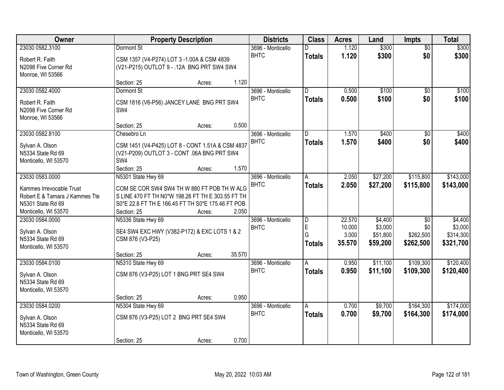| Owner                          |                                                   | <b>Property Description</b> |        | <b>Districts</b>                 | <b>Class</b>            | <b>Acres</b>    | Land                | <b>Impts</b>     | <b>Total</b>         |
|--------------------------------|---------------------------------------------------|-----------------------------|--------|----------------------------------|-------------------------|-----------------|---------------------|------------------|----------------------|
| 23030 0582.3100                | Dormont St                                        |                             |        | 3696 - Monticello                | D                       | 1.120           | \$300               | $\overline{50}$  | \$300                |
| Robert R. Faith                | CSM 1357 (V4-P274) LOT 3 -1.00A & CSM 4839        |                             |        | <b>BHTC</b>                      | <b>Totals</b>           | 1.120           | \$300               | \$0              | \$300                |
| N2098 Five Corner Rd           | (V21-P215) OUTLOT 9 - .12A BNG PRT SW4 SW4        |                             |        |                                  |                         |                 |                     |                  |                      |
| Monroe, WI 53566               |                                                   |                             |        |                                  |                         |                 |                     |                  |                      |
|                                | Section: 25                                       | Acres:                      | 1.120  |                                  |                         |                 |                     |                  |                      |
| 23030 0582.4000                | Dormont St                                        |                             |        | 3696 - Monticello                | $\overline{D}$          | 0.500           | \$100               | $\overline{50}$  | \$100                |
| Robert R. Faith                | CSM 1816 (V6-P56) JANCEY LANE BNG PRT SW4         |                             |        | <b>BHTC</b>                      | <b>Totals</b>           | 0.500           | \$100               | \$0              | \$100                |
| N2098 Five Corner Rd           | SW4                                               |                             |        |                                  |                         |                 |                     |                  |                      |
| Monroe, WI 53566               |                                                   |                             |        |                                  |                         |                 |                     |                  |                      |
|                                | Section: 25                                       | Acres:                      | 0.500  |                                  |                         |                 |                     |                  |                      |
| 23030 0582.8100                | Chesebro Ln                                       |                             |        | 3696 - Monticello                | D                       | 1.570           | \$400               | \$0              | \$400                |
| Sylvan A. Olson                | CSM 1451 (V4-P425) LOT 8 - CONT 1.51A & CSM 4837  |                             |        | <b>BHTC</b>                      | <b>Totals</b>           | 1.570           | \$400               | \$0              | \$400                |
| N5334 State Rd 69              | (V21-P209) OUTLOT 3 - CONT .06A BNG PRT SW4       |                             |        |                                  |                         |                 |                     |                  |                      |
| Monticello, WI 53570           | SW4                                               |                             |        |                                  |                         |                 |                     |                  |                      |
|                                | Section: 25                                       | Acres:                      | 1.570  |                                  |                         |                 |                     |                  |                      |
| 23030 0583.0000                | N5301 State Hwy 69                                |                             |        | 3696 - Monticello<br><b>BHTC</b> | Α                       | 2.050           | \$27,200            | \$115,800        | \$143,000            |
| Kammes Irrevocable Trust       | COM SE COR SW4 SW4 TH W 880 FT POB TH W ALG       |                             |        |                                  | <b>Totals</b>           | 2.050           | \$27,200            | \$115,800        | \$143,000            |
| Robert E & Tamara J Kammes Tte | S LINE 470 FT TH N0*W 198.26 FT TH E 303.55 FT TH |                             |        |                                  |                         |                 |                     |                  |                      |
| N5301 State Rd 69              | S0*E 22.8 FT TH E 166.45 FT TH S0*E 175.46 FT POB |                             |        |                                  |                         |                 |                     |                  |                      |
| Monticello, WI 53570           | Section: 25                                       | Acres:                      | 2.050  |                                  |                         |                 |                     |                  |                      |
| 23030 0584.0000                | N5336 State Hwy 69                                |                             |        | 3696 - Monticello                | $\overline{\mathsf{D}}$ | 22.570          | \$4,400             | $\overline{50}$  | \$4,400              |
| Sylvan A. Olson                | SE4 SW4 EXC HWY (V382-P172) & EXC LOTS 1 & 2      |                             |        | <b>BHTC</b>                      | E<br>G                  | 10.000<br>3.000 | \$3,000<br>\$51,800 | \$0<br>\$262,500 | \$3,000<br>\$314,300 |
| N5334 State Rd 69              | CSM 876 (V3-P25)                                  |                             |        |                                  | <b>Totals</b>           | 35.570          | \$59,200            | \$262,500        | \$321,700            |
| Monticello, WI 53570           |                                                   |                             |        |                                  |                         |                 |                     |                  |                      |
|                                | Section: 25                                       | Acres:                      | 35.570 |                                  |                         |                 |                     |                  |                      |
| 23030 0584.0100                | N5310 State Hwy 69                                |                             |        | 3696 - Monticello                | A                       | 0.950           | \$11,100            | \$109,300        | \$120,400            |
| Sylvan A. Olson                | CSM 876 (V3-P25) LOT 1 BNG PRT SE4 SW4            |                             |        | <b>BHTC</b>                      | <b>Totals</b>           | 0.950           | \$11,100            | \$109,300        | \$120,400            |
| N5334 State Rd 69              |                                                   |                             |        |                                  |                         |                 |                     |                  |                      |
| Monticello, WI 53570           |                                                   |                             |        |                                  |                         |                 |                     |                  |                      |
|                                | Section: 25                                       | Acres:                      | 0.950  |                                  |                         |                 |                     |                  |                      |
| 23030 0584.0200                | N5304 State Hwy 69                                |                             |        | 3696 - Monticello<br><b>BHTC</b> | A                       | 0.700           | \$9,700             | \$164,300        | \$174,000            |
| Sylvan A. Olson                | CSM 876 (V3-P25) LOT 2 BNG PRT SE4 SW4            |                             |        |                                  | <b>Totals</b>           | 0.700           | \$9,700             | \$164,300        | \$174,000            |
| N5334 State Rd 69              |                                                   |                             |        |                                  |                         |                 |                     |                  |                      |
| Monticello, WI 53570           |                                                   |                             |        |                                  |                         |                 |                     |                  |                      |
|                                | Section: 25                                       | Acres:                      | 0.700  |                                  |                         |                 |                     |                  |                      |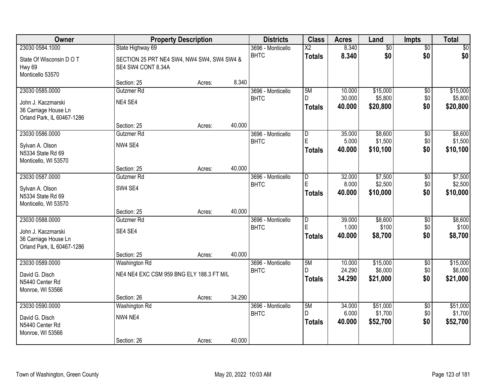| Owner                                                                    |                                                                  | <b>Property Description</b> |        | <b>Districts</b>                 | <b>Class</b>              | <b>Acres</b>               | Land                            | <b>Impts</b>             | <b>Total</b>                    |
|--------------------------------------------------------------------------|------------------------------------------------------------------|-----------------------------|--------|----------------------------------|---------------------------|----------------------------|---------------------------------|--------------------------|---------------------------------|
| 23030 0584.1000                                                          | State Highway 69                                                 |                             |        | 3696 - Monticello                | $\overline{\text{X2}}$    | 8.340                      | $\overline{50}$                 | $\overline{50}$          | $\sqrt{50}$                     |
| State Of Wisconsin D O T<br>Hwy 69<br>Monticello 53570                   | SECTION 25 PRT NE4 SW4, NW4 SW4, SW4 SW4 &<br>SE4 SW4 CONT 8.34A |                             |        | <b>BHTC</b>                      | <b>Totals</b>             | 8.340                      | \$0                             | \$0                      | \$0                             |
|                                                                          | Section: 25                                                      | Acres:                      | 8.340  |                                  |                           |                            |                                 |                          |                                 |
| 23030 0585.0000                                                          | Gutzmer Rd                                                       |                             |        | 3696 - Monticello                | 5M                        | 10.000                     | \$15,000                        | \$0                      | \$15,000                        |
| John J. Kaczmarski<br>36 Carriage House Ln<br>Orland Park, IL 60467-1286 | NE4 SE4                                                          |                             |        | <b>BHTC</b>                      | D.<br><b>Totals</b>       | 30.000<br>40.000           | \$5,800<br>\$20,800             | \$0<br>\$0               | \$5,800<br>\$20,800             |
|                                                                          | Section: 25                                                      | Acres:                      | 40.000 |                                  |                           |                            |                                 |                          |                                 |
| 23030 0586.0000                                                          | Gutzmer Rd                                                       |                             |        | 3696 - Monticello                | D                         | 35.000                     | \$8,600                         | \$0                      | \$8,600                         |
| Sylvan A. Olson<br>N5334 State Rd 69<br>Monticello, WI 53570             | NW4 SE4                                                          |                             |        | <b>BHTC</b>                      | E<br><b>Totals</b>        | 5.000<br>40.000            | \$1,500<br>\$10,100             | \$0<br>\$0               | \$1,500<br>\$10,100             |
|                                                                          | Section: 25                                                      | Acres:                      | 40.000 |                                  |                           |                            |                                 |                          |                                 |
| 23030 0587.0000                                                          | Gutzmer Rd                                                       |                             |        | 3696 - Monticello                | $\overline{D}$            | 32.000                     | \$7,500                         | \$0                      | \$7,500                         |
| Sylvan A. Olson<br>N5334 State Rd 69<br>Monticello, WI 53570             | SW4 SE4                                                          |                             |        | <b>BHTC</b>                      | E<br><b>Totals</b>        | 8.000<br>40.000            | \$2,500<br>\$10,000             | \$0<br>\$0               | \$2,500<br>\$10,000             |
|                                                                          | Section: 25                                                      | Acres:                      | 40.000 |                                  |                           |                            |                                 |                          |                                 |
| 23030 0588.0000                                                          | Gutzmer Rd                                                       |                             |        | 3696 - Monticello                | $\overline{\mathsf{D}}$   | 39.000                     | \$8,600                         | \$0                      | \$8,600                         |
| John J. Kaczmarski<br>36 Carriage House Ln<br>Orland Park, IL 60467-1286 | SE4 SE4                                                          |                             |        | <b>BHTC</b>                      | Ė<br><b>Totals</b>        | 1.000<br>40.000            | \$100<br>\$8,700                | \$0<br>\$0               | \$100<br>\$8,700                |
|                                                                          | Section: 25                                                      | Acres:                      | 40.000 |                                  |                           |                            |                                 |                          |                                 |
| 23030 0589.0000<br>David G. Disch<br>N5440 Center Rd<br>Monroe, WI 53566 | Washington Rd<br>NE4 NE4 EXC CSM 959 BNG ELY 188.3 FT M/L        |                             |        | 3696 - Monticello<br><b>BHTC</b> | 5M<br>D.<br><b>Totals</b> | 10.000<br>24.290<br>34.290 | \$15,000<br>\$6,000<br>\$21,000 | $\sqrt{6}$<br>\$0<br>\$0 | \$15,000<br>\$6,000<br>\$21,000 |
|                                                                          | Section: 26                                                      | Acres:                      | 34.290 |                                  |                           |                            |                                 |                          |                                 |
| 23030 0590.0000                                                          | <b>Washington Rd</b>                                             |                             |        | 3696 - Monticello                | 5M                        | 34.000                     | \$51,000                        | $\overline{50}$          | \$51,000                        |
| David G. Disch<br>N5440 Center Rd<br>Monroe, WI 53566                    | NW4 NE4<br>Section: 26                                           |                             | 40.000 | <b>BHTC</b>                      | D<br><b>Totals</b>        | 6.000<br>40.000            | \$1,700<br>\$52,700             | \$0<br>\$0               | \$1,700<br>\$52,700             |
|                                                                          |                                                                  | Acres:                      |        |                                  |                           |                            |                                 |                          |                                 |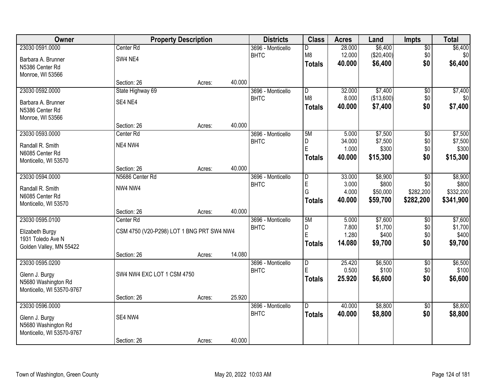| <b>Owner</b>              |                                           | <b>Property Description</b> |        | <b>Districts</b>  | <b>Class</b>   | <b>Acres</b> | Land       | <b>Impts</b>    | <b>Total</b> |
|---------------------------|-------------------------------------------|-----------------------------|--------|-------------------|----------------|--------------|------------|-----------------|--------------|
| 23030 0591.0000           | Center Rd                                 |                             |        | 3696 - Monticello | D              | 28.000       | \$6,400    | \$0             | \$6,400      |
| Barbara A. Brunner        | SW4 NE4                                   |                             |        | <b>BHTC</b>       | M <sub>8</sub> | 12.000       | (\$20,400) | \$0             | \$0          |
| N5386 Center Rd           |                                           |                             |        |                   | <b>Totals</b>  | 40.000       | \$6,400    | \$0             | \$6,400      |
| Monroe, WI 53566          |                                           |                             |        |                   |                |              |            |                 |              |
|                           | Section: 26                               | Acres:                      | 40.000 |                   |                |              |            |                 |              |
| 23030 0592.0000           | State Highway 69                          |                             |        | 3696 - Monticello | $\overline{D}$ | 32.000       | \$7,400    | \$0             | \$7,400      |
| Barbara A. Brunner        | SE4 NE4                                   |                             |        | <b>BHTC</b>       | M8             | 8.000        | (\$13,600) | \$0             | \$0          |
| N5386 Center Rd           |                                           |                             |        |                   | <b>Totals</b>  | 40.000       | \$7,400    | \$0             | \$7,400      |
| Monroe, WI 53566          |                                           |                             |        |                   |                |              |            |                 |              |
|                           | Section: 26                               | Acres:                      | 40.000 |                   |                |              |            |                 |              |
| 23030 0593.0000           | Center Rd                                 |                             |        | 3696 - Monticello | 5M             | 5.000        | \$7,500    | \$0             | \$7,500      |
| Randall R. Smith          | NE4 NW4                                   |                             |        | <b>BHTC</b>       | D              | 34.000       | \$7,500    | \$0             | \$7,500      |
| N6085 Center Rd           |                                           |                             |        |                   | $\mathsf E$    | 1.000        | \$300      | \$0             | \$300        |
| Monticello, WI 53570      |                                           |                             |        |                   | <b>Totals</b>  | 40,000       | \$15,300   | \$0             | \$15,300     |
|                           | Section: 26                               | Acres:                      | 40.000 |                   |                |              |            |                 |              |
| 23030 0594.0000           | N5686 Center Rd                           |                             |        | 3696 - Monticello | D              | 33.000       | \$8,900    | \$0             | \$8,900      |
| Randall R. Smith          | NW4 NW4                                   |                             |        | <b>BHTC</b>       | $\overline{E}$ | 3.000        | \$800      | \$0             | \$800        |
| N6085 Center Rd           |                                           |                             |        |                   | G              | 4.000        | \$50,000   | \$282,200       | \$332,200    |
| Monticello, WI 53570      |                                           |                             |        |                   | <b>Totals</b>  | 40.000       | \$59,700   | \$282,200       | \$341,900    |
|                           | Section: 26                               | Acres:                      | 40.000 |                   |                |              |            |                 |              |
| 23030 0595.0100           | Center Rd                                 |                             |        | 3696 - Monticello | 5M             | 5.000        | \$7,600    | \$0             | \$7,600      |
| Elizabeth Burgy           | CSM 4750 (V20-P298) LOT 1 BNG PRT SW4 NW4 |                             |        | <b>BHTC</b>       | D              | 7.800        | \$1,700    | \$0             | \$1,700      |
| 1931 Toledo Ave N         |                                           |                             |        |                   | E              | 1.280        | \$400      | \$0             | \$400        |
| Golden Valley, MN 55422   |                                           |                             |        |                   | Totals         | 14.080       | \$9,700    | \$0             | \$9,700      |
|                           | Section: 26                               | Acres:                      | 14.080 |                   |                |              |            |                 |              |
| 23030 0595.0200           |                                           |                             |        | 3696 - Monticello | $\overline{D}$ | 25.420       | \$6,500    | $\overline{50}$ | \$6,500      |
| Glenn J. Burgy            | SW4 NW4 EXC LOT 1 CSM 4750                |                             |        | <b>BHTC</b>       | E              | 0.500        | \$100      | \$0             | \$100        |
| N5680 Washington Rd       |                                           |                             |        |                   | <b>Totals</b>  | 25.920       | \$6,600    | \$0             | \$6,600      |
| Monticello, WI 53570-9767 |                                           |                             |        |                   |                |              |            |                 |              |
|                           | Section: 26                               | Acres:                      | 25.920 |                   |                |              |            |                 |              |
| 23030 0596.0000           |                                           |                             |        | 3696 - Monticello | $\overline{D}$ | 40.000       | \$8,800    | $\overline{50}$ | \$8,800      |
| Glenn J. Burgy            | SE4 NW4                                   |                             |        | <b>BHTC</b>       | <b>Totals</b>  | 40.000       | \$8,800    | \$0             | \$8,800      |
| N5680 Washington Rd       |                                           |                             |        |                   |                |              |            |                 |              |
| Monticello, WI 53570-9767 |                                           |                             |        |                   |                |              |            |                 |              |
|                           | Section: 26                               | Acres:                      | 40.000 |                   |                |              |            |                 |              |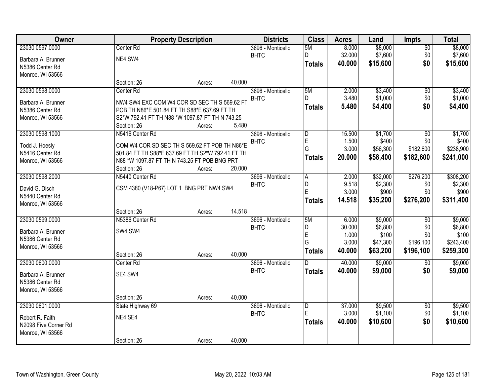| Owner                |                                                   | <b>Property Description</b> |        | <b>Districts</b>  | <b>Class</b>   | <b>Acres</b>   | Land              | Impts           | <b>Total</b>     |
|----------------------|---------------------------------------------------|-----------------------------|--------|-------------------|----------------|----------------|-------------------|-----------------|------------------|
| 23030 0597.0000      | Center Rd                                         |                             |        | 3696 - Monticello | 5M             | 8.000          | \$8,000           | $\overline{50}$ | \$8,000          |
| Barbara A. Brunner   | NE4 SW4                                           |                             |        | <b>BHTC</b>       | D              | 32.000         | \$7,600           | \$0             | \$7,600          |
| N5386 Center Rd      |                                                   |                             |        |                   | <b>Totals</b>  | 40.000         | \$15,600          | \$0             | \$15,600         |
| Monroe, WI 53566     |                                                   |                             |        |                   |                |                |                   |                 |                  |
|                      | Section: 26                                       | Acres:                      | 40.000 |                   |                |                |                   |                 |                  |
| 23030 0598.0000      | Center Rd                                         |                             |        | 3696 - Monticello | 5M             | 2.000          | \$3,400           | $\overline{50}$ | \$3,400          |
| Barbara A. Brunner   | NW4 SW4 EXC COM W4 COR SD SEC TH S 569.62 FT      |                             |        | <b>BHTC</b>       | D.             | 3.480          | \$1,000           | \$0             | \$1,000          |
| N5386 Center Rd      | POB TH N86*E 501.84 FT TH S88*E 637.69 FT TH      |                             |        |                   | <b>Totals</b>  | 5.480          | \$4,400           | \$0             | \$4,400          |
| Monroe, WI 53566     | S2*W 792.41 FT TH N88 *W 1097.87 FT TH N 743.25   |                             |        |                   |                |                |                   |                 |                  |
|                      | Section: 26                                       | Acres:                      | 5.480  |                   |                |                |                   |                 |                  |
| 23030 0598.1000      | N5416 Center Rd                                   |                             |        | 3696 - Monticello | D              | 15.500         | \$1,700           | \$0             | \$1,700          |
| Todd J. Hoesly       | COM W4 COR SD SEC TH S 569.62 FT POB TH N86*E     |                             |        | <b>BHTC</b>       | E              | 1.500          | \$400             | \$0             | \$400            |
| N5416 Center Rd      | 501.84 FT TH S88*E 637.69 FT TH S2*W 792.41 FT TH |                             |        |                   | G              | 3.000          | \$56,300          | \$182,600       | \$238,900        |
| Monroe, WI 53566     | N88 *W 1097.87 FT TH N 743.25 FT POB BNG PRT      |                             |        |                   | <b>Totals</b>  | 20.000         | \$58,400          | \$182,600       | \$241,000        |
|                      | Section: 26                                       | Acres:                      | 20.000 |                   |                |                |                   |                 |                  |
| 23030 0598.2000      | N5440 Center Rd                                   |                             |        | 3696 - Monticello | Ā              | 2.000          | \$32,000          | \$276,200       | \$308,200        |
|                      |                                                   |                             |        | <b>BHTC</b>       | D              | 9.518          | \$2,300           | \$0             | \$2,300          |
| David G. Disch       | CSM 4380 (V18-P67) LOT 1 BNG PRT NW4 SW4          |                             |        |                   | E              | 3.000          | \$900             | \$0             | \$900            |
| N5440 Center Rd      |                                                   |                             |        |                   | <b>Totals</b>  | 14.518         | \$35,200          | \$276,200       | \$311,400        |
| Monroe, WI 53566     |                                                   |                             |        |                   |                |                |                   |                 |                  |
|                      | Section: 26                                       | Acres:                      | 14.518 |                   |                |                |                   |                 |                  |
| 23030 0599.0000      | N5386 Center Rd                                   |                             |        | 3696 - Monticello | 5M             | 6.000          | \$9,000           | $\overline{50}$ | \$9,000          |
| Barbara A. Brunner   | SW4 SW4                                           |                             |        | <b>BHTC</b>       | D<br>E         | 30.000         | \$6,800           | \$0<br>\$0      | \$6,800<br>\$100 |
| N5386 Center Rd      |                                                   |                             |        |                   | G              | 1.000<br>3.000 | \$100<br>\$47,300 | \$196,100       | \$243,400        |
| Monroe, WI 53566     |                                                   |                             |        |                   |                | 40.000         |                   | \$196,100       |                  |
|                      | Section: 26                                       | Acres:                      | 40.000 |                   | <b>Totals</b>  |                | \$63,200          |                 | \$259,300        |
| 23030 0600.0000      | Center Rd                                         |                             |        | 3696 - Monticello | $\overline{D}$ | 40.000         | \$9,000           | $\overline{50}$ | \$9,000          |
| Barbara A. Brunner   | SE4 SW4                                           |                             |        | <b>BHTC</b>       | <b>Totals</b>  | 40.000         | \$9,000           | \$0             | \$9,000          |
| N5386 Center Rd      |                                                   |                             |        |                   |                |                |                   |                 |                  |
| Monroe, WI 53566     |                                                   |                             |        |                   |                |                |                   |                 |                  |
|                      | Section: 26                                       | Acres:                      | 40.000 |                   |                |                |                   |                 |                  |
| 23030 0601.0000      | State Highway 69                                  |                             |        | 3696 - Monticello | D              | 37.000         | \$9,500           | $\overline{30}$ | \$9,500          |
| Robert R. Faith      | NE4 SE4                                           |                             |        | <b>BHTC</b>       | E              | 3.000          | \$1,100           | \$0             | \$1,100          |
| N2098 Five Corner Rd |                                                   |                             |        |                   | <b>Totals</b>  | 40.000         | \$10,600          | \$0             | \$10,600         |
| Monroe, WI 53566     |                                                   |                             |        |                   |                |                |                   |                 |                  |
|                      | Section: 26                                       | Acres:                      | 40.000 |                   |                |                |                   |                 |                  |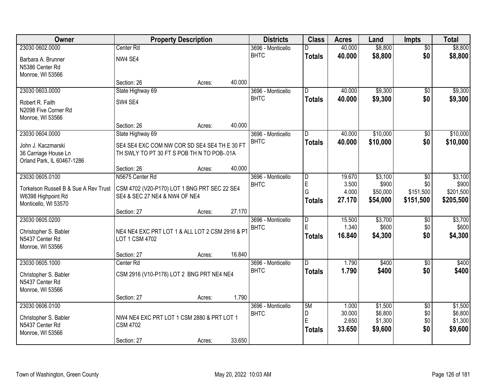| Owner                                      | <b>Property Description</b>                     |        |        | <b>Districts</b>                 | <b>Class</b>            | <b>Acres</b>    | Land               | <b>Impts</b>           | <b>Total</b>       |
|--------------------------------------------|-------------------------------------------------|--------|--------|----------------------------------|-------------------------|-----------------|--------------------|------------------------|--------------------|
| 23030 0602.0000                            | Center Rd                                       |        |        | 3696 - Monticello                | D                       | 40.000          | \$8,800            | $\overline{50}$        | \$8,800            |
| Barbara A. Brunner                         | NW4 SE4                                         |        |        | <b>BHTC</b>                      | <b>Totals</b>           | 40.000          | \$8,800            | \$0                    | \$8,800            |
| N5386 Center Rd                            |                                                 |        |        |                                  |                         |                 |                    |                        |                    |
| Monroe, WI 53566                           |                                                 |        |        |                                  |                         |                 |                    |                        |                    |
|                                            | Section: 26                                     | Acres: | 40.000 |                                  |                         |                 |                    |                        |                    |
| 23030 0603.0000                            | State Highway 69                                |        |        | 3696 - Monticello                | $\overline{D}$          | 40.000          | \$9,300            | $\overline{50}$        | \$9,300            |
| Robert R. Faith                            | SW4 SE4                                         |        |        | <b>BHTC</b>                      | <b>Totals</b>           | 40.000          | \$9,300            | \$0                    | \$9,300            |
| N2098 Five Corner Rd                       |                                                 |        |        |                                  |                         |                 |                    |                        |                    |
| Monroe, WI 53566                           |                                                 |        |        |                                  |                         |                 |                    |                        |                    |
| 23030 0604.0000                            | Section: 26                                     | Acres: | 40.000 |                                  |                         | 40.000          | \$10,000           |                        | \$10,000           |
|                                            | State Highway 69                                |        |        | 3696 - Monticello<br><b>BHTC</b> | D                       | 40.000          | \$10,000           | $\overline{50}$<br>\$0 | \$10,000           |
| John J. Kaczmarski                         | SE4 SE4 EXC COM NW COR SD SE4 SE4 TH E 30 FT    |        |        |                                  | <b>Totals</b>           |                 |                    |                        |                    |
| 36 Carriage House Ln                       | TH SWLY TO PT 30 FT S POB TH N TO POB-.01A      |        |        |                                  |                         |                 |                    |                        |                    |
| Orland Park, IL 60467-1286                 | Section: 26                                     | Acres: | 40.000 |                                  |                         |                 |                    |                        |                    |
| 23030 0605.0100                            | N5675 Center Rd                                 |        |        | 3696 - Monticello                | D                       | 19.670          | \$3,100            | $\sqrt{6}$             | \$3,100            |
|                                            |                                                 |        |        | <b>BHTC</b>                      | E                       | 3.500           | \$900              | \$0                    | \$900              |
| Torkelson Russell B & Sue A Rev Trust      | CSM 4702 (V20-P170) LOT 1 BNG PRT SEC 22 SE4    |        |        |                                  | G                       | 4.000           | \$50,000           | \$151,500              | \$201,500          |
| W6398 Highpoint Rd<br>Monticello, WI 53570 | SE4 & SEC 27 NE4 & NW4 OF NE4                   |        |        |                                  | <b>Totals</b>           | 27.170          | \$54,000           | \$151,500              | \$205,500          |
|                                            | Section: 27                                     | Acres: | 27.170 |                                  |                         |                 |                    |                        |                    |
| 23030 0605.0200                            |                                                 |        |        | 3696 - Monticello                | $\overline{\mathsf{D}}$ | 15.500          | \$3,700            | $\overline{50}$        | \$3,700            |
| Christopher S. Babler                      | NE4 NE4 EXC PRT LOT 1 & ALL LOT 2 CSM 2916 & PT |        |        | <b>BHTC</b>                      | Ė                       | 1.340           | \$600              | \$0                    | \$600              |
| N5437 Center Rd                            | LOT 1 CSM 4702                                  |        |        |                                  | <b>Totals</b>           | 16.840          | \$4,300            | \$0                    | \$4,300            |
| Monroe, WI 53566                           |                                                 |        |        |                                  |                         |                 |                    |                        |                    |
|                                            | Section: 27                                     | Acres: | 16.840 |                                  |                         |                 |                    |                        |                    |
| 23030 0605.1000                            | Center Rd                                       |        |        | 3696 - Monticello                | D.                      | 1.790           | \$400              | $\sqrt{$0}$            | \$400              |
| Christopher S. Babler                      | CSM 2916 (V10-P178) LOT 2 BNG PRT NE4 NE4       |        |        | <b>BHTC</b>                      | <b>Totals</b>           | 1.790           | \$400              | \$0                    | \$400              |
| N5437 Center Rd                            |                                                 |        |        |                                  |                         |                 |                    |                        |                    |
| Monroe, WI 53566                           |                                                 |        |        |                                  |                         |                 |                    |                        |                    |
|                                            | Section: 27                                     | Acres: | 1.790  |                                  |                         |                 |                    |                        |                    |
| 23030 0606.0100                            |                                                 |        |        | 3696 - Monticello                | 5M                      | 1.000           | \$1,500            | $\overline{50}$        | \$1,500            |
| Christopher S. Babler                      | NW4 NE4 EXC PRT LOT 1 CSM 2880 & PRT LOT 1      |        |        | <b>BHTC</b>                      | D<br>E                  | 30.000<br>2.650 | \$6,800<br>\$1,300 | \$0<br>\$0             | \$6,800<br>\$1,300 |
| N5437 Center Rd                            | <b>CSM 4702</b>                                 |        |        |                                  |                         | 33.650          | \$9,600            | \$0                    | \$9,600            |
| Monroe, WI 53566                           |                                                 |        |        |                                  | <b>Totals</b>           |                 |                    |                        |                    |
|                                            | Section: 27                                     | Acres: | 33.650 |                                  |                         |                 |                    |                        |                    |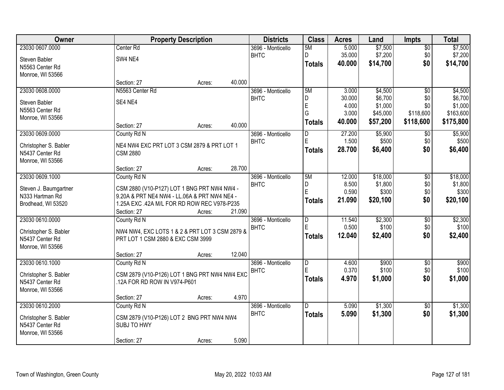| Owner                 |                                                | <b>Property Description</b> |        | <b>Districts</b>  | <b>Class</b>            | <b>Acres</b> | Land     | <b>Impts</b>    | <b>Total</b> |
|-----------------------|------------------------------------------------|-----------------------------|--------|-------------------|-------------------------|--------------|----------|-----------------|--------------|
| 23030 0607.0000       | Center Rd                                      |                             |        | 3696 - Monticello | 5M                      | 5.000        | \$7,500  | $\overline{50}$ | \$7,500      |
| Steven Babler         | SW4 NE4                                        |                             |        | <b>BHTC</b>       | D                       | 35.000       | \$7,200  | \$0             | \$7,200      |
| N5563 Center Rd       |                                                |                             |        |                   | <b>Totals</b>           | 40.000       | \$14,700 | \$0             | \$14,700     |
| Monroe, WI 53566      |                                                |                             |        |                   |                         |              |          |                 |              |
|                       | Section: 27                                    | Acres:                      | 40.000 |                   |                         |              |          |                 |              |
| 23030 0608.0000       | N5563 Center Rd                                |                             |        | 3696 - Monticello | 5M                      | 3.000        | \$4,500  | $\overline{50}$ | \$4,500      |
| Steven Babler         | SE4 NE4                                        |                             |        | <b>BHTC</b>       | D                       | 30.000       | \$6,700  | \$0             | \$6,700      |
| N5563 Center Rd       |                                                |                             |        |                   | E                       | 4.000        | \$1,000  | \$0             | \$1,000      |
| Monroe, WI 53566      |                                                |                             |        |                   | G                       | 3.000        | \$45,000 | \$118,600       | \$163,600    |
|                       | Section: 27                                    | Acres:                      | 40.000 |                   | <b>Totals</b>           | 40.000       | \$57,200 | \$118,600       | \$175,800    |
| 23030 0609.0000       | County Rd N                                    |                             |        | 3696 - Monticello | D                       | 27.200       | \$5,900  | $\sqrt[6]{}$    | \$5,900      |
| Christopher S. Babler | NE4 NW4 EXC PRT LOT 3 CSM 2879 & PRT LOT 1     |                             |        | <b>BHTC</b>       | E                       | 1.500        | \$500    | \$0             | \$500        |
| N5437 Center Rd       | <b>CSM 2880</b>                                |                             |        |                   | <b>Totals</b>           | 28.700       | \$6,400  | \$0             | \$6,400      |
| Monroe, WI 53566      |                                                |                             |        |                   |                         |              |          |                 |              |
|                       | Section: 27                                    | Acres:                      | 28.700 |                   |                         |              |          |                 |              |
| 23030 0609.1000       | County Rd N                                    |                             |        | 3696 - Monticello | 5M                      | 12.000       | \$18,000 | \$0             | \$18,000     |
| Steven J. Baumgartner | CSM 2880 (V10-P127) LOT 1 BNG PRT NW4 NW4 -    |                             |        | <b>BHTC</b>       | D                       | 8.500        | \$1,800  | \$0             | \$1,800      |
| N333 Hartman Rd       | 9.20A & PRT NE4 NW4 - LL.06A & PRT NW4 NE4 -   |                             |        |                   | E                       | 0.590        | \$300    | \$0             | \$300        |
| Brodhead, WI 53520    | 1.25A EXC .42A M/L FOR RD ROW REC V978-P235    |                             |        |                   | <b>Totals</b>           | 21.090       | \$20,100 | \$0             | \$20,100     |
|                       | Section: 27                                    | Acres:                      | 21.090 |                   |                         |              |          |                 |              |
| 23030 0610.0000       | County Rd N                                    |                             |        | 3696 - Monticello | $\overline{D}$          | 11.540       | \$2,300  | $\overline{50}$ | \$2,300      |
| Christopher S. Babler | NW4 NW4, EXC LOTS 1 & 2 & PRT LOT 3 CSM 2879 & |                             |        | <b>BHTC</b>       | E                       | 0.500        | \$100    | \$0             | \$100        |
| N5437 Center Rd       | PRT LOT 1 CSM 2880 & EXC CSM 3999              |                             |        |                   | Totals                  | 12.040       | \$2,400  | \$0             | \$2,400      |
| Monroe, WI 53566      |                                                |                             |        |                   |                         |              |          |                 |              |
|                       | Section: 27                                    | Acres:                      | 12.040 |                   |                         |              |          |                 |              |
| 23030 0610.1000       | County Rd N                                    |                             |        | 3696 - Monticello | $\overline{\mathsf{D}}$ | 4.600        | \$900    | $\sqrt{6}$      | \$900        |
| Christopher S. Babler | CSM 2879 (V10-P126) LOT 1 BNG PRT NW4 NW4 EXC  |                             |        | <b>BHTC</b>       | E                       | 0.370        | \$100    | \$0             | \$100        |
| N5437 Center Rd       | .12A FOR RD ROW IN V974-P601                   |                             |        |                   | <b>Totals</b>           | 4.970        | \$1,000  | \$0             | \$1,000      |
| Monroe, WI 53566      |                                                |                             |        |                   |                         |              |          |                 |              |
|                       | Section: 27                                    | Acres:                      | 4.970  |                   |                         |              |          |                 |              |
| 23030 0610.2000       | County Rd N                                    |                             |        | 3696 - Monticello | ID.                     | 5.090        | \$1,300  | $\overline{30}$ | \$1,300      |
| Christopher S. Babler | CSM 2879 (V10-P126) LOT 2 BNG PRT NW4 NW4      |                             |        | <b>BHTC</b>       | <b>Totals</b>           | 5.090        | \$1,300  | \$0             | \$1,300      |
| N5437 Center Rd       | SUBJ TO HWY                                    |                             |        |                   |                         |              |          |                 |              |
| Monroe, WI 53566      |                                                |                             |        |                   |                         |              |          |                 |              |
|                       | Section: 27                                    | Acres:                      | 5.090  |                   |                         |              |          |                 |              |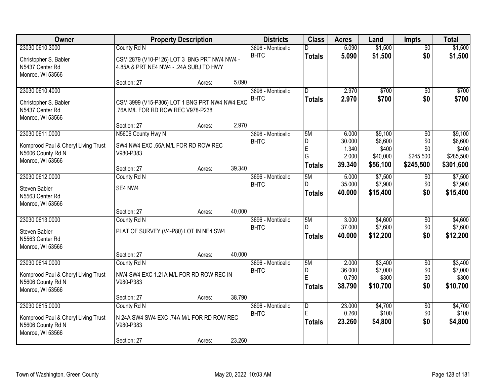| Owner                                 |                                               | <b>Property Description</b> |        | <b>Districts</b>                 | <b>Class</b>   | <b>Acres</b>    | Land               | <b>Impts</b>      | <b>Total</b>       |
|---------------------------------------|-----------------------------------------------|-----------------------------|--------|----------------------------------|----------------|-----------------|--------------------|-------------------|--------------------|
| 23030 0610.3000                       | County Rd N                                   |                             |        | 3696 - Monticello                | D.             | 5.090           | \$1,500            | $\overline{50}$   | \$1,500            |
| Christopher S. Babler                 | CSM 2879 (V10-P126) LOT 3 BNG PRT NW4 NW4 -   |                             |        | <b>BHTC</b>                      | <b>Totals</b>  | 5.090           | \$1,500            | \$0               | \$1,500            |
| N5437 Center Rd                       | 4.85A & PRT NE4 NW4 - .24A SUBJ TO HWY        |                             |        |                                  |                |                 |                    |                   |                    |
| Monroe, WI 53566                      |                                               |                             |        |                                  |                |                 |                    |                   |                    |
|                                       | Section: 27                                   | Acres:                      | 5.090  |                                  | D.             |                 | \$700              |                   |                    |
| 23030 0610.4000                       |                                               |                             |        | 3696 - Monticello<br><b>BHTC</b> |                | 2.970<br>2.970  | \$700              | \$0<br>\$0        | \$700<br>\$700     |
| Christopher S. Babler                 | CSM 3999 (V15-P306) LOT 1 BNG PRT NW4 NW4 EXC |                             |        |                                  | <b>Totals</b>  |                 |                    |                   |                    |
| N5437 Center Rd                       | .76A M/L FOR RD ROW REC V978-P238             |                             |        |                                  |                |                 |                    |                   |                    |
| Monroe, WI 53566                      | Section: 27                                   | Acres:                      | 2.970  |                                  |                |                 |                    |                   |                    |
| 23030 0611.0000                       | N5606 County Hwy N                            |                             |        | 3696 - Monticello                | 5M             | 6.000           | \$9,100            | \$0               | \$9,100            |
|                                       |                                               |                             |        | <b>BHTC</b>                      | D              | 30.000          | \$6,600            | \$0               | \$6,600            |
| Komprood Paul & Cheryl Living Trust   | SW4 NW4 EXC .66A M/L FOR RD ROW REC           |                             |        |                                  | E              | 1.340           | \$400              | \$0               | \$400              |
| N5606 County Rd N<br>Monroe, WI 53566 | V980-P383                                     |                             |        |                                  | G              | 2.000           | \$40,000           | \$245,500         | \$285,500          |
|                                       | Section: 27                                   | Acres:                      | 39.340 |                                  | <b>Totals</b>  | 39.340          | \$56,100           | \$245,500         | \$301,600          |
| 23030 0612.0000                       | County Rd N                                   |                             |        | 3696 - Monticello                | 5M             | 5.000           | \$7,500            | \$0               | \$7,500            |
| Steven Babler                         | SE4 NW4                                       |                             |        | <b>BHTC</b>                      | D.             | 35.000          | \$7,900            | \$0               | \$7,900            |
| N5563 Center Rd                       |                                               |                             |        |                                  | <b>Totals</b>  | 40.000          | \$15,400           | \$0               | \$15,400           |
| Monroe, WI 53566                      |                                               |                             |        |                                  |                |                 |                    |                   |                    |
|                                       | Section: 27                                   | Acres:                      | 40.000 |                                  |                |                 |                    |                   |                    |
| 23030 0613.0000                       | County Rd N                                   |                             |        | 3696 - Monticello                | 5M             | 3.000           | \$4,600            | \$0               | \$4,600            |
| Steven Babler                         | PLAT OF SURVEY (V4-P80) LOT IN NE4 SW4        |                             |        | <b>BHTC</b>                      | D              | 37.000          | \$7,600            | \$0               | \$7,600            |
| N5563 Center Rd                       |                                               |                             |        |                                  | Totals         | 40.000          | \$12,200           | \$0               | \$12,200           |
| Monroe, WI 53566                      |                                               |                             |        |                                  |                |                 |                    |                   |                    |
|                                       | Section: 27                                   | Acres:                      | 40.000 |                                  |                |                 |                    |                   |                    |
| 23030 0614.0000                       | County Rd N                                   |                             |        | 3696 - Monticello<br><b>BHTC</b> | 5M<br>D        | 2.000<br>36.000 | \$3,400<br>\$7,000 | $\sqrt{6}$<br>\$0 | \$3,400<br>\$7,000 |
| Komprood Paul & Cheryl Living Trust   | NW4 SW4 EXC 1.21A M/L FOR RD ROW REC IN       |                             |        |                                  | E              | 0.790           | \$300              | \$0               | \$300              |
| N5606 County Rd N                     | V980-P383                                     |                             |        |                                  | <b>Totals</b>  | 38.790          | \$10,700           | \$0               | \$10,700           |
| Monroe, WI 53566                      |                                               |                             | 38.790 |                                  |                |                 |                    |                   |                    |
| 23030 0615.0000                       | Section: 27<br>County Rd N                    | Acres:                      |        | 3696 - Monticello                | $\overline{D}$ | 23.000          | \$4,700            | $\overline{50}$   | \$4,700            |
|                                       |                                               |                             |        | <b>BHTC</b>                      | E              | 0.260           | \$100              | \$0               | \$100              |
| Komprood Paul & Cheryl Living Trust   | N 24A SW4 SW4 EXC .74A M/L FOR RD ROW REC     |                             |        |                                  | Totals         | 23.260          | \$4,800            | \$0               | \$4,800            |
| N5606 County Rd N<br>Monroe, WI 53566 | V980-P383                                     |                             |        |                                  |                |                 |                    |                   |                    |
|                                       | Section: 27                                   | Acres:                      | 23.260 |                                  |                |                 |                    |                   |                    |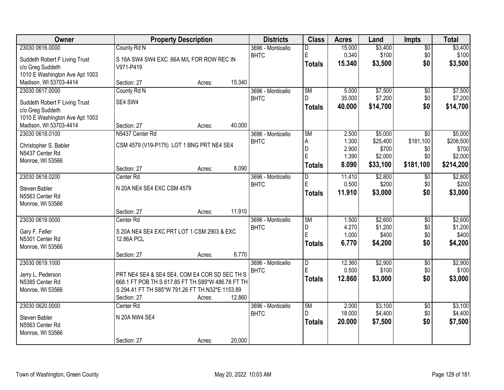| Owner                          |                                                   | <b>Property Description</b> |        | <b>Districts</b>  | <b>Class</b>  | <b>Acres</b> | Land     | <b>Impts</b>    | <b>Total</b> |
|--------------------------------|---------------------------------------------------|-----------------------------|--------|-------------------|---------------|--------------|----------|-----------------|--------------|
| 23030 0616.0000                | County Rd N                                       |                             |        | 3696 - Monticello | D             | 15.000       | \$3,400  | $\overline{50}$ | \$3,400      |
| Suddeth Robert F Living Trust  | S 16A SW4 SW4 EXC .66A M/L FOR ROW REC IN         |                             |        | <b>BHTC</b>       | ΙE            | 0.340        | \$100    | \$0             | \$100        |
| c/o Greg Suddeth               | V971-P419                                         |                             |        |                   | <b>Totals</b> | 15.340       | \$3,500  | \$0             | \$3,500      |
| 1010 E Washington Ave Apt 1003 |                                                   |                             |        |                   |               |              |          |                 |              |
| Madison, WI 53703-4414         | Section: 27                                       | Acres:                      | 15.340 |                   |               |              |          |                 |              |
| 23030 0617.0000                | County Rd N                                       |                             |        | 3696 - Monticello | 5M            | 5.000        | \$7,500  | \$0             | \$7,500      |
| Suddeth Robert F Living Trust  | SE4 SW4                                           |                             |        | <b>BHTC</b>       | D.            | 35.000       | \$7,200  | \$0             | \$7,200      |
| c/o Greg Suddeth               |                                                   |                             |        |                   | <b>Totals</b> | 40.000       | \$14,700 | \$0             | \$14,700     |
| 1010 E Washington Ave Apt 1003 |                                                   |                             |        |                   |               |              |          |                 |              |
| Madison, WI 53703-4414         | Section: 27                                       | Acres:                      | 40.000 |                   |               |              |          |                 |              |
| 23030 0618.0100                | N5437 Center Rd                                   |                             |        | 3696 - Monticello | 5M            | 2.500        | \$5,000  | \$0             | \$5,000      |
| Christopher S. Babler          | CSM 4579 (V19-P175) LOT 1 BNG PRT NE4 SE4         |                             |        | <b>BHTC</b>       | A             | 1.300        | \$25,400 | \$181,100       | \$206,500    |
| N5437 Center Rd                |                                                   |                             |        |                   | D             | 2.900        | \$700    | \$0             | \$700        |
| Monroe, WI 53566               |                                                   |                             |        |                   | E             | 1.390        | \$2,000  | \$0             | \$2,000      |
|                                | Section: 27                                       | Acres:                      | 8.090  |                   | <b>Totals</b> | 8.090        | \$33,100 | \$181,100       | \$214,200    |
| 23030 0618.0200                | Center Rd                                         |                             |        | 3696 - Monticello | D             | 11.410       | \$2,800  | $\sqrt{6}$      | \$2,800      |
| Steven Babler                  | N 20A NE4 SE4 EXC CSM 4579                        |                             |        | <b>BHTC</b>       | E             | 0.500        | \$200    | \$0             | \$200        |
| N5563 Center Rd                |                                                   |                             |        |                   | <b>Totals</b> | 11.910       | \$3,000  | \$0             | \$3,000      |
| Monroe, WI 53566               |                                                   |                             |        |                   |               |              |          |                 |              |
|                                | Section: 27                                       | Acres:                      | 11.910 |                   |               |              |          |                 |              |
| 23030 0619.0000                | Center Rd                                         |                             |        | 3696 - Monticello | 5M            | 1.500        | \$2,600  | $\overline{30}$ | \$2,600      |
| Gary F. Feller                 | S 20A NE4 SE4 EXC PRT LOT 1 CSM 2903 & EXC        |                             |        | <b>BHTC</b>       | D             | 4.270        | \$1,200  | \$0             | \$1,200      |
| N5301 Center Rd                | 12.86A PCL                                        |                             |        |                   | E             | 1.000        | \$400    | \$0             | \$400        |
| Monroe, WI 53566               |                                                   |                             |        |                   | Totals        | 6.770        | \$4,200  | \$0             | \$4,200      |
|                                | Section: 27                                       | Acres:                      | 6.770  |                   |               |              |          |                 |              |
| 23030 0619.1000                |                                                   |                             |        | 3696 - Monticello | D             | 12.360       | \$2,900  | $\overline{50}$ | \$2,900      |
| Jerry L. Pederson              | PRT NE4 SE4 & SE4 SE4, COM E4 COR SD SEC TH S     |                             |        | <b>BHTC</b>       | E             | 0.500        | \$100    | \$0             | \$100        |
| N5385 Center Rd                | 668.1 FT POB TH S 617.85 FT TH S89*W 486.78 FT TH |                             |        |                   | <b>Totals</b> | 12.860       | \$3,000  | \$0             | \$3,000      |
| Monroe, WI 53566               | S 294.41 FT TH S85*W 791.26 FT TH N32*E 1153.89   |                             |        |                   |               |              |          |                 |              |
|                                | Section: 27                                       | Acres:                      | 12.860 |                   |               |              |          |                 |              |
| 23030 0620.0000                | Center Rd                                         |                             |        | 3696 - Monticello | 5M            | 2.000        | \$3,100  | $\overline{50}$ | \$3,100      |
| Steven Babler                  | N 20A NW4 SE4                                     |                             |        | <b>BHTC</b>       | D             | 18.000       | \$4,400  | \$0             | \$4,400      |
| N5563 Center Rd                |                                                   |                             |        |                   | <b>Totals</b> | 20.000       | \$7,500  | \$0             | \$7,500      |
| Monroe, WI 53566               |                                                   |                             |        |                   |               |              |          |                 |              |
|                                | Section: 27                                       | Acres:                      | 20.000 |                   |               |              |          |                 |              |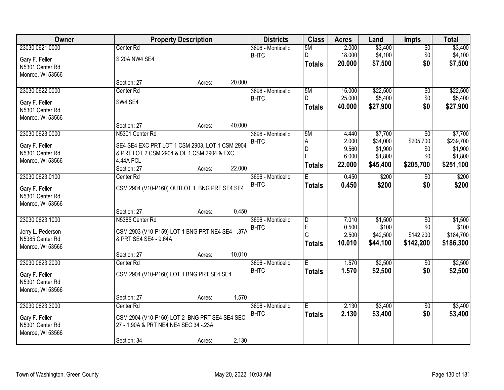| <b>Owner</b>      | <b>Property Description</b>                      |        |        | <b>Districts</b>  | <b>Class</b>            | <b>Acres</b>   | Land     | Impts           | <b>Total</b> |
|-------------------|--------------------------------------------------|--------|--------|-------------------|-------------------------|----------------|----------|-----------------|--------------|
| 23030 0621.0000   | Center Rd                                        |        |        | 3696 - Monticello | 5M                      | 2.000          | \$3,400  | $\overline{50}$ | \$3,400      |
| Gary F. Feller    | S 20A NW4 SE4                                    |        |        | <b>BHTC</b>       | D                       | 18.000         | \$4,100  | \$0             | \$4,100      |
| N5301 Center Rd   |                                                  |        |        |                   | <b>Totals</b>           | 20.000         | \$7,500  | \$0             | \$7,500      |
| Monroe, WI 53566  |                                                  |        |        |                   |                         |                |          |                 |              |
|                   | Section: 27                                      | Acres: | 20.000 |                   |                         |                |          |                 |              |
| 23030 0622.0000   | Center Rd                                        |        |        | 3696 - Monticello | 5M                      | 15.000         | \$22,500 | \$0             | \$22,500     |
| Gary F. Feller    | SW4 SE4                                          |        |        | <b>BHTC</b>       | D                       | 25.000         | \$5,400  | \$0             | \$5,400      |
| N5301 Center Rd   |                                                  |        |        |                   | <b>Totals</b>           | 40.000         | \$27,900 | \$0             | \$27,900     |
| Monroe, WI 53566  |                                                  |        |        |                   |                         |                |          |                 |              |
|                   | Section: 27                                      | Acres: | 40.000 |                   |                         |                |          |                 |              |
| 23030 0623.0000   | N5301 Center Rd                                  |        |        | 3696 - Monticello | 5M                      | 4.440          | \$7,700  | $\overline{50}$ | \$7,700      |
| Gary F. Feller    | SE4 SE4 EXC PRT LOT 1 CSM 2903, LOT 1 CSM 2904   |        |        | <b>BHTC</b>       | A                       | 2.000          | \$34,000 | \$205,700       | \$239,700    |
| N5301 Center Rd   | & PRT LOT 2 CSM 2904 & OL 1 CSM 2904 & EXC       |        |        |                   | D<br>Ė                  | 9.560<br>6.000 | \$1,900  | \$0<br>\$0      | \$1,900      |
| Monroe, WI 53566  | 4.44A PCL                                        |        |        |                   |                         |                | \$1,800  |                 | \$1,800      |
|                   | Section: 27                                      | Acres: | 22.000 |                   | <b>Totals</b>           | 22.000         | \$45,400 | \$205,700       | \$251,100    |
| 23030 0623.0100   | Center Rd                                        |        |        | 3696 - Monticello | E                       | 0.450          | \$200    | \$0             | \$200        |
| Gary F. Feller    | CSM 2904 (V10-P160) OUTLOT 1 BNG PRT SE4 SE4     |        |        | <b>BHTC</b>       | <b>Totals</b>           | 0.450          | \$200    | \$0             | \$200        |
| N5301 Center Rd   |                                                  |        |        |                   |                         |                |          |                 |              |
| Monroe, WI 53566  |                                                  |        |        |                   |                         |                |          |                 |              |
|                   | Section: 27                                      | Acres: | 0.450  |                   |                         |                |          |                 |              |
| 23030 0623.1000   | N5385 Center Rd                                  |        |        | 3696 - Monticello | D                       | 7.010          | \$1,500  | \$0             | \$1,500      |
| Jerry L. Pederson | CSM 2903 (V10-P159) LOT 1 BNG PRT NE4 SE4 - .37A |        |        | <b>BHTC</b>       | E                       | 0.500          | \$100    | \$0             | \$100        |
| N5385 Center Rd   | & PRT SE4 SE4 - 9.64A                            |        |        |                   | G                       | 2.500          | \$42,500 | \$142,200       | \$184,700    |
| Monroe, WI 53566  |                                                  |        |        |                   | <b>Totals</b>           | 10.010         | \$44,100 | \$142,200       | \$186,300    |
|                   | Section: 27                                      | Acres: | 10.010 |                   |                         |                |          |                 |              |
| 23030 0623.2000   | Center Rd                                        |        |        | 3696 - Monticello | $\overline{\mathsf{E}}$ | 1.570          | \$2,500  | $\sqrt{6}$      | \$2,500      |
| Gary F. Feller    | CSM 2904 (V10-P160) LOT 1 BNG PRT SE4 SE4        |        |        | <b>BHTC</b>       | <b>Totals</b>           | 1.570          | \$2,500  | \$0             | \$2,500      |
| N5301 Center Rd   |                                                  |        |        |                   |                         |                |          |                 |              |
| Monroe, WI 53566  |                                                  |        |        |                   |                         |                |          |                 |              |
|                   | Section: 27                                      | Acres: | 1.570  |                   |                         |                |          |                 |              |
| 23030 0623.3000   | Center <sub>Rd</sub>                             |        |        | 3696 - Monticello | Ē                       | 2.130          | \$3,400  | $\overline{50}$ | \$3,400      |
| Gary F. Feller    | CSM 2904 (V10-P160) LOT 2 BNG PRT SE4 SE4 SEC    |        |        | <b>BHTC</b>       | <b>Totals</b>           | 2.130          | \$3,400  | \$0             | \$3,400      |
| N5301 Center Rd   | 27 - 1.90A & PRT NE4 NE4 SEC 34 - 23A            |        |        |                   |                         |                |          |                 |              |
| Monroe, WI 53566  |                                                  |        |        |                   |                         |                |          |                 |              |
|                   | Section: 34                                      | Acres: | 2.130  |                   |                         |                |          |                 |              |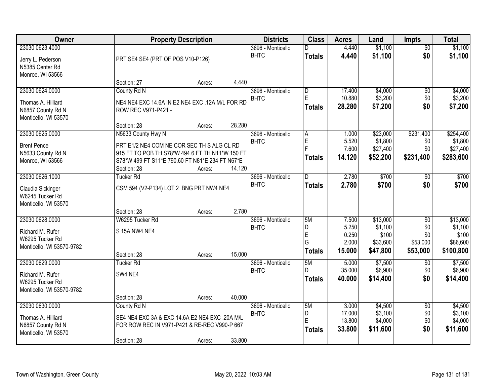| Owner                     |                                                 | <b>Property Description</b> |        | <b>Districts</b>  | <b>Class</b>            | <b>Acres</b>   | Land              | Impts           | <b>Total</b>      |
|---------------------------|-------------------------------------------------|-----------------------------|--------|-------------------|-------------------------|----------------|-------------------|-----------------|-------------------|
| 23030 0623.4000           |                                                 |                             |        | 3696 - Monticello | D.                      | 4.440          | \$1,100           | $\overline{50}$ | \$1,100           |
| Jerry L. Pederson         | PRT SE4 SE4 (PRT OF POS V10-P126)               |                             |        | <b>BHTC</b>       | <b>Totals</b>           | 4.440          | \$1,100           | \$0             | \$1,100           |
| N5385 Center Rd           |                                                 |                             |        |                   |                         |                |                   |                 |                   |
| Monroe, WI 53566          |                                                 |                             |        |                   |                         |                |                   |                 |                   |
|                           | Section: 27                                     | Acres:                      | 4.440  |                   |                         |                |                   |                 |                   |
| 23030 0624.0000           | County Rd N                                     |                             |        | 3696 - Monticello | $\overline{\mathsf{D}}$ | 17.400         | \$4,000           | $\overline{60}$ | \$4,000           |
| Thomas A. Hilliard        | NE4 NE4 EXC 14.6A IN E2 NE4 EXC .12A M/L FOR RD |                             |        | <b>BHTC</b>       | E                       | 10.880         | \$3,200           | \$0             | \$3,200           |
| N6857 County Rd N         | ROW REC V971-P421 -                             |                             |        |                   | <b>Totals</b>           | 28.280         | \$7,200           | \$0             | \$7,200           |
| Monticello, WI 53570      |                                                 |                             |        |                   |                         |                |                   |                 |                   |
|                           | Section: 28                                     | Acres:                      | 28.280 |                   |                         |                |                   |                 |                   |
| 23030 0625.0000           | N5633 County Hwy N                              |                             |        | 3696 - Monticello | A                       | 1.000          | \$23,000          | \$231,400       | \$254,400         |
| <b>Brent Pence</b>        | PRT E1/2 NE4 COM NE COR SEC TH S ALG CL RD      |                             |        | <b>BHTC</b>       | E                       | 5.520          | \$1,800           | \$0             | \$1,800           |
| N5633 County Rd N         | 915 FT TO POB TH S78*W 494.6 FT TH N11*W 150 FT |                             |        |                   |                         | 7.600          | \$27,400          | \$0             | \$27,400          |
| Monroe, WI 53566          | S78*W 499 FT S11*E 790.60 FT N81*E 234 FT N67*E |                             |        |                   | <b>Totals</b>           | 14.120         | \$52,200          | \$231,400       | \$283,600         |
|                           | Section: 28                                     | Acres:                      | 14.120 |                   |                         |                |                   |                 |                   |
| 23030 0626.1000           | <b>Tucker Rd</b>                                |                             |        | 3696 - Monticello | D                       | 2.780          | \$700             | \$0             | \$700             |
| Claudia Sickinger         | CSM 594 (V2-P134) LOT 2 BNG PRT NW4 NE4         |                             |        | <b>BHTC</b>       | <b>Totals</b>           | 2.780          | \$700             | \$0             | \$700             |
| W6245 Tucker Rd           |                                                 |                             |        |                   |                         |                |                   |                 |                   |
| Monticello, WI 53570      |                                                 |                             |        |                   |                         |                |                   |                 |                   |
|                           | Section: 28                                     | Acres:                      | 2.780  |                   |                         |                |                   |                 |                   |
| 23030 0628.0000           | W6295 Tucker Rd                                 |                             |        | 3696 - Monticello | 5M                      | 7.500          | \$13,000          | $\overline{50}$ | \$13,000          |
| Richard M. Rufer          | S 15A NW4 NE4                                   |                             |        | <b>BHTC</b>       | D                       | 5.250          | \$1,100           | \$0             | \$1,100           |
| W6295 Tucker Rd           |                                                 |                             |        |                   | E<br>G                  | 0.250<br>2.000 | \$100<br>\$33,600 | \$0<br>\$53,000 | \$100<br>\$86,600 |
| Monticello, WI 53570-9782 |                                                 |                             |        |                   | <b>Totals</b>           | 15.000         | \$47,800          | \$53,000        | \$100,800         |
|                           | Section: 28                                     | Acres:                      | 15.000 |                   |                         |                |                   |                 |                   |
| 23030 0629.0000           | <b>Tucker Rd</b>                                |                             |        | 3696 - Monticello | 5M                      | 5.000          | \$7,500           | $\overline{50}$ | \$7,500           |
| Richard M. Rufer          | SW4 NE4                                         |                             |        | <b>BHTC</b>       | D.                      | 35.000         | \$6,900           | \$0             | \$6,900           |
| W6295 Tucker Rd           |                                                 |                             |        |                   | <b>Totals</b>           | 40.000         | \$14,400          | \$0             | \$14,400          |
| Monticello, WI 53570-9782 |                                                 |                             |        |                   |                         |                |                   |                 |                   |
|                           | Section: 28                                     | Acres:                      | 40.000 |                   |                         |                |                   |                 |                   |
| 23030 0630.0000           | County Rd N                                     |                             |        | 3696 - Monticello | 5M                      | 3.000          | \$4,500           | $\overline{30}$ | \$4,500           |
| Thomas A. Hilliard        | SE4 NE4 EXC 3A & EXC 14.6A E2 NE4 EXC .20A M/L  |                             |        | <b>BHTC</b>       | D                       | 17.000         | \$3,100           | \$0             | \$3,100           |
| N6857 County Rd N         | FOR ROW REC IN V971-P421 & RE-REC V990-P 667    |                             |        |                   | E                       | 13.800         | \$4,000           | \$0<br>\$0      | \$4,000           |
| Monticello, WI 53570      |                                                 |                             |        |                   | <b>Totals</b>           | 33.800         | \$11,600          |                 | \$11,600          |
|                           | Section: 28                                     | Acres:                      | 33.800 |                   |                         |                |                   |                 |                   |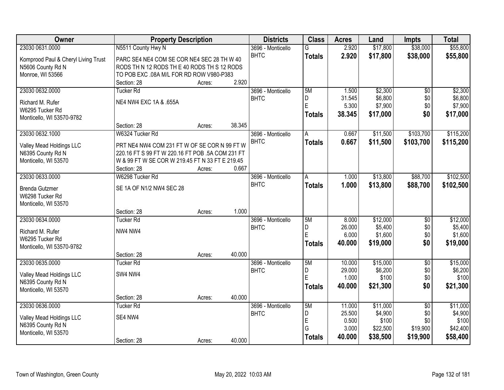| <b>Owner</b>                             | <b>Property Description</b>                      |        |        | <b>Districts</b>                 | <b>Class</b>  | <b>Acres</b>   | Land              | <b>Impts</b>           | <b>Total</b>        |
|------------------------------------------|--------------------------------------------------|--------|--------|----------------------------------|---------------|----------------|-------------------|------------------------|---------------------|
| 23030 0631.0000                          | N5511 County Hwy N                               |        |        | 3696 - Monticello                | G             | 2.920          | \$17,800          | \$38,000               | \$55,800            |
| Komprood Paul & Cheryl Living Trust      | PARC SE4 NE4 COM SE COR NE4 SEC 28 TH W 40       |        |        | <b>BHTC</b>                      | <b>Totals</b> | 2.920          | \$17,800          | \$38,000               | \$55,800            |
| N5606 County Rd N                        | RODS TH N 12 RODS THE 40 RODS TH S 12 RODS       |        |        |                                  |               |                |                   |                        |                     |
| Monroe, WI 53566                         | TO POB EXC .08A M/L FOR RD ROW V980-P383         |        |        |                                  |               |                |                   |                        |                     |
|                                          | Section: 28                                      | Acres: | 2.920  |                                  |               |                |                   |                        |                     |
| 23030 0632.0000                          | <b>Tucker Rd</b>                                 |        |        | 3696 - Monticello                | 5M            | 1.500          | \$2,300           | $\overline{50}$        | \$2,300             |
| Richard M. Rufer                         | NE4 NW4 EXC 1A & .655A                           |        |        | <b>BHTC</b>                      | D             | 31.545         | \$6,800           | \$0                    | \$6,800             |
| W6295 Tucker Rd                          |                                                  |        |        |                                  | E             | 5.300          | \$7,900           | \$0                    | \$7,900             |
| Monticello, WI 53570-9782                |                                                  |        |        |                                  | <b>Totals</b> | 38.345         | \$17,000          | \$0                    | \$17,000            |
|                                          | Section: 28                                      | Acres: | 38.345 |                                  |               |                |                   |                        |                     |
| 23030 0632.1000                          | W6324 Tucker Rd                                  |        |        | 3696 - Monticello                | A             | 0.667          | \$11,500          | \$103,700              | \$115,200           |
| Valley Mead Holdings LLC                 | PRT NE4 NW4 COM 231 FT W OF SE COR N 99 FT W     |        |        | <b>BHTC</b>                      | <b>Totals</b> | 0.667          | \$11,500          | \$103,700              | \$115,200           |
| N6395 County Rd N                        | 220.16 FT S 99 FT W 220.16 FT POB .5A COM 231 FT |        |        |                                  |               |                |                   |                        |                     |
| Monticello, WI 53570                     | W & 99 FT W SE COR W 219.45 FT N 33 FT E 219.45  |        |        |                                  |               |                |                   |                        |                     |
|                                          | Section: 28                                      | Acres: | 0.667  |                                  |               |                |                   |                        |                     |
| 23030 0633.0000                          | W6298 Tucker Rd                                  |        |        | 3696 - Monticello                | Ā             | 1.000          | \$13,800          | \$88,700               | \$102,500           |
|                                          |                                                  |        |        | <b>BHTC</b>                      | <b>Totals</b> | 1.000          | \$13,800          | \$88,700               | \$102,500           |
| <b>Brenda Gutzmer</b><br>W6298 Tucker Rd | SE 1A OF N1/2 NW4 SEC 28                         |        |        |                                  |               |                |                   |                        |                     |
| Monticello, WI 53570                     |                                                  |        |        |                                  |               |                |                   |                        |                     |
|                                          | Section: 28                                      | Acres: | 1.000  |                                  |               |                |                   |                        |                     |
| 23030 0634.0000                          | <b>Tucker Rd</b>                                 |        |        | 3696 - Monticello                | 5M            | 8.000          | \$12,000          | $\overline{50}$        | \$12,000            |
|                                          |                                                  |        |        | <b>BHTC</b>                      | D             | 26.000         | \$5,400           | \$0                    | \$5,400             |
| Richard M. Rufer                         | NW4 NW4                                          |        |        |                                  | E             | 6.000          | \$1,600           | \$0                    | \$1,600             |
| W6295 Tucker Rd                          |                                                  |        |        |                                  | <b>Totals</b> | 40.000         | \$19,000          | \$0                    | \$19,000            |
| Monticello, WI 53570-9782                |                                                  |        |        |                                  |               |                |                   |                        |                     |
| 23030 0635.0000                          | Section: 28                                      | Acres: | 40.000 |                                  | 5M            | 10.000         | \$15,000          |                        |                     |
|                                          | <b>Tucker Rd</b>                                 |        |        | 3696 - Monticello<br><b>BHTC</b> | D             | 29.000         | \$6,200           | $\overline{50}$<br>\$0 | \$15,000<br>\$6,200 |
| Valley Mead Holdings LLC                 | SW4 NW4                                          |        |        |                                  | Ē             | 1.000          | \$100             | \$0                    | \$100               |
| N6395 County Rd N                        |                                                  |        |        |                                  | <b>Totals</b> | 40.000         | \$21,300          | \$0                    | \$21,300            |
| Monticello, WI 53570                     |                                                  |        |        |                                  |               |                |                   |                        |                     |
|                                          | Section: 28                                      | Acres: | 40.000 |                                  |               |                |                   |                        |                     |
| 23030 0636.0000                          | <b>Tucker Rd</b>                                 |        |        | 3696 - Monticello                | 5M            | 11.000         | \$11,000          | $\overline{50}$        | \$11,000            |
| Valley Mead Holdings LLC                 | SE4 NW4                                          |        |        | <b>BHTC</b>                      | D             | 25.500         | \$4,900           | \$0                    | \$4,900             |
| N6395 County Rd N                        |                                                  |        |        |                                  | E<br>G        | 0.500<br>3.000 | \$100<br>\$22,500 | \$0<br>\$19,900        | \$100<br>\$42,400   |
| Monticello, WI 53570                     |                                                  |        |        |                                  |               | 40.000         |                   |                        |                     |
|                                          | Section: 28                                      | Acres: | 40.000 |                                  | <b>Totals</b> |                | \$38,500          | \$19,900               | \$58,400            |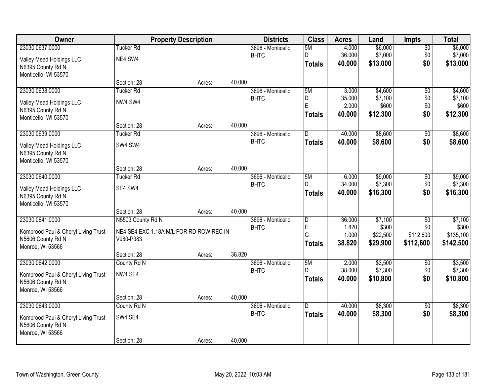| Owner                               | <b>Property Description</b>             |        |        | <b>Districts</b>  | <b>Class</b>            | <b>Acres</b>   | Land                 | <b>Impts</b>           | <b>Total</b>           |
|-------------------------------------|-----------------------------------------|--------|--------|-------------------|-------------------------|----------------|----------------------|------------------------|------------------------|
| 23030 0637.0000                     | <b>Tucker Rd</b>                        |        |        | 3696 - Monticello | 5M                      | 4.000          | \$6,000              | $\overline{30}$        | \$6,000                |
| Valley Mead Holdings LLC            | NE4 SW4                                 |        |        | <b>BHTC</b>       | D                       | 36.000         | \$7,000              | \$0                    | \$7,000                |
| N6395 County Rd N                   |                                         |        |        |                   | <b>Totals</b>           | 40.000         | \$13,000             | \$0                    | \$13,000               |
| Monticello, WI 53570                |                                         |        |        |                   |                         |                |                      |                        |                        |
|                                     | Section: 28                             | Acres: | 40.000 |                   |                         |                |                      |                        |                        |
| 23030 0638.0000                     | <b>Tucker Rd</b>                        |        |        | 3696 - Monticello | 5M                      | 3.000          | \$4,600              | $\overline{50}$        | \$4,600                |
| Valley Mead Holdings LLC            | NW4 SW4                                 |        |        | <b>BHTC</b>       | D<br>E                  | 35.000         | \$7,100              | \$0                    | \$7,100                |
| N6395 County Rd N                   |                                         |        |        |                   |                         | 2.000          | \$600                | \$0                    | \$600                  |
| Monticello, WI 53570                |                                         |        |        |                   | <b>Totals</b>           | 40.000         | \$12,300             | \$0                    | \$12,300               |
|                                     | Section: 28                             | Acres: | 40.000 |                   |                         |                |                      |                        |                        |
| 23030 0639.0000                     | Tucker <sub>Rd</sub>                    |        |        | 3696 - Monticello | D                       | 40.000         | \$8,600              | \$0                    | \$8,600                |
| Valley Mead Holdings LLC            | SW4 SW4                                 |        |        | <b>BHTC</b>       | <b>Totals</b>           | 40.000         | \$8,600              | \$0                    | \$8,600                |
| N6395 County Rd N                   |                                         |        |        |                   |                         |                |                      |                        |                        |
| Monticello, WI 53570                |                                         |        |        |                   |                         |                |                      |                        |                        |
|                                     | Section: 28                             | Acres: | 40.000 |                   |                         |                |                      |                        |                        |
| 23030 0640.0000                     | <b>Tucker Rd</b>                        |        |        | 3696 - Monticello | 5M                      | 6.000          | \$9,000              | \$0                    | \$9,000                |
| Valley Mead Holdings LLC            | SE4 SW4                                 |        |        | <b>BHTC</b>       | D.                      | 34.000         | \$7,300              | \$0                    | \$7,300                |
| N6395 County Rd N                   |                                         |        |        |                   | <b>Totals</b>           | 40.000         | \$16,300             | \$0                    | \$16,300               |
| Monticello, WI 53570                |                                         |        |        |                   |                         |                |                      |                        |                        |
|                                     | Section: 28                             | Acres: | 40.000 |                   |                         |                |                      |                        |                        |
| 23030 0641.0000                     | N5503 County Rd N                       |        |        | 3696 - Monticello | $\overline{\mathsf{D}}$ | 36.000         | \$7,100              | $\overline{50}$        | \$7,100                |
| Komprood Paul & Cheryl Living Trust | NE4 SE4 EXC 1.18A M/L FOR RD ROW REC IN |        |        | <b>BHTC</b>       | E<br>G                  | 1.820<br>1.000 | \$300                | \$0                    | \$300                  |
| N5606 County Rd N                   | V980-P383                               |        |        |                   | <b>Totals</b>           | 38.820         | \$22,500<br>\$29,900 | \$112,600<br>\$112,600 | \$135,100<br>\$142,500 |
| Monroe, WI 53566                    |                                         |        |        |                   |                         |                |                      |                        |                        |
|                                     | Section: 28                             | Acres: | 38.820 |                   |                         |                |                      |                        |                        |
| 23030 0642.0000                     | County Rd N                             |        |        | 3696 - Monticello | 5M                      | 2.000          | \$3,500              | $\sqrt{6}$             | \$3,500                |
| Komprood Paul & Cheryl Living Trust | NW4 SE4                                 |        |        | <b>BHTC</b>       |                         | 38.000         | \$7,300              | \$0                    | \$7,300                |
| N5606 County Rd N                   |                                         |        |        |                   | <b>Totals</b>           | 40.000         | \$10,800             | \$0                    | \$10,800               |
| Monroe, WI 53566                    |                                         |        |        |                   |                         |                |                      |                        |                        |
|                                     | Section: 28                             | Acres: | 40.000 |                   |                         |                |                      |                        |                        |
| 23030 0643.0000                     | County Rd N                             |        |        | 3696 - Monticello | D.                      | 40.000         | \$8,300              | $\overline{50}$        | \$8,300                |
| Komprood Paul & Cheryl Living Trust | SW4 SE4                                 |        |        | <b>BHTC</b>       | <b>Totals</b>           | 40.000         | \$8,300              | \$0                    | \$8,300                |
| N5606 County Rd N                   |                                         |        |        |                   |                         |                |                      |                        |                        |
| Monroe, WI 53566                    |                                         |        |        |                   |                         |                |                      |                        |                        |
|                                     | Section: 28                             | Acres: | 40.000 |                   |                         |                |                      |                        |                        |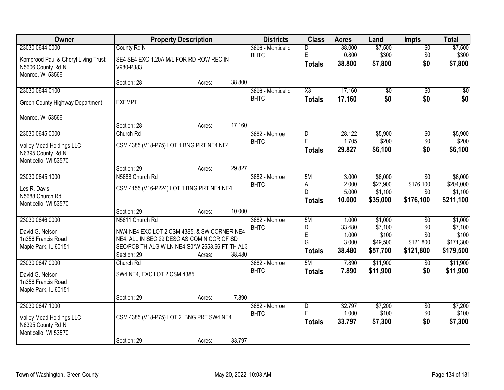| Owner                                 |                                                                                           | <b>Property Description</b> |        | <b>Districts</b>             | <b>Class</b>                 | <b>Acres</b>    | Land             | <b>Impts</b>                 | <b>Total</b>     |
|---------------------------------------|-------------------------------------------------------------------------------------------|-----------------------------|--------|------------------------------|------------------------------|-----------------|------------------|------------------------------|------------------|
| 23030 0644.0000                       | County Rd N                                                                               |                             |        | 3696 - Monticello            | D                            | 38.000          | \$7,500          | $\overline{50}$              | \$7,500          |
| Komprood Paul & Cheryl Living Trust   | SE4 SE4 EXC 1.20A M/L FOR RD ROW REC IN                                                   |                             |        | <b>BHTC</b>                  | E<br><b>Totals</b>           | 0.800<br>38.800 | \$300<br>\$7,800 | \$0<br>\$0                   | \$300<br>\$7,800 |
| N5606 County Rd N<br>Monroe, WI 53566 | V980-P383                                                                                 |                             |        |                              |                              |                 |                  |                              |                  |
|                                       | Section: 28                                                                               | Acres:                      | 38.800 |                              |                              |                 |                  |                              |                  |
| 23030 0644.0100                       |                                                                                           |                             |        | 3696 - Monticello            | $\overline{\chi_3}$          | 17.160          | $\overline{50}$  | $\overline{30}$              | $\sqrt{50}$      |
| Green County Highway Department       | <b>EXEMPT</b>                                                                             |                             |        | <b>BHTC</b>                  | <b>Totals</b>                | 17.160          | \$0              | \$0                          | \$0              |
| Monroe, WI 53566                      |                                                                                           |                             |        |                              |                              |                 |                  |                              |                  |
|                                       | Section: 28                                                                               | Acres:                      | 17.160 |                              |                              |                 |                  |                              |                  |
| 23030 0645.0000                       | Church Rd                                                                                 |                             |        | 3682 - Monroe                | D                            | 28.122          | \$5,900          | \$0                          | \$5,900          |
| Valley Mead Holdings LLC              | CSM 4385 (V18-P75) LOT 1 BNG PRT NE4 NE4                                                  |                             |        | <b>BHTC</b>                  | E                            | 1.705           | \$200            | \$0                          | \$200            |
| N6395 County Rd N                     |                                                                                           |                             |        |                              | <b>Totals</b>                | 29.827          | \$6,100          | \$0                          | \$6,100          |
| Monticello, WI 53570                  |                                                                                           |                             |        |                              |                              |                 |                  |                              |                  |
| 23030 0645.1000                       | Section: 29<br>N5688 Church Rd                                                            | Acres:                      | 29.827 |                              | 5M                           |                 | \$6,000          |                              | \$6,000          |
|                                       |                                                                                           |                             |        | 3682 - Monroe<br><b>BHTC</b> | A                            | 3.000<br>2.000  | \$27,900         | $\overline{50}$<br>\$176,100 | \$204,000        |
| Les R. Davis                          | CSM 4155 (V16-P224) LOT 1 BNG PRT NE4 NE4                                                 |                             |        |                              | D                            | 5.000           | \$1,100          | \$0                          | \$1,100          |
| N5688 Church Rd                       |                                                                                           |                             |        |                              | <b>Totals</b>                | 10.000          | \$35,000         | \$176,100                    | \$211,100        |
| Monticello, WI 53570                  | Section: 29                                                                               | Acres:                      | 10.000 |                              |                              |                 |                  |                              |                  |
| 23030 0646.0000                       | N5611 Church Rd                                                                           |                             |        | 3682 - Monroe                | 5M                           | 1.000           | \$1,000          | $\overline{30}$              | \$1,000          |
|                                       |                                                                                           |                             |        | <b>BHTC</b>                  | D                            | 33.480          | \$7,100          | \$0                          | \$7,100          |
| David G. Nelson<br>1n356 Francis Road | NW4 NE4 EXC LOT 2 CSM 4385, & SW CORNER NE4<br>NE4, ALL IN SEC 29 DESC AS COM N COR OF SD |                             |        |                              | E                            | 1.000           | \$100            | \$0                          | \$100            |
| Maple Park, IL 60151                  | SEC/POB TH ALG W LN NE4 S0*W 2653.66 FT TH ALC                                            |                             |        |                              | G                            | 3.000           | \$49,500         | \$121,800                    | \$171,300        |
|                                       | Section: 29                                                                               | Acres:                      | 38.480 |                              | <b>Totals</b>                | 38.480          | \$57,700         | \$121,800                    | \$179,500        |
| 23030 0647.0000                       | Church Rd                                                                                 |                             |        | 3682 - Monroe                | 5M                           | 7.890           | \$11,900         | \$0                          | \$11,900         |
| David G. Nelson                       | SW4 NE4, EXC LOT 2 CSM 4385                                                               |                             |        | <b>BHTC</b>                  | <b>Totals</b>                | 7.890           | \$11,900         | \$0                          | \$11,900         |
| 1n356 Francis Road                    |                                                                                           |                             |        |                              |                              |                 |                  |                              |                  |
| Maple Park, IL 60151                  |                                                                                           |                             |        |                              |                              |                 |                  |                              |                  |
|                                       | Section: 29                                                                               | Acres:                      | 7.890  |                              |                              |                 |                  |                              |                  |
| 23030 0647.1000                       |                                                                                           |                             |        | 3682 - Monroe<br><b>BHTC</b> | $\overline{\mathsf{D}}$<br>E | 32.797<br>1.000 | \$7,200<br>\$100 | $\overline{50}$<br>\$0       | \$7,200<br>\$100 |
| Valley Mead Holdings LLC              | CSM 4385 (V18-P75) LOT 2 BNG PRT SW4 NE4                                                  |                             |        |                              | <b>Totals</b>                | 33.797          | \$7,300          | \$0                          | \$7,300          |
| N6395 County Rd N                     |                                                                                           |                             |        |                              |                              |                 |                  |                              |                  |
| Monticello, WI 53570                  | Section: 29                                                                               | Acres:                      | 33.797 |                              |                              |                 |                  |                              |                  |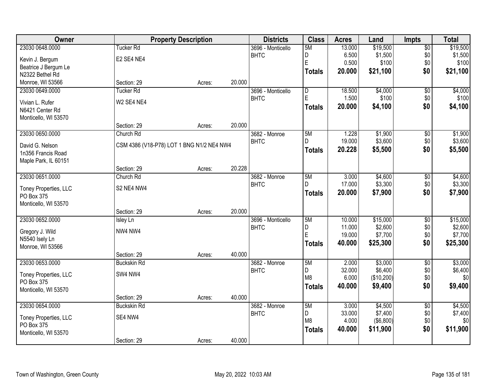| Owner                 |                                           | <b>Property Description</b> |        | <b>Districts</b>  | <b>Class</b>   | <b>Acres</b> | Land       | <b>Impts</b>    | <b>Total</b> |
|-----------------------|-------------------------------------------|-----------------------------|--------|-------------------|----------------|--------------|------------|-----------------|--------------|
| 23030 0648.0000       | Tucker Rd                                 |                             |        | 3696 - Monticello | 5M             | 13.000       | \$19,500   | $\overline{50}$ | \$19,500     |
| Kevin J. Bergum       | E2 SE4 NE4                                |                             |        | <b>BHTC</b>       | D              | 6.500        | \$1,500    | \$0             | \$1,500      |
| Beatrice J Bergum Le  |                                           |                             |        |                   | $\overline{E}$ | 0.500        | \$100      | \$0             | \$100        |
| N2322 Bethel Rd       |                                           |                             |        |                   | <b>Totals</b>  | 20.000       | \$21,100   | \$0             | \$21,100     |
| Monroe, WI 53566      | Section: 29                               | Acres:                      | 20.000 |                   |                |              |            |                 |              |
| 23030 0649.0000       | <b>Tucker Rd</b>                          |                             |        | 3696 - Monticello | $\overline{D}$ | 18.500       | \$4,000    | $\overline{50}$ | \$4,000      |
| Vivian L. Rufer       | W2 SE4 NE4                                |                             |        | <b>BHTC</b>       | $\mathsf E$    | 1.500        | \$100      | \$0             | \$100        |
| N6421 Center Rd       |                                           |                             |        |                   | Totals         | 20.000       | \$4,100    | \$0             | \$4,100      |
| Monticello, WI 53570  |                                           |                             |        |                   |                |              |            |                 |              |
|                       | Section: 29                               | Acres:                      | 20.000 |                   |                |              |            |                 |              |
| 23030 0650.0000       | Church Rd                                 |                             |        | 3682 - Monroe     | 5M             | 1.228        | \$1,900    | \$0             | \$1,900      |
| David G. Nelson       | CSM 4386 (V18-P78) LOT 1 BNG N1/2 NE4 NW4 |                             |        | <b>BHTC</b>       |                | 19.000       | \$3,600    | $$0$$           | \$3,600      |
| 1n356 Francis Road    |                                           |                             |        |                   | Totals         | 20.228       | \$5,500    | \$0             | \$5,500      |
| Maple Park, IL 60151  |                                           |                             |        |                   |                |              |            |                 |              |
|                       | Section: 29                               | Acres:                      | 20.228 |                   |                |              |            |                 |              |
| 23030 0651.0000       | Church Rd                                 |                             |        | 3682 - Monroe     | 5M             | 3.000        | \$4,600    | \$0             | \$4,600      |
| Toney Properties, LLC | S2 NE4 NW4                                |                             |        | <b>BHTC</b>       | D.             | 17.000       | \$3,300    | \$0             | \$3,300      |
| PO Box 375            |                                           |                             |        |                   | <b>Totals</b>  | 20.000       | \$7,900    | \$0             | \$7,900      |
| Monticello, WI 53570  |                                           |                             |        |                   |                |              |            |                 |              |
|                       | Section: 29                               | Acres:                      | 20.000 |                   |                |              |            |                 |              |
| 23030 0652.0000       | <b>Isley Ln</b>                           |                             |        | 3696 - Monticello | 5M             | 10.000       | \$15,000   | $\overline{30}$ | \$15,000     |
| Gregory J. Wild       | NW4 NW4                                   |                             |        | <b>BHTC</b>       | D              | 11.000       | \$2,600    | \$0             | \$2,600      |
| N5540 Isely Ln        |                                           |                             |        |                   | E              | 19.000       | \$7,700    | \$0             | \$7,700      |
| Monroe, WI 53566      |                                           |                             |        |                   | <b>Totals</b>  | 40.000       | \$25,300   | \$0             | \$25,300     |
|                       | Section: 29                               | Acres:                      | 40.000 |                   |                |              |            |                 |              |
| 23030 0653.0000       | <b>Buckskin Rd</b>                        |                             |        | 3682 - Monroe     | 5M             | 2.000        | \$3,000    | $\overline{60}$ | \$3,000      |
| Toney Properties, LLC | SW4 NW4                                   |                             |        | <b>BHTC</b>       | D              | 32.000       | \$6,400    | \$0             | \$6,400      |
| PO Box 375            |                                           |                             |        |                   | M <sub>8</sub> | 6.000        | (\$10,200) | \$0             | \$0          |
| Monticello, WI 53570  |                                           |                             |        |                   | Totals         | 40.000       | \$9,400    | \$0             | \$9,400      |
|                       | Section: 29                               | Acres:                      | 40.000 |                   |                |              |            |                 |              |
| 23030 0654.0000       | <b>Buckskin Rd</b>                        |                             |        | 3682 - Monroe     | 5M             | 3.000        | \$4,500    | $\overline{50}$ | \$4,500      |
| Toney Properties, LLC | SE4 NW4                                   |                             |        | <b>BHTC</b>       | D              | 33.000       | \$7,400    | \$0             | \$7,400      |
| PO Box 375            |                                           |                             |        |                   | M <sub>8</sub> | 4.000        | (\$6,800)  | \$0             | \$0          |
| Monticello, WI 53570  |                                           |                             |        |                   | <b>Totals</b>  | 40.000       | \$11,900   | \$0             | \$11,900     |
|                       | Section: 29                               | Acres:                      | 40.000 |                   |                |              |            |                 |              |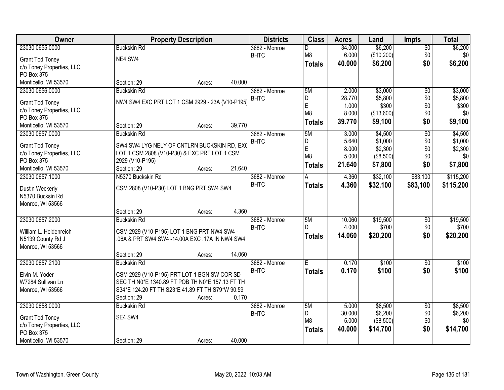| Owner                                   | <b>Property Description</b>                      |        | <b>Districts</b> | <b>Class</b>  | <b>Acres</b> | Land       | <b>Impts</b>    | <b>Total</b>     |
|-----------------------------------------|--------------------------------------------------|--------|------------------|---------------|--------------|------------|-----------------|------------------|
| 23030 0655.0000                         | <b>Buckskin Rd</b>                               |        | 3682 - Monroe    | D             | 34.000       | \$6,200    | $\overline{50}$ | \$6,200          |
| <b>Grant Tod Toney</b>                  | NE4 SW4                                          |        | <b>BHTC</b>      | M8            | 6.000        | (\$10,200) | \$0             | \$0 <sub>1</sub> |
| c/o Toney Properties, LLC               |                                                  |        |                  | <b>Totals</b> | 40.000       | \$6,200    | \$0             | \$6,200          |
| PO Box 375                              |                                                  |        |                  |               |              |            |                 |                  |
| Monticello, WI 53570                    | Section: 29<br>Acres:                            | 40.000 |                  |               |              |            |                 |                  |
| 23030 0656.0000                         | <b>Buckskin Rd</b>                               |        | 3682 - Monroe    | 5M            | 2.000        | \$3,000    | $\overline{50}$ | \$3,000          |
|                                         | NW4 SW4 EXC PRT LOT 1 CSM 2929 -. 23A (V10-P195) |        | <b>BHTC</b>      | D             | 28.770       | \$5,800    | \$0             | \$5,800          |
| <b>Grant Tod Toney</b>                  |                                                  |        |                  | E             | 1.000        | \$300      | \$0             | \$300            |
| c/o Toney Properties, LLC<br>PO Box 375 |                                                  |        |                  | M8            | 8.000        | (\$13,600) | \$0             | \$0              |
| Monticello, WI 53570                    | Section: 29<br>Acres:                            | 39.770 |                  | <b>Totals</b> | 39.770       | \$9,100    | \$0             | \$9,100          |
| 23030 0657.0000                         | <b>Buckskin Rd</b>                               |        | 3682 - Monroe    | 5M            | 3.000        | \$4,500    | $\overline{50}$ | \$4,500          |
|                                         |                                                  |        | <b>BHTC</b>      | D             | 5.640        | \$1,000    | \$0             | \$1,000          |
| <b>Grant Tod Toney</b>                  | SW4 SW4 LYG NELY OF CNTLRN BUCKSKIN RD, EXC      |        |                  | E             | 8.000        | \$2,300    | \$0             | \$2,300          |
| c/o Toney Properties, LLC               | LOT 1 CSM 2808 (V10-P30) & EXC PRT LOT 1 CSM     |        |                  | M8            | 5.000        | ( \$8,500) | \$0             | \$0              |
| PO Box 375                              | 2929 (V10-P195)                                  |        |                  | <b>Totals</b> | 21.640       | \$7,800    | \$0             | \$7,800          |
| Monticello, WI 53570                    | Section: 29<br>Acres:                            | 21.640 |                  |               |              |            |                 |                  |
| 23030 0657.1000                         | N5370 Buckskin Rd                                |        | 3682 - Monroe    | A             | 4.360        | \$32,100   | \$83,100        | \$115,200        |
| Dustin Weckerly                         | CSM 2808 (V10-P30) LOT 1 BNG PRT SW4 SW4         |        | <b>BHTC</b>      | <b>Totals</b> | 4.360        | \$32,100   | \$83,100        | \$115,200        |
| N5370 Bucksin Rd                        |                                                  |        |                  |               |              |            |                 |                  |
| Monroe, WI 53566                        |                                                  |        |                  |               |              |            |                 |                  |
|                                         | Section: 29<br>Acres:                            | 4.360  |                  |               |              |            |                 |                  |
| 23030 0657.2000                         | <b>Buckskin Rd</b>                               |        | 3682 - Monroe    | 5M            | 10.060       | \$19,500   | $\overline{50}$ | \$19,500         |
| William L. Heidenreich                  | CSM 2929 (V10-P195) LOT 1 BNG PRT NW4 SW4 -      |        | <b>BHTC</b>      | D             | 4.000        | \$700      | \$0             | \$700            |
| N5139 County Rd J                       | .06A & PRT SW4 SW4 -14.00A EXC .17A IN NW4 SW4   |        |                  | <b>Totals</b> | 14.060       | \$20,200   | \$0             | \$20,200         |
| Monroe, WI 53566                        |                                                  |        |                  |               |              |            |                 |                  |
|                                         | Section: 29<br>Acres:                            | 14.060 |                  |               |              |            |                 |                  |
| 23030 0657.2100                         | <b>Buckskin Rd</b>                               |        | 3682 - Monroe    | E             | 0.170        | \$100      | $\overline{30}$ | \$100            |
|                                         |                                                  |        | <b>BHTC</b>      | <b>Totals</b> | 0.170        | \$100      | \$0             | \$100            |
| Elvin M. Yoder                          | CSM 2929 (V10-P195) PRT LOT 1 BGN SW COR SD      |        |                  |               |              |            |                 |                  |
| W7284 Sullivan Ln                       | SEC TH N0*E 1340.89 FT POB TH N0*E 157.13 FT TH  |        |                  |               |              |            |                 |                  |
| Monroe, WI 53566                        | S34*E 124.20 FT TH S23*E 41.89 FT TH S79*W 90.59 |        |                  |               |              |            |                 |                  |
|                                         | Section: 29<br>Acres:                            | 0.170  |                  |               |              |            |                 |                  |
| 23030 0658,0000                         | <b>Buckskin Rd</b>                               |        | 3682 - Monroe    | 5M            | 5.000        | \$8,500    | $\overline{50}$ | \$8,500          |
| <b>Grant Tod Toney</b>                  | SE4 SW4                                          |        | <b>BHTC</b>      | D             | 30.000       | \$6,200    | \$0             | \$6,200          |
| c/o Toney Properties, LLC               |                                                  |        |                  | M8            | 5.000        | ( \$8,500) | \$0             | \$0 <sub>l</sub> |
| PO Box 375                              |                                                  |        |                  | <b>Totals</b> | 40.000       | \$14,700   | \$0             | \$14,700         |
| Monticello, WI 53570                    | Section: 29<br>Acres:                            | 40.000 |                  |               |              |            |                 |                  |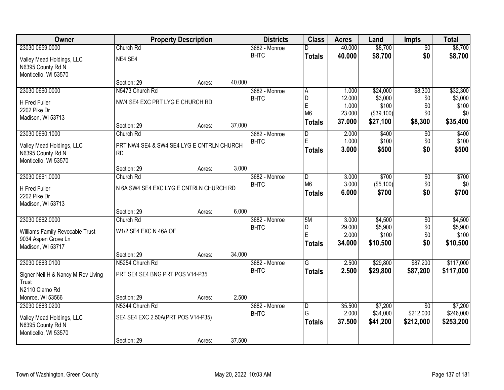| <b>Owner</b>                       |                                           | <b>Property Description</b> |        | <b>Districts</b>             | <b>Class</b>   | <b>Acres</b>    | Land                 | <b>Impts</b>           | <b>Total</b>         |
|------------------------------------|-------------------------------------------|-----------------------------|--------|------------------------------|----------------|-----------------|----------------------|------------------------|----------------------|
| 23030 0659.0000                    | Church Rd                                 |                             |        | 3682 - Monroe                |                | 40.000          | \$8,700              | $\overline{50}$        | \$8,700              |
| Valley Mead Holdings, LLC          | NE4 SE4                                   |                             |        | <b>BHTC</b>                  | <b>Totals</b>  | 40.000          | \$8,700              | \$0                    | \$8,700              |
| N6395 County Rd N                  |                                           |                             |        |                              |                |                 |                      |                        |                      |
| Monticello, WI 53570               |                                           |                             |        |                              |                |                 |                      |                        |                      |
|                                    | Section: 29                               | Acres:                      | 40.000 |                              |                |                 |                      |                        |                      |
| 23030 0660.0000                    | N5473 Church Rd                           |                             |        | 3682 - Monroe<br><b>BHTC</b> | A<br>D         | 1.000<br>12.000 | \$24,000<br>\$3,000  | \$8,300                | \$32,300<br>\$3,000  |
| <b>H</b> Fred Fuller               | NW4 SE4 EXC PRT LYG E CHURCH RD           |                             |        |                              | E              | 1.000           | \$100                | \$0<br>\$0             | \$100                |
| 2202 Pike Dr                       |                                           |                             |        |                              | M <sub>6</sub> | 23.000          | (\$39,100)           | \$0                    | \$0                  |
| Madison, WI 53713                  |                                           |                             | 37.000 |                              | <b>Totals</b>  | 37.000          | \$27,100             | \$8,300                | \$35,400             |
| 23030 0660.1000                    | Section: 29<br>Church Rd                  | Acres:                      |        | 3682 - Monroe                | D              | 2.000           | \$400                | \$0                    | \$400                |
|                                    |                                           |                             |        | <b>BHTC</b>                  | E              | 1.000           | \$100                | \$0                    | \$100                |
| Valley Mead Holdings, LLC          | PRT NW4 SE4 & SW4 SE4 LYG E CNTRLN CHURCH |                             |        |                              | Totals         | 3.000           | \$500                | \$0                    | \$500                |
| N6395 County Rd N                  | <b>RD</b>                                 |                             |        |                              |                |                 |                      |                        |                      |
| Monticello, WI 53570               | Section: 29                               | Acres:                      | 3.000  |                              |                |                 |                      |                        |                      |
| 23030 0661.0000                    | Church Rd                                 |                             |        | 3682 - Monroe                | ID.            | 3.000           | \$700                | $\sqrt[6]{3}$          | \$700                |
|                                    |                                           |                             |        | <b>BHTC</b>                  | M <sub>6</sub> | 3.000           | ( \$5,100)           | \$0                    | \$0                  |
| H Fred Fuller<br>2202 Pike Dr      | N 6A SW4 SE4 EXC LYG E CNTRLN CHURCH RD   |                             |        |                              | <b>Totals</b>  | 6.000           | \$700                | \$0                    | \$700                |
| Madison, WI 53713                  |                                           |                             |        |                              |                |                 |                      |                        |                      |
|                                    | Section: 29                               | Acres:                      | 6.000  |                              |                |                 |                      |                        |                      |
| 23030 0662.0000                    | Church Rd                                 |                             |        | 3682 - Monroe                | 5M             | 3.000           | \$4,500              | $\overline{50}$        | \$4,500              |
| Williams Family Revocable Trust    | W1/2 SE4 EXC N 46A OF                     |                             |        | <b>BHTC</b>                  | D              | 29.000          | \$5,900              | \$0                    | \$5,900              |
| 9034 Aspen Grove Ln                |                                           |                             |        |                              | E              | 2.000           | \$100                | \$0                    | \$100                |
| Madison, WI 53717                  |                                           |                             |        |                              | <b>Totals</b>  | 34.000          | \$10,500             | \$0                    | \$10,500             |
|                                    | Section: 29                               | Acres:                      | 34.000 |                              |                |                 |                      |                        |                      |
| 23030 0663.0100                    | N5254 Church Rd                           |                             |        | 3682 - Monroe                | G              | 2.500           | \$29,800             | \$87,200               | \$117,000            |
| Signer Neil H & Nancy M Rev Living | PRT SE4 SE4 BNG PRT POS V14-P35           |                             |        | <b>BHTC</b>                  | <b>Totals</b>  | 2.500           | \$29,800             | \$87,200               | \$117,000            |
| Trust                              |                                           |                             |        |                              |                |                 |                      |                        |                      |
| N2110 Clarno Rd                    |                                           |                             |        |                              |                |                 |                      |                        |                      |
| Monroe, WI 53566                   | Section: 29                               | Acres:                      | 2.500  |                              |                |                 |                      |                        |                      |
| 23030 0663.0200                    | N5344 Church Rd                           |                             |        | 3682 - Monroe                | D<br>G         | 35.500<br>2.000 | \$7,200              | $\overline{30}$        | \$7,200<br>\$246,000 |
| Valley Mead Holdings, LLC          | SE4 SE4 EXC 2.50A(PRT POS V14-P35)        |                             |        | <b>BHTC</b>                  |                | 37.500          | \$34,000<br>\$41,200 | \$212,000<br>\$212,000 | \$253,200            |
| N6395 County Rd N                  |                                           |                             |        |                              | <b>Totals</b>  |                 |                      |                        |                      |
| Monticello, WI 53570               |                                           |                             |        |                              |                |                 |                      |                        |                      |
|                                    | Section: 29                               | Acres:                      | 37.500 |                              |                |                 |                      |                        |                      |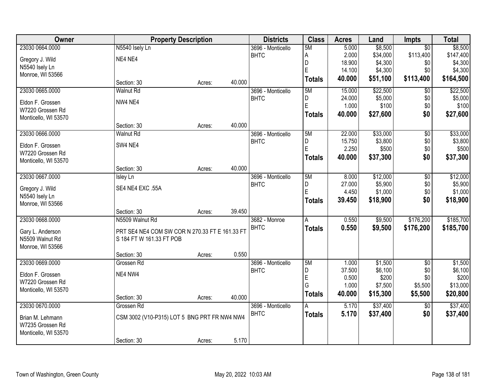| Owner                | <b>Property Description</b>                    |        |        | <b>Districts</b>  | <b>Class</b>  | <b>Acres</b> | Land     | <b>Impts</b>    | <b>Total</b> |
|----------------------|------------------------------------------------|--------|--------|-------------------|---------------|--------------|----------|-----------------|--------------|
| 23030 0664.0000      | N5540 Isely Ln                                 |        |        | 3696 - Monticello | 5M            | 5.000        | \$8,500  | $\overline{50}$ | \$8,500      |
| Gregory J. Wild      | NE4 NE4                                        |        |        | <b>BHTC</b>       | А             | 2.000        | \$34,000 | \$113,400       | \$147,400    |
| N5540 Isely Ln       |                                                |        |        |                   | D             | 18.900       | \$4,300  | \$0             | \$4,300      |
| Monroe, WI 53566     |                                                |        |        |                   | E             | 14.100       | \$4,300  | \$0             | \$4,300      |
|                      | Section: 30                                    | Acres: | 40.000 |                   | <b>Totals</b> | 40.000       | \$51,100 | \$113,400       | \$164,500    |
| 23030 0665.0000      | <b>Walnut Rd</b>                               |        |        | 3696 - Monticello | 5M            | 15.000       | \$22,500 | $\overline{50}$ | \$22,500     |
| Eldon F. Grossen     | NW4 NE4                                        |        |        | <b>BHTC</b>       | D             | 24.000       | \$5,000  | \$0             | \$5,000      |
| W7220 Grossen Rd     |                                                |        |        |                   | E             | 1.000        | \$100    | \$0             | \$100        |
| Monticello, WI 53570 |                                                |        |        |                   | <b>Totals</b> | 40.000       | \$27,600 | \$0             | \$27,600     |
|                      | Section: 30                                    | Acres: | 40.000 |                   |               |              |          |                 |              |
| 23030 0666.0000      | <b>Walnut Rd</b>                               |        |        | 3696 - Monticello | 5M            | 22.000       | \$33,000 | \$0             | \$33,000     |
| Eldon F. Grossen     | SW4 NE4                                        |        |        | <b>BHTC</b>       | D             | 15.750       | \$3,800  | \$0             | \$3,800      |
| W7220 Grossen Rd     |                                                |        |        |                   | E             | 2.250        | \$500    | \$0             | \$500        |
| Monticello, WI 53570 |                                                |        |        |                   | <b>Totals</b> | 40.000       | \$37,300 | \$0             | \$37,300     |
|                      | Section: 30                                    | Acres: | 40.000 |                   |               |              |          |                 |              |
| 23030 0667.0000      | <b>Isley Ln</b>                                |        |        | 3696 - Monticello | 5M            | 8.000        | \$12,000 | \$0             | \$12,000     |
| Gregory J. Wild      | SE4 NE4 EXC .55A                               |        |        | <b>BHTC</b>       | D             | 27.000       | \$5,900  | \$0             | \$5,900      |
| N5540 Isely Ln       |                                                |        |        |                   | E             | 4.450        | \$1,000  | \$0             | \$1,000      |
| Monroe, WI 53566     |                                                |        |        |                   | <b>Totals</b> | 39.450       | \$18,900 | \$0             | \$18,900     |
|                      | Section: 30                                    | Acres: | 39.450 |                   |               |              |          |                 |              |
| 23030 0668.0000      | N5509 Walnut Rd                                |        |        | 3682 - Monroe     | A             | 0.550        | \$9,500  | \$176,200       | \$185,700    |
| Gary L. Anderson     | PRT SE4 NE4 COM SW COR N 270.33 FT E 161.33 FT |        |        | <b>BHTC</b>       | <b>Totals</b> | 0.550        | \$9,500  | \$176,200       | \$185,700    |
| N5509 Walnut Rd      | S 184 FT W 161.33 FT POB                       |        |        |                   |               |              |          |                 |              |
| Monroe, WI 53566     |                                                |        |        |                   |               |              |          |                 |              |
|                      | Section: 30                                    | Acres: | 0.550  |                   |               |              |          |                 |              |
| 23030 0669.0000      | Grossen Rd                                     |        |        | 3696 - Monticello | 5M            | 1.000        | \$1,500  | $\overline{30}$ | \$1,500      |
| Eldon F. Grossen     | NE4 NW4                                        |        |        | <b>BHTC</b>       | D             | 37.500       | \$6,100  | \$0             | \$6,100      |
| W7220 Grossen Rd     |                                                |        |        |                   | E             | 0.500        | \$200    | \$0             | \$200        |
| Monticello, WI 53570 |                                                |        |        |                   | G             | 1.000        | \$7,500  | \$5,500         | \$13,000     |
|                      | Section: 30                                    | Acres: | 40.000 |                   | <b>Totals</b> | 40.000       | \$15,300 | \$5,500         | \$20,800     |
| 23030 0670.0000      | Grossen Rd                                     |        |        | 3696 - Monticello | A             | 5.170        | \$37,400 | $\overline{50}$ | \$37,400     |
| Brian M. Lehmann     | CSM 3002 (V10-P315) LOT 5 BNG PRT FR NW4 NW4   |        |        | <b>BHTC</b>       | <b>Totals</b> | 5.170        | \$37,400 | \$0             | \$37,400     |
| W7235 Grossen Rd     |                                                |        |        |                   |               |              |          |                 |              |
| Monticello, WI 53570 |                                                |        |        |                   |               |              |          |                 |              |
|                      | Section: 30                                    | Acres: | 5.170  |                   |               |              |          |                 |              |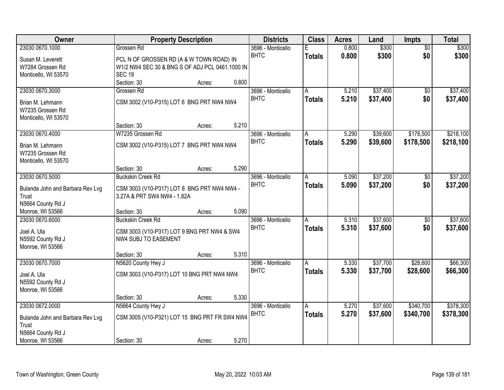| Owner                                     | <b>Property Description</b>                                                |        |       | <b>Districts</b>                 | <b>Class</b>  | <b>Acres</b> | Land     | Impts           | <b>Total</b> |
|-------------------------------------------|----------------------------------------------------------------------------|--------|-------|----------------------------------|---------------|--------------|----------|-----------------|--------------|
| 23030 0670.1000                           | Grossen Rd                                                                 |        |       | 3696 - Monticello                | F             | 0.800        | \$300    | $\overline{50}$ | \$300        |
| Susan M. Leverett                         | PCL N OF GROSSEN RD (A & W TOWN ROAD) IN                                   |        |       | <b>BHTC</b>                      | <b>Totals</b> | 0.800        | \$300    | \$0             | \$300        |
| W7284 Grossen Rd                          | W1/2 NW4 SEC 30 & BNG S OF ADJ PCL 0461.1000 IN                            |        |       |                                  |               |              |          |                 |              |
| Monticello, WI 53570                      | <b>SEC 19</b>                                                              |        |       |                                  |               |              |          |                 |              |
|                                           | Section: 30                                                                | Acres: | 0.800 |                                  |               |              |          |                 |              |
| 23030 0670.3000                           | Grossen Rd                                                                 |        |       | 3696 - Monticello                | A             | 5.210        | \$37,400 | $\overline{50}$ | \$37,400     |
| Brian M. Lehmann                          | CSM 3002 (V10-P315) LOT 6 BNG PRT NW4 NW4                                  |        |       | <b>BHTC</b>                      | <b>Totals</b> | 5.210        | \$37,400 | \$0             | \$37,400     |
| W7235 Grossen Rd                          |                                                                            |        |       |                                  |               |              |          |                 |              |
| Monticello, WI 53570                      |                                                                            |        |       |                                  |               |              |          |                 |              |
|                                           | Section: 30                                                                | Acres: | 5.210 |                                  |               |              |          |                 |              |
| 23030 0670.4000                           | W7235 Grossen Rd                                                           |        |       | 3696 - Monticello                | A             | 5.290        | \$39,600 | \$178,500       | \$218,100    |
| Brian M. Lehmann                          | CSM 3002 (V10-P315) LOT 7 BNG PRT NW4 NW4                                  |        |       | <b>BHTC</b>                      | <b>Totals</b> | 5.290        | \$39,600 | \$178,500       | \$218,100    |
| W7235 Grossen Rd                          |                                                                            |        |       |                                  |               |              |          |                 |              |
| Monticello, WI 53570                      |                                                                            |        |       |                                  |               |              |          |                 |              |
|                                           | Section: 30                                                                | Acres: | 5.290 |                                  |               |              |          |                 |              |
| 23030 0670.5000                           | <b>Buckskin Creek Rd</b>                                                   |        |       | 3696 - Monticello                | A             | 5.090        | \$37,200 | \$0             | \$37,200     |
|                                           |                                                                            |        |       | <b>BHTC</b>                      | <b>Totals</b> | 5.090        | \$37,200 | \$0             | \$37,200     |
| Bulanda John and Barbara Rev Lvg<br>Trust | CSM 3003 (V10-P317) LOT 8 BNG PRT NW4 NW4 -<br>3.27A & PRT SW4 NW4 - 1.82A |        |       |                                  |               |              |          |                 |              |
| N5664 County Rd J                         |                                                                            |        |       |                                  |               |              |          |                 |              |
| Monroe, WI 53566                          | Section: 30                                                                | Acres: | 5.090 |                                  |               |              |          |                 |              |
| 23030 0670.6000                           | <b>Buckskin Creek Rd</b>                                                   |        |       | 3696 - Monticello                | A             | 5.310        | \$37,600 | $\overline{50}$ | \$37,600     |
|                                           |                                                                            |        |       | <b>BHTC</b>                      | <b>Totals</b> | 5.310        | \$37,600 | \$0             | \$37,600     |
| Joel A. Ula                               | CSM 3003 (V10-P317) LOT 9 BNG PRT NW4 & SW4                                |        |       |                                  |               |              |          |                 |              |
| N5592 County Rd J                         | NW4 SUBJ TO EASEMENT                                                       |        |       |                                  |               |              |          |                 |              |
| Monroe, WI 53566                          |                                                                            |        | 5.310 |                                  |               |              |          |                 |              |
| 23030 0670.7000                           | Section: 30<br>N5620 County Hwy J                                          | Acres: |       |                                  |               | 5.330        | \$37,700 | \$28,600        | \$66,300     |
|                                           |                                                                            |        |       | 3696 - Monticello<br><b>BHTC</b> | A             | 5.330        | \$37,700 | \$28,600        |              |
| Joel A. Ula                               | CSM 3003 (V10-P317) LOT 10 BNG PRT NW4 NW4                                 |        |       |                                  | <b>Totals</b> |              |          |                 | \$66,300     |
| N5592 County Rd J                         |                                                                            |        |       |                                  |               |              |          |                 |              |
| Monroe, WI 53566                          |                                                                            |        |       |                                  |               |              |          |                 |              |
|                                           | Section: 30                                                                | Acres: | 5.330 |                                  |               |              |          |                 |              |
| 23030 0672.0000                           | N5664 County Hwy J                                                         |        |       | 3696 - Monticello                | A             | 5.270        | \$37,600 | \$340,700       | \$378,300    |
| Bulanda John and Barbara Rev Lvg          | CSM 3005 (V10-P321) LOT 15 BNG PRT FR SW4 NW4                              |        |       | <b>BHTC</b>                      | <b>Totals</b> | 5.270        | \$37,600 | \$340,700       | \$378,300    |
| Trust                                     |                                                                            |        |       |                                  |               |              |          |                 |              |
| N5664 County Rd J                         |                                                                            |        |       |                                  |               |              |          |                 |              |
| Monroe, WI 53566                          | Section: 30                                                                | Acres: | 5.270 |                                  |               |              |          |                 |              |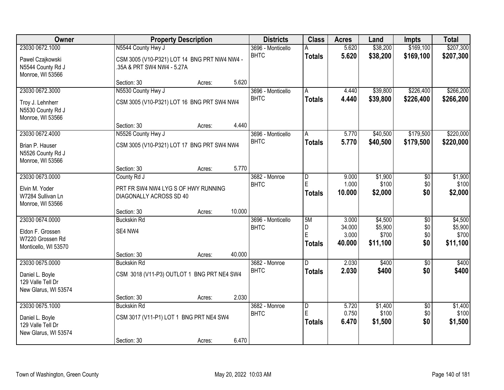| Owner                |                                              | <b>Property Description</b> |        | <b>Districts</b>  | <b>Class</b>  | <b>Acres</b>    | Land              | Impts           | <b>Total</b>      |
|----------------------|----------------------------------------------|-----------------------------|--------|-------------------|---------------|-----------------|-------------------|-----------------|-------------------|
| 23030 0672.1000      | N5544 County Hwy J                           |                             |        | 3696 - Monticello |               | 5.620           | \$38,200          | \$169,100       | \$207,300         |
| Pawel Czajkowski     | CSM 3005 (V10-P321) LOT 14 BNG PRT NW4 NW4 - |                             |        | <b>BHTC</b>       | <b>Totals</b> | 5.620           | \$38,200          | \$169,100       | \$207,300         |
| N5544 County Rd J    | .35A & PRT SW4 NW4 - 5.27A                   |                             |        |                   |               |                 |                   |                 |                   |
| Monroe, WI 53566     |                                              |                             |        |                   |               |                 |                   |                 |                   |
|                      | Section: 30                                  | Acres:                      | 5.620  |                   |               |                 |                   |                 |                   |
| 23030 0672.3000      | N5530 County Hwy J                           |                             |        | 3696 - Monticello | A             | 4.440           | \$39,800          | \$226,400       | \$266,200         |
| Troy J. Lehnherr     | CSM 3005 (V10-P321) LOT 16 BNG PRT SW4 NW4   |                             |        | <b>BHTC</b>       | <b>Totals</b> | 4.440           | \$39,800          | \$226,400       | \$266,200         |
| N5530 County Rd J    |                                              |                             |        |                   |               |                 |                   |                 |                   |
| Monroe, WI 53566     |                                              |                             |        |                   |               |                 |                   |                 |                   |
|                      | Section: 30                                  | Acres:                      | 4.440  |                   |               |                 |                   |                 |                   |
| 23030 0672.4000      | N5526 County Hwy J                           |                             |        | 3696 - Monticello | A             | 5.770           | \$40,500          | \$179,500       | \$220,000         |
| Brian P. Hauser      | CSM 3005 (V10-P321) LOT 17 BNG PRT SW4 NW4   |                             |        | <b>BHTC</b>       | <b>Totals</b> | 5.770           | \$40,500          | \$179,500       | \$220,000         |
| N5526 County Rd J    |                                              |                             |        |                   |               |                 |                   |                 |                   |
| Monroe, WI 53566     |                                              |                             |        |                   |               |                 |                   |                 |                   |
|                      | Section: 30                                  | Acres:                      | 5.770  |                   |               |                 |                   |                 |                   |
| 23030 0673.0000      | County Rd J                                  |                             |        | 3682 - Monroe     | D             | 9.000           | \$1,900           | \$0             | \$1,900           |
| Elvin M. Yoder       | PRT FR SW4 NW4 LYG S OF HWY RUNNING          |                             |        | <b>BHTC</b>       | E             | 1.000           | \$100             | \$0             | \$100             |
| W7284 Sullivan Ln    | DIAGONALLY ACROSS SD 40                      |                             |        |                   | <b>Totals</b> | 10.000          | \$2,000           | \$0             | \$2,000           |
| Monroe, WI 53566     |                                              |                             |        |                   |               |                 |                   |                 |                   |
|                      | Section: 30                                  | Acres:                      | 10.000 |                   |               |                 |                   |                 |                   |
| 23030 0674.0000      | <b>Buckskin Rd</b>                           |                             |        | 3696 - Monticello | 5M            | 3.000           | \$4,500           | $\overline{50}$ | \$4,500           |
| Eldon F. Grossen     | SE4 NW4                                      |                             |        | <b>BHTC</b>       | D<br>E        | 34.000          | \$5,900           | \$0             | \$5,900           |
| W7220 Grossen Rd     |                                              |                             |        |                   |               | 3.000<br>40.000 | \$700<br>\$11,100 | \$0<br>\$0      | \$700<br>\$11,100 |
| Monticello, WI 53570 |                                              |                             |        |                   | <b>Totals</b> |                 |                   |                 |                   |
|                      | Section: 30                                  | Acres:                      | 40.000 |                   |               |                 |                   |                 |                   |
| 23030 0675.0000      | <b>Buckskin Rd</b>                           |                             |        | 3682 - Monroe     | D             | 2.030           | \$400             | $\overline{50}$ | \$400             |
| Daniel L. Boyle      | CSM 3018 (V11-P3) OUTLOT 1 BNG PRT NE4 SW4   |                             |        | <b>BHTC</b>       | <b>Totals</b> | 2.030           | \$400             | \$0             | \$400             |
| 129 Valle Tell Dr    |                                              |                             |        |                   |               |                 |                   |                 |                   |
| New Glarus, WI 53574 |                                              |                             |        |                   |               |                 |                   |                 |                   |
|                      | Section: 30                                  | Acres:                      | 2.030  |                   |               |                 |                   |                 |                   |
| 23030 0675.1000      | <b>Buckskin Rd</b>                           |                             |        | 3682 - Monroe     | D             | 5.720           | \$1,400           | $\overline{50}$ | \$1,400           |
| Daniel L. Boyle      | CSM 3017 (V11-P1) LOT 1 BNG PRT NE4 SW4      |                             |        | <b>BHTC</b>       | E             | 0.750           | \$100             | \$0             | \$100             |
| 129 Valle Tell Dr    |                                              |                             |        |                   | <b>Totals</b> | 6.470           | \$1,500           | \$0             | \$1,500           |
| New Glarus, WI 53574 |                                              |                             |        |                   |               |                 |                   |                 |                   |
|                      | Section: 30                                  | Acres:                      | 6.470  |                   |               |                 |                   |                 |                   |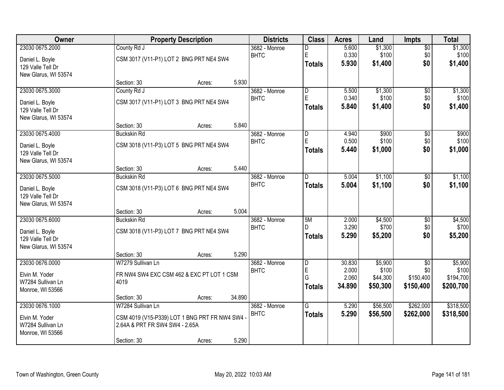| <b>Owner</b>                          |                                                | <b>Property Description</b> |        |                              | <b>Class</b>                 | <b>Acres</b>   | Land             | <b>Impts</b>    | <b>Total</b>     |
|---------------------------------------|------------------------------------------------|-----------------------------|--------|------------------------------|------------------------------|----------------|------------------|-----------------|------------------|
| 23030 0675.2000                       | County Rd J                                    |                             |        | 3682 - Monroe                | D                            | 5.600          | \$1,300          | $\overline{50}$ | \$1,300          |
| Daniel L. Boyle                       | CSM 3017 (V11-P1) LOT 2 BNG PRT NE4 SW4        |                             |        | <b>BHTC</b>                  | E                            | 0.330          | \$100            | \$0             | \$100            |
| 129 Valle Tell Dr                     |                                                |                             |        |                              | <b>Totals</b>                | 5.930          | \$1,400          | \$0             | \$1,400          |
| New Glarus, WI 53574                  |                                                |                             |        |                              |                              |                |                  |                 |                  |
|                                       | Section: 30                                    | Acres:                      | 5.930  |                              |                              |                |                  |                 |                  |
| 23030 0675.3000                       | County Rd J                                    |                             |        | 3682 - Monroe                | $\overline{\mathsf{D}}$<br>E | 5.500          | \$1,300          | $\overline{50}$ | \$1,300          |
| Daniel L. Boyle                       | CSM 3017 (V11-P1) LOT 3 BNG PRT NE4 SW4        |                             |        | <b>BHTC</b>                  | <b>Totals</b>                | 0.340<br>5.840 | \$100<br>\$1,400 | \$0<br>\$0      | \$100<br>\$1,400 |
| 129 Valle Tell Dr                     |                                                |                             |        |                              |                              |                |                  |                 |                  |
| New Glarus, WI 53574                  |                                                |                             |        |                              |                              |                |                  |                 |                  |
|                                       | Section: 30                                    | Acres:                      | 5.840  |                              |                              |                |                  |                 |                  |
| 23030 0675.4000                       | <b>Buckskin Rd</b>                             |                             |        | 3682 - Monroe<br><b>BHTC</b> | $\overline{D}$<br>E          | 4.940<br>0.500 | \$900<br>\$100   | \$0<br>\$0      | \$900<br>\$100   |
| Daniel L. Boyle                       | CSM 3018 (V11-P3) LOT 5 BNG PRT NE4 SW4        |                             |        |                              | <b>Totals</b>                | 5.440          | \$1,000          | \$0             | \$1,000          |
| 129 Valle Tell Dr                     |                                                |                             |        |                              |                              |                |                  |                 |                  |
| New Glarus, WI 53574                  |                                                |                             |        |                              |                              |                |                  |                 |                  |
|                                       | Section: 30                                    | Acres:                      | 5.440  |                              |                              |                |                  |                 |                  |
| 23030 0675.5000                       | <b>Buckskin Rd</b>                             |                             |        | 3682 - Monroe<br><b>BHTC</b> | D                            | 5.004<br>5.004 | \$1,100          | \$0<br>\$0      | \$1,100          |
| Daniel L. Boyle                       | CSM 3018 (V11-P3) LOT 6 BNG PRT NE4 SW4        |                             |        |                              | <b>Totals</b>                |                | \$1,100          |                 | \$1,100          |
| 129 Valle Tell Dr                     |                                                |                             |        |                              |                              |                |                  |                 |                  |
| New Glarus, WI 53574                  |                                                |                             | 5.004  |                              |                              |                |                  |                 |                  |
| 23030 0675.6000                       | Section: 30<br><b>Buckskin Rd</b>              | Acres:                      |        | 3682 - Monroe                | 5M                           | 2.000          | \$4,500          | \$0             | \$4,500          |
|                                       |                                                |                             |        | <b>BHTC</b>                  | D                            | 3.290          | \$700            | \$0             | \$700            |
| Daniel L. Boyle                       | CSM 3018 (V11-P3) LOT 7 BNG PRT NE4 SW4        |                             |        |                              | <b>Totals</b>                | 5.290          | \$5,200          | \$0             | \$5,200          |
| 129 Valle Tell Dr                     |                                                |                             |        |                              |                              |                |                  |                 |                  |
| New Glarus, WI 53574                  | Section: 30                                    |                             | 5.290  |                              |                              |                |                  |                 |                  |
| 23030 0676.0000                       | W7279 Sullivan Ln                              | Acres:                      |        | 3682 - Monroe                | $\overline{D}$               | 30.830         | \$5,900          | $\sqrt{6}$      | \$5,900          |
|                                       |                                                |                             |        | <b>BHTC</b>                  | E                            | 2.000          | \$100            | \$0             | \$100            |
| Elvin M. Yoder                        | FR NW4 SW4 EXC CSM 462 & EXC PT LOT 1 CSM      |                             |        |                              | G                            | 2.060          | \$44,300         | \$150,400       | \$194,700        |
| W7284 Sullivan Ln                     | 4019                                           |                             |        |                              | <b>Totals</b>                | 34.890         | \$50,300         | \$150,400       | \$200,700        |
| Monroe, WI 53566                      | Section: 30                                    | Acres:                      | 34.890 |                              |                              |                |                  |                 |                  |
| 23030 0676.1000                       | W7284 Sullivan Ln                              |                             |        | 3682 - Monroe                | $\overline{G}$               | 5.290          | \$56,500         | \$262,000       | \$318,500        |
|                                       |                                                |                             |        | <b>BHTC</b>                  | <b>Totals</b>                | 5.290          | \$56,500         | \$262,000       | \$318,500        |
| Elvin M. Yoder                        | CSM 4019 (V15-P339) LOT 1 BNG PRT FR NW4 SW4 - |                             |        |                              |                              |                |                  |                 |                  |
| W7284 Sullivan Ln<br>Monroe, WI 53566 | 2.64A & PRT FR SW4 SW4 - 2.65A                 |                             |        |                              |                              |                |                  |                 |                  |
|                                       | Section: 30                                    | Acres:                      | 5.290  |                              |                              |                |                  |                 |                  |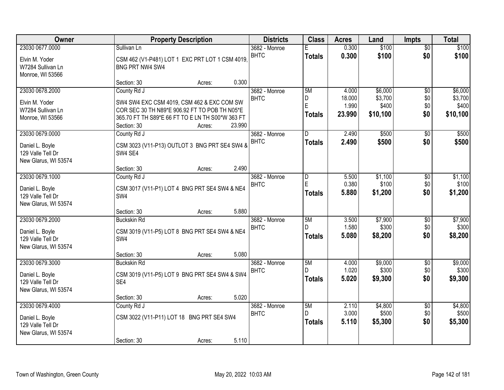| Owner                                     |                                   | <b>Property Description</b>                                                                       | <b>Districts</b> | <b>Class</b>  | <b>Acres</b>   | Land             | <b>Impts</b>    | <b>Total</b>     |
|-------------------------------------------|-----------------------------------|---------------------------------------------------------------------------------------------------|------------------|---------------|----------------|------------------|-----------------|------------------|
| 23030 0677.0000                           | Sullivan Ln                       |                                                                                                   | 3682 - Monroe    |               | 0.300          | \$100            | $\overline{50}$ | \$100            |
| Elvin M. Yoder                            |                                   | CSM 462 (V1-P481) LOT 1 EXC PRT LOT 1 CSM 4019,                                                   | <b>BHTC</b>      | <b>Totals</b> | 0.300          | \$100            | \$0             | \$100            |
| W7284 Sullivan Ln                         | BNG PRT NW4 SW4                   |                                                                                                   |                  |               |                |                  |                 |                  |
| Monroe, WI 53566                          | Section: 30                       | 0.300<br>Acres:                                                                                   |                  |               |                |                  |                 |                  |
| 23030 0678.2000                           | County Rd J                       |                                                                                                   | 3682 - Monroe    | 5M            | 4.000          | \$6,000          | $\overline{50}$ | \$6,000          |
|                                           |                                   |                                                                                                   | <b>BHTC</b>      | D             | 18.000         | \$3,700          | \$0             | \$3,700          |
| Elvin M. Yoder                            |                                   | SW4 SW4 EXC CSM 4019, CSM 462 & EXC COM SW                                                        |                  | E             | 1.990          | \$400            | \$0             | \$400            |
| W7284 Sullivan Ln<br>Monroe, WI 53566     |                                   | COR SEC 30 TH N89*E 906.92 FT TO POB TH N05*E<br>365.70 FT TH S89*E 66 FT TO E LN TH S00*W 363 FT |                  | <b>Totals</b> | 23.990         | \$10,100         | \$0             | \$10,100         |
|                                           | Section: 30                       | 23.990<br>Acres:                                                                                  |                  |               |                |                  |                 |                  |
| 23030 0679.0000                           | County Rd J                       |                                                                                                   | 3682 - Monroe    | D             | 2.490          | \$500            | \$0             | \$500            |
| Daniel L. Boyle                           |                                   | CSM 3023 (V11-P13) OUTLOT 3 BNG PRT SE4 SW4 &                                                     | <b>BHTC</b>      | <b>Totals</b> | 2.490          | \$500            | \$0             | \$500            |
| 129 Valle Tell Dr                         | SW4 SE4                           |                                                                                                   |                  |               |                |                  |                 |                  |
| New Glarus, WI 53574                      |                                   |                                                                                                   |                  |               |                |                  |                 |                  |
|                                           | Section: 30                       | 2.490<br>Acres:                                                                                   |                  |               |                |                  |                 |                  |
| 23030 0679.1000                           | County Rd J                       |                                                                                                   | 3682 - Monroe    | D             | 5.500          | \$1,100          | $\sqrt[6]{3}$   | \$1,100          |
| Daniel L. Boyle                           |                                   | CSM 3017 (V11-P1) LOT 4 BNG PRT SE4 SW4 & NE4                                                     | <b>BHTC</b>      | $\mathsf E$   | 0.380          | \$100            | \$0             | \$100            |
| 129 Valle Tell Dr                         | SW4                               |                                                                                                   |                  | <b>Totals</b> | 5.880          | \$1,200          | \$0             | \$1,200          |
| New Glarus, WI 53574                      |                                   |                                                                                                   |                  |               |                |                  |                 |                  |
|                                           | Section: 30                       | 5.880<br>Acres:                                                                                   |                  |               |                |                  |                 |                  |
| 23030 0679.2000                           | <b>Buckskin Rd</b>                |                                                                                                   | 3682 - Monroe    | 5M<br>D       | 3.500          | \$7,900<br>\$300 | $\overline{50}$ | \$7,900<br>\$300 |
| Daniel L. Boyle                           |                                   | CSM 3019 (V11-P5) LOT 8 BNG PRT SE4 SW4 & NE4                                                     | <b>BHTC</b>      | <b>Totals</b> | 1.580<br>5.080 | \$8,200          | \$0<br>\$0      | \$8,200          |
| 129 Valle Tell Dr                         | SW4                               |                                                                                                   |                  |               |                |                  |                 |                  |
| New Glarus, WI 53574                      |                                   |                                                                                                   |                  |               |                |                  |                 |                  |
| 23030 0679.3000                           | Section: 30<br><b>Buckskin Rd</b> | 5.080<br>Acres:                                                                                   | 3682 - Monroe    | 5M            | 4.000          | \$9,000          | $\overline{50}$ | \$9,000          |
|                                           |                                   |                                                                                                   | <b>BHTC</b>      |               | 1.020          | \$300            | \$0             | \$300            |
| Daniel L. Boyle                           |                                   | CSM 3019 (V11-P5) LOT 9 BNG PRT SE4 SW4 & SW4                                                     |                  | <b>Totals</b> | 5.020          | \$9,300          | \$0             | \$9,300          |
| 129 Valle Tell Dr                         | SE4                               |                                                                                                   |                  |               |                |                  |                 |                  |
| New Glarus, WI 53574                      | Section: 30                       | 5.020<br>Acres:                                                                                   |                  |               |                |                  |                 |                  |
| 23030 0679.4000                           | County Rd J                       |                                                                                                   | 3682 - Monroe    | 5M            | 2.110          | \$4,800          | $\overline{50}$ | \$4,800          |
|                                           |                                   |                                                                                                   | <b>BHTC</b>      | D             | 3.000          | \$500            | \$0             | \$500            |
| Daniel L. Boyle                           |                                   | CSM 3022 (V11-P11) LOT 18 BNG PRT SE4 SW4                                                         |                  | <b>Totals</b> | 5.110          | \$5,300          | \$0             | \$5,300          |
| 129 Valle Tell Dr<br>New Glarus, WI 53574 |                                   |                                                                                                   |                  |               |                |                  |                 |                  |
|                                           | Section: 30                       | 5.110<br>Acres:                                                                                   |                  |               |                |                  |                 |                  |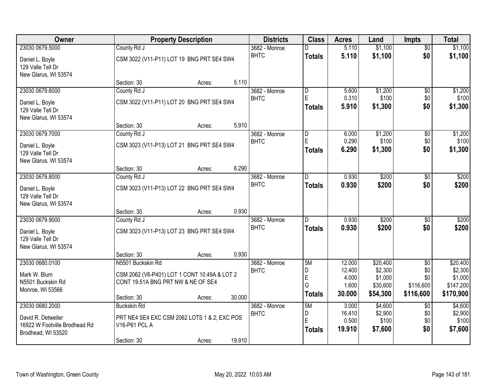| Owner                         |                                    | <b>Property Description</b>                  |        | <b>Districts</b>             | <b>Class</b>            | <b>Acres</b>    | Land               | <b>Impts</b>    | <b>Total</b>       |
|-------------------------------|------------------------------------|----------------------------------------------|--------|------------------------------|-------------------------|-----------------|--------------------|-----------------|--------------------|
| 23030 0679.5000               | County Rd J                        |                                              |        | 3682 - Monroe                |                         | 5.110           | \$1,100            | $\overline{50}$ | \$1,100            |
| Daniel L. Boyle               |                                    | CSM 3022 (V11-P11) LOT 19 BNG PRT SE4 SW4    |        | <b>BHTC</b>                  | <b>Totals</b>           | 5.110           | \$1,100            | \$0             | \$1,100            |
| 129 Valle Tell Dr             |                                    |                                              |        |                              |                         |                 |                    |                 |                    |
| New Glarus, WI 53574          |                                    |                                              | 5.110  |                              |                         |                 |                    |                 |                    |
| 23030 0679.6000               | Section: 30<br>County Rd J         | Acres:                                       |        | 3682 - Monroe                | $\overline{\mathsf{D}}$ | 5.600           | \$1,200            | $\overline{50}$ | \$1,200            |
|                               |                                    |                                              |        | <b>BHTC</b>                  | E                       | 0.310           | \$100              | \$0             | \$100              |
| Daniel L. Boyle               |                                    | CSM 3022 (V11-P11) LOT 20 BNG PRT SE4 SW4    |        |                              | <b>Totals</b>           | 5.910           | \$1,300            | \$0             | \$1,300            |
| 129 Valle Tell Dr             |                                    |                                              |        |                              |                         |                 |                    |                 |                    |
| New Glarus, WI 53574          |                                    |                                              |        |                              |                         |                 |                    |                 |                    |
| 23030 0679.7000               | Section: 30                        | Acres:                                       | 5.910  | 3682 - Monroe                |                         | 6.000           | \$1,200            |                 |                    |
|                               | County Rd J                        |                                              |        | <b>BHTC</b>                  | D<br>E                  | 0.290           | \$100              | \$0<br>\$0      | \$1,200<br>\$100   |
| Daniel L. Boyle               |                                    | CSM 3023 (V11-P13) LOT 21 BNG PRT SE4 SW4    |        |                              | <b>Totals</b>           | 6.290           | \$1,300            | \$0             | \$1,300            |
| 129 Valle Tell Dr             |                                    |                                              |        |                              |                         |                 |                    |                 |                    |
| New Glarus, WI 53574          |                                    |                                              |        |                              |                         |                 |                    |                 |                    |
|                               | Section: 30                        | Acres:                                       | 6.290  |                              |                         |                 |                    |                 |                    |
| 23030 0679.8000               | County Rd J                        |                                              |        | 3682 - Monroe<br><b>BHTC</b> | D.                      | 0.930           | \$200              | \$0             | \$200              |
| Daniel L. Boyle               |                                    | CSM 3023 (V11-P13) LOT 22 BNG PRT SE4 SW4    |        |                              | <b>Totals</b>           | 0.930           | \$200              | \$0             | \$200              |
| 129 Valle Tell Dr             |                                    |                                              |        |                              |                         |                 |                    |                 |                    |
| New Glarus, WI 53574          |                                    |                                              |        |                              |                         |                 |                    |                 |                    |
|                               | Section: 30                        | Acres:                                       | 0.930  |                              |                         |                 |                    |                 |                    |
| 23030 0679.9000               | County Rd J                        |                                              |        | 3682 - Monroe                | n                       | 0.930           | \$200              | $\overline{30}$ | \$200              |
| Daniel L. Boyle               |                                    | CSM 3023 (V11-P13) LOT 23 BNG PRT SE4 SW4    |        | <b>BHTC</b>                  | <b>Totals</b>           | 0.930           | \$200              | \$0             | \$200              |
| 129 Valle Tell Dr             |                                    |                                              |        |                              |                         |                 |                    |                 |                    |
| New Glarus, WI 53574          |                                    |                                              |        |                              |                         |                 |                    |                 |                    |
|                               | Section: 30                        | Acres:                                       | 0.930  |                              |                         |                 |                    |                 |                    |
| 23030 0680.0100               | N5501 Buckskin Rd                  |                                              |        | 3682 - Monroe                | 5M                      | 12.000          | \$20,400           | $\overline{30}$ | \$20,400           |
| Mark W. Blum                  |                                    | CSM 2062 (V6-P401) LOT 1 CONT 10.49A & LOT 2 |        | <b>BHTC</b>                  | D<br>E                  | 12.400<br>4.000 | \$2,300<br>\$1,000 | \$0<br>\$0      | \$2,300<br>\$1,000 |
| N5501 Buckskin Rd             | CONT 19.51A BNG PRT NW & NE OF SE4 |                                              |        |                              | G                       | 1.600           | \$30,600           | \$116,600       | \$147,200          |
| Monroe, WI 53566              |                                    |                                              |        |                              | <b>Totals</b>           | 30.000          | \$54,300           | \$116,600       | \$170,900          |
|                               | Section: 30                        | Acres:                                       | 30.000 |                              |                         |                 |                    |                 |                    |
| 23030 0680.2000               | <b>Buckskin Rd</b>                 |                                              |        | 3682 - Monroe                | 5M                      | 3.000           | \$4,600            | $\overline{30}$ | \$4,600            |
| David R. Detweiler            |                                    | PRT NE4 SE4 EXC CSM 2062 LOTS 1 & 2; EXC POS |        | <b>BHTC</b>                  | D<br>E                  | 16.410<br>0.500 | \$2,900<br>\$100   | \$0<br>\$0      | \$2,900<br>\$100   |
| 16922 W Footville Brodhead Rd | V16-P61 PCL A                      |                                              |        |                              | <b>Totals</b>           | 19.910          | \$7,600            | \$0             | \$7,600            |
| Brodhead, WI 53520            |                                    |                                              |        |                              |                         |                 |                    |                 |                    |
|                               | Section: 30                        | Acres:                                       | 19.910 |                              |                         |                 |                    |                 |                    |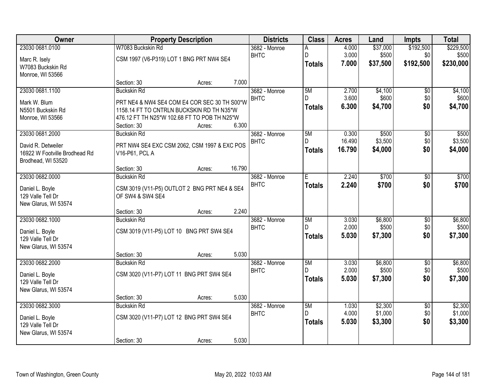| Owner                                     |                                              | <b>Property Description</b> |        | <b>Districts</b>             | <b>Class</b>  | <b>Acres</b>    | Land             | <b>Impts</b>    | <b>Total</b>     |
|-------------------------------------------|----------------------------------------------|-----------------------------|--------|------------------------------|---------------|-----------------|------------------|-----------------|------------------|
| 23030 0681.0100                           | W7083 Buckskin Rd                            |                             |        | 3682 - Monroe                | Α             | 4.000           | \$37,000         | \$192,500       | \$229,500        |
| Marc R. Isely                             | CSM 1997 (V6-P319) LOT 1 BNG PRT NW4 SE4     |                             |        | <b>BHTC</b>                  | D             | 3.000           | \$500            | \$0             | \$500            |
| W7083 Buckskin Rd                         |                                              |                             |        |                              | <b>Totals</b> | 7.000           | \$37,500         | \$192,500       | \$230,000        |
| Monroe, WI 53566                          |                                              |                             |        |                              |               |                 |                  |                 |                  |
|                                           | Section: 30                                  | Acres:                      | 7.000  |                              |               |                 |                  |                 |                  |
| 23030 0681.1100                           | <b>Buckskin Rd</b>                           |                             |        | 3682 - Monroe                | 5M<br>D.      | 2.700           | \$4,100          | \$0             | \$4,100          |
| Mark W. Blum                              | PRT NE4 & NW4 SE4 COM E4 COR SEC 30 TH S00*W |                             |        | <b>BHTC</b>                  |               | 3.600<br>6.300  | \$600<br>\$4,700 | \$0<br>\$0      | \$600<br>\$4,700 |
| N5501 Buckskin Rd                         | 1158.14 FT TO CNTRLN BUCKSKIN RD TH N35*W    |                             |        |                              | <b>Totals</b> |                 |                  |                 |                  |
| Monroe, WI 53566                          | 476.12 FT TH N25*W 102.68 FT TO POB TH N25*W |                             |        |                              |               |                 |                  |                 |                  |
|                                           | Section: 30                                  | Acres:                      | 6.300  |                              |               |                 |                  |                 |                  |
| 23030 0681.2000                           | <b>Buckskin Rd</b>                           |                             |        | 3682 - Monroe<br><b>BHTC</b> | 5M<br>D.      | 0.300<br>16.490 | \$500<br>\$3,500 | \$0<br>\$0      | \$500<br>\$3,500 |
| David R. Detweiler                        | PRT NW4 SE4 EXC CSM 2062, CSM 1997 & EXC POS |                             |        |                              | <b>Totals</b> | 16.790          | \$4,000          | \$0             | \$4,000          |
| 16922 W Footville Brodhead Rd             | V16-P61, PCL A                               |                             |        |                              |               |                 |                  |                 |                  |
| Brodhead, WI 53520                        |                                              |                             |        |                              |               |                 |                  |                 |                  |
| 23030 0682.0000                           | Section: 30<br><b>Buckskin Rd</b>            | Acres:                      | 16.790 | 3682 - Monroe                | Ē             | 2.240           | \$700            | \$0             | \$700            |
|                                           |                                              |                             |        | <b>BHTC</b>                  | <b>Totals</b> | 2.240           | \$700            | \$0             | \$700            |
| Daniel L. Boyle                           | CSM 3019 (V11-P5) OUTLOT 2 BNG PRT NE4 & SE4 |                             |        |                              |               |                 |                  |                 |                  |
| 129 Valle Tell Dr                         | OF SW4 & SW4 SE4                             |                             |        |                              |               |                 |                  |                 |                  |
| New Glarus, WI 53574                      |                                              |                             | 2.240  |                              |               |                 |                  |                 |                  |
| 23030 0682.1000                           | Section: 30<br><b>Buckskin Rd</b>            | Acres:                      |        | 3682 - Monroe                | 5M            | 3.030           | \$6,800          | $\overline{60}$ | \$6,800          |
|                                           |                                              |                             |        | <b>BHTC</b>                  | D             | 2.000           | \$500            | \$0             | \$500            |
| Daniel L. Boyle                           | CSM 3019 (V11-P5) LOT 10 BNG PRT SW4 SE4     |                             |        |                              | <b>Totals</b> | 5.030           | \$7,300          | \$0             | \$7,300          |
| 129 Valle Tell Dr                         |                                              |                             |        |                              |               |                 |                  |                 |                  |
| New Glarus, WI 53574                      | Section: 30                                  | Acres:                      | 5.030  |                              |               |                 |                  |                 |                  |
| 23030 0682.2000                           | <b>Buckskin Rd</b>                           |                             |        | 3682 - Monroe                | 5M            | 3.030           | \$6,800          | $\sqrt{6}$      | \$6,800          |
|                                           |                                              |                             |        | <b>BHTC</b>                  | D             | 2.000           | \$500            | \$0             | \$500            |
| Daniel L. Boyle                           | CSM 3020 (V11-P7) LOT 11 BNG PRT SW4 SE4     |                             |        |                              | <b>Totals</b> | 5.030           | \$7,300          | \$0             | \$7,300          |
| 129 Valle Tell Dr<br>New Glarus, WI 53574 |                                              |                             |        |                              |               |                 |                  |                 |                  |
|                                           | Section: 30                                  | Acres:                      | 5.030  |                              |               |                 |                  |                 |                  |
| 23030 0682.3000                           | <b>Buckskin Rd</b>                           |                             |        | 3682 - Monroe                | 5M            | 1.030           | \$2,300          | $\overline{50}$ | \$2,300          |
|                                           |                                              |                             |        | <b>BHTC</b>                  | D             | 4.000           | \$1,000          | \$0             | \$1,000          |
| Daniel L. Boyle<br>129 Valle Tell Dr      | CSM 3020 (V11-P7) LOT 12 BNG PRT SW4 SE4     |                             |        |                              | <b>Totals</b> | 5.030           | \$3,300          | \$0             | \$3,300          |
| New Glarus, WI 53574                      |                                              |                             |        |                              |               |                 |                  |                 |                  |
|                                           | Section: 30                                  | Acres:                      | 5.030  |                              |               |                 |                  |                 |                  |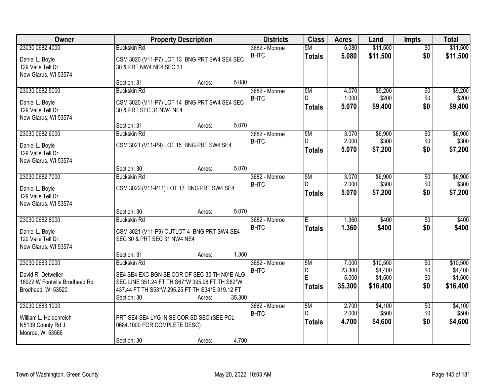| Owner                                     | <b>Property Description</b>  | <b>Districts</b>                                | <b>Class</b>                 | <b>Acres</b>        | Land           | <b>Impts</b>         | <b>Total</b>           |                      |
|-------------------------------------------|------------------------------|-------------------------------------------------|------------------------------|---------------------|----------------|----------------------|------------------------|----------------------|
| 23030 0682.4000<br>Daniel L. Boyle        | <b>Buckskin Rd</b>           | CSM 3020 (V11-P7) LOT 13 BNG PRT SW4 SE4 SEC    | 3682 - Monroe<br><b>BHTC</b> | 5M<br><b>Totals</b> | 5.080<br>5.080 | \$11,500<br>\$11,500 | $\overline{50}$<br>\$0 | \$11,500<br>\$11,500 |
| 129 Valle Tell Dr<br>New Glarus, WI 53574 | 30 & PRT NW4 NE4 SEC 31      |                                                 |                              |                     |                |                      |                        |                      |
|                                           | Section: 31                  | Acres:                                          | 5.080                        |                     |                |                      |                        |                      |
| 23030 0682.5000                           | <b>Buckskin Rd</b>           |                                                 | 3682 - Monroe                | 5M<br>D.            | 4.070          | \$9,200              | $\overline{50}$        | \$9,200              |
| Daniel L. Boyle                           |                              | CSM 3020 (V11-P7) LOT 14 BNG PRT SW4 SE4 SEC    | <b>BHTC</b>                  |                     | 1.000          | \$200                | \$0                    | \$200                |
| 129 Valle Tell Dr                         | 30 & PRT SEC 31 NW4 NE4      |                                                 |                              | <b>Totals</b>       | 5.070          | \$9,400              | \$0                    | \$9,400              |
| New Glarus, WI 53574                      |                              |                                                 |                              |                     |                |                      |                        |                      |
|                                           | Section: 31                  | Acres:                                          | 5.070                        |                     |                |                      |                        |                      |
| 23030 0682.6000                           | <b>Buckskin Rd</b>           |                                                 | 3682 - Monroe                | 5M                  | 3.070          | \$6,900              | \$0                    | \$6,900              |
| Daniel L. Boyle                           |                              | CSM 3021 (V11-P9) LOT 15 BNG PRT SW4 SE4        | <b>BHTC</b>                  | D                   | 2.000          | \$300                | \$0                    | \$300                |
| 129 Valle Tell Dr                         |                              |                                                 |                              | <b>Totals</b>       | 5.070          | \$7,200              | \$0                    | \$7,200              |
| New Glarus, WI 53574                      |                              |                                                 |                              |                     |                |                      |                        |                      |
|                                           | Section: 30                  | Acres:                                          | 5.070                        |                     |                |                      |                        |                      |
| 23030 0682.7000                           | <b>Buckskin Rd</b>           |                                                 | 3682 - Monroe                | 5M                  | 3.070          | \$6,900              | \$0                    | \$6,900              |
| Daniel L. Boyle                           |                              | CSM 3022 (V11-P11) LOT 17 BNG PRT SW4 SE4       | <b>BHTC</b>                  | D.                  | 2.000          | \$300                | \$0                    | \$300                |
| 129 Valle Tell Dr                         |                              |                                                 |                              | <b>Totals</b>       | 5.070          | \$7,200              | \$0                    | \$7,200              |
| New Glarus, WI 53574                      |                              |                                                 |                              |                     |                |                      |                        |                      |
|                                           | Section: 30                  | Acres:                                          | 5.070                        |                     |                |                      |                        |                      |
| 23030 0682.8000                           | <b>Buckskin Rd</b>           |                                                 | 3682 - Monroe                | Ē                   | 1.360          | \$400                | $\overline{30}$        | \$400                |
| Daniel L. Boyle                           |                              | CSM 3021 (V11-P9) OUTLOT 4 BNG PRT SW4 SE4      | <b>BHTC</b>                  | <b>Totals</b>       | 1.360          | \$400                | \$0                    | \$400                |
| 129 Valle Tell Dr                         | SEC 30 & PRT SEC 31 NW4 NE4  |                                                 |                              |                     |                |                      |                        |                      |
| New Glarus, WI 53574                      |                              |                                                 |                              |                     |                |                      |                        |                      |
|                                           | Section: 31                  | Acres:                                          | 1.360                        |                     |                |                      |                        |                      |
| 23030 0683.0000                           | <b>Buckskin Rd</b>           |                                                 | 3682 - Monroe                | 5M                  | 7.000          | \$10,500             | $\overline{50}$        | \$10,500             |
| David R. Detweiler                        |                              | SE4 SE4 EXC BGN SE COR OF SEC 30 TH N0*E ALG    | <b>BHTC</b>                  | D                   | 23.300         | \$4,400              | \$0                    | \$4,400              |
| 16922 W Footville Brodhead Rd             |                              | SEC LINE 351.24 FT TH S67*W 395.98 FT TH S82*W  |                              | E                   | 5.000          | \$1,500              | \$0                    | \$1,500              |
| Brodhead, WI 53520                        |                              | 437.44 FT TH S53*W 295.25 FT TH S34*E 319.12 FT |                              | <b>Totals</b>       | 35.300         | \$16,400             | \$0                    | \$16,400             |
|                                           | Section: 30                  | 35.300<br>Acres:                                |                              |                     |                |                      |                        |                      |
| 23030 0683.1000                           |                              |                                                 | 3682 - Monroe                | 5M                  | 2.700          | \$4,100              | $\overline{50}$        | \$4,100              |
| William L. Heidenreich                    |                              | PRT SE4 SE4 LYG IN SE COR SD SEC (SEE PCL       | <b>BHTC</b>                  | D.                  | 2.000          | \$500                | \$0                    | \$500                |
| N5139 County Rd J                         | 0684.1000 FOR COMPLETE DESC) |                                                 |                              | <b>Totals</b>       | 4.700          | \$4,600              | \$0                    | \$4,600              |
| Monroe, WI 53566                          |                              |                                                 |                              |                     |                |                      |                        |                      |
|                                           | Section: 30                  | Acres:                                          | 4.700                        |                     |                |                      |                        |                      |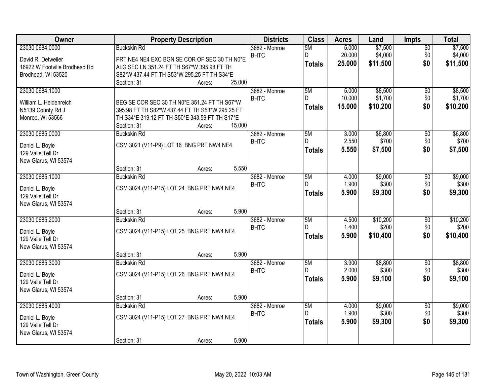| Owner                                 | <b>Property Description</b>                                                                     | <b>Districts</b> | <b>Class</b>  | <b>Acres</b> | Land     | <b>Impts</b>    | <b>Total</b> |
|---------------------------------------|-------------------------------------------------------------------------------------------------|------------------|---------------|--------------|----------|-----------------|--------------|
| 23030 0684.0000                       | <b>Buckskin Rd</b>                                                                              | 3682 - Monroe    | 5M            | 5.000        | \$7,500  | $\overline{50}$ | \$7,500      |
| David R. Detweiler                    | PRT NE4 NE4 EXC BGN SE COR OF SEC 30 TH N0*E                                                    | <b>BHTC</b>      | D             | 20.000       | \$4,000  | \$0             | \$4,000      |
| 16922 W Footville Brodhead Rd         | ALG SEC LN 351.24 FT TH S67*W 395.98 FT TH                                                      |                  | <b>Totals</b> | 25.000       | \$11,500 | \$0             | \$11,500     |
| Brodhead, WI 53520                    | S82*W 437.44 FT TH S53*W 295.25 FT TH S34*E                                                     |                  |               |              |          |                 |              |
|                                       | 25.000<br>Section: 31<br>Acres:                                                                 |                  |               |              |          |                 |              |
| 23030 0684.1000                       |                                                                                                 | 3682 - Monroe    | 5M            | 5.000        | \$8,500  | $\overline{50}$ | \$8,500      |
|                                       |                                                                                                 | <b>BHTC</b>      | D             | 10.000       | \$1,700  | \$0             | \$1,700      |
| William L. Heidenreich                | BEG SE COR SEC 30 TH N0*E 351.24 FT TH S67*W<br>395.98 FT TH S82*W 437.44 FT TH S53*W 295.25 FT |                  | Totals        | 15.000       | \$10,200 | \$0             | \$10,200     |
| N5139 County Rd J<br>Monroe, WI 53566 | TH S34*E 319.12 FT TH S50*E 343.59 FT TH S17*E                                                  |                  |               |              |          |                 |              |
|                                       | 15.000<br>Section: 31<br>Acres:                                                                 |                  |               |              |          |                 |              |
| 23030 0685.0000                       | <b>Buckskin Rd</b>                                                                              | 3682 - Monroe    | 5M            | 3.000        | \$6,800  | $\overline{50}$ | \$6,800      |
|                                       |                                                                                                 | <b>BHTC</b>      |               | 2.550        | \$700    | \$0             | \$700        |
| Daniel L. Boyle                       | CSM 3021 (V11-P9) LOT 16 BNG PRT NW4 NE4                                                        |                  | <b>Totals</b> | 5.550        | \$7,500  | \$0             | \$7,500      |
| 129 Valle Tell Dr                     |                                                                                                 |                  |               |              |          |                 |              |
| New Glarus, WI 53574                  |                                                                                                 |                  |               |              |          |                 |              |
| 23030 0685.1000                       | Section: 31<br>5.550<br>Acres:<br><b>Buckskin Rd</b>                                            | 3682 - Monroe    | 5M            | 4.000        | \$9,000  |                 | \$9,000      |
|                                       |                                                                                                 | <b>BHTC</b>      | D.            | 1.900        | \$300    | \$0<br>\$0      | \$300        |
| Daniel L. Boyle                       | CSM 3024 (V11-P15) LOT 24 BNG PRT NW4 NE4                                                       |                  |               | 5.900        | \$9,300  | \$0             | \$9,300      |
| 129 Valle Tell Dr                     |                                                                                                 |                  | <b>Totals</b> |              |          |                 |              |
| New Glarus, WI 53574                  |                                                                                                 |                  |               |              |          |                 |              |
|                                       | 5.900<br>Section: 31<br>Acres:                                                                  |                  |               |              |          |                 |              |
| 23030 0685.2000                       | <b>Buckskin Rd</b>                                                                              | 3682 - Monroe    | 5M            | 4.500        | \$10,200 | $\overline{30}$ | \$10,200     |
| Daniel L. Boyle                       | CSM 3024 (V11-P15) LOT 25 BNG PRT NW4 NE4                                                       | <b>BHTC</b>      | D             | 1.400        | \$200    | \$0             | \$200        |
| 129 Valle Tell Dr                     |                                                                                                 |                  | Totals        | 5.900        | \$10,400 | \$0             | \$10,400     |
| New Glarus, WI 53574                  |                                                                                                 |                  |               |              |          |                 |              |
|                                       | 5.900<br>Section: 31<br>Acres:                                                                  |                  |               |              |          |                 |              |
| 23030 0685.3000                       | <b>Buckskin Rd</b>                                                                              | 3682 - Monroe    | 5M            | 3.900        | \$8,800  | $\overline{50}$ | \$8,800      |
| Daniel L. Boyle                       | CSM 3024 (V11-P15) LOT 26 BNG PRT NW4 NE4                                                       | <b>BHTC</b>      |               | 2.000        | \$300    | \$0             | \$300        |
| 129 Valle Tell Dr                     |                                                                                                 |                  | <b>Totals</b> | 5.900        | \$9,100  | \$0             | \$9,100      |
| New Glarus, WI 53574                  |                                                                                                 |                  |               |              |          |                 |              |
|                                       | 5.900<br>Section: 31<br>Acres:                                                                  |                  |               |              |          |                 |              |
| 23030 0685.4000                       | <b>Buckskin Rd</b>                                                                              | 3682 - Monroe    | 5M            | 4.000        | \$9,000  | $\overline{50}$ | \$9,000      |
| Daniel L. Boyle                       | CSM 3024 (V11-P15) LOT 27 BNG PRT NW4 NE4                                                       | <b>BHTC</b>      | D.            | 1.900        | \$300    | \$0             | \$300        |
| 129 Valle Tell Dr                     |                                                                                                 |                  | Totals        | 5.900        | \$9,300  | \$0             | \$9,300      |
| New Glarus, WI 53574                  |                                                                                                 |                  |               |              |          |                 |              |
|                                       | 5.900<br>Section: 31<br>Acres:                                                                  |                  |               |              |          |                 |              |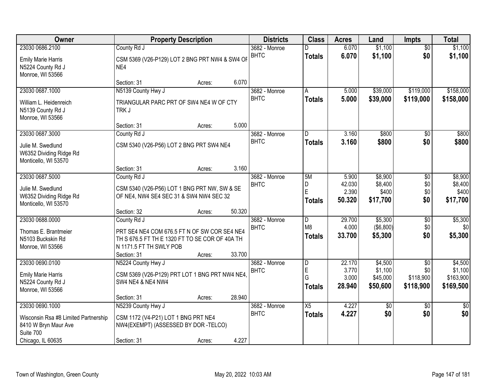| Owner                                                                | <b>Property Description</b>                           |        |        | <b>Districts</b>             | <b>Class</b>                 | <b>Acres</b>    | Land               | <b>Impts</b>     | <b>Total</b>       |
|----------------------------------------------------------------------|-------------------------------------------------------|--------|--------|------------------------------|------------------------------|-----------------|--------------------|------------------|--------------------|
| 23030 0686.2100                                                      | County Rd J                                           |        |        | $3682 - \text{Monroe}$       |                              | 6.070           | \$1,100            | $\overline{30}$  | \$1,100            |
| <b>Emily Marie Harris</b><br>N5224 County Rd J<br>Monroe, WI 53566   | CSM 5369 (V26-P129) LOT 2 BNG PRT NW4 & SW4 OF<br>NE4 |        |        | <b>BHTC</b>                  | <b>Totals</b>                | 6.070           | \$1,100            | \$0              | \$1,100            |
|                                                                      | Section: 31                                           | Acres: | 6.070  |                              |                              |                 |                    |                  |                    |
| 23030 0687.1000                                                      | N5139 County Hwy J                                    |        |        | 3682 - Monroe                | A                            | 5.000           | \$39,000           | \$119,000        | \$158,000          |
| William L. Heidenreich<br>N5139 County Rd J<br>Monroe, WI 53566      | TRIANGULAR PARC PRT OF SW4 NE4 W OF CTY<br>TRK J      |        |        | <b>BHTC</b>                  | <b>Totals</b>                | 5.000           | \$39,000           | \$119,000        | \$158,000          |
|                                                                      | Section: 31                                           | Acres: | 5.000  |                              |                              |                 |                    |                  |                    |
| 23030 0687.3000                                                      | County Rd J                                           |        |        | 3682 - Monroe                | D                            | 3.160           | \$800              | \$0              | \$800              |
| Julie M. Swedlund<br>W6352 Dividing Ridge Rd<br>Monticello, WI 53570 | CSM 5340 (V26-P56) LOT 2 BNG PRT SW4 NE4              |        |        | <b>BHTC</b>                  | <b>Totals</b>                | 3.160           | \$800              | \$0              | \$800              |
|                                                                      | Section: 31                                           | Acres: | 3.160  |                              |                              |                 |                    |                  |                    |
| 23030 0687.5000                                                      | County Rd J                                           |        |        | 3682 - Monroe                | 5M                           | 5.900           | \$8,900            | \$0              | \$8,900            |
| Julie M. Swedlund                                                    | CSM 5340 (V26-P56) LOT 1 BNG PRT NW, SW & SE          |        |        | <b>BHTC</b>                  | D                            | 42.030          | \$8,400            | \$0              | \$8,400            |
| W6352 Dividing Ridge Rd                                              | OF NE4, NW4 SE4 SEC 31 & SW4 NW4 SEC 32               |        |        |                              | E                            | 2.390           | \$400              | \$0              | \$400              |
| Monticello, WI 53570                                                 |                                                       |        |        |                              | <b>Totals</b>                | 50.320          | \$17,700           | \$0              | \$17,700           |
|                                                                      | Section: 32                                           | Acres: | 50.320 |                              |                              |                 |                    |                  |                    |
| 23030 0688.0000                                                      | County Rd J                                           |        |        | 3682 - Monroe                | D                            | 29.700          | \$5,300            | \$0              | \$5,300            |
| Thomas E. Brantmeier                                                 | PRT SE4 NE4 COM 676.5 FT N OF SW COR SE4 NE4          |        |        | <b>BHTC</b>                  | M <sub>8</sub>               | 4.000           | (\$6,800)          | \$0              | \$0                |
| N5103 Buckskin Rd                                                    | TH S 676.5 FT TH E 1320 FT TO SE COR OF 40A TH        |        |        |                              | <b>Totals</b>                | 33.700          | \$5,300            | \$0              | \$5,300            |
| Monroe, WI 53566                                                     | N 1171.5 FT TH SWLY POB                               |        |        |                              |                              |                 |                    |                  |                    |
|                                                                      | Section: 31                                           | Acres: | 33.700 |                              |                              |                 |                    |                  |                    |
| 23030 0690.0100                                                      | N5224 County Hwy J                                    |        |        | 3682 - Monroe                | $\overline{\mathsf{D}}$<br>E | 22.170<br>3.770 | \$4,500<br>\$1,100 | $\overline{50}$  | \$4,500<br>\$1,100 |
| <b>Emily Marie Harris</b>                                            | CSM 5369 (V26-P129) PRT LOT 1 BNG PRT NW4 NE4,        |        |        | <b>BHTC</b>                  | G                            | 3.000           | \$45,000           | \$0<br>\$118,900 | \$163,900          |
| N5224 County Rd J                                                    | <b>SW4 NE4 &amp; NE4 NW4</b>                          |        |        |                              | <b>Totals</b>                | 28.940          | \$50,600           | \$118,900        | \$169,500          |
| Monroe, WI 53566                                                     |                                                       |        |        |                              |                              |                 |                    |                  |                    |
|                                                                      | Section: 31                                           | Acres: | 28.940 |                              |                              |                 |                    |                  |                    |
| 23030 0690.1000                                                      | N5239 County Hwy J                                    |        |        | 3682 - Monroe<br><b>BHTC</b> | $\overline{X5}$              | 4.227           | $\overline{50}$    | $\overline{50}$  | $\overline{50}$    |
| Wisconsin Rsa #8 Limited Partnership                                 | CSM 1172 (V4-P21) LOT 1 BNG PRT NE4                   |        |        |                              | <b>Totals</b>                | 4.227           | \$0                | \$0              | \$0                |
| 8410 W Bryn Maur Ave                                                 | NW4(EXEMPT) (ASSESSED BY DOR -TELCO)                  |        |        |                              |                              |                 |                    |                  |                    |
| Suite 700                                                            |                                                       |        |        |                              |                              |                 |                    |                  |                    |
| Chicago, IL 60635                                                    | Section: 31                                           | Acres: | 4.227  |                              |                              |                 |                    |                  |                    |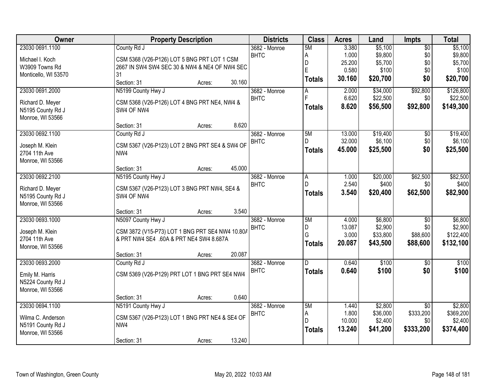| Owner                | <b>Property Description</b>                     | <b>Districts</b> | <b>Class</b>   | <b>Acres</b>    | Land                | <b>Impts</b>    | <b>Total</b> |
|----------------------|-------------------------------------------------|------------------|----------------|-----------------|---------------------|-----------------|--------------|
| 23030 0691.1100      | County Rd J                                     | 3682 - Monroe    | 5M             | 3.380           | \$5,100             | $\overline{50}$ | \$5,100      |
| Michael I. Koch      | CSM 5368 (V26-P126) LOT 5 BNG PRT LOT 1 CSM     | <b>BHTC</b>      | A              | 1.000           | \$9,800             | \$0             | \$9,800      |
| W3909 Towns Rd       | 2667 IN SW4 SW4 SEC 30 & NW4 & NE4 OF NW4 SEC   |                  | D              | 25.200          | \$5,700             | \$0             | \$5,700      |
| Monticello, WI 53570 | 31                                              |                  | E              | 0.580           | \$100               | \$0             | \$100        |
|                      | Section: 31<br>30.160<br>Acres:                 |                  | <b>Totals</b>  | 30.160          | \$20,700            | \$0             | \$20,700     |
| 23030 0691.2000      | N5199 County Hwy J                              | 3682 - Monroe    | Α              | 2.000           | \$34,000            | \$92,800        | \$126,800    |
| Richard D. Meyer     | CSM 5368 (V26-P126) LOT 4 BNG PRT NE4, NW4 &    | <b>BHTC</b>      | F              | 6.620           | \$22,500            | \$0             | \$22,500     |
| N5195 County Rd J    | SW4 OF NW4                                      |                  | <b>Totals</b>  | 8.620           | \$56,500            | \$92,800        | \$149,300    |
| Monroe, WI 53566     |                                                 |                  |                |                 |                     |                 |              |
|                      | 8.620<br>Section: 31<br>Acres:                  |                  |                |                 |                     |                 |              |
| 23030 0692.1100      | County Rd J                                     | 3682 - Monroe    | 5M             | 13.000          | \$19,400            | \$0             | \$19,400     |
| Joseph M. Klein      | CSM 5367 (V26-P123) LOT 2 BNG PRT SE4 & SW4 OF  | <b>BHTC</b>      | D.             | 32.000          | \$6,100             | \$0             | \$6,100      |
| 2704 11th Ave        | NW4                                             |                  | <b>Totals</b>  | 45.000          | \$25,500            | \$0             | \$25,500     |
| Monroe, WI 53566     |                                                 |                  |                |                 |                     |                 |              |
|                      | 45.000<br>Section: 31<br>Acres:                 |                  |                |                 |                     |                 |              |
| 23030 0692.2100      | N5195 County Hwy J                              | 3682 - Monroe    | $\overline{A}$ | 1.000           | \$20,000            | \$62,500        | \$82,500     |
|                      |                                                 | <b>BHTC</b>      | D              | 2.540           | \$400               | \$0             | \$400        |
| Richard D. Meyer     | CSM 5367 (V26-P123) LOT 3 BNG PRT NW4, SE4 &    |                  | <b>Totals</b>  | 3.540           | \$20,400            | \$62,500        | \$82,900     |
| N5195 County Rd J    | SW4 OF NW4                                      |                  |                |                 |                     |                 |              |
| Monroe, WI 53566     |                                                 |                  |                |                 |                     |                 |              |
|                      | 3.540<br>Section: 31<br>Acres:                  |                  |                |                 |                     |                 |              |
| 23030 0693.1000      | N5097 County Hwy J                              | 3682 - Monroe    | 5M             | 4.000           | \$6,800             | $\overline{60}$ | \$6,800      |
| Joseph M. Klein      | CSM 3872 (V15-P73) LOT 1 BNG PRT SE4 NW4 10.80/ | <b>BHTC</b>      | D<br>G         | 13.087<br>3.000 | \$2,900<br>\$33,800 | \$0<br>\$88,600 | \$2,900      |
| 2704 11th Ave        | & PRT NW4 SE4 .60A & PRT NE4 SW4 8.687A         |                  |                |                 |                     |                 | \$122,400    |
| Monroe, WI 53566     |                                                 |                  | <b>Totals</b>  | 20.087          | \$43,500            | \$88,600        | \$132,100    |
|                      | 20.087<br>Section: 31<br>Acres:                 |                  |                |                 |                     |                 |              |
| 23030 0693.2000      | County Rd J                                     | 3682 - Monroe    | D.             | 0.640           | \$100               | $\sqrt{6}$      | \$100        |
| Emily M. Harris      | CSM 5369 (V26-P129) PRT LOT 1 BNG PRT SE4 NW4   | <b>BHTC</b>      | <b>Totals</b>  | 0.640           | \$100               | \$0             | \$100        |
| N5224 County Rd J    |                                                 |                  |                |                 |                     |                 |              |
| Monroe, WI 53566     |                                                 |                  |                |                 |                     |                 |              |
|                      | 0.640<br>Section: 31<br>Acres:                  |                  |                |                 |                     |                 |              |
| 23030 0694.1100      | N5191 County Hwy J                              | 3682 - Monroe    | 5M             | 1.440           | \$2,800             | $\overline{50}$ | \$2,800      |
| Wilma C. Anderson    | CSM 5367 (V26-P123) LOT 1 BNG PRT NE4 & SE4 OF  | <b>BHTC</b>      | A              | 1.800           | \$36,000            | \$333,200       | \$369,200    |
| N5191 County Rd J    | NW4                                             |                  | D              | 10.000          | \$2,400             | \$0             | \$2,400      |
| Monroe, WI 53566     |                                                 |                  | <b>Totals</b>  | 13.240          | \$41,200            | \$333,200       | \$374,400    |
|                      |                                                 |                  |                |                 |                     |                 |              |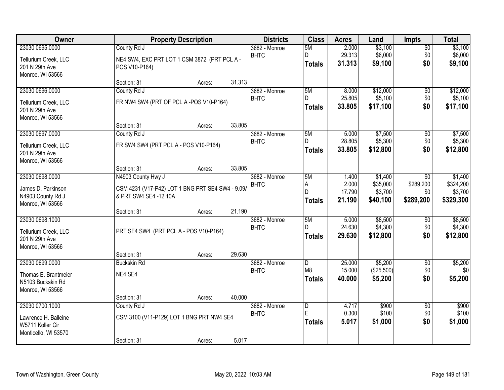| Owner                                   |                            | <b>Property Description</b>                                     |        |                              | <b>Class</b>   | <b>Acres</b>    | Land                | <b>Impts</b>    | <b>Total</b>        |
|-----------------------------------------|----------------------------|-----------------------------------------------------------------|--------|------------------------------|----------------|-----------------|---------------------|-----------------|---------------------|
| 23030 0695.0000                         | County Rd J                |                                                                 |        | 3682 - Monroe                | 5M             | 2.000           | \$3,100             | $\overline{50}$ | \$3,100             |
| Tellurium Creek, LLC                    |                            | NE4 SW4, EXC PRT LOT 1 CSM 3872 (PRT PCL A -                    |        | <b>BHTC</b>                  | D              | 29.313          | \$6,000             | \$0             | \$6,000             |
| 201 N 29th Ave                          | POS V10-P164)              |                                                                 |        |                              | <b>Totals</b>  | 31.313          | \$9,100             | \$0             | \$9,100             |
| Monroe, WI 53566                        |                            |                                                                 |        |                              |                |                 |                     |                 |                     |
|                                         | Section: 31                | Acres:                                                          | 31.313 |                              |                |                 |                     |                 |                     |
| 23030 0696.0000                         | County Rd J                |                                                                 |        | 3682 - Monroe<br><b>BHTC</b> | 5M<br>D.       | 8.000<br>25.805 | \$12,000<br>\$5,100 | \$0<br>\$0      | \$12,000<br>\$5,100 |
| Tellurium Creek, LLC                    |                            | FR NW4 SW4 (PRT OF PCL A -POS V10-P164)                         |        |                              | <b>Totals</b>  | 33.805          | \$17,100            | \$0             | \$17,100            |
| 201 N 29th Ave                          |                            |                                                                 |        |                              |                |                 |                     |                 |                     |
| Monroe, WI 53566                        |                            |                                                                 |        |                              |                |                 |                     |                 |                     |
| 23030 0697.0000                         | Section: 31<br>County Rd J | Acres:                                                          | 33.805 | 3682 - Monroe                | 5M             | 5.000           | \$7,500             | $\overline{50}$ | \$7,500             |
|                                         |                            |                                                                 |        | <b>BHTC</b>                  | D              | 28.805          | \$5,300             | \$0             | \$5,300             |
| Tellurium Creek, LLC                    |                            | FR SW4 SW4 (PRT PCL A - POS V10-P164)                           |        |                              | <b>Totals</b>  | 33.805          | \$12,800            | \$0             | \$12,800            |
| 201 N 29th Ave                          |                            |                                                                 |        |                              |                |                 |                     |                 |                     |
| Monroe, WI 53566                        | Section: 31                | Acres:                                                          | 33.805 |                              |                |                 |                     |                 |                     |
| 23030 0698.0000                         | N4903 County Hwy J         |                                                                 |        | 3682 - Monroe                | 5M             | 1.400           | \$1,400             | $\sqrt{6}$      | \$1,400             |
|                                         |                            | <b>BHTC</b><br>CSM 4231 (V17-P42) LOT 1 BNG PRT SE4 SW4 - 9.09/ |        |                              | A              | 2.000           | \$35,000            | \$289,200       | \$324,200           |
| James D. Parkinson<br>N4903 County Rd J | & PRT SW4 SE4 -12.10A      |                                                                 |        |                              | D              | 17.790          | \$3,700             | \$0             | \$3,700             |
| Monroe, WI 53566                        |                            |                                                                 |        |                              | <b>Totals</b>  | 21.190          | \$40,100            | \$289,200       | \$329,300           |
|                                         | Section: 31                | Acres:                                                          | 21.190 |                              |                |                 |                     |                 |                     |
| 23030 0698.1000                         |                            |                                                                 |        | 3682 - Monroe                | 5M             | 5.000           | \$8,500             | $\overline{50}$ | \$8,500             |
| Tellurium Creek, LLC                    |                            | PRT SE4 SW4 (PRT PCL A - POS V10-P164)                          |        | <b>BHTC</b>                  | D.             | 24.630          | \$4,300             | \$0             | \$4,300             |
| 201 N 29th Ave                          |                            |                                                                 |        |                              | <b>Totals</b>  | 29.630          | \$12,800            | \$0             | \$12,800            |
| Monroe, WI 53566                        |                            |                                                                 |        |                              |                |                 |                     |                 |                     |
|                                         | Section: 31                | Acres:                                                          | 29.630 |                              |                |                 |                     |                 |                     |
| 23030 0699.0000                         | <b>Buckskin Rd</b>         |                                                                 |        | 3682 - Monroe                | $\overline{D}$ | 25.000          | \$5,200             | $\overline{60}$ | \$5,200             |
| Thomas E. Brantmeier                    | NE4 SE4                    |                                                                 |        | <b>BHTC</b>                  | M <sub>8</sub> | 15.000          | (\$25,500)          | \$0             | \$0                 |
| N5103 Buckskin Rd                       |                            |                                                                 |        |                              | <b>Totals</b>  | 40.000          | \$5,200             | \$0             | \$5,200             |
| Monroe, WI 53566                        |                            |                                                                 |        |                              |                |                 |                     |                 |                     |
|                                         | Section: 31                | Acres:                                                          | 40.000 |                              |                |                 |                     |                 |                     |
| 23030 0700.1000                         | County Rd J                |                                                                 |        | 3682 - Monroe                | $\overline{D}$ | 4.717           | \$900               | $\overline{50}$ | \$900               |
| Lawrence H. Balleine                    |                            | CSM 3100 (V11-P129) LOT 1 BNG PRT NW4 SE4                       |        | <b>BHTC</b>                  | E              | 0.300           | \$100               | \$0             | \$100               |
| W5711 Koller Cir                        |                            |                                                                 |        |                              | <b>Totals</b>  | 5.017           | \$1,000             | \$0             | \$1,000             |
| Monticello, WI 53570                    |                            |                                                                 |        |                              |                |                 |                     |                 |                     |
|                                         | Section: 31                | Acres:                                                          | 5.017  |                              |                |                 |                     |                 |                     |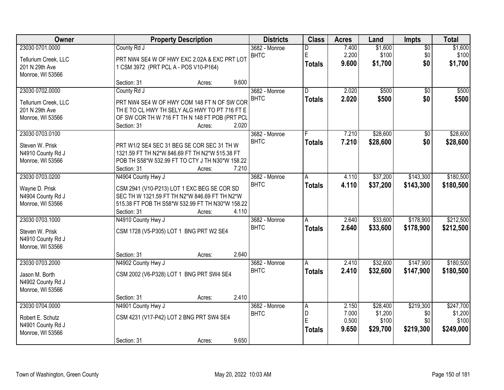| Owner                               |                                                                                              | <b>Property Description</b> | <b>Districts</b> | <b>Class</b>            | <b>Acres</b>   | Land             | Impts           | <b>Total</b>     |
|-------------------------------------|----------------------------------------------------------------------------------------------|-----------------------------|------------------|-------------------------|----------------|------------------|-----------------|------------------|
| 23030 0701.0000                     | County Rd J                                                                                  |                             | 3682 - Monroe    | n                       | 7.400          | \$1,600          | $\overline{50}$ | \$1,600          |
| Tellurium Creek, LLC                | PRT NW4 SE4 W OF HWY EXC 2.02A & EXC PRT LOT                                                 |                             | <b>BHTC</b>      | E                       | 2.200          | \$100            | \$0             | \$100            |
| 201 N 29th Ave                      | 1 CSM 3972 (PRT PCL A - POS V10-P164)                                                        |                             |                  | <b>Totals</b>           | 9.600          | \$1,700          | \$0             | \$1,700          |
| Monroe, WI 53566                    |                                                                                              |                             |                  |                         |                |                  |                 |                  |
|                                     | Section: 31                                                                                  | 9.600<br>Acres:             |                  |                         |                |                  |                 |                  |
| 23030 0702.0000                     | County Rd J                                                                                  |                             | 3682 - Monroe    | $\overline{\mathsf{n}}$ | 2.020          | \$500            | $\overline{50}$ | \$500            |
| Tellurium Creek, LLC                | PRT NW4 SE4 W OF HWY COM 148 FT N OF SW COR                                                  |                             | <b>BHTC</b>      | <b>Totals</b>           | 2.020          | \$500            | \$0             | \$500            |
| 201 N 29th Ave                      | THE TO CL HWY TH SELY ALG HWY TO PT 716 FT E                                                 |                             |                  |                         |                |                  |                 |                  |
| Monroe, WI 53566                    | OF SW COR TH W 716 FT TH N 148 FT POB (PRT PCL                                               |                             |                  |                         |                |                  |                 |                  |
|                                     | Section: 31                                                                                  | 2.020<br>Acres:             |                  |                         |                |                  |                 |                  |
| 23030 0703.0100                     |                                                                                              |                             | 3682 - Monroe    |                         | 7.210          | \$28,600         | \$0             | \$28,600         |
| Steven W. Prisk                     | PRT W1/2 SE4 SEC 31 BEG SE COR SEC 31 TH W                                                   |                             | <b>BHTC</b>      | <b>Totals</b>           | 7.210          | \$28,600         | \$0             | \$28,600         |
| N4910 County Rd J                   | 1321.59 FT TH N2*W 846.69 FT TH N2*W 515.38 FT                                               |                             |                  |                         |                |                  |                 |                  |
| Monroe, WI 53566                    | POB TH S58*W 532.99 FT TO CTY J TH N30*W 158.22                                              |                             |                  |                         |                |                  |                 |                  |
|                                     | Section: 31                                                                                  | 7.210<br>Acres:             |                  |                         |                |                  |                 |                  |
| 23030 0703.0200                     | N4904 County Hwy J                                                                           |                             | 3682 - Monroe    | A                       | 4.110          | \$37,200         | \$143,300       | \$180,500        |
|                                     |                                                                                              |                             | <b>BHTC</b>      | <b>Totals</b>           | 4.110          | \$37,200         | \$143,300       | \$180,500        |
| Wayne D. Prisk<br>N4904 County Rd J | CSM 2941 (V10-P213) LOT 1 EXC BEG SE COR SD<br>SEC TH W 1321.59 FT TH N2*W 846.69 FT TH N2*W |                             |                  |                         |                |                  |                 |                  |
| Monroe, WI 53566                    | 515.38 FT POB TH S58*W 532.99 FT TH N30*W 158.22                                             |                             |                  |                         |                |                  |                 |                  |
|                                     | Section: 31                                                                                  | 4.110<br>Acres:             |                  |                         |                |                  |                 |                  |
| 23030 0703.1000                     | N4910 County Hwy J                                                                           |                             | 3682 - Monroe    | A                       | 2.640          | \$33,600         | \$178,900       | \$212,500        |
|                                     |                                                                                              |                             | <b>BHTC</b>      | <b>Totals</b>           | 2.640          | \$33,600         | \$178,900       | \$212,500        |
| Steven W. Prisk                     | CSM 1728 (V5-P305) LOT 1 BNG PRT W2 SE4                                                      |                             |                  |                         |                |                  |                 |                  |
| N4910 County Rd J                   |                                                                                              |                             |                  |                         |                |                  |                 |                  |
| Monroe, WI 53566                    |                                                                                              | 2.640                       |                  |                         |                |                  |                 |                  |
| 23030 0703.2000                     | Section: 31<br>N4902 County Hwy J                                                            | Acres:                      | 3682 - Monroe    | A                       | 2.410          | \$32,600         | \$147,900       | \$180,500        |
|                                     |                                                                                              |                             | <b>BHTC</b>      | <b>Totals</b>           | 2.410          | \$32,600         | \$147,900       | \$180,500        |
| Jason M. Borth                      | CSM 2002 (V6-P328) LOT 1 BNG PRT SW4 SE4                                                     |                             |                  |                         |                |                  |                 |                  |
| N4902 County Rd J                   |                                                                                              |                             |                  |                         |                |                  |                 |                  |
| Monroe, WI 53566                    |                                                                                              |                             |                  |                         |                |                  |                 |                  |
|                                     | Section: 31                                                                                  | 2.410<br>Acres:             |                  |                         |                |                  |                 |                  |
| 23030 0704.0000                     | N4901 County Hwy J                                                                           |                             | 3682 - Monroe    | А                       | 2.150          | \$28,400         | \$219,300       | \$247,700        |
| Robert E. Schutz                    | CSM 4231 (V17-P42) LOT 2 BNG PRT SW4 SE4                                                     |                             | <b>BHTC</b>      | D<br>Ē                  | 7.000<br>0.500 | \$1,200<br>\$100 | \$0<br>\$0      | \$1,200<br>\$100 |
| N4901 County Rd J                   |                                                                                              |                             |                  |                         | 9.650          |                  |                 | \$249,000        |
| Monroe, WI 53566                    |                                                                                              |                             |                  | <b>Totals</b>           |                | \$29,700         | \$219,300       |                  |
|                                     | Section: 31                                                                                  | 9.650<br>Acres:             |                  |                         |                |                  |                 |                  |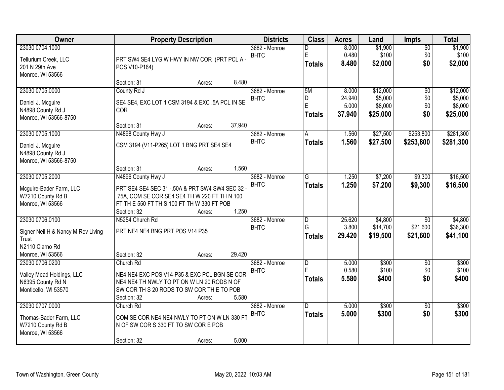| Owner                              | <b>Property Description</b>                     | <b>Districts</b> | <b>Class</b>            | <b>Acres</b> | Land     | <b>Impts</b>    | <b>Total</b> |
|------------------------------------|-------------------------------------------------|------------------|-------------------------|--------------|----------|-----------------|--------------|
| 23030 0704.1000                    |                                                 | 3682 - Monroe    | D                       | 8.000        | \$1,900  | $\overline{$0}$ | \$1,900      |
| Tellurium Creek, LLC               | PRT SW4 SE4 LYG W HWY IN NW COR (PRT PCL A-     | <b>BHTC</b>      | $\mathsf E$             | 0.480        | \$100    | \$0             | \$100        |
| 201 N 29th Ave                     | POS V10-P164)                                   |                  | Totals                  | 8.480        | \$2,000  | \$0             | \$2,000      |
| Monroe, WI 53566                   |                                                 |                  |                         |              |          |                 |              |
|                                    | 8.480<br>Section: 31<br>Acres:                  |                  |                         |              |          |                 |              |
| 23030 0705.0000                    | County Rd J                                     | 3682 - Monroe    | 5M                      | 8.000        | \$12,000 | $\overline{50}$ | \$12,000     |
| Daniel J. Mcguire                  | SE4 SE4, EXC LOT 1 CSM 3194 & EXC .5A PCL IN SE | <b>BHTC</b>      | D                       | 24.940       | \$5,000  | \$0             | \$5,000      |
| N4898 County Rd J                  | COR                                             |                  | E                       | 5.000        | \$8,000  | \$0             | \$8,000      |
| Monroe, WI 53566-8750              |                                                 |                  | <b>Totals</b>           | 37.940       | \$25,000 | \$0             | \$25,000     |
|                                    | 37.940<br>Section: 31<br>Acres:                 |                  |                         |              |          |                 |              |
| 23030 0705.1000                    | N4898 County Hwy J                              | 3682 - Monroe    | A                       | 1.560        | \$27,500 | \$253,800       | \$281,300    |
| Daniel J. Mcguire                  | CSM 3194 (V11-P265) LOT 1 BNG PRT SE4 SE4       | <b>BHTC</b>      | <b>Totals</b>           | 1.560        | \$27,500 | \$253,800       | \$281,300    |
| N4898 County Rd J                  |                                                 |                  |                         |              |          |                 |              |
| Monroe, WI 53566-8750              |                                                 |                  |                         |              |          |                 |              |
|                                    | 1.560<br>Section: 31<br>Acres:                  |                  |                         |              |          |                 |              |
| 23030 0705.2000                    | N4896 County Hwy J                              | 3682 - Monroe    | G                       | 1.250        | \$7,200  | \$9,300         | \$16,500     |
| Mcguire-Bader Farm, LLC            | PRT SE4 SE4 SEC 31 - 50A & PRT SW4 SW4 SEC 32 - | <b>BHTC</b>      | <b>Totals</b>           | 1.250        | \$7,200  | \$9,300         | \$16,500     |
| W7210 County Rd B                  | .75A, COM SE COR SE4 SE4 TH W 220 FT TH N 100   |                  |                         |              |          |                 |              |
| Monroe, WI 53566                   | FT TH E 550 FT TH S 100 FT TH W 330 FT POB      |                  |                         |              |          |                 |              |
|                                    | 1.250<br>Section: 32<br>Acres:                  |                  |                         |              |          |                 |              |
| 23030 0706.0100                    | N5254 Church Rd                                 | 3682 - Monroe    | D                       | 25.620       | \$4,800  | $\overline{30}$ | \$4,800      |
| Signer Neil H & Nancy M Rev Living | PRT NE4 NE4 BNG PRT POS V14 P35                 | <b>BHTC</b>      | G                       | 3.800        | \$14,700 | \$21,600        | \$36,300     |
| Trust                              |                                                 |                  | <b>Totals</b>           | 29.420       | \$19,500 | \$21,600        | \$41,100     |
| N2110 Clarno Rd                    |                                                 |                  |                         |              |          |                 |              |
| Monroe, WI 53566                   | 29.420<br>Section: 32<br>Acres:                 |                  |                         |              |          |                 |              |
| 23030 0706.0200                    | Church Rd                                       | 3682 - Monroe    | $\overline{\mathsf{D}}$ | 5.000        | \$300    | $\overline{50}$ | \$300        |
| Valley Mead Holdings, LLC          | NE4 NE4 EXC POS V14-P35 & EXC PCL BGN SE COR    | <b>BHTC</b>      | E                       | 0.580        | \$100    | \$0             | \$100        |
| N6395 County Rd N                  | NE4 NE4 TH NWLY TO PT ON W LN 20 RODS N OF      |                  | <b>Totals</b>           | 5.580        | \$400    | \$0             | \$400        |
| Monticello, WI 53570               | SW COR TH S 20 RODS TO SW COR THE TO POB        |                  |                         |              |          |                 |              |
|                                    | 5.580<br>Section: 32<br>Acres:                  |                  |                         |              |          |                 |              |
| 23030 0707.0000                    | Church Rd                                       | 3682 - Monroe    | D.                      | 5.000        | \$300    | $\overline{50}$ | \$300        |
| Thomas-Bader Farm, LLC             | COM SE COR NE4 NE4 NWLY TO PT ON W LN 330 FT    | <b>BHTC</b>      | <b>Totals</b>           | 5.000        | \$300    | \$0             | \$300        |
| W7210 County Rd B                  | N OF SW COR S 330 FT TO SW COR E POB            |                  |                         |              |          |                 |              |
| Monroe, WI 53566                   |                                                 |                  |                         |              |          |                 |              |
|                                    | 5.000<br>Section: 32<br>Acres:                  |                  |                         |              |          |                 |              |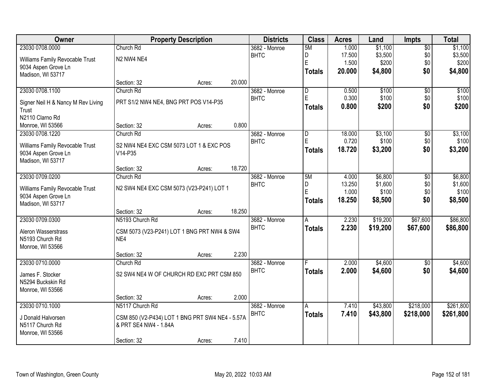| Owner                              |                                                 | <b>Property Description</b> |        | <b>Districts</b> | <b>Class</b>            | <b>Acres</b> | Land     | <b>Impts</b>    | <b>Total</b> |
|------------------------------------|-------------------------------------------------|-----------------------------|--------|------------------|-------------------------|--------------|----------|-----------------|--------------|
| 23030 0708.0000                    | Church Rd                                       |                             |        | 3682 - Monroe    | 5M                      | 1.000        | \$1,100  | $\overline{50}$ | \$1,100      |
| Williams Family Revocable Trust    | N2 NW4 NE4                                      |                             |        | <b>BHTC</b>      | D                       | 17.500       | \$3,500  | \$0             | \$3,500      |
| 9034 Aspen Grove Ln                |                                                 |                             |        |                  | E                       | 1.500        | \$200    | \$0             | \$200        |
| Madison, WI 53717                  |                                                 |                             |        |                  | <b>Totals</b>           | 20.000       | \$4,800  | \$0             | \$4,800      |
|                                    | Section: 32                                     | Acres:                      | 20.000 |                  |                         |              |          |                 |              |
| 23030 0708.1100                    | Church Rd                                       |                             |        | 3682 - Monroe    | $\overline{\mathsf{D}}$ | 0.500        | \$100    | $\overline{50}$ | \$100        |
| Signer Neil H & Nancy M Rev Living | PRT S1/2 NW4 NE4, BNG PRT POS V14-P35           |                             |        | <b>BHTC</b>      | E                       | 0.300        | \$100    | \$0             | \$100        |
| Trust                              |                                                 |                             |        |                  | <b>Totals</b>           | 0.800        | \$200    | \$0             | \$200        |
| N2110 Clarno Rd                    |                                                 |                             |        |                  |                         |              |          |                 |              |
| Monroe, WI 53566                   | Section: 32                                     | Acres:                      | 0.800  |                  |                         |              |          |                 |              |
| 23030 0708.1220                    | Church Rd                                       |                             |        | 3682 - Monroe    | D                       | 18.000       | \$3,100  | \$0             | \$3,100      |
| Williams Family Revocable Trust    | S2 NW4 NE4 EXC CSM 5073 LOT 1 & EXC POS         |                             |        | <b>BHTC</b>      | E                       | 0.720        | \$100    | \$0             | \$100        |
| 9034 Aspen Grove Ln                | V14-P35                                         |                             |        |                  | <b>Totals</b>           | 18.720       | \$3,200  | \$0             | \$3,200      |
| Madison, WI 53717                  |                                                 |                             |        |                  |                         |              |          |                 |              |
|                                    | Section: 32                                     | Acres:                      | 18.720 |                  |                         |              |          |                 |              |
| 23030 0709.0200                    | Church Rd                                       |                             |        | 3682 - Monroe    | 5M                      | 4.000        | \$6,800  | \$0             | \$6,800      |
| Williams Family Revocable Trust    | N2 SW4 NE4 EXC CSM 5073 (V23-P241) LOT 1        |                             |        | <b>BHTC</b>      | D                       | 13.250       | \$1,600  | \$0             | \$1,600      |
| 9034 Aspen Grove Ln                |                                                 |                             |        |                  | E                       | 1.000        | \$100    | \$0             | \$100        |
| Madison, WI 53717                  |                                                 |                             |        |                  | <b>Totals</b>           | 18.250       | \$8,500  | \$0             | \$8,500      |
|                                    | Section: 32                                     | Acres:                      | 18.250 |                  |                         |              |          |                 |              |
| 23030 0709.0300                    | N5193 Church Rd                                 |                             |        | 3682 - Monroe    | $\overline{A}$          | 2.230        | \$19,200 | \$67,600        | \$86,800     |
| Aleron Wasserstrass                | CSM 5073 (V23-P241) LOT 1 BNG PRT NW4 & SW4     |                             |        | <b>BHTC</b>      | <b>Totals</b>           | 2.230        | \$19,200 | \$67,600        | \$86,800     |
| N5193 Church Rd                    | NE4                                             |                             |        |                  |                         |              |          |                 |              |
| Monroe, WI 53566                   |                                                 |                             |        |                  |                         |              |          |                 |              |
|                                    | Section: 32                                     | Acres:                      | 2.230  |                  |                         |              |          |                 |              |
| 23030 0710.0000                    | Church Rd                                       |                             |        | 3682 - Monroe    |                         | 2.000        | \$4,600  | $\sqrt{6}$      | \$4,600      |
| James F. Stocker                   | S2 SW4 NE4 W OF CHURCH RD EXC PRT CSM 850       |                             |        | <b>BHTC</b>      | <b>Totals</b>           | 2.000        | \$4,600  | \$0             | \$4,600      |
| N5294 Buckskin Rd                  |                                                 |                             |        |                  |                         |              |          |                 |              |
| Monroe, WI 53566                   |                                                 |                             |        |                  |                         |              |          |                 |              |
|                                    | Section: 32                                     | Acres:                      | 2.000  |                  |                         |              |          |                 |              |
| 23030 0710.1000                    | N5117 Church Rd                                 |                             |        | 3682 - Monroe    | A                       | 7.410        | \$43,800 | \$218,000       | \$261,800    |
| J Donald Halvorsen                 | CSM 850 (V2-P434) LOT 1 BNG PRT SW4 NE4 - 5.57A |                             |        | <b>BHTC</b>      | <b>Totals</b>           | 7.410        | \$43,800 | \$218,000       | \$261,800    |
| N5117 Church Rd                    | & PRT SE4 NW4 - 1.84A                           |                             |        |                  |                         |              |          |                 |              |
| Monroe, WI 53566                   |                                                 |                             |        |                  |                         |              |          |                 |              |
|                                    | Section: 32                                     | Acres:                      | 7.410  |                  |                         |              |          |                 |              |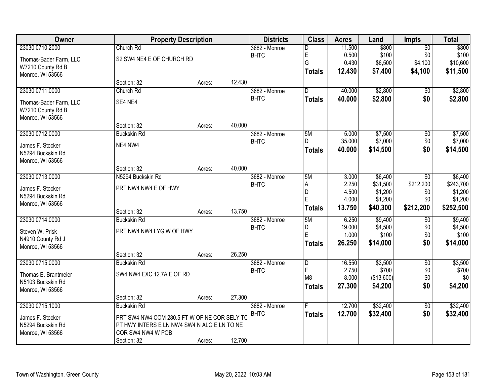| Owner                  |                                              | <b>Property Description</b> |        |               | <b>Class</b>   | <b>Acres</b> | Land       | <b>Impts</b>    | <b>Total</b> |
|------------------------|----------------------------------------------|-----------------------------|--------|---------------|----------------|--------------|------------|-----------------|--------------|
| 23030 0710.2000        | Church Rd                                    |                             |        | 3682 - Monroe | D              | 11.500       | \$800      | $\overline{50}$ | \$800        |
| Thomas-Bader Farm, LLC | S2 SW4 NE4 E OF CHURCH RD                    |                             |        | <b>BHTC</b>   | E              | 0.500        | \$100      | \$0             | \$100        |
| W7210 County Rd B      |                                              |                             |        |               | G              | 0.430        | \$6,500    | \$4,100         | \$10,600     |
| Monroe, WI 53566       |                                              |                             |        |               | <b>Totals</b>  | 12.430       | \$7,400    | \$4,100         | \$11,500     |
|                        | Section: 32                                  | Acres:                      | 12.430 |               |                |              |            |                 |              |
| 23030 0711.0000        | Church Rd                                    |                             |        | 3682 - Monroe | $\overline{D}$ | 40.000       | \$2,800    | $\overline{50}$ | \$2,800      |
| Thomas-Bader Farm, LLC | SE4 NE4                                      |                             |        | <b>BHTC</b>   | <b>Totals</b>  | 40.000       | \$2,800    | \$0             | \$2,800      |
| W7210 County Rd B      |                                              |                             |        |               |                |              |            |                 |              |
| Monroe, WI 53566       |                                              |                             |        |               |                |              |            |                 |              |
|                        | Section: 32                                  | Acres:                      | 40.000 |               |                |              |            |                 |              |
| 23030 0712.0000        | <b>Buckskin Rd</b>                           |                             |        | 3682 - Monroe | 5M             | 5.000        | \$7,500    | \$0             | \$7,500      |
| James F. Stocker       | NE4 NW4                                      |                             |        | <b>BHTC</b>   | D              | 35.000       | \$7,000    | \$0             | \$7,000      |
| N5294 Buckskin Rd      |                                              |                             |        |               | <b>Totals</b>  | 40.000       | \$14,500   | \$0             | \$14,500     |
| Monroe, WI 53566       |                                              |                             |        |               |                |              |            |                 |              |
|                        | Section: 32                                  | Acres:                      | 40.000 |               |                |              |            |                 |              |
| 23030 0713.0000        | N5294 Buckskin Rd                            |                             |        | 3682 - Monroe | 5M             | 3.000        | \$6,400    | \$0             | \$6,400      |
| James F. Stocker       | PRT NW4 NW4 E OF HWY                         |                             |        | <b>BHTC</b>   | Α              | 2.250        | \$31,500   | \$212,200       | \$243,700    |
| N5294 Buckskin Rd      |                                              |                             |        |               | D              | 4.500        | \$1,200    | \$0             | \$1,200      |
| Monroe, WI 53566       |                                              |                             |        |               | E              | 4.000        | \$1,200    | \$0             | \$1,200      |
|                        | Section: 32                                  | Acres:                      | 13.750 |               | <b>Totals</b>  | 13.750       | \$40,300   | \$212,200       | \$252,500    |
| 23030 0714.0000        | <b>Buckskin Rd</b>                           |                             |        | 3682 - Monroe | 5M             | 6.250        | \$9,400    | \$0             | \$9,400      |
| Steven W. Prisk        | PRT NW4 NW4 LYG W OF HWY                     |                             |        | <b>BHTC</b>   | D              | 19.000       | \$4,500    | \$0             | \$4,500      |
| N4910 County Rd J      |                                              |                             |        |               | Ė              | 1.000        | \$100      | \$0             | \$100        |
| Monroe, WI 53566       |                                              |                             |        |               | <b>Totals</b>  | 26.250       | \$14,000   | \$0             | \$14,000     |
|                        | Section: 32                                  | Acres:                      | 26.250 |               |                |              |            |                 |              |
| 23030 0715.0000        | <b>Buckskin Rd</b>                           |                             |        | 3682 - Monroe | $\overline{D}$ | 16.550       | \$3,500    | $\overline{60}$ | \$3,500      |
| Thomas E. Brantmeier   | SW4 NW4 EXC 12.7A E OF RD                    |                             |        | <b>BHTC</b>   | E              | 2.750        | \$700      | \$0             | \$700        |
| N5103 Buckskin Rd      |                                              |                             |        |               | M <sub>8</sub> | 8.000        | (\$13,600) | \$0             | \$0          |
| Monroe, WI 53566       |                                              |                             |        |               | <b>Totals</b>  | 27.300       | \$4,200    | \$0             | \$4,200      |
|                        | Section: 32                                  | Acres:                      | 27.300 |               |                |              |            |                 |              |
| 23030 0715.1000        | <b>Buckskin Rd</b>                           |                             |        | 3682 - Monroe | F              | 12.700       | \$32,400   | $\overline{50}$ | \$32,400     |
| James F. Stocker       | PRT SW4 NW4 COM 280.5 FT W OF NE COR SELY TC |                             |        | <b>BHTC</b>   | <b>Totals</b>  | 12.700       | \$32,400   | \$0             | \$32,400     |
| N5294 Buckskin Rd      | PT HWY INTERS E LN NW4 SW4 N ALG E LN TO NE  |                             |        |               |                |              |            |                 |              |
| Monroe, WI 53566       | COR SW4 NW4 W POB                            |                             |        |               |                |              |            |                 |              |
|                        | Section: 32                                  | Acres:                      | 12.700 |               |                |              |            |                 |              |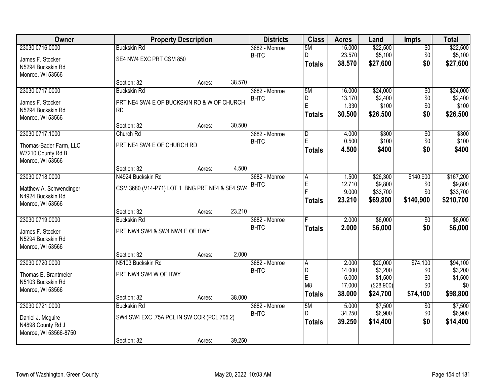| Owner                   |                                                | <b>Property Description</b> |        |               | <b>Class</b>            | <b>Acres</b>    | Land                  | <b>Impts</b>    | <b>Total</b>   |
|-------------------------|------------------------------------------------|-----------------------------|--------|---------------|-------------------------|-----------------|-----------------------|-----------------|----------------|
| 23030 0716.0000         | <b>Buckskin Rd</b>                             |                             |        | 3682 - Monroe | 5M                      | 15.000          | \$22,500              | $\overline{50}$ | \$22,500       |
| James F. Stocker        | SE4 NW4 EXC PRT CSM 850                        |                             |        | <b>BHTC</b>   | D                       | 23.570          | \$5,100               | \$0             | \$5,100        |
| N5294 Buckskin Rd       |                                                |                             |        |               | <b>Totals</b>           | 38.570          | \$27,600              | \$0             | \$27,600       |
| Monroe, WI 53566        |                                                |                             |        |               |                         |                 |                       |                 |                |
|                         | Section: 32                                    | Acres:                      | 38.570 |               |                         |                 |                       |                 |                |
| 23030 0717.0000         | <b>Buckskin Rd</b>                             |                             |        | 3682 - Monroe | 5M                      | 16.000          | \$24,000              | $\overline{50}$ | \$24,000       |
| James F. Stocker        | PRT NE4 SW4 E OF BUCKSKIN RD & W OF CHURCH     |                             |        | <b>BHTC</b>   | D                       | 13.170          | \$2,400               | \$0             | \$2,400        |
| N5294 Buckskin Rd       | <b>RD</b>                                      |                             |        |               | E                       | 1.330           | \$100                 | \$0             | \$100          |
| Monroe, WI 53566        |                                                |                             |        |               | <b>Totals</b>           | 30.500          | \$26,500              | \$0             | \$26,500       |
|                         | Section: 32                                    | Acres:                      | 30.500 |               |                         |                 |                       |                 |                |
| 23030 0717.1000         | Church Rd                                      |                             |        | 3682 - Monroe | $\overline{\mathsf{D}}$ | 4.000           | \$300                 | $\overline{50}$ | \$300          |
| Thomas-Bader Farm, LLC  | PRT NE4 SW4 E OF CHURCH RD                     |                             |        | <b>BHTC</b>   | E                       | 0.500           | \$100                 | \$0             | \$100          |
| W7210 County Rd B       |                                                |                             |        |               | <b>Totals</b>           | 4.500           | \$400                 | \$0             | \$400          |
| Monroe, WI 53566        |                                                |                             |        |               |                         |                 |                       |                 |                |
|                         | Section: 32                                    | Acres:                      | 4.500  |               |                         |                 |                       |                 |                |
| 23030 0718.0000         | N4924 Buckskin Rd                              |                             |        | 3682 - Monroe | Α                       | 1.500           | \$26,300              | \$140,900       | \$167,200      |
| Matthew A. Schwendinger | CSM 3680 (V14-P71) LOT 1 BNG PRT NE4 & SE4 SW4 |                             |        | <b>BHTC</b>   | E                       | 12.710          | \$9,800               | \$0             | \$9,800        |
| N4924 Buckskin Rd       |                                                |                             |        |               | F                       | 9.000           | \$33,700              | \$0             | \$33,700       |
| Monroe, WI 53566        |                                                |                             |        |               | <b>Totals</b>           | 23.210          | \$69,800              | \$140,900       | \$210,700      |
|                         | Section: 32                                    | Acres:                      | 23.210 |               |                         |                 |                       |                 |                |
| 23030 0719.0000         | <b>Buckskin Rd</b>                             |                             |        | 3682 - Monroe |                         | 2.000           | \$6,000               | $\overline{50}$ | \$6,000        |
| James F. Stocker        | PRT NW4 SW4 & SW4 NW4 E OF HWY                 |                             |        | <b>BHTC</b>   | <b>Totals</b>           | 2.000           | \$6,000               | \$0             | \$6,000        |
| N5294 Buckskin Rd       |                                                |                             |        |               |                         |                 |                       |                 |                |
| Monroe, WI 53566        |                                                |                             |        |               |                         |                 |                       |                 |                |
|                         | Section: 32                                    | Acres:                      | 2.000  |               |                         |                 |                       |                 |                |
| 23030 0720.0000         | N5103 Buckskin Rd                              |                             |        | 3682 - Monroe | A                       | 2.000           | \$20,000              | \$74,100        | \$94,100       |
| Thomas E. Brantmeier    | PRT NW4 SW4 W OF HWY                           |                             |        | <b>BHTC</b>   | D                       | 14.000          | \$3,200               | \$0             | \$3,200        |
| N5103 Buckskin Rd       |                                                |                             |        |               | E<br>M <sub>8</sub>     | 5.000<br>17.000 | \$1,500<br>(\$28,900) | \$0<br>\$0      | \$1,500<br>\$0 |
| Monroe, WI 53566        |                                                |                             |        |               | <b>Totals</b>           | 38.000          | \$24,700              | \$74,100        | \$98,800       |
|                         | Section: 32                                    | Acres:                      | 38.000 |               |                         |                 |                       |                 |                |
| 23030 0721.0000         | <b>Buckskin Rd</b>                             |                             |        | 3682 - Monroe | 5M                      | 5.000           | \$7,500               | $\overline{30}$ | \$7,500        |
| Daniel J. Mcguire       | SW4 SW4 EXC .75A PCL IN SW COR (PCL 705.2)     |                             |        | <b>BHTC</b>   | D                       | 34.250          | \$6,900               | \$0             | \$6,900        |
| N4898 County Rd J       |                                                |                             |        |               | <b>Totals</b>           | 39.250          | \$14,400              | \$0             | \$14,400       |
| Monroe, WI 53566-8750   |                                                |                             |        |               |                         |                 |                       |                 |                |
|                         | Section: 32                                    | Acres:                      | 39.250 |               |                         |                 |                       |                 |                |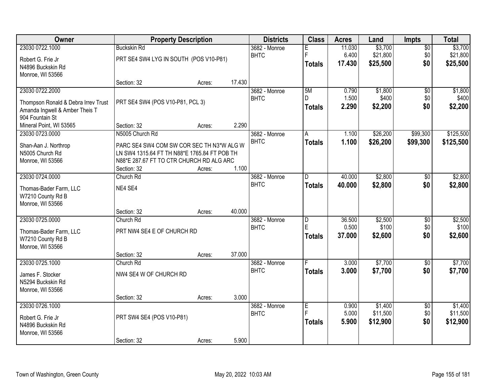| Owner                               | <b>Property Description</b>                  |        |        | <b>Districts</b>       | <b>Class</b>            | <b>Acres</b> | Land     | Impts           | <b>Total</b> |
|-------------------------------------|----------------------------------------------|--------|--------|------------------------|-------------------------|--------------|----------|-----------------|--------------|
| 23030 0722.1000                     | <b>Buckskin Rd</b>                           |        |        | $3682 - \text{Monroe}$ |                         | 11.030       | \$3,700  | $\overline{50}$ | \$3,700      |
| Robert G. Frie Jr                   | PRT SE4 SW4 LYG IN SOUTH (POS V10-P81)       |        |        | <b>BHTC</b>            | F                       | 6.400        | \$21,800 | \$0             | \$21,800     |
| N4896 Buckskin Rd                   |                                              |        |        |                        | <b>Totals</b>           | 17.430       | \$25,500 | \$0             | \$25,500     |
| Monroe, WI 53566                    |                                              |        |        |                        |                         |              |          |                 |              |
|                                     | Section: 32                                  | Acres: | 17.430 |                        |                         |              |          |                 |              |
| 23030 0722.2000                     |                                              |        |        | 3682 - Monroe          | 5M                      | 0.790        | \$1,800  | $\overline{50}$ | \$1,800      |
| Thompson Ronald & Debra Irrev Trust | PRT SE4 SW4 (POS V10-P81, PCL 3)             |        |        | <b>BHTC</b>            | D.                      | 1.500        | \$400    | \$0             | \$400        |
| Amanda Ingwell & Amber Theis T      |                                              |        |        |                        | <b>Totals</b>           | 2.290        | \$2,200  | \$0             | \$2,200      |
| 904 Fountain St                     |                                              |        |        |                        |                         |              |          |                 |              |
| Mineral Point, WI 53565             | Section: 32                                  | Acres: | 2.290  |                        |                         |              |          |                 |              |
| 23030 0723.0000                     | N5005 Church Rd                              |        |        | 3682 - Monroe          | A                       | 1.100        | \$26,200 | \$99,300        | \$125,500    |
| Shan-Aan J. Northrop                | PARC SE4 SW4 COM SW COR SEC TH N3*W ALG W    |        |        | <b>BHTC</b>            | <b>Totals</b>           | 1.100        | \$26,200 | \$99,300        | \$125,500    |
| N5005 Church Rd                     | LN SW4 1315.64 FT TH N88*E 1765.84 FT POB TH |        |        |                        |                         |              |          |                 |              |
| Monroe, WI 53566                    | N88*E 287.67 FT TO CTR CHURCH RD ALG ARC     |        |        |                        |                         |              |          |                 |              |
|                                     | Section: 32                                  | Acres: | 1.100  |                        |                         |              |          |                 |              |
| 23030 0724.0000                     | Church Rd                                    |        |        | 3682 - Monroe          | D.                      | 40.000       | \$2,800  | \$0             | \$2,800      |
| Thomas-Bader Farm, LLC              | NE4 SE4                                      |        |        | <b>BHTC</b>            | <b>Totals</b>           | 40.000       | \$2,800  | \$0             | \$2,800      |
| W7210 County Rd B                   |                                              |        |        |                        |                         |              |          |                 |              |
| Monroe, WI 53566                    |                                              |        |        |                        |                         |              |          |                 |              |
|                                     | Section: 32                                  | Acres: | 40.000 |                        |                         |              |          |                 |              |
| 23030 0725.0000                     | Church Rd                                    |        |        | 3682 - Monroe          | $\overline{\mathsf{D}}$ | 36.500       | \$2,500  | $\overline{50}$ | \$2,500      |
| Thomas-Bader Farm, LLC              | PRT NW4 SE4 E OF CHURCH RD                   |        |        | <b>BHTC</b>            | F                       | 0.500        | \$100    | \$0             | \$100        |
| W7210 County Rd B                   |                                              |        |        |                        | <b>Totals</b>           | 37.000       | \$2,600  | \$0             | \$2,600      |
| Monroe, WI 53566                    |                                              |        |        |                        |                         |              |          |                 |              |
|                                     | Section: 32                                  | Acres: | 37.000 |                        |                         |              |          |                 |              |
| 23030 0725.1000                     | Church Rd                                    |        |        | 3682 - Monroe          |                         | 3.000        | \$7,700  | $\overline{50}$ | \$7,700      |
| James F. Stocker                    | NW4 SE4 W OF CHURCH RD                       |        |        | <b>BHTC</b>            | <b>Totals</b>           | 3.000        | \$7,700  | \$0             | \$7,700      |
| N5294 Buckskin Rd                   |                                              |        |        |                        |                         |              |          |                 |              |
| Monroe, WI 53566                    |                                              |        |        |                        |                         |              |          |                 |              |
|                                     | Section: 32                                  | Acres: | 3.000  |                        |                         |              |          |                 |              |
| 23030 0726.1000                     |                                              |        |        | 3682 - Monroe          | E                       | 0.900        | \$1,400  | $\overline{50}$ | \$1,400      |
| Robert G. Frie Jr                   | PRT SW4 SE4 (POS V10-P81)                    |        |        | <b>BHTC</b>            |                         | 5.000        | \$11,500 | \$0             | \$11,500     |
| N4896 Buckskin Rd                   |                                              |        |        |                        | <b>Totals</b>           | 5.900        | \$12,900 | \$0             | \$12,900     |
| Monroe, WI 53566                    |                                              |        |        |                        |                         |              |          |                 |              |
|                                     | Section: 32                                  | Acres: | 5.900  |                        |                         |              |          |                 |              |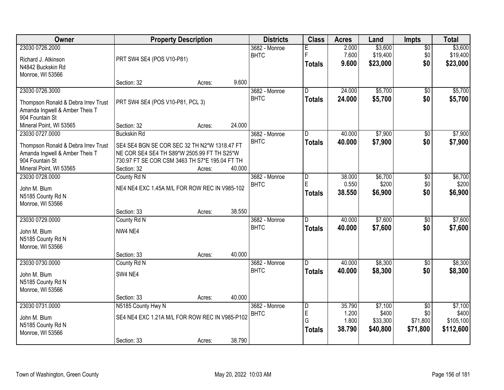| <b>Owner</b>                                      | <b>Property Description</b>                                                                   |        |        | <b>Districts</b>             | <b>Class</b>                 | <b>Acres</b>     | Land                | <b>Impts</b>           | <b>Total</b>        |
|---------------------------------------------------|-----------------------------------------------------------------------------------------------|--------|--------|------------------------------|------------------------------|------------------|---------------------|------------------------|---------------------|
| 23030 0726.2000                                   |                                                                                               |        |        | 3682 - Monroe<br><b>BHTC</b> | Е<br>E                       | 2.000<br>7.600   | \$3,600<br>\$19,400 | $\overline{50}$<br>\$0 | \$3,600<br>\$19,400 |
| Richard J. Atkinson                               | PRT SW4 SE4 (POS V10-P81)                                                                     |        |        |                              | <b>Totals</b>                | 9.600            | \$23,000            | \$0                    | \$23,000            |
| N4842 Buckskin Rd<br>Monroe, WI 53566             |                                                                                               |        |        |                              |                              |                  |                     |                        |                     |
|                                                   | Section: 32                                                                                   | Acres: | 9.600  |                              |                              |                  |                     |                        |                     |
| 23030 0726.3000                                   |                                                                                               |        |        | 3682 - Monroe                | D.                           | 24.000           | \$5,700             | \$0                    | \$5,700             |
| Thompson Ronald & Debra Irrev Trust               | PRT SW4 SE4 (POS V10-P81, PCL 3)                                                              |        |        | <b>BHTC</b>                  | <b>Totals</b>                | 24.000           | \$5,700             | \$0                    | \$5,700             |
| Amanda Ingwell & Amber Theis T                    |                                                                                               |        |        |                              |                              |                  |                     |                        |                     |
| 904 Fountain St                                   |                                                                                               |        |        |                              |                              |                  |                     |                        |                     |
| Mineral Point, WI 53565<br>23030 0727.0000        | Section: 32<br><b>Buckskin Rd</b>                                                             | Acres: | 24.000 |                              |                              | 40.000           | \$7,900             |                        | \$7,900             |
|                                                   |                                                                                               |        |        | 3682 - Monroe<br><b>BHTC</b> | D<br><b>Totals</b>           | 40.000           | \$7,900             | \$0<br>\$0             | \$7,900             |
| Thompson Ronald & Debra Irrev Trust               | SE4 SE4 BGN SE COR SEC 32 TH N2*W 1318.47 FT                                                  |        |        |                              |                              |                  |                     |                        |                     |
| Amanda Ingwell & Amber Theis T<br>904 Fountain St | NE COR SE4 SE4 TH S89*W 2505.99 FT TH S25*W<br>730.97 FT SE COR CSM 3463 TH S7*E 195.04 FT TH |        |        |                              |                              |                  |                     |                        |                     |
| Mineral Point, WI 53565                           | Section: 32                                                                                   | Acres: | 40.000 |                              |                              |                  |                     |                        |                     |
| 23030 0728.0000                                   | County Rd N                                                                                   |        |        | 3682 - Monroe                | D                            | 38.000           | \$6,700             | \$0                    | \$6,700             |
| John M. Blum                                      | NE4 NE4 EXC 1.45A M/L FOR ROW REC IN V985-102                                                 |        |        | <b>BHTC</b>                  | E                            | 0.550            | \$200               | \$0                    | \$200               |
| N5185 County Rd N                                 |                                                                                               |        |        |                              | <b>Totals</b>                | 38.550           | \$6,900             | \$0                    | \$6,900             |
| Monroe, WI 53566                                  |                                                                                               |        |        |                              |                              |                  |                     |                        |                     |
|                                                   | Section: 33                                                                                   | Acres: | 38.550 |                              |                              |                  |                     |                        |                     |
| 23030 0729.0000                                   | County Rd N                                                                                   |        |        | 3682 - Monroe<br><b>BHTC</b> | D.                           | 40.000<br>40.000 | \$7,600<br>\$7,600  | $\overline{50}$<br>\$0 | \$7,600<br>\$7,600  |
| John M. Blum                                      | NW4 NE4                                                                                       |        |        |                              | <b>Totals</b>                |                  |                     |                        |                     |
| N5185 County Rd N<br>Monroe, WI 53566             |                                                                                               |        |        |                              |                              |                  |                     |                        |                     |
|                                                   | Section: 33                                                                                   | Acres: | 40.000 |                              |                              |                  |                     |                        |                     |
| 23030 0730.0000                                   | County Rd N                                                                                   |        |        | 3682 - Monroe                | D.                           | 40.000           | \$8,300             | $\overline{50}$        | \$8,300             |
| John M. Blum                                      | SW4 NE4                                                                                       |        |        | <b>BHTC</b>                  | <b>Totals</b>                | 40.000           | \$8,300             | \$0                    | \$8,300             |
| N5185 County Rd N                                 |                                                                                               |        |        |                              |                              |                  |                     |                        |                     |
| Monroe, WI 53566                                  |                                                                                               |        |        |                              |                              |                  |                     |                        |                     |
|                                                   | Section: 33                                                                                   | Acres: | 40.000 |                              |                              |                  |                     |                        |                     |
| 23030 0731.0000                                   | N5185 County Hwy N                                                                            |        |        | 3682 - Monroe<br><b>BHTC</b> | $\overline{\mathsf{D}}$<br>E | 35.790<br>1.200  | \$7,100<br>\$400    | $\overline{50}$<br>\$0 | \$7,100<br>\$400    |
| John M. Blum                                      | SE4 NE4 EXC 1.21A M/L FOR ROW REC IN V985-P102                                                |        |        |                              | G                            | 1.800            | \$33,300            | \$71,800               | \$105,100           |
| N5185 County Rd N<br>Monroe, WI 53566             |                                                                                               |        |        |                              | <b>Totals</b>                | 38.790           | \$40,800            | \$71,800               | \$112,600           |
|                                                   | Section: 33                                                                                   | Acres: | 38.790 |                              |                              |                  |                     |                        |                     |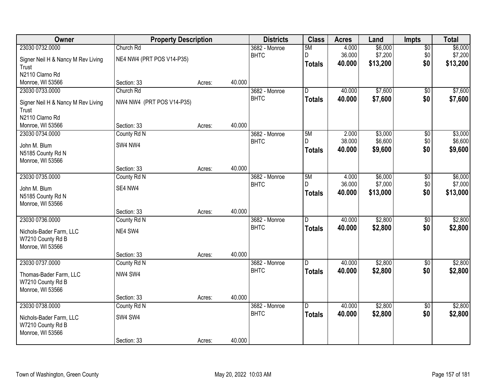| Owner                              | <b>Property Description</b> |        |        | <b>Districts</b> | <b>Class</b>   | <b>Acres</b> | Land     | <b>Impts</b>    | <b>Total</b> |
|------------------------------------|-----------------------------|--------|--------|------------------|----------------|--------------|----------|-----------------|--------------|
| 23030 0732.0000                    | Church Rd                   |        |        | 3682 - Monroe    | 5M             | 4.000        | \$6,000  | $\overline{50}$ | \$6,000      |
| Signer Neil H & Nancy M Rev Living | NE4 NW4 (PRT POS V14-P35)   |        |        | <b>BHTC</b>      | D.             | 36.000       | \$7,200  | \$0             | \$7,200      |
| Trust                              |                             |        |        |                  | <b>Totals</b>  | 40.000       | \$13,200 | \$0             | \$13,200     |
| N2110 Clarno Rd                    |                             |        |        |                  |                |              |          |                 |              |
| Monroe, WI 53566                   | Section: 33                 | Acres: | 40.000 |                  |                |              |          |                 |              |
| 23030 0733.0000                    | Church Rd                   |        |        | 3682 - Monroe    | D.             | 40.000       | \$7,600  | $\overline{50}$ | \$7,600      |
| Signer Neil H & Nancy M Rev Living | NW4 NW4 (PRT POS V14-P35)   |        |        | <b>BHTC</b>      | <b>Totals</b>  | 40.000       | \$7,600  | \$0             | \$7,600      |
| Trust                              |                             |        |        |                  |                |              |          |                 |              |
| N2110 Clarno Rd                    |                             |        |        |                  |                |              |          |                 |              |
| Monroe, WI 53566                   | Section: 33                 | Acres: | 40.000 |                  |                |              |          |                 |              |
| 23030 0734.0000                    | County Rd N                 |        |        | 3682 - Monroe    | 5M             | 2.000        | \$3,000  | \$0             | \$3,000      |
| John M. Blum                       | SW4 NW4                     |        |        | <b>BHTC</b>      | D              | 38.000       | \$6,600  | \$0             | \$6,600      |
| N5185 County Rd N                  |                             |        |        |                  | Totals         | 40.000       | \$9,600  | \$0             | \$9,600      |
| Monroe, WI 53566                   |                             |        |        |                  |                |              |          |                 |              |
|                                    | Section: 33                 | Acres: | 40.000 |                  |                |              |          |                 |              |
| 23030 0735.0000                    | County Rd N                 |        |        | 3682 - Monroe    | 5M             | 4.000        | \$6,000  | \$0             | \$6,000      |
| John M. Blum                       | SE4 NW4                     |        |        | <b>BHTC</b>      | D.             | 36.000       | \$7,000  | \$0             | \$7,000      |
| N5185 County Rd N                  |                             |        |        |                  | <b>Totals</b>  | 40.000       | \$13,000 | \$0             | \$13,000     |
| Monroe, WI 53566                   |                             |        |        |                  |                |              |          |                 |              |
|                                    | Section: 33                 | Acres: | 40.000 |                  |                |              |          |                 |              |
| 23030 0736.0000                    | County Rd N                 |        |        | 3682 - Monroe    | $\overline{D}$ | 40.000       | \$2,800  | $\overline{30}$ | \$2,800      |
| Nichols-Bader Farm, LLC            | NE4 SW4                     |        |        | <b>BHTC</b>      | <b>Totals</b>  | 40.000       | \$2,800  | \$0             | \$2,800      |
| W7210 County Rd B                  |                             |        |        |                  |                |              |          |                 |              |
| Monroe, WI 53566                   |                             |        |        |                  |                |              |          |                 |              |
|                                    | Section: 33                 | Acres: | 40.000 |                  |                |              |          |                 |              |
| 23030 0737.0000                    | County Rd N                 |        |        | 3682 - Monroe    | D.             | 40.000       | \$2,800  | $\sqrt{6}$      | \$2,800      |
| Thomas-Bader Farm, LLC             | NW4 SW4                     |        |        | <b>BHTC</b>      | <b>Totals</b>  | 40.000       | \$2,800  | \$0             | \$2,800      |
| W7210 County Rd B                  |                             |        |        |                  |                |              |          |                 |              |
| Monroe, WI 53566                   |                             |        |        |                  |                |              |          |                 |              |
|                                    | Section: 33                 | Acres: | 40.000 |                  |                |              |          |                 |              |
| 23030 0738.0000                    | County Rd N                 |        |        | 3682 - Monroe    | D.             | 40.000       | \$2,800  | $\overline{50}$ | \$2,800      |
| Nichols-Bader Farm, LLC            | SW4 SW4                     |        |        | <b>BHTC</b>      | <b>Totals</b>  | 40.000       | \$2,800  | \$0             | \$2,800      |
| W7210 County Rd B                  |                             |        |        |                  |                |              |          |                 |              |
| Monroe, WI 53566                   |                             |        |        |                  |                |              |          |                 |              |
|                                    | Section: 33                 | Acres: | 40.000 |                  |                |              |          |                 |              |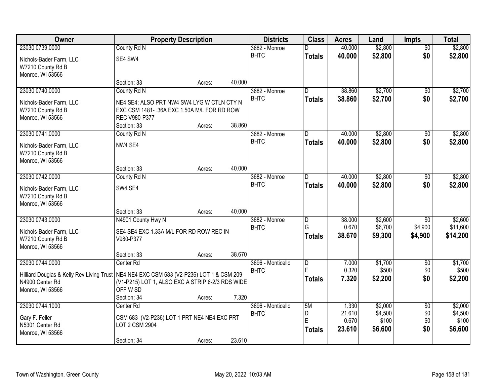| Owner                                                                                                                                               | <b>Property Description</b>                                                                                              |        |        | <b>Districts</b>                 | <b>Class</b>                                  | <b>Acres</b>                       | Land                                   | <b>Impts</b>                          | <b>Total</b>                           |
|-----------------------------------------------------------------------------------------------------------------------------------------------------|--------------------------------------------------------------------------------------------------------------------------|--------|--------|----------------------------------|-----------------------------------------------|------------------------------------|----------------------------------------|---------------------------------------|----------------------------------------|
| 23030 0739.0000                                                                                                                                     | County Rd N                                                                                                              |        |        | 3682 - Monroe                    |                                               | 40.000                             | \$2,800                                | $\overline{50}$                       | \$2,800                                |
| Nichols-Bader Farm, LLC<br>W7210 County Rd B<br>Monroe, WI 53566                                                                                    | SE4 SW4                                                                                                                  |        |        | <b>BHTC</b>                      | <b>Totals</b>                                 | 40.000                             | \$2,800                                | \$0                                   | \$2,800                                |
|                                                                                                                                                     | Section: 33                                                                                                              | Acres: | 40.000 |                                  |                                               |                                    |                                        |                                       |                                        |
| 23030 0740.0000                                                                                                                                     | County Rd N                                                                                                              |        |        | 3682 - Monroe                    | $\overline{\mathsf{D}}$                       | 38.860                             | \$2,700                                | $\overline{50}$                       | \$2,700                                |
| Nichols-Bader Farm, LLC<br>W7210 County Rd B<br>Monroe, WI 53566                                                                                    | NE4 SE4; ALSO PRT NW4 SW4 LYG W CTLN CTY N<br>EXC CSM 1481-.36A EXC 1.50A M/L FOR RD ROW<br>REC V980-P377<br>Section: 33 |        | 38.860 | <b>BHTC</b>                      | <b>Totals</b>                                 | 38.860                             | \$2,700                                | \$0                                   | \$2,700                                |
| 23030 0741.0000                                                                                                                                     | County Rd N                                                                                                              | Acres: |        | 3682 - Monroe                    | D                                             | 40.000                             | \$2,800                                | \$0                                   | \$2,800                                |
| Nichols-Bader Farm, LLC<br>W7210 County Rd B<br>Monroe, WI 53566                                                                                    | NW4 SE4                                                                                                                  |        |        | <b>BHTC</b>                      | <b>Totals</b>                                 | 40.000                             | \$2,800                                | \$0                                   | \$2,800                                |
|                                                                                                                                                     | Section: 33                                                                                                              | Acres: | 40.000 |                                  |                                               |                                    |                                        |                                       |                                        |
| 23030 0742.0000                                                                                                                                     | County Rd N                                                                                                              |        |        | 3682 - Monroe                    | D.                                            | 40.000                             | \$2,800                                | \$0                                   | \$2,800                                |
| Nichols-Bader Farm, LLC<br>W7210 County Rd B<br>Monroe, WI 53566                                                                                    | SW4 SE4                                                                                                                  |        |        | <b>BHTC</b>                      | <b>Totals</b>                                 | 40.000                             | \$2,800                                | \$0                                   | \$2,800                                |
|                                                                                                                                                     | Section: 33                                                                                                              | Acres: | 40.000 |                                  |                                               |                                    |                                        |                                       |                                        |
| 23030 0743.0000<br>Nichols-Bader Farm, LLC<br>W7210 County Rd B<br>Monroe, WI 53566                                                                 | N4901 County Hwy N<br>SE4 SE4 EXC 1.33A M/L FOR RD ROW REC IN<br>V980-P377                                               |        |        | 3682 - Monroe<br><b>BHTC</b>     | $\overline{\mathsf{D}}$<br>G<br><b>Totals</b> | 38.000<br>0.670<br>38.670          | \$2,600<br>\$6,700<br>\$9,300          | $\overline{50}$<br>\$4,900<br>\$4,900 | \$2,600<br>\$11,600<br>\$14,200        |
|                                                                                                                                                     | Section: 33                                                                                                              | Acres: | 38.670 |                                  |                                               |                                    |                                        |                                       |                                        |
| 23030 0744.0000<br>Hilliard Douglas & Kelly Rev Living Trust   NE4 NE4 EXC CSM 683 (V2-P236) LOT 1 & CSM 209<br>N4900 Center Rd<br>Monroe, WI 53566 | Center Rd<br>(V1-P215) LOT 1, ALSO EXC A STRIP 6-2/3 RDS WIDE<br>OFF W SD                                                |        |        | 3696 - Monticello<br><b>BHTC</b> | $\overline{D}$<br>E<br><b>Totals</b>          | 7.000<br>0.320<br>7.320            | \$1,700<br>\$500<br>\$2,200            | $\overline{50}$<br>\$0<br>\$0         | \$1,700<br>\$500<br>\$2,200            |
|                                                                                                                                                     | Section: 34                                                                                                              | Acres: | 7.320  |                                  |                                               |                                    |                                        |                                       |                                        |
| 23030 0744.1000<br>Gary F. Feller<br>N5301 Center Rd<br>Monroe, WI 53566                                                                            | Center <sub>Rd</sub><br>CSM 683 (V2-P236) LOT 1 PRT NE4 NE4 EXC PRT<br>LOT 2 CSM 2904<br>Section: 34                     | Acres: | 23.610 | 3696 - Monticello<br><b>BHTC</b> | 5M<br>D<br>E<br><b>Totals</b>                 | 1.330<br>21.610<br>0.670<br>23.610 | \$2,000<br>\$4,500<br>\$100<br>\$6,600 | $\overline{50}$<br>\$0<br>\$0<br>\$0  | \$2,000<br>\$4,500<br>\$100<br>\$6,600 |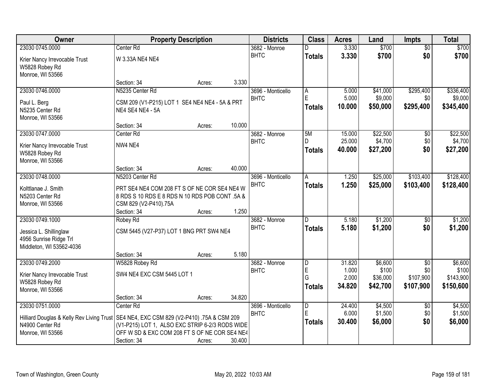| Owner                                     | <b>Property Description</b>                     |        |        | <b>Districts</b>  | <b>Class</b>     | <b>Acres</b>    | Land               | <b>Impts</b>     | <b>Total</b>       |
|-------------------------------------------|-------------------------------------------------|--------|--------|-------------------|------------------|-----------------|--------------------|------------------|--------------------|
| 23030 0745.0000                           | Center Rd                                       |        |        | 3682 - Monroe     |                  | 3.330           | \$700              | $\overline{50}$  | \$700              |
| Krier Nancy Irrevocable Trust             | W 3.33A NE4 NE4                                 |        |        | <b>BHTC</b>       | <b>Totals</b>    | 3.330           | \$700              | \$0              | \$700              |
| W5828 Robey Rd                            |                                                 |        |        |                   |                  |                 |                    |                  |                    |
| Monroe, WI 53566                          |                                                 |        |        |                   |                  |                 |                    |                  |                    |
|                                           | Section: 34                                     | Acres: | 3.330  |                   |                  |                 |                    |                  |                    |
| 23030 0746.0000                           | N5235 Center Rd                                 |        |        | 3696 - Monticello | A                | 5.000           | \$41,000           | \$295,400        | \$336,400          |
| Paul L. Berg                              | CSM 209 (V1-P215) LOT 1 SE4 NE4 NE4 - 5A & PRT  |        |        | <b>BHTC</b>       | E                | 5.000           | \$9,000            | \$0              | \$9,000            |
| N5235 Center Rd                           | <b>NE4 SE4 NE4 - 5A</b>                         |        |        |                   | <b>Totals</b>    | 10.000          | \$50,000           | \$295,400        | \$345,400          |
| Monroe, WI 53566                          |                                                 |        |        |                   |                  |                 |                    |                  |                    |
|                                           | Section: 34                                     | Acres: | 10.000 |                   |                  |                 |                    |                  |                    |
| 23030 0747.0000                           | Center <sub>Rd</sub>                            |        |        | 3682 - Monroe     | 5M               | 15.000          | \$22,500           | $\sqrt[6]{}$     | \$22,500           |
| Krier Nancy Irrevocable Trust             | NW4 NE4                                         |        |        | <b>BHTC</b>       |                  | 25.000          | \$4,700            | \$0              | \$4,700            |
| W5828 Robey Rd                            |                                                 |        |        |                   | <b>Totals</b>    | 40.000          | \$27,200           | \$0              | \$27,200           |
| Monroe, WI 53566                          |                                                 |        |        |                   |                  |                 |                    |                  |                    |
|                                           | Section: 34                                     | Acres: | 40.000 |                   |                  |                 |                    |                  |                    |
| 23030 0748.0000                           | N5203 Center Rd                                 |        |        | 3696 - Monticello | $\overline{A}$   | 1.250           | \$25,000           | \$103,400        | \$128,400          |
| Kolttlanae J. Smith                       | PRT SE4 NE4 COM 208 FT S OF NE COR SE4 NE4 W    |        |        | <b>BHTC</b>       | <b>Totals</b>    | 1.250           | \$25,000           | \$103,400        | \$128,400          |
| N5203 Center Rd                           | 8 RDS S 10 RDS E 8 RDS N 10 RDS POB CONT .5A &  |        |        |                   |                  |                 |                    |                  |                    |
| Monroe, WI 53566                          | CSM 829 (V2-P410).75A                           |        |        |                   |                  |                 |                    |                  |                    |
|                                           | Section: 34                                     | Acres: | 1.250  |                   |                  |                 |                    |                  |                    |
| 23030 0749.1000                           | Robey Rd                                        |        |        | 3682 - Monroe     | D.               | 5.180           | \$1,200            | \$0              | \$1,200            |
| Jessica L. Shillinglaw                    | CSM 5445 (V27-P37) LOT 1 BNG PRT SW4 NE4        |        |        | <b>BHTC</b>       | <b>Totals</b>    | 5.180           | \$1,200            | \$0              | \$1,200            |
| 4956 Sunrise Ridge Trl                    |                                                 |        |        |                   |                  |                 |                    |                  |                    |
| Middleton, WI 53562-4036                  |                                                 |        |        |                   |                  |                 |                    |                  |                    |
|                                           | Section: 34                                     | Acres: | 5.180  |                   |                  |                 |                    |                  |                    |
| 23030 0749.2000                           | W5828 Robey Rd                                  |        |        | 3682 - Monroe     | D                | 31.820          | \$6,600            | $\overline{50}$  | \$6,600            |
| Krier Nancy Irrevocable Trust             | SW4 NE4 EXC CSM 5445 LOT 1                      |        |        | <b>BHTC</b>       | $\mathsf E$<br>G | 1.000<br>2.000  | \$100<br>\$36,000  | \$0<br>\$107,900 | \$100<br>\$143,900 |
| W5828 Robey Rd                            |                                                 |        |        |                   | <b>Totals</b>    | 34.820          | \$42,700           | \$107,900        | \$150,600          |
| Monroe, WI 53566                          |                                                 |        |        |                   |                  |                 |                    |                  |                    |
|                                           | Section: 34                                     | Acres: | 34.820 |                   |                  |                 |                    |                  |                    |
| 23030 0751.0000                           | Center <sub>Rd</sub>                            |        |        | 3696 - Monticello | D<br>E           | 24.400<br>6.000 | \$4,500<br>\$1,500 | $\overline{60}$  | \$4,500<br>\$1,500 |
| Hilliard Douglas & Kelly Rev Living Trust | SE4 NE4, EXC CSM 829 (V2-P410) .75A & CSM 209   |        |        | <b>BHTC</b>       |                  |                 |                    | \$0<br>\$0       |                    |
| N4900 Center Rd                           | (V1-P215) LOT 1, ALSO EXC STRIP 6-2/3 RODS WIDE |        |        |                   | <b>Totals</b>    | 30.400          | \$6,000            |                  | \$6,000            |
| Monroe, WI 53566                          | OFF W SD & EXC COM 208 FT S OF NE COR SE4 NE4   |        |        |                   |                  |                 |                    |                  |                    |
|                                           | Section: 34                                     | Acres: | 30.400 |                   |                  |                 |                    |                  |                    |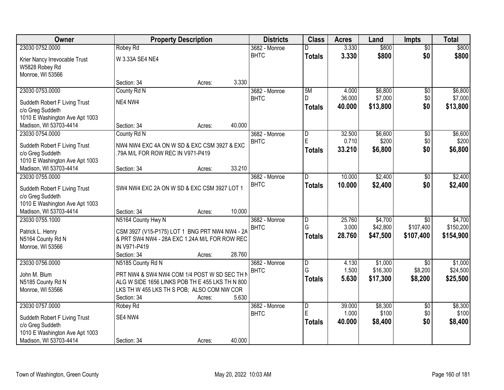| Owner                          |                                                 | <b>Property Description</b> | <b>Districts</b> | <b>Class</b>            | <b>Acres</b> | Land     | <b>Impts</b>    | <b>Total</b> |
|--------------------------------|-------------------------------------------------|-----------------------------|------------------|-------------------------|--------------|----------|-----------------|--------------|
| 23030 0752.0000                | Robey Rd                                        |                             | 3682 - Monroe    |                         | 3.330        | \$800    | $\overline{50}$ | \$800        |
| Krier Nancy Irrevocable Trust  | W 3.33A SE4 NE4                                 |                             | <b>BHTC</b>      | <b>Totals</b>           | 3.330        | \$800    | \$0             | \$800        |
| W5828 Robey Rd                 |                                                 |                             |                  |                         |              |          |                 |              |
| Monroe, WI 53566               |                                                 |                             |                  |                         |              |          |                 |              |
|                                | Section: 34                                     | Acres:                      | 3.330            |                         |              |          |                 |              |
| 23030 0753.0000                | County Rd N                                     |                             | 3682 - Monroe    | 5M                      | 4.000        | \$6,800  | $\overline{50}$ | \$6,800      |
| Suddeth Robert F Living Trust  | NE4 NW4                                         |                             | <b>BHTC</b>      | D                       | 36.000       | \$7,000  | \$0             | \$7,000      |
| c/o Greg Suddeth               |                                                 |                             |                  | <b>Totals</b>           | 40.000       | \$13,800 | \$0             | \$13,800     |
| 1010 E Washington Ave Apt 1003 |                                                 |                             |                  |                         |              |          |                 |              |
| Madison, WI 53703-4414         | Section: 34                                     | Acres:                      | 40.000           |                         |              |          |                 |              |
| 23030 0754.0000                | County Rd N                                     |                             | 3682 - Monroe    | D                       | 32.500       | \$6,600  | \$0             | \$6,600      |
| Suddeth Robert F Living Trust  | NW4 NW4 EXC 4A ON W SD & EXC CSM 3927 & EXC     |                             | <b>BHTC</b>      | Ė                       | 0.710        | \$200    | \$0             | \$200        |
| c/o Greg Suddeth               | .79A M/L FOR ROW REC IN V971-P419               |                             |                  | <b>Totals</b>           | 33.210       | \$6,800  | \$0             | \$6,800      |
| 1010 E Washington Ave Apt 1003 |                                                 |                             |                  |                         |              |          |                 |              |
| Madison, WI 53703-4414         | Section: 34                                     | Acres:                      | 33.210           |                         |              |          |                 |              |
| 23030 0755.0000                |                                                 |                             | 3682 - Monroe    | D.                      | 10.000       | \$2,400  | \$0             | \$2,400      |
| Suddeth Robert F Living Trust  | SW4 NW4 EXC 2A ON W SD & EXC CSM 3927 LOT 1     |                             | <b>BHTC</b>      | <b>Totals</b>           | 10.000       | \$2,400  | \$0             | \$2,400      |
| c/o Greg Suddeth               |                                                 |                             |                  |                         |              |          |                 |              |
| 1010 E Washington Ave Apt 1003 |                                                 |                             |                  |                         |              |          |                 |              |
| Madison, WI 53703-4414         | Section: 34                                     | Acres:                      | 10.000           |                         |              |          |                 |              |
| 23030 0755.1000                | N5164 County Hwy N                              |                             | 3682 - Monroe    | D                       | 25.760       | \$4,700  | $\overline{50}$ | \$4,700      |
| Patrick L. Henry               | CSM 3927 (V15-P175) LOT 1 BNG PRT NW4 NW4 - 2A  |                             | <b>BHTC</b>      | G                       | 3.000        | \$42,800 | \$107,400       | \$150,200    |
| N5164 County Rd N              | & PRT SW4 NW4 - 28A EXC 1.24A M/L FOR ROW REC   |                             |                  | <b>Totals</b>           | 28.760       | \$47,500 | \$107,400       | \$154,900    |
| Monroe, WI 53566               | IN V971-P419                                    |                             |                  |                         |              |          |                 |              |
|                                | Section: 34                                     | Acres:                      | 28.760           |                         |              |          |                 |              |
| 23030 0756.0000                | N5185 County Rd N                               |                             | 3682 - Monroe    | $\overline{D}$          | 4.130        | \$1,000  | \$0             | \$1,000      |
| John M. Blum                   | PRT NW4 & SW4 NW4 COM 1/4 POST W SD SEC TH N    |                             | <b>BHTC</b>      | G                       | 1.500        | \$16,300 | \$8,200         | \$24,500     |
| N5185 County Rd N              | ALG W SIDE 1656 LINKS POB TH E 455 LKS TH N 800 |                             |                  | <b>Totals</b>           | 5.630        | \$17,300 | \$8,200         | \$25,500     |
| Monroe, WI 53566               | LKS TH W 455 LKS TH S POB; ALSO COM NW COR      |                             |                  |                         |              |          |                 |              |
|                                | Section: 34                                     | Acres:                      | 5.630            |                         |              |          |                 |              |
| 23030 0757.0000                | Robey Rd                                        |                             | 3682 - Monroe    | $\overline{\mathsf{D}}$ | 39.000       | \$8,300  | $\overline{50}$ | \$8,300      |
| Suddeth Robert F Living Trust  | SE4 NW4                                         |                             | <b>BHTC</b>      | Ė                       | 1.000        | \$100    | \$0             | \$100        |
| c/o Greg Suddeth               |                                                 |                             |                  | <b>Totals</b>           | 40.000       | \$8,400  | \$0             | \$8,400      |
| 1010 E Washington Ave Apt 1003 |                                                 |                             |                  |                         |              |          |                 |              |
| Madison, WI 53703-4414         | Section: 34                                     | Acres:                      | 40.000           |                         |              |          |                 |              |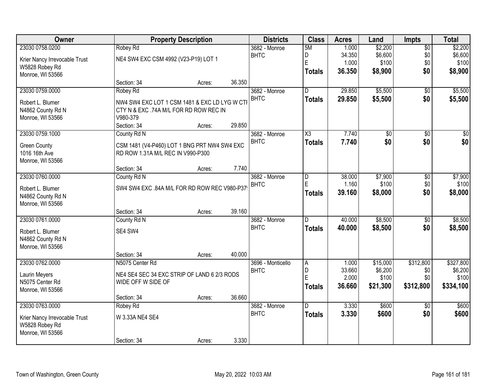| Owner                         | <b>Property Description</b>                   | <b>Districts</b> | <b>Class</b> | <b>Acres</b>      | Land                | <b>Impts</b> | <b>Total</b>    |                 |                 |
|-------------------------------|-----------------------------------------------|------------------|--------------|-------------------|---------------------|--------------|-----------------|-----------------|-----------------|
| 23030 0758.0200               | Robey Rd                                      |                  |              | 3682 - Monroe     | 5M                  | 1.000        | \$2,200         | $\overline{50}$ | \$2,200         |
| Krier Nancy Irrevocable Trust | NE4 SW4 EXC CSM 4992 (V23-P19) LOT 1          |                  |              | <b>BHTC</b>       | D                   | 34.350       | \$6,600         | \$0             | \$6,600         |
| W5828 Robey Rd                |                                               |                  |              |                   | E                   | 1.000        | \$100           | \$0             | \$100           |
| Monroe, WI 53566              |                                               |                  |              |                   | <b>Totals</b>       | 36.350       | \$8,900         | \$0             | \$8,900         |
|                               | Section: 34                                   | Acres:           | 36.350       |                   |                     |              |                 |                 |                 |
| 23030 0759.0000               | Robey Rd                                      |                  |              | 3682 - Monroe     | $\overline{D}$      | 29.850       | \$5,500         | $\overline{50}$ | \$5,500         |
| Robert L. Blumer              | NW4 SW4 EXC LOT 1 CSM 1481 & EXC LD LYG W CTI |                  |              | <b>BHTC</b>       | <b>Totals</b>       | 29.850       | \$5,500         | \$0             | \$5,500         |
| N4862 County Rd N             | CTY N & EXC .74A M/L FOR RD ROW REC IN        |                  |              |                   |                     |              |                 |                 |                 |
| Monroe, WI 53566              | V980-379                                      |                  |              |                   |                     |              |                 |                 |                 |
|                               | Section: 34                                   | Acres:           | 29.850       |                   |                     |              |                 |                 |                 |
| 23030 0759.1000               | County Rd N                                   |                  |              | 3682 - Monroe     | $\overline{\chi_3}$ | 7.740        | $\overline{50}$ | \$0             | $\overline{30}$ |
| <b>Green County</b>           | CSM 1481 (V4-P460) LOT 1 BNG PRT NW4 SW4 EXC  |                  |              | <b>BHTC</b>       | <b>Totals</b>       | 7.740        | \$0             | \$0             | \$0             |
| 1016 16th Ave                 | RD ROW 1.31A M/L REC IN V990-P300             |                  |              |                   |                     |              |                 |                 |                 |
| Monroe, WI 53566              |                                               |                  |              |                   |                     |              |                 |                 |                 |
|                               | Section: 34                                   | Acres:           | 7.740        |                   |                     |              |                 |                 |                 |
| 23030 0760.0000               | County Rd N                                   |                  |              | 3682 - Monroe     | D                   | 38.000       | \$7,900         | \$0             | \$7,900         |
| Robert L. Blumer              | SW4 SW4 EXC .84A M/L FOR RD ROW REC V980-P37  |                  |              | <b>BHTC</b>       | E                   | 1.160        | \$100           | \$0             | \$100           |
| N4862 County Rd N             |                                               |                  |              |                   | <b>Totals</b>       | 39.160       | \$8,000         | \$0             | \$8,000         |
| Monroe, WI 53566              |                                               |                  |              |                   |                     |              |                 |                 |                 |
|                               | Section: 34                                   | Acres:           | 39.160       |                   |                     |              |                 |                 |                 |
| 23030 0761.0000               | County Rd N                                   |                  |              | 3682 - Monroe     | D.                  | 40.000       | \$8,500         | \$0             | \$8,500         |
| Robert L. Blumer              | SE4 SW4                                       |                  |              | <b>BHTC</b>       | <b>Totals</b>       | 40.000       | \$8,500         | \$0             | \$8,500         |
| N4862 County Rd N             |                                               |                  |              |                   |                     |              |                 |                 |                 |
| Monroe, WI 53566              |                                               |                  |              |                   |                     |              |                 |                 |                 |
|                               | Section: 34                                   | Acres:           | 40.000       |                   |                     |              |                 |                 |                 |
| 23030 0762.0000               | N5075 Center Rd                               |                  |              | 3696 - Monticello | A                   | 1.000        | \$15,000        | \$312,800       | \$327,800       |
| <b>Laurin Meyers</b>          | NE4 SE4 SEC 34 EXC STRIP OF LAND 6 2/3 RODS   |                  |              | <b>BHTC</b>       | D                   | 33.660       | \$6,200         | \$0             | \$6,200         |
| N5075 Center Rd               | WIDE OFF W SIDE OF                            |                  |              |                   | E                   | 2.000        | \$100           | \$0             | \$100           |
| Monroe, WI 53566              |                                               |                  |              |                   | <b>Totals</b>       | 36.660       | \$21,300        | \$312,800       | \$334,100       |
|                               | Section: 34                                   | Acres:           | 36.660       |                   |                     |              |                 |                 |                 |
| 23030 0763.0000               | Robey Rd                                      |                  |              | 3682 - Monroe     | D.                  | 3.330        | \$600           | $\overline{50}$ | \$600           |
| Krier Nancy Irrevocable Trust | W 3.33A NE4 SE4                               |                  |              | <b>BHTC</b>       | <b>Totals</b>       | 3.330        | \$600           | \$0             | \$600           |
| W5828 Robey Rd                |                                               |                  |              |                   |                     |              |                 |                 |                 |
| Monroe, WI 53566              |                                               |                  |              |                   |                     |              |                 |                 |                 |
|                               | Section: 34                                   | Acres:           | 3.330        |                   |                     |              |                 |                 |                 |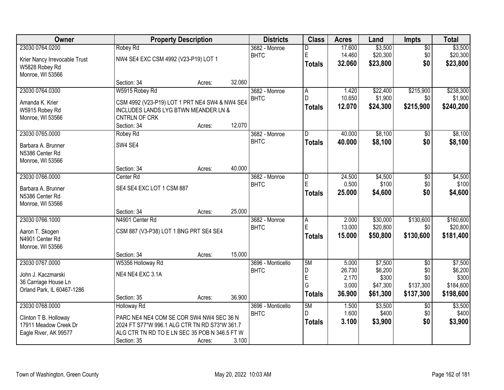| Owner                         |                                                 | <b>Property Description</b> |        |                        |               | <b>Acres</b> | Land     | <b>Impts</b>    | <b>Total</b> |
|-------------------------------|-------------------------------------------------|-----------------------------|--------|------------------------|---------------|--------------|----------|-----------------|--------------|
| 23030 0764.0200               | Robey Rd                                        |                             |        | $3682 - \text{Monroe}$ | D             | 17.600       | \$3,500  | $\overline{50}$ | \$3,500      |
| Krier Nancy Irrevocable Trust | NW4 SE4 EXC CSM 4992 (V23-P19) LOT 1            |                             |        | <b>BHTC</b>            | E             | 14.460       | \$20,300 | \$0             | \$20,300     |
| W5828 Robey Rd                |                                                 |                             |        |                        | <b>Totals</b> | 32.060       | \$23,800 | \$0             | \$23,800     |
| Monroe, WI 53566              |                                                 |                             |        |                        |               |              |          |                 |              |
|                               | Section: 34                                     | Acres:                      | 32.060 |                        |               |              |          |                 |              |
| 23030 0764.0300               | W5915 Robey Rd                                  |                             |        | 3682 - Monroe          | A             | 1.420        | \$22,400 | \$215,900       | \$238,300    |
| Amanda K. Krier               | CSM 4992 (V23-P19) LOT 1 PRT NE4 SW4 & NW4 SE4  |                             |        | <b>BHTC</b>            | D.            | 10.650       | \$1,900  | \$0             | \$1,900      |
| W5915 Robey Rd                | <b>INCLUDES LANDS LYG BTWN MEANDER LN &amp;</b> |                             |        |                        | <b>Totals</b> | 12.070       | \$24,300 | \$215,900       | \$240,200    |
| Monroe, WI 53566              | CNTRLN OF CRK                                   |                             |        |                        |               |              |          |                 |              |
|                               | Section: 34                                     | Acres:                      | 12.070 |                        |               |              |          |                 |              |
| 23030 0765.0000               | Robey Rd                                        |                             |        | 3682 - Monroe          | D             | 40.000       | \$8,100  | $\overline{50}$ | \$8,100      |
| Barbara A. Brunner            | SW4 SE4                                         |                             |        | <b>BHTC</b>            | <b>Totals</b> | 40.000       | \$8,100  | \$0             | \$8,100      |
| N5386 Center Rd               |                                                 |                             |        |                        |               |              |          |                 |              |
| Monroe, WI 53566              |                                                 |                             |        |                        |               |              |          |                 |              |
|                               | Section: 34                                     | Acres:                      | 40.000 |                        |               |              |          |                 |              |
| 23030 0766.0000               | Center Rd                                       |                             |        | 3682 - Monroe          | D             | 24.500       | \$4,500  | \$0             | \$4,500      |
| Barbara A. Brunner            | SE4 SE4 EXC LOT 1 CSM 887                       |                             |        | <b>BHTC</b>            | E             | 0.500        | \$100    | \$0             | \$100        |
| N5386 Center Rd               |                                                 |                             |        |                        | <b>Totals</b> | 25.000       | \$4,600  | \$0             | \$4,600      |
| Monroe, WI 53566              |                                                 |                             |        |                        |               |              |          |                 |              |
|                               | Section: 34                                     | Acres:                      | 25.000 |                        |               |              |          |                 |              |
| 23030 0766.1000               | N4901 Center Rd                                 |                             |        | 3682 - Monroe          | A             | 2.000        | \$30,000 | \$130,600       | \$160,600    |
| Aaron T. Skogen               | CSM 887 (V3-P38) LOT 1 BNG PRT SE4 SE4          |                             |        | <b>BHTC</b>            | E             | 13.000       | \$20,800 | \$0             | \$20,800     |
| N4901 Center Rd               |                                                 |                             |        |                        | <b>Totals</b> | 15.000       | \$50,800 | \$130,600       | \$181,400    |
| Monroe, WI 53566              |                                                 |                             |        |                        |               |              |          |                 |              |
|                               | Section: 34                                     | Acres:                      | 15.000 |                        |               |              |          |                 |              |
| 23030 0767.0000               | W5356 Holloway Rd                               |                             |        | 3696 - Monticello      | 5M            | 5.000        | \$7,500  | $\overline{50}$ | \$7,500      |
| John J. Kaczmarski            | NE4 NE4 EXC 3.1A                                |                             |        | <b>BHTC</b>            | D             | 26.730       | \$6,200  | \$0             | \$6,200      |
| 36 Carriage House Ln          |                                                 |                             |        |                        | E             | 2.170        | \$300    | \$0             | \$300        |
| Orland Park, IL 60467-1286    |                                                 |                             |        |                        | G             | 3.000        | \$47,300 | \$137,300       | \$184,600    |
|                               | Section: 35                                     | Acres:                      | 36.900 |                        | <b>Totals</b> | 36.900       | \$61,300 | \$137,300       | \$198,600    |
| 23030 0768.0000               | <b>Holloway Rd</b>                              |                             |        | 3696 - Monticello      | 5M            | 1.500        | \$3,500  | $\overline{50}$ | \$3,500      |
| Clinton T B. Holloway         | PARC NE4 NE4 COM SE COR SW4 NW4 SEC 36 N        |                             |        | <b>BHTC</b>            | D.            | 1.600        | \$400    | \$0             | \$400        |
| 17911 Meadow Creek Dr         | 2024 FT S77*W 996.1 ALG CTR TN RD S73*W 361.7   |                             |        |                        | <b>Totals</b> | 3.100        | \$3,900  | \$0             | \$3,900      |
| Eagle River, AK 99577         | ALG CTR TN RD TO E LN SEC 35 POB N 346.5 FT W   |                             |        |                        |               |              |          |                 |              |
|                               | Section: 35                                     | Acres:                      | 3.100  |                        |               |              |          |                 |              |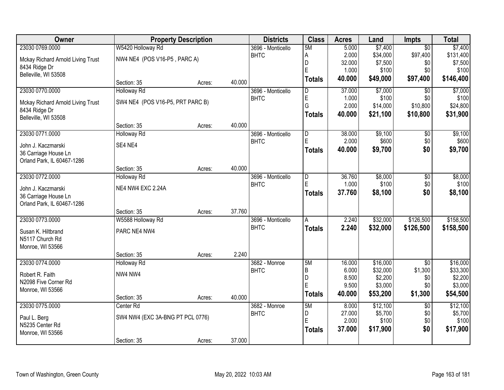| Owner                             |                                  | <b>Property Description</b> |        | <b>Districts</b>  | <b>Class</b>            | <b>Acres</b> | Land     | <b>Impts</b>    | <b>Total</b> |
|-----------------------------------|----------------------------------|-----------------------------|--------|-------------------|-------------------------|--------------|----------|-----------------|--------------|
| 23030 0769.0000                   | W5420 Holloway Rd                |                             |        | 3696 - Monticello | 5M                      | 5.000        | \$7,400  | $\overline{30}$ | \$7,400      |
| Mckay Richard Arnold Living Trust | NW4 NE4 (POS V16-P5, PARC A)     |                             |        | <b>BHTC</b>       | A                       | 2.000        | \$34,000 | \$97,400        | \$131,400    |
| 8434 Ridge Dr                     |                                  |                             |        |                   | D                       | 32.000       | \$7,500  | \$0             | \$7,500      |
| Belleville, WI 53508              |                                  |                             |        |                   | E                       | 1.000        | \$100    | \$0             | \$100        |
|                                   | Section: 35                      | Acres:                      | 40.000 |                   | <b>Totals</b>           | 40.000       | \$49,000 | \$97,400        | \$146,400    |
| 23030 0770.0000                   | <b>Holloway Rd</b>               |                             |        | 3696 - Monticello | $\overline{\mathsf{D}}$ | 37.000       | \$7,000  | \$0             | \$7,000      |
| Mckay Richard Arnold Living Trust | SW4 NE4 (POS V16-P5, PRT PARC B) |                             |        | <b>BHTC</b>       | E                       | 1.000        | \$100    | \$0             | \$100        |
| 8434 Ridge Dr                     |                                  |                             |        |                   | G                       | 2.000        | \$14,000 | \$10,800        | \$24,800     |
| Belleville, WI 53508              |                                  |                             |        |                   | <b>Totals</b>           | 40.000       | \$21,100 | \$10,800        | \$31,900     |
|                                   | Section: 35                      | Acres:                      | 40.000 |                   |                         |              |          |                 |              |
| 23030 0771.0000                   | <b>Holloway Rd</b>               |                             |        | 3696 - Monticello | D                       | 38.000       | \$9,100  | \$0             | \$9,100      |
| John J. Kaczmarski                | SE4 NE4                          |                             |        | <b>BHTC</b>       | E                       | 2.000        | \$600    | \$0             | \$600        |
| 36 Carriage House Ln              |                                  |                             |        |                   | <b>Totals</b>           | 40.000       | \$9,700  | \$0             | \$9,700      |
| Orland Park, IL 60467-1286        |                                  |                             |        |                   |                         |              |          |                 |              |
|                                   | Section: 35                      | Acres:                      | 40.000 |                   |                         |              |          |                 |              |
| 23030 0772.0000                   | <b>Holloway Rd</b>               |                             |        | 3696 - Monticello | D                       | 36.760       | \$8,000  | \$0             | \$8,000      |
| John J. Kaczmarski                | NE4 NW4 EXC 2.24A                |                             |        | <b>BHTC</b>       | E                       | 1.000        | \$100    | \$0             | \$100        |
| 36 Carriage House Ln              |                                  |                             |        |                   | <b>Totals</b>           | 37.760       | \$8,100  | \$0             | \$8,100      |
| Orland Park, IL 60467-1286        |                                  |                             |        |                   |                         |              |          |                 |              |
|                                   | Section: 35                      | Acres:                      | 37.760 |                   |                         |              |          |                 |              |
| 23030 0773.0000                   | W5588 Holloway Rd                |                             |        | 3696 - Monticello | A                       | 2.240        | \$32,000 | \$126,500       | \$158,500    |
| Susan K. Hiltbrand                | PARC NE4 NW4                     |                             |        | <b>BHTC</b>       | <b>Totals</b>           | 2.240        | \$32,000 | \$126,500       | \$158,500    |
| N5117 Church Rd                   |                                  |                             |        |                   |                         |              |          |                 |              |
| Monroe, WI 53566                  |                                  |                             |        |                   |                         |              |          |                 |              |
|                                   | Section: 35                      | Acres:                      | 2.240  |                   |                         |              |          |                 |              |
| 23030 0774.0000                   | Holloway Rd                      |                             |        | 3682 - Monroe     | 5M                      | 16.000       | \$16,000 | $\overline{50}$ | \$16,000     |
| Robert R. Faith                   | NW4 NW4                          |                             |        | <b>BHTC</b>       | B                       | 6.000        | \$32,000 | \$1,300         | \$33,300     |
| N2098 Five Corner Rd              |                                  |                             |        |                   | D<br>E                  | 8.500        | \$2,200  | \$0             | \$2,200      |
| Monroe, WI 53566                  |                                  |                             |        |                   |                         | 9.500        | \$3,000  | \$0             | \$3,000      |
|                                   | Section: 35                      | Acres:                      | 40.000 |                   | <b>Totals</b>           | 40.000       | \$53,200 | \$1,300         | \$54,500     |
| 23030 0775.0000                   | Center Rd                        |                             |        | 3682 - Monroe     | 5M                      | 8.000        | \$12,100 | $\overline{50}$ | \$12,100     |
| Paul L. Berg                      | SW4 NW4 (EXC 3A-BNG PT PCL 0776) |                             |        | <b>BHTC</b>       | D                       | 27.000       | \$5,700  | \$0             | \$5,700      |
| N5235 Center Rd                   |                                  |                             |        |                   | E                       | 2.000        | \$100    | \$0             | \$100        |
| Monroe, WI 53566                  |                                  |                             |        |                   | <b>Totals</b>           | 37.000       | \$17,900 | \$0             | \$17,900     |
|                                   | Section: 35                      | Acres:                      | 37.000 |                   |                         |              |          |                 |              |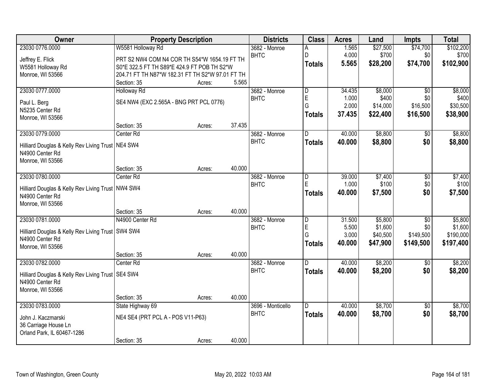| \$102,200<br>23030 0776.0000<br>W5581 Holloway Rd<br>\$27,500<br>\$74,700<br>1.565<br>3682 - Monroe<br>4.000<br>\$700<br><b>BHTC</b><br>\$0<br>\$700<br>D<br>PRT S2 NW4 COM N4 COR TH S54*W 1654.19 FT TH<br>Jeffrey E. Flick<br>\$74,700<br>\$102,900<br>5.565<br>\$28,200<br><b>Totals</b><br>W5581 Holloway Rd<br>S0*E 322.5 FT TH S89*E 424.9 FT POB TH S2*W<br>Monroe, WI 53566<br>204.71 FT TH N87*W 182.31 FT TH S2*W 97.01 FT TH<br>5.565<br>Section: 35<br>Acres:<br>\$8,000<br>23030 0777.0000<br>34.435<br>$\overline{50}$<br>\$8,000<br><b>Holloway Rd</b><br>3682 - Monroe<br>D<br>$\mathsf E$<br>\$400<br>\$400<br><b>BHTC</b><br>1.000<br>\$0<br>SE4 NW4 (EXC 2.565A - BNG PRT PCL 0776)<br>Paul L. Berg<br>G<br>2.000<br>\$14,000<br>\$16,500<br>\$30,500<br>N5235 Center Rd<br>\$38,900<br>37.435<br>\$22,400<br>\$16,500<br><b>Totals</b><br>Monroe, WI 53566<br>37.435 |  |
|-------------------------------------------------------------------------------------------------------------------------------------------------------------------------------------------------------------------------------------------------------------------------------------------------------------------------------------------------------------------------------------------------------------------------------------------------------------------------------------------------------------------------------------------------------------------------------------------------------------------------------------------------------------------------------------------------------------------------------------------------------------------------------------------------------------------------------------------------------------------------------------------|--|
|                                                                                                                                                                                                                                                                                                                                                                                                                                                                                                                                                                                                                                                                                                                                                                                                                                                                                           |  |
|                                                                                                                                                                                                                                                                                                                                                                                                                                                                                                                                                                                                                                                                                                                                                                                                                                                                                           |  |
|                                                                                                                                                                                                                                                                                                                                                                                                                                                                                                                                                                                                                                                                                                                                                                                                                                                                                           |  |
|                                                                                                                                                                                                                                                                                                                                                                                                                                                                                                                                                                                                                                                                                                                                                                                                                                                                                           |  |
|                                                                                                                                                                                                                                                                                                                                                                                                                                                                                                                                                                                                                                                                                                                                                                                                                                                                                           |  |
|                                                                                                                                                                                                                                                                                                                                                                                                                                                                                                                                                                                                                                                                                                                                                                                                                                                                                           |  |
|                                                                                                                                                                                                                                                                                                                                                                                                                                                                                                                                                                                                                                                                                                                                                                                                                                                                                           |  |
|                                                                                                                                                                                                                                                                                                                                                                                                                                                                                                                                                                                                                                                                                                                                                                                                                                                                                           |  |
|                                                                                                                                                                                                                                                                                                                                                                                                                                                                                                                                                                                                                                                                                                                                                                                                                                                                                           |  |
| Section: 35<br>Acres:                                                                                                                                                                                                                                                                                                                                                                                                                                                                                                                                                                                                                                                                                                                                                                                                                                                                     |  |
| \$8,800<br>\$8,800<br>23030 0779.0000<br>Center <sub>Rd</sub><br>3682 - Monroe<br>40.000<br>$\overline{50}$<br>D                                                                                                                                                                                                                                                                                                                                                                                                                                                                                                                                                                                                                                                                                                                                                                          |  |
| <b>BHTC</b><br>\$8,800<br>\$0<br>40.000<br>\$8,800<br><b>Totals</b><br>Hilliard Douglas & Kelly Rev Living Trust   NE4 SW4                                                                                                                                                                                                                                                                                                                                                                                                                                                                                                                                                                                                                                                                                                                                                                |  |
| N4900 Center Rd                                                                                                                                                                                                                                                                                                                                                                                                                                                                                                                                                                                                                                                                                                                                                                                                                                                                           |  |
| Monroe, WI 53566                                                                                                                                                                                                                                                                                                                                                                                                                                                                                                                                                                                                                                                                                                                                                                                                                                                                          |  |
| 40.000<br>Section: 35<br>Acres:                                                                                                                                                                                                                                                                                                                                                                                                                                                                                                                                                                                                                                                                                                                                                                                                                                                           |  |
| 23030 0780.0000<br>\$7,400<br>\$7,400<br>Center Rd<br>3682 - Monroe<br>39.000<br>\$0<br>D                                                                                                                                                                                                                                                                                                                                                                                                                                                                                                                                                                                                                                                                                                                                                                                                 |  |
| E<br>1.000<br>\$100<br>\$100<br><b>BHTC</b><br>\$0<br>Hilliard Douglas & Kelly Rev Living Trust   NW4 SW4                                                                                                                                                                                                                                                                                                                                                                                                                                                                                                                                                                                                                                                                                                                                                                                 |  |
| \$0<br>\$7,500<br>40.000<br>\$7,500<br><b>Totals</b><br>N4900 Center Rd                                                                                                                                                                                                                                                                                                                                                                                                                                                                                                                                                                                                                                                                                                                                                                                                                   |  |
| Monroe, WI 53566                                                                                                                                                                                                                                                                                                                                                                                                                                                                                                                                                                                                                                                                                                                                                                                                                                                                          |  |
| 40.000<br>Section: 35<br>Acres:                                                                                                                                                                                                                                                                                                                                                                                                                                                                                                                                                                                                                                                                                                                                                                                                                                                           |  |
| 23030 0781.0000<br>\$5,800<br>\$5,800<br>N4900 Center Rd<br>31.500<br>$\overline{50}$<br>3682 - Monroe<br>D                                                                                                                                                                                                                                                                                                                                                                                                                                                                                                                                                                                                                                                                                                                                                                               |  |
| E<br>\$1,600<br>5.500<br>\$1,600<br>\$0<br><b>BHTC</b>                                                                                                                                                                                                                                                                                                                                                                                                                                                                                                                                                                                                                                                                                                                                                                                                                                    |  |
| Hilliard Douglas & Kelly Rev Living Trust SW4 SW4<br>G<br>3.000<br>\$149,500<br>\$40,500<br>\$190,000<br>N4900 Center Rd                                                                                                                                                                                                                                                                                                                                                                                                                                                                                                                                                                                                                                                                                                                                                                  |  |
| 40.000<br>\$47,900<br>\$149,500<br>\$197,400<br><b>Totals</b><br>Monroe, WI 53566                                                                                                                                                                                                                                                                                                                                                                                                                                                                                                                                                                                                                                                                                                                                                                                                         |  |
| 40.000<br>Section: 35<br>Acres:                                                                                                                                                                                                                                                                                                                                                                                                                                                                                                                                                                                                                                                                                                                                                                                                                                                           |  |
| 23030 0782.0000<br>\$8,200<br>\$8,200<br>3682 - Monroe<br>D.<br>40.000<br>$\sqrt{6}$<br>Center Rd                                                                                                                                                                                                                                                                                                                                                                                                                                                                                                                                                                                                                                                                                                                                                                                         |  |
| <b>BHTC</b><br>40.000<br>\$8,200<br>\$0<br>\$8,200<br><b>Totals</b>                                                                                                                                                                                                                                                                                                                                                                                                                                                                                                                                                                                                                                                                                                                                                                                                                       |  |
| Hilliard Douglas & Kelly Rev Living Trust SE4 SW4<br>N4900 Center Rd                                                                                                                                                                                                                                                                                                                                                                                                                                                                                                                                                                                                                                                                                                                                                                                                                      |  |
| Monroe, WI 53566                                                                                                                                                                                                                                                                                                                                                                                                                                                                                                                                                                                                                                                                                                                                                                                                                                                                          |  |
| 40.000<br>Section: 35<br>Acres:                                                                                                                                                                                                                                                                                                                                                                                                                                                                                                                                                                                                                                                                                                                                                                                                                                                           |  |
| \$8,700<br>23030 0783.0000<br>40.000<br>\$8,700<br>State Highway 69<br>3696 - Monticello<br>$\overline{30}$<br>D                                                                                                                                                                                                                                                                                                                                                                                                                                                                                                                                                                                                                                                                                                                                                                          |  |
| <b>BHTC</b><br>40.000<br>\$8,700<br>\$0<br>\$8,700<br><b>Totals</b>                                                                                                                                                                                                                                                                                                                                                                                                                                                                                                                                                                                                                                                                                                                                                                                                                       |  |
| NE4 SE4 (PRT PCL A - POS V11-P63)<br>John J. Kaczmarski                                                                                                                                                                                                                                                                                                                                                                                                                                                                                                                                                                                                                                                                                                                                                                                                                                   |  |
| 36 Carriage House Ln<br>Orland Park, IL 60467-1286                                                                                                                                                                                                                                                                                                                                                                                                                                                                                                                                                                                                                                                                                                                                                                                                                                        |  |
| 40.000<br>Section: 35<br>Acres:                                                                                                                                                                                                                                                                                                                                                                                                                                                                                                                                                                                                                                                                                                                                                                                                                                                           |  |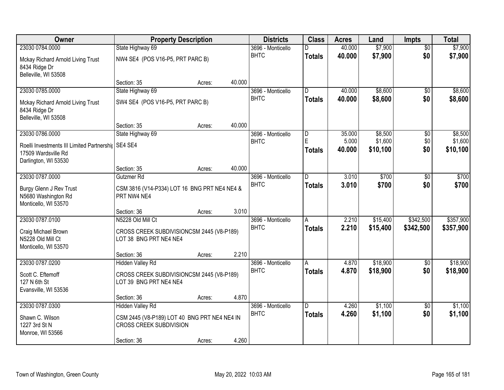| <b>Owner</b>                                                                                                           | <b>Property Description</b>                                                                                              |        |        | <b>Districts</b>                 | <b>Class</b>                  | <b>Acres</b>              | Land                           | <b>Impts</b>           | <b>Total</b>                   |
|------------------------------------------------------------------------------------------------------------------------|--------------------------------------------------------------------------------------------------------------------------|--------|--------|----------------------------------|-------------------------------|---------------------------|--------------------------------|------------------------|--------------------------------|
| 23030 0784.0000                                                                                                        | State Highway 69                                                                                                         |        |        | 3696 - Monticello                | D                             | 40.000                    | \$7,900                        | $\overline{50}$        | \$7,900                        |
| Mckay Richard Arnold Living Trust<br>8434 Ridge Dr<br>Belleville, WI 53508                                             | NW4 SE4 (POS V16-P5, PRT PARC B)                                                                                         |        |        | <b>BHTC</b>                      | <b>Totals</b>                 | 40.000                    | \$7,900                        | \$0                    | \$7,900                        |
|                                                                                                                        | Section: 35                                                                                                              | Acres: | 40.000 |                                  |                               |                           |                                |                        |                                |
| 23030 0785.0000                                                                                                        | State Highway 69                                                                                                         |        |        | 3696 - Monticello                | D.                            | 40.000                    | \$8,600                        | $\overline{30}$        | \$8,600                        |
| Mckay Richard Arnold Living Trust<br>8434 Ridge Dr<br>Belleville, WI 53508                                             | SW4 SE4 (POS V16-P5, PRT PARC B)                                                                                         |        |        | <b>BHTC</b>                      | <b>Totals</b>                 | 40.000                    | \$8,600                        | \$0                    | \$8,600                        |
|                                                                                                                        | Section: 35                                                                                                              | Acres: | 40.000 |                                  |                               |                           |                                |                        |                                |
| 23030 0786.0000<br>Roelli Investments III Limited Partnershij   SE4 SE4<br>17509 Wardsville Rd<br>Darlington, WI 53530 | State Highway 69                                                                                                         |        |        | 3696 - Monticello<br><b>BHTC</b> | $\overline{D}$<br>E<br>Totals | 35.000<br>5.000<br>40.000 | \$8,500<br>\$1,600<br>\$10,100 | \$0<br>\$0<br>\$0      | \$8,500<br>\$1,600<br>\$10,100 |
|                                                                                                                        | Section: 35                                                                                                              | Acres: | 40.000 |                                  |                               |                           |                                |                        |                                |
| 23030 0787.0000                                                                                                        | Gutzmer Rd                                                                                                               |        |        | 3696 - Monticello                | D                             | 3.010                     | \$700                          | \$0                    | \$700                          |
| <b>Burgy Glenn J Rev Trust</b><br>N5680 Washington Rd<br>Monticello, WI 53570                                          | CSM 3816 (V14-P334) LOT 16 BNG PRT NE4 NE4 &<br>PRT NW4 NE4                                                              |        |        | <b>BHTC</b>                      | <b>Totals</b>                 | 3.010                     | \$700                          | \$0                    | \$700                          |
|                                                                                                                        | Section: 36                                                                                                              | Acres: | 3.010  |                                  |                               |                           |                                |                        |                                |
| 23030 0787.0100<br>Craig Michael Brown<br>N5228 Old Mill Ct<br>Monticello, WI 53570                                    | N5228 Old Mill Ct<br>CROSS CREEK SUBDIVISIONCSM 2445 (V8-P189)<br>LOT 38 BNG PRT NE4 NE4                                 |        |        | 3696 - Monticello<br><b>BHTC</b> | A<br><b>Totals</b>            | 2.210<br>2.210            | \$15,400<br>\$15,400           | \$342,500<br>\$342,500 | \$357,900<br>\$357,900         |
|                                                                                                                        | Section: 36                                                                                                              | Acres: | 2.210  |                                  |                               |                           |                                |                        |                                |
| 23030 0787.0200<br>Scott C. Eftemoff<br>127 N 6th St<br>Evansville, WI 53536                                           | <b>Hidden Valley Rd</b><br>CROSS CREEK SUBDIVISIONCSM 2445 (V8-P189)<br>LOT 39 BNG PRT NE4 NE4                           |        |        | 3696 - Monticello<br><b>BHTC</b> | Α<br><b>Totals</b>            | 4.870<br>4.870            | \$18,900<br>\$18,900           | $\sqrt{6}$<br>\$0      | \$18,900<br>\$18,900           |
|                                                                                                                        | Section: 36                                                                                                              | Acres: | 4.870  |                                  |                               |                           |                                |                        |                                |
| 23030 0787.0300<br>Shawn C. Wilson<br>1227 3rd St N<br>Monroe, WI 53566                                                | <b>Hidden Valley Rd</b><br>CSM 2445 (V8-P189) LOT 40 BNG PRT NE4 NE4 IN<br><b>CROSS CREEK SUBDIVISION</b><br>Section: 36 | Acres: | 4.260  | 3696 - Monticello<br><b>BHTC</b> | D.<br><b>Totals</b>           | 4.260<br>4.260            | \$1,100<br>\$1,100             | $\overline{30}$<br>\$0 | \$1,100<br>\$1,100             |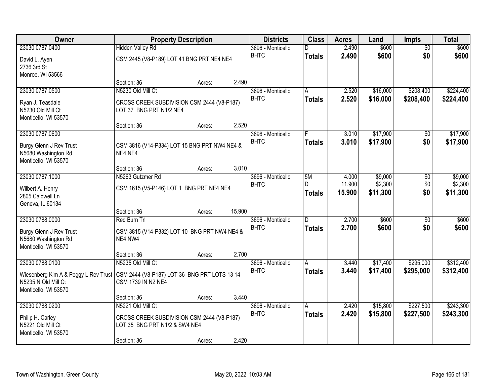| Owner                                                                                                                              | <b>Property Description</b>                                                 | <b>Districts</b> | <b>Class</b> | <b>Acres</b>      | Land               | <b>Impts</b>     | <b>Total</b>        |                 |                     |
|------------------------------------------------------------------------------------------------------------------------------------|-----------------------------------------------------------------------------|------------------|--------------|-------------------|--------------------|------------------|---------------------|-----------------|---------------------|
| 23030 0787.0400                                                                                                                    | <b>Hidden Valley Rd</b>                                                     |                  |              | 3696 - Monticello | D                  | 2.490            | \$600               | $\overline{50}$ | \$600               |
| David L. Ayen<br>2736 3rd St<br>Monroe, WI 53566                                                                                   | CSM 2445 (V8-P189) LOT 41 BNG PRT NE4 NE4                                   |                  |              | <b>BHTC</b>       | <b>Totals</b>      | 2.490            | \$600               | \$0             | \$600               |
|                                                                                                                                    | Section: 36                                                                 | Acres:           | 2.490        |                   |                    |                  |                     |                 |                     |
| 23030 0787.0500                                                                                                                    | N5230 Old Mill Ct                                                           |                  |              | 3696 - Monticello | A                  | 2.520            | \$16,000            | \$208,400       | \$224,400           |
| Ryan J. Teasdale<br>N5230 Old Mill Ct<br>Monticello, WI 53570                                                                      | CROSS CREEK SUBDIVISION CSM 2444 (V8-P187)<br>LOT 37 BNG PRT N1/2 NE4       |                  |              | <b>BHTC</b>       | <b>Totals</b>      | 2.520            | \$16,000            | \$208,400       | \$224,400           |
|                                                                                                                                    | Section: 36                                                                 | Acres:           | 2.520        |                   |                    |                  |                     |                 |                     |
| 23030 0787.0600                                                                                                                    |                                                                             |                  |              | 3696 - Monticello |                    | 3.010            | \$17,900            | \$0             | \$17,900            |
| Burgy Glenn J Rev Trust<br>N5680 Washington Rd<br>Monticello, WI 53570                                                             | CSM 3816 (V14-P334) LOT 15 BNG PRT NW4 NE4 &<br>NE4 NE4                     |                  |              | <b>BHTC</b>       | <b>Totals</b>      | 3.010            | \$17,900            | \$0             | \$17,900            |
|                                                                                                                                    | Section: 36                                                                 | Acres:           | 3.010        |                   |                    |                  |                     |                 |                     |
| 23030 0787.1000                                                                                                                    | N5263 Gutzmer Rd                                                            |                  |              | 3696 - Monticello | 5M                 | 4.000            | \$9,000             | \$0             | \$9,000             |
| Wilbert A. Henry<br>2805 Caldwell Ln<br>Geneva, IL 60134                                                                           | CSM 1615 (V5-P146) LOT 1 BNG PRT NE4 NE4                                    |                  |              | <b>BHTC</b>       | D<br><b>Totals</b> | 11.900<br>15.900 | \$2,300<br>\$11,300 | \$0<br>\$0      | \$2,300<br>\$11,300 |
|                                                                                                                                    | Section: 36                                                                 | Acres:           | 15.900       |                   |                    |                  |                     |                 |                     |
| 23030 0788.0000                                                                                                                    | Red Burn Trl                                                                |                  |              | 3696 - Monticello | $\overline{D}$     | 2.700            | \$600               | \$0             | \$600               |
| Burgy Glenn J Rev Trust<br>N5680 Washington Rd<br>Monticello, WI 53570                                                             | CSM 3815 (V14-P332) LOT 10 BNG PRT NW4 NE4 &<br>NE4 NW4                     |                  |              | <b>BHTC</b>       | <b>Totals</b>      | 2.700            | \$600               | \$0             | \$600               |
|                                                                                                                                    | Section: 36                                                                 | Acres:           | 2.700        |                   |                    |                  |                     |                 |                     |
| 23030 0788.0100                                                                                                                    | N5235 Old Mill Ct                                                           |                  |              | 3696 - Monticello | Α                  | 3.440            | \$17,400            | \$295,000       | \$312,400           |
| Wiesenberg Kim A & Peggy L Rev Trust   CSM 2444 (V8-P187) LOT 36 BNG PRT LOTS 13 14<br>N5235 N Old Mill Ct<br>Monticello, WI 53570 | CSM 1739 IN N2 NE4                                                          |                  |              | <b>BHTC</b>       | <b>Totals</b>      | 3.440            | \$17,400            | \$295,000       | \$312,400           |
|                                                                                                                                    | Section: 36                                                                 | Acres:           | 3.440        |                   |                    |                  |                     |                 |                     |
| 23030 0788.0200                                                                                                                    | N5221 Old Mill Ct                                                           |                  |              | 3696 - Monticello | A                  | 2.420            | \$15,800            | \$227,500       | \$243,300           |
| Philip H. Carley<br>N5221 Old Mill Ct<br>Monticello, WI 53570                                                                      | CROSS CREEK SUBDIVISION CSM 2444 (V8-P187)<br>LOT 35 BNG PRT N1/2 & SW4 NE4 |                  |              | <b>BHTC</b>       | <b>Totals</b>      | 2.420            | \$15,800            | \$227,500       | \$243,300           |
|                                                                                                                                    | Section: 36                                                                 | Acres:           | 2.420        |                   |                    |                  |                     |                 |                     |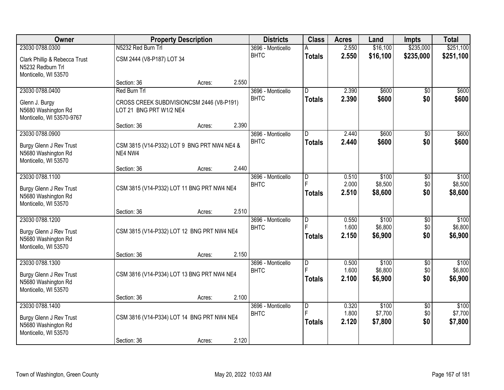| Owner                                                                      |                           | <b>Property Description</b>                 |       | <b>Districts</b>  | <b>Class</b>            | <b>Acres</b>   | Land               | <b>Impts</b>    | <b>Total</b>       |
|----------------------------------------------------------------------------|---------------------------|---------------------------------------------|-------|-------------------|-------------------------|----------------|--------------------|-----------------|--------------------|
| 23030 0788.0300                                                            | N5232 Red Burn Trl        |                                             |       | 3696 - Monticello |                         | 2.550          | \$16,100           | \$235,000       | \$251,100          |
| Clark Phillip & Rebecca Trust<br>N5232 Redburn Trl<br>Monticello, WI 53570 | CSM 2444 (V8-P187) LOT 34 |                                             |       | <b>BHTC</b>       | <b>Totals</b>           | 2.550          | \$16,100           | \$235,000       | \$251,100          |
|                                                                            | Section: 36               | Acres:                                      | 2.550 |                   |                         |                |                    |                 |                    |
| 23030 0788.0400                                                            | Red Burn Trl              |                                             |       | 3696 - Monticello | D.                      | 2.390          | \$600              | $\overline{50}$ | \$600              |
| Glenn J. Burgy<br>N5680 Washington Rd<br>Monticello, WI 53570-9767         | LOT 21 BNG PRT W1/2 NE4   | CROSS CREEK SUBDIVISIONCSM 2446 (V8-P191)   |       | <b>BHTC</b>       | <b>Totals</b>           | 2.390          | \$600              | \$0             | \$600              |
|                                                                            | Section: 36               | Acres:                                      | 2.390 |                   |                         |                |                    |                 |                    |
| 23030 0788.0900                                                            |                           |                                             |       | 3696 - Monticello | $\overline{\mathsf{D}}$ | 2.440          | \$600              | $\overline{50}$ | \$600              |
| Burgy Glenn J Rev Trust<br>N5680 Washington Rd<br>Monticello, WI 53570     | NE4 NW4                   | CSM 3815 (V14-P332) LOT 9 BNG PRT NW4 NE4 & |       | <b>BHTC</b>       | <b>Totals</b>           | 2.440          | \$600              | \$0             | \$600              |
|                                                                            | Section: 36               | Acres:                                      | 2.440 |                   |                         |                |                    |                 |                    |
| 23030 0788.1100                                                            |                           |                                             |       | 3696 - Monticello | D                       | 0.510          | \$100              | $\overline{50}$ | \$100              |
| Burgy Glenn J Rev Trust<br>N5680 Washington Rd<br>Monticello, WI 53570     |                           | CSM 3815 (V14-P332) LOT 11 BNG PRT NW4 NE4  |       | <b>BHTC</b>       | É<br><b>Totals</b>      | 2.000<br>2.510 | \$8,500<br>\$8,600 | \$0<br>\$0      | \$8,500<br>\$8,600 |
|                                                                            | Section: 36               | Acres:                                      | 2.510 |                   |                         |                |                    |                 |                    |
| 23030 0788.1200                                                            |                           |                                             |       | 3696 - Monticello | D                       | 0.550          | \$100              | \$0             | \$100              |
|                                                                            |                           |                                             |       | <b>BHTC</b>       | E                       | 1.600          | \$6,800            | \$0             | \$6,800            |
| Burgy Glenn J Rev Trust<br>N5680 Washington Rd<br>Monticello, WI 53570     |                           | CSM 3815 (V14-P332) LOT 12 BNG PRT NW4 NE4  |       |                   | <b>Totals</b>           | 2.150          | \$6,900            | \$0             | \$6,900            |
|                                                                            | Section: 36               | Acres:                                      | 2.150 |                   |                         |                |                    |                 |                    |
| 23030 0788.1300                                                            |                           |                                             |       | 3696 - Monticello | $\overline{D}$          | 0.500          | \$100              | $\overline{50}$ | \$100              |
| Burgy Glenn J Rev Trust                                                    |                           | CSM 3816 (V14-P334) LOT 13 BNG PRT NW4 NE4  |       | <b>BHTC</b>       | F                       | 1.600          | \$6,800            | \$0             | \$6,800            |
| N5680 Washington Rd                                                        |                           |                                             |       |                   | <b>Totals</b>           | 2.100          | \$6,900            | \$0             | \$6,900            |
| Monticello, WI 53570                                                       |                           |                                             |       |                   |                         |                |                    |                 |                    |
|                                                                            | Section: 36               | Acres:                                      | 2.100 |                   |                         |                |                    |                 |                    |
| 23030 0788.1400                                                            |                           |                                             |       | 3696 - Monticello | $\overline{\mathsf{D}}$ | 0.320          | \$100              | $\overline{50}$ | \$100              |
| Burgy Glenn J Rev Trust<br>N5680 Washington Rd<br>Monticello, WI 53570     |                           | CSM 3816 (V14-P334) LOT 14 BNG PRT NW4 NE4  |       | <b>BHTC</b>       | E<br><b>Totals</b>      | 1.800<br>2.120 | \$7,700<br>\$7,800 | \$0<br>\$0      | \$7,700<br>\$7,800 |
|                                                                            | Section: 36               | Acres:                                      | 2.120 |                   |                         |                |                    |                 |                    |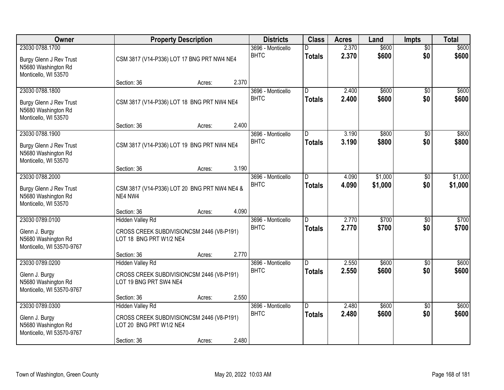| Owner                                                                                     |                                                                                                                | <b>Property Description</b> |       |                                  |                                 | <b>Acres</b>   | Land               | <b>Impts</b>           | <b>Total</b>       |
|-------------------------------------------------------------------------------------------|----------------------------------------------------------------------------------------------------------------|-----------------------------|-------|----------------------------------|---------------------------------|----------------|--------------------|------------------------|--------------------|
| 23030 0788.1700<br>Burgy Glenn J Rev Trust<br>N5680 Washington Rd<br>Monticello, WI 53570 | CSM 3817 (V14-P336) LOT 17 BNG PRT NW4 NE4                                                                     |                             |       | 3696 - Monticello<br><b>BHTC</b> | D<br><b>Totals</b>              | 2.370<br>2.370 | \$600<br>\$600     | $\overline{50}$<br>\$0 | \$600<br>\$600     |
|                                                                                           | Section: 36                                                                                                    | Acres:                      | 2.370 |                                  |                                 |                |                    |                        |                    |
| 23030 0788.1800<br>Burgy Glenn J Rev Trust<br>N5680 Washington Rd<br>Monticello, WI 53570 | CSM 3817 (V14-P336) LOT 18 BNG PRT NW4 NE4<br>Section: 36                                                      | Acres:                      | 2.400 | 3696 - Monticello<br><b>BHTC</b> | $\overline{D}$<br><b>Totals</b> | 2.400<br>2.400 | \$600<br>\$600     | $\overline{50}$<br>\$0 | \$600<br>\$600     |
| 23030 0788.1900                                                                           |                                                                                                                |                             |       | 3696 - Monticello                | D                               | 3.190          | \$800              | \$0                    | \$800              |
| Burgy Glenn J Rev Trust<br>N5680 Washington Rd<br>Monticello, WI 53570                    | CSM 3817 (V14-P336) LOT 19 BNG PRT NW4 NE4                                                                     |                             |       | <b>BHTC</b>                      | <b>Totals</b>                   | 3.190          | \$800              | \$0                    | \$800              |
|                                                                                           | Section: 36                                                                                                    | Acres:                      | 3.190 |                                  |                                 |                |                    |                        |                    |
| 23030 0788.2000<br>Burgy Glenn J Rev Trust<br>N5680 Washington Rd<br>Monticello, WI 53570 | CSM 3817 (V14-P336) LOT 20 BNG PRT NW4 NE4 &<br>NE4 NW4                                                        |                             |       | 3696 - Monticello<br><b>BHTC</b> | ID.<br><b>Totals</b>            | 4.090<br>4.090 | \$1,000<br>\$1,000 | $\sqrt[6]{3}$<br>\$0   | \$1,000<br>\$1,000 |
|                                                                                           | Section: 36                                                                                                    | Acres:                      | 4.090 |                                  |                                 |                |                    |                        |                    |
| 23030 0789.0100<br>Glenn J. Burgy<br>N5680 Washington Rd<br>Monticello, WI 53570-9767     | <b>Hidden Valley Rd</b><br>CROSS CREEK SUBDIVISIONCSM 2446 (V8-P191)<br>LOT 18 BNG PRT W1/2 NE4                |                             |       | 3696 - Monticello<br><b>BHTC</b> | $\overline{D}$<br>Totals        | 2.770<br>2.770 | \$700<br>\$700     | $\overline{50}$<br>\$0 | \$700<br>\$700     |
|                                                                                           | Section: 36                                                                                                    | Acres:                      | 2.770 |                                  |                                 |                |                    |                        |                    |
| 23030 0789.0200<br>Glenn J. Burgy<br>N5680 Washington Rd<br>Monticello, WI 53570-9767     | <b>Hidden Valley Rd</b><br>CROSS CREEK SUBDIVISIONCSM 2446 (V8-P191)<br>LOT 19 BNG PRT SW4 NE4                 |                             |       | 3696 - Monticello<br><b>BHTC</b> | ID.<br><b>Totals</b>            | 2.550<br>2.550 | \$600<br>\$600     | $\overline{50}$<br>\$0 | \$600<br>\$600     |
|                                                                                           | Section: 36                                                                                                    | Acres:                      | 2.550 |                                  |                                 |                |                    |                        |                    |
| 23030 0789.0300<br>Glenn J. Burgy<br>N5680 Washington Rd<br>Monticello, WI 53570-9767     | <b>Hidden Valley Rd</b><br>CROSS CREEK SUBDIVISIONCSM 2446 (V8-P191)<br>LOT 20 BNG PRT W1/2 NE4<br>Section: 36 | Acres:                      | 2.480 | 3696 - Monticello<br><b>BHTC</b> | D.<br><b>Totals</b>             | 2.480<br>2.480 | \$600<br>\$600     | $\overline{50}$<br>\$0 | \$600<br>\$600     |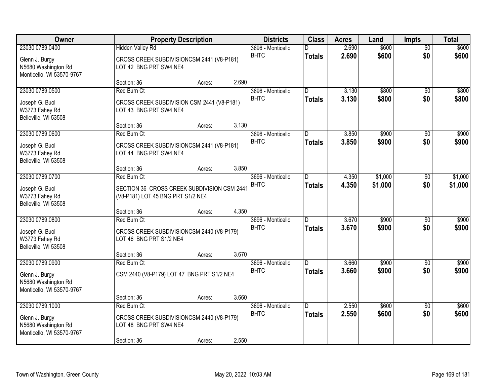| Owner                                                                                 | <b>Property Description</b>                                                                       |        | <b>Districts</b> | <b>Class</b>                     | <b>Acres</b>                    | Land           | <b>Impts</b>       | <b>Total</b>           |                    |
|---------------------------------------------------------------------------------------|---------------------------------------------------------------------------------------------------|--------|------------------|----------------------------------|---------------------------------|----------------|--------------------|------------------------|--------------------|
| 23030 0789.0400<br>Glenn J. Burgy<br>N5680 Washington Rd<br>Monticello, WI 53570-9767 | <b>Hidden Valley Rd</b><br>CROSS CREEK SUBDIVISIONCSM 2441 (V8-P181)<br>LOT 42 BNG PRT SW4 NE4    |        |                  | 3696 - Monticello<br><b>BHTC</b> | <b>Totals</b>                   | 2.690<br>2.690 | \$600<br>\$600     | $\overline{50}$<br>\$0 | \$600<br>\$600     |
|                                                                                       | Section: 36                                                                                       | Acres: | 2.690            |                                  |                                 |                |                    |                        |                    |
| 23030 0789.0500<br>Joseph G. Buol<br>W3773 Fahey Rd<br>Belleville, WI 53508           | Red Burn Ct<br>CROSS CREEK SUBDIVISION CSM 2441 (V8-P181)<br>LOT 43 BNG PRT SW4 NE4               |        |                  | 3696 - Monticello<br><b>BHTC</b> | $\overline{D}$<br><b>Totals</b> | 3.130<br>3.130 | \$800<br>\$800     | \$0<br>\$0             | \$800<br>\$800     |
| 23030 0789.0600                                                                       | Section: 36<br>Red Burn Ct                                                                        | Acres: | 3.130            | 3696 - Monticello                | D                               | 3.850          | \$900              | \$0                    | \$900              |
| Joseph G. Buol<br>W3773 Fahey Rd<br>Belleville, WI 53508                              | CROSS CREEK SUBDIVISIONCSM 2441 (V8-P181)<br>LOT 44 BNG PRT SW4 NE4                               |        |                  | <b>BHTC</b>                      | <b>Totals</b>                   | 3.850          | \$900              | \$0                    | \$900              |
|                                                                                       | Section: 36                                                                                       | Acres: | 3.850            |                                  |                                 |                |                    |                        |                    |
| 23030 0789.0700<br>Joseph G. Buol<br>W3773 Fahey Rd<br>Belleville, WI 53508           | Red Burn Ct<br>SECTION 36 CROSS CREEK SUBDIVISION CSM 2441<br>(V8-P181) LOT 45 BNG PRT S1/2 NE4   |        |                  | 3696 - Monticello<br><b>BHTC</b> | D<br><b>Totals</b>              | 4.350<br>4.350 | \$1,000<br>\$1,000 | \$0<br>\$0             | \$1,000<br>\$1,000 |
|                                                                                       | Section: 36                                                                                       | Acres: | 4.350            |                                  |                                 |                |                    |                        |                    |
| 23030 0789.0800<br>Joseph G. Buol<br>W3773 Fahey Rd<br>Belleville, WI 53508           | Red Burn Ct<br>CROSS CREEK SUBDIVISIONCSM 2440 (V8-P179)<br>LOT 46 BNG PRT S1/2 NE4               |        | 3.670            | 3696 - Monticello<br><b>BHTC</b> | D<br><b>Totals</b>              | 3.670<br>3.670 | \$900<br>\$900     | \$0<br>\$0             | \$900<br>\$900     |
| 23030 0789.0900                                                                       | Section: 36<br>Red Burn Ct                                                                        | Acres: |                  | 3696 - Monticello                | D.                              | 3.660          | \$900              | \$0                    | \$900              |
| Glenn J. Burgy<br>N5680 Washington Rd<br>Monticello, WI 53570-9767                    | CSM 2440 (V8-P179) LOT 47 BNG PRT S1/2 NE4                                                        |        |                  | <b>BHTC</b>                      | <b>Totals</b>                   | 3.660          | \$900              | \$0                    | \$900              |
|                                                                                       | Section: 36                                                                                       | Acres: | 3.660            |                                  |                                 |                |                    |                        |                    |
| 23030 0789.1000<br>Glenn J. Burgy<br>N5680 Washington Rd<br>Monticello, WI 53570-9767 | Red Burn Ct<br>CROSS CREEK SUBDIVISIONCSM 2440 (V8-P179)<br>LOT 48 BNG PRT SW4 NE4<br>Section: 36 | Acres: | 2.550            | 3696 - Monticello<br><b>BHTC</b> | D.<br><b>Totals</b>             | 2.550<br>2.550 | \$600<br>\$600     | $\overline{50}$<br>\$0 | \$600<br>\$600     |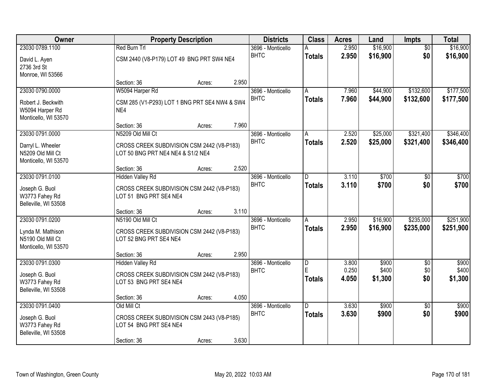| <b>Owner</b>                                                   |                                                                                 | <b>Property Description</b> |       | <b>Districts</b>                 | <b>Class</b>            | <b>Acres</b>   | Land                 | Impts                  | <b>Total</b>           |
|----------------------------------------------------------------|---------------------------------------------------------------------------------|-----------------------------|-------|----------------------------------|-------------------------|----------------|----------------------|------------------------|------------------------|
| 23030 0789.1100<br>David L. Ayen                               | Red Burn Trl<br>CSM 2440 (V8-P179) LOT 49 BNG PRT SW4 NE4                       |                             |       | 3696 - Monticello<br><b>BHTC</b> | <b>Totals</b>           | 2.950<br>2.950 | \$16,900<br>\$16,900 | $\overline{50}$<br>\$0 | \$16,900<br>\$16,900   |
| 2736 3rd St<br>Monroe, WI 53566                                |                                                                                 |                             |       |                                  |                         |                |                      |                        |                        |
|                                                                | Section: 36                                                                     | Acres:                      | 2.950 |                                  |                         |                |                      |                        |                        |
| 23030 0790.0000                                                | W5094 Harper Rd                                                                 |                             |       | 3696 - Monticello<br><b>BHTC</b> | A<br><b>Totals</b>      | 7.960<br>7.960 | \$44,900<br>\$44,900 | \$132,600<br>\$132,600 | \$177,500<br>\$177,500 |
| Robert J. Beckwith<br>W5094 Harper Rd<br>Monticello, WI 53570  | CSM 285 (V1-P293) LOT 1 BNG PRT SE4 NW4 & SW4<br>NE4                            |                             |       |                                  |                         |                |                      |                        |                        |
|                                                                | Section: 36                                                                     | Acres:                      | 7.960 |                                  |                         |                |                      |                        |                        |
| 23030 0791.0000                                                | N5209 Old Mill Ct                                                               |                             |       | 3696 - Monticello                | A                       | 2.520          | \$25,000             | \$321,400              | \$346,400              |
| Darryl L. Wheeler<br>N5209 Old Mill Ct<br>Monticello, WI 53570 | CROSS CREEK SUBDIVISION CSM 2442 (V8-P183)<br>LOT 50 BNG PRT NE4 NE4 & S1/2 NE4 |                             |       | <b>BHTC</b>                      | <b>Totals</b>           | 2.520          | \$25,000             | \$321,400              | \$346,400              |
|                                                                | Section: 36                                                                     | Acres:                      | 2.520 |                                  |                         |                |                      |                        |                        |
| 23030 0791.0100                                                | <b>Hidden Valley Rd</b>                                                         |                             |       | 3696 - Monticello                | D                       | 3.110          | \$700                | \$0                    | \$700                  |
| Joseph G. Buol<br>W3773 Fahey Rd<br>Belleville, WI 53508       | CROSS CREEK SUBDIVISION CSM 2442 (V8-P183)<br>LOT 51 BNG PRT SE4 NE4            |                             |       | <b>BHTC</b>                      | <b>Totals</b>           | 3.110          | \$700                | \$0                    | \$700                  |
|                                                                | Section: 36                                                                     | Acres:                      | 3.110 |                                  |                         |                |                      |                        |                        |
| 23030 0791.0200                                                | N5190 Old Mill Ct                                                               |                             |       | 3696 - Monticello<br><b>BHTC</b> | A<br><b>Totals</b>      | 2.950<br>2.950 | \$16,900<br>\$16,900 | \$235,000<br>\$235,000 | \$251,900<br>\$251,900 |
| Lynda M. Mathison<br>N5190 Old Mill Ct<br>Monticello, WI 53570 | CROSS CREEK SUBDIVISION CSM 2442 (V8-P183)<br>LOT 52 BNG PRT SE4 NE4            |                             |       |                                  |                         |                |                      |                        |                        |
|                                                                | Section: 36                                                                     | Acres:                      | 2.950 |                                  |                         |                |                      |                        |                        |
| 23030 0791.0300                                                | <b>Hidden Valley Rd</b>                                                         |                             |       | 3696 - Monticello                | $\overline{\mathsf{D}}$ | 3.800          | \$900                | $\overline{50}$        | \$900                  |
| Joseph G. Buol<br>W3773 Fahey Rd                               | CROSS CREEK SUBDIVISION CSM 2442 (V8-P183)<br>LOT 53 BNG PRT SE4 NE4            |                             |       | <b>BHTC</b>                      | E<br><b>Totals</b>      | 0.250<br>4.050 | \$400<br>\$1,300     | \$0<br>\$0             | \$400<br>\$1,300       |
| Belleville, WI 53508                                           | Section: 36                                                                     | Acres:                      | 4.050 |                                  |                         |                |                      |                        |                        |
| 23030 0791.0400                                                | Old Mill Ct                                                                     |                             |       | 3696 - Monticello                | D                       | 3.630          | \$900                | $\overline{50}$        | \$900                  |
| Joseph G. Buol<br>W3773 Fahey Rd<br>Belleville, WI 53508       | CROSS CREEK SUBDIVISION CSM 2443 (V8-P185)<br>LOT 54 BNG PRT SE4 NE4            |                             |       | <b>BHTC</b>                      | <b>Totals</b>           | 3.630          | \$900                | \$0                    | \$900                  |
|                                                                | Section: 36                                                                     | Acres:                      | 3.630 |                                  |                         |                |                      |                        |                        |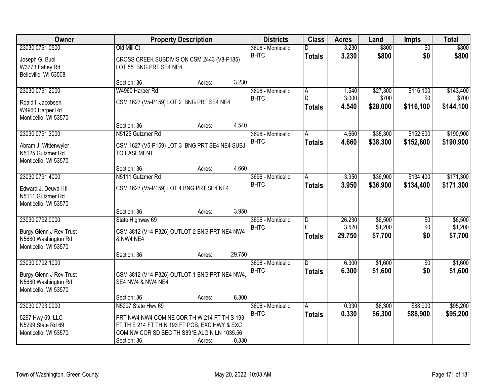| Owner                                                                  |                                                                               | <b>Property Description</b> |        | <b>Districts</b>                 | <b>Class</b>                         | <b>Acres</b>              | Land                          | <b>Impts</b>                  | <b>Total</b>                  |
|------------------------------------------------------------------------|-------------------------------------------------------------------------------|-----------------------------|--------|----------------------------------|--------------------------------------|---------------------------|-------------------------------|-------------------------------|-------------------------------|
| 23030 0791.0500                                                        | Old Mill Ct                                                                   |                             |        | 3696 - Monticello                |                                      | 3.230                     | \$800                         | $\overline{50}$               | \$800                         |
| Joseph G. Buol<br>W3773 Fahey Rd<br>Belleville, WI 53508               | CROSS CREEK SUBDIVISION CSM 2443 (V8-P185)<br>LOT 55 BNG PRT SE4 NE4          |                             |        | <b>BHTC</b>                      | <b>Totals</b>                        | 3.230                     | \$800                         | \$0                           | \$800                         |
|                                                                        | Section: 36                                                                   | Acres:                      | 3.230  |                                  |                                      |                           |                               |                               |                               |
| 23030 0791.2000                                                        | W4960 Harper Rd                                                               |                             |        | 3696 - Monticello                | A                                    | 1.540                     | \$27,300                      | \$116,100                     | \$143,400                     |
| Roald I. Jacobsen<br>W4960 Harper Rd<br>Monticello, WI 53570           | CSM 1627 (V5-P159) LOT 2 BNG PRT SE4 NE4                                      |                             |        | <b>BHTC</b>                      | D.<br><b>Totals</b>                  | 3.000<br>4.540            | \$700<br>\$28,000             | \$0<br>\$116,100              | \$700<br>\$144,100            |
|                                                                        | Section: 36                                                                   | Acres:                      | 4.540  |                                  |                                      |                           |                               |                               |                               |
| 23030 0791.3000                                                        | N5125 Gutzmer Rd                                                              |                             |        | 3696 - Monticello                | А                                    | 4.660                     | \$38,300                      | \$152,600                     | \$190,900                     |
| Abram J. Wittenwyler<br>N5125 Gutzmer Rd<br>Monticello, WI 53570       | CSM 1627 (V5-P159) LOT 3 BNG PRT SE4 NE4 SUBJ<br><b>TO EASEMENT</b>           |                             |        | <b>BHTC</b>                      | <b>Totals</b>                        | 4.660                     | \$38,300                      | \$152,600                     | \$190,900                     |
|                                                                        | Section: 36                                                                   | Acres:                      | 4.660  |                                  |                                      |                           |                               |                               |                               |
| 23030 0791.4000                                                        | N5111 Gutzmer Rd                                                              |                             |        | 3696 - Monticello                | A                                    | 3.950                     | \$36,900                      | \$134,400                     | \$171,300                     |
| Edward J. Deuvall III<br>N5111 Gutzmer Rd<br>Monticello, WI 53570      | CSM 1627 (V5-P159) LOT 4 BNG PRT SE4 NE4                                      |                             |        | <b>BHTC</b>                      | <b>Totals</b>                        | 3.950                     | \$36,900                      | \$134,400                     | \$171,300                     |
|                                                                        | Section: 36                                                                   | Acres:                      | 3.950  |                                  |                                      |                           |                               |                               |                               |
| 23030 0792.0000<br>Burgy Glenn J Rev Trust<br>N5680 Washington Rd      | State Highway 69<br>CSM 3812 (V14-P326) OUTLOT 2 BNG PRT NE4 NW4<br>& NW4 NE4 |                             |        | 3696 - Monticello<br><b>BHTC</b> | $\overline{D}$<br>E<br><b>Totals</b> | 26.230<br>3.520<br>29.750 | \$6,500<br>\$1,200<br>\$7,700 | $\overline{50}$<br>\$0<br>\$0 | \$6,500<br>\$1,200<br>\$7,700 |
| Monticello, WI 53570                                                   |                                                                               |                             |        |                                  |                                      |                           |                               |                               |                               |
|                                                                        | Section: 36                                                                   | Acres:                      | 29.750 |                                  |                                      |                           |                               |                               |                               |
| 23030 0792.1000                                                        |                                                                               |                             |        | 3696 - Monticello                | D.                                   | 6.300                     | \$1,600                       | $\sqrt{6}$                    | \$1,600                       |
| Burgy Glenn J Rev Trust<br>N5680 Washington Rd<br>Monticello, WI 53570 | CSM 3812 (V14-P326) OUTLOT 1 BNG PRT NE4 NW4,<br>SE4 NW4 & NW4 NE4            |                             |        | <b>BHTC</b>                      | <b>Totals</b>                        | 6.300                     | \$1,600                       | \$0                           | \$1,600                       |
|                                                                        | Section: 36                                                                   | Acres:                      | 6.300  |                                  |                                      |                           |                               |                               |                               |
| 23030 0793.0000                                                        | N5297 State Hwy 69                                                            |                             |        | 3696 - Monticello                | Α                                    | 0.330                     | \$6,300                       | \$88,900                      | \$95,200                      |
| 5297 Hwy 69, LLC                                                       | PRT NW4 NW4 COM NE COR TH W 214 FT TH S 193                                   |                             |        | <b>BHTC</b>                      | <b>Totals</b>                        | 0.330                     | \$6,300                       | \$88,900                      | \$95,200                      |
| N5299 State Rd 69                                                      | FT TH E 214 FT TH N 193 FT POB, EXC HWY & EXC                                 |                             |        |                                  |                                      |                           |                               |                               |                               |
| Monticello, WI 53570                                                   | COM NW COR SD SEC TH S89*E ALG N LN 1035.56                                   |                             |        |                                  |                                      |                           |                               |                               |                               |
|                                                                        | Section: 36                                                                   | Acres:                      | 0.330  |                                  |                                      |                           |                               |                               |                               |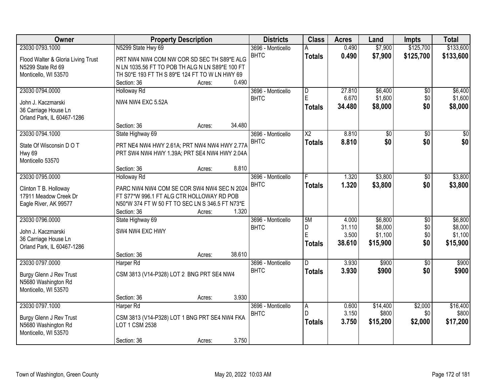| Owner                              | <b>Property Description</b>                     |        | <b>Districts</b>  | <b>Class</b>    | <b>Acres</b> | Land            | <b>Impts</b>    | <b>Total</b>    |
|------------------------------------|-------------------------------------------------|--------|-------------------|-----------------|--------------|-----------------|-----------------|-----------------|
| 23030 0793.1000                    | N5299 State Hwy 69                              |        | 3696 - Monticello |                 | 0.490        | \$7,900         | \$125,700       | \$133,600       |
| Flood Walter & Gloria Living Trust | PRT NW4 NW4 COM NW COR SD SEC TH S89*E ALG      |        | <b>BHTC</b>       | <b>Totals</b>   | 0.490        | \$7,900         | \$125,700       | \$133,600       |
| N5299 State Rd 69                  | N LN 1035.56 FT TO POB TH ALG N LN S89*E 100 FT |        |                   |                 |              |                 |                 |                 |
| Monticello, WI 53570               | TH S0*E 193 FT TH S 89*E 124 FT TO W LN HWY 69  |        |                   |                 |              |                 |                 |                 |
|                                    | Section: 36<br>Acres:                           | 0.490  |                   |                 |              |                 |                 |                 |
| 23030 0794.0000                    | <b>Holloway Rd</b>                              |        | 3696 - Monticello | D               | 27.810       | \$6,400         | $\overline{50}$ | \$6,400         |
| John J. Kaczmarski                 | <b>NW4 NW4 EXC 5.52A</b>                        |        | <b>BHTC</b>       | E               | 6.670        | \$1,600         | \$0             | \$1,600         |
| 36 Carriage House Ln               |                                                 |        |                   | <b>Totals</b>   | 34.480       | \$8,000         | \$0             | \$8,000         |
| Orland Park, IL 60467-1286         |                                                 |        |                   |                 |              |                 |                 |                 |
|                                    | Section: 36<br>Acres:                           | 34.480 |                   |                 |              |                 |                 |                 |
| 23030 0794.1000                    | State Highway 69                                |        | 3696 - Monticello | $\overline{X2}$ | 8.810        | $\overline{60}$ | $\overline{50}$ | $\overline{50}$ |
|                                    |                                                 |        | <b>BHTC</b>       | <b>Totals</b>   | 8.810        | \$0             | \$0             | \$0             |
| State Of Wisconsin D O T           | PRT NE4 NW4 HWY 2.61A; PRT NW4 NW4 HWY 2.77A    |        |                   |                 |              |                 |                 |                 |
| Hwy 69                             | PRT SW4 NW4 HWY 1.39A; PRT SE4 NW4 HWY 2.04A    |        |                   |                 |              |                 |                 |                 |
| Monticello 53570                   |                                                 |        |                   |                 |              |                 |                 |                 |
|                                    | Section: 36<br>Acres:                           | 8.810  |                   |                 |              |                 |                 |                 |
| 23030 0795.0000                    | <b>Holloway Rd</b>                              |        | 3696 - Monticello | F.              | 1.320        | \$3,800         | \$0             | \$3,800         |
| Clinton T B. Holloway              | PARC NW4 NW4 COM SE COR SW4 NW4 SEC N 2024      |        | <b>BHTC</b>       | <b>Totals</b>   | 1.320        | \$3,800         | \$0             | \$3,800         |
| 17911 Meadow Creek Dr              | FT S77*W 996.1 FT ALG CTR HOLLOWAY RD POB       |        |                   |                 |              |                 |                 |                 |
| Eagle River, AK 99577              | N50*W 374 FT W 50 FT TO SEC LN S 346.5 FT N73*E |        |                   |                 |              |                 |                 |                 |
|                                    | Section: 36<br>Acres:                           | 1.320  |                   |                 |              |                 |                 |                 |
| 23030 0796.0000                    | State Highway 69                                |        | 3696 - Monticello | 5M              | 4.000        | \$6,800         | $\overline{50}$ | \$6,800         |
| John J. Kaczmarski                 | SW4 NW4 EXC HWY                                 |        | <b>BHTC</b>       | D               | 31.110       | \$8,000         | \$0             | \$8,000         |
| 36 Carriage House Ln               |                                                 |        |                   | E               | 3.500        | \$1,100         | \$0             | \$1,100         |
| Orland Park, IL 60467-1286         |                                                 |        |                   | <b>Totals</b>   | 38.610       | \$15,900        | \$0             | \$15,900        |
|                                    | Section: 36<br>Acres:                           | 38.610 |                   |                 |              |                 |                 |                 |
| 23030 0797.0000                    | Harper Rd                                       |        | 3696 - Monticello | D.              | 3.930        | \$900           | $\overline{50}$ | \$900           |
|                                    |                                                 |        | <b>BHTC</b>       | <b>Totals</b>   | 3.930        | \$900           | \$0             | \$900           |
| Burgy Glenn J Rev Trust            | CSM 3813 (V14-P328) LOT 2 BNG PRT SE4 NW4       |        |                   |                 |              |                 |                 |                 |
| N5680 Washington Rd                |                                                 |        |                   |                 |              |                 |                 |                 |
| Monticello, WI 53570               |                                                 | 3.930  |                   |                 |              |                 |                 |                 |
| 23030 0797.1000                    | Section: 36<br>Acres:<br>Harper Rd              |        | 3696 - Monticello |                 | 0.600        | \$14,400        | \$2,000         | \$16,400        |
|                                    |                                                 |        | <b>BHTC</b>       | A<br>D.         | 3.150        | \$800           | \$0             | \$800           |
| Burgy Glenn J Rev Trust            | CSM 3813 (V14-P328) LOT 1 BNG PRT SE4 NW4 FKA   |        |                   |                 |              |                 |                 |                 |
| N5680 Washington Rd                | LOT 1 CSM 2538                                  |        |                   | <b>Totals</b>   | 3.750        | \$15,200        | \$2,000         | \$17,200        |
| Monticello, WI 53570               |                                                 |        |                   |                 |              |                 |                 |                 |
|                                    | Section: 36<br>Acres:                           | 3.750  |                   |                 |              |                 |                 |                 |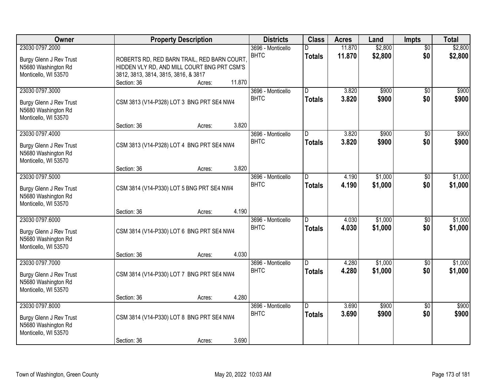| <b>Owner</b>                                   |                                             | <b>Property Description</b> |        | <b>Districts</b>  | <b>Class</b>   | <b>Acres</b> | Land    | <b>Impts</b>    | <b>Total</b> |
|------------------------------------------------|---------------------------------------------|-----------------------------|--------|-------------------|----------------|--------------|---------|-----------------|--------------|
| 23030 0797.2000                                |                                             |                             |        | 3696 - Monticello |                | 11.870       | \$2,800 | $\overline{30}$ | \$2,800      |
| Burgy Glenn J Rev Trust                        | ROBERTS RD, RED BARN TRAIL, RED BARN COURT  |                             |        | <b>BHTC</b>       | <b>Totals</b>  | 11.870       | \$2,800 | \$0             | \$2,800      |
| N5680 Washington Rd                            | HIDDEN VLY RD, AND MILL COURT BNG PRT CSM'S |                             |        |                   |                |              |         |                 |              |
| Monticello, WI 53570                           | 3812, 3813, 3814, 3815, 3816, & 3817        |                             |        |                   |                |              |         |                 |              |
|                                                | Section: 36                                 | Acres:                      | 11.870 |                   |                |              |         |                 |              |
| 23030 0797.3000                                |                                             |                             |        | 3696 - Monticello | $\overline{D}$ | 3.820        | \$900   | $\overline{50}$ | \$900        |
| Burgy Glenn J Rev Trust                        | CSM 3813 (V14-P328) LOT 3 BNG PRT SE4 NW4   |                             |        | <b>BHTC</b>       | <b>Totals</b>  | 3.820        | \$900   | \$0             | \$900        |
| N5680 Washington Rd                            |                                             |                             |        |                   |                |              |         |                 |              |
| Monticello, WI 53570                           |                                             |                             |        |                   |                |              |         |                 |              |
|                                                | Section: 36                                 | Acres:                      | 3.820  |                   |                |              |         |                 |              |
| 23030 0797.4000                                |                                             |                             |        | 3696 - Monticello | D              | 3.820        | \$900   | \$0             | \$900        |
| Burgy Glenn J Rev Trust                        | CSM 3813 (V14-P328) LOT 4 BNG PRT SE4 NW4   |                             |        | <b>BHTC</b>       | <b>Totals</b>  | 3.820        | \$900   | \$0             | \$900        |
| N5680 Washington Rd                            |                                             |                             |        |                   |                |              |         |                 |              |
| Monticello, WI 53570                           |                                             |                             |        |                   |                |              |         |                 |              |
|                                                | Section: 36                                 | Acres:                      | 3.820  |                   |                |              |         |                 |              |
| 23030 0797.5000                                |                                             |                             |        | 3696 - Monticello | D              | 4.190        | \$1,000 | \$0             | \$1,000      |
| Burgy Glenn J Rev Trust                        | CSM 3814 (V14-P330) LOT 5 BNG PRT SE4 NW4   |                             |        | <b>BHTC</b>       | <b>Totals</b>  | 4.190        | \$1,000 | \$0             | \$1,000      |
| N5680 Washington Rd                            |                                             |                             |        |                   |                |              |         |                 |              |
| Monticello, WI 53570                           |                                             |                             |        |                   |                |              |         |                 |              |
|                                                | Section: 36                                 | Acres:                      | 4.190  |                   |                |              |         |                 |              |
| 23030 0797.6000                                |                                             |                             |        | 3696 - Monticello | D.             | 4.030        | \$1,000 | $\overline{50}$ | \$1,000      |
|                                                |                                             |                             |        | <b>BHTC</b>       | <b>Totals</b>  | 4.030        | \$1,000 | \$0             | \$1,000      |
| Burgy Glenn J Rev Trust<br>N5680 Washington Rd | CSM 3814 (V14-P330) LOT 6 BNG PRT SE4 NW4   |                             |        |                   |                |              |         |                 |              |
| Monticello, WI 53570                           |                                             |                             |        |                   |                |              |         |                 |              |
|                                                | Section: 36                                 | Acres:                      | 4.030  |                   |                |              |         |                 |              |
| 23030 0797.7000                                |                                             |                             |        | 3696 - Monticello | D.             | 4.280        | \$1,000 | $\sqrt{6}$      | \$1,000      |
|                                                |                                             |                             |        | <b>BHTC</b>       | <b>Totals</b>  | 4.280        | \$1,000 | \$0             | \$1,000      |
| Burgy Glenn J Rev Trust                        | CSM 3814 (V14-P330) LOT 7 BNG PRT SE4 NW4   |                             |        |                   |                |              |         |                 |              |
| N5680 Washington Rd<br>Monticello, WI 53570    |                                             |                             |        |                   |                |              |         |                 |              |
|                                                | Section: 36                                 | Acres:                      | 4.280  |                   |                |              |         |                 |              |
| 23030 0797.8000                                |                                             |                             |        | 3696 - Monticello | D.             | 3.690        | \$900   | $\overline{50}$ | \$900        |
|                                                |                                             |                             |        | <b>BHTC</b>       | <b>Totals</b>  | 3.690        | \$900   | \$0             | \$900        |
| Burgy Glenn J Rev Trust                        | CSM 3814 (V14-P330) LOT 8 BNG PRT SE4 NW4   |                             |        |                   |                |              |         |                 |              |
| N5680 Washington Rd<br>Monticello, WI 53570    |                                             |                             |        |                   |                |              |         |                 |              |
|                                                | Section: 36                                 | Acres:                      | 3.690  |                   |                |              |         |                 |              |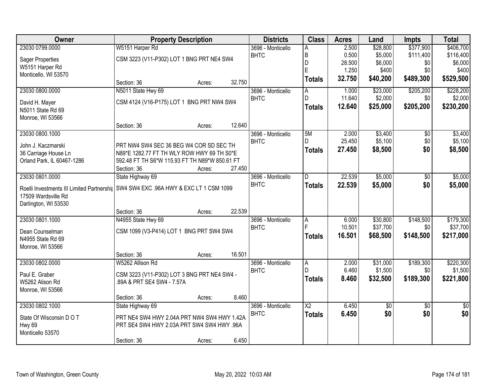| Owner                                                             |                                                | <b>Property Description</b> |        | <b>Districts</b>                 | <b>Class</b>        | <b>Acres</b>   | Land                | <b>Impts</b>     | <b>Total</b>         |
|-------------------------------------------------------------------|------------------------------------------------|-----------------------------|--------|----------------------------------|---------------------|----------------|---------------------|------------------|----------------------|
| 23030 0799.0000                                                   | W5151 Harper Rd                                |                             |        | 3696 - Monticello                | A                   | 2.500          | \$28,800            | \$377,900        | \$406,700            |
| <b>Sager Properties</b>                                           | CSM 3223 (V11-P302) LOT 1 BNG PRT NE4 SW4      |                             |        | <b>BHTC</b>                      | B                   | 0.500          | \$5,000             | \$111,400        | \$116,400            |
| W5151 Harper Rd                                                   |                                                |                             |        |                                  | D                   | 28.500         | \$6,000             | \$0              | \$6,000              |
| Monticello, WI 53570                                              |                                                |                             |        |                                  | E                   | 1.250          | \$400               | \$0              | \$400                |
|                                                                   | Section: 36                                    | Acres:                      | 32.750 |                                  | <b>Totals</b>       | 32.750         | \$40,200            | \$489,300        | \$529,500            |
| 23030 0800.0000                                                   | N5011 State Hwy 69                             |                             |        | 3696 - Monticello                | A                   | 1.000          | \$23,000            | \$205,200        | \$228,200            |
| David H. Mayer                                                    | CSM 4124 (V16-P175) LOT 1 BNG PRT NW4 SW4      |                             |        | <b>BHTC</b>                      | D                   | 11.640         | \$2,000             | \$0              | \$2,000              |
| N5011 State Rd 69                                                 |                                                |                             |        |                                  | Totals              | 12.640         | \$25,000            | \$205,200        | \$230,200            |
| Monroe, WI 53566                                                  |                                                |                             |        |                                  |                     |                |                     |                  |                      |
|                                                                   | Section: 36                                    | Acres:                      | 12.640 |                                  |                     |                |                     |                  |                      |
| 23030 0800.1000                                                   |                                                |                             |        | 3696 - Monticello                | 5M                  | 2.000          | \$3,400             | \$0              | \$3,400              |
| John J. Kaczmarski                                                | PRT NW4 SW4 SEC 36 BEG W4 COR SD SEC TH        |                             |        | <b>BHTC</b>                      | D.                  | 25.450         | \$5,100             | \$0              | \$5,100              |
| 36 Carriage House Ln                                              | N89*E 1282.77 FT TH WLY ROW HWY 69 TH S0*E     |                             |        |                                  | <b>Totals</b>       | 27.450         | \$8,500             | \$0              | \$8,500              |
| Orland Park, IL 60467-1286                                        | 592.48 FT TH S6*W 115.93 FT TH N89*W 850.61 FT |                             |        |                                  |                     |                |                     |                  |                      |
|                                                                   | Section: 36                                    | Acres:                      | 27.450 |                                  |                     |                |                     |                  |                      |
| 23030 0801.0000                                                   | State Highway 69                               |                             |        | 3696 - Monticello                | D                   | 22.539         | \$5,000             | \$0              | \$5,000              |
|                                                                   | SW4 SW4 EXC .96A HWY & EXC LT 1 CSM 1099       |                             |        | <b>BHTC</b>                      | <b>Totals</b>       | 22.539         | \$5,000             | \$0              | \$5,000              |
| Roelli Investments III Limited Partnershij<br>17509 Wardsville Rd |                                                |                             |        |                                  |                     |                |                     |                  |                      |
| Darlington, WI 53530                                              |                                                |                             |        |                                  |                     |                |                     |                  |                      |
|                                                                   | Section: 36                                    | Acres:                      | 22.539 |                                  |                     |                |                     |                  |                      |
| 23030 0801.1000                                                   | N4955 State Hwy 69                             |                             |        | 3696 - Monticello                | $\overline{A}$      | 6.000          | \$30,800            | \$148,500        | \$179,300            |
|                                                                   |                                                |                             |        | <b>BHTC</b>                      | F                   | 10.501         | \$37,700            | \$0              | \$37,700             |
| Dean Counselman                                                   | CSM 1099 (V3-P414) LOT 1 BNG PRT SW4 SW4       |                             |        |                                  | <b>Totals</b>       | 16.501         | \$68,500            | \$148,500        | \$217,000            |
| N4955 State Rd 69                                                 |                                                |                             |        |                                  |                     |                |                     |                  |                      |
| Monroe, WI 53566                                                  |                                                |                             |        |                                  |                     |                |                     |                  |                      |
| 23030 0802.0000                                                   | Section: 36                                    | Acres:                      | 16.501 |                                  |                     |                |                     |                  |                      |
|                                                                   | W5262 Allison Rd                               |                             |        | 3696 - Monticello<br><b>BHTC</b> | $\overline{A}$<br>D | 2.000<br>6.460 | \$31,000<br>\$1,500 | \$189,300<br>\$0 | \$220,300<br>\$1,500 |
| Paul E. Graber                                                    | CSM 3223 (V11-P302) LOT 3 BNG PRT NE4 SW4 -    |                             |        |                                  | <b>Totals</b>       | 8.460          | \$32,500            | \$189,300        | \$221,800            |
| W5262 Alison Rd                                                   | 89A & PRT SE4 SW4 - 7.57A                      |                             |        |                                  |                     |                |                     |                  |                      |
| Monroe, WI 53566                                                  |                                                |                             |        |                                  |                     |                |                     |                  |                      |
|                                                                   | Section: 36                                    | Acres:                      | 8.460  |                                  |                     |                |                     |                  |                      |
| 23030 0802.1000                                                   | State Highway 69                               |                             |        | 3696 - Monticello                | $\overline{X2}$     | 6.450          | $\overline{50}$     | $\overline{50}$  | $\overline{50}$      |
| State Of Wisconsin D O T                                          | PRT NE4 SW4 HWY 2.04A PRT NW4 SW4 HWY 1.42A    |                             |        | <b>BHTC</b>                      | <b>Totals</b>       | 6.450          | \$0                 | \$0              | \$0                  |
| Hwy 69                                                            | PRT SE4 SW4 HWY 2.03A PRT SW4 SW4 HWY .96A     |                             |        |                                  |                     |                |                     |                  |                      |
| Monticello 53570                                                  |                                                |                             |        |                                  |                     |                |                     |                  |                      |
|                                                                   | Section: 36                                    | Acres:                      | 6.450  |                                  |                     |                |                     |                  |                      |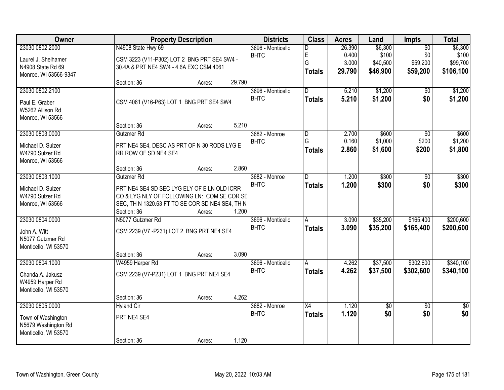| <b>Owner</b>                              |                                                 | <b>Property Description</b> |        | <b>Districts</b>  | <b>Class</b>   | <b>Acres</b> | Land        | <b>Impts</b>    | <b>Total</b> |
|-------------------------------------------|-------------------------------------------------|-----------------------------|--------|-------------------|----------------|--------------|-------------|-----------------|--------------|
| 23030 0802.2000                           | N4908 State Hwy 69                              |                             |        | 3696 - Monticello | D              | 26.390       | \$6,300     | $\overline{50}$ | \$6,300      |
| Laurel J. Shelhamer                       | CSM 3223 (V11-P302) LOT 2 BNG PRT SE4 SW4 -     |                             |        | <b>BHTC</b>       | E              | 0.400        | \$100       | \$0             | \$100        |
| N4908 State Rd 69                         | 30.4A & PRT NE4 SW4 - 4.6A EXC CSM 4061         |                             |        |                   | G              | 3.000        | \$40,500    | \$59,200        | \$99,700     |
| Monroe, WI 53566-9347                     |                                                 |                             |        |                   | <b>Totals</b>  | 29.790       | \$46,900    | \$59,200        | \$106,100    |
|                                           | Section: 36                                     | Acres:                      | 29.790 |                   |                |              |             |                 |              |
| 23030 0802.2100                           |                                                 |                             |        | 3696 - Monticello | D.             | 5.210        | \$1,200     | $\overline{50}$ | \$1,200      |
| Paul E. Graber                            | CSM 4061 (V16-P63) LOT 1 BNG PRT SE4 SW4        |                             |        | <b>BHTC</b>       | <b>Totals</b>  | 5.210        | \$1,200     | \$0             | \$1,200      |
| W5262 Allison Rd                          |                                                 |                             |        |                   |                |              |             |                 |              |
| Monroe, WI 53566                          |                                                 |                             |        |                   |                |              |             |                 |              |
|                                           | Section: 36                                     | Acres:                      | 5.210  |                   |                |              |             |                 |              |
| 23030 0803.0000                           | Gutzmer Rd                                      |                             |        | 3682 - Monroe     | $\overline{D}$ | 2.700        | \$600       | $\overline{30}$ | \$600        |
| Michael D. Sulzer                         | PRT NE4 SE4, DESC AS PRT OF N 30 RODS LYG E     |                             |        | <b>BHTC</b>       | G              | 0.160        | \$1,000     | \$200           | \$1,200      |
| W4790 Sulzer Rd                           | RR ROW OF SD NE4 SE4                            |                             |        |                   | <b>Totals</b>  | 2.860        | \$1,600     | \$200           | \$1,800      |
| Monroe, WI 53566                          |                                                 |                             |        |                   |                |              |             |                 |              |
|                                           | Section: 36                                     | Acres:                      | 2.860  |                   |                |              |             |                 |              |
| 23030 0803.1000                           | Gutzmer <sub>Rd</sub>                           |                             |        | 3682 - Monroe     | D              | 1.200        | \$300       | \$0             | \$300        |
| Michael D. Sulzer                         | PRT NE4 SE4 SD SEC LYG ELY OF E LN OLD ICRR     |                             |        | <b>BHTC</b>       | <b>Totals</b>  | 1.200        | \$300       | \$0             | \$300        |
| W4790 Sulzer Rd                           | CO & LYG NLY OF FOLLOWING LN: COM SE COR SE     |                             |        |                   |                |              |             |                 |              |
| Monroe, WI 53566                          | SEC, TH N 1320.63 FT TO SE COR SD NE4 SE4, TH N |                             |        |                   |                |              |             |                 |              |
|                                           | Section: 36                                     | Acres:                      | 1.200  |                   |                |              |             |                 |              |
| 23030 0804.0000                           | N5077 Gutzmer Rd                                |                             |        | 3696 - Monticello | $\overline{A}$ | 3.090        | \$35,200    | \$165,400       | \$200,600    |
|                                           |                                                 |                             |        | <b>BHTC</b>       | <b>Totals</b>  | 3.090        | \$35,200    | \$165,400       | \$200,600    |
| John A. Witt<br>N5077 Gutzmer Rd          | CSM 2239 (V7 - P231) LOT 2 BNG PRT NE4 SE4      |                             |        |                   |                |              |             |                 |              |
| Monticello, WI 53570                      |                                                 |                             |        |                   |                |              |             |                 |              |
|                                           | Section: 36                                     | Acres:                      | 3.090  |                   |                |              |             |                 |              |
| 23030 0804.1000                           | W4959 Harper Rd                                 |                             |        | 3696 - Monticello | A              | 4.262        | \$37,500    | \$302,600       | \$340,100    |
|                                           |                                                 |                             |        | <b>BHTC</b>       | <b>Totals</b>  | 4.262        | \$37,500    | \$302,600       | \$340,100    |
| Chanda A. Jakusz<br>W4959 Harper Rd       | CSM 2239 (V7-P231) LOT 1 BNG PRT NE4 SE4        |                             |        |                   |                |              |             |                 |              |
| Monticello, WI 53570                      |                                                 |                             |        |                   |                |              |             |                 |              |
|                                           | Section: 36                                     | Acres:                      | 4.262  |                   |                |              |             |                 |              |
| 23030 0805.0000                           | <b>Hyland Cir</b>                               |                             |        | 3682 - Monroe     | X4             | 1.120        | $\sqrt{$0}$ | $\overline{50}$ | \$0          |
|                                           | PRT NE4 SE4                                     |                             |        | <b>BHTC</b>       | <b>Totals</b>  | 1.120        | \$0         | \$0             | \$0          |
| Town of Washington<br>N5679 Washington Rd |                                                 |                             |        |                   |                |              |             |                 |              |
| Monticello, WI 53570                      |                                                 |                             |        |                   |                |              |             |                 |              |
|                                           | Section: 36                                     | Acres:                      | 1.120  |                   |                |              |             |                 |              |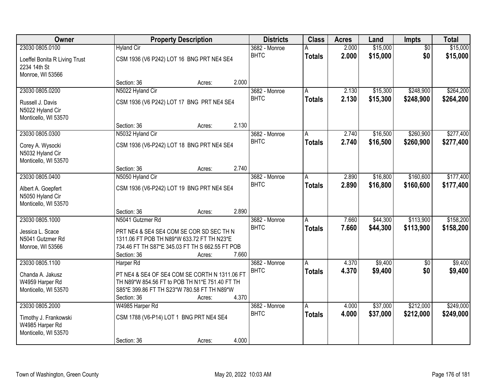| Owner                         |                                                 | <b>Property Description</b> |       | <b>Districts</b>             | <b>Class</b>  | <b>Acres</b>   | Land     | <b>Impts</b>    | <b>Total</b> |
|-------------------------------|-------------------------------------------------|-----------------------------|-------|------------------------------|---------------|----------------|----------|-----------------|--------------|
| 23030 0805.0100               | <b>Hyland Cir</b>                               |                             |       | 3682 - Monroe                |               | 2.000          | \$15,000 | $\overline{50}$ | \$15,000     |
| Loeffel Bonita R Living Trust | CSM 1936 (V6 P242) LOT 16 BNG PRT NE4 SE4       |                             |       | <b>BHTC</b>                  | <b>Totals</b> | 2.000          | \$15,000 | \$0             | \$15,000     |
| 2234 14th St                  |                                                 |                             |       |                              |               |                |          |                 |              |
| Monroe, WI 53566              |                                                 |                             |       |                              |               |                |          |                 |              |
|                               | Section: 36                                     | Acres:                      | 2.000 |                              |               |                |          |                 |              |
| 23030 0805.0200               | N5022 Hyland Cir                                |                             |       | 3682 - Monroe<br><b>BHTC</b> | A             | 2.130<br>2.130 | \$15,300 | \$248,900       | \$264,200    |
| Russell J. Davis              | CSM 1936 (V6 P242) LOT 17 BNG PRT NE4 SE4       |                             |       |                              | <b>Totals</b> |                | \$15,300 | \$248,900       | \$264,200    |
| N5022 Hyland Cir              |                                                 |                             |       |                              |               |                |          |                 |              |
| Monticello, WI 53570          |                                                 |                             |       |                              |               |                |          |                 |              |
| 23030 0805.0300               | Section: 36                                     | Acres:                      | 2.130 |                              |               |                |          |                 |              |
|                               | N5032 Hyland Cir                                |                             |       | 3682 - Monroe<br><b>BHTC</b> | A             | 2.740          | \$16,500 | \$260,900       | \$277,400    |
| Corey A. Wysocki              | CSM 1936 (V6-P242) LOT 18 BNG PRT NE4 SE4       |                             |       |                              | <b>Totals</b> | 2.740          | \$16,500 | \$260,900       | \$277,400    |
| N5032 Hyland Cir              |                                                 |                             |       |                              |               |                |          |                 |              |
| Monticello, WI 53570          |                                                 |                             |       |                              |               |                |          |                 |              |
|                               | Section: 36                                     | Acres:                      | 2.740 |                              |               |                |          |                 |              |
| 23030 0805.0400               | N5050 Hyland Cir                                |                             |       | 3682 - Monroe<br><b>BHTC</b> | A             | 2.890          | \$16,800 | \$160,600       | \$177,400    |
| Albert A. Goepfert            | CSM 1936 (V6-P242) LOT 19 BNG PRT NE4 SE4       |                             |       |                              | <b>Totals</b> | 2.890          | \$16,800 | \$160,600       | \$177,400    |
| N5050 Hyland Cir              |                                                 |                             |       |                              |               |                |          |                 |              |
| Monticello, WI 53570          |                                                 |                             |       |                              |               |                |          |                 |              |
|                               | Section: 36                                     | Acres:                      | 2.890 |                              |               |                |          |                 |              |
| 23030 0805.1000               | N5041 Gutzmer Rd                                |                             |       | 3682 - Monroe<br><b>BHTC</b> | A             | 7.660          | \$44,300 | \$113,900       | \$158,200    |
| Jessica L. Scace              | PRT NE4 & SE4 SE4 COM SE COR SD SEC TH N        |                             |       |                              | <b>Totals</b> | 7.660          | \$44,300 | \$113,900       | \$158,200    |
| N5041 Gutzmer Rd              | 1311.06 FT POB TH N89*W 633.72 FT TH N23*E      |                             |       |                              |               |                |          |                 |              |
| Monroe, WI 53566              | 734.46 FT TH S87*E 345.03 FT TH S 662.55 FT POB |                             |       |                              |               |                |          |                 |              |
|                               | Section: 36                                     | Acres:                      | 7.660 |                              |               |                |          |                 |              |
| 23030 0805.1100               | Harper Rd                                       |                             |       | 3682 - Monroe                | A             | 4.370          | \$9,400  | $\sqrt{6}$      | \$9,400      |
| Chanda A. Jakusz              | PT NE4 & SE4 OF SE4 COM SE CORTH N 1311.06 FT   |                             |       | <b>BHTC</b>                  | <b>Totals</b> | 4.370          | \$9,400  | \$0             | \$9,400      |
| W4959 Harper Rd               | TH N89*W 854.56 FT to POB TH N1*E 751.40 FT TH  |                             |       |                              |               |                |          |                 |              |
| Monticello, WI 53570          | S85*E 399.86 FT TH S23*W 780.58 FT TH N89*W     |                             |       |                              |               |                |          |                 |              |
|                               | Section: 36                                     | Acres:                      | 4.370 |                              |               |                |          |                 |              |
| 23030 0805.2000               | W4985 Harper Rd                                 |                             |       | 3682 - Monroe                | A             | 4.000          | \$37,000 | \$212,000       | \$249,000    |
| Timothy J. Frankowski         | CSM 1788 (V6-P14) LOT 1 BNG PRT NE4 SE4         |                             |       | <b>BHTC</b>                  | <b>Totals</b> | 4.000          | \$37,000 | \$212,000       | \$249,000    |
| W4985 Harper Rd               |                                                 |                             |       |                              |               |                |          |                 |              |
| Monticello, WI 53570          |                                                 |                             |       |                              |               |                |          |                 |              |
|                               | Section: 36                                     | Acres:                      | 4.000 |                              |               |                |          |                 |              |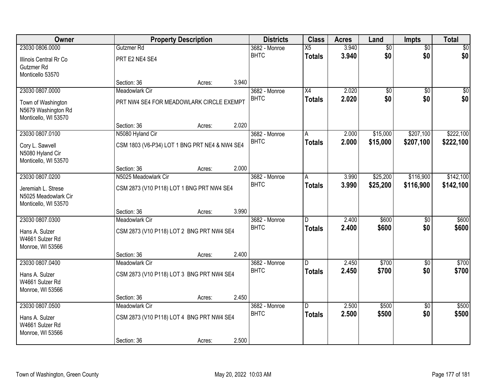| Owner                  |                                               | <b>Property Description</b> |       | <b>Districts</b>             | <b>Class</b>  | <b>Acres</b>   | Land                   | Impts                  | <b>Total</b>   |
|------------------------|-----------------------------------------------|-----------------------------|-------|------------------------------|---------------|----------------|------------------------|------------------------|----------------|
| 23030 0806.0000        | Gutzmer Rd                                    |                             |       | 3682 - Monroe                | X5            | 3.940          | $\sqrt{6}$             | $\overline{50}$        | \$0            |
| Illinois Central Rr Co | PRT E2 NE4 SE4                                |                             |       | <b>BHTC</b>                  | <b>Totals</b> | 3.940          | \$0                    | \$0                    | \$0            |
| Gutzmer Rd             |                                               |                             |       |                              |               |                |                        |                        |                |
| Monticello 53570       |                                               |                             |       |                              |               |                |                        |                        |                |
| 23030 0807.0000        | Section: 36                                   | Acres:                      | 3.940 |                              | X4            | 2.020          |                        |                        | $\sqrt{50}$    |
|                        | Meadowlark Cir                                |                             |       | 3682 - Monroe<br><b>BHTC</b> |               | 2.020          | $\overline{60}$<br>\$0 | $\overline{50}$<br>\$0 | \$0            |
| Town of Washington     | PRT NW4 SE4 FOR MEADOWLARK CIRCLE EXEMPT      |                             |       |                              | <b>Totals</b> |                |                        |                        |                |
| N5679 Washington Rd    |                                               |                             |       |                              |               |                |                        |                        |                |
| Monticello, WI 53570   | Section: 36                                   | Acres:                      | 2.020 |                              |               |                |                        |                        |                |
| 23030 0807.0100        | N5080 Hyland Cir                              |                             |       | 3682 - Monroe                | A             | 2.000          | \$15,000               | \$207,100              | \$222,100      |
| Cory L. Sawvell        | CSM 1803 (V6-P34) LOT 1 BNG PRT NE4 & NW4 SE4 |                             |       | <b>BHTC</b>                  | <b>Totals</b> | 2.000          | \$15,000               | \$207,100              | \$222,100      |
| N5080 Hyland Cir       |                                               |                             |       |                              |               |                |                        |                        |                |
| Monticello, WI 53570   |                                               |                             |       |                              |               |                |                        |                        |                |
|                        | Section: 36                                   | Acres:                      | 2.000 |                              |               |                |                        |                        |                |
| 23030 0807.0200        | N5025 Meadowlark Cir                          |                             |       | 3682 - Monroe                | A             | 3.990          | \$25,200               | \$116,900              | \$142,100      |
| Jeremiah L. Strese     | CSM 2873 (V10 P118) LOT 1 BNG PRT NW4 SE4     |                             |       | <b>BHTC</b>                  | <b>Totals</b> | 3.990          | \$25,200               | \$116,900              | \$142,100      |
| N5025 Meadowlark Cir   |                                               |                             |       |                              |               |                |                        |                        |                |
| Monticello, WI 53570   |                                               |                             |       |                              |               |                |                        |                        |                |
| 23030 0807.0300        | Section: 36                                   | Acres:                      | 3.990 |                              | D.            |                | \$600                  |                        |                |
|                        | Meadowlark Cir                                |                             |       | 3682 - Monroe<br><b>BHTC</b> | <b>Totals</b> | 2.400<br>2.400 | \$600                  | $\overline{50}$<br>\$0 | \$600<br>\$600 |
| Hans A. Sulzer         | CSM 2873 (V10 P118) LOT 2 BNG PRT NW4 SE4     |                             |       |                              |               |                |                        |                        |                |
| W4661 Sulzer Rd        |                                               |                             |       |                              |               |                |                        |                        |                |
| Monroe, WI 53566       | Section: 36                                   | Acres:                      | 2.400 |                              |               |                |                        |                        |                |
| 23030 0807.0400        | Meadowlark Cir                                |                             |       | 3682 - Monroe                | D             | 2.450          | \$700                  | $\sqrt{6}$             | \$700          |
| Hans A. Sulzer         | CSM 2873 (V10 P118) LOT 3 BNG PRT NW4 SE4     |                             |       | <b>BHTC</b>                  | <b>Totals</b> | 2.450          | \$700                  | \$0                    | \$700          |
| W4661 Sulzer Rd        |                                               |                             |       |                              |               |                |                        |                        |                |
| Monroe, WI 53566       |                                               |                             |       |                              |               |                |                        |                        |                |
|                        | Section: 36                                   | Acres:                      | 2.450 |                              |               |                |                        |                        |                |
| 23030 0807.0500        | Meadowlark Cir                                |                             |       | 3682 - Monroe                | D.            | 2.500          | \$500                  | $\overline{50}$        | \$500          |
| Hans A. Sulzer         | CSM 2873 (V10 P118) LOT 4 BNG PRT NW4 SE4     |                             |       | <b>BHTC</b>                  | <b>Totals</b> | 2.500          | \$500                  | \$0                    | \$500          |
| W4661 Sulzer Rd        |                                               |                             |       |                              |               |                |                        |                        |                |
| Monroe, WI 53566       |                                               |                             |       |                              |               |                |                        |                        |                |
|                        | Section: 36                                   | Acres:                      | 2.500 |                              |               |                |                        |                        |                |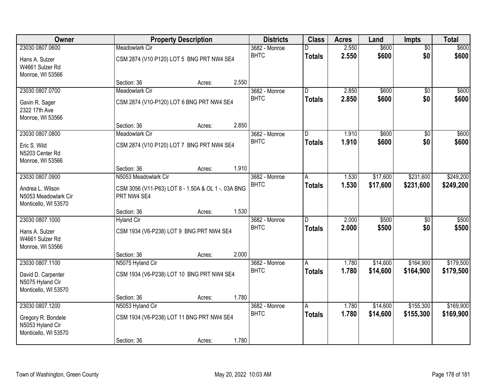| Owner                                                            |                                                                   | <b>Property Description</b> | <b>Districts</b> | <b>Class</b>  | <b>Acres</b> | Land     | <b>Impts</b>    | <b>Total</b> |
|------------------------------------------------------------------|-------------------------------------------------------------------|-----------------------------|------------------|---------------|--------------|----------|-----------------|--------------|
| 23030 0807.0600                                                  | <b>Meadowlark Cir</b>                                             |                             | 3682 - Monroe    | D             | 2.550        | \$600    | $\overline{50}$ | \$600        |
| Hans A. Sulzer<br>W4661 Sulzer Rd<br>Monroe, WI 53566            | CSM 2874 (V10 P120) LOT 5 BNG PRT NW4 SE4                         |                             | <b>BHTC</b>      | <b>Totals</b> | 2.550        | \$600    | \$0             | \$600        |
|                                                                  | Section: 36                                                       | Acres:                      | 2.550            |               |              |          |                 |              |
| 23030 0807.0700                                                  | <b>Meadowlark Cir</b>                                             |                             | 3682 - Monroe    | D             | 2.850        | \$600    | $\overline{30}$ | \$600        |
| Gavin R. Sager<br>2322 17th Ave<br>Monroe, WI 53566              | CSM 2874 (V10-P120) LOT 6 BNG PRT NW4 SE4                         |                             | <b>BHTC</b>      | <b>Totals</b> | 2.850        | \$600    | \$0             | \$600        |
|                                                                  | Section: 36                                                       | Acres:                      | 2.850            |               |              |          |                 |              |
| 23030 0807.0800                                                  | Meadowlark Cir                                                    |                             | 3682 - Monroe    | D             | 1.910        | \$600    | \$0             | \$600        |
| Eric S. Wild<br>N5203 Center Rd<br>Monroe, WI 53566              | CSM 2874 (V10 P120) LOT 7 BNG PRT NW4 SE4                         |                             | <b>BHTC</b>      | <b>Totals</b> | 1.910        | \$600    | \$0             | \$600        |
|                                                                  | Section: 36                                                       | Acres:                      | 1.910            |               |              |          |                 |              |
| 23030 0807.0900                                                  | N5053 Meadowlark Cir                                              |                             | 3682 - Monroe    | Α             | 1.530        | \$17,600 | \$231,600       | \$249,200    |
| Andrea L. Wilson<br>N5053 Meadowlark Cir<br>Monticello, WI 53570 | CSM 3056 (V11-P63) LOT 8 - 1.50A & OL 1 -. 03A BNG<br>PRT NW4 SE4 |                             | <b>BHTC</b>      | <b>Totals</b> | 1.530        | \$17,600 | \$231,600       | \$249,200    |
|                                                                  | Section: 36                                                       | Acres:                      | 1.530            |               |              |          |                 |              |
| 23030 0807.1000                                                  | <b>Hyland Cir</b>                                                 |                             | 3682 - Monroe    | D.            | 2.000        | \$500    | \$0             | \$500        |
| Hans A. Sulzer<br>W4661 Sulzer Rd<br>Monroe, WI 53566            | CSM 1934 (V6-P238) LOT 9 BNG PRT NW4 SE4                          |                             | <b>BHTC</b>      | <b>Totals</b> | 2.000        | \$500    | \$0             | \$500        |
|                                                                  | Section: 36                                                       | Acres:                      | 2.000            |               |              |          |                 |              |
| 23030 0807.1100                                                  | N5075 Hyland Cir                                                  |                             | 3682 - Monroe    | A             | 1.780        | \$14,600 | \$164,900       | \$179,500    |
| David D. Carpenter<br>N5075 Hyland Cir<br>Monticello, WI 53570   | CSM 1934 (V6-P238) LOT 10 BNG PRT NW4 SE4                         |                             | <b>BHTC</b>      | <b>Totals</b> | 1.780        | \$14,600 | \$164,900       | \$179,500    |
|                                                                  | Section: 36                                                       | Acres:                      | 1.780            |               |              |          |                 |              |
| 23030 0807.1200                                                  | N5053 Hyland Cir                                                  |                             | 3682 - Monroe    | A             | 1.780        | \$14,600 | \$155,300       | \$169,900    |
| Gregory R. Bondele<br>N5053 Hyland Cir<br>Monticello, WI 53570   | CSM 1934 (V6-P238) LOT 11 BNG PRT NW4 SE4                         |                             | <b>BHTC</b>      | <b>Totals</b> | 1.780        | \$14,600 | \$155,300       | \$169,900    |
|                                                                  | Section: 36                                                       | Acres:                      | 1.780            |               |              |          |                 |              |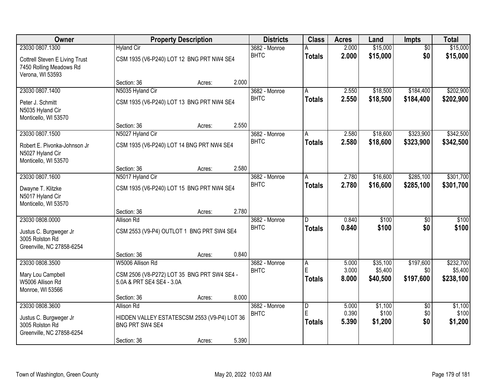| <b>Owner</b>                                                                                     |                                                                                                     | <b>Property Description</b> |       | <b>Districts</b>             | <b>Class</b>                         | <b>Acres</b>            | Land                            | Impts                         | <b>Total</b>                      |
|--------------------------------------------------------------------------------------------------|-----------------------------------------------------------------------------------------------------|-----------------------------|-------|------------------------------|--------------------------------------|-------------------------|---------------------------------|-------------------------------|-----------------------------------|
| 23030 0807.1300<br>Cottrell Steven E Living Trust<br>7450 Rolling Meadows Rd<br>Verona, WI 53593 | <b>Hyland Cir</b><br>CSM 1935 (V6-P240) LOT 12 BNG PRT NW4 SE4                                      |                             |       | 3682 - Monroe<br><b>BHTC</b> | <b>Totals</b>                        | 2.000<br>2.000          | \$15,000<br>\$15,000            | $\overline{50}$<br>\$0        | \$15,000<br>\$15,000              |
|                                                                                                  | Section: 36                                                                                         | Acres:                      | 2.000 |                              |                                      |                         |                                 |                               |                                   |
| 23030 0807.1400<br>Peter J. Schmitt<br>N5035 Hyland Cir<br>Monticello, WI 53570                  | N5035 Hyland Cir<br>CSM 1935 (V6-P240) LOT 13 BNG PRT NW4 SE4                                       |                             |       | 3682 - Monroe<br><b>BHTC</b> | A<br><b>Totals</b>                   | 2.550<br>2.550          | \$18,500<br>\$18,500            | \$184,400<br>\$184,400        | \$202,900<br>\$202,900            |
|                                                                                                  | Section: 36                                                                                         | Acres:                      | 2.550 |                              |                                      |                         |                                 | \$323,900                     |                                   |
| 23030 0807.1500<br>Robert E. Pivonka-Johnson Jr<br>N5027 Hyland Cir<br>Monticello, WI 53570      | N5027 Hyland Cir<br>CSM 1935 (V6-P240) LOT 14 BNG PRT NW4 SE4                                       |                             |       | 3682 - Monroe<br><b>BHTC</b> | A<br><b>Totals</b>                   | 2.580<br>2.580          | \$18,600<br>\$18,600            | \$323,900                     | \$342,500<br>\$342,500            |
|                                                                                                  | Section: 36                                                                                         | Acres:                      | 2.580 |                              |                                      |                         |                                 |                               |                                   |
| 23030 0807.1600<br>Dwayne T. Klitzke<br>N5017 Hyland Cir<br>Monticello, WI 53570                 | N5017 Hyland Cir<br>CSM 1935 (V6-P240) LOT 15 BNG PRT NW4 SE4                                       |                             |       | 3682 - Monroe<br><b>BHTC</b> | A<br><b>Totals</b>                   | 2.780<br>2.780          | \$16,600<br>\$16,600            | \$285,100<br>\$285,100        | \$301,700<br>\$301,700            |
|                                                                                                  | Section: 36                                                                                         | Acres:                      | 2.780 |                              |                                      |                         |                                 |                               |                                   |
| 23030 0808.0000<br>Justus C. Burgweger Jr<br>3005 Rolston Rd<br>Greenville, NC 27858-6254        | <b>Allison Rd</b><br>CSM 2553 (V9-P4) OUTLOT 1 BNG PRT SW4 SE4                                      |                             |       | 3682 - Monroe<br><b>BHTC</b> | D<br><b>Totals</b>                   | 0.840<br>0.840          | \$100<br>\$100                  | $\overline{50}$<br>\$0        | \$100<br>\$100                    |
|                                                                                                  | Section: 36                                                                                         | Acres:                      | 0.840 |                              |                                      |                         |                                 |                               |                                   |
| 23030 0808.3500<br>Mary Lou Campbell<br>W5006 Allison Rd<br>Monroe, WI 53566                     | W5006 Allison Rd<br>CSM 2506 (V8-P272) LOT 35 BNG PRT SW4 SE4 -<br>5.0A & PRT SE4 SE4 - 3.0A        |                             |       | 3682 - Monroe<br><b>BHTC</b> | A<br>E<br><b>Totals</b>              | 5.000<br>3.000<br>8.000 | \$35,100<br>\$5,400<br>\$40,500 | \$197,600<br>\$0<br>\$197,600 | \$232,700<br>\$5,400<br>\$238,100 |
|                                                                                                  | Section: 36                                                                                         | Acres:                      | 8.000 |                              |                                      |                         |                                 |                               |                                   |
| 23030 0808.3600<br>Justus C. Burgweger Jr<br>3005 Rolston Rd<br>Greenville, NC 27858-6254        | <b>Allison Rd</b><br>HIDDEN VALLEY ESTATESCSM 2553 (V9-P4) LOT 36<br>BNG PRT SW4 SE4<br>Section: 36 | Acres:                      | 5.390 | 3682 - Monroe<br><b>BHTC</b> | $\overline{D}$<br>E<br><b>Totals</b> | 5.000<br>0.390<br>5.390 | \$1,100<br>\$100<br>\$1,200     | $\overline{50}$<br>\$0<br>\$0 | \$1,100<br>\$100<br>\$1,200       |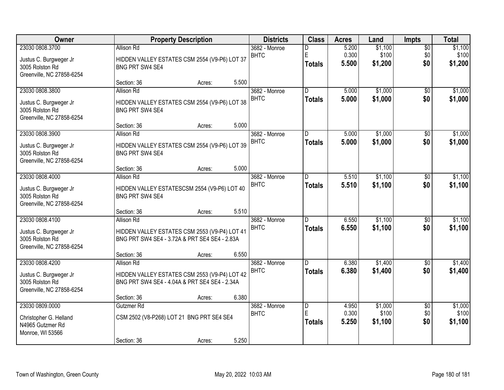| Owner                                                                                     |                                                                                                                                    | <b>Property Description</b> |       | <b>Districts</b>             | <b>Class</b>                         | <b>Acres</b>            | Land                        | Impts                         | <b>Total</b>                |
|-------------------------------------------------------------------------------------------|------------------------------------------------------------------------------------------------------------------------------------|-----------------------------|-------|------------------------------|--------------------------------------|-------------------------|-----------------------------|-------------------------------|-----------------------------|
| 23030 0808.3700<br>Justus C. Burgweger Jr<br>3005 Rolston Rd<br>Greenville, NC 27858-6254 | <b>Allison Rd</b><br>HIDDEN VALLEY ESTATES CSM 2554 (V9-P6) LOT 37<br>BNG PRT SW4 SE4                                              |                             |       | 3682 - Monroe<br><b>BHTC</b> | D<br>E<br><b>Totals</b>              | 5.200<br>0.300<br>5.500 | \$1,100<br>\$100<br>\$1,200 | $\overline{50}$<br>\$0<br>\$0 | \$1,100<br>\$100<br>\$1,200 |
|                                                                                           | Section: 36                                                                                                                        | Acres:                      | 5.500 |                              |                                      |                         |                             |                               |                             |
| 23030 0808.3800<br>Justus C. Burgweger Jr<br>3005 Rolston Rd<br>Greenville, NC 27858-6254 | <b>Allison Rd</b><br>HIDDEN VALLEY ESTATES CSM 2554 (V9-P6) LOT 38<br>BNG PRT SW4 SE4                                              |                             |       | 3682 - Monroe<br><b>BHTC</b> | $\overline{D}$<br><b>Totals</b>      | 5.000<br>5.000          | \$1,000<br>\$1,000          | $\overline{50}$<br>\$0        | \$1,000<br>\$1,000          |
|                                                                                           | Section: 36                                                                                                                        | Acres:                      | 5.000 |                              |                                      |                         |                             |                               |                             |
| 23030 0808.3900<br>Justus C. Burgweger Jr<br>3005 Rolston Rd<br>Greenville, NC 27858-6254 | Allison Rd<br>HIDDEN VALLEY ESTATES CSM 2554 (V9-P6) LOT 39<br>BNG PRT SW4 SE4                                                     |                             |       | 3682 - Monroe<br><b>BHTC</b> | D<br><b>Totals</b>                   | 5.000<br>5.000          | \$1,000<br>\$1,000          | \$0<br>\$0                    | \$1,000<br>\$1,000          |
|                                                                                           | Section: 36                                                                                                                        | Acres:                      | 5.000 |                              |                                      |                         |                             |                               |                             |
| 23030 0808.4000<br>Justus C. Burgweger Jr<br>3005 Rolston Rd<br>Greenville, NC 27858-6254 | <b>Allison Rd</b><br>HIDDEN VALLEY ESTATESCSM 2554 (V9-P6) LOT 40<br>BNG PRT SW4 SE4                                               |                             |       | 3682 - Monroe<br><b>BHTC</b> | D.<br><b>Totals</b>                  | 5.510<br>5.510          | \$1,100<br>\$1,100          | \$0<br>\$0                    | \$1,100<br>\$1,100          |
|                                                                                           | Section: 36                                                                                                                        | Acres:                      | 5.510 |                              |                                      |                         |                             |                               |                             |
| 23030 0808.4100<br>Justus C. Burgweger Jr<br>3005 Rolston Rd<br>Greenville, NC 27858-6254 | <b>Allison Rd</b><br>HIDDEN VALLEY ESTATES CSM 2553 (V9-P4) LOT 41<br>BNG PRT SW4 SE4 - 3.72A & PRT SE4 SE4 - 2.83A<br>Section: 36 | Acres:                      | 6.550 | 3682 - Monroe<br><b>BHTC</b> | D.<br><b>Totals</b>                  | 6.550<br>6.550          | \$1,100<br>\$1,100          | $\overline{50}$<br>\$0        | \$1,100<br>\$1,100          |
| 23030 0808.4200                                                                           | <b>Allison Rd</b>                                                                                                                  |                             |       | 3682 - Monroe                | D                                    | 6.380                   | \$1,400                     | $\overline{50}$               | \$1,400                     |
| Justus C. Burgweger Jr<br>3005 Rolston Rd<br>Greenville, NC 27858-6254                    | HIDDEN VALLEY ESTATES CSM 2553 (V9-P4) LOT 42<br>BNG PRT SW4 SE4 - 4.04A & PRT SE4 SE4 - 2.34A                                     |                             |       | <b>BHTC</b>                  | <b>Totals</b>                        | 6.380                   | \$1,400                     | \$0                           | \$1,400                     |
|                                                                                           | Section: 36                                                                                                                        | Acres:                      | 6.380 |                              |                                      |                         |                             |                               |                             |
| 23030 0809.0000<br>Christopher G. Helland<br>N4965 Gutzmer Rd<br>Monroe, WI 53566         | Gutzmer Rd<br>CSM 2502 (V8-P268) LOT 21 BNG PRT SE4 SE4<br>Section: 36                                                             | Acres:                      | 5.250 | 3682 - Monroe<br><b>BHTC</b> | $\overline{D}$<br>E<br><b>Totals</b> | 4.950<br>0.300<br>5.250 | \$1,000<br>\$100<br>\$1,100 | $\overline{50}$<br>\$0<br>\$0 | \$1,000<br>\$100<br>\$1,100 |